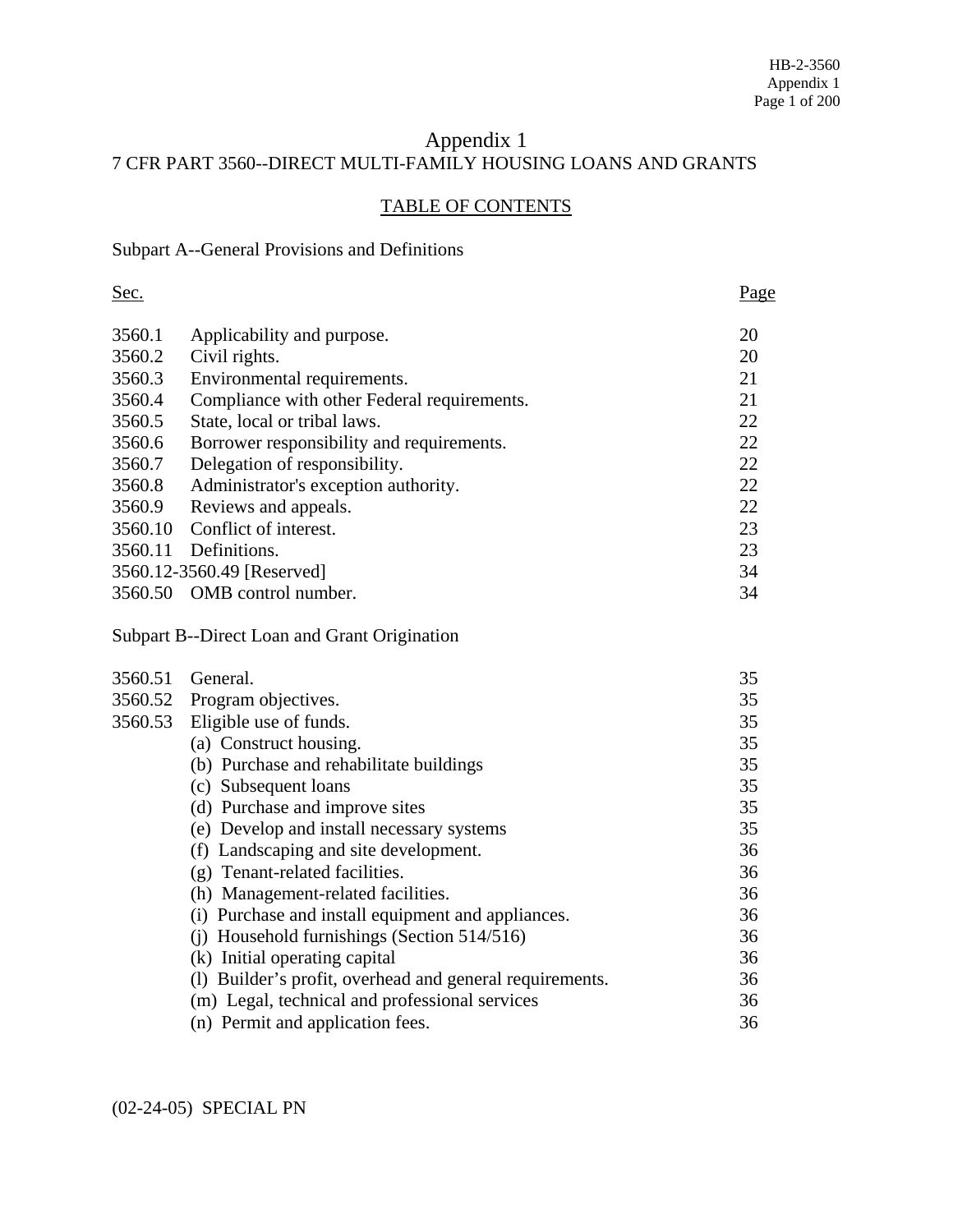# Appendix 1 7 CFR PART 3560--DIRECT MULTI-FAMILY HOUSING LOANS AND GRANTS

# TABLE OF CONTENTS

# Subpart A--General Provisions and Definitions

| Sec.    |                                                          | Page |
|---------|----------------------------------------------------------|------|
| 3560.1  | Applicability and purpose.                               | 20   |
| 3560.2  | Civil rights.                                            | 20   |
| 3560.3  | Environmental requirements.                              | 21   |
| 3560.4  | Compliance with other Federal requirements.              | 21   |
| 3560.5  | State, local or tribal laws.                             | 22   |
| 3560.6  | Borrower responsibility and requirements.                | 22   |
| 3560.7  | Delegation of responsibility.                            | 22   |
| 3560.8  | Administrator's exception authority.                     | 22   |
| 3560.9  | Reviews and appeals.                                     | 22   |
| 3560.10 | Conflict of interest.                                    | 23   |
| 3560.11 | Definitions.                                             | 23   |
|         | 3560.12-3560.49 [Reserved]                               | 34   |
|         | 3560.50 OMB control number.                              | 34   |
|         | Subpart B--Direct Loan and Grant Origination             |      |
| 3560.51 | General.                                                 | 35   |
|         | 3560.52 Program objectives.                              | 35   |
| 3560.53 | Eligible use of funds.                                   | 35   |
|         | (a) Construct housing.                                   | 35   |
|         | (b) Purchase and rehabilitate buildings                  | 35   |
|         | (c) Subsequent loans                                     | 35   |
|         | (d) Purchase and improve sites                           | 35   |
|         | (e) Develop and install necessary systems                | 35   |
|         | (f) Landscaping and site development.                    | 36   |
|         | (g) Tenant-related facilities.                           | 36   |
|         | (h) Management-related facilities.                       | 36   |
|         | (i) Purchase and install equipment and appliances.       | 36   |
|         | (i) Household furnishings (Section 514/516)              | 36   |
|         | (k) Initial operating capital                            | 36   |
|         | (1) Builder's profit, overhead and general requirements. | 36   |
|         | (m) Legal, technical and professional services           | 36   |
|         | (n) Permit and application fees.                         | 36   |

(02-24-05) SPECIAL PN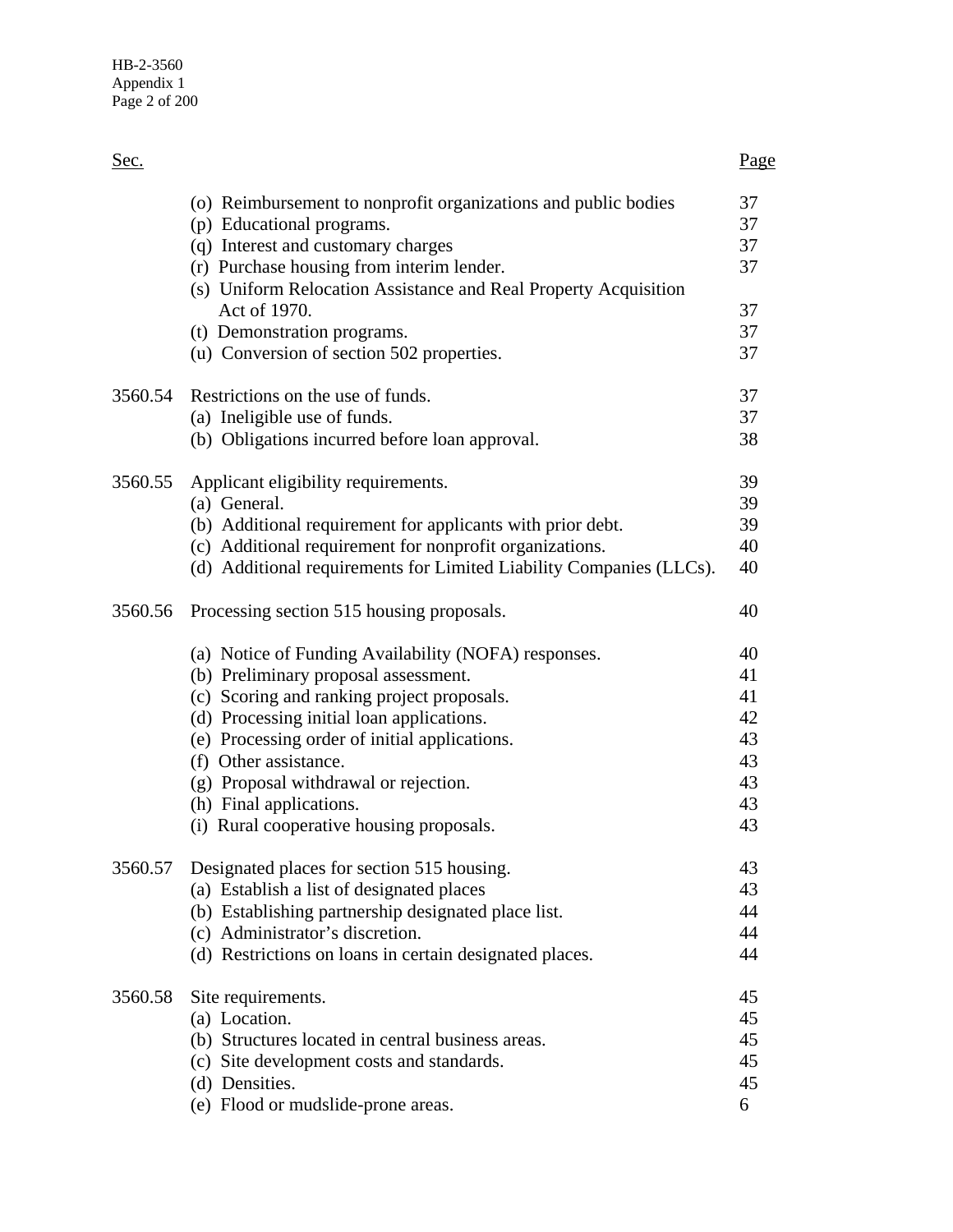| Sec.    |                                                                                                                                                                                                                                                                                                                                                                                                                                | <u>Page</u>                                              |
|---------|--------------------------------------------------------------------------------------------------------------------------------------------------------------------------------------------------------------------------------------------------------------------------------------------------------------------------------------------------------------------------------------------------------------------------------|----------------------------------------------------------|
|         | (o) Reimbursement to nonprofit organizations and public bodies<br>(p) Educational programs.<br>(q) Interest and customary charges<br>(r) Purchase housing from interim lender.<br>(s) Uniform Relocation Assistance and Real Property Acquisition                                                                                                                                                                              | 37<br>37<br>37<br>37                                     |
|         | Act of 1970.<br>(t) Demonstration programs.<br>(u) Conversion of section 502 properties.                                                                                                                                                                                                                                                                                                                                       | 37<br>37<br>37                                           |
| 3560.54 | Restrictions on the use of funds.<br>(a) Ineligible use of funds.<br>(b) Obligations incurred before loan approval.                                                                                                                                                                                                                                                                                                            | 37<br>37<br>38                                           |
| 3560.55 | Applicant eligibility requirements.<br>(a) General.<br>(b) Additional requirement for applicants with prior debt.<br>(c) Additional requirement for nonprofit organizations.<br>(d) Additional requirements for Limited Liability Companies (LLCs).                                                                                                                                                                            | 39<br>39<br>39<br>40<br>40                               |
| 3560.56 | Processing section 515 housing proposals.<br>(a) Notice of Funding Availability (NOFA) responses.<br>(b) Preliminary proposal assessment.<br>(c) Scoring and ranking project proposals.<br>(d) Processing initial loan applications.<br>(e) Processing order of initial applications.<br>(f) Other assistance.<br>(g) Proposal withdrawal or rejection.<br>(h) Final applications.<br>(i) Rural cooperative housing proposals. | 40<br>40<br>41<br>41<br>42<br>43<br>43<br>43<br>43<br>43 |
| 3560.57 | Designated places for section 515 housing.<br>(a) Establish a list of designated places<br>(b) Establishing partnership designated place list.<br>(c) Administrator's discretion.<br>(d) Restrictions on loans in certain designated places.                                                                                                                                                                                   | 43<br>43<br>44<br>44<br>44                               |
| 3560.58 | Site requirements.<br>(a) Location.<br>(b) Structures located in central business areas.<br>(c) Site development costs and standards.<br>(d) Densities.<br>(e) Flood or mudslide-prone areas.                                                                                                                                                                                                                                  | 45<br>45<br>45<br>45<br>45<br>6                          |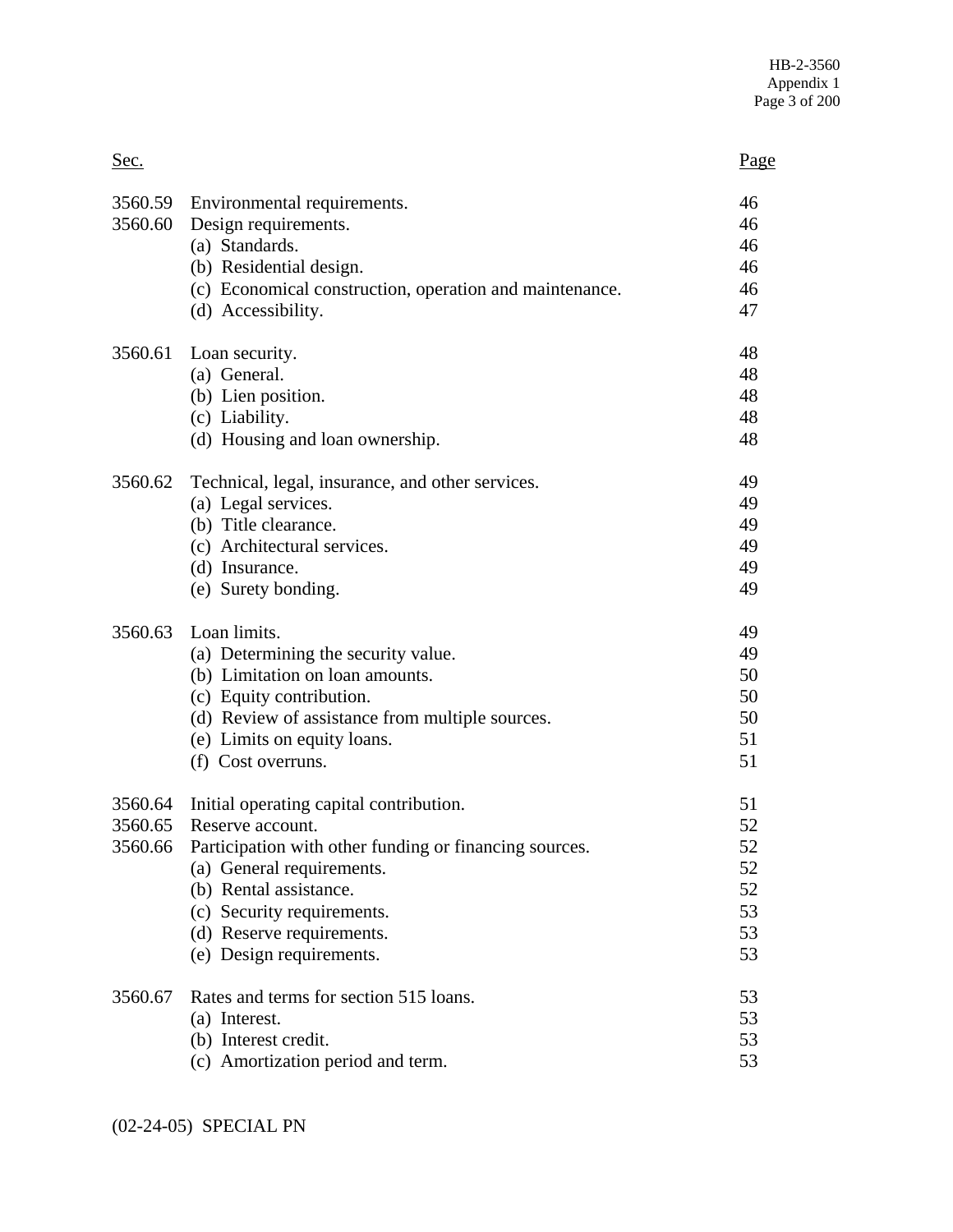| Sec.    |                                                                                                                                                                                                                                                                                     | <u>Page</u>                                  |
|---------|-------------------------------------------------------------------------------------------------------------------------------------------------------------------------------------------------------------------------------------------------------------------------------------|----------------------------------------------|
|         | 3560.59 Environmental requirements.<br>3560.60 Design requirements.<br>(a) Standards.<br>(b) Residential design.<br>(c) Economical construction, operation and maintenance.<br>(d) Accessibility.                                                                                   | 46<br>46<br>46<br>46<br>46<br>47             |
| 3560.61 | Loan security.<br>(a) General.<br>(b) Lien position.<br>(c) Liability.<br>(d) Housing and loan ownership.                                                                                                                                                                           | 48<br>48<br>48<br>48<br>48                   |
| 3560.62 | Technical, legal, insurance, and other services.<br>(a) Legal services.<br>(b) Title clearance.<br>(c) Architectural services.<br>(d) Insurance.<br>(e) Surety bonding.                                                                                                             | 49<br>49<br>49<br>49<br>49<br>49             |
| 3560.63 | Loan limits.<br>(a) Determining the security value.<br>(b) Limitation on loan amounts.<br>(c) Equity contribution.<br>(d) Review of assistance from multiple sources.<br>(e) Limits on equity loans.<br>(f) Cost overruns.                                                          | 49<br>49<br>50<br>50<br>50<br>51<br>51       |
| 3560.65 | 3560.64 Initial operating capital contribution.<br>Reserve account.<br>3560.66 Participation with other funding or financing sources.<br>(a) General requirements.<br>(b) Rental assistance.<br>(c) Security requirements.<br>(d) Reserve requirements.<br>(e) Design requirements. | 51<br>52<br>52<br>52<br>52<br>53<br>53<br>53 |
| 3560.67 | Rates and terms for section 515 loans.<br>(a) Interest.<br>(b) Interest credit.<br>(c) Amortization period and term.                                                                                                                                                                | 53<br>53<br>53<br>53                         |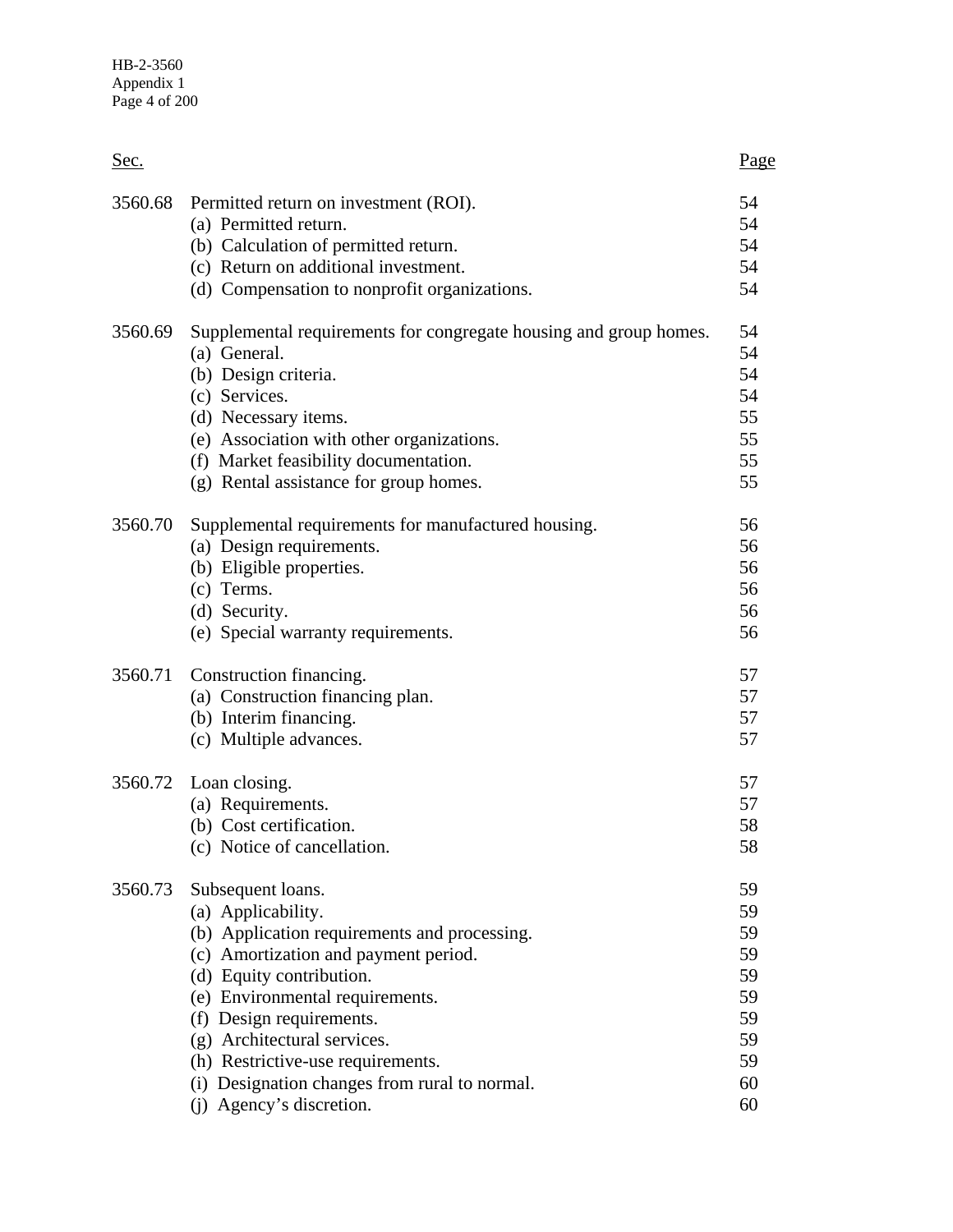| Sec.    |                                                                                                                                                                                                                                                                                                                                                                             | Page                                                           |
|---------|-----------------------------------------------------------------------------------------------------------------------------------------------------------------------------------------------------------------------------------------------------------------------------------------------------------------------------------------------------------------------------|----------------------------------------------------------------|
| 3560.68 | Permitted return on investment (ROI).<br>(a) Permitted return.<br>(b) Calculation of permitted return.<br>(c) Return on additional investment.<br>(d) Compensation to nonprofit organizations.                                                                                                                                                                              | 54<br>54<br>54<br>54<br>54                                     |
| 3560.69 | Supplemental requirements for congregate housing and group homes.<br>(a) General.<br>(b) Design criteria.<br>(c) Services.<br>(d) Necessary items.<br>(e) Association with other organizations.<br>(f) Market feasibility documentation.<br>(g) Rental assistance for group homes.                                                                                          | 54<br>54<br>54<br>54<br>55<br>55<br>55<br>55                   |
| 3560.70 | Supplemental requirements for manufactured housing.<br>(a) Design requirements.<br>(b) Eligible properties.<br>(c) Terms.<br>(d) Security.<br>(e) Special warranty requirements.                                                                                                                                                                                            | 56<br>56<br>56<br>56<br>56<br>56                               |
| 3560.71 | Construction financing.<br>(a) Construction financing plan.<br>(b) Interim financing.<br>(c) Multiple advances.                                                                                                                                                                                                                                                             | 57<br>57<br>57<br>57                                           |
|         | 3560.72 Loan closing.<br>(a) Requirements.<br>(b) Cost certification.<br>(c) Notice of cancellation.                                                                                                                                                                                                                                                                        | 57<br>57<br>58<br>აŏ                                           |
| 3560.73 | Subsequent loans.<br>(a) Applicability.<br>(b) Application requirements and processing.<br>(c) Amortization and payment period.<br>(d) Equity contribution.<br>(e) Environmental requirements.<br>(f) Design requirements.<br>(g) Architectural services.<br>(h) Restrictive-use requirements.<br>(i) Designation changes from rural to normal.<br>(j) Agency's discretion. | 59<br>59<br>59<br>59<br>59<br>59<br>59<br>59<br>59<br>60<br>60 |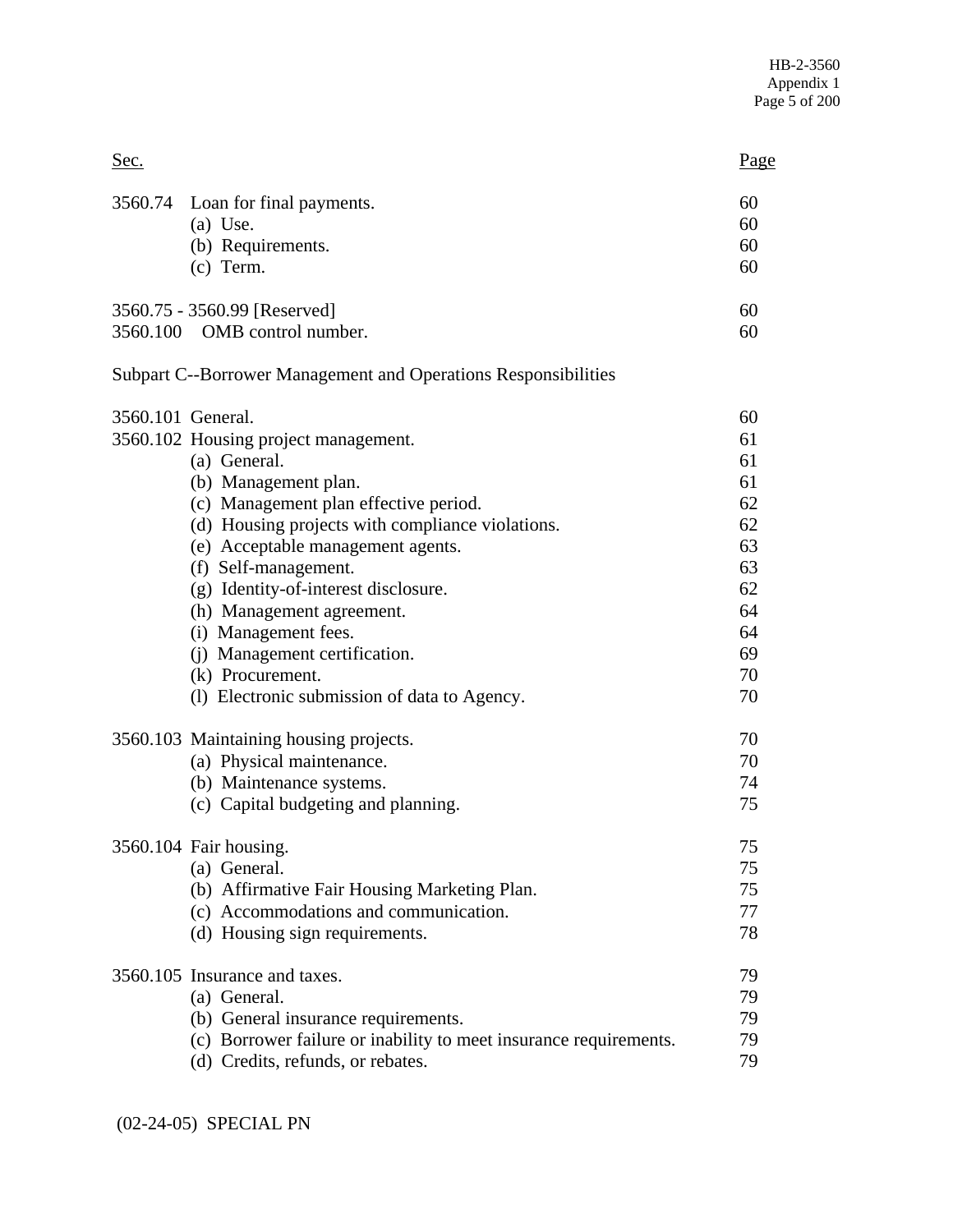| Sec.              |                                                                                                                                                                                                                                                                                                                                                                                                                                          | Page                                                                             |
|-------------------|------------------------------------------------------------------------------------------------------------------------------------------------------------------------------------------------------------------------------------------------------------------------------------------------------------------------------------------------------------------------------------------------------------------------------------------|----------------------------------------------------------------------------------|
|                   | 3560.74 Loan for final payments.<br>$(a)$ Use.<br>(b) Requirements.<br>$(c)$ Term.                                                                                                                                                                                                                                                                                                                                                       | 60<br>60<br>60<br>60                                                             |
|                   | 3560.75 - 3560.99 [Reserved]<br>3560.100 OMB control number.                                                                                                                                                                                                                                                                                                                                                                             | 60<br>60                                                                         |
|                   | Subpart C--Borrower Management and Operations Responsibilities                                                                                                                                                                                                                                                                                                                                                                           |                                                                                  |
| 3560.101 General. | 3560.102 Housing project management.<br>(a) General.<br>(b) Management plan.<br>(c) Management plan effective period.<br>(d) Housing projects with compliance violations.<br>(e) Acceptable management agents.<br>(f) Self-management.<br>(g) Identity-of-interest disclosure.<br>(h) Management agreement.<br>(i) Management fees.<br>(j) Management certification.<br>(k) Procurement.<br>(1) Electronic submission of data to Agency. | 60<br>61<br>61<br>61<br>62<br>62<br>63<br>63<br>62<br>64<br>64<br>69<br>70<br>70 |
|                   | 3560.103 Maintaining housing projects.<br>(a) Physical maintenance.<br>(b) Maintenance systems.<br>(c) Capital budgeting and planning.                                                                                                                                                                                                                                                                                                   | 70<br>70<br>74<br>75                                                             |
|                   | 3560.104 Fair housing.<br>(a) General.<br>(b) Affirmative Fair Housing Marketing Plan.<br>(c) Accommodations and communication.<br>(d) Housing sign requirements.                                                                                                                                                                                                                                                                        | 75<br>75<br>75<br>77<br>78                                                       |
|                   | 3560.105 Insurance and taxes.<br>(a) General.<br>(b) General insurance requirements.<br>(c) Borrower failure or inability to meet insurance requirements.<br>(d) Credits, refunds, or rebates.                                                                                                                                                                                                                                           | 79<br>79<br>79<br>79<br>79                                                       |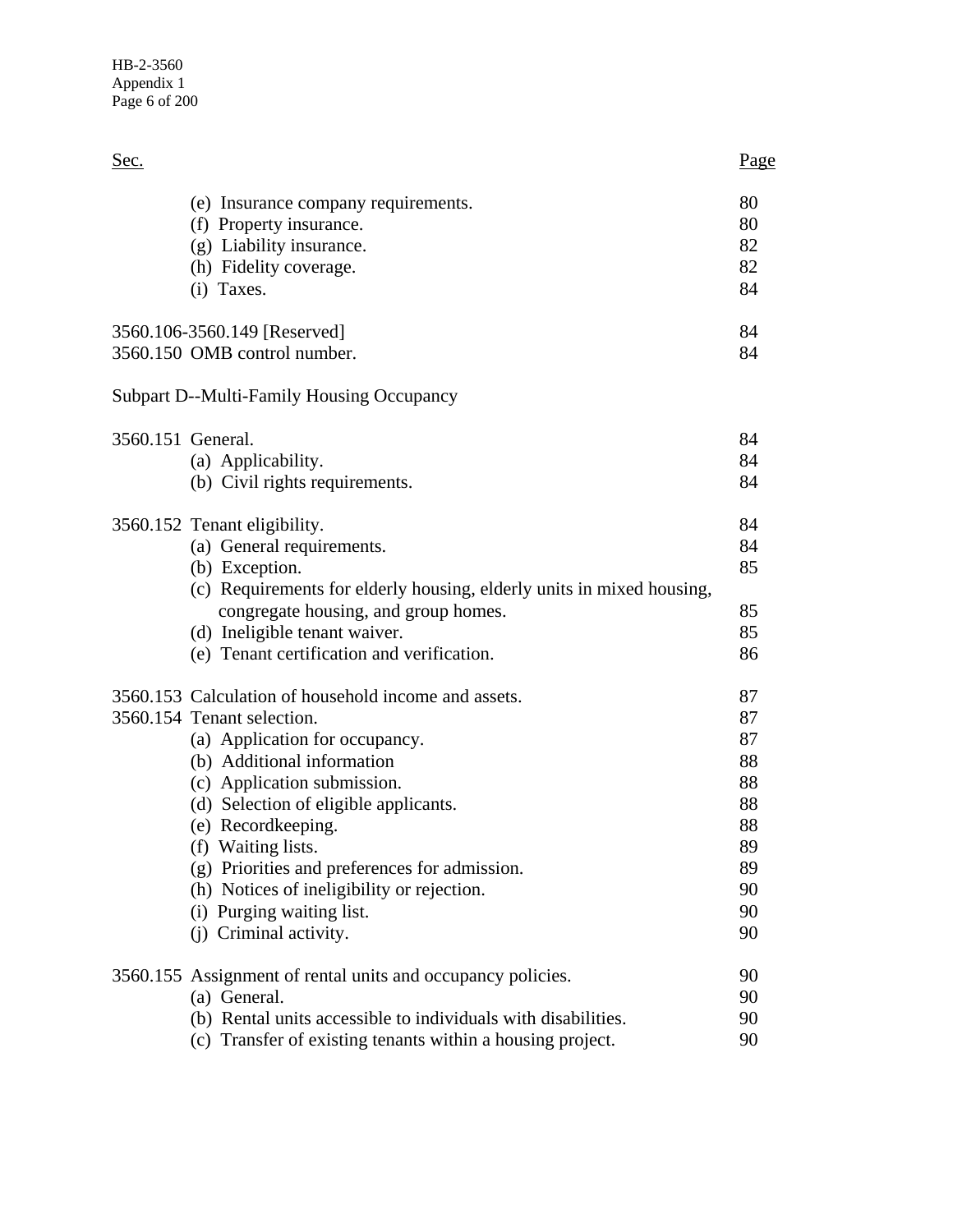| Sec.              |                                                                                                                                                                                                                                                                                                                                                                                                                              | <u>Page</u>                                                          |
|-------------------|------------------------------------------------------------------------------------------------------------------------------------------------------------------------------------------------------------------------------------------------------------------------------------------------------------------------------------------------------------------------------------------------------------------------------|----------------------------------------------------------------------|
|                   | (e) Insurance company requirements.<br>(f) Property insurance.<br>(g) Liability insurance.<br>(h) Fidelity coverage.<br>(i) Taxes.                                                                                                                                                                                                                                                                                           | 80<br>80<br>82<br>82<br>84                                           |
|                   | 3560.106-3560.149 [Reserved]<br>3560.150 OMB control number.                                                                                                                                                                                                                                                                                                                                                                 | 84<br>84                                                             |
|                   | <b>Subpart D--Multi-Family Housing Occupancy</b>                                                                                                                                                                                                                                                                                                                                                                             |                                                                      |
| 3560.151 General. | (a) Applicability.<br>(b) Civil rights requirements.                                                                                                                                                                                                                                                                                                                                                                         | 84<br>84<br>84                                                       |
|                   | 3560.152 Tenant eligibility.<br>(a) General requirements.<br>(b) Exception.<br>(c) Requirements for elderly housing, elderly units in mixed housing,<br>congregate housing, and group homes.                                                                                                                                                                                                                                 | 84<br>84<br>85<br>85                                                 |
|                   | (d) Ineligible tenant waiver.<br>(e) Tenant certification and verification.                                                                                                                                                                                                                                                                                                                                                  | 85<br>86                                                             |
|                   | 3560.153 Calculation of household income and assets.<br>3560.154 Tenant selection.<br>(a) Application for occupancy.<br>(b) Additional information<br>(c) Application submission.<br>(d) Selection of eligible applicants.<br>(e) Recordkeeping.<br>(f) Waiting lists.<br>(g) Priorities and preferences for admission.<br>(h) Notices of ineligibility or rejection.<br>(i) Purging waiting list.<br>(j) Criminal activity. | 87<br>87<br>87<br>88<br>88<br>88<br>88<br>89<br>89<br>90<br>90<br>90 |
|                   | 3560.155 Assignment of rental units and occupancy policies.<br>(a) General.<br>(b) Rental units accessible to individuals with disabilities.<br>(c) Transfer of existing tenants within a housing project.                                                                                                                                                                                                                   | 90<br>90<br>90<br>90                                                 |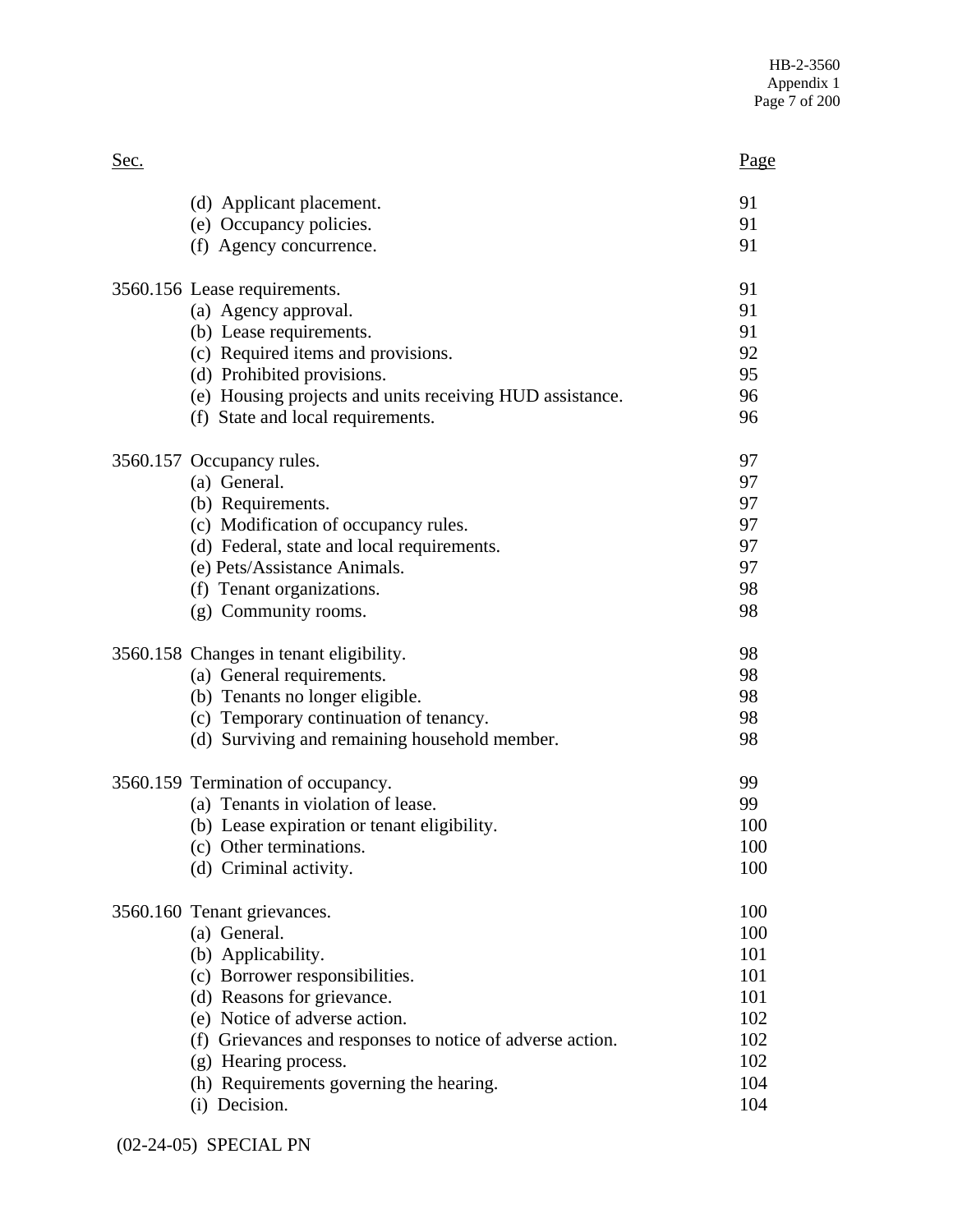| 91<br>(d) Applicant placement.<br>91<br>(e) Occupancy policies.<br>91<br>(f) Agency concurrence. |  |
|--------------------------------------------------------------------------------------------------|--|
|                                                                                                  |  |
|                                                                                                  |  |
|                                                                                                  |  |
| 91<br>3560.156 Lease requirements.                                                               |  |
| 91<br>(a) Agency approval.                                                                       |  |
| 91<br>(b) Lease requirements.                                                                    |  |
| (c) Required items and provisions.<br>92                                                         |  |
| 95<br>(d) Prohibited provisions.                                                                 |  |
| (e) Housing projects and units receiving HUD assistance.<br>96                                   |  |
| (f) State and local requirements.<br>96                                                          |  |
| 97<br>3560.157 Occupancy rules.                                                                  |  |
| 97<br>(a) General.                                                                               |  |
| (b) Requirements.<br>97                                                                          |  |
| (c) Modification of occupancy rules.<br>97                                                       |  |
| 97<br>(d) Federal, state and local requirements.                                                 |  |
| (e) Pets/Assistance Animals.<br>97                                                               |  |
| (f) Tenant organizations.<br>98                                                                  |  |
| 98<br>(g) Community rooms.                                                                       |  |
| 98<br>3560.158 Changes in tenant eligibility.                                                    |  |
| (a) General requirements.<br>98                                                                  |  |
| (b) Tenants no longer eligible.<br>98                                                            |  |
| (c) Temporary continuation of tenancy.<br>98                                                     |  |
| 98<br>(d) Surviving and remaining household member.                                              |  |
| 99<br>3560.159 Termination of occupancy.                                                         |  |
| (a) Tenants in violation of lease.<br>99                                                         |  |
| (b) Lease expiration or tenant eligibility.<br>100                                               |  |
| (c) Other terminations.<br>100                                                                   |  |
| 100<br>(d) Criminal activity.                                                                    |  |
| 100<br>3560.160 Tenant grievances.                                                               |  |
| (a) General.<br>100                                                                              |  |
| (b) Applicability.<br>101                                                                        |  |
| 101<br>(c) Borrower responsibilities.                                                            |  |
| (d) Reasons for grievance.<br>101                                                                |  |
| (e) Notice of adverse action.<br>102                                                             |  |
| 102<br>(f) Grievances and responses to notice of adverse action.                                 |  |
| 102<br>(g) Hearing process.                                                                      |  |
| (h) Requirements governing the hearing.<br>104                                                   |  |
| (i) Decision.<br>104                                                                             |  |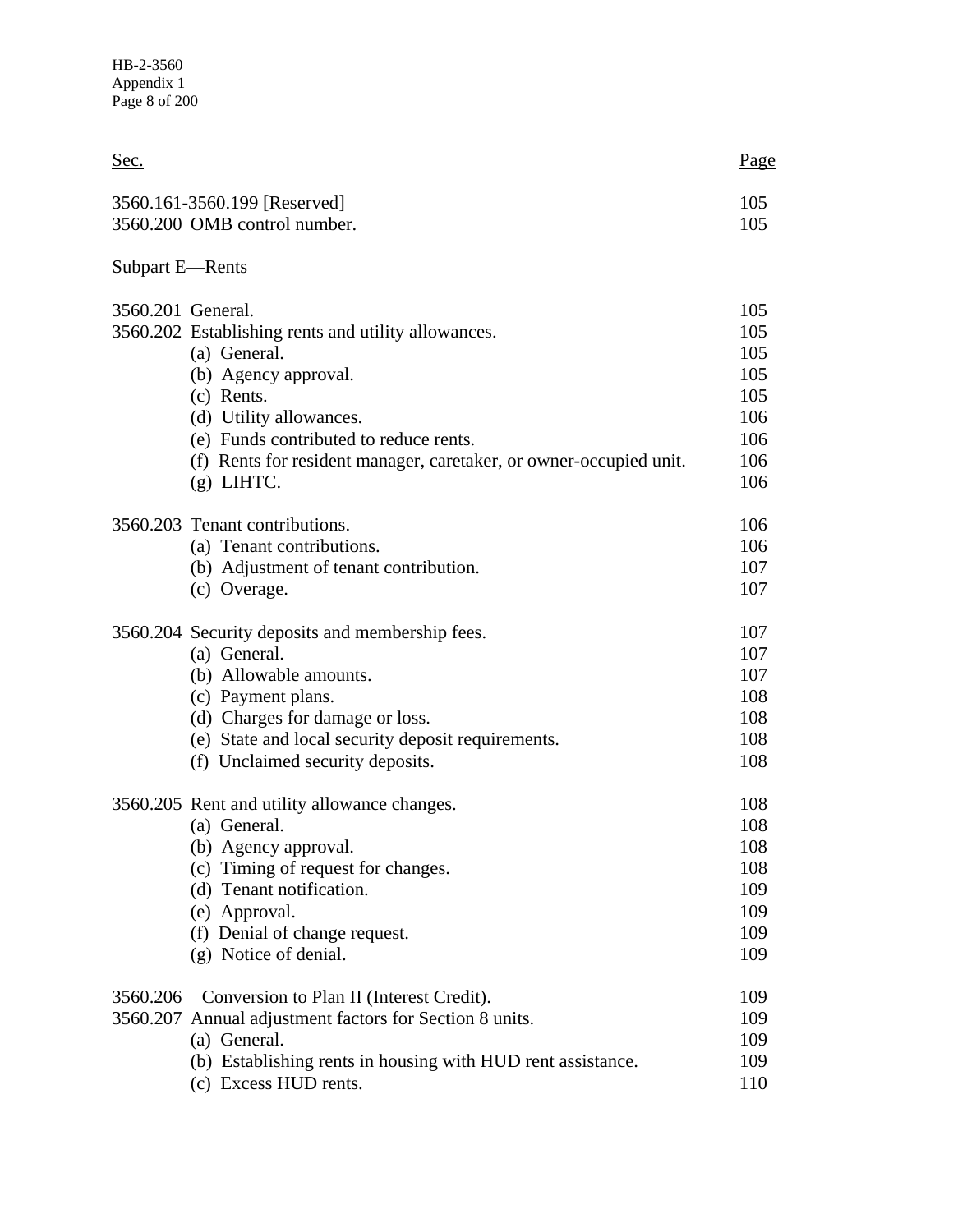| Sec.              |                                                                                                                                                                                                                                                                      | <u>Page</u>                                                 |
|-------------------|----------------------------------------------------------------------------------------------------------------------------------------------------------------------------------------------------------------------------------------------------------------------|-------------------------------------------------------------|
|                   | 3560.161-3560.199 [Reserved]<br>3560.200 OMB control number.                                                                                                                                                                                                         | 105<br>105                                                  |
| Subpart E-Rents   |                                                                                                                                                                                                                                                                      |                                                             |
| 3560.201 General. | 3560.202 Establishing rents and utility allowances.<br>(a) General.<br>(b) Agency approval.<br>(c) Rents.<br>(d) Utility allowances.<br>(e) Funds contributed to reduce rents.<br>(f) Rents for resident manager, caretaker, or owner-occupied unit.<br>$(g)$ LIHTC. | 105<br>105<br>105<br>105<br>105<br>106<br>106<br>106<br>106 |
|                   | 3560.203 Tenant contributions.<br>(a) Tenant contributions.<br>(b) Adjustment of tenant contribution.<br>(c) Overage.                                                                                                                                                | 106<br>106<br>107<br>107                                    |
|                   | 3560.204 Security deposits and membership fees.<br>(a) General.<br>(b) Allowable amounts.<br>(c) Payment plans.<br>(d) Charges for damage or loss.<br>(e) State and local security deposit requirements.<br>(f) Unclaimed security deposits.                         | 107<br>107<br>107<br>108<br>108<br>108<br>108               |
|                   | 3560.205 Rent and utility allowance changes.<br>(a) General.<br>(b) Agency approval.<br>(c) Timing of request for changes.<br>(d) Tenant notification.<br>(e) Approval.<br>(f) Denial of change request.<br>(g) Notice of denial.                                    | 108<br>108<br>108<br>108<br>109<br>109<br>109<br>109        |
| 3560.206          | Conversion to Plan II (Interest Credit).<br>3560.207 Annual adjustment factors for Section 8 units.<br>(a) General.<br>(b) Establishing rents in housing with HUD rent assistance.<br>(c) Excess HUD rents.                                                          | 109<br>109<br>109<br>109<br>110                             |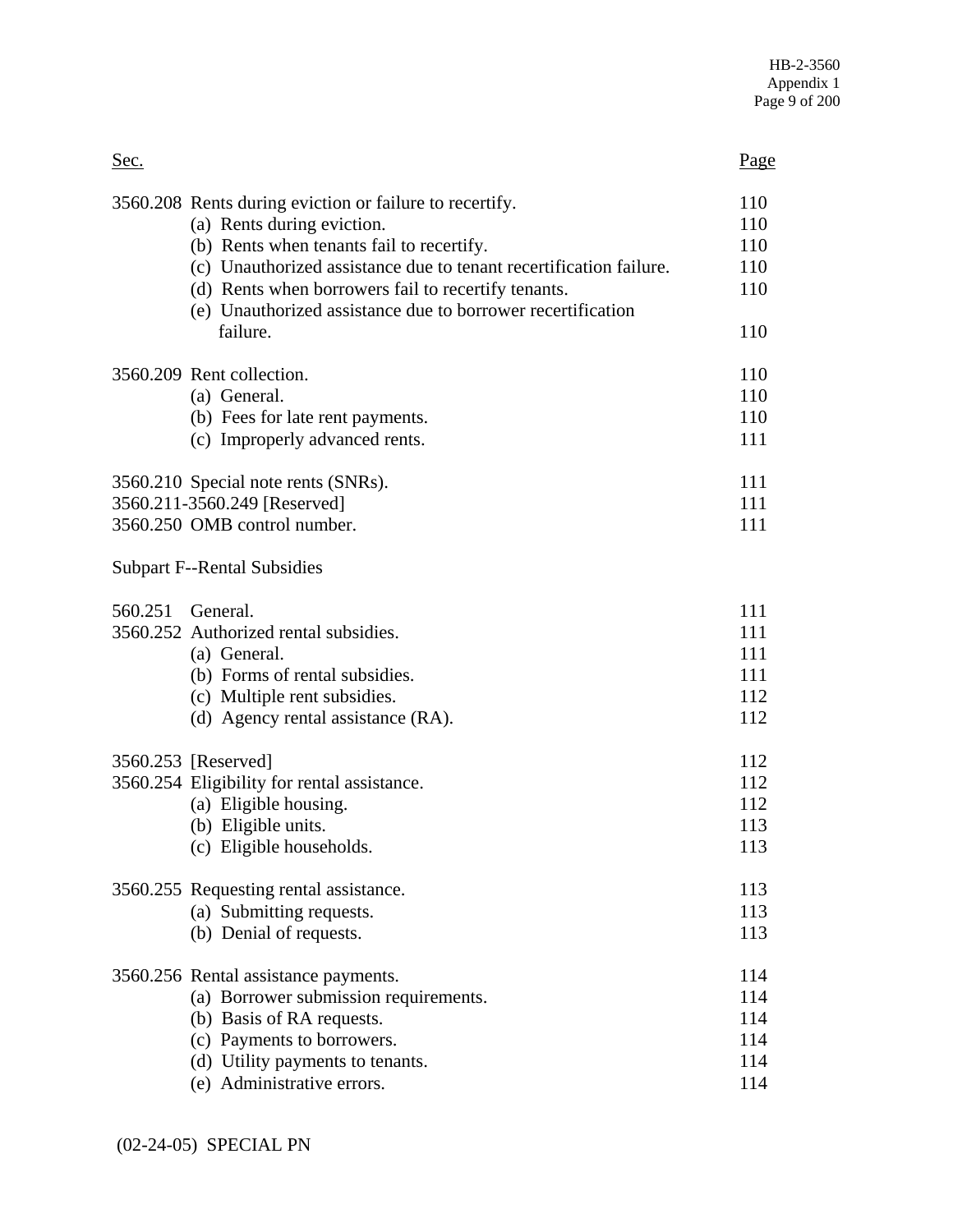| Sec.                                                                                                                                                                                                                                                                                                                                       | Page                                   |
|--------------------------------------------------------------------------------------------------------------------------------------------------------------------------------------------------------------------------------------------------------------------------------------------------------------------------------------------|----------------------------------------|
| 3560.208 Rents during eviction or failure to recertify.<br>(a) Rents during eviction.<br>(b) Rents when tenants fail to recertify.<br>(c) Unauthorized assistance due to tenant recertification failure.<br>(d) Rents when borrowers fail to recertify tenants.<br>(e) Unauthorized assistance due to borrower recertification<br>failure. | 110<br>110<br>110<br>110<br>110<br>110 |
| 3560.209 Rent collection.                                                                                                                                                                                                                                                                                                                  | 110                                    |
| (a) General.                                                                                                                                                                                                                                                                                                                               | 110                                    |
| (b) Fees for late rent payments.                                                                                                                                                                                                                                                                                                           | 110                                    |
| (c) Improperly advanced rents.                                                                                                                                                                                                                                                                                                             | 111                                    |
| 3560.210 Special note rents (SNRs).                                                                                                                                                                                                                                                                                                        | 111                                    |
| 3560.211-3560.249 [Reserved]                                                                                                                                                                                                                                                                                                               | 111                                    |
| 3560.250 OMB control number.                                                                                                                                                                                                                                                                                                               | 111                                    |
| <b>Subpart F--Rental Subsidies</b>                                                                                                                                                                                                                                                                                                         |                                        |
| 560.251 General.                                                                                                                                                                                                                                                                                                                           | 111                                    |
| 3560.252 Authorized rental subsidies.                                                                                                                                                                                                                                                                                                      | 111                                    |
| (a) General.                                                                                                                                                                                                                                                                                                                               | 111                                    |
| (b) Forms of rental subsidies.                                                                                                                                                                                                                                                                                                             | 111                                    |
| (c) Multiple rent subsidies.                                                                                                                                                                                                                                                                                                               | 112                                    |
| (d) Agency rental assistance (RA).                                                                                                                                                                                                                                                                                                         | 112                                    |
| 3560.253 [Reserved]                                                                                                                                                                                                                                                                                                                        | 112                                    |
| 3560.254 Eligibility for rental assistance.                                                                                                                                                                                                                                                                                                | 112                                    |
| (a) Eligible housing.                                                                                                                                                                                                                                                                                                                      | 112                                    |
| (b) Eligible units.                                                                                                                                                                                                                                                                                                                        | 113                                    |
| (c) Eligible households.                                                                                                                                                                                                                                                                                                                   | 113                                    |
| 3560.255 Requesting rental assistance.                                                                                                                                                                                                                                                                                                     | 113                                    |
| (a) Submitting requests.                                                                                                                                                                                                                                                                                                                   | 113                                    |
| (b) Denial of requests.                                                                                                                                                                                                                                                                                                                    | 113                                    |
| 3560.256 Rental assistance payments.                                                                                                                                                                                                                                                                                                       | 114                                    |
| (a) Borrower submission requirements.                                                                                                                                                                                                                                                                                                      | 114                                    |
| (b) Basis of RA requests.                                                                                                                                                                                                                                                                                                                  | 114                                    |
| (c) Payments to borrowers.                                                                                                                                                                                                                                                                                                                 | 114                                    |
| (d) Utility payments to tenants.                                                                                                                                                                                                                                                                                                           | 114                                    |
| (e) Administrative errors.                                                                                                                                                                                                                                                                                                                 | 114                                    |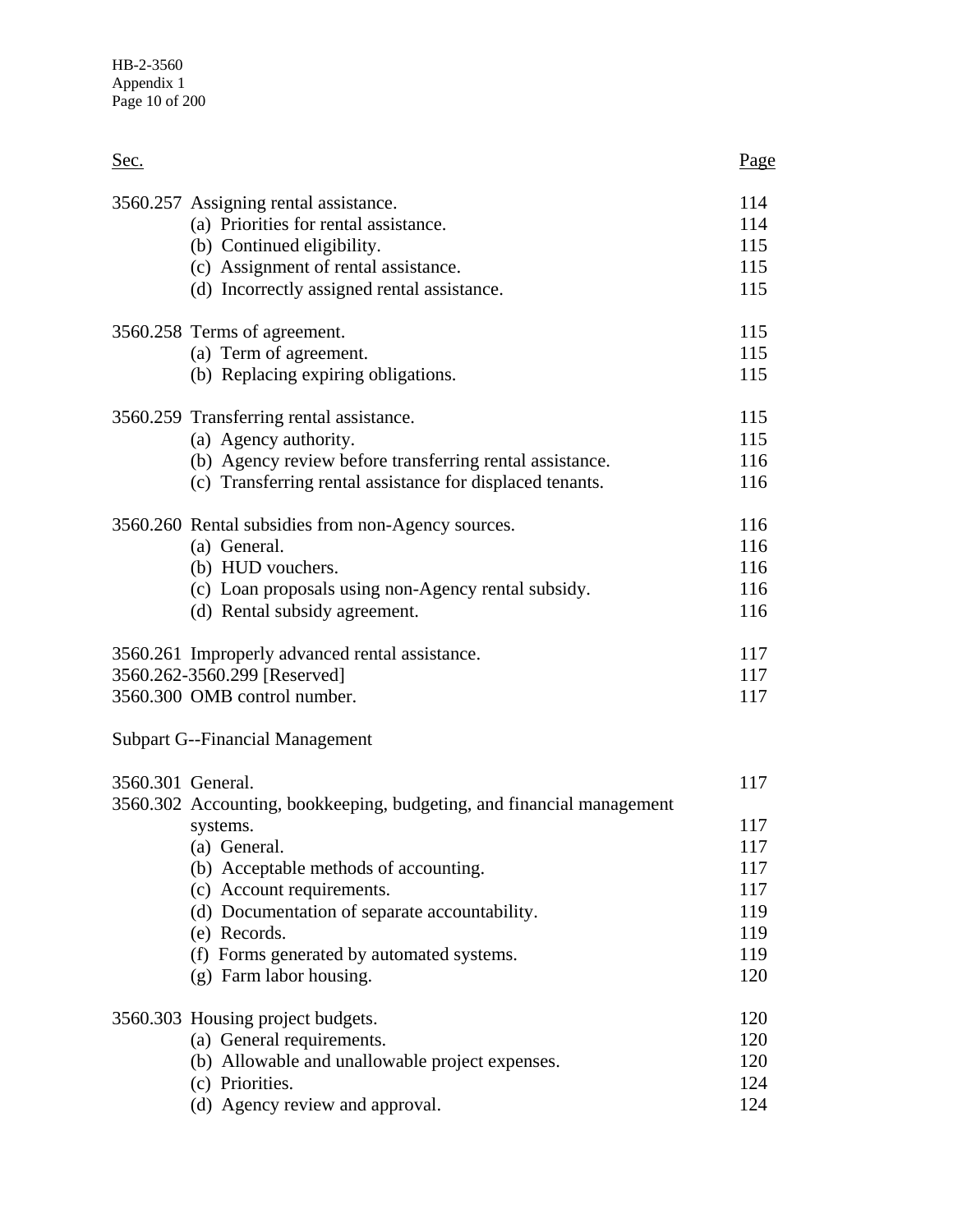| Sec.              |                                                                                                                                                                                                     | Page                                   |
|-------------------|-----------------------------------------------------------------------------------------------------------------------------------------------------------------------------------------------------|----------------------------------------|
|                   | 3560.257 Assigning rental assistance.<br>(a) Priorities for rental assistance.<br>(b) Continued eligibility.<br>(c) Assignment of rental assistance.<br>(d) Incorrectly assigned rental assistance. | 114<br>114<br>115<br>115<br>115        |
|                   | 3560.258 Terms of agreement.<br>(a) Term of agreement.<br>(b) Replacing expiring obligations.                                                                                                       | 115<br>115<br>115                      |
|                   | 3560.259 Transferring rental assistance.<br>(a) Agency authority.<br>(b) Agency review before transferring rental assistance.<br>(c) Transferring rental assistance for displaced tenants.          | 115<br>115<br>116<br>116               |
|                   | 3560.260 Rental subsidies from non-Agency sources.<br>(a) General.<br>(b) HUD vouchers.<br>(c) Loan proposals using non-Agency rental subsidy.<br>(d) Rental subsidy agreement.                     | 116<br>116<br>116<br>116<br>116        |
|                   | 3560.261 Improperly advanced rental assistance.<br>3560.262-3560.299 [Reserved]<br>3560.300 OMB control number.                                                                                     | 117<br>117<br>117                      |
|                   | <b>Subpart G--Financial Management</b>                                                                                                                                                              |                                        |
| 3560.301 General. | 3560.302 Accounting, bookkeeping, budgeting, and financial management<br>systems.                                                                                                                   | 117<br>117                             |
|                   | (a) General.<br>(b) Acceptable methods of accounting.<br>(c) Account requirements.<br>(d) Documentation of separate accountability.<br>(e) Records.<br>(f) Forms generated by automated systems.    | 117<br>117<br>117<br>119<br>119<br>119 |
|                   | (g) Farm labor housing.                                                                                                                                                                             | 120                                    |
|                   | 3560.303 Housing project budgets.<br>(a) General requirements.<br>(b) Allowable and unallowable project expenses.<br>(c) Priorities.<br>(d) Agency review and approval.                             | 120<br>120<br>120<br>124<br>124        |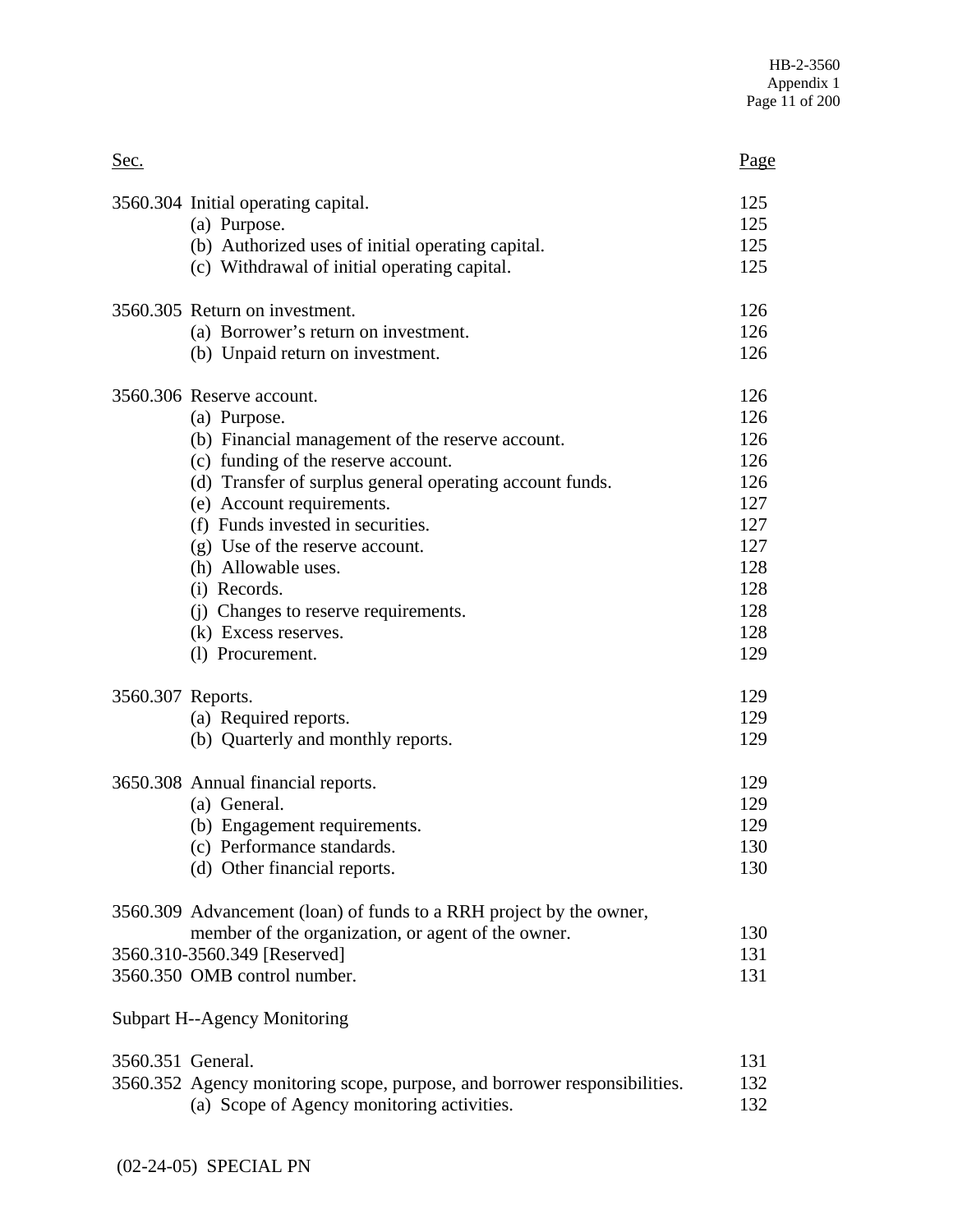| Sec.                                                                                                                                                                                      | Page              |
|-------------------------------------------------------------------------------------------------------------------------------------------------------------------------------------------|-------------------|
| 3560.304 Initial operating capital.                                                                                                                                                       | 125               |
| (a) Purpose.                                                                                                                                                                              | 125               |
| (b) Authorized uses of initial operating capital.                                                                                                                                         | 125               |
| (c) Withdrawal of initial operating capital.                                                                                                                                              | 125               |
| 3560.305 Return on investment.                                                                                                                                                            | 126               |
| (a) Borrower's return on investment.                                                                                                                                                      | 126               |
| (b) Unpaid return on investment.                                                                                                                                                          | 126               |
| 3560.306 Reserve account.                                                                                                                                                                 | 126               |
| (a) Purpose.                                                                                                                                                                              | 126               |
| (b) Financial management of the reserve account.                                                                                                                                          | 126               |
| (c) funding of the reserve account.                                                                                                                                                       | 126               |
| (d) Transfer of surplus general operating account funds.                                                                                                                                  | 126               |
| (e) Account requirements.                                                                                                                                                                 | 127               |
| (f) Funds invested in securities.                                                                                                                                                         | 127               |
| (g) Use of the reserve account.                                                                                                                                                           | 127               |
| (h) Allowable uses.                                                                                                                                                                       | 128               |
| (i) Records.                                                                                                                                                                              | 128               |
| (j) Changes to reserve requirements.                                                                                                                                                      | 128               |
| (k) Excess reserves.                                                                                                                                                                      | 128               |
| (l) Procurement.                                                                                                                                                                          | 129               |
| 3560.307 Reports.                                                                                                                                                                         | 129               |
| (a) Required reports.                                                                                                                                                                     | 129               |
| (b) Quarterly and monthly reports.                                                                                                                                                        | 129               |
| 3650.308 Annual financial reports.                                                                                                                                                        | 129               |
| (a) General.                                                                                                                                                                              | 129               |
| (b) Engagement requirements.                                                                                                                                                              | 129               |
| (c) Performance standards.                                                                                                                                                                | 130               |
| (d) Other financial reports.                                                                                                                                                              | 130               |
| 3560.309 Advancement (loan) of funds to a RRH project by the owner,<br>member of the organization, or agent of the owner.<br>3560.310-3560.349 [Reserved]<br>3560.350 OMB control number. | 130<br>131<br>131 |
| <b>Subpart H--Agency Monitoring</b>                                                                                                                                                       |                   |
| 3560.351 General.                                                                                                                                                                         | 131               |

| $3300.331$ Ochemic. |                                                                           | .   |
|---------------------|---------------------------------------------------------------------------|-----|
|                     | 3560.352 Agency monitoring scope, purpose, and borrower responsibilities. | 132 |
|                     | (a) Scope of Agency monitoring activities.                                | 132 |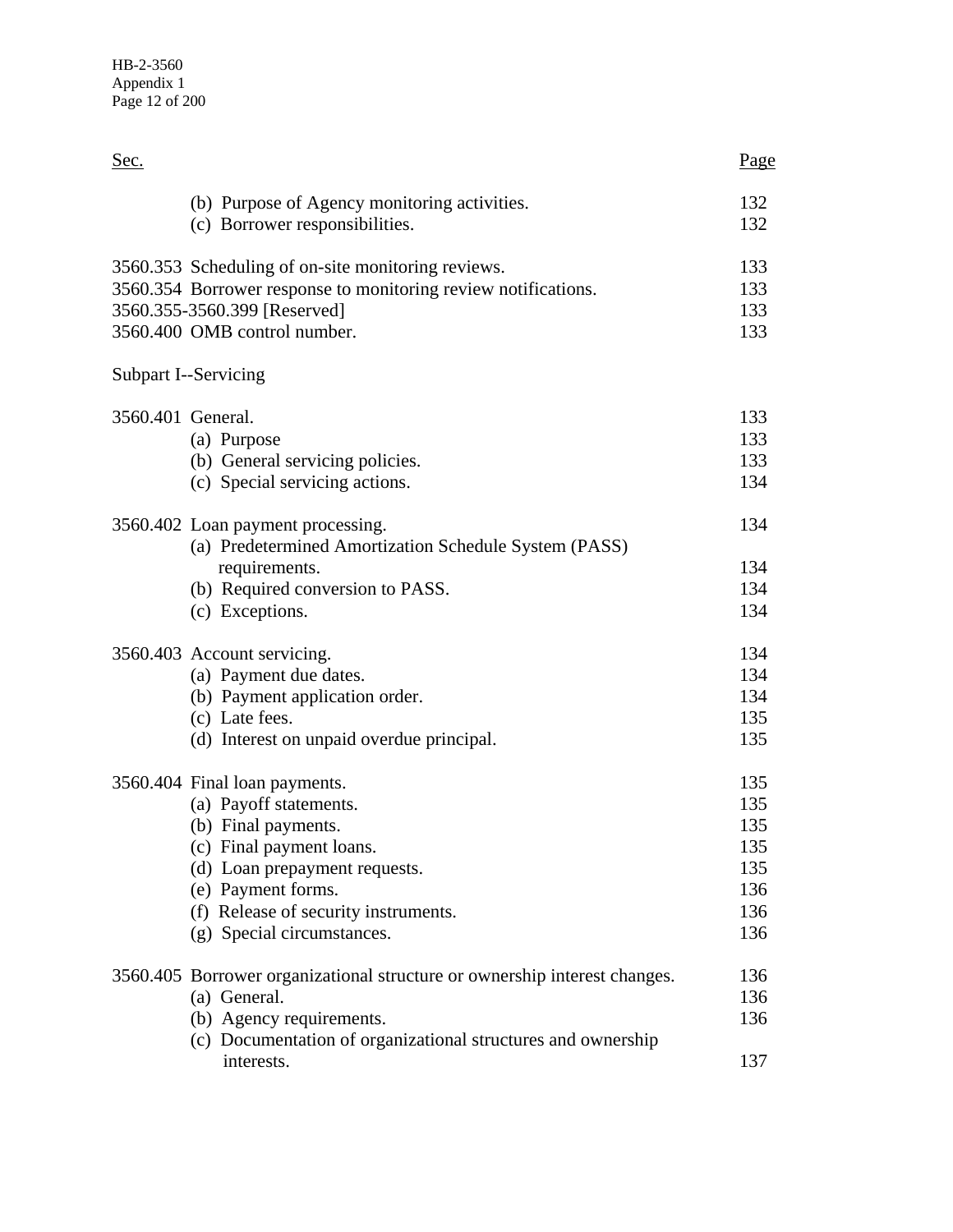| Sec.                                                                                                                                                               | Page                     |
|--------------------------------------------------------------------------------------------------------------------------------------------------------------------|--------------------------|
| (b) Purpose of Agency monitoring activities.                                                                                                                       | 132                      |
| (c) Borrower responsibilities.                                                                                                                                     | 132                      |
| 3560.353 Scheduling of on-site monitoring reviews.                                                                                                                 | 133                      |
| 3560.354 Borrower response to monitoring review notifications.                                                                                                     | 133                      |
| 3560.355-3560.399 [Reserved]                                                                                                                                       | 133                      |
| 3560.400 OMB control number.                                                                                                                                       | 133                      |
| Subpart I--Servicing                                                                                                                                               |                          |
| 3560.401 General.                                                                                                                                                  | 133                      |
| (a) Purpose                                                                                                                                                        | 133                      |
| (b) General servicing policies.                                                                                                                                    | 133                      |
| (c) Special servicing actions.                                                                                                                                     | 134                      |
| 3560.402 Loan payment processing.<br>(a) Predetermined Amortization Schedule System (PASS)<br>requirements.<br>(b) Required conversion to PASS.<br>(c) Exceptions. | 134<br>134<br>134<br>134 |
| 3560.403 Account servicing.                                                                                                                                        | 134                      |
| (a) Payment due dates.                                                                                                                                             | 134                      |
| (b) Payment application order.                                                                                                                                     | 134                      |
| (c) Late fees.                                                                                                                                                     | 135                      |
| (d) Interest on unpaid overdue principal.                                                                                                                          | 135                      |
| 3560.404 Final loan payments.                                                                                                                                      | 135                      |
| (a) Payoff statements.                                                                                                                                             | 135                      |
| (b) Final payments.                                                                                                                                                | 135                      |
| (c) Final payment loans                                                                                                                                            | 135                      |
| (d) Loan prepayment requests.                                                                                                                                      | 135                      |
| (e) Payment forms.                                                                                                                                                 | 136                      |
| (f) Release of security instruments.                                                                                                                               | 136                      |
| (g) Special circumstances.                                                                                                                                         | 136                      |
| 3560.405 Borrower organizational structure or ownership interest changes.                                                                                          | 136                      |
| (a) General.                                                                                                                                                       | 136                      |
| (b) Agency requirements.                                                                                                                                           | 136                      |
| (c) Documentation of organizational structures and ownership<br>interests.                                                                                         | 137                      |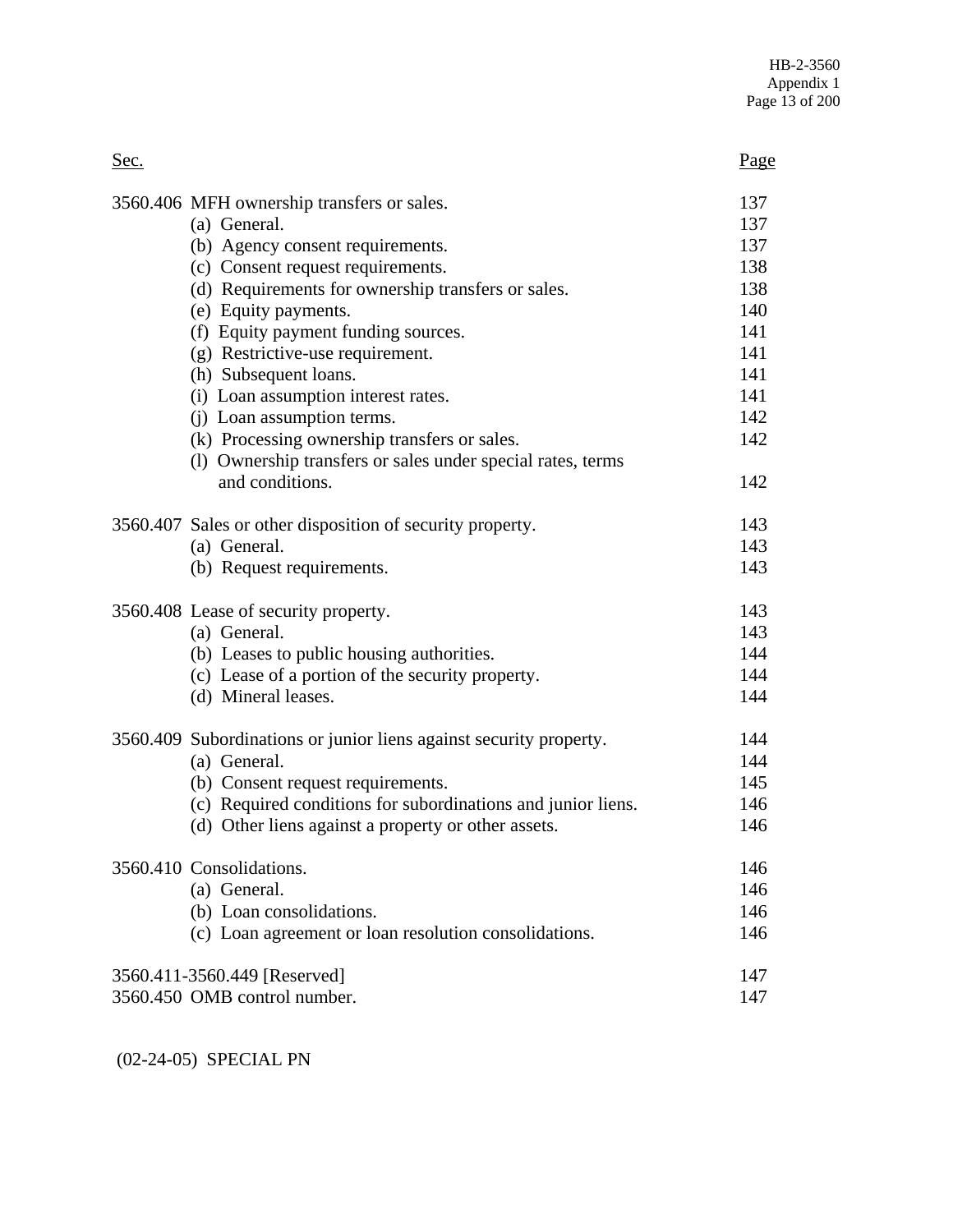| Sec. |                                                                    | Page |
|------|--------------------------------------------------------------------|------|
|      | 3560.406 MFH ownership transfers or sales.                         | 137  |
|      | (a) General.                                                       | 137  |
|      | (b) Agency consent requirements.                                   | 137  |
|      | (c) Consent request requirements.                                  | 138  |
|      | (d) Requirements for ownership transfers or sales.                 | 138  |
|      | (e) Equity payments.                                               | 140  |
|      | (f) Equity payment funding sources.                                | 141  |
|      | (g) Restrictive-use requirement.                                   | 141  |
|      | (h) Subsequent loans.                                              | 141  |
|      | (i) Loan assumption interest rates.                                | 141  |
|      | (j) Loan assumption terms.                                         | 142  |
|      | (k) Processing ownership transfers or sales.                       | 142  |
|      | (1) Ownership transfers or sales under special rates, terms        |      |
|      | and conditions.                                                    | 142  |
|      | 3560.407 Sales or other disposition of security property.          | 143  |
|      | (a) General.                                                       | 143  |
|      | (b) Request requirements.                                          | 143  |
|      | 3560.408 Lease of security property.                               | 143  |
|      | (a) General.                                                       | 143  |
|      | (b) Leases to public housing authorities.                          | 144  |
|      | (c) Lease of a portion of the security property.                   | 144  |
|      | (d) Mineral leases.                                                | 144  |
|      | 3560.409 Subordinations or junior liens against security property. | 144  |
|      | (a) General.                                                       | 144  |
|      | (b) Consent request requirements.                                  | 145  |
|      | (c) Required conditions for subordinations and junior liens.       | 146  |
|      | (d) Other liens against a property or other assets.                | 146  |
|      | 3560.410 Consolidations.                                           | 146  |
|      | (a) General.                                                       | 146  |
|      | (b) Loan consolidations.                                           | 146  |
|      | (c) Loan agreement or loan resolution consolidations.              | 146  |
|      | 3560.411-3560.449 [Reserved]                                       | 147  |
|      | 3560.450 OMB control number.                                       | 147  |

(02-24-05) SPECIAL PN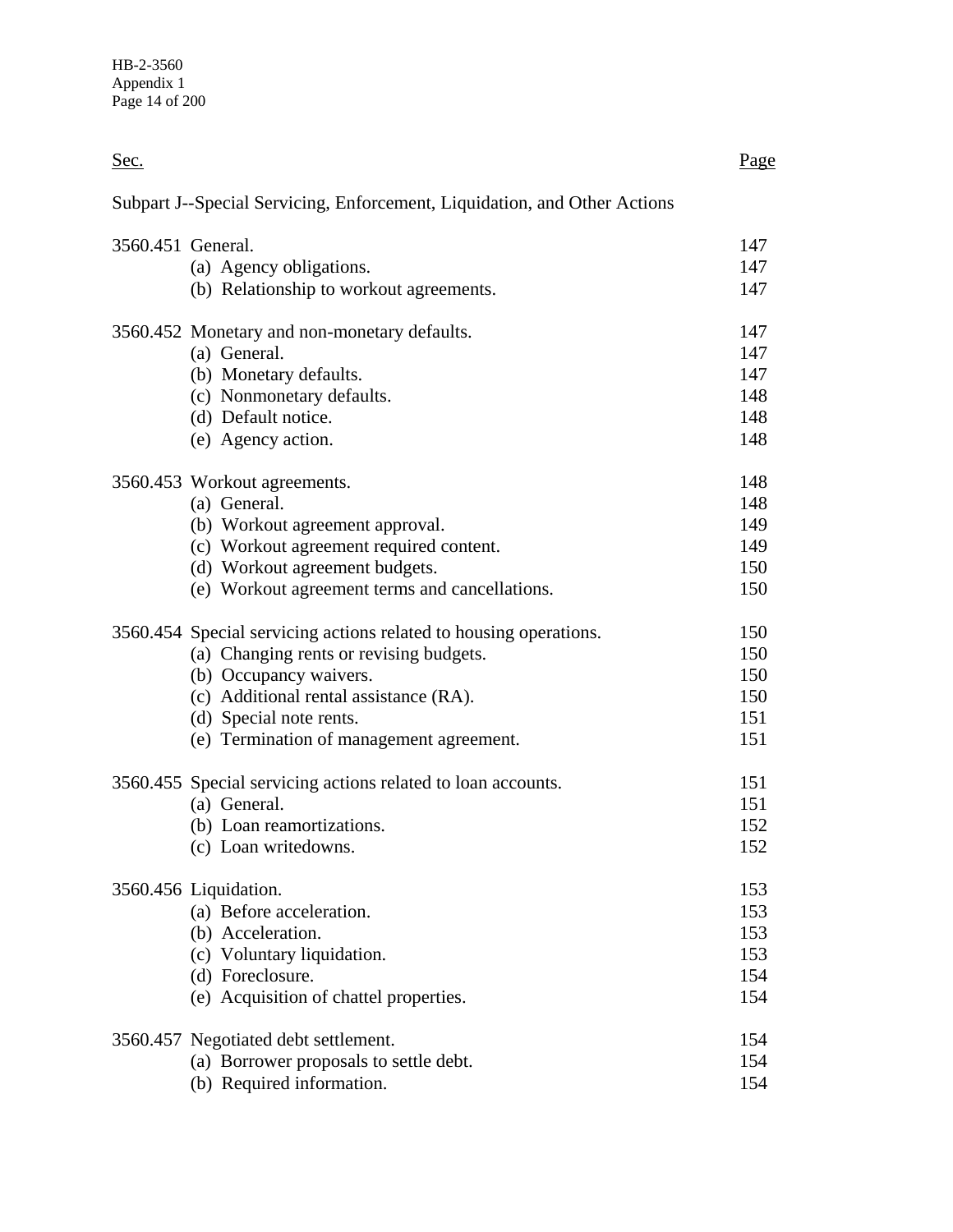| Sec.              |                                                                           | Page |
|-------------------|---------------------------------------------------------------------------|------|
|                   | Subpart J--Special Servicing, Enforcement, Liquidation, and Other Actions |      |
| 3560.451 General. |                                                                           | 147  |
|                   | (a) Agency obligations.                                                   | 147  |
|                   | (b) Relationship to workout agreements.                                   | 147  |
|                   | 3560.452 Monetary and non-monetary defaults.                              | 147  |
|                   | (a) General.                                                              | 147  |
|                   | (b) Monetary defaults.                                                    | 147  |
|                   | (c) Nonmonetary defaults.                                                 | 148  |
|                   | (d) Default notice.                                                       | 148  |
|                   | (e) Agency action.                                                        | 148  |
|                   | 3560.453 Workout agreements.                                              | 148  |
|                   | (a) General.                                                              | 148  |
|                   | (b) Workout agreement approval.                                           | 149  |
|                   | (c) Workout agreement required content.                                   | 149  |
|                   | (d) Workout agreement budgets.                                            | 150  |
|                   | (e) Workout agreement terms and cancellations.                            | 150  |
|                   | 3560.454 Special servicing actions related to housing operations.         | 150  |
|                   | (a) Changing rents or revising budgets.                                   | 150  |
|                   | (b) Occupancy waivers.                                                    | 150  |
|                   | (c) Additional rental assistance (RA).                                    | 150  |
|                   | (d) Special note rents.                                                   | 151  |
|                   | (e) Termination of management agreement.                                  | 151  |
|                   | 3560.455 Special servicing actions related to loan accounts.              | 151  |
|                   | (a) General.                                                              | 151  |
|                   | (b) Loan reamortizations.                                                 | 152  |
|                   | (c) Loan writedowns.                                                      | 152  |
|                   | 3560.456 Liquidation.                                                     | 153  |
|                   | (a) Before acceleration.                                                  | 153  |
|                   | (b) Acceleration.                                                         | 153  |
|                   | (c) Voluntary liquidation.                                                | 153  |
|                   | (d) Foreclosure.                                                          | 154  |
|                   | (e) Acquisition of chattel properties.                                    | 154  |
|                   | 3560.457 Negotiated debt settlement.                                      | 154  |
|                   | (a) Borrower proposals to settle debt.                                    | 154  |
|                   | (b) Required information.                                                 | 154  |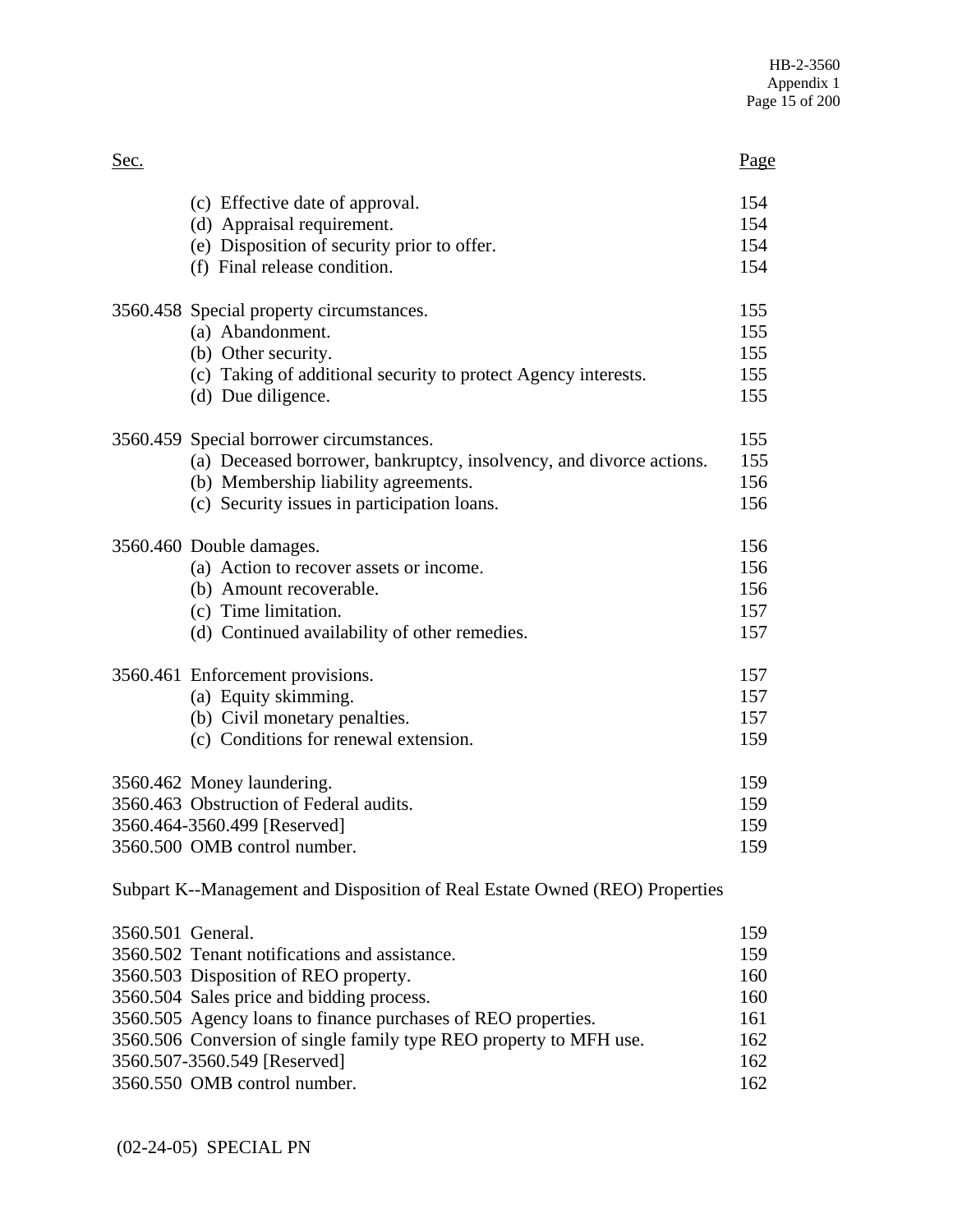| Sec. |                                                                             | Page       |
|------|-----------------------------------------------------------------------------|------------|
|      | (c) Effective date of approval.<br>(d) Appraisal requirement.               | 154<br>154 |
|      | (e) Disposition of security prior to offer.<br>(f) Final release condition. | 154<br>154 |
|      | 3560.458 Special property circumstances.<br>(a) Abandonment.                | 155<br>155 |
|      | (b) Other security.                                                         | 155        |
|      | (c) Taking of additional security to protect Agency interests.              | 155        |
|      | (d) Due diligence.                                                          | 155        |
|      | 3560.459 Special borrower circumstances.                                    | 155        |
|      | (a) Deceased borrower, bankruptcy, insolvency, and divorce actions.         | 155        |
|      | (b) Membership liability agreements.                                        | 156        |
|      | (c) Security issues in participation loans.                                 | 156        |
|      | 3560.460 Double damages.                                                    | 156        |
|      | (a) Action to recover assets or income.                                     | 156        |
|      | (b) Amount recoverable.                                                     | 156        |
|      | (c) Time limitation.                                                        | 157        |
|      | (d) Continued availability of other remedies.                               | 157        |
|      | 3560.461 Enforcement provisions.                                            | 157        |
|      | (a) Equity skimming.                                                        | 157        |
|      | (b) Civil monetary penalties.                                               | 157        |
|      | (c) Conditions for renewal extension.                                       | 159        |
|      | 3560.462 Money laundering.                                                  | 159        |
|      | 3560.463 Obstruction of Federal audits.                                     | 159        |
|      | 3560.464-3560.499 [Reserved]                                                | 159        |
|      | 3560.500 OMB control number.                                                | 159        |
|      | Subpart K--Management and Disposition of Real Estate Owned (REO) Properties |            |

| 3560.501 General.                                                  | 159 |
|--------------------------------------------------------------------|-----|
| 3560.502 Tenant notifications and assistance.                      | 159 |
| 3560.503 Disposition of REO property.                              | 160 |
| 3560.504 Sales price and bidding process.                          | 160 |
| 3560.505 Agency loans to finance purchases of REO properties.      | 161 |
| 3560.506 Conversion of single family type REO property to MFH use. | 162 |
| 3560.507-3560.549 [Reserved]                                       | 162 |
| 3560.550 OMB control number.                                       | 162 |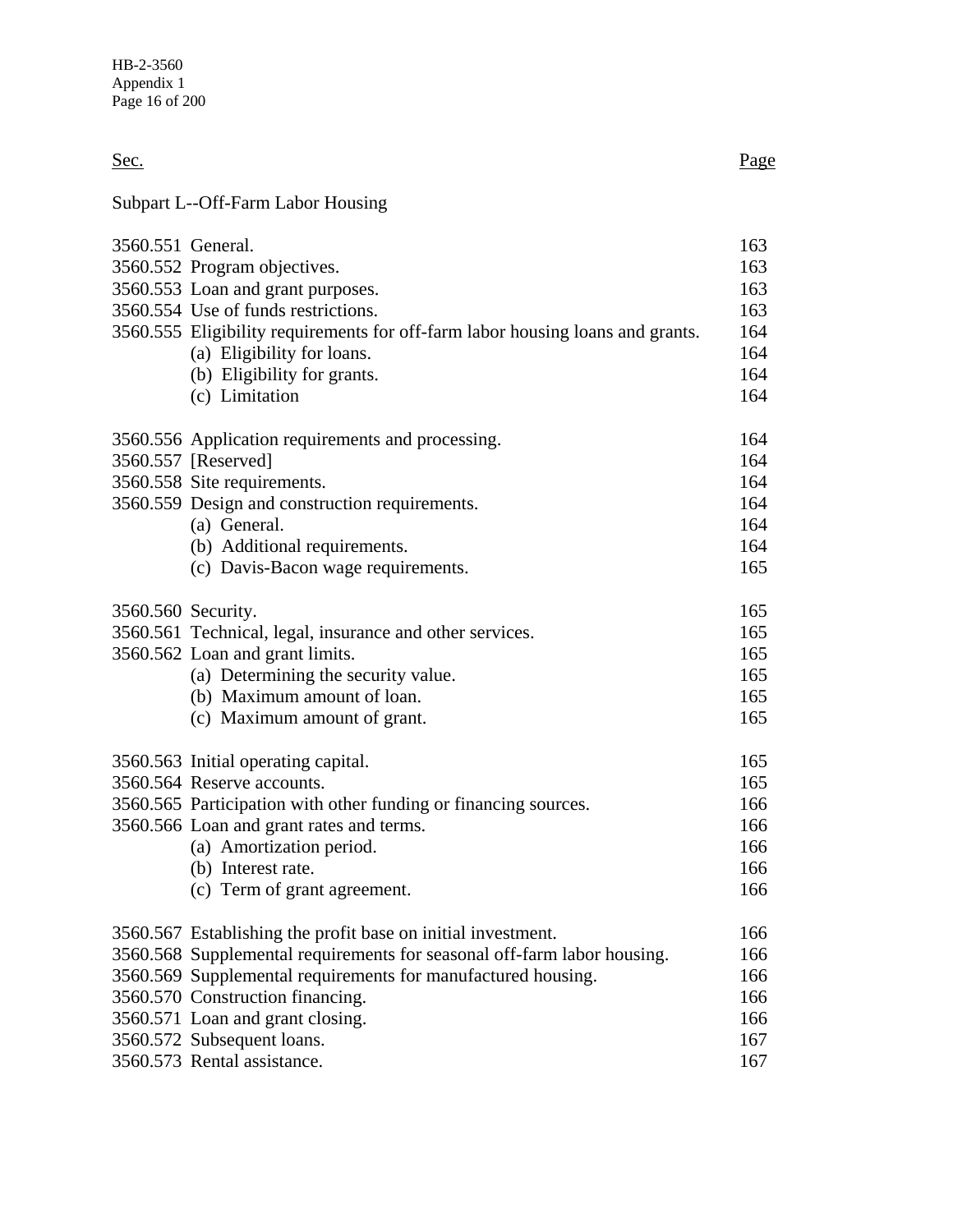Sec. Page

# Subpart L--Off-Farm Labor Housing

| 3560.551 General.  |                                                                                | 163 |
|--------------------|--------------------------------------------------------------------------------|-----|
|                    | 3560.552 Program objectives.                                                   | 163 |
|                    | 3560.553 Loan and grant purposes.                                              | 163 |
|                    | 3560.554 Use of funds restrictions.                                            | 163 |
|                    | 3560.555 Eligibility requirements for off-farm labor housing loans and grants. | 164 |
|                    | (a) Eligibility for loans.                                                     | 164 |
|                    | (b) Eligibility for grants.                                                    | 164 |
|                    | (c) Limitation                                                                 | 164 |
|                    | 3560.556 Application requirements and processing.                              | 164 |
|                    | 3560.557 [Reserved]                                                            | 164 |
|                    | 3560.558 Site requirements.                                                    | 164 |
|                    | 3560.559 Design and construction requirements.                                 | 164 |
|                    | (a) General.                                                                   | 164 |
|                    | (b) Additional requirements.                                                   | 164 |
|                    | (c) Davis-Bacon wage requirements.                                             | 165 |
| 3560.560 Security. |                                                                                | 165 |
|                    | 3560.561 Technical, legal, insurance and other services.                       | 165 |
|                    | 3560.562 Loan and grant limits.                                                | 165 |
|                    | (a) Determining the security value.                                            | 165 |
|                    | (b) Maximum amount of loan.                                                    | 165 |
|                    | (c) Maximum amount of grant.                                                   | 165 |
|                    | 3560.563 Initial operating capital.                                            | 165 |
|                    | 3560.564 Reserve accounts.                                                     | 165 |
|                    | 3560.565 Participation with other funding or financing sources.                | 166 |
|                    | 3560.566 Loan and grant rates and terms.                                       | 166 |
|                    | (a) Amortization period.                                                       | 166 |
|                    | (b) Interest rate.                                                             | 166 |
|                    | (c) Term of grant agreement.                                                   | 166 |
|                    | 3560.567 Establishing the profit base on initial investment.                   | 166 |
|                    | 3560.568 Supplemental requirements for seasonal off-farm labor housing.        | 166 |
|                    | 3560.569 Supplemental requirements for manufactured housing.                   | 166 |
|                    | 3560.570 Construction financing.                                               | 166 |
|                    | 3560.571 Loan and grant closing.                                               | 166 |
|                    | 3560.572 Subsequent loans.                                                     | 167 |
|                    | 3560.573 Rental assistance.                                                    | 167 |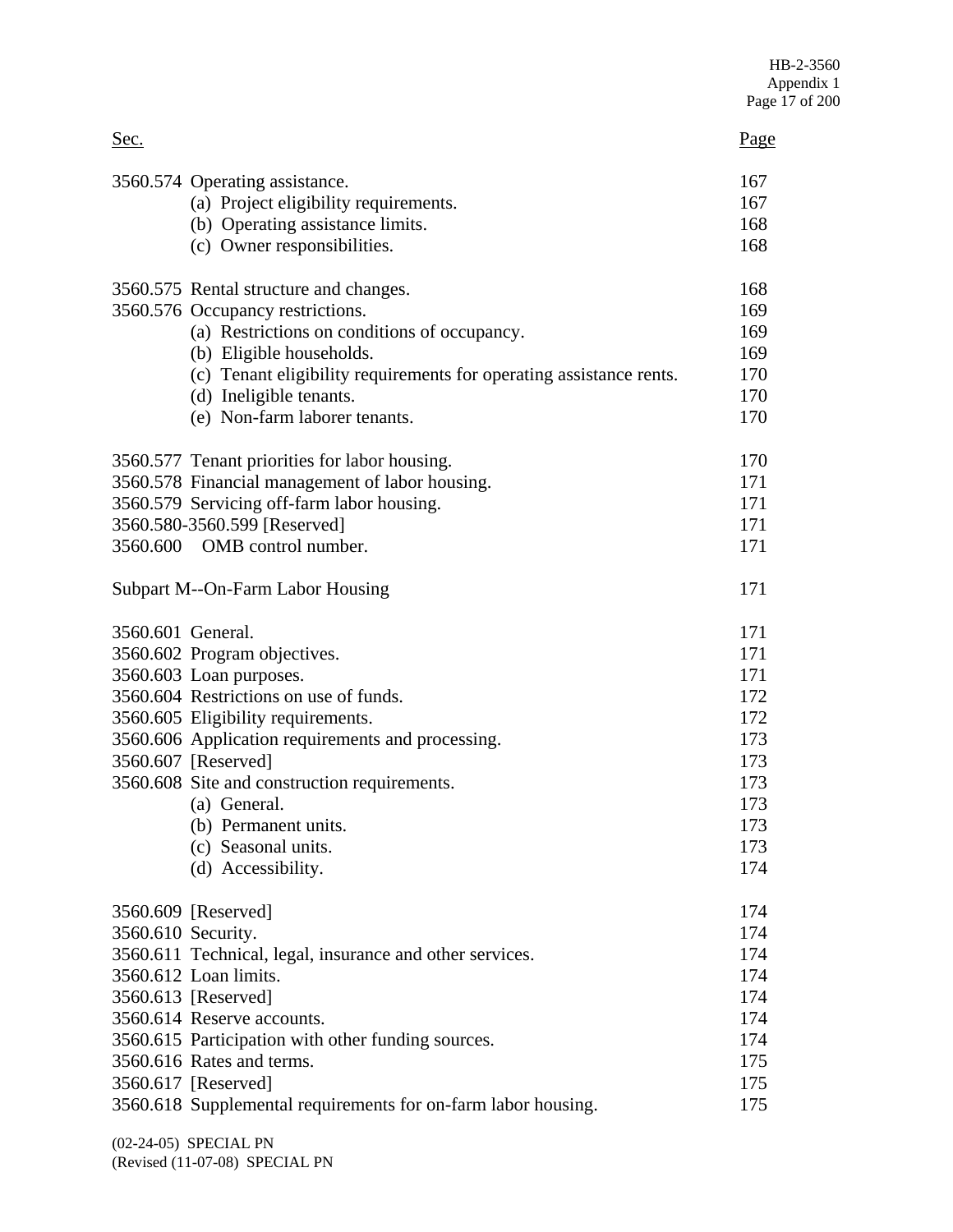| Sec.               |                                                                     | Page |
|--------------------|---------------------------------------------------------------------|------|
|                    | 3560.574 Operating assistance.                                      | 167  |
|                    | (a) Project eligibility requirements.                               | 167  |
|                    | (b) Operating assistance limits.                                    | 168  |
|                    | (c) Owner responsibilities.                                         | 168  |
|                    | 3560.575 Rental structure and changes.                              | 168  |
|                    | 3560.576 Occupancy restrictions.                                    | 169  |
|                    | (a) Restrictions on conditions of occupancy.                        | 169  |
|                    | (b) Eligible households.                                            | 169  |
|                    | (c) Tenant eligibility requirements for operating assistance rents. | 170  |
|                    | (d) Ineligible tenants.                                             | 170  |
|                    | (e) Non-farm laborer tenants.                                       | 170  |
|                    | 3560.577 Tenant priorities for labor housing.                       | 170  |
|                    | 3560.578 Financial management of labor housing.                     | 171  |
|                    | 3560.579 Servicing off-farm labor housing.                          | 171  |
|                    | 3560.580-3560.599 [Reserved]                                        | 171  |
|                    | 3560.600 OMB control number.                                        | 171  |
|                    | Subpart M--On-Farm Labor Housing                                    | 171  |
| 3560.601 General.  |                                                                     | 171  |
|                    | 3560.602 Program objectives.                                        | 171  |
|                    | 3560.603 Loan purposes.                                             | 171  |
|                    | 3560.604 Restrictions on use of funds.                              | 172  |
|                    | 3560.605 Eligibility requirements.                                  | 172  |
|                    | 3560.606 Application requirements and processing.                   | 173  |
|                    | 3560.607 [Reserved]                                                 | 173  |
|                    | 3560.608 Site and construction requirements.                        | 173  |
|                    | (a) General.                                                        | 173  |
|                    | (b) Permanent units.                                                | 173  |
|                    | (c) Seasonal units.                                                 | 173  |
|                    | (d) Accessibility.                                                  | 174  |
|                    | 3560.609 [Reserved]                                                 | 174  |
| 3560.610 Security. |                                                                     | 174  |
|                    | 3560.611 Technical, legal, insurance and other services.            | 174  |
|                    | 3560.612 Loan limits.                                               | 174  |
|                    | 3560.613 [Reserved]                                                 | 174  |
|                    | 3560.614 Reserve accounts.                                          | 174  |
|                    | 3560.615 Participation with other funding sources.                  | 174  |
|                    | 3560.616 Rates and terms.                                           | 175  |
|                    | 3560.617 [Reserved]                                                 | 175  |
|                    | 3560.618 Supplemental requirements for on-farm labor housing.       | 175  |

(02-24-05) SPECIAL PN (Revised (11-07-08) SPECIAL PN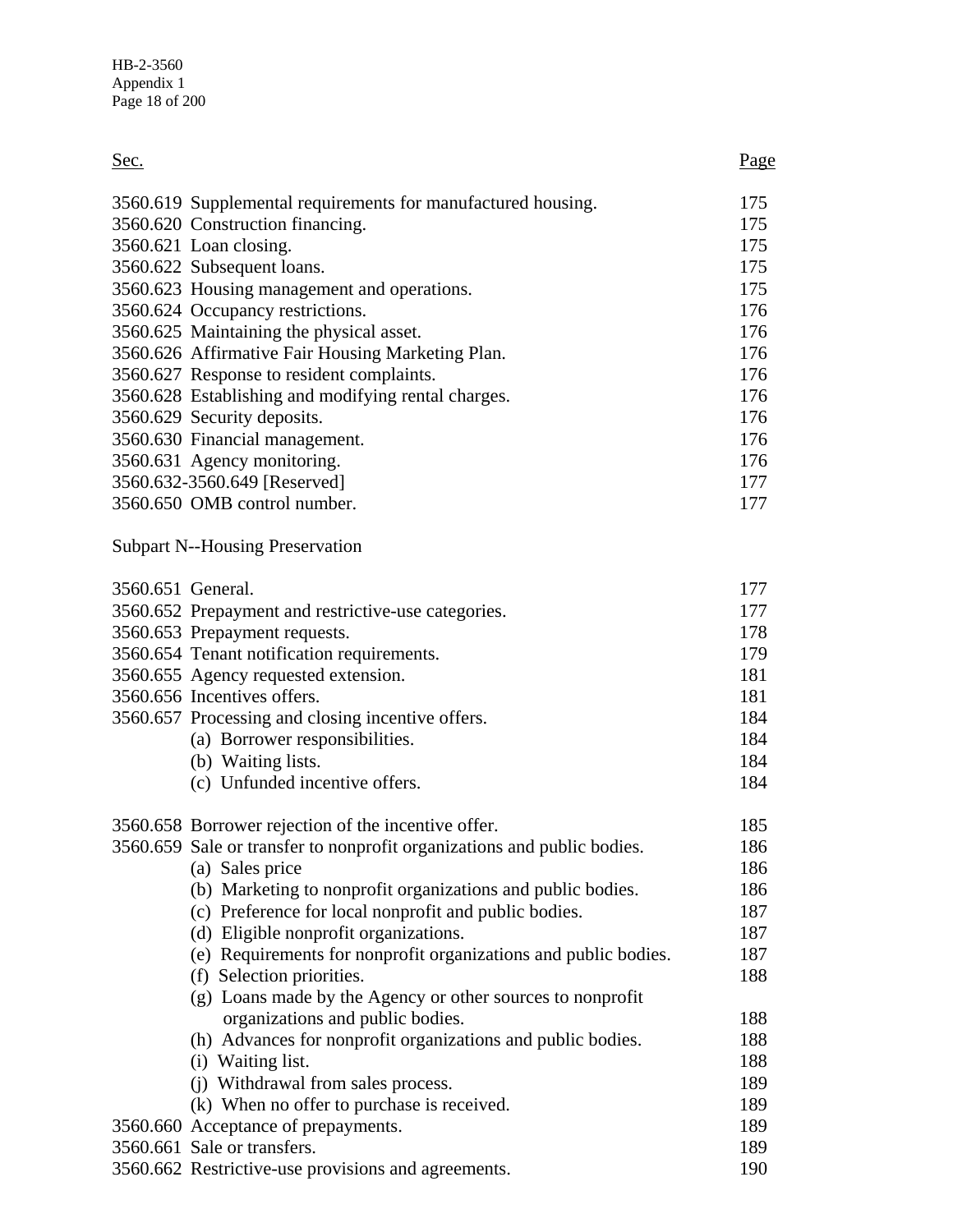| Sec.              |                                                                         | <u>Page</u> |
|-------------------|-------------------------------------------------------------------------|-------------|
|                   | 3560.619 Supplemental requirements for manufactured housing.            | 175         |
|                   | 3560.620 Construction financing.                                        | 175         |
|                   | 3560.621 Loan closing.                                                  | 175         |
|                   | 3560.622 Subsequent loans.                                              | 175         |
|                   | 3560.623 Housing management and operations.                             | 175         |
|                   | 3560.624 Occupancy restrictions.                                        | 176         |
|                   | 3560.625 Maintaining the physical asset.                                | 176         |
|                   | 3560.626 Affirmative Fair Housing Marketing Plan.                       | 176         |
|                   | 3560.627 Response to resident complaints.                               | 176         |
|                   | 3560.628 Establishing and modifying rental charges.                     | 176         |
|                   | 3560.629 Security deposits.                                             | 176         |
|                   | 3560.630 Financial management.                                          | 176         |
|                   | 3560.631 Agency monitoring.                                             | 176         |
|                   | 3560.632-3560.649 [Reserved]                                            | 177         |
|                   | 3560.650 OMB control number.                                            | 177         |
|                   | <b>Subpart N--Housing Preservation</b>                                  |             |
| 3560.651 General. |                                                                         | 177         |
|                   | 3560.652 Prepayment and restrictive-use categories.                     | 177         |
|                   | 3560.653 Prepayment requests.                                           | 178         |
|                   | 3560.654 Tenant notification requirements.                              | 179         |
|                   | 3560.655 Agency requested extension.                                    | 181         |
|                   | 3560.656 Incentives offers.                                             | 181         |
|                   | 3560.657 Processing and closing incentive offers.                       | 184         |
|                   | (a) Borrower responsibilities.                                          | 184         |
|                   | (b) Waiting lists.                                                      | 184         |
|                   | (c) Unfunded incentive offers.                                          | 184         |
|                   | 3560.658 Borrower rejection of the incentive offer.                     | 185         |
|                   | 3560.659 Sale or transfer to nonprofit organizations and public bodies. | 186         |
|                   | (a) Sales price                                                         | 186         |
|                   | (b) Marketing to nonprofit organizations and public bodies.             | 186         |
|                   | (c) Preference for local nonprofit and public bodies.                   | 187         |
|                   | (d) Eligible nonprofit organizations.                                   | 187         |
|                   | (e) Requirements for nonprofit organizations and public bodies.         | 187         |
|                   | (f) Selection priorities.                                               | 188         |
|                   | (g) Loans made by the Agency or other sources to nonprofit              |             |
|                   | organizations and public bodies.                                        | 188         |
|                   | (h) Advances for nonprofit organizations and public bodies.             | 188         |
|                   | (i) Waiting list.                                                       | 188         |
|                   | (j) Withdrawal from sales process.                                      | 189         |

| 189. |
|------|
| 189. |
| 189. |
| 189. |
| 190  |
|      |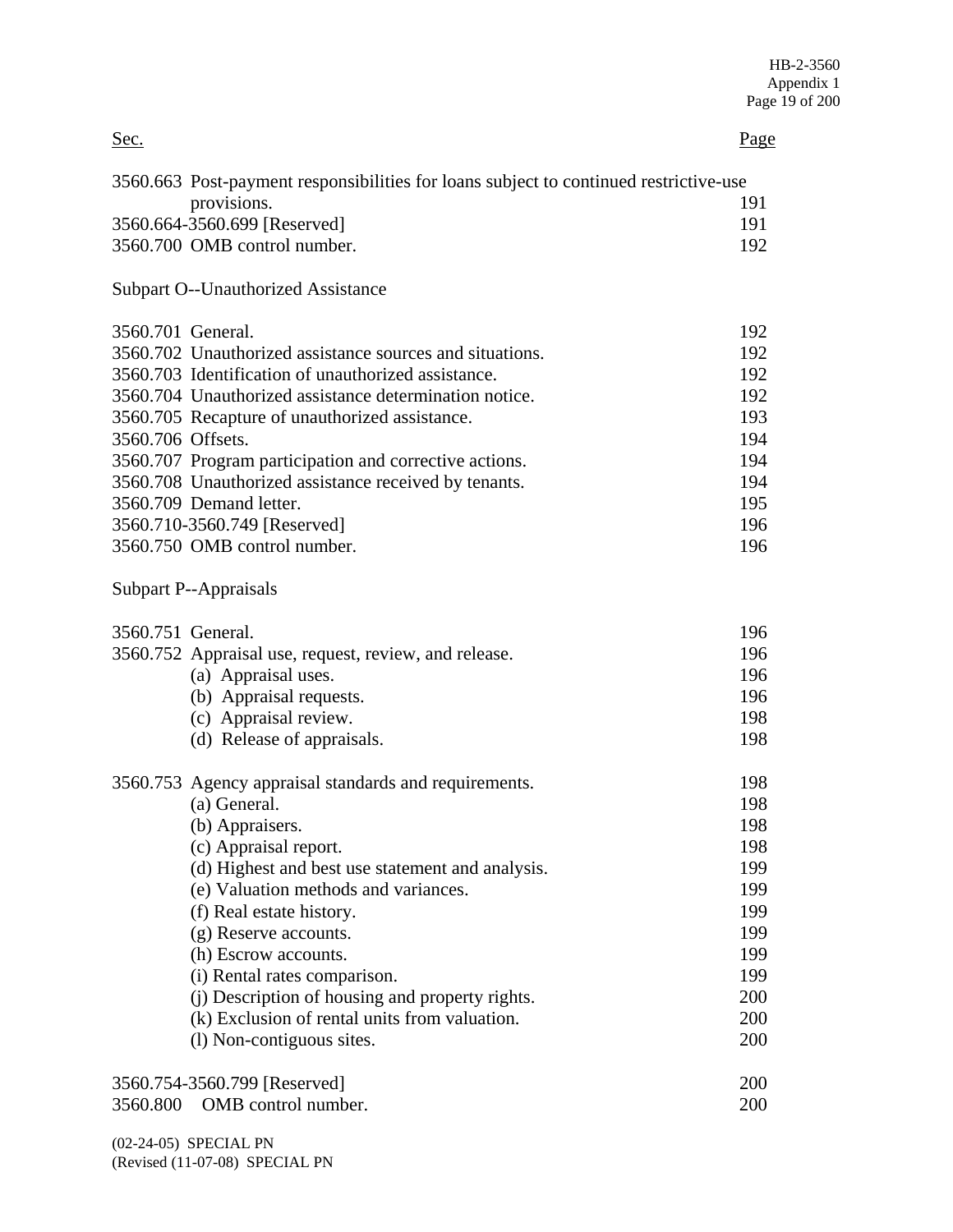| Sec.              |                                                                                       | Page       |
|-------------------|---------------------------------------------------------------------------------------|------------|
|                   | 3560.663 Post-payment responsibilities for loans subject to continued restrictive-use |            |
|                   | provisions.                                                                           | 191        |
|                   | 3560.664-3560.699 [Reserved]                                                          | 191        |
|                   | 3560.700 OMB control number.                                                          | 192        |
|                   | <b>Subpart O--Unauthorized Assistance</b>                                             |            |
| 3560.701 General. |                                                                                       | 192        |
|                   | 3560.702 Unauthorized assistance sources and situations.                              | 192        |
|                   | 3560.703 Identification of unauthorized assistance.                                   | 192        |
|                   | 3560.704 Unauthorized assistance determination notice.                                | 192        |
|                   | 3560.705 Recapture of unauthorized assistance.                                        | 193        |
| 3560.706 Offsets. |                                                                                       | 194        |
|                   | 3560.707 Program participation and corrective actions.                                | 194        |
|                   | 3560.708 Unauthorized assistance received by tenants.                                 | 194        |
|                   | 3560.709 Demand letter.                                                               | 195        |
|                   | 3560.710-3560.749 [Reserved]                                                          | 196        |
|                   | 3560.750 OMB control number.                                                          | 196        |
|                   | Subpart P--Appraisals                                                                 |            |
| 3560.751 General. |                                                                                       | 196        |
|                   | 3560.752 Appraisal use, request, review, and release.                                 | 196        |
|                   | (a) Appraisal uses.                                                                   | 196        |
|                   | (b) Appraisal requests.                                                               | 196        |
|                   | (c) Appraisal review.                                                                 | 198        |
|                   | (d) Release of appraisals.                                                            | 198        |
|                   | 3560.753 Agency appraisal standards and requirements.                                 | 198        |
|                   | (a) General.                                                                          | 198        |
|                   | (b) Appraisers.                                                                       | 198        |
|                   | (c) Appraisal report.                                                                 | 198        |
|                   | (d) Highest and best use statement and analysis.                                      | 199        |
|                   | (e) Valuation methods and variances.                                                  | 199        |
|                   | (f) Real estate history.                                                              | 199        |
|                   | (g) Reserve accounts.                                                                 | 199        |
|                   | (h) Escrow accounts.                                                                  | 199        |
|                   | (i) Rental rates comparison.                                                          | 199        |
|                   | (j) Description of housing and property rights.                                       | 200        |
|                   | (k) Exclusion of rental units from valuation.                                         | 200<br>200 |
|                   | (l) Non-contiguous sites.                                                             |            |
|                   | 3560.754-3560.799 [Reserved]                                                          | 200        |
| 3560.800          | OMB control number.                                                                   | 200        |

(02-24-05) SPECIAL PN (Revised (11-07-08) SPECIAL PN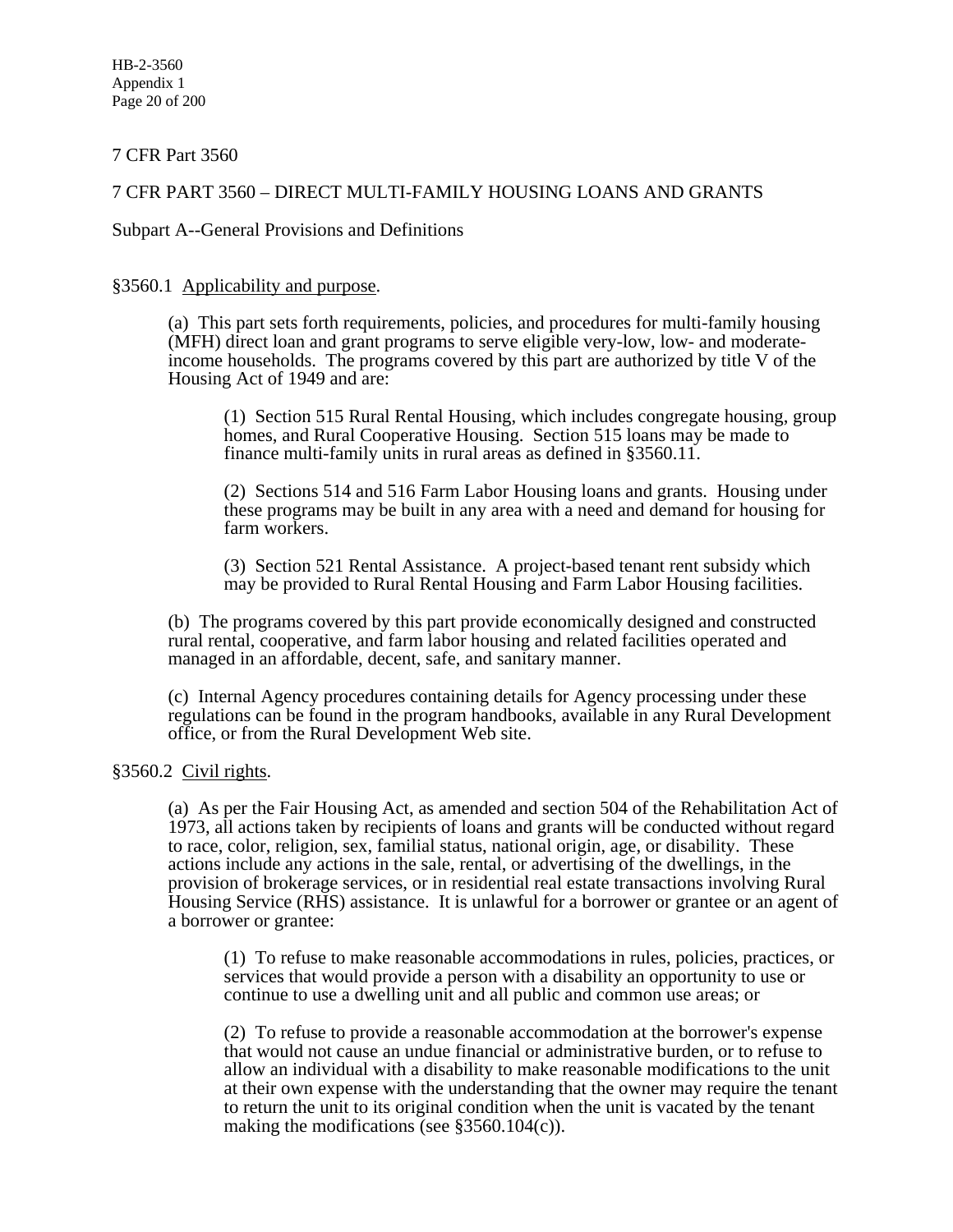7 CFR Part 3560

# 7 CFR PART 3560 – DIRECT MULTI-FAMILY HOUSING LOANS AND GRANTS

Subpart A--General Provisions and Definitions

#### §3560.1 Applicability and purpose.

(a) This part sets forth requirements, policies, and procedures for multi-family housing (MFH) direct loan and grant programs to serve eligible very-low, low- and moderateincome households. The programs covered by this part are authorized by title V of the Housing Act of 1949 and are:

(1) Section 515 Rural Rental Housing, which includes congregate housing, group homes, and Rural Cooperative Housing. Section 515 loans may be made to finance multi-family units in rural areas as defined in §3560.11.

(2) Sections 514 and 516 Farm Labor Housing loans and grants. Housing under these programs may be built in any area with a need and demand for housing for farm workers.

(3) Section 521 Rental Assistance. A project-based tenant rent subsidy which may be provided to Rural Rental Housing and Farm Labor Housing facilities.

(b) The programs covered by this part provide economically designed and constructed rural rental, cooperative, and farm labor housing and related facilities operated and managed in an affordable, decent, safe, and sanitary manner.

(c) Internal Agency procedures containing details for Agency processing under these regulations can be found in the program handbooks, available in any Rural Development office, or from the Rural Development Web site.

#### §3560.2 Civil rights.

(a) As per the Fair Housing Act, as amended and section 504 of the Rehabilitation Act of 1973, all actions taken by recipients of loans and grants will be conducted without regard to race, color, religion, sex, familial status, national origin, age, or disability. These actions include any actions in the sale, rental, or advertising of the dwellings, in the provision of brokerage services, or in residential real estate transactions involving Rural Housing Service (RHS) assistance. It is unlawful for a borrower or grantee or an agent of a borrower or grantee:

(1) To refuse to make reasonable accommodations in rules, policies, practices, or services that would provide a person with a disability an opportunity to use or continue to use a dwelling unit and all public and common use areas; or

(2) To refuse to provide a reasonable accommodation at the borrower's expense that would not cause an undue financial or administrative burden, or to refuse to allow an individual with a disability to make reasonable modifications to the unit at their own expense with the understanding that the owner may require the tenant to return the unit to its original condition when the unit is vacated by the tenant making the modifications (see §3560.104(c)).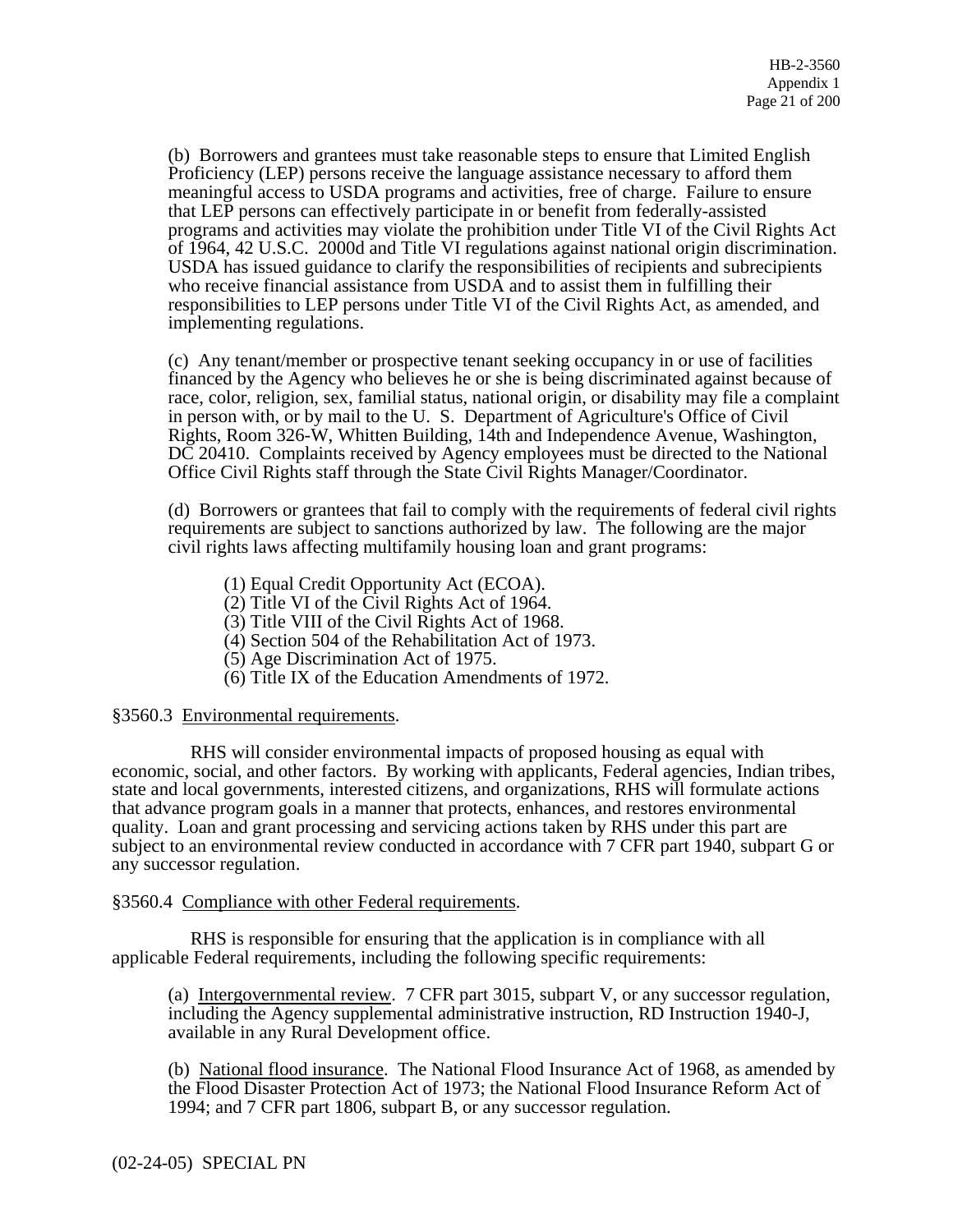(b) Borrowers and grantees must take reasonable steps to ensure that Limited English Proficiency (LEP) persons receive the language assistance necessary to afford them meaningful access to USDA programs and activities, free of charge. Failure to ensure that LEP persons can effectively participate in or benefit from federally-assisted programs and activities may violate the prohibition under Title VI of the Civil Rights Act of 1964, 42 U.S.C. 2000d and Title VI regulations against national origin discrimination. USDA has issued guidance to clarify the responsibilities of recipients and subrecipients who receive financial assistance from USDA and to assist them in fulfilling their responsibilities to LEP persons under Title VI of the Civil Rights Act, as amended, and implementing regulations.

(c) Any tenant/member or prospective tenant seeking occupancy in or use of facilities financed by the Agency who believes he or she is being discriminated against because of race, color, religion, sex, familial status, national origin, or disability may file a complaint in person with, or by mail to the U. S. Department of Agriculture's Office of Civil Rights, Room 326-W, Whitten Building, 14th and Independence Avenue, Washington, DC 20410. Complaints received by Agency employees must be directed to the National Office Civil Rights staff through the State Civil Rights Manager/Coordinator.

(d) Borrowers or grantees that fail to comply with the requirements of federal civil rights requirements are subject to sanctions authorized by law. The following are the major civil rights laws affecting multifamily housing loan and grant programs:

- (1) Equal Credit Opportunity Act (ECOA).
- (2) Title VI of the Civil Rights Act of 1964.
- (3) Title VIII of the Civil Rights Act of 1968.
- (4) Section 504 of the Rehabilitation Act of 1973.
- (5) Age Discrimination Act of 1975.
- (6) Title IX of the Education Amendments of 1972.

#### §3560.3 Environmental requirements.

 RHS will consider environmental impacts of proposed housing as equal with economic, social, and other factors. By working with applicants, Federal agencies, Indian tribes, state and local governments, interested citizens, and organizations, RHS will formulate actions that advance program goals in a manner that protects, enhances, and restores environmental quality. Loan and grant processing and servicing actions taken by RHS under this part are subject to an environmental review conducted in accordance with 7 CFR part 1940, subpart G or any successor regulation.

#### §3560.4 Compliance with other Federal requirements.

 RHS is responsible for ensuring that the application is in compliance with all applicable Federal requirements, including the following specific requirements:

(a) Intergovernmental review. 7 CFR part 3015, subpart V, or any successor regulation, including the Agency supplemental administrative instruction, RD Instruction 1940-J, available in any Rural Development office.

(b) National flood insurance. The National Flood Insurance Act of 1968, as amended by the Flood Disaster Protection Act of 1973; the National Flood Insurance Reform Act of 1994; and 7 CFR part 1806, subpart B, or any successor regulation.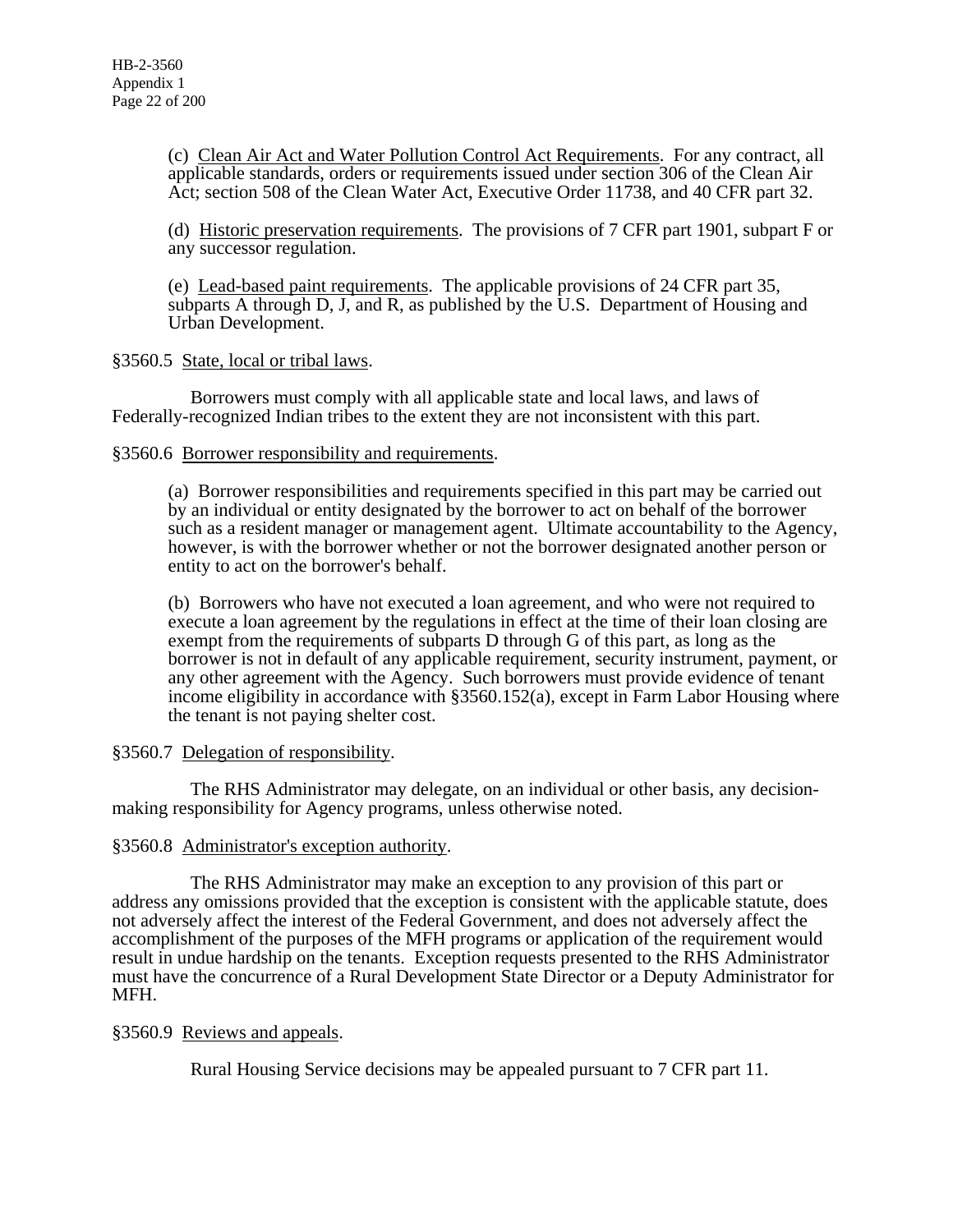(c) Clean Air Act and Water Pollution Control Act Requirements. For any contract, all applicable standards, orders or requirements issued under section 306 of the Clean Air Act; section 508 of the Clean Water Act, Executive Order 11738, and 40 CFR part 32.

(d) Historic preservation requirements. The provisions of 7 CFR part 1901, subpart F or any successor regulation.

(e) Lead-based paint requirements. The applicable provisions of 24 CFR part 35, subparts A through D, J, and R, as published by the U.S. Department of Housing and Urban Development.

#### §3560.5 State, local or tribal laws.

 Borrowers must comply with all applicable state and local laws, and laws of Federally-recognized Indian tribes to the extent they are not inconsistent with this part.

### §3560.6 Borrower responsibility and requirements.

(a) Borrower responsibilities and requirements specified in this part may be carried out by an individual or entity designated by the borrower to act on behalf of the borrower such as a resident manager or management agent. Ultimate accountability to the Agency, however, is with the borrower whether or not the borrower designated another person or entity to act on the borrower's behalf.

(b) Borrowers who have not executed a loan agreement, and who were not required to execute a loan agreement by the regulations in effect at the time of their loan closing are exempt from the requirements of subparts D through G of this part, as long as the borrower is not in default of any applicable requirement, security instrument, payment, or any other agreement with the Agency. Such borrowers must provide evidence of tenant income eligibility in accordance with §3560.152(a), except in Farm Labor Housing where the tenant is not paying shelter cost.

# §3560.7 Delegation of responsibility.

 The RHS Administrator may delegate, on an individual or other basis, any decisionmaking responsibility for Agency programs, unless otherwise noted.

# §3560.8 Administrator's exception authority.

 The RHS Administrator may make an exception to any provision of this part or address any omissions provided that the exception is consistent with the applicable statute, does not adversely affect the interest of the Federal Government, and does not adversely affect the accomplishment of the purposes of the MFH programs or application of the requirement would result in undue hardship on the tenants. Exception requests presented to the RHS Administrator must have the concurrence of a Rural Development State Director or a Deputy Administrator for MFH.

# §3560.9 Reviews and appeals.

Rural Housing Service decisions may be appealed pursuant to 7 CFR part 11.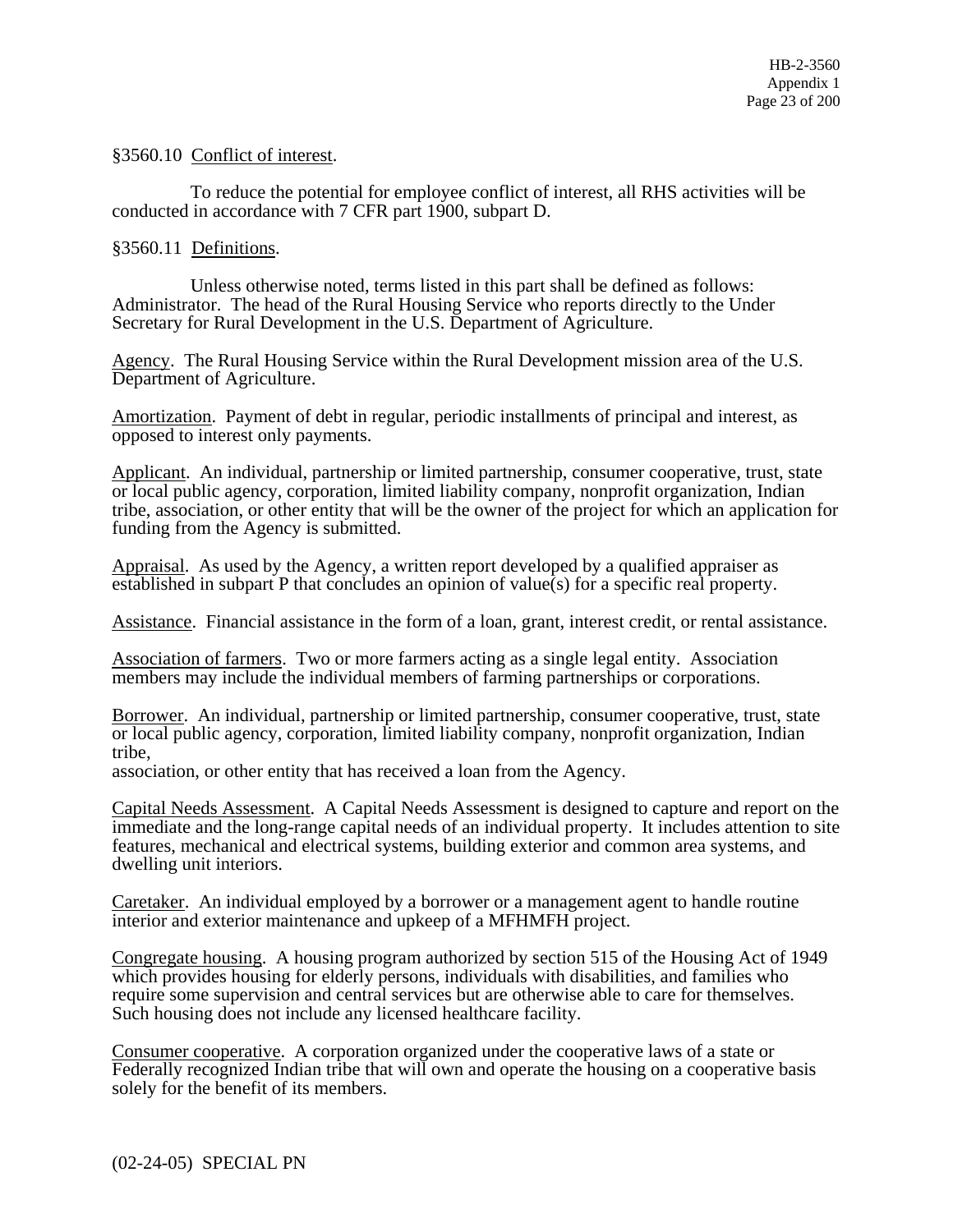§3560.10 Conflict of interest.

 To reduce the potential for employee conflict of interest, all RHS activities will be conducted in accordance with 7 CFR part 1900, subpart D.

§3560.11 Definitions.

 Unless otherwise noted, terms listed in this part shall be defined as follows: Administrator. The head of the Rural Housing Service who reports directly to the Under Secretary for Rural Development in the U.S. Department of Agriculture.

Agency. The Rural Housing Service within the Rural Development mission area of the U.S. Department of Agriculture.

Amortization. Payment of debt in regular, periodic installments of principal and interest, as opposed to interest only payments.

Applicant. An individual, partnership or limited partnership, consumer cooperative, trust, state or local public agency, corporation, limited liability company, nonprofit organization, Indian tribe, association, or other entity that will be the owner of the project for which an application for funding from the Agency is submitted.

Appraisal. As used by the Agency, a written report developed by a qualified appraiser as established in subpart P that concludes an opinion of value(s) for a specific real property.

Assistance. Financial assistance in the form of a loan, grant, interest credit, or rental assistance.

Association of farmers. Two or more farmers acting as a single legal entity. Association members may include the individual members of farming partnerships or corporations.

Borrower. An individual, partnership or limited partnership, consumer cooperative, trust, state or local public agency, corporation, limited liability company, nonprofit organization, Indian tribe,

association, or other entity that has received a loan from the Agency.

Capital Needs Assessment. A Capital Needs Assessment is designed to capture and report on the immediate and the long-range capital needs of an individual property. It includes attention to site features, mechanical and electrical systems, building exterior and common area systems, and dwelling unit interiors.

Caretaker. An individual employed by a borrower or a management agent to handle routine interior and exterior maintenance and upkeep of a MFHMFH project.

Congregate housing. A housing program authorized by section 515 of the Housing Act of 1949 which provides housing for elderly persons, individuals with disabilities, and families who require some supervision and central services but are otherwise able to care for themselves. Such housing does not include any licensed healthcare facility.

Consumer cooperative. A corporation organized under the cooperative laws of a state or Federally recognized Indian tribe that will own and operate the housing on a cooperative basis solely for the benefit of its members.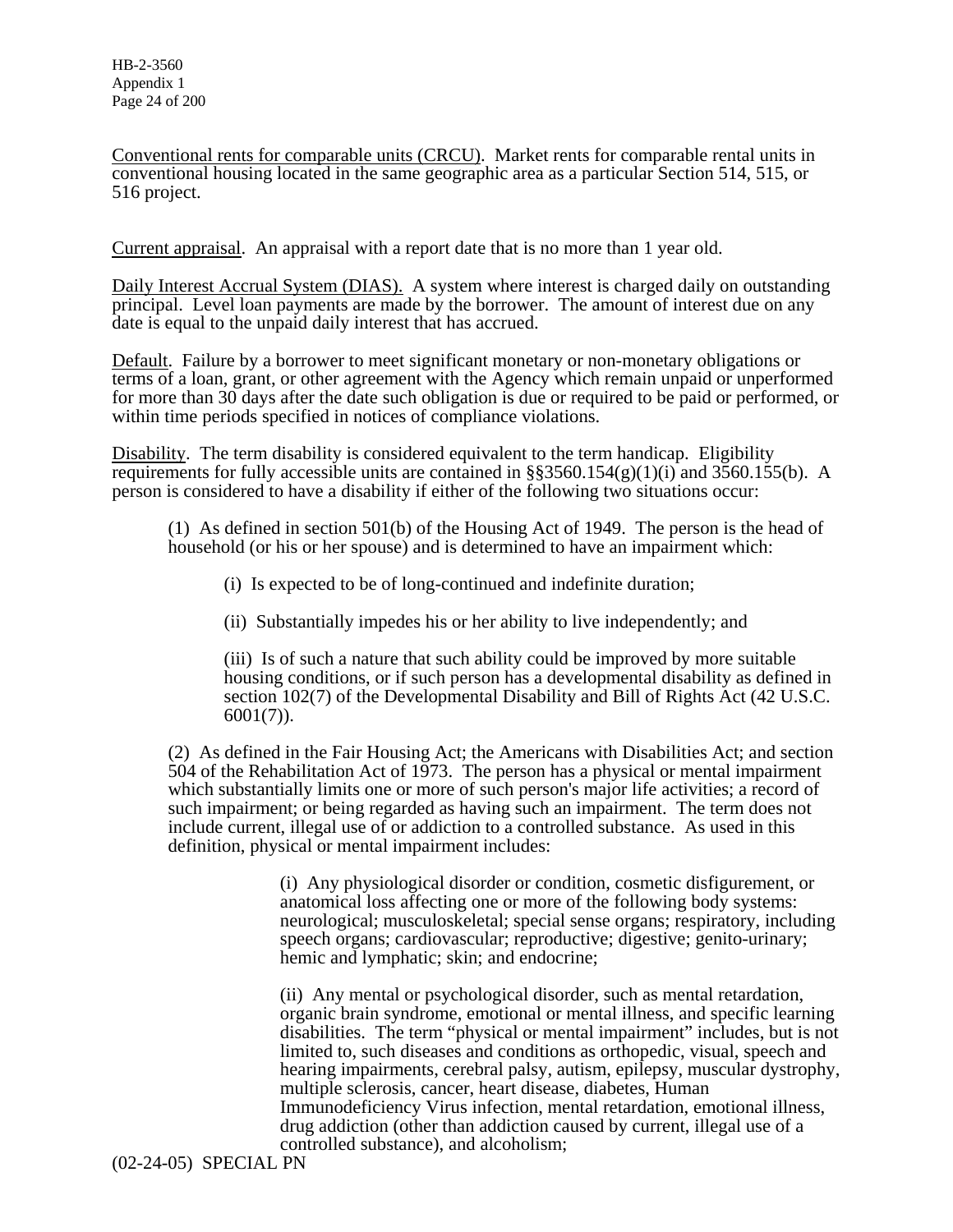Conventional rents for comparable units (CRCU). Market rents for comparable rental units in conventional housing located in the same geographic area as a particular Section 514, 515, or 516 project.

Current appraisal. An appraisal with a report date that is no more than 1 year old.

Daily Interest Accrual System (DIAS). A system where interest is charged daily on outstanding principal. Level loan payments are made by the borrower. The amount of interest due on any date is equal to the unpaid daily interest that has accrued.

Default. Failure by a borrower to meet significant monetary or non-monetary obligations or terms of a loan, grant, or other agreement with the Agency which remain unpaid or unperformed for more than 30 days after the date such obligation is due or required to be paid or performed, or within time periods specified in notices of compliance violations.

Disability. The term disability is considered equivalent to the term handicap. Eligibility requirements for fully accessible units are contained in  $\S$ §3560.154(g)(1)(i) and 3560.155(b). A person is considered to have a disability if either of the following two situations occur:

(1) As defined in section 501(b) of the Housing Act of 1949. The person is the head of household (or his or her spouse) and is determined to have an impairment which:

(i) Is expected to be of long-continued and indefinite duration;

(ii) Substantially impedes his or her ability to live independently; and

(iii) Is of such a nature that such ability could be improved by more suitable housing conditions, or if such person has a developmental disability as defined in section 102(7) of the Developmental Disability and Bill of Rights Act (42 U.S.C.  $6001(7)$ ).

(2) As defined in the Fair Housing Act; the Americans with Disabilities Act; and section 504 of the Rehabilitation Act of 1973. The person has a physical or mental impairment which substantially limits one or more of such person's major life activities; a record of such impairment; or being regarded as having such an impairment. The term does not include current, illegal use of or addiction to a controlled substance. As used in this definition, physical or mental impairment includes:

> (i) Any physiological disorder or condition, cosmetic disfigurement, or anatomical loss affecting one or more of the following body systems: neurological; musculoskeletal; special sense organs; respiratory, including speech organs; cardiovascular; reproductive; digestive; genito-urinary; hemic and lymphatic; skin; and endocrine;

> (ii) Any mental or psychological disorder, such as mental retardation, organic brain syndrome, emotional or mental illness, and specific learning disabilities. The term "physical or mental impairment" includes, but is not limited to, such diseases and conditions as orthopedic, visual, speech and hearing impairments, cerebral palsy, autism, epilepsy, muscular dystrophy, multiple sclerosis, cancer, heart disease, diabetes, Human Immunodeficiency Virus infection, mental retardation, emotional illness, drug addiction (other than addiction caused by current, illegal use of a controlled substance), and alcoholism;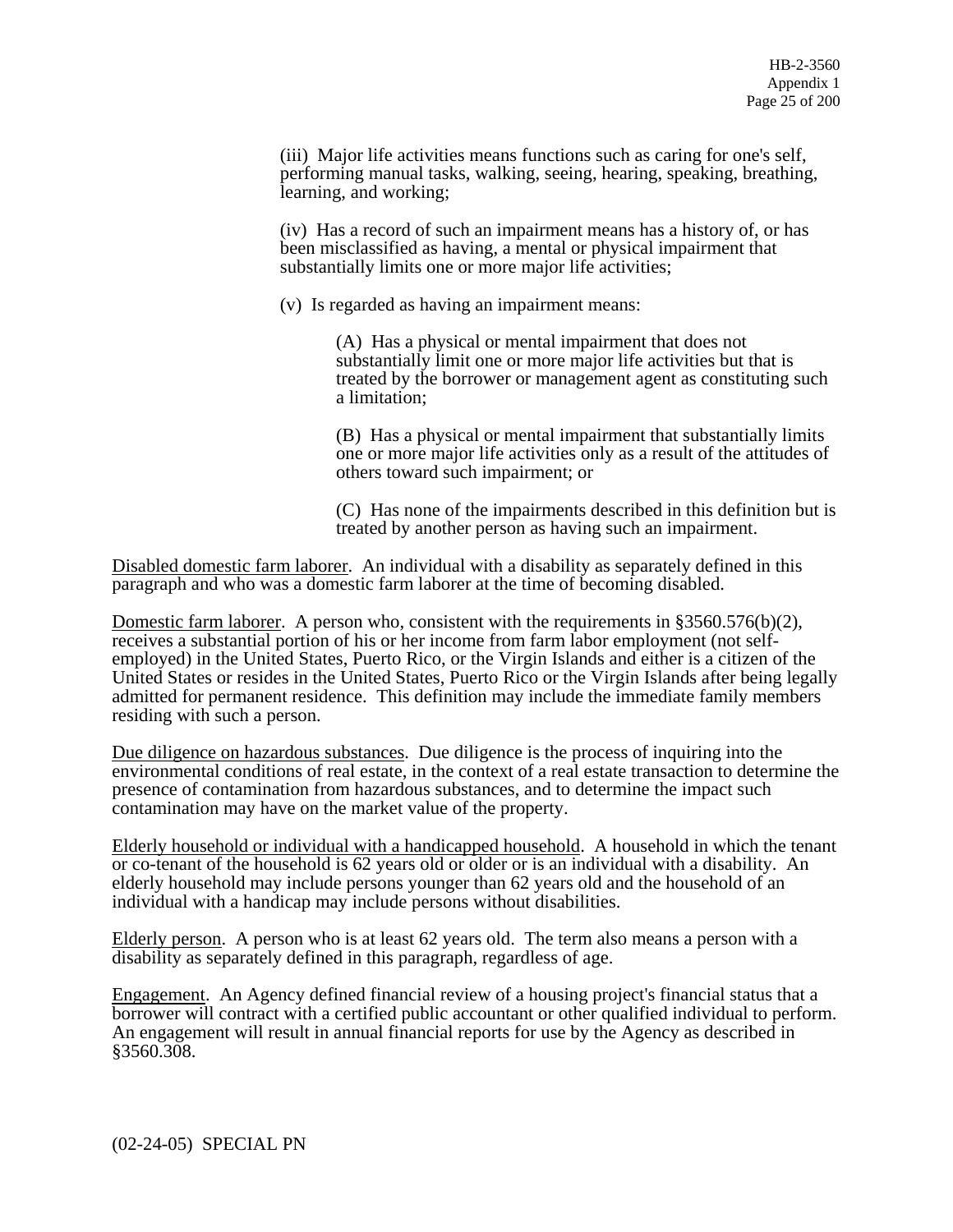(iii) Major life activities means functions such as caring for one's self, performing manual tasks, walking, seeing, hearing, speaking, breathing, learning, and working;

(iv) Has a record of such an impairment means has a history of, or has been misclassified as having, a mental or physical impairment that substantially limits one or more major life activities;

(v) Is regarded as having an impairment means:

(A) Has a physical or mental impairment that does not substantially limit one or more major life activities but that is treated by the borrower or management agent as constituting such a limitation;

(B) Has a physical or mental impairment that substantially limits one or more major life activities only as a result of the attitudes of others toward such impairment; or

(C) Has none of the impairments described in this definition but is treated by another person as having such an impairment.

Disabled domestic farm laborer. An individual with a disability as separately defined in this paragraph and who was a domestic farm laborer at the time of becoming disabled.

Domestic farm laborer. A person who, consistent with the requirements in  $\S 3560.576(b)(2)$ , receives a substantial portion of his or her income from farm labor employment (not selfemployed) in the United States, Puerto Rico, or the Virgin Islands and either is a citizen of the United States or resides in the United States, Puerto Rico or the Virgin Islands after being legally admitted for permanent residence. This definition may include the immediate family members residing with such a person.

Due diligence on hazardous substances. Due diligence is the process of inquiring into the environmental conditions of real estate, in the context of a real estate transaction to determine the presence of contamination from hazardous substances, and to determine the impact such contamination may have on the market value of the property.

Elderly household or individual with a handicapped household. A household in which the tenant or co-tenant of the household is 62 years old or older or is an individual with a disability. An elderly household may include persons younger than 62 years old and the household of an individual with a handicap may include persons without disabilities.

Elderly person. A person who is at least 62 years old. The term also means a person with a disability as separately defined in this paragraph, regardless of age.

Engagement. An Agency defined financial review of a housing project's financial status that a borrower will contract with a certified public accountant or other qualified individual to perform. An engagement will result in annual financial reports for use by the Agency as described in §3560.308.

(02-24-05) SPECIAL PN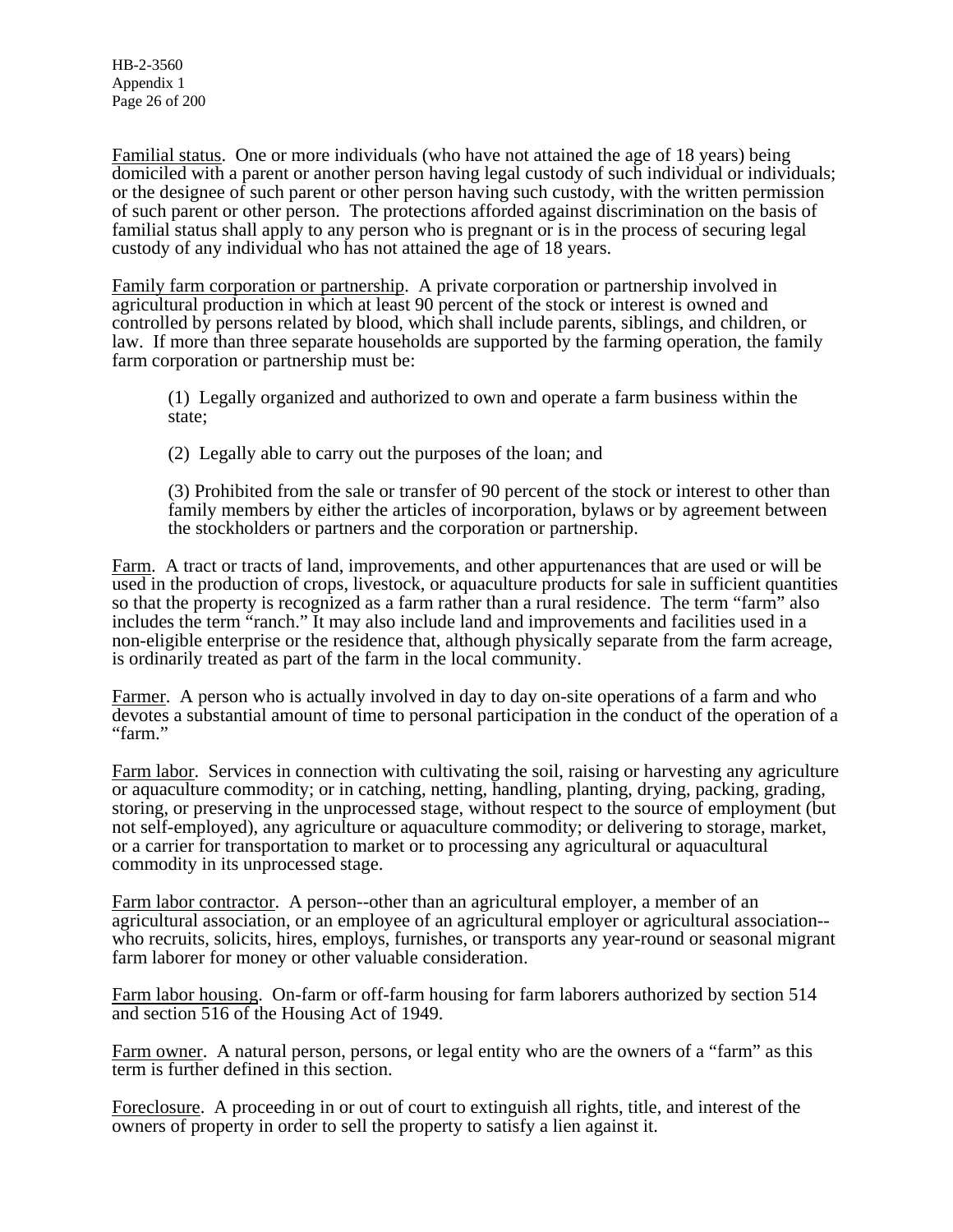HB-2-3560 Appendix 1 Page 26 of 200

Familial status. One or more individuals (who have not attained the age of 18 years) being domiciled with a parent or another person having legal custody of such individual or individuals; or the designee of such parent or other person having such custody, with the written permission of such parent or other person. The protections afforded against discrimination on the basis of familial status shall apply to any person who is pregnant or is in the process of securing legal custody of any individual who has not attained the age of 18 years.

Family farm corporation or partnership. A private corporation or partnership involved in agricultural production in which at least 90 percent of the stock or interest is owned and controlled by persons related by blood, which shall include parents, siblings, and children, or law. If more than three separate households are supported by the farming operation, the family farm corporation or partnership must be:

(1) Legally organized and authorized to own and operate a farm business within the state;

(2) Legally able to carry out the purposes of the loan; and

(3) Prohibited from the sale or transfer of 90 percent of the stock or interest to other than family members by either the articles of incorporation, bylaws or by agreement between the stockholders or partners and the corporation or partnership.

Farm. A tract or tracts of land, improvements, and other appurtenances that are used or will be used in the production of crops, livestock, or aquaculture products for sale in sufficient quantities so that the property is recognized as a farm rather than a rural residence. The term "farm" also includes the term "ranch." It may also include land and improvements and facilities used in a non-eligible enterprise or the residence that, although physically separate from the farm acreage, is ordinarily treated as part of the farm in the local community.

Farmer. A person who is actually involved in day to day on-site operations of a farm and who devotes a substantial amount of time to personal participation in the conduct of the operation of a "farm."

Farm labor. Services in connection with cultivating the soil, raising or harvesting any agriculture or aquaculture commodity; or in catching, netting, handling, planting, drying, packing, grading, storing, or preserving in the unprocessed stage, without respect to the source of employment (but not self-employed), any agriculture or aquaculture commodity; or delivering to storage, market, or a carrier for transportation to market or to processing any agricultural or aquacultural commodity in its unprocessed stage.

Farm labor contractor. A person--other than an agricultural employer, a member of an agricultural association, or an employee of an agricultural employer or agricultural association- who recruits, solicits, hires, employs, furnishes, or transports any year-round or seasonal migrant farm laborer for money or other valuable consideration.

Farm labor housing. On-farm or off-farm housing for farm laborers authorized by section 514 and section 516 of the Housing Act of 1949.

Farm owner. A natural person, persons, or legal entity who are the owners of a "farm" as this term is further defined in this section.

Foreclosure. A proceeding in or out of court to extinguish all rights, title, and interest of the owners of property in order to sell the property to satisfy a lien against it.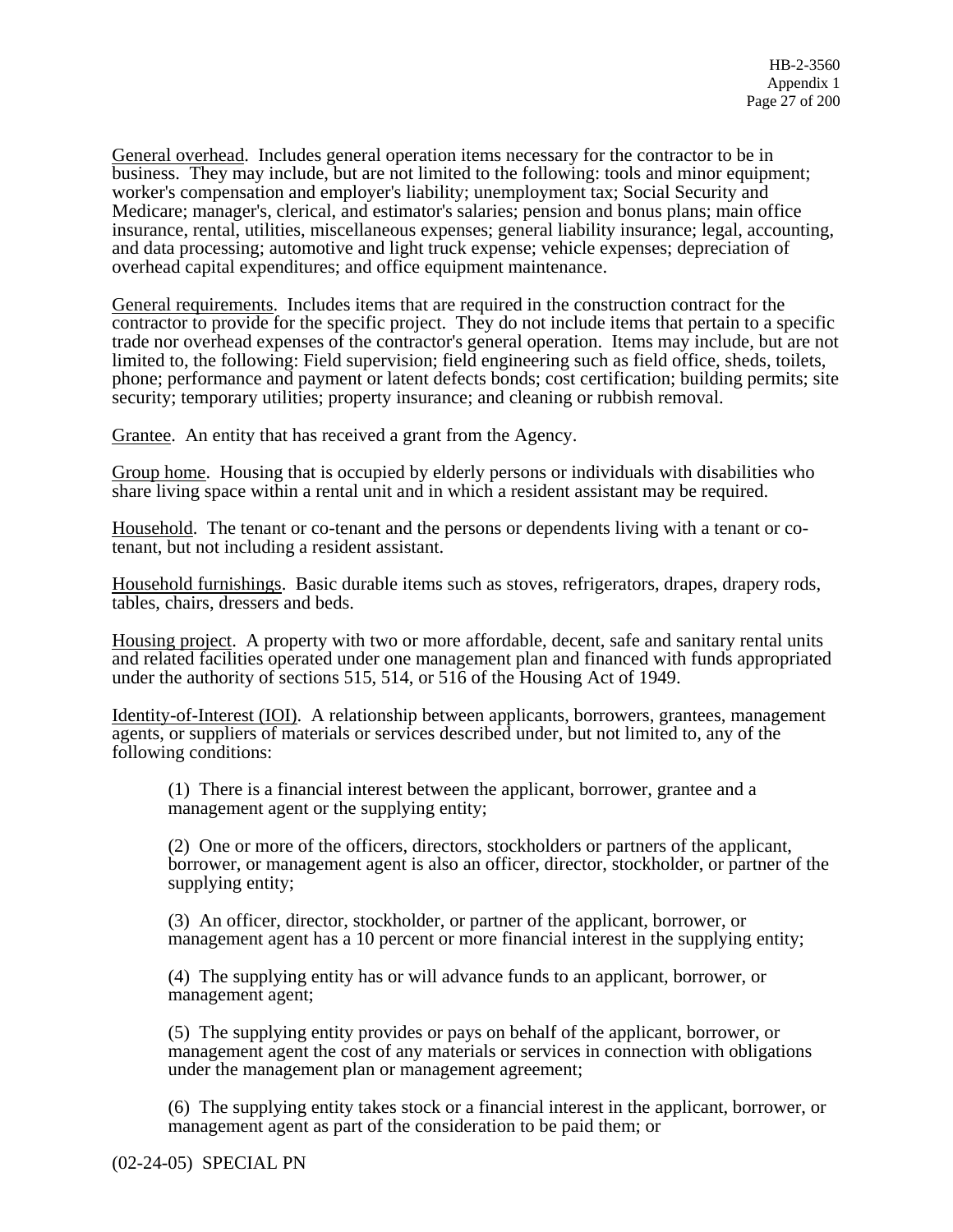General overhead. Includes general operation items necessary for the contractor to be in business. They may include, but are not limited to the following: tools and minor equipment; worker's compensation and employer's liability; unemployment tax; Social Security and Medicare; manager's, clerical, and estimator's salaries; pension and bonus plans; main office insurance, rental, utilities, miscellaneous expenses; general liability insurance; legal, accounting, and data processing; automotive and light truck expense; vehicle expenses; depreciation of overhead capital expenditures; and office equipment maintenance.

General requirements. Includes items that are required in the construction contract for the contractor to provide for the specific project. They do not include items that pertain to a specific trade nor overhead expenses of the contractor's general operation. Items may include, but are not limited to, the following: Field supervision; field engineering such as field office, sheds, toilets, phone; performance and payment or latent defects bonds; cost certification; building permits; site security; temporary utilities; property insurance; and cleaning or rubbish removal.

Grantee. An entity that has received a grant from the Agency.

Group home. Housing that is occupied by elderly persons or individuals with disabilities who share living space within a rental unit and in which a resident assistant may be required.

Household. The tenant or co-tenant and the persons or dependents living with a tenant or cotenant, but not including a resident assistant.

Household furnishings. Basic durable items such as stoves, refrigerators, drapes, drapery rods, tables, chairs, dressers and beds.

Housing project. A property with two or more affordable, decent, safe and sanitary rental units and related facilities operated under one management plan and financed with funds appropriated under the authority of sections 515, 514, or 516 of the Housing Act of 1949.

Identity-of-Interest (IOI). A relationship between applicants, borrowers, grantees, management agents, or suppliers of materials or services described under, but not limited to, any of the following conditions:

(1) There is a financial interest between the applicant, borrower, grantee and a management agent or the supplying entity;

(2) One or more of the officers, directors, stockholders or partners of the applicant, borrower, or management agent is also an officer, director, stockholder, or partner of the supplying entity;

(3) An officer, director, stockholder, or partner of the applicant, borrower, or management agent has a 10 percent or more financial interest in the supplying entity;

(4) The supplying entity has or will advance funds to an applicant, borrower, or management agent;

(5) The supplying entity provides or pays on behalf of the applicant, borrower, or management agent the cost of any materials or services in connection with obligations under the management plan or management agreement;

(6) The supplying entity takes stock or a financial interest in the applicant, borrower, or management agent as part of the consideration to be paid them; or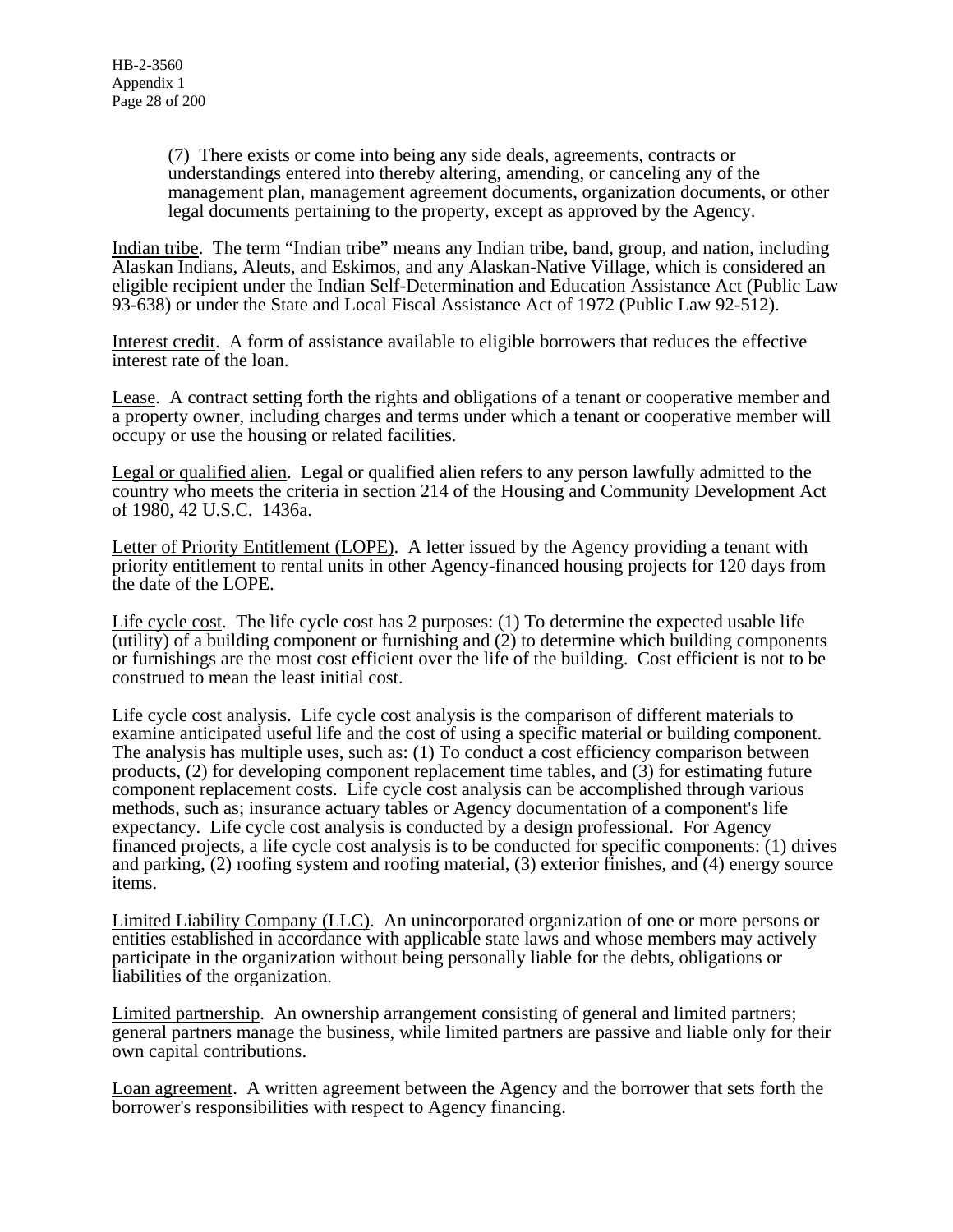(7) There exists or come into being any side deals, agreements, contracts or understandings entered into thereby altering, amending, or canceling any of the management plan, management agreement documents, organization documents, or other legal documents pertaining to the property, except as approved by the Agency.

Indian tribe. The term "Indian tribe" means any Indian tribe, band, group, and nation, including Alaskan Indians, Aleuts, and Eskimos, and any Alaskan-Native Village, which is considered an eligible recipient under the Indian Self-Determination and Education Assistance Act (Public Law 93-638) or under the State and Local Fiscal Assistance Act of 1972 (Public Law 92-512).

Interest credit. A form of assistance available to eligible borrowers that reduces the effective interest rate of the loan.

Lease. A contract setting forth the rights and obligations of a tenant or cooperative member and a property owner, including charges and terms under which a tenant or cooperative member will occupy or use the housing or related facilities.

Legal or qualified alien. Legal or qualified alien refers to any person lawfully admitted to the country who meets the criteria in section 214 of the Housing and Community Development Act of 1980, 42 U.S.C. 1436a.

Letter of Priority Entitlement (LOPE). A letter issued by the Agency providing a tenant with priority entitlement to rental units in other Agency-financed housing projects for 120 days from the date of the LOPE.

Life cycle cost. The life cycle cost has 2 purposes: (1) To determine the expected usable life (utility) of a building component or furnishing and (2) to determine which building components or furnishings are the most cost efficient over the life of the building. Cost efficient is not to be construed to mean the least initial cost.

Life cycle cost analysis. Life cycle cost analysis is the comparison of different materials to examine anticipated useful life and the cost of using a specific material or building component. The analysis has multiple uses, such as: (1) To conduct a cost efficiency comparison between products, (2) for developing component replacement time tables, and (3) for estimating future component replacement costs. Life cycle cost analysis can be accomplished through various methods, such as; insurance actuary tables or Agency documentation of a component's life expectancy. Life cycle cost analysis is conducted by a design professional. For Agency financed projects, a life cycle cost analysis is to be conducted for specific components: (1) drives and parking, (2) roofing system and roofing material, (3) exterior finishes, and (4) energy source items.

Limited Liability Company (LLC). An unincorporated organization of one or more persons or entities established in accordance with applicable state laws and whose members may actively participate in the organization without being personally liable for the debts, obligations or liabilities of the organization.

Limited partnership. An ownership arrangement consisting of general and limited partners; general partners manage the business, while limited partners are passive and liable only for their own capital contributions.

Loan agreement. A written agreement between the Agency and the borrower that sets forth the borrower's responsibilities with respect to Agency financing.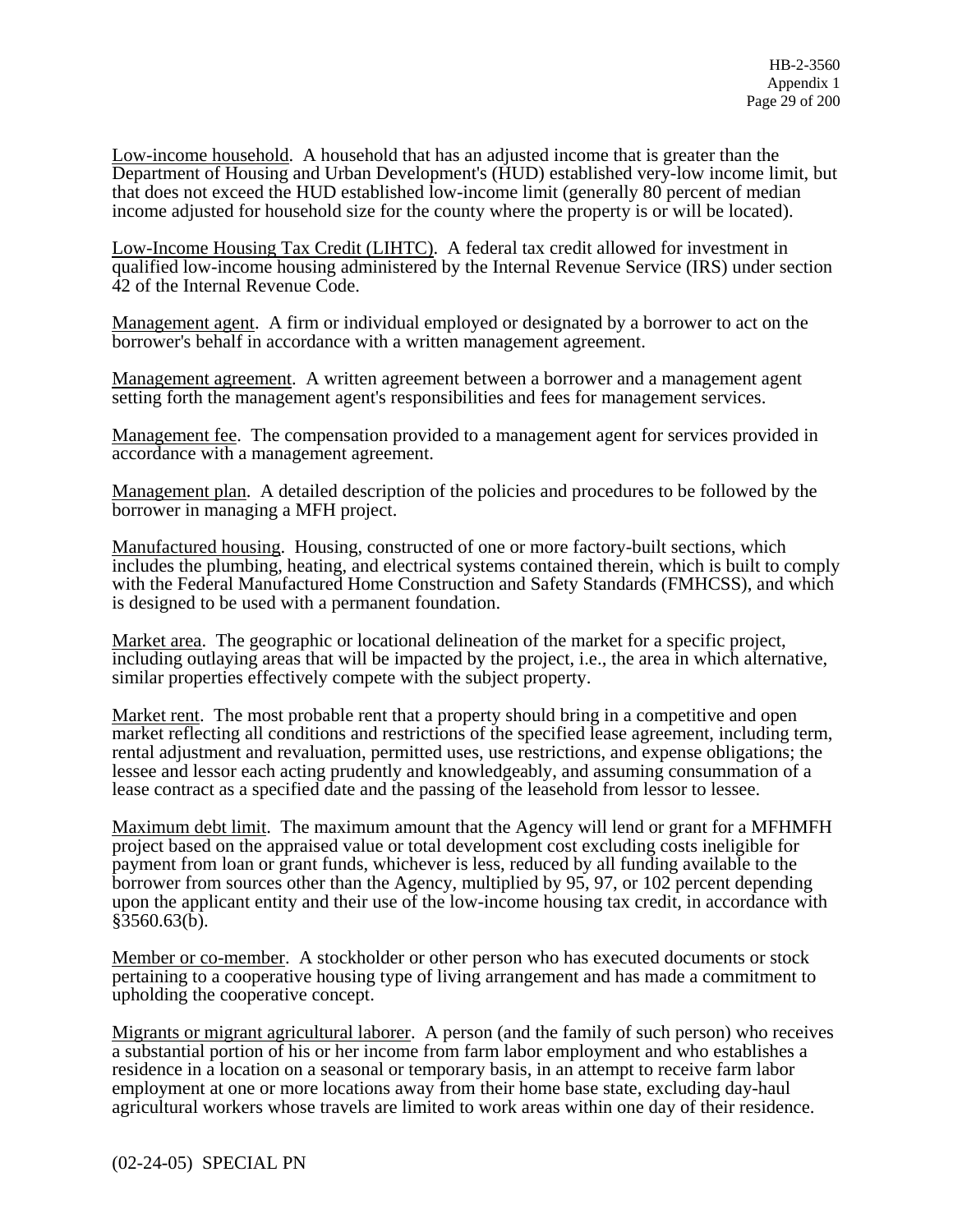Low-income household. A household that has an adjusted income that is greater than the Department of Housing and Urban Development's (HUD) established very-low income limit, but that does not exceed the HUD established low-income limit (generally 80 percent of median income adjusted for household size for the county where the property is or will be located).

Low-Income Housing Tax Credit (LIHTC). A federal tax credit allowed for investment in qualified low-income housing administered by the Internal Revenue Service (IRS) under section 42 of the Internal Revenue Code.

Management agent. A firm or individual employed or designated by a borrower to act on the borrower's behalf in accordance with a written management agreement.

Management agreement. A written agreement between a borrower and a management agent setting forth the management agent's responsibilities and fees for management services.

Management fee. The compensation provided to a management agent for services provided in accordance with a management agreement.

Management plan. A detailed description of the policies and procedures to be followed by the borrower in managing a MFH project.

Manufactured housing. Housing, constructed of one or more factory-built sections, which includes the plumbing, heating, and electrical systems contained therein, which is built to comply with the Federal Manufactured Home Construction and Safety Standards (FMHCSS), and which is designed to be used with a permanent foundation.

Market area. The geographic or locational delineation of the market for a specific project, including outlaying areas that will be impacted by the project, i.e., the area in which alternative, similar properties effectively compete with the subject property.

Market rent. The most probable rent that a property should bring in a competitive and open market reflecting all conditions and restrictions of the specified lease agreement, including term, rental adjustment and revaluation, permitted uses, use restrictions, and expense obligations; the lessee and lessor each acting prudently and knowledgeably, and assuming consummation of a lease contract as a specified date and the passing of the leasehold from lessor to lessee.

Maximum debt limit. The maximum amount that the Agency will lend or grant for a MFHMFH project based on the appraised value or total development cost excluding costs ineligible for payment from loan or grant funds, whichever is less, reduced by all funding available to the borrower from sources other than the Agency, multiplied by 95, 97, or 102 percent depending upon the applicant entity and their use of the low-income housing tax credit, in accordance with §3560.63(b).

Member or co-member. A stockholder or other person who has executed documents or stock pertaining to a cooperative housing type of living arrangement and has made a commitment to upholding the cooperative concept.

Migrants or migrant agricultural laborer. A person (and the family of such person) who receives a substantial portion of his or her income from farm labor employment and who establishes a residence in a location on a seasonal or temporary basis, in an attempt to receive farm labor employment at one or more locations away from their home base state, excluding day-haul agricultural workers whose travels are limited to work areas within one day of their residence.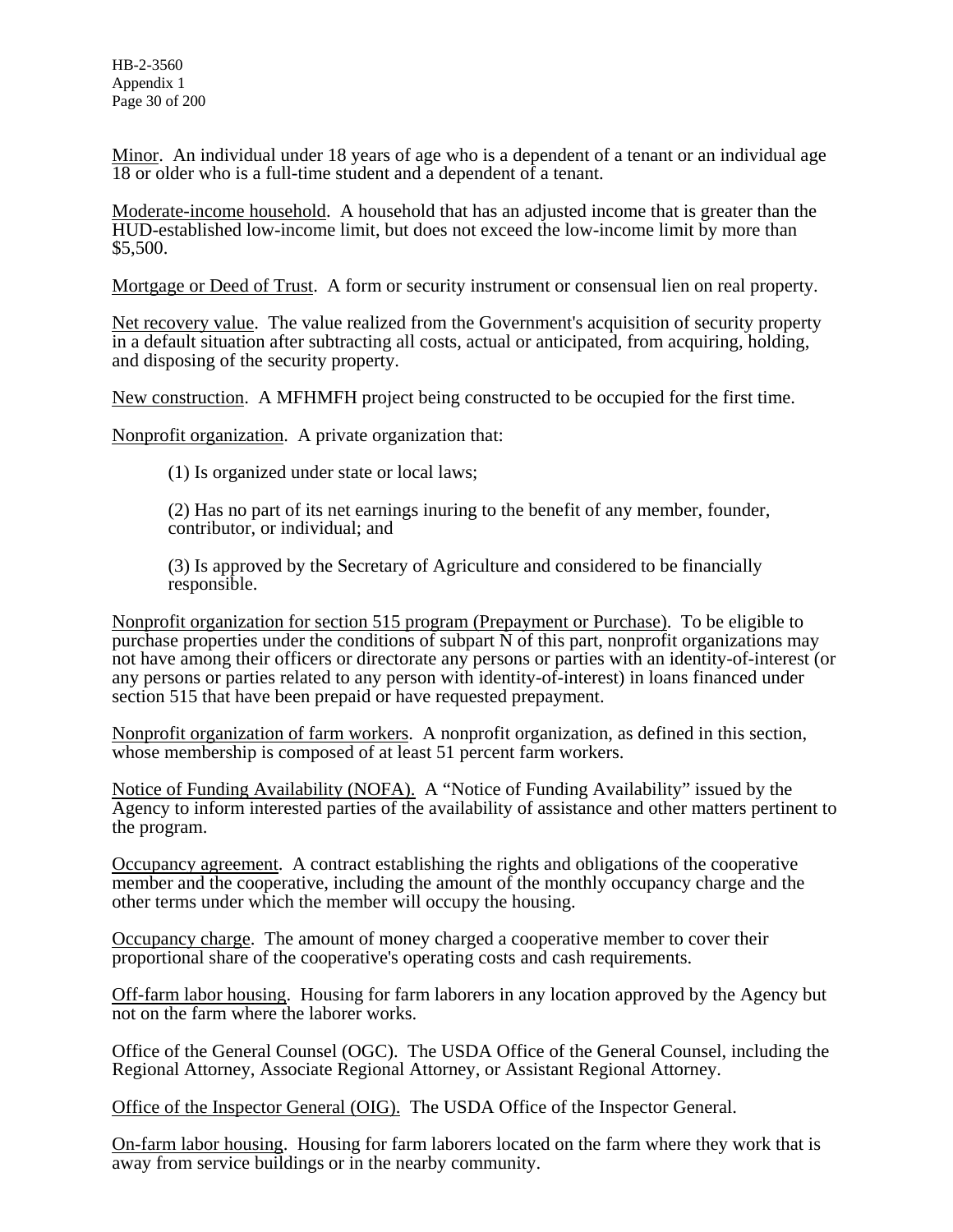HB-2-3560 Appendix 1 Page 30 of 200

Minor. An individual under 18 years of age who is a dependent of a tenant or an individual age 18 or older who is a full-time student and a dependent of a tenant.

Moderate-income household. A household that has an adjusted income that is greater than the HUD-established low-income limit, but does not exceed the low-income limit by more than \$5,500.

Mortgage or Deed of Trust. A form or security instrument or consensual lien on real property.

Net recovery value. The value realized from the Government's acquisition of security property in a default situation after subtracting all costs, actual or anticipated, from acquiring, holding, and disposing of the security property.

New construction. A MFHMFH project being constructed to be occupied for the first time.

Nonprofit organization. A private organization that:

(1) Is organized under state or local laws;

(2) Has no part of its net earnings inuring to the benefit of any member, founder, contributor, or individual; and

(3) Is approved by the Secretary of Agriculture and considered to be financially responsible.

Nonprofit organization for section 515 program (Prepayment or Purchase). To be eligible to purchase properties under the conditions of subpart  $\overline{N}$  of this part, nonprofit organizations may not have among their officers or directorate any persons or parties with an identity-of-interest (or any persons or parties related to any person with identity-of-interest) in loans financed under section 515 that have been prepaid or have requested prepayment.

Nonprofit organization of farm workers. A nonprofit organization, as defined in this section, whose membership is composed of at least 51 percent farm workers.

Notice of Funding Availability (NOFA). A "Notice of Funding Availability" issued by the Agency to inform interested parties of the availability of assistance and other matters pertinent to the program.

Occupancy agreement. A contract establishing the rights and obligations of the cooperative member and the cooperative, including the amount of the monthly occupancy charge and the other terms under which the member will occupy the housing.

Occupancy charge. The amount of money charged a cooperative member to cover their proportional share of the cooperative's operating costs and cash requirements.

Off-farm labor housing. Housing for farm laborers in any location approved by the Agency but not on the farm where the laborer works.

Office of the General Counsel (OGC). The USDA Office of the General Counsel, including the Regional Attorney, Associate Regional Attorney, or Assistant Regional Attorney.

Office of the Inspector General (OIG). The USDA Office of the Inspector General.

On-farm labor housing. Housing for farm laborers located on the farm where they work that is away from service buildings or in the nearby community.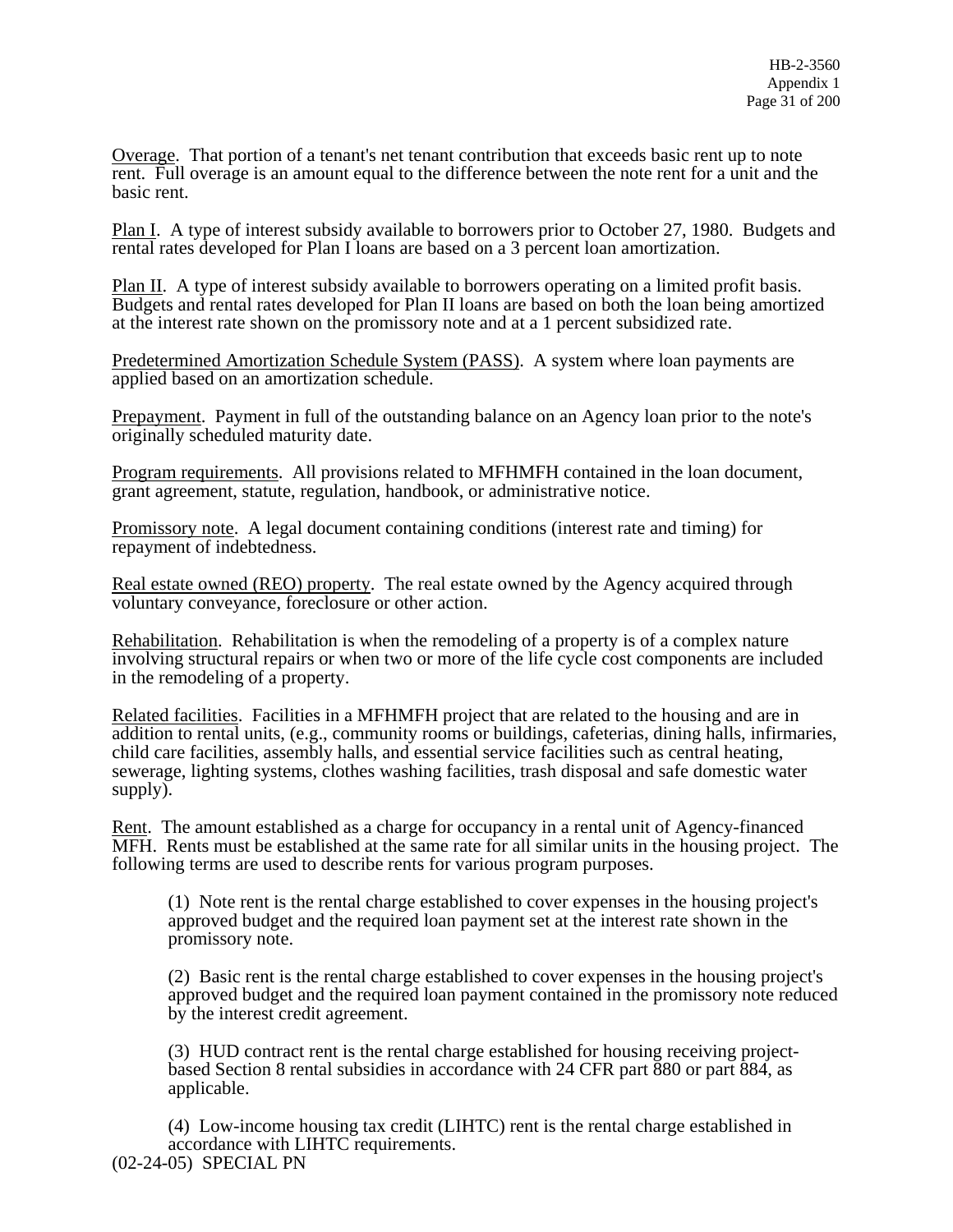Overage. That portion of a tenant's net tenant contribution that exceeds basic rent up to note rent. Full overage is an amount equal to the difference between the note rent for a unit and the basic rent.

Plan I. A type of interest subsidy available to borrowers prior to October 27, 1980. Budgets and rental rates developed for Plan I loans are based on a 3 percent loan amortization.

Plan II. A type of interest subsidy available to borrowers operating on a limited profit basis. Budgets and rental rates developed for Plan II loans are based on both the loan being amortized at the interest rate shown on the promissory note and at a 1 percent subsidized rate.

Predetermined Amortization Schedule System (PASS). A system where loan payments are applied based on an amortization schedule.

Prepayment. Payment in full of the outstanding balance on an Agency loan prior to the note's originally scheduled maturity date.

Program requirements. All provisions related to MFHMFH contained in the loan document, grant agreement, statute, regulation, handbook, or administrative notice.

Promissory note. A legal document containing conditions (interest rate and timing) for repayment of indebtedness.

Real estate owned (REO) property. The real estate owned by the Agency acquired through voluntary conveyance, foreclosure or other action.

Rehabilitation. Rehabilitation is when the remodeling of a property is of a complex nature involving structural repairs or when two or more of the life cycle cost components are included in the remodeling of a property.

Related facilities. Facilities in a MFHMFH project that are related to the housing and are in addition to rental units, (e.g., community rooms or buildings, cafeterias, dining halls, infirmaries, child care facilities, assembly halls, and essential service facilities such as central heating, sewerage, lighting systems, clothes washing facilities, trash disposal and safe domestic water supply).

Rent. The amount established as a charge for occupancy in a rental unit of Agency-financed MFH. Rents must be established at the same rate for all similar units in the housing project. The following terms are used to describe rents for various program purposes.

(1) Note rent is the rental charge established to cover expenses in the housing project's approved budget and the required loan payment set at the interest rate shown in the promissory note.

(2) Basic rent is the rental charge established to cover expenses in the housing project's approved budget and the required loan payment contained in the promissory note reduced by the interest credit agreement.

(3) HUD contract rent is the rental charge established for housing receiving projectbased Section 8 rental subsidies in accordance with 24 CFR part 880 or part 884, as applicable.

(4) Low-income housing tax credit (LIHTC) rent is the rental charge established in accordance with LIHTC requirements. (02-24-05) SPECIAL PN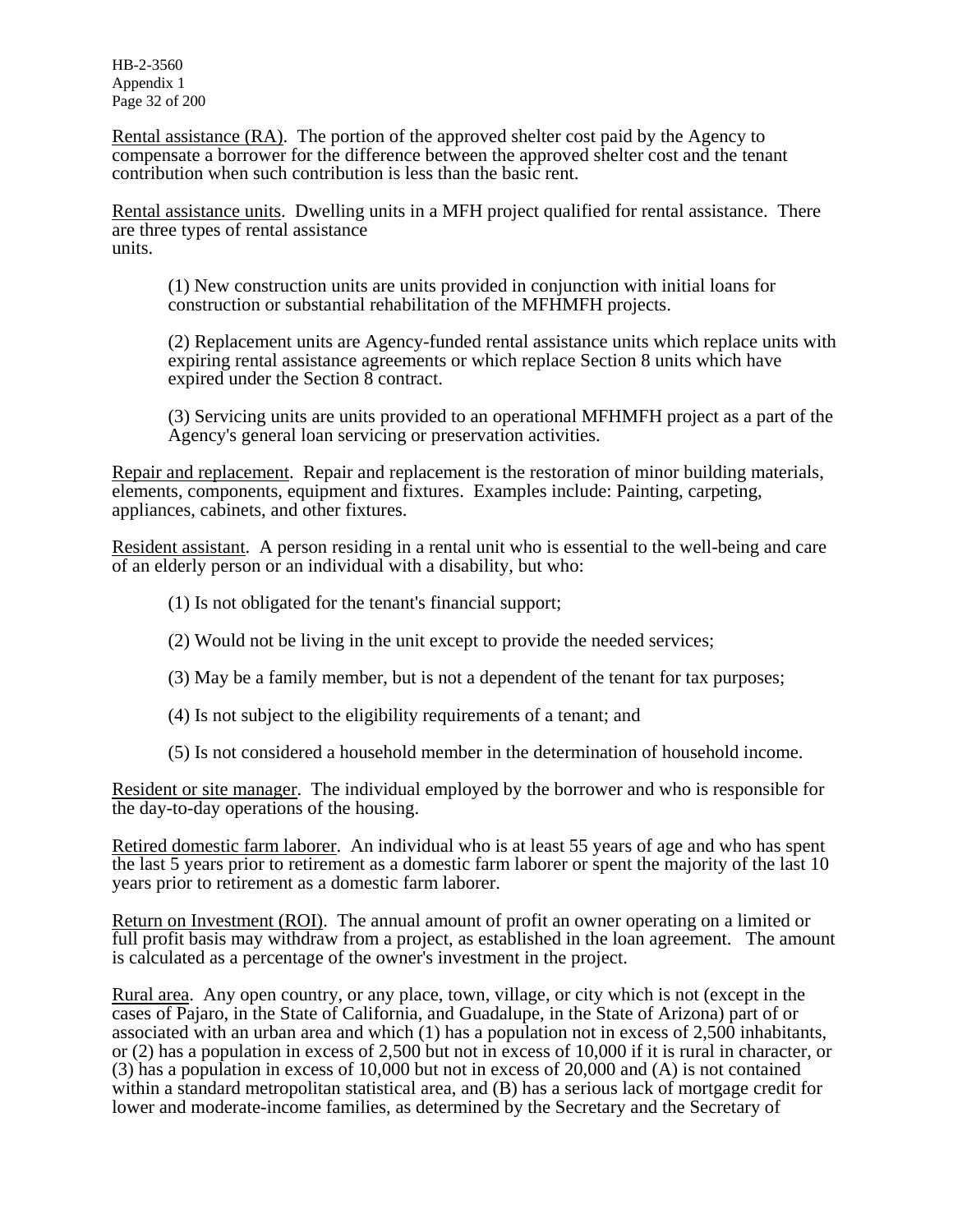HB-2-3560 Appendix 1 Page 32 of 200

Rental assistance (RA). The portion of the approved shelter cost paid by the Agency to compensate a borrower for the difference between the approved shelter cost and the tenant contribution when such contribution is less than the basic rent.

Rental assistance units. Dwelling units in a MFH project qualified for rental assistance. There are three types of rental assistance units.

(1) New construction units are units provided in conjunction with initial loans for construction or substantial rehabilitation of the MFHMFH projects.

(2) Replacement units are Agency-funded rental assistance units which replace units with expiring rental assistance agreements or which replace Section 8 units which have expired under the Section 8 contract.

(3) Servicing units are units provided to an operational MFHMFH project as a part of the Agency's general loan servicing or preservation activities.

Repair and replacement. Repair and replacement is the restoration of minor building materials, elements, components, equipment and fixtures. Examples include: Painting, carpeting, appliances, cabinets, and other fixtures.

Resident assistant. A person residing in a rental unit who is essential to the well-being and care of an elderly person or an individual with a disability, but who:

- (1) Is not obligated for the tenant's financial support;
- (2) Would not be living in the unit except to provide the needed services;
- (3) May be a family member, but is not a dependent of the tenant for tax purposes;
- (4) Is not subject to the eligibility requirements of a tenant; and
- (5) Is not considered a household member in the determination of household income.

Resident or site manager. The individual employed by the borrower and who is responsible for the day-to-day operations of the housing.

Retired domestic farm laborer. An individual who is at least 55 years of age and who has spent the last 5 years prior to retirement as a domestic farm laborer or spent the majority of the last 10 years prior to retirement as a domestic farm laborer.

Return on Investment (ROI). The annual amount of profit an owner operating on a limited or full profit basis may withdraw from a project, as established in the loan agreement. The amount is calculated as a percentage of the owner's investment in the project.

Rural area. Any open country, or any place, town, village, or city which is not (except in the cases of Pajaro, in the State of California, and Guadalupe, in the State of Arizona) part of or associated with an urban area and which (1) has a population not in excess of 2,500 inhabitants, or (2) has a population in excess of 2,500 but not in excess of 10,000 if it is rural in character, or (3) has a population in excess of 10,000 but not in excess of 20,000 and (A) is not contained within a standard metropolitan statistical area, and (B) has a serious lack of mortgage credit for lower and moderate-income families, as determined by the Secretary and the Secretary of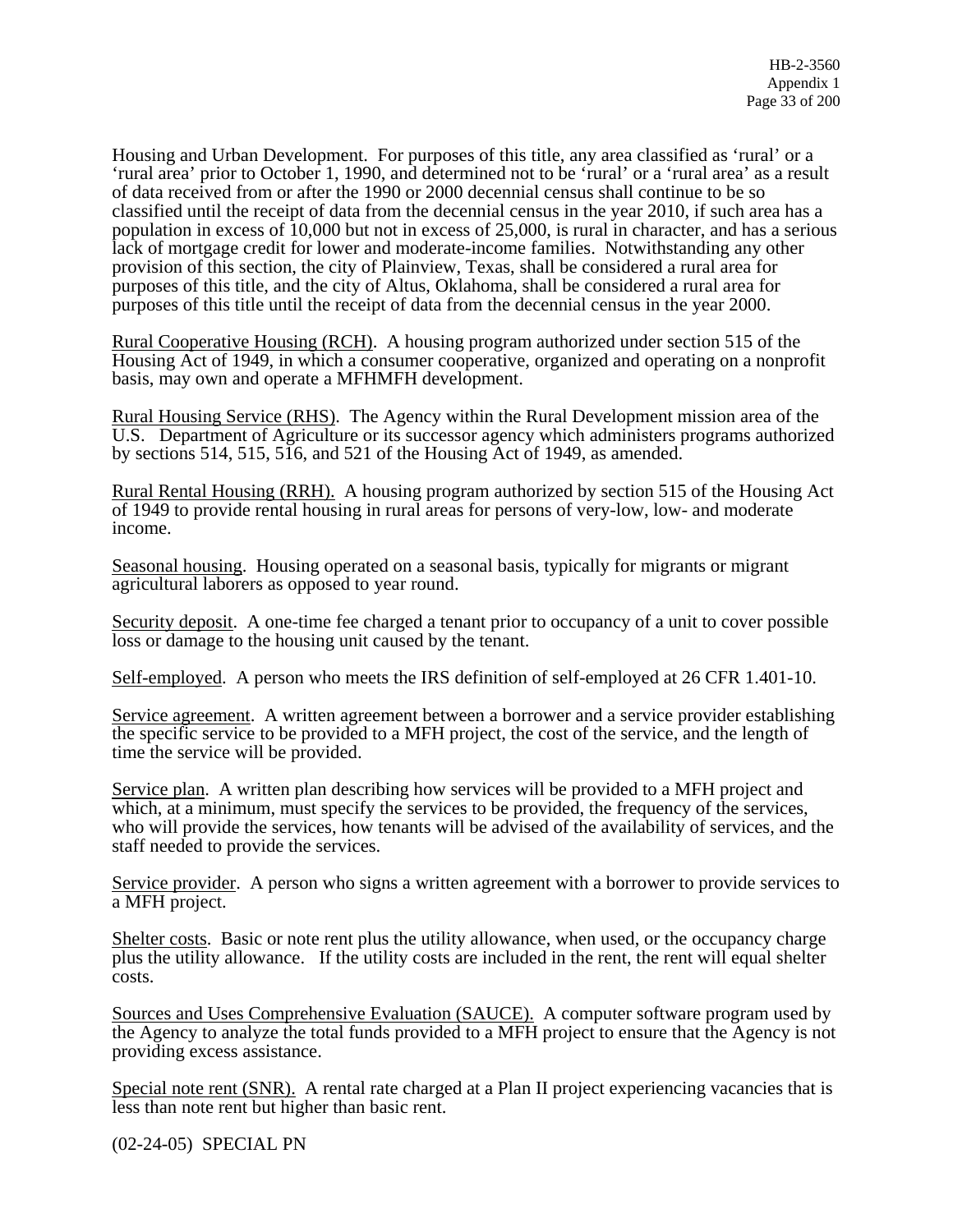Housing and Urban Development. For purposes of this title, any area classified as 'rural' or a 'rural area' prior to October 1, 1990, and determined not to be 'rural' or a 'rural area' as a result of data received from or after the 1990 or 2000 decennial census shall continue to be so classified until the receipt of data from the decennial census in the year 2010, if such area has a population in excess of 10,000 but not in excess of 25,000, is rural in character, and has a serious lack of mortgage credit for lower and moderate-income families. Notwithstanding any other provision of this section, the city of Plainview, Texas, shall be considered a rural area for purposes of this title, and the city of Altus, Oklahoma, shall be considered a rural area for purposes of this title until the receipt of data from the decennial census in the year 2000.

Rural Cooperative Housing (RCH). A housing program authorized under section 515 of the Housing Act of 1949, in which a consumer cooperative, organized and operating on a nonprofit basis, may own and operate a MFHMFH development.

Rural Housing Service (RHS). The Agency within the Rural Development mission area of the U.S. Department of Agriculture or its successor agency which administers programs authorized by sections 514, 515, 516, and 521 of the Housing Act of 1949, as amended.

Rural Rental Housing (RRH). A housing program authorized by section 515 of the Housing Act of 1949 to provide rental housing in rural areas for persons of very-low, low- and moderate income.

Seasonal housing. Housing operated on a seasonal basis, typically for migrants or migrant agricultural laborers as opposed to year round.

Security deposit. A one-time fee charged a tenant prior to occupancy of a unit to cover possible loss or damage to the housing unit caused by the tenant.

Self-employed. A person who meets the IRS definition of self-employed at 26 CFR 1.401-10.

Service agreement. A written agreement between a borrower and a service provider establishing the specific service to be provided to a MFH project, the cost of the service, and the length of time the service will be provided.

Service plan. A written plan describing how services will be provided to a MFH project and which, at a minimum, must specify the services to be provided, the frequency of the services, who will provide the services, how tenants will be advised of the availability of services, and the staff needed to provide the services.

Service provider. A person who signs a written agreement with a borrower to provide services to a MFH project.

Shelter costs. Basic or note rent plus the utility allowance, when used, or the occupancy charge plus the utility allowance. If the utility costs are included in the rent, the rent will equal shelter costs.

Sources and Uses Comprehensive Evaluation (SAUCE). A computer software program used by the Agency to analyze the total funds provided to a MFH project to ensure that the Agency is not providing excess assistance.

Special note rent (SNR). A rental rate charged at a Plan II project experiencing vacancies that is less than note rent but higher than basic rent.

(02-24-05) SPECIAL PN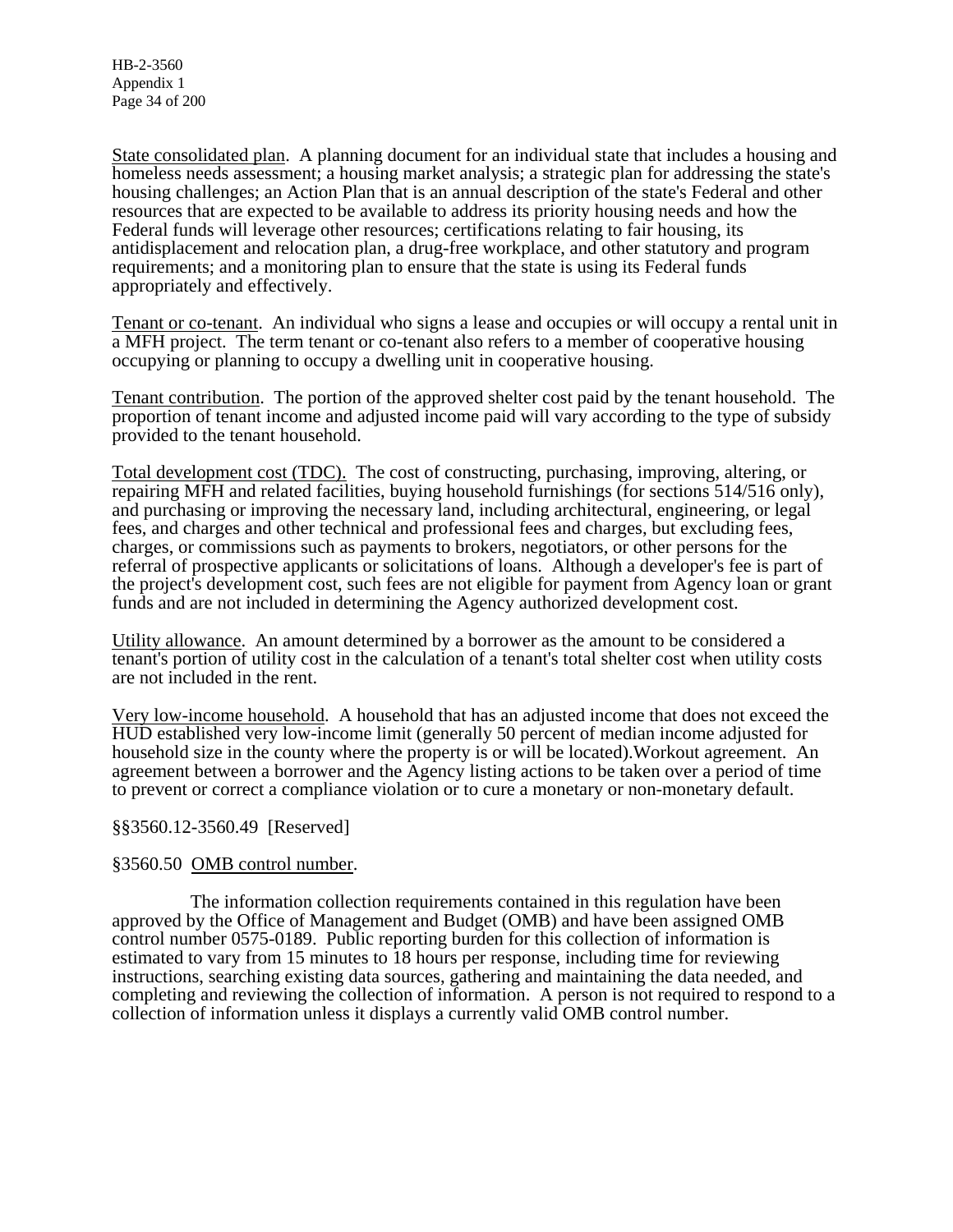HB-2-3560 Appendix 1 Page 34 of 200

State consolidated plan. A planning document for an individual state that includes a housing and homeless needs assessment; a housing market analysis; a strategic plan for addressing the state's housing challenges; an Action Plan that is an annual description of the state's Federal and other resources that are expected to be available to address its priority housing needs and how the Federal funds will leverage other resources; certifications relating to fair housing, its antidisplacement and relocation plan, a drug-free workplace, and other statutory and program requirements; and a monitoring plan to ensure that the state is using its Federal funds appropriately and effectively.

Tenant or co-tenant. An individual who signs a lease and occupies or will occupy a rental unit in a MFH project. The term tenant or co-tenant also refers to a member of cooperative housing occupying or planning to occupy a dwelling unit in cooperative housing.

Tenant contribution. The portion of the approved shelter cost paid by the tenant household. The proportion of tenant income and adjusted income paid will vary according to the type of subsidy provided to the tenant household.

Total development cost (TDC). The cost of constructing, purchasing, improving, altering, or repairing MFH and related facilities, buying household furnishings (for sections 514/516 only), and purchasing or improving the necessary land, including architectural, engineering, or legal fees, and charges and other technical and professional fees and charges, but excluding fees, charges, or commissions such as payments to brokers, negotiators, or other persons for the referral of prospective applicants or solicitations of loans. Although a developer's fee is part of the project's development cost, such fees are not eligible for payment from Agency loan or grant funds and are not included in determining the Agency authorized development cost.

Utility allowance. An amount determined by a borrower as the amount to be considered a tenant's portion of utility cost in the calculation of a tenant's total shelter cost when utility costs are not included in the rent.

Very low-income household. A household that has an adjusted income that does not exceed the HUD established very low-income limit (generally 50 percent of median income adjusted for household size in the county where the property is or will be located).Workout agreement. An agreement between a borrower and the Agency listing actions to be taken over a period of time to prevent or correct a compliance violation or to cure a monetary or non-monetary default.

### §§3560.12-3560.49 [Reserved]

#### §3560.50 OMB control number.

 The information collection requirements contained in this regulation have been approved by the Office of Management and Budget (OMB) and have been assigned OMB control number 0575-0189. Public reporting burden for this collection of information is estimated to vary from 15 minutes to 18 hours per response, including time for reviewing instructions, searching existing data sources, gathering and maintaining the data needed, and completing and reviewing the collection of information. A person is not required to respond to a collection of information unless it displays a currently valid OMB control number.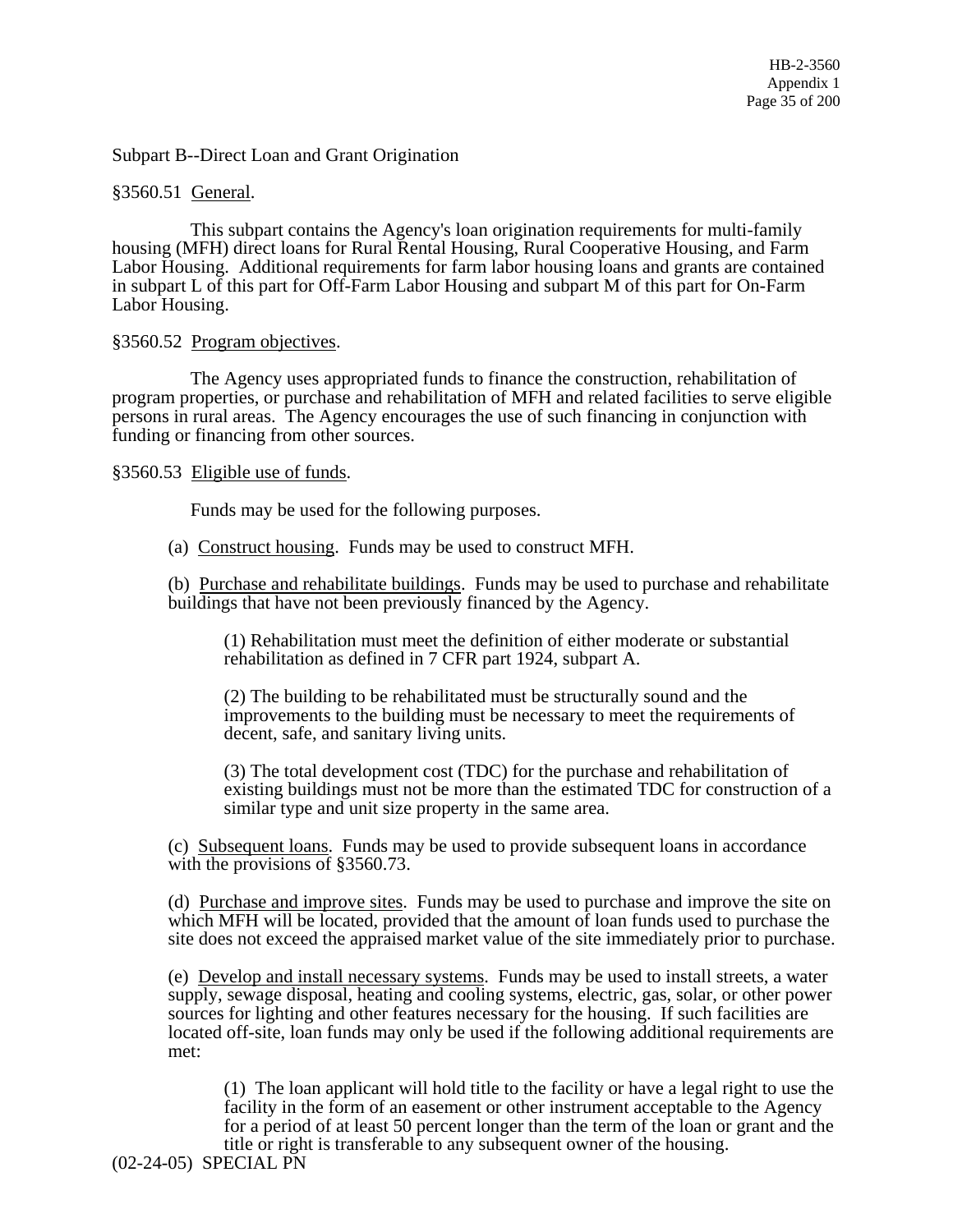HB-2-3560 Appendix 1 Page 35 of 200

Subpart B--Direct Loan and Grant Origination

§3560.51 General.

 This subpart contains the Agency's loan origination requirements for multi-family housing (MFH) direct loans for Rural Rental Housing, Rural Cooperative Housing, and Farm Labor Housing. Additional requirements for farm labor housing loans and grants are contained in subpart L of this part for Off-Farm Labor Housing and subpart M of this part for On-Farm Labor Housing.

§3560.52 Program objectives.

 The Agency uses appropriated funds to finance the construction, rehabilitation of program properties, or purchase and rehabilitation of MFH and related facilities to serve eligible persons in rural areas. The Agency encourages the use of such financing in conjunction with funding or financing from other sources.

§3560.53 Eligible use of funds.

Funds may be used for the following purposes.

(a) Construct housing. Funds may be used to construct MFH.

(b) Purchase and rehabilitate buildings. Funds may be used to purchase and rehabilitate buildings that have not been previously financed by the Agency.

(1) Rehabilitation must meet the definition of either moderate or substantial rehabilitation as defined in 7 CFR part 1924, subpart A.

(2) The building to be rehabilitated must be structurally sound and the improvements to the building must be necessary to meet the requirements of decent, safe, and sanitary living units.

(3) The total development cost (TDC) for the purchase and rehabilitation of existing buildings must not be more than the estimated TDC for construction of a similar type and unit size property in the same area.

(c) Subsequent loans. Funds may be used to provide subsequent loans in accordance with the provisions of §3560.73.

(d) Purchase and improve sites. Funds may be used to purchase and improve the site on which MFH will be located, provided that the amount of loan funds used to purchase the site does not exceed the appraised market value of the site immediately prior to purchase.

(e) Develop and install necessary systems. Funds may be used to install streets, a water supply, sewage disposal, heating and cooling systems, electric, gas, solar, or other power sources for lighting and other features necessary for the housing. If such facilities are located off-site, loan funds may only be used if the following additional requirements are met:

(1) The loan applicant will hold title to the facility or have a legal right to use the facility in the form of an easement or other instrument acceptable to the Agency for a period of at least 50 percent longer than the term of the loan or grant and the title or right is transferable to any subsequent owner of the housing.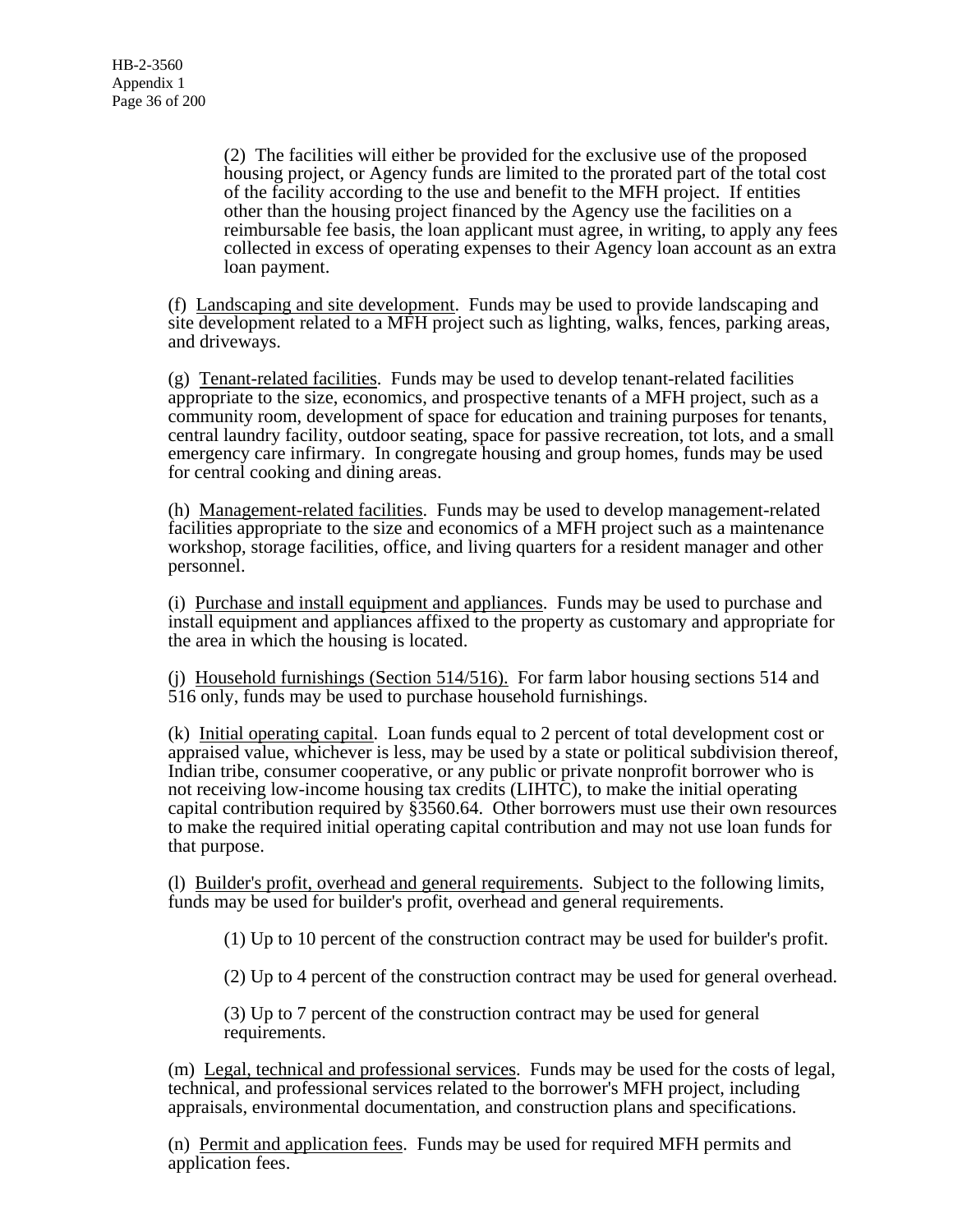(2) The facilities will either be provided for the exclusive use of the proposed housing project, or Agency funds are limited to the prorated part of the total cost of the facility according to the use and benefit to the MFH project. If entities other than the housing project financed by the Agency use the facilities on a reimbursable fee basis, the loan applicant must agree, in writing, to apply any fees collected in excess of operating expenses to their Agency loan account as an extra loan payment.

(f) Landscaping and site development. Funds may be used to provide landscaping and site development related to a MFH project such as lighting, walks, fences, parking areas, and driveways.

(g) Tenant-related facilities. Funds may be used to develop tenant-related facilities appropriate to the size, economics, and prospective tenants of a MFH project, such as a community room, development of space for education and training purposes for tenants, central laundry facility, outdoor seating, space for passive recreation, tot lots, and a small emergency care infirmary. In congregate housing and group homes, funds may be used for central cooking and dining areas.

(h) Management-related facilities. Funds may be used to develop management-related facilities appropriate to the size and economics of a MFH project such as a maintenance workshop, storage facilities, office, and living quarters for a resident manager and other personnel.

(i) Purchase and install equipment and appliances. Funds may be used to purchase and install equipment and appliances affixed to the property as customary and appropriate for the area in which the housing is located.

(j) Household furnishings (Section 514/516). For farm labor housing sections 514 and 516 only, funds may be used to purchase household furnishings.

(k) Initial operating capital. Loan funds equal to 2 percent of total development cost or appraised value, whichever is less, may be used by a state or political subdivision thereof, Indian tribe, consumer cooperative, or any public or private nonprofit borrower who is not receiving low-income housing tax credits (LIHTC), to make the initial operating capital contribution required by §3560.64. Other borrowers must use their own resources to make the required initial operating capital contribution and may not use loan funds for that purpose.

(l) Builder's profit, overhead and general requirements. Subject to the following limits, funds may be used for builder's profit, overhead and general requirements.

(1) Up to 10 percent of the construction contract may be used for builder's profit.

(2) Up to 4 percent of the construction contract may be used for general overhead.

(3) Up to 7 percent of the construction contract may be used for general requirements.

(m) Legal, technical and professional services. Funds may be used for the costs of legal, technical, and professional services related to the borrower's MFH project, including appraisals, environmental documentation, and construction plans and specifications.

(n) Permit and application fees. Funds may be used for required MFH permits and application fees.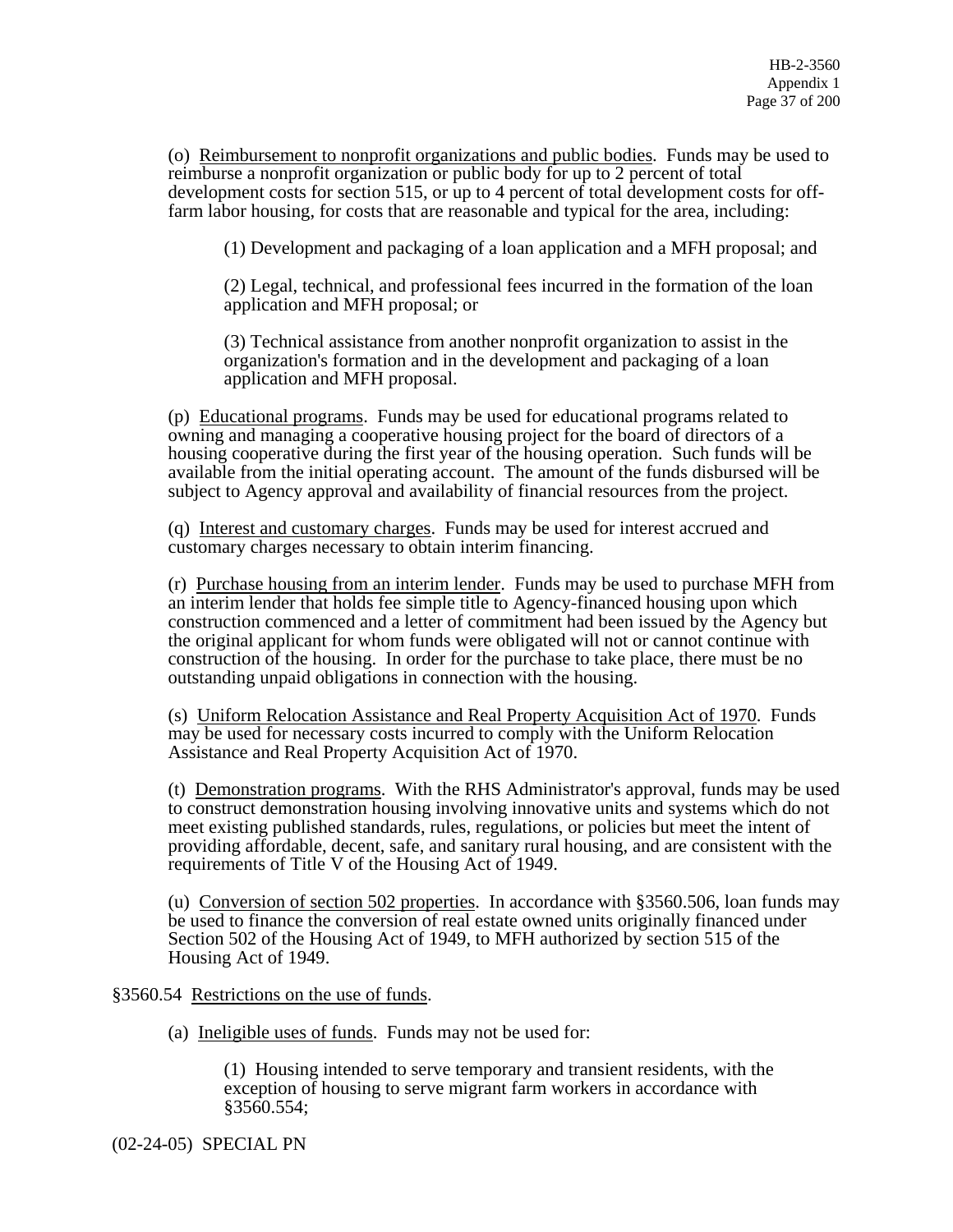(o) Reimbursement to nonprofit organizations and public bodies. Funds may be used to reimburse a nonprofit organization or public body for up to 2 percent of total development costs for section 515, or up to 4 percent of total development costs for offfarm labor housing, for costs that are reasonable and typical for the area, including:

(1) Development and packaging of a loan application and a MFH proposal; and

(2) Legal, technical, and professional fees incurred in the formation of the loan application and MFH proposal; or

(3) Technical assistance from another nonprofit organization to assist in the organization's formation and in the development and packaging of a loan application and MFH proposal.

(p) Educational programs. Funds may be used for educational programs related to owning and managing a cooperative housing project for the board of directors of a housing cooperative during the first year of the housing operation. Such funds will be available from the initial operating account. The amount of the funds disbursed will be subject to Agency approval and availability of financial resources from the project.

(q) Interest and customary charges. Funds may be used for interest accrued and customary charges necessary to obtain interim financing.

(r) Purchase housing from an interim lender. Funds may be used to purchase MFH from an interim lender that holds fee simple title to Agency-financed housing upon which construction commenced and a letter of commitment had been issued by the Agency but the original applicant for whom funds were obligated will not or cannot continue with construction of the housing. In order for the purchase to take place, there must be no outstanding unpaid obligations in connection with the housing.

(s) Uniform Relocation Assistance and Real Property Acquisition Act of 1970. Funds may be used for necessary costs incurred to comply with the Uniform Relocation Assistance and Real Property Acquisition Act of 1970.

(t) Demonstration programs. With the RHS Administrator's approval, funds may be used to construct demonstration housing involving innovative units and systems which do not meet existing published standards, rules, regulations, or policies but meet the intent of providing affordable, decent, safe, and sanitary rural housing, and are consistent with the requirements of Title V of the Housing Act of 1949.

(u) Conversion of section 502 properties. In accordance with §3560.506, loan funds may be used to finance the conversion of real estate owned units originally financed under Section 502 of the Housing Act of 1949, to MFH authorized by section 515 of the Housing Act of 1949.

§3560.54 Restrictions on the use of funds.

(a) Ineligible uses of funds. Funds may not be used for:

(1) Housing intended to serve temporary and transient residents, with the exception of housing to serve migrant farm workers in accordance with §3560.554;

(02-24-05) SPECIAL PN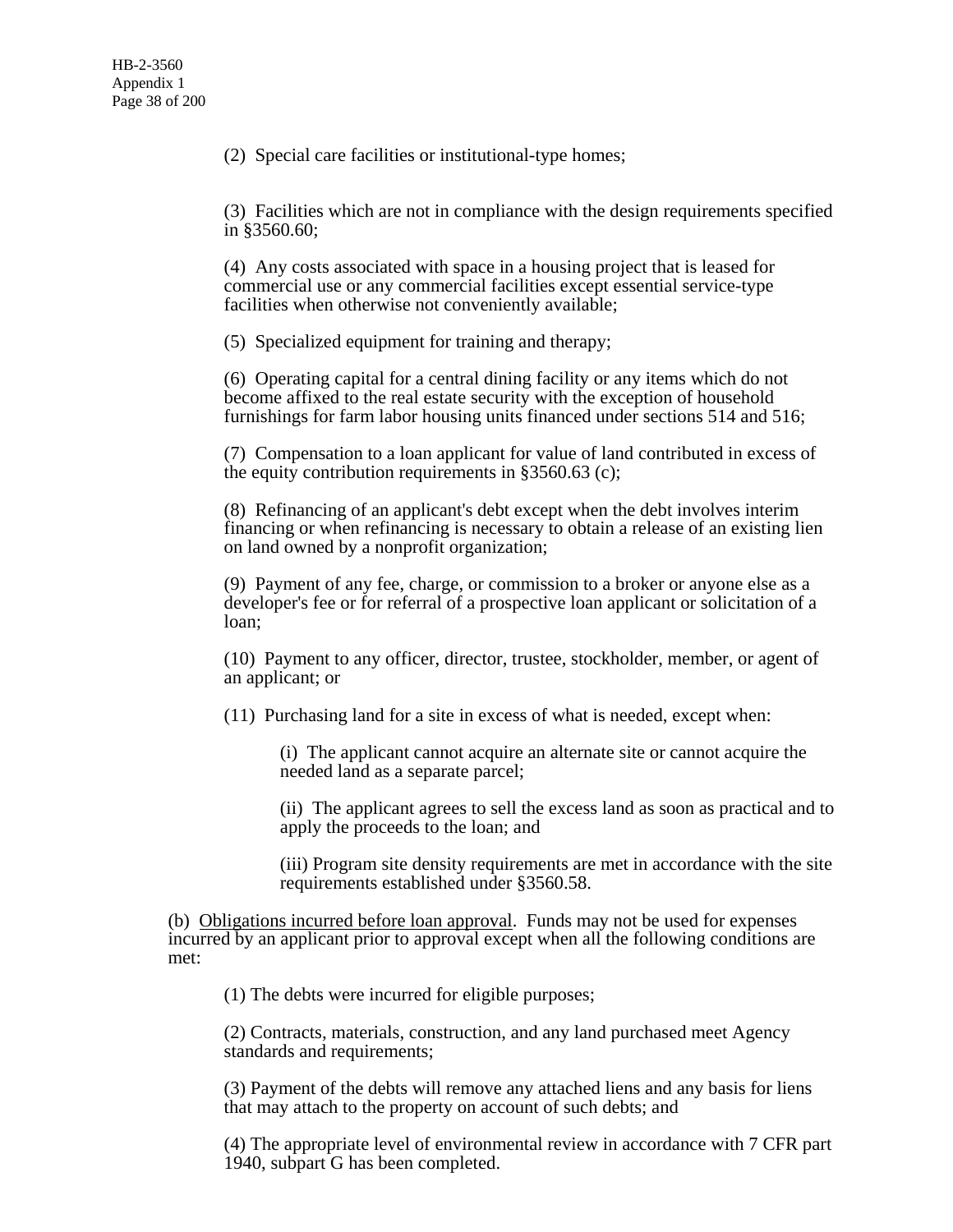(2) Special care facilities or institutional-type homes;

(3) Facilities which are not in compliance with the design requirements specified in §3560.60;

(4) Any costs associated with space in a housing project that is leased for commercial use or any commercial facilities except essential service-type facilities when otherwise not conveniently available;

(5) Specialized equipment for training and therapy;

(6) Operating capital for a central dining facility or any items which do not become affixed to the real estate security with the exception of household furnishings for farm labor housing units financed under sections 514 and 516;

(7) Compensation to a loan applicant for value of land contributed in excess of the equity contribution requirements in §3560.63 (c);

(8) Refinancing of an applicant's debt except when the debt involves interim financing or when refinancing is necessary to obtain a release of an existing lien on land owned by a nonprofit organization;

(9) Payment of any fee, charge, or commission to a broker or anyone else as a developer's fee or for referral of a prospective loan applicant or solicitation of a loan;

(10) Payment to any officer, director, trustee, stockholder, member, or agent of an applicant; or

(11) Purchasing land for a site in excess of what is needed, except when:

(i) The applicant cannot acquire an alternate site or cannot acquire the needed land as a separate parcel;

(ii) The applicant agrees to sell the excess land as soon as practical and to apply the proceeds to the loan; and

(iii) Program site density requirements are met in accordance with the site requirements established under §3560.58.

(b) Obligations incurred before loan approval. Funds may not be used for expenses incurred by an applicant prior to approval except when all the following conditions are met:

(1) The debts were incurred for eligible purposes;

(2) Contracts, materials, construction, and any land purchased meet Agency standards and requirements;

(3) Payment of the debts will remove any attached liens and any basis for liens that may attach to the property on account of such debts; and

(4) The appropriate level of environmental review in accordance with 7 CFR part 1940, subpart G has been completed.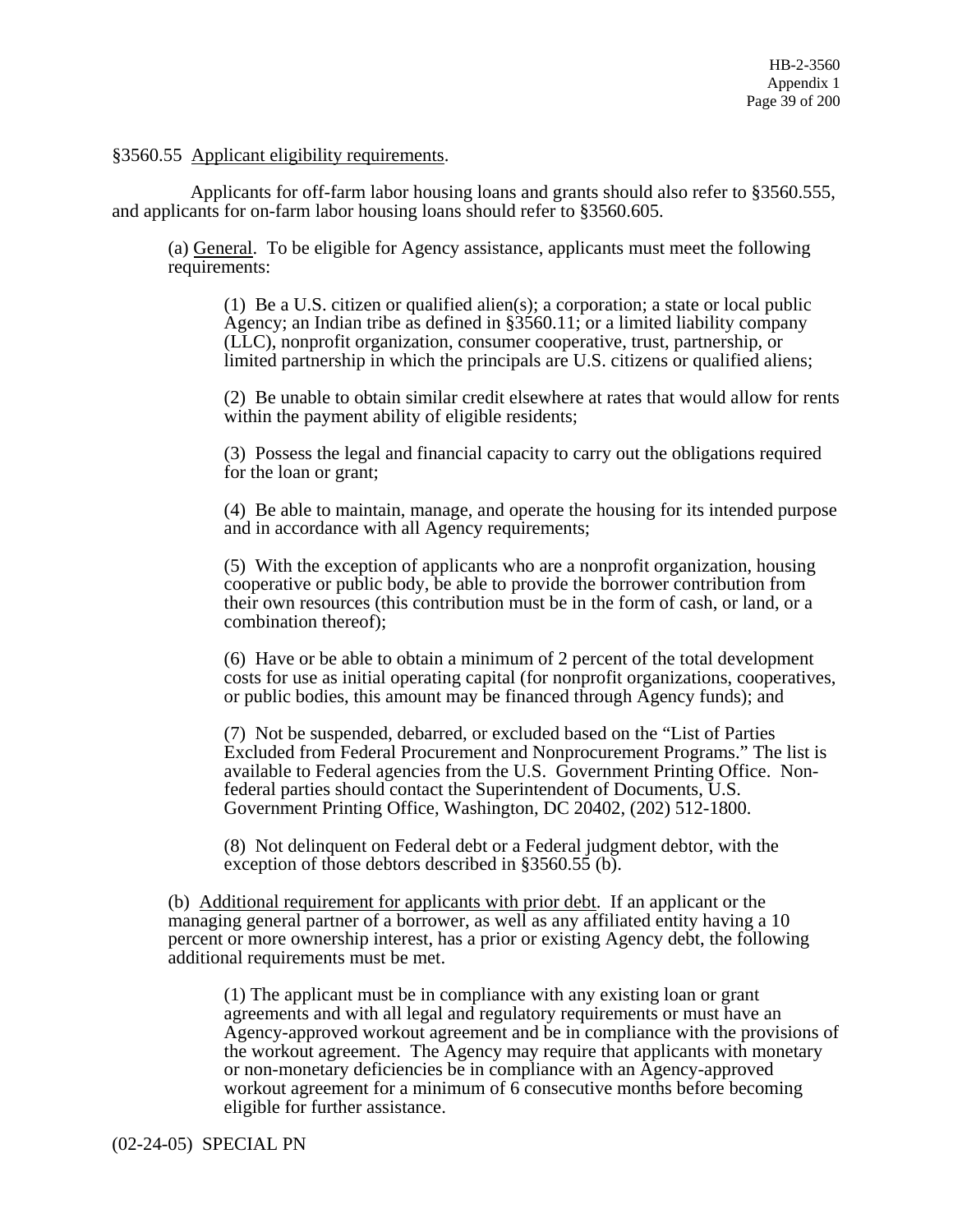#### §3560.55 Applicant eligibility requirements.

 Applicants for off-farm labor housing loans and grants should also refer to §3560.555, and applicants for on-farm labor housing loans should refer to §3560.605.

(a) General. To be eligible for Agency assistance, applicants must meet the following requirements:

(1) Be a U.S. citizen or qualified alien(s); a corporation; a state or local public Agency; an Indian tribe as defined in §3560.11; or a limited liability company (LLC), nonprofit organization, consumer cooperative, trust, partnership, or limited partnership in which the principals are U.S. citizens or qualified aliens;

(2) Be unable to obtain similar credit elsewhere at rates that would allow for rents within the payment ability of eligible residents;

(3) Possess the legal and financial capacity to carry out the obligations required for the loan or grant;

(4) Be able to maintain, manage, and operate the housing for its intended purpose and in accordance with all Agency requirements;

(5) With the exception of applicants who are a nonprofit organization, housing cooperative or public body, be able to provide the borrower contribution from their own resources (this contribution must be in the form of cash, or land, or a combination thereof);

(6) Have or be able to obtain a minimum of 2 percent of the total development costs for use as initial operating capital (for nonprofit organizations, cooperatives, or public bodies, this amount may be financed through Agency funds); and

(7) Not be suspended, debarred, or excluded based on the "List of Parties Excluded from Federal Procurement and Nonprocurement Programs." The list is available to Federal agencies from the U.S. Government Printing Office. Nonfederal parties should contact the Superintendent of Documents, U.S. Government Printing Office, Washington, DC 20402, (202) 512-1800.

(8) Not delinquent on Federal debt or a Federal judgment debtor, with the exception of those debtors described in §3560.55 (b).

(b) Additional requirement for applicants with prior debt. If an applicant or the managing general partner of a borrower, as well as any affiliated entity having a 10 percent or more ownership interest, has a prior or existing Agency debt, the following additional requirements must be met.

(1) The applicant must be in compliance with any existing loan or grant agreements and with all legal and regulatory requirements or must have an Agency-approved workout agreement and be in compliance with the provisions of the workout agreement. The Agency may require that applicants with monetary or non-monetary deficiencies be in compliance with an Agency-approved workout agreement for a minimum of 6 consecutive months before becoming eligible for further assistance.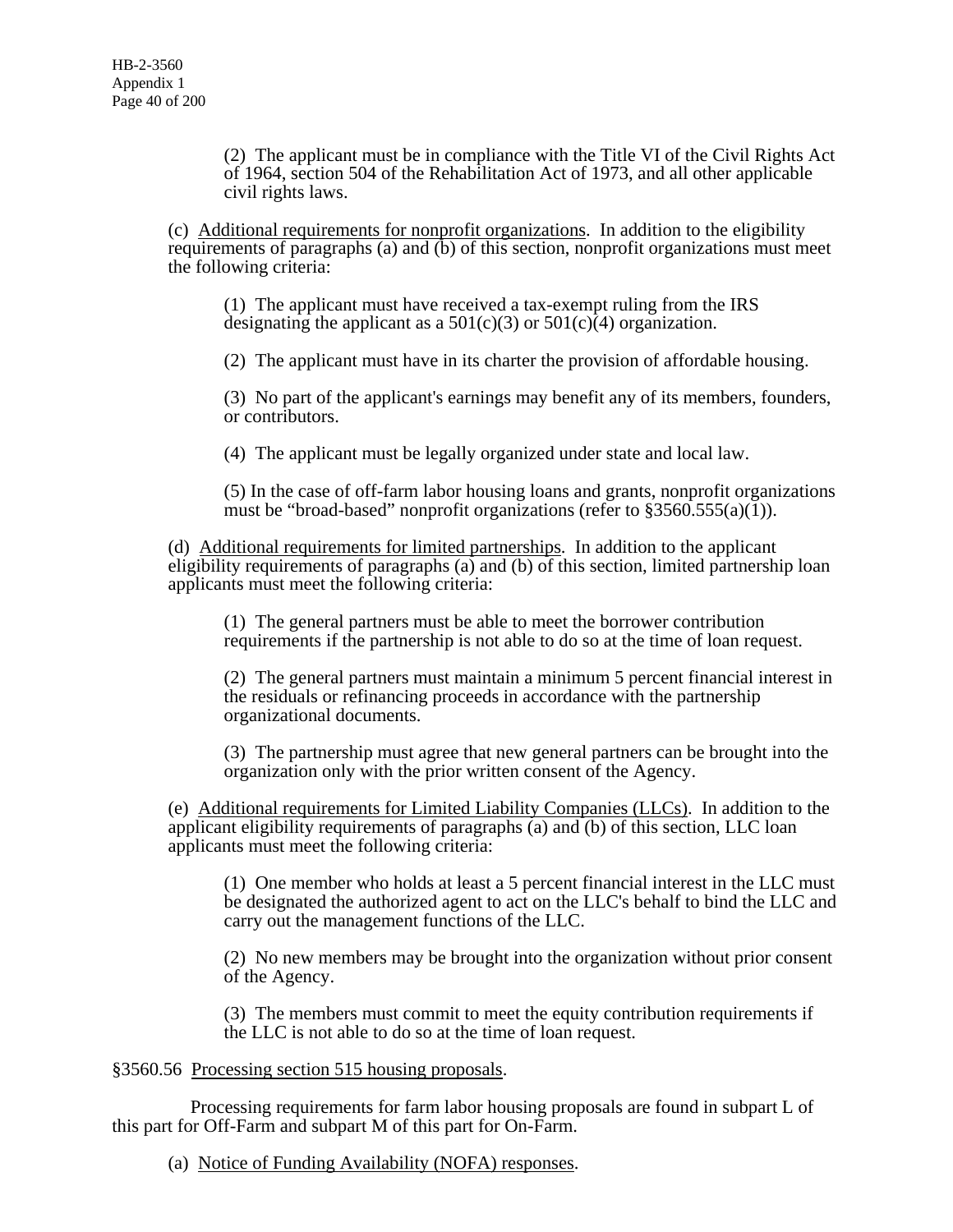(2) The applicant must be in compliance with the Title VI of the Civil Rights Act of 1964, section 504 of the Rehabilitation Act of 1973, and all other applicable civil rights laws.

(c) Additional requirements for nonprofit organizations. In addition to the eligibility requirements of paragraphs (a) and (b) of this section, nonprofit organizations must meet the following criteria:

(1) The applicant must have received a tax-exempt ruling from the IRS designating the applicant as a  $501(c)(3)$  or  $501(c)(4)$  organization.

(2) The applicant must have in its charter the provision of affordable housing.

(3) No part of the applicant's earnings may benefit any of its members, founders, or contributors.

(4) The applicant must be legally organized under state and local law.

(5) In the case of off-farm labor housing loans and grants, nonprofit organizations must be "broad-based" nonprofit organizations (refer to  $\S 3560.555(a)(1)$ ).

(d) Additional requirements for limited partnerships. In addition to the applicant eligibility requirements of paragraphs (a) and (b) of this section, limited partnership loan applicants must meet the following criteria:

(1) The general partners must be able to meet the borrower contribution requirements if the partnership is not able to do so at the time of loan request.

(2) The general partners must maintain a minimum 5 percent financial interest in the residuals or refinancing proceeds in accordance with the partnership organizational documents.

(3) The partnership must agree that new general partners can be brought into the organization only with the prior written consent of the Agency.

(e) Additional requirements for Limited Liability Companies (LLCs). In addition to the applicant eligibility requirements of paragraphs (a) and (b) of this section, LLC loan applicants must meet the following criteria:

(1) One member who holds at least a 5 percent financial interest in the LLC must be designated the authorized agent to act on the LLC's behalf to bind the LLC and carry out the management functions of the LLC.

(2) No new members may be brought into the organization without prior consent of the Agency.

(3) The members must commit to meet the equity contribution requirements if the LLC is not able to do so at the time of loan request.

### §3560.56 Processing section 515 housing proposals.

 Processing requirements for farm labor housing proposals are found in subpart L of this part for Off-Farm and subpart M of this part for On-Farm.

(a) Notice of Funding Availability (NOFA) responses.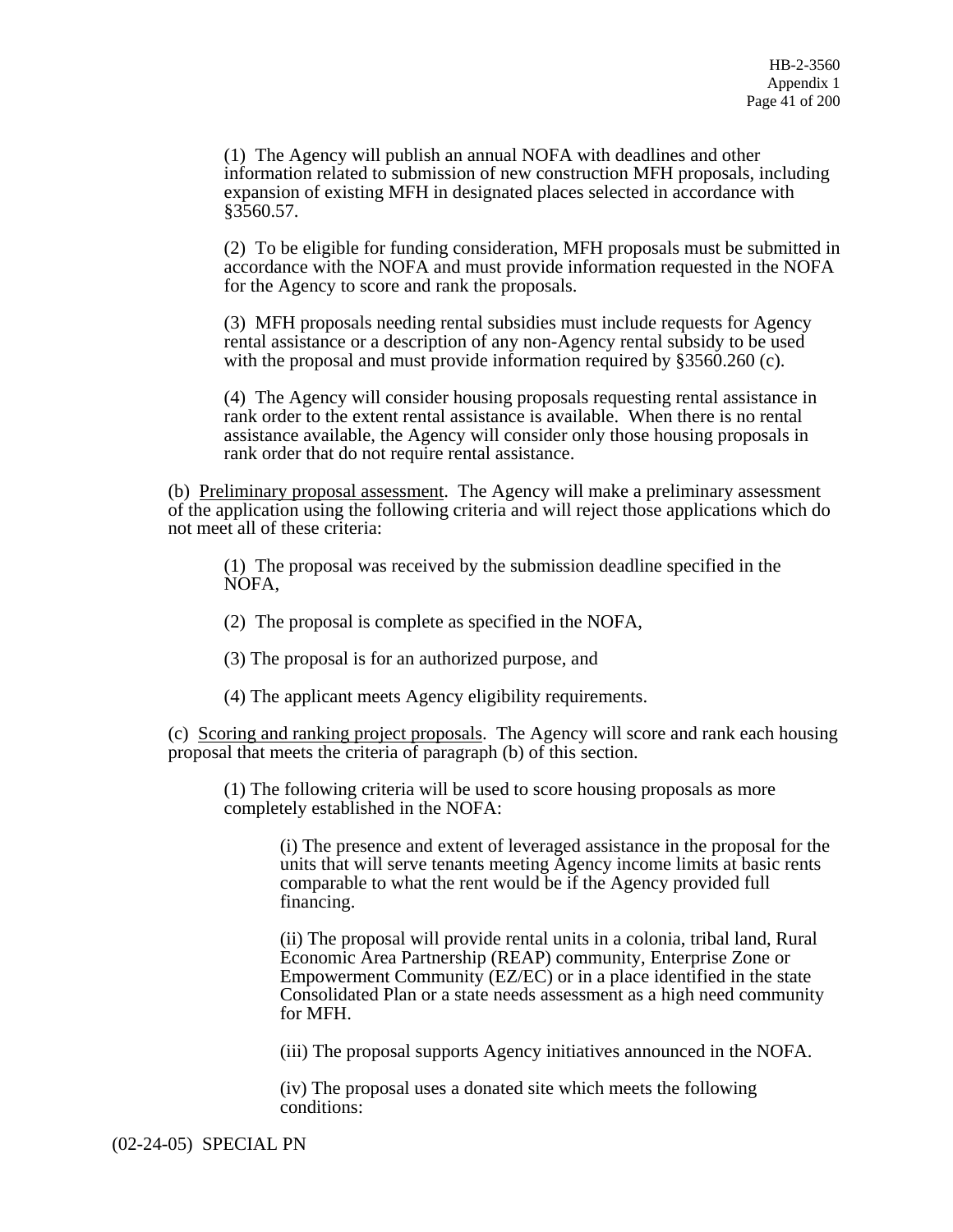(1) The Agency will publish an annual NOFA with deadlines and other information related to submission of new construction MFH proposals, including expansion of existing MFH in designated places selected in accordance with §3560.57.

(2) To be eligible for funding consideration, MFH proposals must be submitted in accordance with the NOFA and must provide information requested in the NOFA for the Agency to score and rank the proposals.

(3) MFH proposals needing rental subsidies must include requests for Agency rental assistance or a description of any non-Agency rental subsidy to be used with the proposal and must provide information required by §3560.260 (c).

(4) The Agency will consider housing proposals requesting rental assistance in rank order to the extent rental assistance is available. When there is no rental assistance available, the Agency will consider only those housing proposals in rank order that do not require rental assistance.

(b) Preliminary proposal assessment. The Agency will make a preliminary assessment of the application using the following criteria and will reject those applications which do not meet all of these criteria:

(1) The proposal was received by the submission deadline specified in the NOFA,

(2) The proposal is complete as specified in the NOFA,

(3) The proposal is for an authorized purpose, and

(4) The applicant meets Agency eligibility requirements.

(c) Scoring and ranking project proposals. The Agency will score and rank each housing proposal that meets the criteria of paragraph (b) of this section.

(1) The following criteria will be used to score housing proposals as more completely established in the NOFA:

> (i) The presence and extent of leveraged assistance in the proposal for the units that will serve tenants meeting Agency income limits at basic rents comparable to what the rent would be if the Agency provided full financing.

(ii) The proposal will provide rental units in a colonia, tribal land, Rural Economic Area Partnership (REAP) community, Enterprise Zone or Empowerment Community (EZ/EC) or in a place identified in the state Consolidated Plan or a state needs assessment as a high need community for MFH.

(iii) The proposal supports Agency initiatives announced in the NOFA.

(iv) The proposal uses a donated site which meets the following conditions:

(02-24-05) SPECIAL PN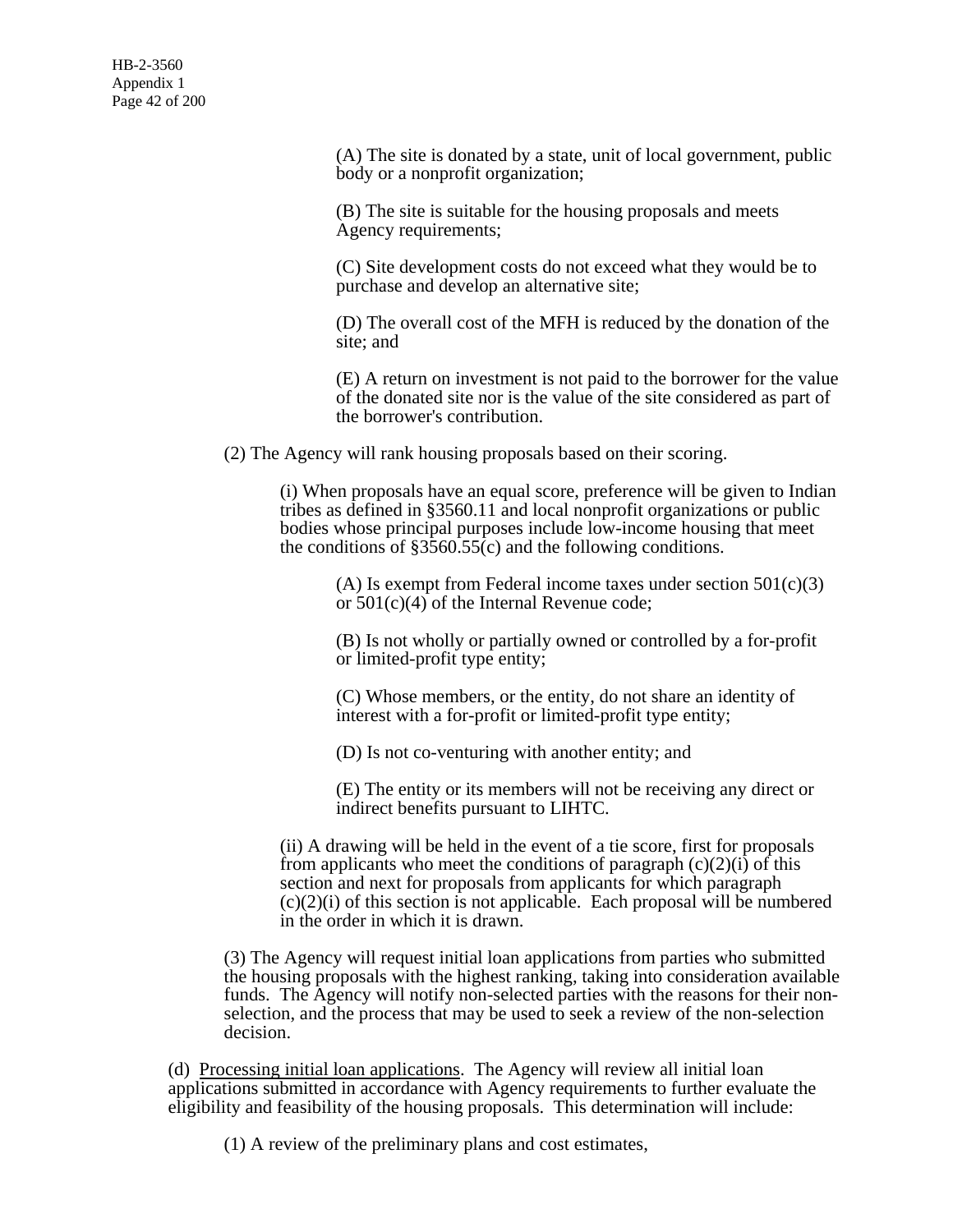(A) The site is donated by a state, unit of local government, public body or a nonprofit organization;

(B) The site is suitable for the housing proposals and meets Agency requirements;

(C) Site development costs do not exceed what they would be to purchase and develop an alternative site;

(D) The overall cost of the MFH is reduced by the donation of the site; and

(E) A return on investment is not paid to the borrower for the value of the donated site nor is the value of the site considered as part of the borrower's contribution.

(2) The Agency will rank housing proposals based on their scoring.

(i) When proposals have an equal score, preference will be given to Indian tribes as defined in §3560.11 and local nonprofit organizations or public bodies whose principal purposes include low-income housing that meet the conditions of  $\S 3560.55(c)$  and the following conditions.

(A) Is exempt from Federal income taxes under section  $501(c)(3)$ or 501(c)(4) of the Internal Revenue code;

(B) Is not wholly or partially owned or controlled by a for-profit or limited-profit type entity;

(C) Whose members, or the entity, do not share an identity of interest with a for-profit or limited-profit type entity;

(D) Is not co-venturing with another entity; and

(E) The entity or its members will not be receiving any direct or indirect benefits pursuant to LIHTC.

(ii) A drawing will be held in the event of a tie score, first for proposals from applicants who meet the conditions of paragraph  $(c)(2)(i)$  of this section and next for proposals from applicants for which paragraph  $(c)(2)(i)$  of this section is not applicable. Each proposal will be numbered in the order in which it is drawn.

(3) The Agency will request initial loan applications from parties who submitted the housing proposals with the highest ranking, taking into consideration available funds. The Agency will notify non-selected parties with the reasons for their nonselection, and the process that may be used to seek a review of the non-selection decision.

(d) Processing initial loan applications. The Agency will review all initial loan applications submitted in accordance with Agency requirements to further evaluate the eligibility and feasibility of the housing proposals. This determination will include:

(1) A review of the preliminary plans and cost estimates,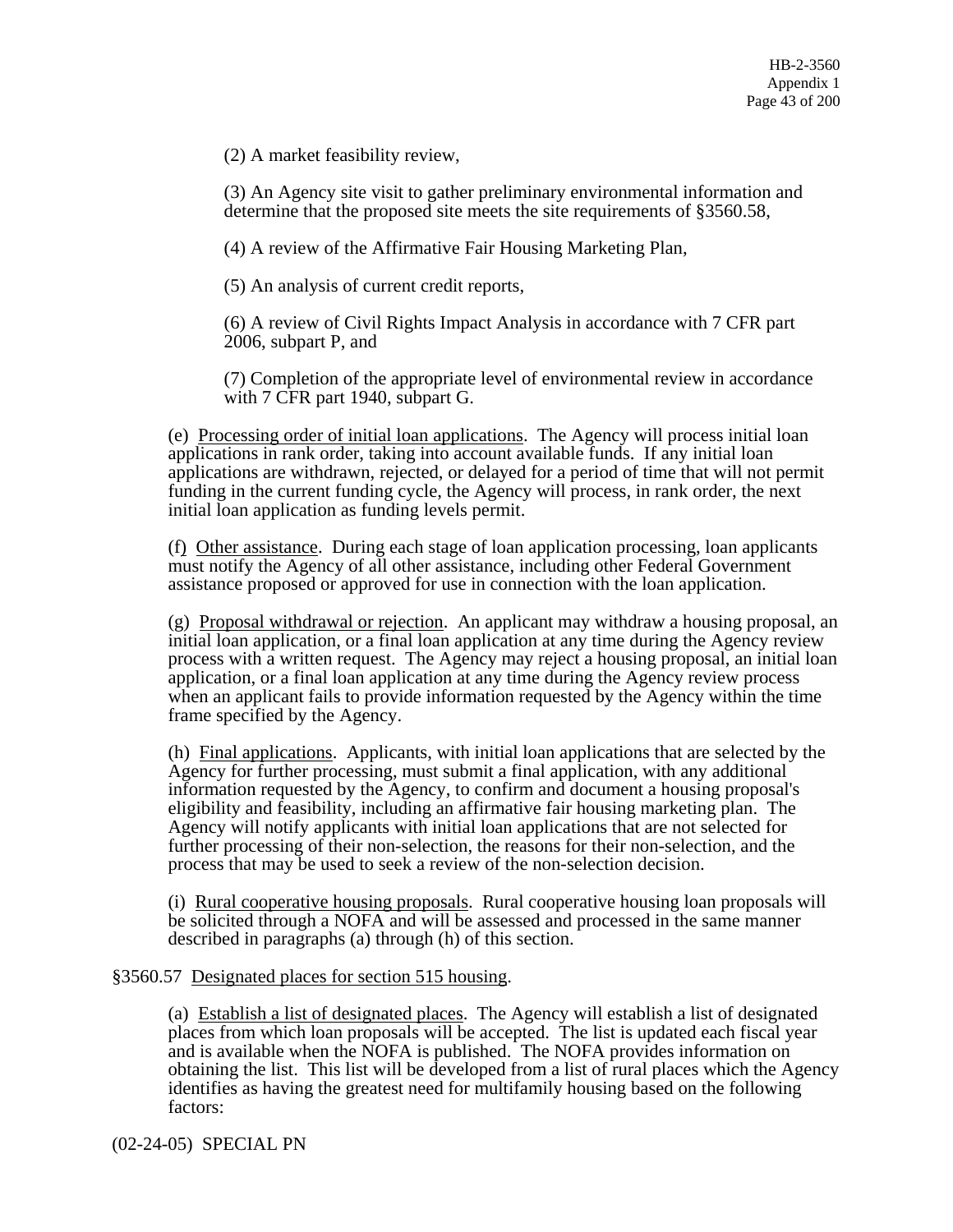(2) A market feasibility review,

(3) An Agency site visit to gather preliminary environmental information and determine that the proposed site meets the site requirements of §3560.58,

(4) A review of the Affirmative Fair Housing Marketing Plan,

(5) An analysis of current credit reports,

(6) A review of Civil Rights Impact Analysis in accordance with 7 CFR part 2006, subpart P, and

(7) Completion of the appropriate level of environmental review in accordance with 7 CFR part 1940, subpart G.

(e) Processing order of initial loan applications. The Agency will process initial loan applications in rank order, taking into account available funds. If any initial loan applications are withdrawn, rejected, or delayed for a period of time that will not permit funding in the current funding cycle, the Agency will process, in rank order, the next initial loan application as funding levels permit.

(f) Other assistance. During each stage of loan application processing, loan applicants must notify the Agency of all other assistance, including other Federal Government assistance proposed or approved for use in connection with the loan application.

(g) Proposal withdrawal or rejection. An applicant may withdraw a housing proposal, an initial loan application, or a final loan application at any time during the Agency review process with a written request. The Agency may reject a housing proposal, an initial loan application, or a final loan application at any time during the Agency review process when an applicant fails to provide information requested by the Agency within the time frame specified by the Agency.

(h) Final applications. Applicants, with initial loan applications that are selected by the Agency for further processing, must submit a final application, with any additional information requested by the Agency, to confirm and document a housing proposal's eligibility and feasibility, including an affirmative fair housing marketing plan. The Agency will notify applicants with initial loan applications that are not selected for further processing of their non-selection, the reasons for their non-selection, and the process that may be used to seek a review of the non-selection decision.

(i) Rural cooperative housing proposals. Rural cooperative housing loan proposals will be solicited through a NOFA and will be assessed and processed in the same manner described in paragraphs (a) through (h) of this section.

## §3560.57 Designated places for section 515 housing.

(a) Establish a list of designated places. The Agency will establish a list of designated places from which loan proposals will be accepted. The list is updated each fiscal year and is available when the NOFA is published. The NOFA provides information on obtaining the list. This list will be developed from a list of rural places which the Agency identifies as having the greatest need for multifamily housing based on the following factors:

(02-24-05) SPECIAL PN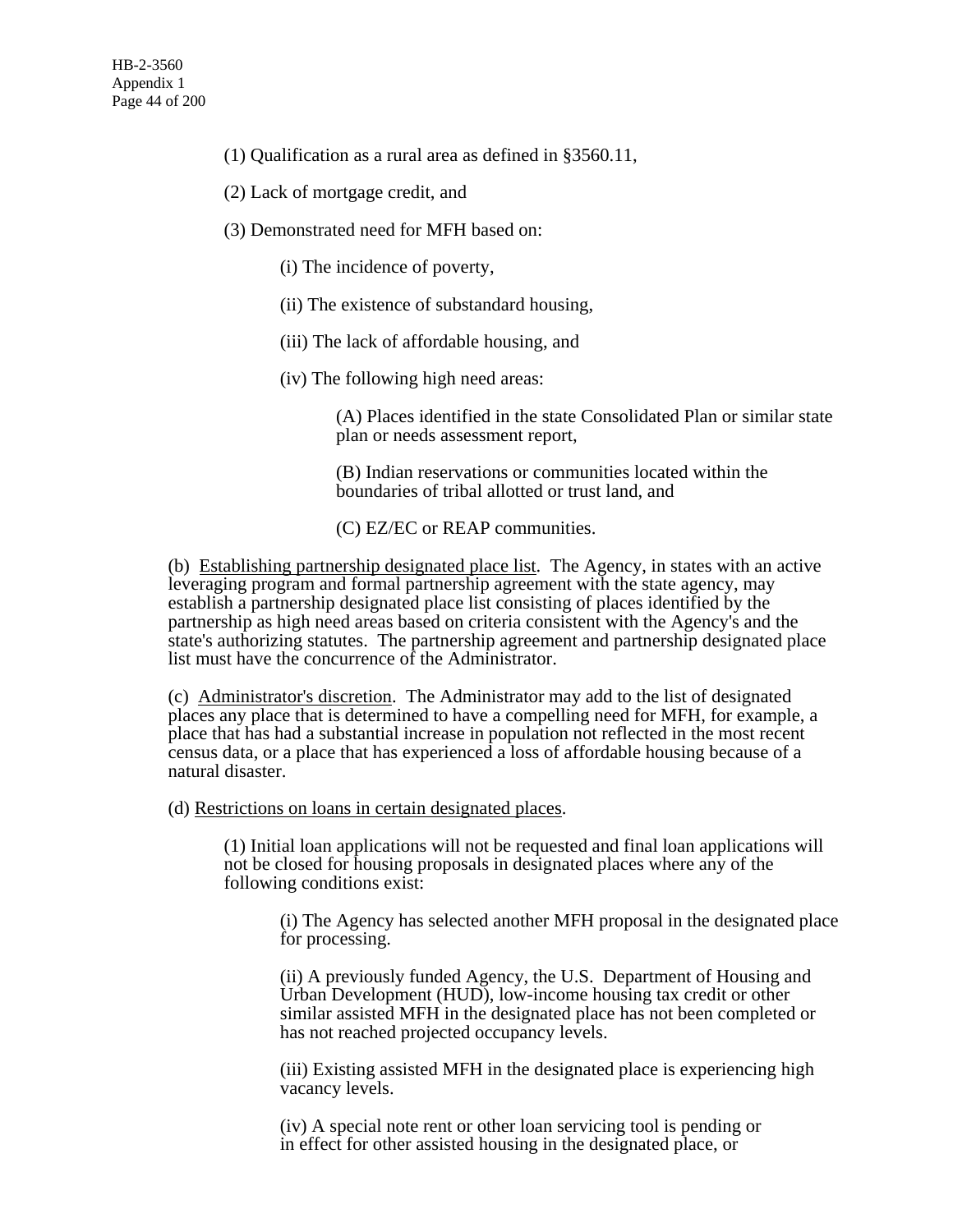- (1) Qualification as a rural area as defined in §3560.11,
- (2) Lack of mortgage credit, and
- (3) Demonstrated need for MFH based on:
	- (i) The incidence of poverty,
	- (ii) The existence of substandard housing,
	- (iii) The lack of affordable housing, and
	- (iv) The following high need areas:

(A) Places identified in the state Consolidated Plan or similar state plan or needs assessment report,

(B) Indian reservations or communities located within the boundaries of tribal allotted or trust land, and

(C) EZ/EC or REAP communities.

(b) Establishing partnership designated place list. The Agency, in states with an active leveraging program and formal partnership agreement with the state agency, may establish a partnership designated place list consisting of places identified by the partnership as high need areas based on criteria consistent with the Agency's and the state's authorizing statutes. The partnership agreement and partnership designated place list must have the concurrence of the Administrator.

(c) Administrator's discretion. The Administrator may add to the list of designated places any place that is determined to have a compelling need for MFH, for example, a place that has had a substantial increase in population not reflected in the most recent census data, or a place that has experienced a loss of affordable housing because of a natural disaster.

(d) Restrictions on loans in certain designated places.

(1) Initial loan applications will not be requested and final loan applications will not be closed for housing proposals in designated places where any of the following conditions exist:

(i) The Agency has selected another MFH proposal in the designated place for processing.

(ii) A previously funded Agency, the U.S. Department of Housing and Urban Development (HUD), low-income housing tax credit or other similar assisted MFH in the designated place has not been completed or has not reached projected occupancy levels.

(iii) Existing assisted MFH in the designated place is experiencing high vacancy levels.

(iv) A special note rent or other loan servicing tool is pending or in effect for other assisted housing in the designated place, or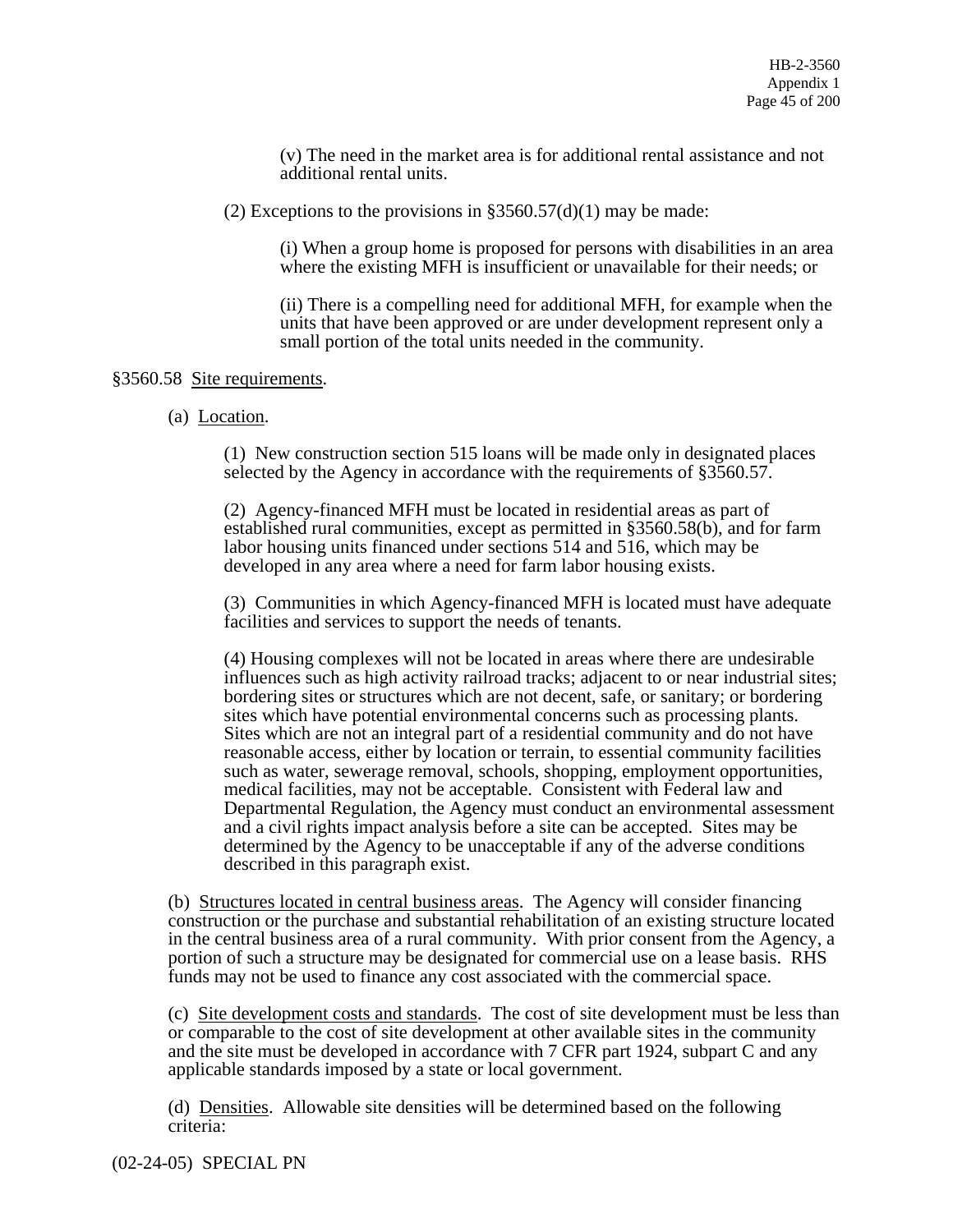(v) The need in the market area is for additional rental assistance and not additional rental units.

(2) Exceptions to the provisions in  $\S 3560.57(d)(1)$  may be made:

(i) When a group home is proposed for persons with disabilities in an area where the existing MFH is insufficient or unavailable for their needs; or

(ii) There is a compelling need for additional MFH, for example when the units that have been approved or are under development represent only a small portion of the total units needed in the community.

### §3560.58 Site requirements.

(a) Location.

(1) New construction section 515 loans will be made only in designated places selected by the Agency in accordance with the requirements of §3560.57.

(2) Agency-financed MFH must be located in residential areas as part of established rural communities, except as permitted in §3560.58(b), and for farm labor housing units financed under sections 514 and 516, which may be developed in any area where a need for farm labor housing exists.

(3) Communities in which Agency-financed MFH is located must have adequate facilities and services to support the needs of tenants.

(4) Housing complexes will not be located in areas where there are undesirable influences such as high activity railroad tracks; adjacent to or near industrial sites; bordering sites or structures which are not decent, safe, or sanitary; or bordering sites which have potential environmental concerns such as processing plants. Sites which are not an integral part of a residential community and do not have reasonable access, either by location or terrain, to essential community facilities such as water, sewerage removal, schools, shopping, employment opportunities, medical facilities, may not be acceptable. Consistent with Federal law and Departmental Regulation, the Agency must conduct an environmental assessment and a civil rights impact analysis before a site can be accepted. Sites may be determined by the Agency to be unacceptable if any of the adverse conditions described in this paragraph exist.

(b) Structures located in central business areas. The Agency will consider financing construction or the purchase and substantial rehabilitation of an existing structure located in the central business area of a rural community. With prior consent from the Agency, a portion of such a structure may be designated for commercial use on a lease basis. RHS funds may not be used to finance any cost associated with the commercial space.

(c) Site development costs and standards. The cost of site development must be less than or comparable to the cost of site development at other available sites in the community and the site must be developed in accordance with 7 CFR part 1924, subpart C and any applicable standards imposed by a state or local government.

(d) Densities. Allowable site densities will be determined based on the following criteria: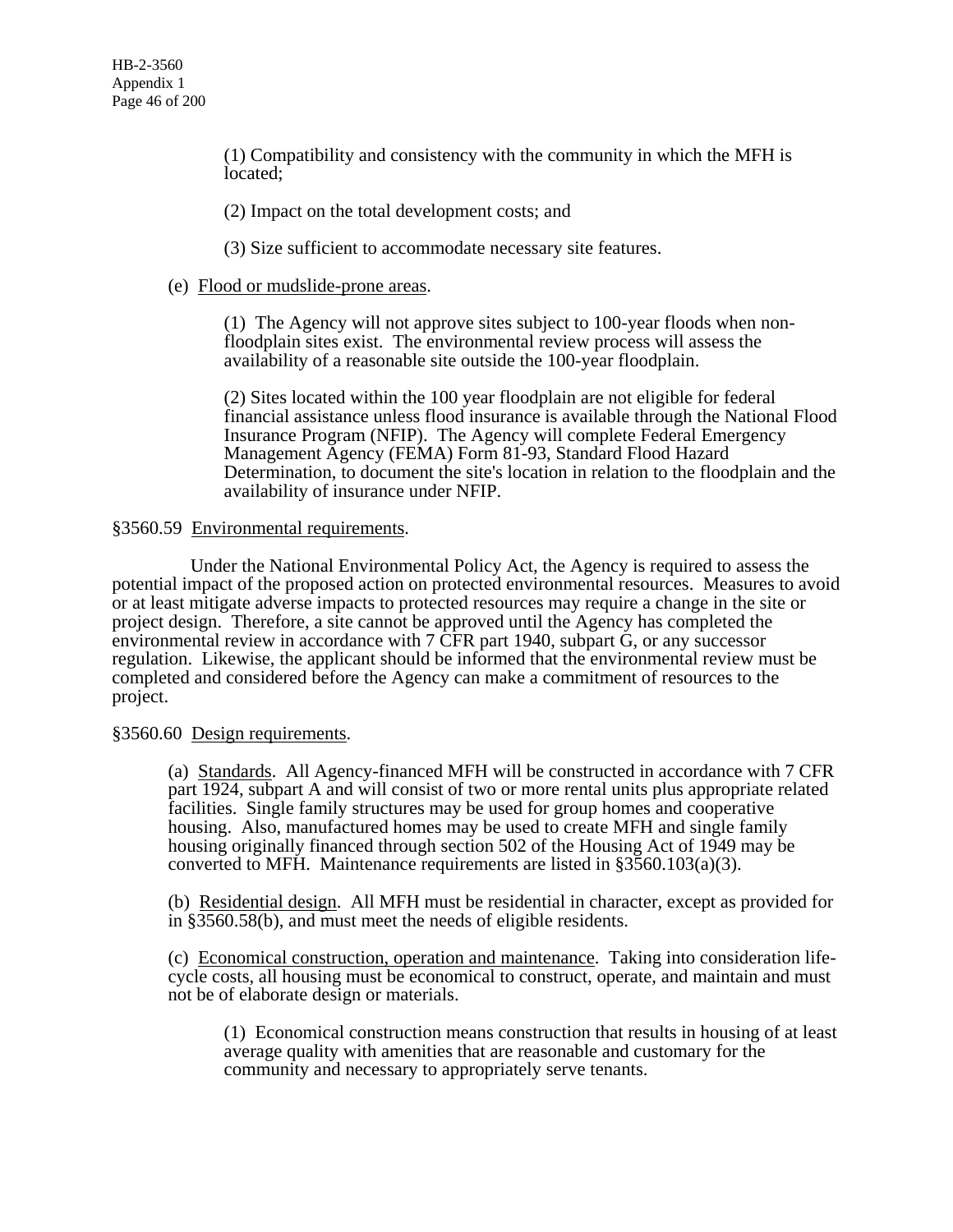(1) Compatibility and consistency with the community in which the MFH is located;

(2) Impact on the total development costs; and

(3) Size sufficient to accommodate necessary site features.

## (e) Flood or mudslide-prone areas.

(1) The Agency will not approve sites subject to 100-year floods when nonfloodplain sites exist. The environmental review process will assess the availability of a reasonable site outside the 100-year floodplain.

(2) Sites located within the 100 year floodplain are not eligible for federal financial assistance unless flood insurance is available through the National Flood Insurance Program (NFIP). The Agency will complete Federal Emergency Management Agency (FEMA) Form 81-93, Standard Flood Hazard Determination, to document the site's location in relation to the floodplain and the availability of insurance under NFIP.

### §3560.59 Environmental requirements.

 Under the National Environmental Policy Act, the Agency is required to assess the potential impact of the proposed action on protected environmental resources. Measures to avoid or at least mitigate adverse impacts to protected resources may require a change in the site or project design. Therefore, a site cannot be approved until the Agency has completed the environmental review in accordance with 7 CFR part 1940, subpart G, or any successor regulation. Likewise, the applicant should be informed that the environmental review must be completed and considered before the Agency can make a commitment of resources to the project.

### §3560.60 Design requirements.

(a) Standards. All Agency-financed MFH will be constructed in accordance with 7 CFR part 1924, subpart A and will consist of two or more rental units plus appropriate related facilities. Single family structures may be used for group homes and cooperative housing. Also, manufactured homes may be used to create MFH and single family housing originally financed through section 502 of the Housing Act of 1949 may be converted to MFH. Maintenance requirements are listed in §3560.103(a)(3).

(b) Residential design. All MFH must be residential in character, except as provided for in §3560.58(b), and must meet the needs of eligible residents.

(c) Economical construction, operation and maintenance. Taking into consideration lifecycle costs, all housing must be economical to construct, operate, and maintain and must not be of elaborate design or materials.

(1) Economical construction means construction that results in housing of at least average quality with amenities that are reasonable and customary for the community and necessary to appropriately serve tenants.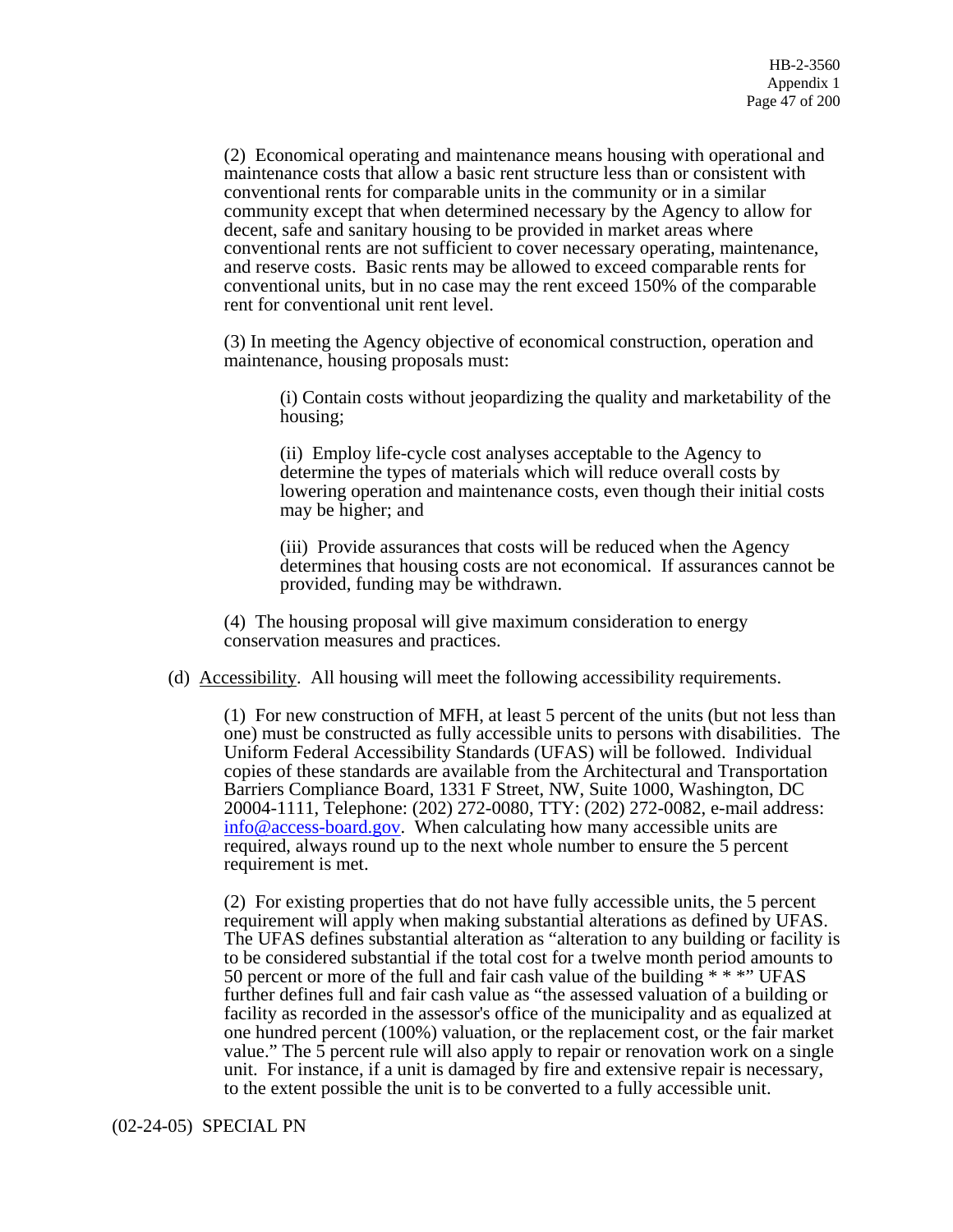(2) Economical operating and maintenance means housing with operational and maintenance costs that allow a basic rent structure less than or consistent with conventional rents for comparable units in the community or in a similar community except that when determined necessary by the Agency to allow for decent, safe and sanitary housing to be provided in market areas where conventional rents are not sufficient to cover necessary operating, maintenance, and reserve costs. Basic rents may be allowed to exceed comparable rents for conventional units, but in no case may the rent exceed 150% of the comparable rent for conventional unit rent level.

(3) In meeting the Agency objective of economical construction, operation and maintenance, housing proposals must:

(i) Contain costs without jeopardizing the quality and marketability of the housing;

(ii) Employ life-cycle cost analyses acceptable to the Agency to determine the types of materials which will reduce overall costs by lowering operation and maintenance costs, even though their initial costs may be higher; and

(iii) Provide assurances that costs will be reduced when the Agency determines that housing costs are not economical. If assurances cannot be provided, funding may be withdrawn.

(4) The housing proposal will give maximum consideration to energy conservation measures and practices.

(d) Accessibility. All housing will meet the following accessibility requirements.

(1) For new construction of MFH, at least 5 percent of the units (but not less than one) must be constructed as fully accessible units to persons with disabilities. The Uniform Federal Accessibility Standards (UFAS) will be followed. Individual copies of these standards are available from the Architectural and Transportation Barriers Compliance Board, 1331 F Street, NW, Suite 1000, Washington, DC 20004-1111, Telephone: (202) 272-0080, TTY: (202) 272-0082, e-mail address: info@access-board.gov. When calculating how many accessible units are required, always round up to the next whole number to ensure the 5 percent requirement is met.

(2) For existing properties that do not have fully accessible units, the 5 percent requirement will apply when making substantial alterations as defined by UFAS. The UFAS defines substantial alteration as "alteration to any building or facility is to be considered substantial if the total cost for a twelve month period amounts to 50 percent or more of the full and fair cash value of the building \* \* \*" UFAS further defines full and fair cash value as "the assessed valuation of a building or facility as recorded in the assessor's office of the municipality and as equalized at one hundred percent (100%) valuation, or the replacement cost, or the fair market value." The 5 percent rule will also apply to repair or renovation work on a single unit. For instance, if a unit is damaged by fire and extensive repair is necessary, to the extent possible the unit is to be converted to a fully accessible unit.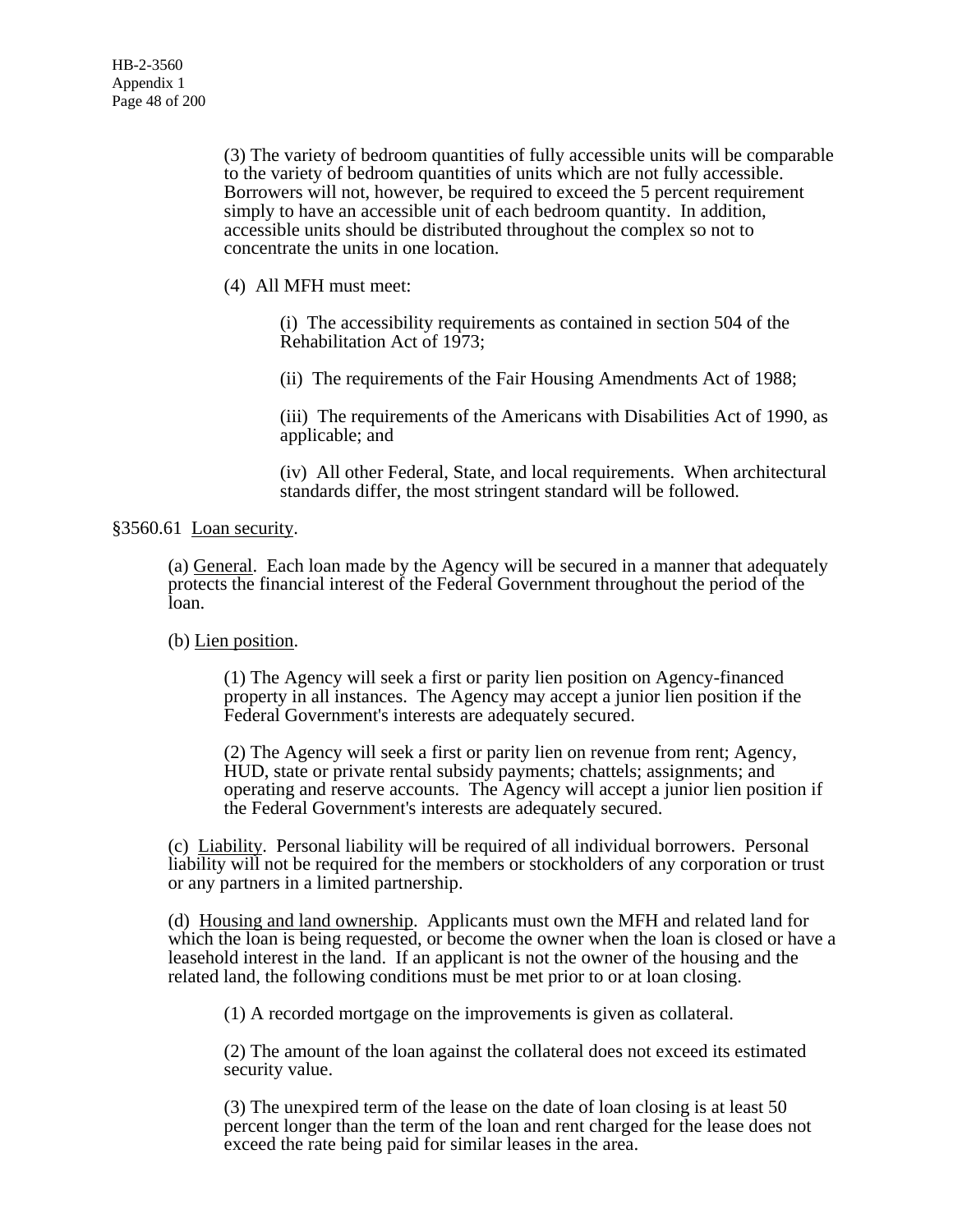(3) The variety of bedroom quantities of fully accessible units will be comparable to the variety of bedroom quantities of units which are not fully accessible. Borrowers will not, however, be required to exceed the 5 percent requirement simply to have an accessible unit of each bedroom quantity. In addition, accessible units should be distributed throughout the complex so not to concentrate the units in one location.

(4) All MFH must meet:

(i) The accessibility requirements as contained in section 504 of the Rehabilitation Act of 1973;

(ii) The requirements of the Fair Housing Amendments Act of 1988;

(iii) The requirements of the Americans with Disabilities Act of 1990, as applicable; and

(iv) All other Federal, State, and local requirements. When architectural standards differ, the most stringent standard will be followed.

### §3560.61 Loan security.

(a) General. Each loan made by the Agency will be secured in a manner that adequately protects the financial interest of the Federal Government throughout the period of the loan.

# (b) Lien position.

(1) The Agency will seek a first or parity lien position on Agency-financed property in all instances. The Agency may accept a junior lien position if the Federal Government's interests are adequately secured.

(2) The Agency will seek a first or parity lien on revenue from rent; Agency, HUD, state or private rental subsidy payments; chattels; assignments; and operating and reserve accounts. The Agency will accept a junior lien position if the Federal Government's interests are adequately secured.

(c) Liability. Personal liability will be required of all individual borrowers. Personal liability will not be required for the members or stockholders of any corporation or trust or any partners in a limited partnership.

(d) Housing and land ownership. Applicants must own the MFH and related land for which the loan is being requested, or become the owner when the loan is closed or have a leasehold interest in the land. If an applicant is not the owner of the housing and the related land, the following conditions must be met prior to or at loan closing.

(1) A recorded mortgage on the improvements is given as collateral.

(2) The amount of the loan against the collateral does not exceed its estimated security value.

(3) The unexpired term of the lease on the date of loan closing is at least 50 percent longer than the term of the loan and rent charged for the lease does not exceed the rate being paid for similar leases in the area.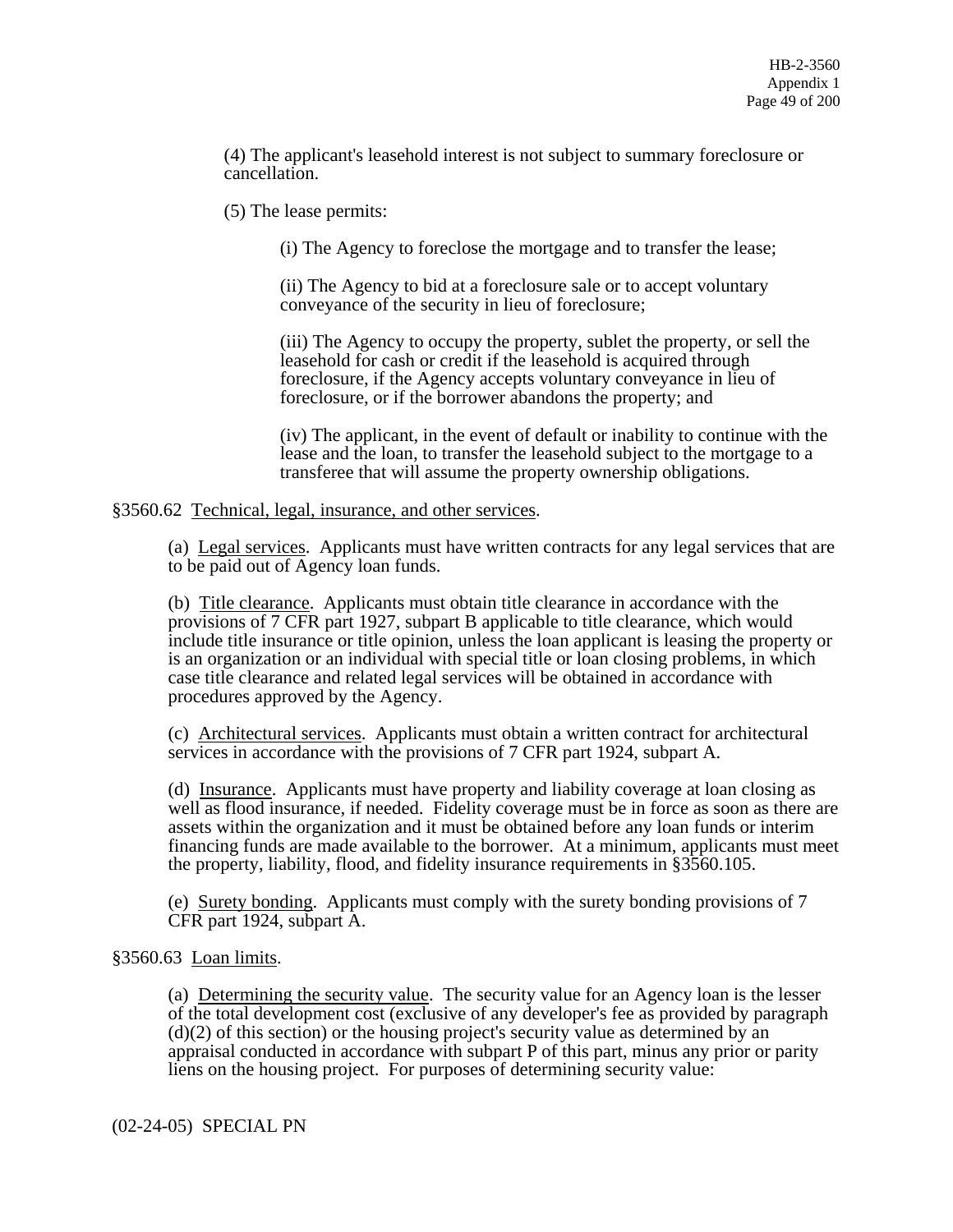(4) The applicant's leasehold interest is not subject to summary foreclosure or cancellation.

(5) The lease permits:

(i) The Agency to foreclose the mortgage and to transfer the lease;

(ii) The Agency to bid at a foreclosure sale or to accept voluntary conveyance of the security in lieu of foreclosure;

(iii) The Agency to occupy the property, sublet the property, or sell the leasehold for cash or credit if the leasehold is acquired through foreclosure, if the Agency accepts voluntary conveyance in lieu of foreclosure, or if the borrower abandons the property; and

(iv) The applicant, in the event of default or inability to continue with the lease and the loan, to transfer the leasehold subject to the mortgage to a transferee that will assume the property ownership obligations.

#### §3560.62 Technical, legal, insurance, and other services.

(a) Legal services. Applicants must have written contracts for any legal services that are to be paid out of Agency loan funds.

(b) Title clearance. Applicants must obtain title clearance in accordance with the provisions of 7 CFR part 1927, subpart B applicable to title clearance, which would include title insurance or title opinion, unless the loan applicant is leasing the property or is an organization or an individual with special title or loan closing problems, in which case title clearance and related legal services will be obtained in accordance with procedures approved by the Agency.

(c) Architectural services. Applicants must obtain a written contract for architectural services in accordance with the provisions of 7 CFR part 1924, subpart A.

(d) Insurance. Applicants must have property and liability coverage at loan closing as well as flood insurance, if needed. Fidelity coverage must be in force as soon as there are assets within the organization and it must be obtained before any loan funds or interim financing funds are made available to the borrower. At a minimum, applicants must meet the property, liability, flood, and fidelity insurance requirements in §3560.105.

(e) Surety bonding. Applicants must comply with the surety bonding provisions of 7 CFR part 1924, subpart A.

## §3560.63 Loan limits.

(a) Determining the security value. The security value for an Agency loan is the lesser of the total development cost (exclusive of any developer's fee as provided by paragraph (d)(2) of this section) or the housing project's security value as determined by an appraisal conducted in accordance with subpart P of this part, minus any prior or parity liens on the housing project. For purposes of determining security value:

(02-24-05) SPECIAL PN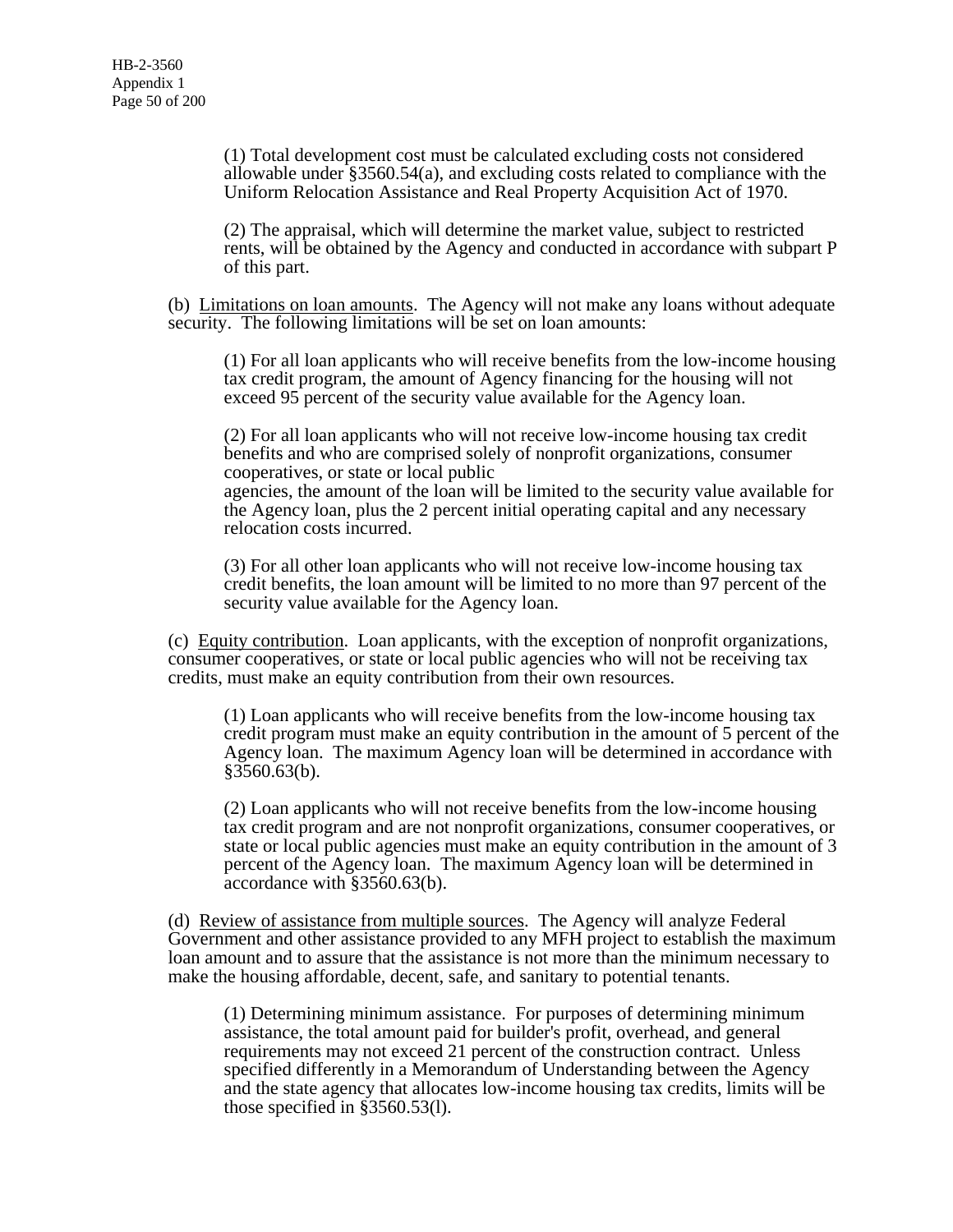(1) Total development cost must be calculated excluding costs not considered allowable under §3560.54(a), and excluding costs related to compliance with the Uniform Relocation Assistance and Real Property Acquisition Act of 1970.

(2) The appraisal, which will determine the market value, subject to restricted rents, will be obtained by the Agency and conducted in accordance with subpart P of this part.

(b) Limitations on loan amounts. The Agency will not make any loans without adequate security. The following limitations will be set on loan amounts:

(1) For all loan applicants who will receive benefits from the low-income housing tax credit program, the amount of Agency financing for the housing will not exceed 95 percent of the security value available for the Agency loan.

(2) For all loan applicants who will not receive low-income housing tax credit benefits and who are comprised solely of nonprofit organizations, consumer cooperatives, or state or local public agencies, the amount of the loan will be limited to the security value available for the Agency loan, plus the 2 percent initial operating capital and any necessary relocation costs incurred.

(3) For all other loan applicants who will not receive low-income housing tax credit benefits, the loan amount will be limited to no more than 97 percent of the security value available for the Agency loan.

(c) Equity contribution. Loan applicants, with the exception of nonprofit organizations, consumer cooperatives, or state or local public agencies who will not be receiving tax credits, must make an equity contribution from their own resources.

(1) Loan applicants who will receive benefits from the low-income housing tax credit program must make an equity contribution in the amount of 5 percent of the Agency loan. The maximum Agency loan will be determined in accordance with  $§3560.63(b).$ 

(2) Loan applicants who will not receive benefits from the low-income housing tax credit program and are not nonprofit organizations, consumer cooperatives, or state or local public agencies must make an equity contribution in the amount of 3 percent of the Agency loan. The maximum Agency loan will be determined in accordance with §3560.63(b).

(d) Review of assistance from multiple sources. The Agency will analyze Federal Government and other assistance provided to any MFH project to establish the maximum loan amount and to assure that the assistance is not more than the minimum necessary to make the housing affordable, decent, safe, and sanitary to potential tenants.

(1) Determining minimum assistance. For purposes of determining minimum assistance, the total amount paid for builder's profit, overhead, and general requirements may not exceed 21 percent of the construction contract. Unless specified differently in a Memorandum of Understanding between the Agency and the state agency that allocates low-income housing tax credits, limits will be those specified in §3560.53(l).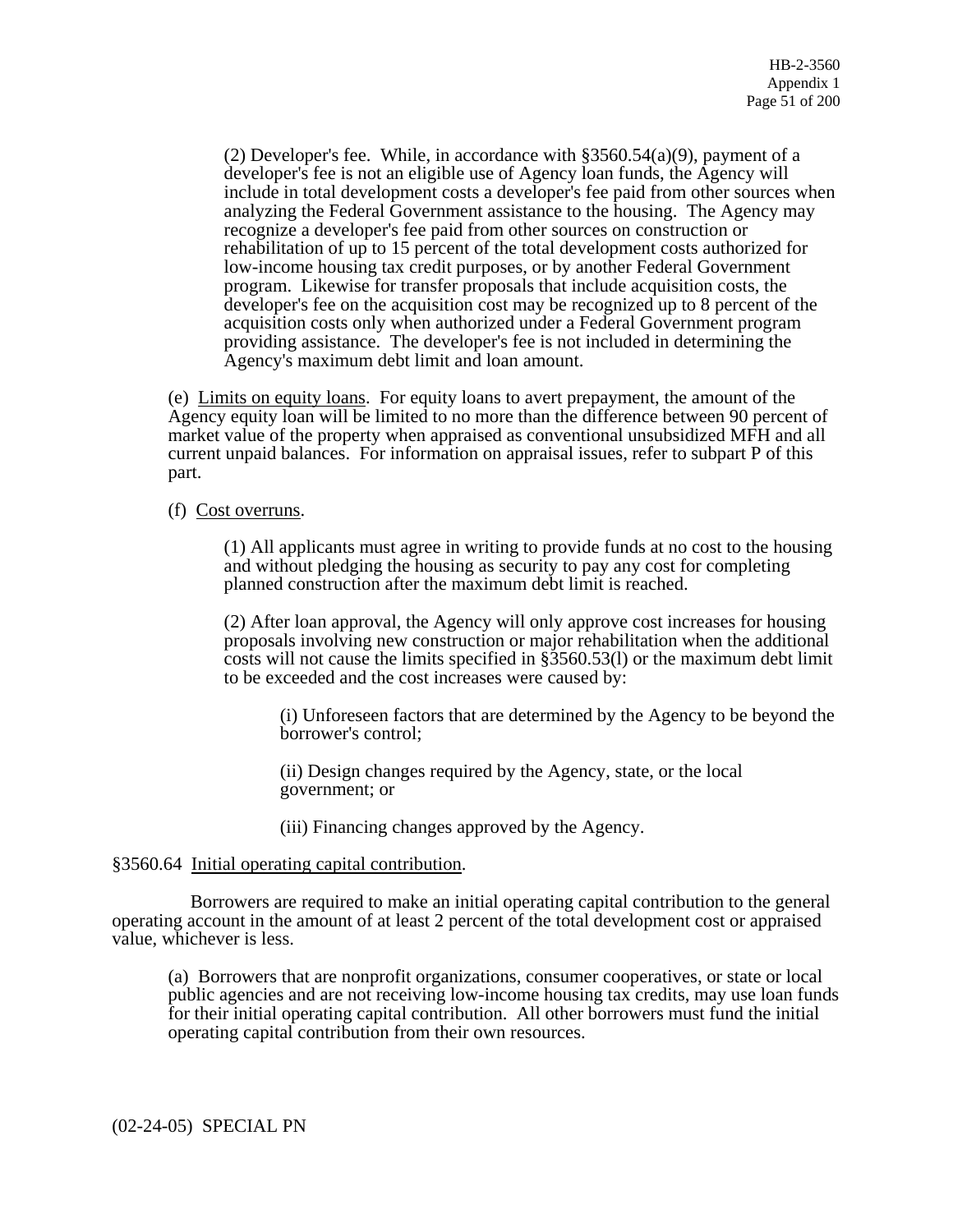(2) Developer's fee. While, in accordance with §3560.54(a)(9), payment of a developer's fee is not an eligible use of Agency loan funds, the Agency will include in total development costs a developer's fee paid from other sources when analyzing the Federal Government assistance to the housing. The Agency may recognize a developer's fee paid from other sources on construction or rehabilitation of up to 15 percent of the total development costs authorized for low-income housing tax credit purposes, or by another Federal Government program. Likewise for transfer proposals that include acquisition costs, the developer's fee on the acquisition cost may be recognized up to 8 percent of the acquisition costs only when authorized under a Federal Government program providing assistance. The developer's fee is not included in determining the Agency's maximum debt limit and loan amount.

(e) Limits on equity loans. For equity loans to avert prepayment, the amount of the Agency equity loan will be limited to no more than the difference between 90 percent of market value of the property when appraised as conventional unsubsidized MFH and all current unpaid balances. For information on appraisal issues, refer to subpart P of this part.

## (f) Cost overruns.

(1) All applicants must agree in writing to provide funds at no cost to the housing and without pledging the housing as security to pay any cost for completing planned construction after the maximum debt limit is reached.

(2) After loan approval, the Agency will only approve cost increases for housing proposals involving new construction or major rehabilitation when the additional costs will not cause the limits specified in §3560.53(l) or the maximum debt limit to be exceeded and the cost increases were caused by:

(i) Unforeseen factors that are determined by the Agency to be beyond the borrower's control;

(ii) Design changes required by the Agency, state, or the local government; or

(iii) Financing changes approved by the Agency.

### §3560.64 Initial operating capital contribution.

 Borrowers are required to make an initial operating capital contribution to the general operating account in the amount of at least 2 percent of the total development cost or appraised value, whichever is less.

(a) Borrowers that are nonprofit organizations, consumer cooperatives, or state or local public agencies and are not receiving low-income housing tax credits, may use loan funds for their initial operating capital contribution. All other borrowers must fund the initial operating capital contribution from their own resources.

(02-24-05) SPECIAL PN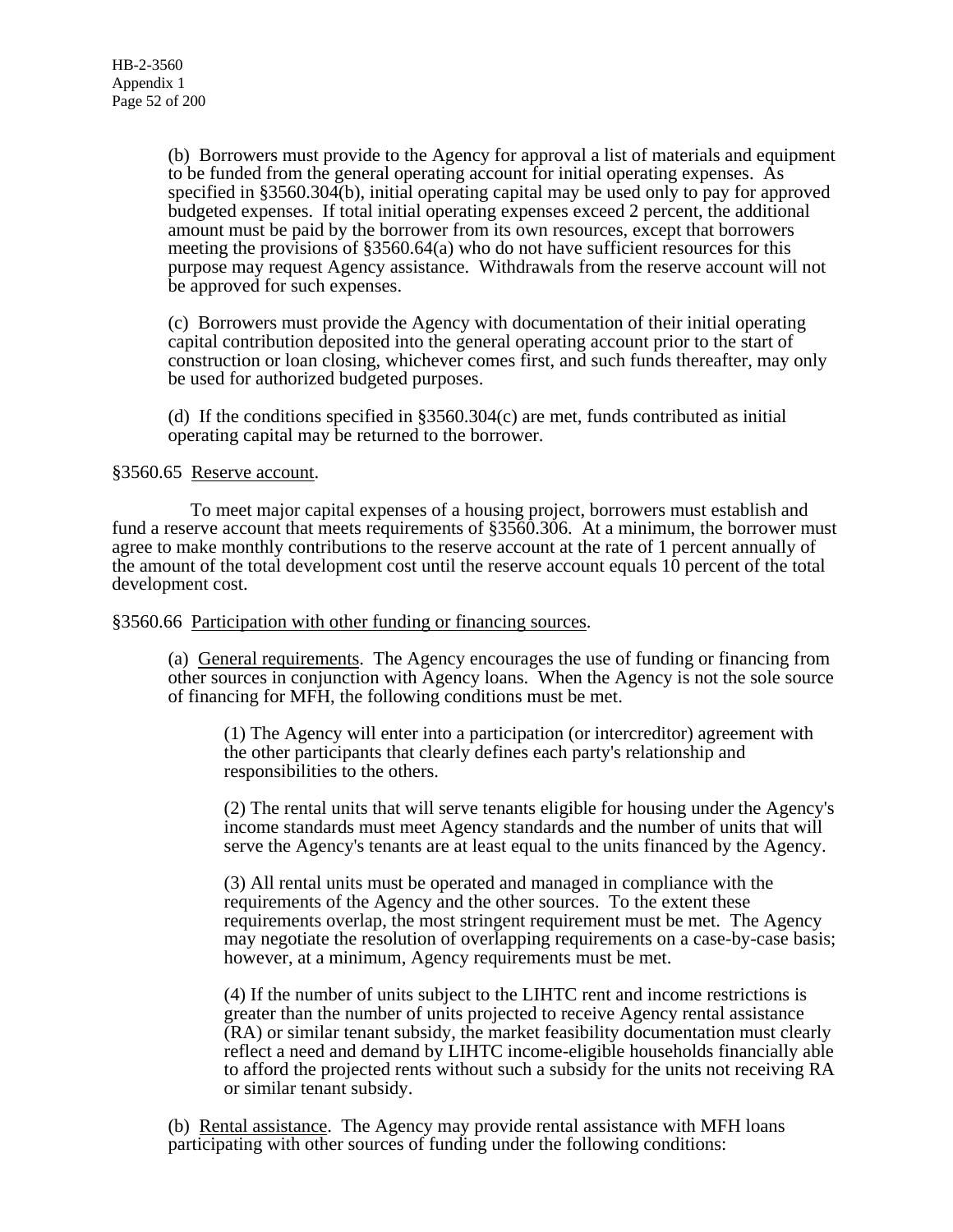(b) Borrowers must provide to the Agency for approval a list of materials and equipment to be funded from the general operating account for initial operating expenses. As specified in §3560.304(b), initial operating capital may be used only to pay for approved budgeted expenses. If total initial operating expenses exceed 2 percent, the additional amount must be paid by the borrower from its own resources, except that borrowers meeting the provisions of §3560.64(a) who do not have sufficient resources for this purpose may request Agency assistance. Withdrawals from the reserve account will not be approved for such expenses.

(c) Borrowers must provide the Agency with documentation of their initial operating capital contribution deposited into the general operating account prior to the start of construction or loan closing, whichever comes first, and such funds thereafter, may only be used for authorized budgeted purposes.

(d) If the conditions specified in §3560.304(c) are met, funds contributed as initial operating capital may be returned to the borrower.

### §3560.65 Reserve account.

 To meet major capital expenses of a housing project, borrowers must establish and fund a reserve account that meets requirements of §3560.306. At a minimum, the borrower must agree to make monthly contributions to the reserve account at the rate of 1 percent annually of the amount of the total development cost until the reserve account equals 10 percent of the total development cost.

#### §3560.66 Participation with other funding or financing sources.

(a) General requirements. The Agency encourages the use of funding or financing from other sources in conjunction with Agency loans. When the Agency is not the sole source of financing for MFH, the following conditions must be met.

(1) The Agency will enter into a participation (or intercreditor) agreement with the other participants that clearly defines each party's relationship and responsibilities to the others.

(2) The rental units that will serve tenants eligible for housing under the Agency's income standards must meet Agency standards and the number of units that will serve the Agency's tenants are at least equal to the units financed by the Agency.

(3) All rental units must be operated and managed in compliance with the requirements of the Agency and the other sources. To the extent these requirements overlap, the most stringent requirement must be met. The Agency may negotiate the resolution of overlapping requirements on a case-by-case basis; however, at a minimum, Agency requirements must be met.

(4) If the number of units subject to the LIHTC rent and income restrictions is greater than the number of units projected to receive Agency rental assistance (RA) or similar tenant subsidy, the market feasibility documentation must clearly reflect a need and demand by LIHTC income-eligible households financially able to afford the projected rents without such a subsidy for the units not receiving RA or similar tenant subsidy.

(b) Rental assistance. The Agency may provide rental assistance with MFH loans participating with other sources of funding under the following conditions: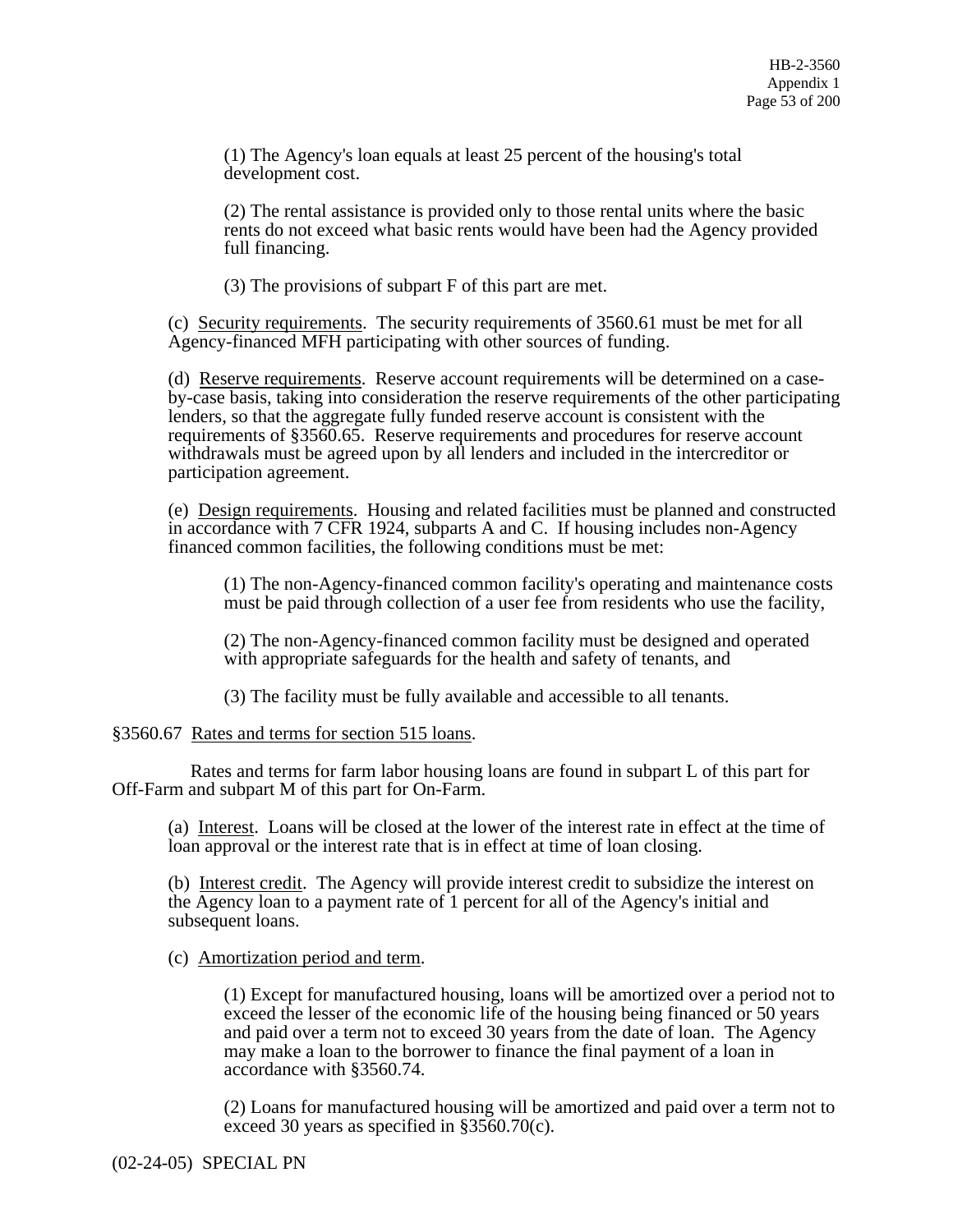(1) The Agency's loan equals at least 25 percent of the housing's total development cost.

(2) The rental assistance is provided only to those rental units where the basic rents do not exceed what basic rents would have been had the Agency provided full financing.

(3) The provisions of subpart F of this part are met.

(c) Security requirements. The security requirements of 3560.61 must be met for all Agency-financed MFH participating with other sources of funding.

(d) Reserve requirements. Reserve account requirements will be determined on a caseby-case basis, taking into consideration the reserve requirements of the other participating lenders, so that the aggregate fully funded reserve account is consistent with the requirements of §3560.65. Reserve requirements and procedures for reserve account withdrawals must be agreed upon by all lenders and included in the intercreditor or participation agreement.

(e) Design requirements. Housing and related facilities must be planned and constructed in accordance with 7 CFR 1924, subparts A and C. If housing includes non-Agency financed common facilities, the following conditions must be met:

(1) The non-Agency-financed common facility's operating and maintenance costs must be paid through collection of a user fee from residents who use the facility,

(2) The non-Agency-financed common facility must be designed and operated with appropriate safeguards for the health and safety of tenants, and

(3) The facility must be fully available and accessible to all tenants.

§3560.67 Rates and terms for section 515 loans.

 Rates and terms for farm labor housing loans are found in subpart L of this part for Off-Farm and subpart M of this part for On-Farm.

(a) Interest. Loans will be closed at the lower of the interest rate in effect at the time of loan approval or the interest rate that is in effect at time of loan closing.

(b) Interest credit. The Agency will provide interest credit to subsidize the interest on the Agency loan to a payment rate of 1 percent for all of the Agency's initial and subsequent loans.

(c) Amortization period and term.

(1) Except for manufactured housing, loans will be amortized over a period not to exceed the lesser of the economic life of the housing being financed or 50 years and paid over a term not to exceed 30 years from the date of loan. The Agency may make a loan to the borrower to finance the final payment of a loan in accordance with §3560.74.

(2) Loans for manufactured housing will be amortized and paid over a term not to exceed 30 years as specified in §3560.70(c).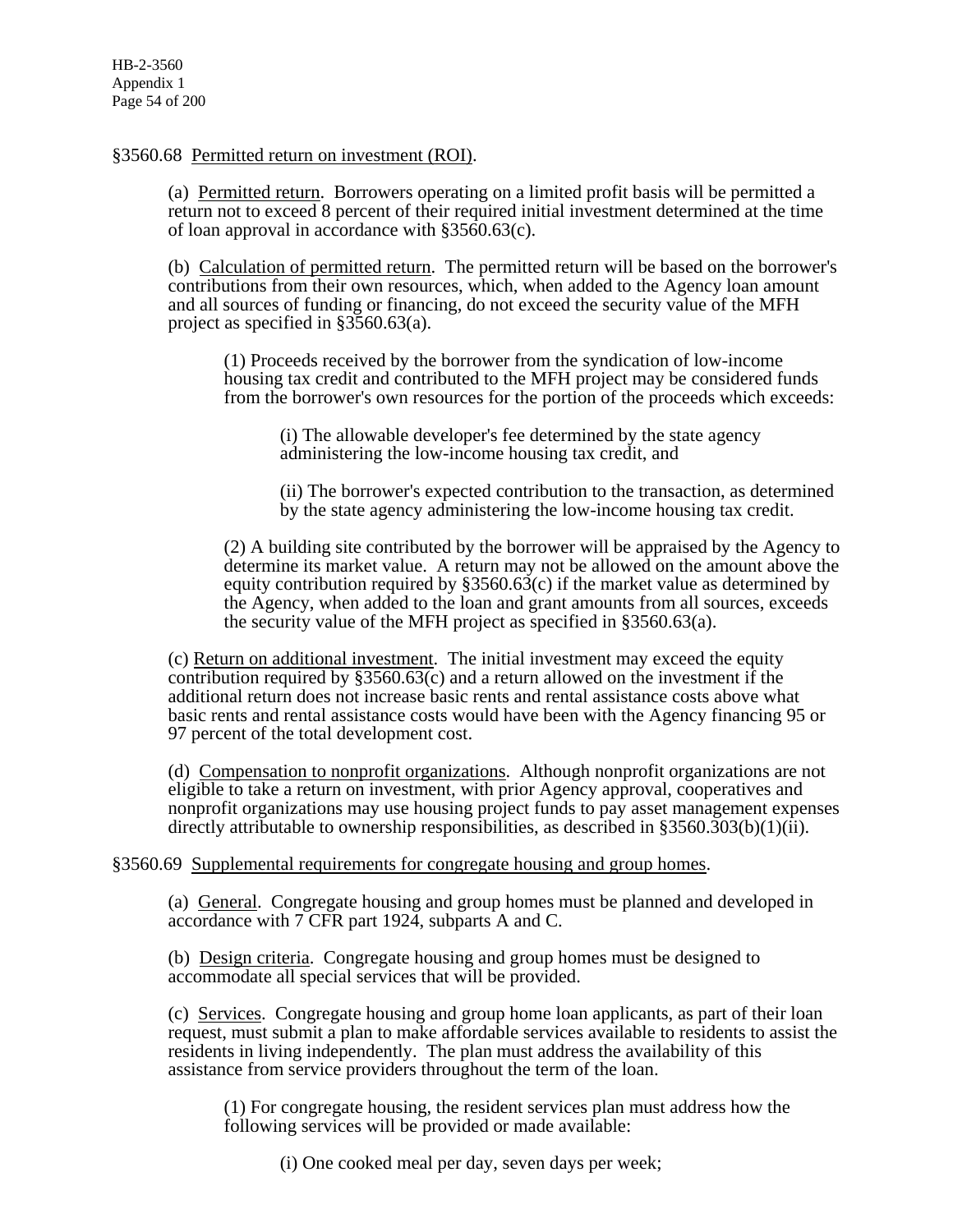## §3560.68 Permitted return on investment (ROI).

(a) Permitted return. Borrowers operating on a limited profit basis will be permitted a return not to exceed 8 percent of their required initial investment determined at the time of loan approval in accordance with §3560.63(c).

(b) Calculation of permitted return. The permitted return will be based on the borrower's contributions from their own resources, which, when added to the Agency loan amount and all sources of funding or financing, do not exceed the security value of the MFH project as specified in §3560.63(a).

(1) Proceeds received by the borrower from the syndication of low-income housing tax credit and contributed to the MFH project may be considered funds from the borrower's own resources for the portion of the proceeds which exceeds:

(i) The allowable developer's fee determined by the state agency administering the low-income housing tax credit, and

(ii) The borrower's expected contribution to the transaction, as determined by the state agency administering the low-income housing tax credit.

(2) A building site contributed by the borrower will be appraised by the Agency to determine its market value. A return may not be allowed on the amount above the equity contribution required by  $\S 3560.63(c)$  if the market value as determined by the Agency, when added to the loan and grant amounts from all sources, exceeds the security value of the MFH project as specified in §3560.63(a).

(c) Return on additional investment. The initial investment may exceed the equity contribution required by  $\S 3560.63(c)$  and a return allowed on the investment if the additional return does not increase basic rents and rental assistance costs above what basic rents and rental assistance costs would have been with the Agency financing 95 or 97 percent of the total development cost.

(d) Compensation to nonprofit organizations. Although nonprofit organizations are not eligible to take a return on investment, with prior Agency approval, cooperatives and nonprofit organizations may use housing project funds to pay asset management expenses directly attributable to ownership responsibilities, as described in §3560.303(b)(1)(ii).

### §3560.69 Supplemental requirements for congregate housing and group homes.

(a) General. Congregate housing and group homes must be planned and developed in accordance with 7 CFR part 1924, subparts A and C.

(b) Design criteria. Congregate housing and group homes must be designed to accommodate all special services that will be provided.

(c) Services. Congregate housing and group home loan applicants, as part of their loan request, must submit a plan to make affordable services available to residents to assist the residents in living independently. The plan must address the availability of this assistance from service providers throughout the term of the loan.

(1) For congregate housing, the resident services plan must address how the following services will be provided or made available:

(i) One cooked meal per day, seven days per week;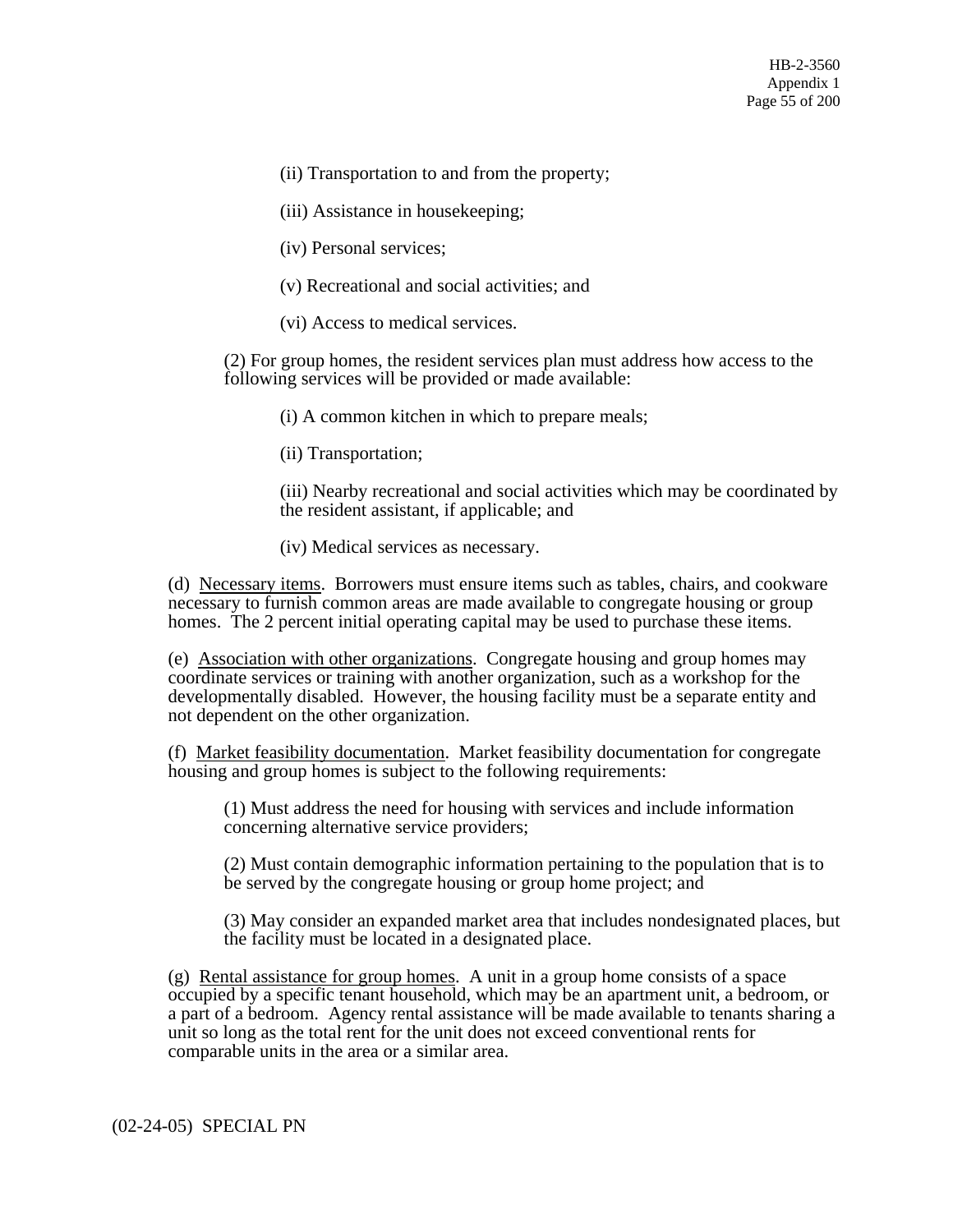(ii) Transportation to and from the property;

(iii) Assistance in housekeeping;

(iv) Personal services;

(v) Recreational and social activities; and

(vi) Access to medical services.

(2) For group homes, the resident services plan must address how access to the following services will be provided or made available:

(i) A common kitchen in which to prepare meals;

(ii) Transportation;

(iii) Nearby recreational and social activities which may be coordinated by the resident assistant, if applicable; and

(iv) Medical services as necessary.

(d) Necessary items. Borrowers must ensure items such as tables, chairs, and cookware necessary to furnish common areas are made available to congregate housing or group homes. The 2 percent initial operating capital may be used to purchase these items.

(e) Association with other organizations. Congregate housing and group homes may coordinate services or training with another organization, such as a workshop for the developmentally disabled. However, the housing facility must be a separate entity and not dependent on the other organization.

(f) Market feasibility documentation. Market feasibility documentation for congregate housing and group homes is subject to the following requirements:

(1) Must address the need for housing with services and include information concerning alternative service providers;

(2) Must contain demographic information pertaining to the population that is to be served by the congregate housing or group home project; and

(3) May consider an expanded market area that includes nondesignated places, but the facility must be located in a designated place.

(g) Rental assistance for group homes. A unit in a group home consists of a space occupied by a specific tenant household, which may be an apartment unit, a bedroom, or a part of a bedroom. Agency rental assistance will be made available to tenants sharing a unit so long as the total rent for the unit does not exceed conventional rents for comparable units in the area or a similar area.

(02-24-05) SPECIAL PN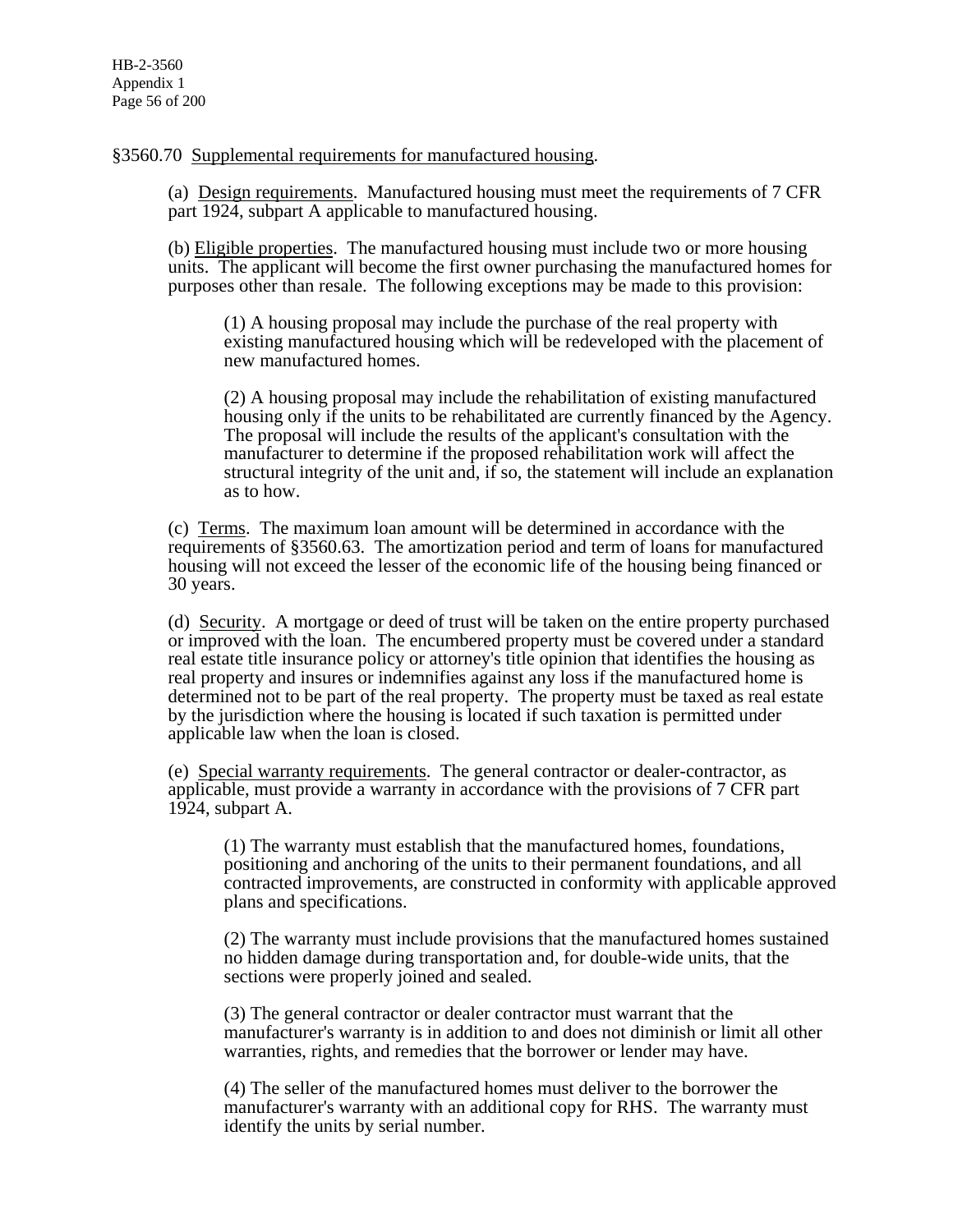§3560.70 Supplemental requirements for manufactured housing.

(a) Design requirements. Manufactured housing must meet the requirements of 7 CFR part 1924, subpart A applicable to manufactured housing.

(b) Eligible properties. The manufactured housing must include two or more housing units. The applicant will become the first owner purchasing the manufactured homes for purposes other than resale. The following exceptions may be made to this provision:

(1) A housing proposal may include the purchase of the real property with existing manufactured housing which will be redeveloped with the placement of new manufactured homes.

(2) A housing proposal may include the rehabilitation of existing manufactured housing only if the units to be rehabilitated are currently financed by the Agency. The proposal will include the results of the applicant's consultation with the manufacturer to determine if the proposed rehabilitation work will affect the structural integrity of the unit and, if so, the statement will include an explanation as to how.

(c) Terms. The maximum loan amount will be determined in accordance with the requirements of §3560.63. The amortization period and term of loans for manufactured housing will not exceed the lesser of the economic life of the housing being financed or 30 years.

(d) Security. A mortgage or deed of trust will be taken on the entire property purchased or improved with the loan. The encumbered property must be covered under a standard real estate title insurance policy or attorney's title opinion that identifies the housing as real property and insures or indemnifies against any loss if the manufactured home is determined not to be part of the real property. The property must be taxed as real estate by the jurisdiction where the housing is located if such taxation is permitted under applicable law when the loan is closed.

(e) Special warranty requirements. The general contractor or dealer-contractor, as applicable, must provide a warranty in accordance with the provisions of 7 CFR part 1924, subpart A.

(1) The warranty must establish that the manufactured homes, foundations, positioning and anchoring of the units to their permanent foundations, and all contracted improvements, are constructed in conformity with applicable approved plans and specifications.

(2) The warranty must include provisions that the manufactured homes sustained no hidden damage during transportation and, for double-wide units, that the sections were properly joined and sealed.

(3) The general contractor or dealer contractor must warrant that the manufacturer's warranty is in addition to and does not diminish or limit all other warranties, rights, and remedies that the borrower or lender may have.

(4) The seller of the manufactured homes must deliver to the borrower the manufacturer's warranty with an additional copy for RHS. The warranty must identify the units by serial number.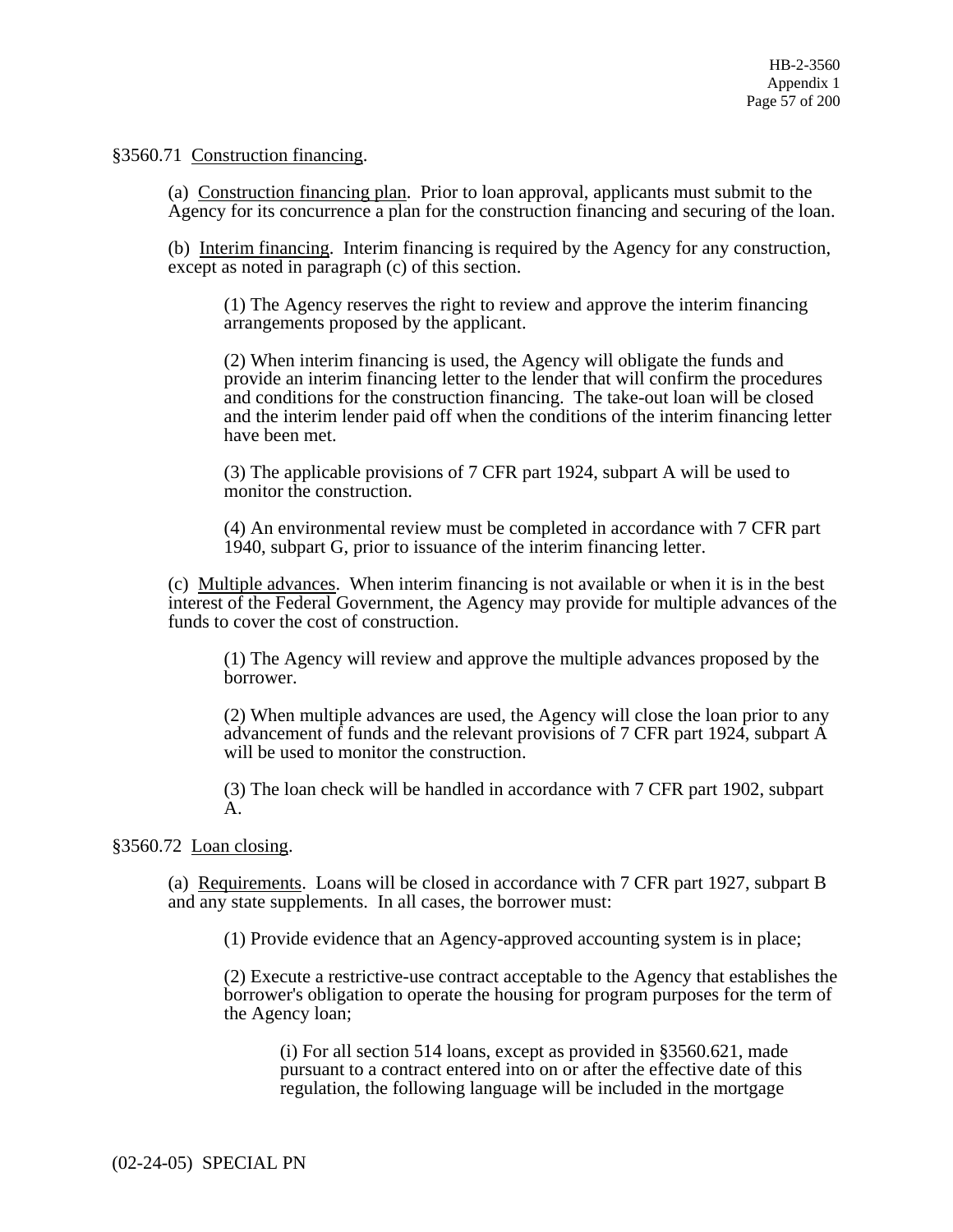§3560.71 Construction financing.

(a) Construction financing plan. Prior to loan approval, applicants must submit to the Agency for its concurrence a plan for the construction financing and securing of the loan.

(b) Interim financing. Interim financing is required by the Agency for any construction, except as noted in paragraph (c) of this section.

(1) The Agency reserves the right to review and approve the interim financing arrangements proposed by the applicant.

(2) When interim financing is used, the Agency will obligate the funds and provide an interim financing letter to the lender that will confirm the procedures and conditions for the construction financing. The take-out loan will be closed and the interim lender paid off when the conditions of the interim financing letter have been met.

(3) The applicable provisions of 7 CFR part 1924, subpart A will be used to monitor the construction.

(4) An environmental review must be completed in accordance with 7 CFR part 1940, subpart G, prior to issuance of the interim financing letter.

(c) Multiple advances. When interim financing is not available or when it is in the best interest of the Federal Government, the Agency may provide for multiple advances of the funds to cover the cost of construction.

(1) The Agency will review and approve the multiple advances proposed by the borrower.

(2) When multiple advances are used, the Agency will close the loan prior to any advancement of funds and the relevant provisions of 7 CFR part 1924, subpart A will be used to monitor the construction.

(3) The loan check will be handled in accordance with 7 CFR part 1902, subpart A.

§3560.72 Loan closing.

(a) Requirements. Loans will be closed in accordance with 7 CFR part 1927, subpart B and any state supplements. In all cases, the borrower must:

(1) Provide evidence that an Agency-approved accounting system is in place;

(2) Execute a restrictive-use contract acceptable to the Agency that establishes the borrower's obligation to operate the housing for program purposes for the term of the Agency loan;

(i) For all section 514 loans, except as provided in §3560.621, made pursuant to a contract entered into on or after the effective date of this regulation, the following language will be included in the mortgage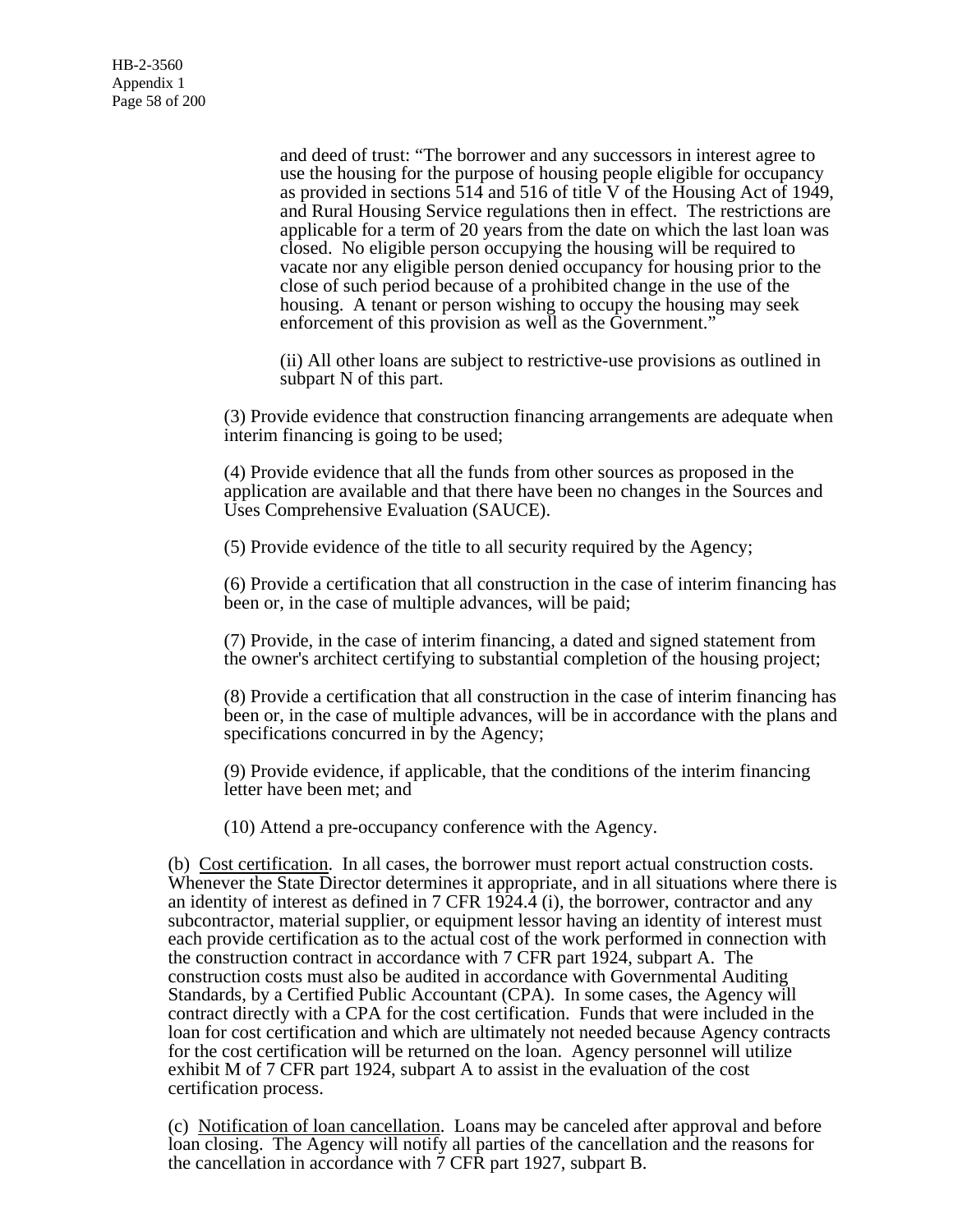and deed of trust: "The borrower and any successors in interest agree to use the housing for the purpose of housing people eligible for occupancy as provided in sections 514 and 516 of title V of the Housing Act of 1949, and Rural Housing Service regulations then in effect. The restrictions are applicable for a term of 20 years from the date on which the last loan was closed. No eligible person occupying the housing will be required to vacate nor any eligible person denied occupancy for housing prior to the close of such period because of a prohibited change in the use of the housing. A tenant or person wishing to occupy the housing may seek enforcement of this provision as well as the Government."

(ii) All other loans are subject to restrictive-use provisions as outlined in subpart N of this part.

(3) Provide evidence that construction financing arrangements are adequate when interim financing is going to be used;

(4) Provide evidence that all the funds from other sources as proposed in the application are available and that there have been no changes in the Sources and Uses Comprehensive Evaluation (SAUCE).

(5) Provide evidence of the title to all security required by the Agency;

(6) Provide a certification that all construction in the case of interim financing has been or, in the case of multiple advances, will be paid;

(7) Provide, in the case of interim financing, a dated and signed statement from the owner's architect certifying to substantial completion of the housing project;

(8) Provide a certification that all construction in the case of interim financing has been or, in the case of multiple advances, will be in accordance with the plans and specifications concurred in by the Agency;

(9) Provide evidence, if applicable, that the conditions of the interim financing letter have been met; and

(10) Attend a pre-occupancy conference with the Agency.

(b) Cost certification. In all cases, the borrower must report actual construction costs. Whenever the State Director determines it appropriate, and in all situations where there is an identity of interest as defined in 7 CFR  $1924.4$  (i), the borrower, contractor and any subcontractor, material supplier, or equipment lessor having an identity of interest must each provide certification as to the actual cost of the work performed in connection with the construction contract in accordance with 7 CFR part 1924, subpart A. The construction costs must also be audited in accordance with Governmental Auditing Standards, by a Certified Public Accountant (CPA). In some cases, the Agency will contract directly with a CPA for the cost certification. Funds that were included in the loan for cost certification and which are ultimately not needed because Agency contracts for the cost certification will be returned on the loan. Agency personnel will utilize exhibit M of 7 CFR part 1924, subpart A to assist in the evaluation of the cost certification process.

(c) Notification of loan cancellation. Loans may be canceled after approval and before loan closing. The Agency will notify all parties of the cancellation and the reasons for the cancellation in accordance with 7 CFR part 1927, subpart B.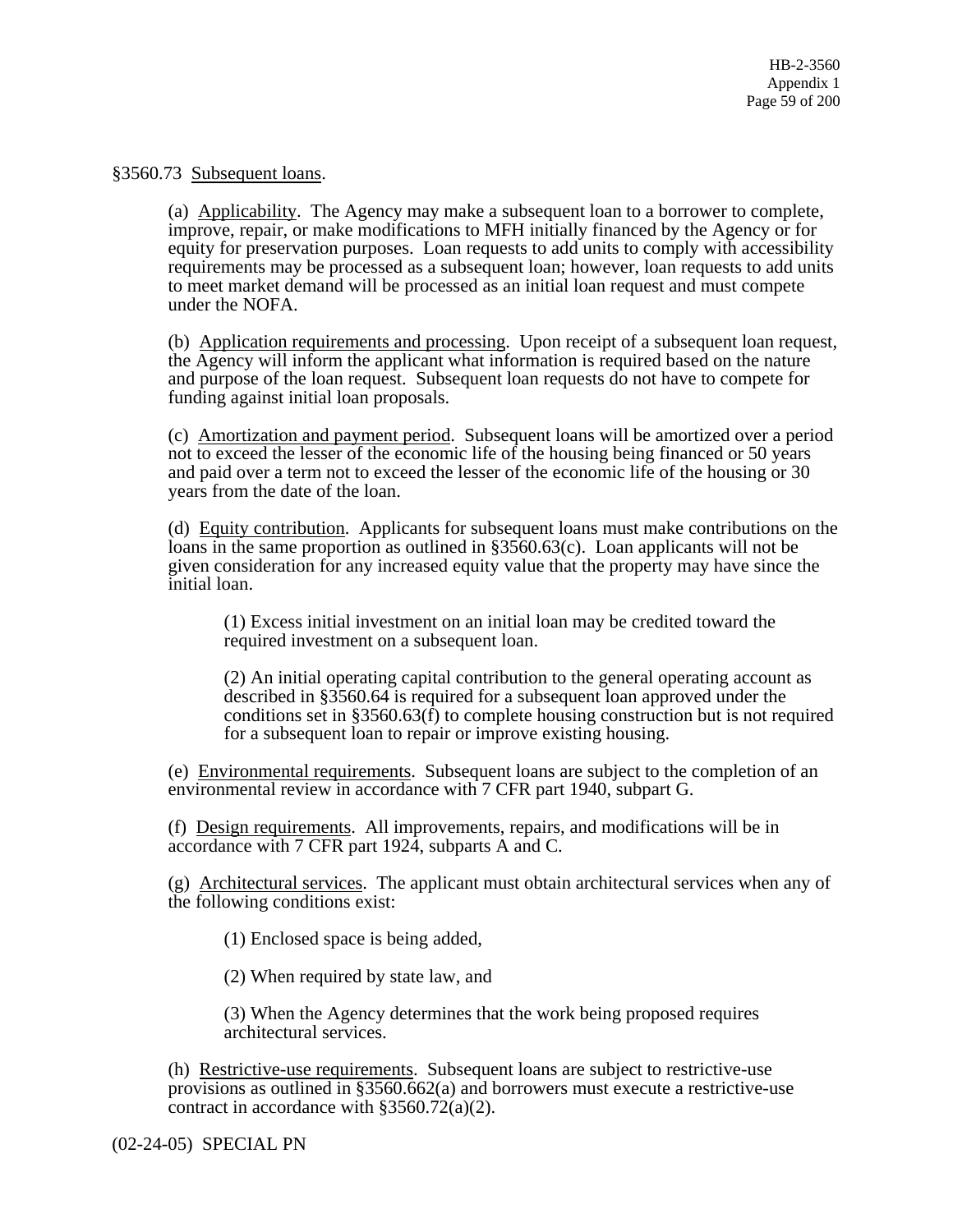#### §3560.73 Subsequent loans.

(a) Applicability. The Agency may make a subsequent loan to a borrower to complete, improve, repair, or make modifications to MFH initially financed by the Agency or for equity for preservation purposes. Loan requests to add units to comply with accessibility requirements may be processed as a subsequent loan; however, loan requests to add units to meet market demand will be processed as an initial loan request and must compete under the NOFA.

(b) Application requirements and processing. Upon receipt of a subsequent loan request, the Agency will inform the applicant what information is required based on the nature and purpose of the loan request. Subsequent loan requests do not have to compete for funding against initial loan proposals.

(c) Amortization and payment period. Subsequent loans will be amortized over a period not to exceed the lesser of the economic life of the housing being financed or 50 years and paid over a term not to exceed the lesser of the economic life of the housing or 30 years from the date of the loan.

(d) Equity contribution. Applicants for subsequent loans must make contributions on the loans in the same proportion as outlined in §3560.63(c). Loan applicants will not be given consideration for any increased equity value that the property may have since the initial loan.

(1) Excess initial investment on an initial loan may be credited toward the required investment on a subsequent loan.

(2) An initial operating capital contribution to the general operating account as described in §3560.64 is required for a subsequent loan approved under the conditions set in §3560.63(f) to complete housing construction but is not required for a subsequent loan to repair or improve existing housing.

(e) Environmental requirements. Subsequent loans are subject to the completion of an environmental review in accordance with 7 CFR part 1940, subpart G.

(f) Design requirements. All improvements, repairs, and modifications will be in accordance with 7 CFR part 1924, subparts A and C.

(g) Architectural services. The applicant must obtain architectural services when any of the following conditions exist:

(1) Enclosed space is being added,

(2) When required by state law, and

(3) When the Agency determines that the work being proposed requires architectural services.

(h) Restrictive-use requirements. Subsequent loans are subject to restrictive-use provisions as outlined in §3560.662(a) and borrowers must execute a restrictive-use contract in accordance with §3560.72(a)(2).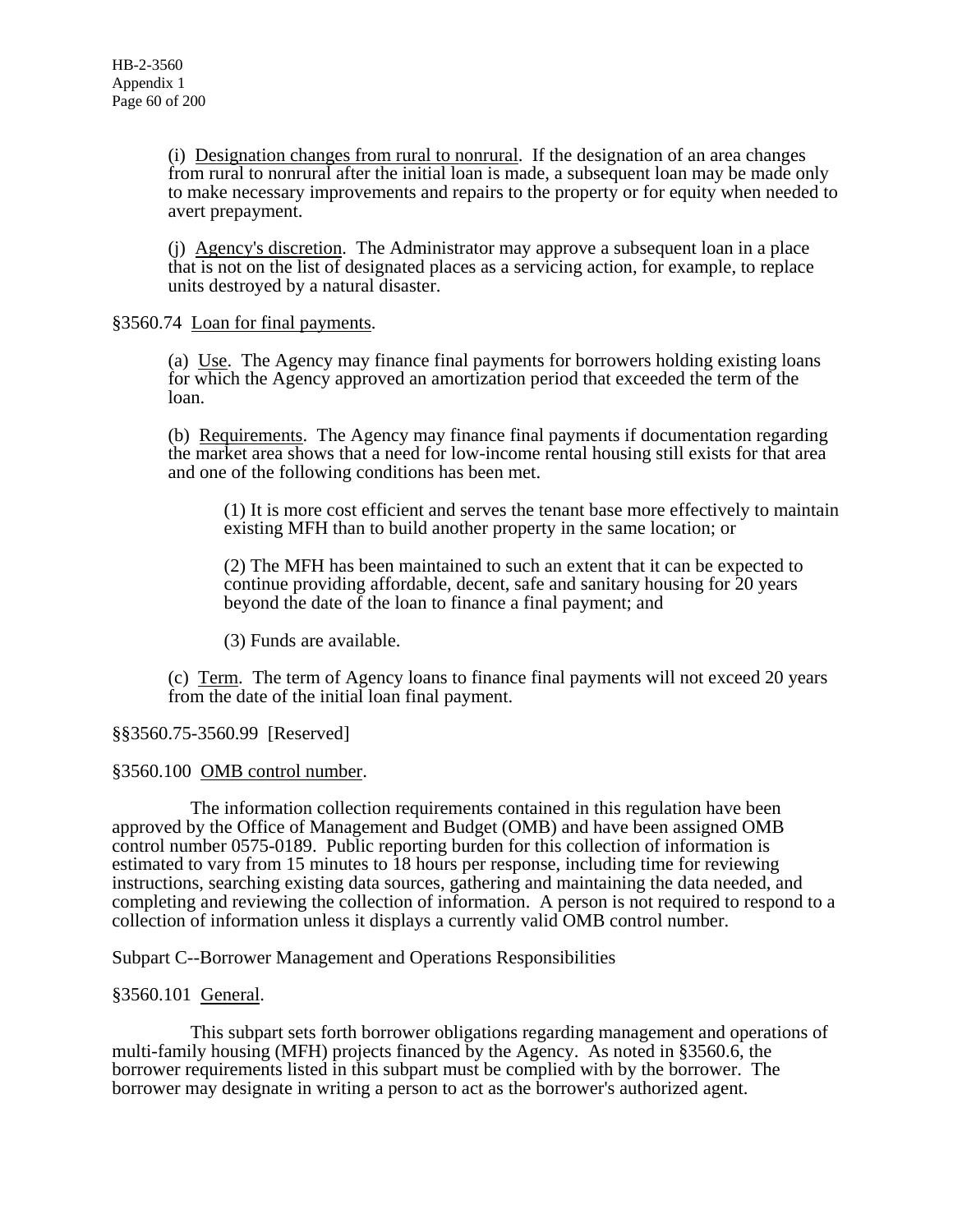(i) Designation changes from rural to nonrural. If the designation of an area changes from rural to nonrural after the initial loan is made, a subsequent loan may be made only to make necessary improvements and repairs to the property or for equity when needed to avert prepayment.

(j) Agency's discretion. The Administrator may approve a subsequent loan in a place that is not on the list of designated places as a servicing action, for example, to replace units destroyed by a natural disaster.

## §3560.74 Loan for final payments.

(a) Use. The Agency may finance final payments for borrowers holding existing loans for which the Agency approved an amortization period that exceeded the term of the loan.

(b) Requirements. The Agency may finance final payments if documentation regarding the market area shows that a need for low-income rental housing still exists for that area and one of the following conditions has been met.

(1) It is more cost efficient and serves the tenant base more effectively to maintain existing MFH than to build another property in the same location; or

(2) The MFH has been maintained to such an extent that it can be expected to continue providing affordable, decent, safe and sanitary housing for 20 years beyond the date of the loan to finance a final payment; and

(3) Funds are available.

(c) Term. The term of Agency loans to finance final payments will not exceed 20 years from the date of the initial loan final payment.

# §§3560.75-3560.99 [Reserved]

# §3560.100 OMB control number.

 The information collection requirements contained in this regulation have been approved by the Office of Management and Budget (OMB) and have been assigned OMB control number 0575-0189. Public reporting burden for this collection of information is estimated to vary from 15 minutes to 18 hours per response, including time for reviewing instructions, searching existing data sources, gathering and maintaining the data needed, and completing and reviewing the collection of information. A person is not required to respond to a collection of information unless it displays a currently valid OMB control number.

Subpart C--Borrower Management and Operations Responsibilities

### §3560.101 General.

 This subpart sets forth borrower obligations regarding management and operations of multi-family housing (MFH) projects financed by the Agency. As noted in §3560.6, the borrower requirements listed in this subpart must be complied with by the borrower. The borrower may designate in writing a person to act as the borrower's authorized agent.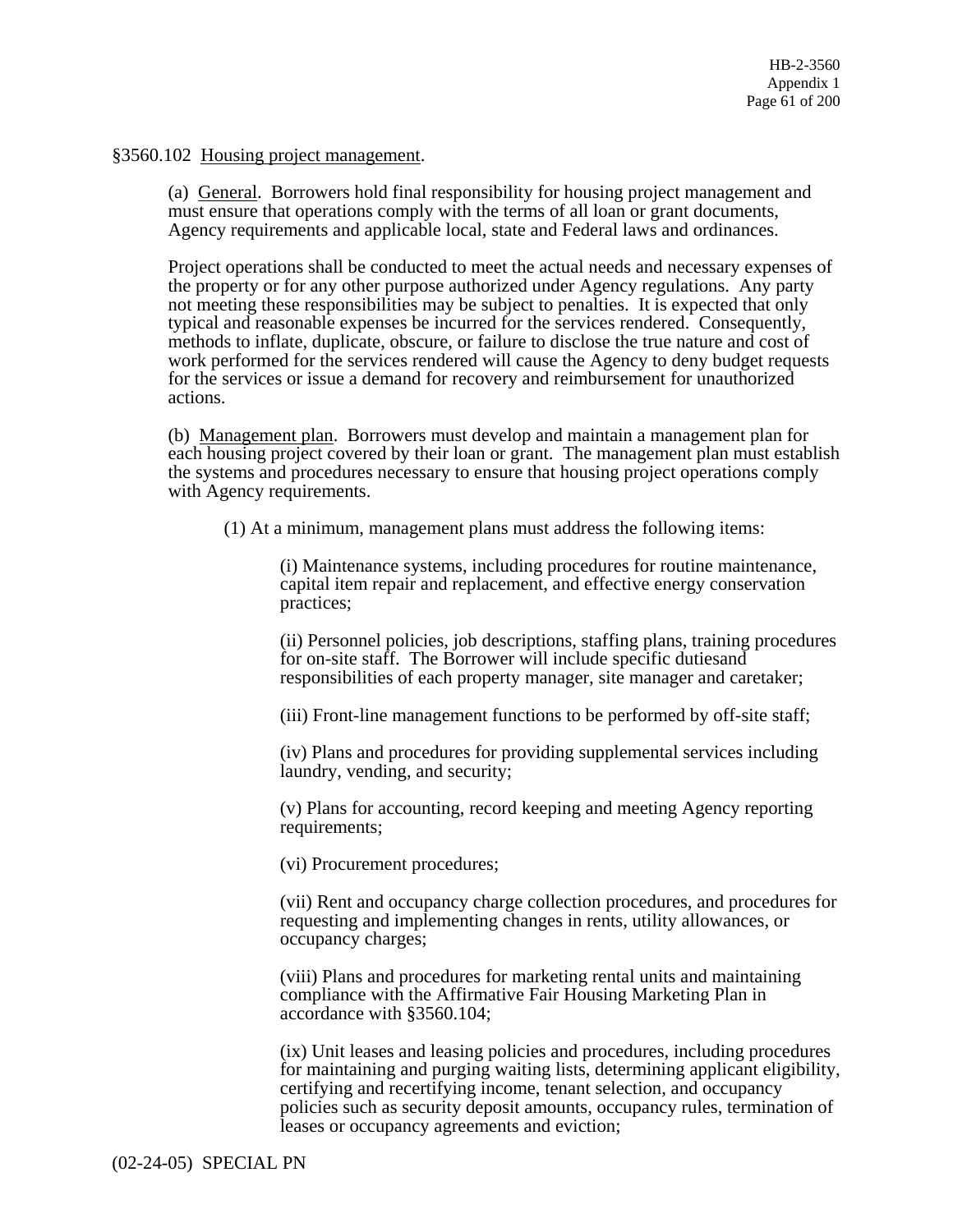#### §3560.102 Housing project management.

(a) General. Borrowers hold final responsibility for housing project management and must ensure that operations comply with the terms of all loan or grant documents, Agency requirements and applicable local, state and Federal laws and ordinances.

Project operations shall be conducted to meet the actual needs and necessary expenses of the property or for any other purpose authorized under Agency regulations. Any party not meeting these responsibilities may be subject to penalties. It is expected that only typical and reasonable expenses be incurred for the services rendered. Consequently, methods to inflate, duplicate, obscure, or failure to disclose the true nature and cost of work performed for the services rendered will cause the Agency to deny budget requests for the services or issue a demand for recovery and reimbursement for unauthorized actions.

(b) Management plan. Borrowers must develop and maintain a management plan for each housing project covered by their loan or grant. The management plan must establish the systems and procedures necessary to ensure that housing project operations comply with Agency requirements.

(1) At a minimum, management plans must address the following items:

(i) Maintenance systems, including procedures for routine maintenance, capital item repair and replacement, and effective energy conservation practices;

(ii) Personnel policies, job descriptions, staffing plans, training procedures for on-site staff. The Borrower will include specific dutiesand responsibilities of each property manager, site manager and caretaker;

(iii) Front-line management functions to be performed by off-site staff;

(iv) Plans and procedures for providing supplemental services including laundry, vending, and security;

(v) Plans for accounting, record keeping and meeting Agency reporting requirements;

(vi) Procurement procedures;

(vii) Rent and occupancy charge collection procedures, and procedures for requesting and implementing changes in rents, utility allowances, or occupancy charges;

(viii) Plans and procedures for marketing rental units and maintaining compliance with the Affirmative Fair Housing Marketing Plan in accordance with §3560.104;

(ix) Unit leases and leasing policies and procedures, including procedures for maintaining and purging waiting lists, determining applicant eligibility, certifying and recertifying income, tenant selection, and occupancy policies such as security deposit amounts, occupancy rules, termination of leases or occupancy agreements and eviction;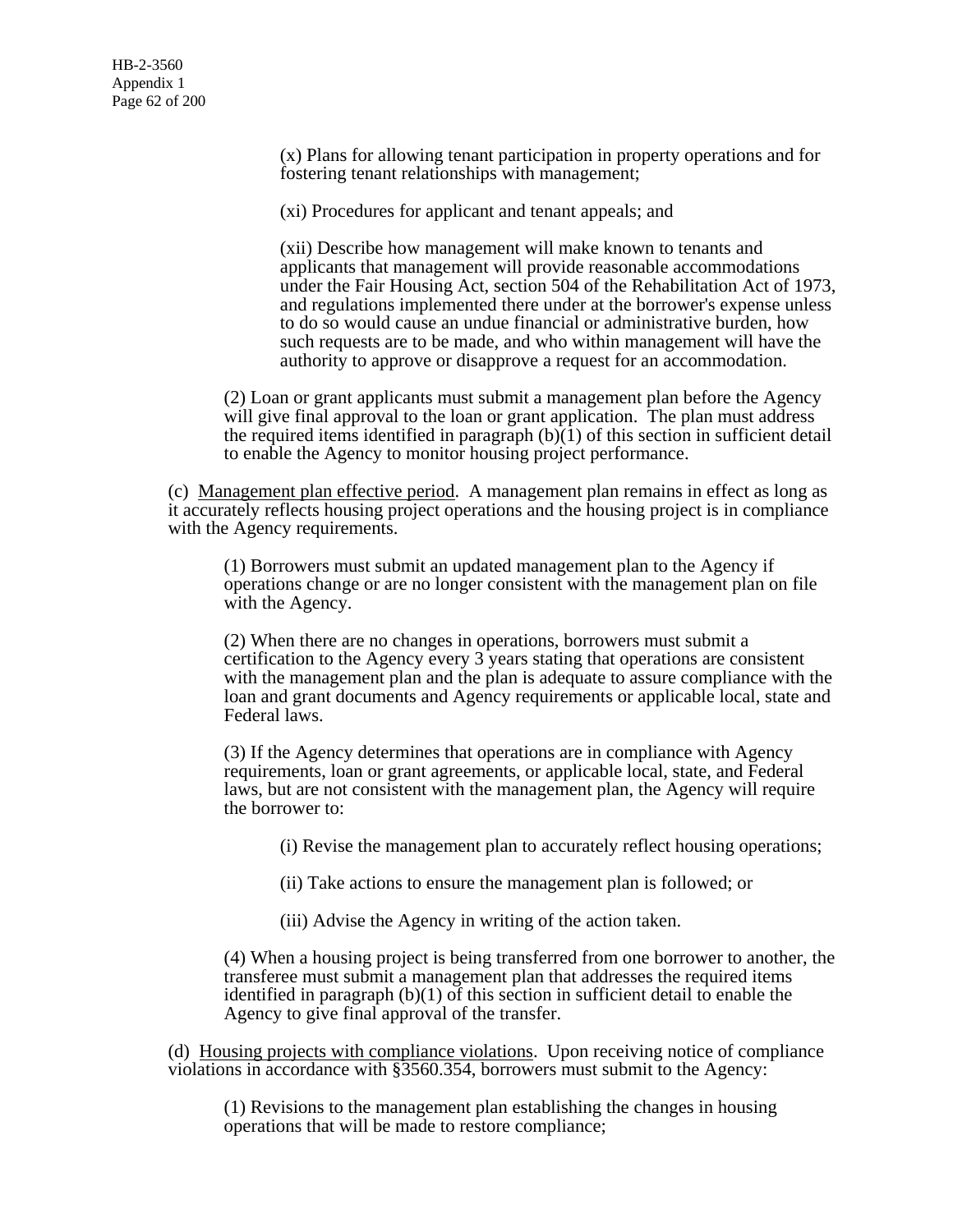(x) Plans for allowing tenant participation in property operations and for fostering tenant relationships with management;

(xi) Procedures for applicant and tenant appeals; and

(xii) Describe how management will make known to tenants and applicants that management will provide reasonable accommodations under the Fair Housing Act, section 504 of the Rehabilitation Act of 1973, and regulations implemented there under at the borrower's expense unless to do so would cause an undue financial or administrative burden, how such requests are to be made, and who within management will have the authority to approve or disapprove a request for an accommodation.

(2) Loan or grant applicants must submit a management plan before the Agency will give final approval to the loan or grant application. The plan must address the required items identified in paragraph  $(b)$  $(1)$  of this section in sufficient detail to enable the Agency to monitor housing project performance.

(c) Management plan effective period. A management plan remains in effect as long as it accurately reflects housing project operations and the housing project is in compliance with the Agency requirements.

(1) Borrowers must submit an updated management plan to the Agency if operations change or are no longer consistent with the management plan on file with the Agency.

(2) When there are no changes in operations, borrowers must submit a certification to the Agency every 3 years stating that operations are consistent with the management plan and the plan is adequate to assure compliance with the loan and grant documents and Agency requirements or applicable local, state and Federal laws.

(3) If the Agency determines that operations are in compliance with Agency requirements, loan or grant agreements, or applicable local, state, and Federal laws, but are not consistent with the management plan, the Agency will require the borrower to:

(i) Revise the management plan to accurately reflect housing operations;

(ii) Take actions to ensure the management plan is followed; or

(iii) Advise the Agency in writing of the action taken.

(4) When a housing project is being transferred from one borrower to another, the transferee must submit a management plan that addresses the required items identified in paragraph (b)(1) of this section in sufficient detail to enable the Agency to give final approval of the transfer.

(d) Housing projects with compliance violations. Upon receiving notice of compliance violations in accordance with §3560.354, borrowers must submit to the Agency:

(1) Revisions to the management plan establishing the changes in housing operations that will be made to restore compliance;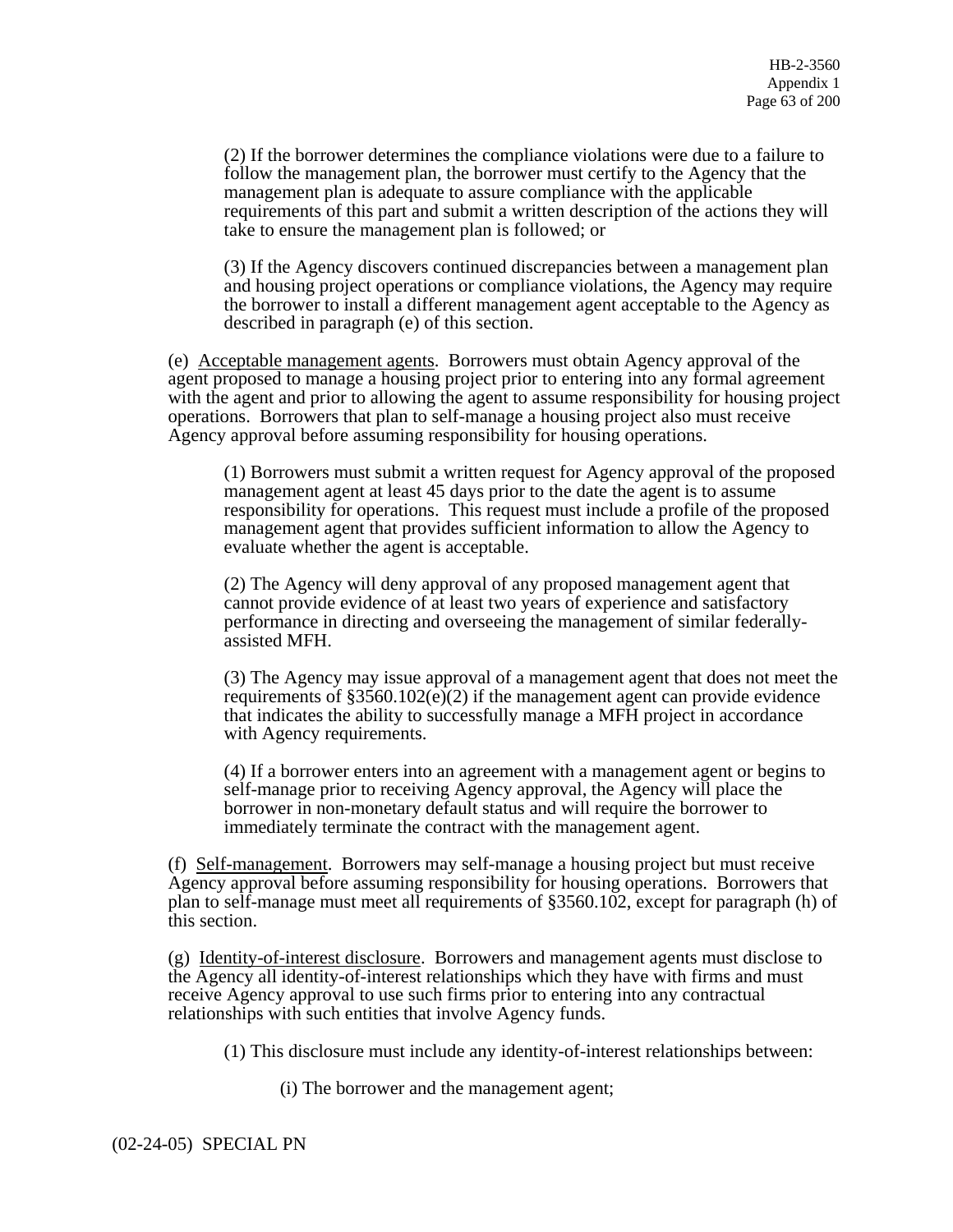(2) If the borrower determines the compliance violations were due to a failure to follow the management plan, the borrower must certify to the Agency that the management plan is adequate to assure compliance with the applicable requirements of this part and submit a written description of the actions they will take to ensure the management plan is followed; or

(3) If the Agency discovers continued discrepancies between a management plan and housing project operations or compliance violations, the Agency may require the borrower to install a different management agent acceptable to the Agency as described in paragraph (e) of this section.

(e) Acceptable management agents. Borrowers must obtain Agency approval of the agent proposed to manage a housing project prior to entering into any formal agreement with the agent and prior to allowing the agent to assume responsibility for housing project operations. Borrowers that plan to self-manage a housing project also must receive Agency approval before assuming responsibility for housing operations.

(1) Borrowers must submit a written request for Agency approval of the proposed management agent at least 45 days prior to the date the agent is to assume responsibility for operations. This request must include a profile of the proposed management agent that provides sufficient information to allow the Agency to evaluate whether the agent is acceptable.

(2) The Agency will deny approval of any proposed management agent that cannot provide evidence of at least two years of experience and satisfactory performance in directing and overseeing the management of similar federallyassisted MFH.

(3) The Agency may issue approval of a management agent that does not meet the requirements of  $\S 3560.102(e)(2)$  if the management agent can provide evidence that indicates the ability to successfully manage a MFH project in accordance with Agency requirements.

(4) If a borrower enters into an agreement with a management agent or begins to self-manage prior to receiving Agency approval, the Agency will place the borrower in non-monetary default status and will require the borrower to immediately terminate the contract with the management agent.

(f) Self-management. Borrowers may self-manage a housing project but must receive Agency approval before assuming responsibility for housing operations. Borrowers that plan to self-manage must meet all requirements of §3560.102, except for paragraph (h) of this section.

(g) Identity-of-interest disclosure. Borrowers and management agents must disclose to the Agency all identity-of-interest relationships which they have with firms and must receive Agency approval to use such firms prior to entering into any contractual relationships with such entities that involve Agency funds.

(1) This disclosure must include any identity-of-interest relationships between:

(i) The borrower and the management agent;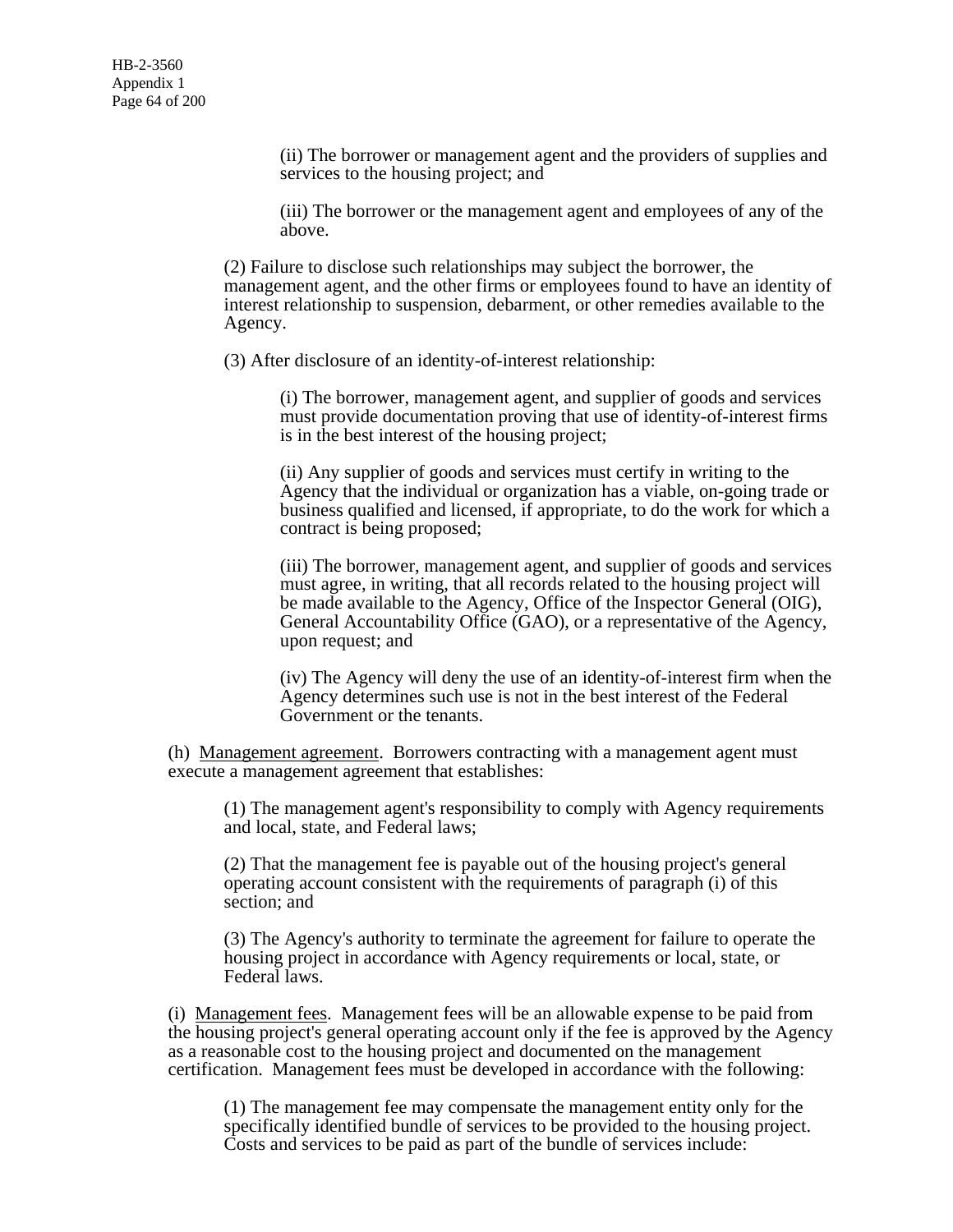(ii) The borrower or management agent and the providers of supplies and services to the housing project; and

(iii) The borrower or the management agent and employees of any of the above.

(2) Failure to disclose such relationships may subject the borrower, the management agent, and the other firms or employees found to have an identity of interest relationship to suspension, debarment, or other remedies available to the Agency.

(3) After disclosure of an identity-of-interest relationship:

(i) The borrower, management agent, and supplier of goods and services must provide documentation proving that use of identity-of-interest firms is in the best interest of the housing project;

(ii) Any supplier of goods and services must certify in writing to the Agency that the individual or organization has a viable, on-going trade or business qualified and licensed, if appropriate, to do the work for which a contract is being proposed;

(iii) The borrower, management agent, and supplier of goods and services must agree, in writing, that all records related to the housing project will be made available to the Agency, Office of the Inspector General (OIG), General Accountability Office (GAO), or a representative of the Agency, upon request; and

(iv) The Agency will deny the use of an identity-of-interest firm when the Agency determines such use is not in the best interest of the Federal Government or the tenants.

(h) Management agreement. Borrowers contracting with a management agent must execute a management agreement that establishes:

(1) The management agent's responsibility to comply with Agency requirements and local, state, and Federal laws;

(2) That the management fee is payable out of the housing project's general operating account consistent with the requirements of paragraph (i) of this section; and

(3) The Agency's authority to terminate the agreement for failure to operate the housing project in accordance with Agency requirements or local, state, or Federal laws.

(i) Management fees. Management fees will be an allowable expense to be paid from the housing project's general operating account only if the fee is approved by the Agency as a reasonable cost to the housing project and documented on the management certification. Management fees must be developed in accordance with the following:

(1) The management fee may compensate the management entity only for the specifically identified bundle of services to be provided to the housing project. Costs and services to be paid as part of the bundle of services include: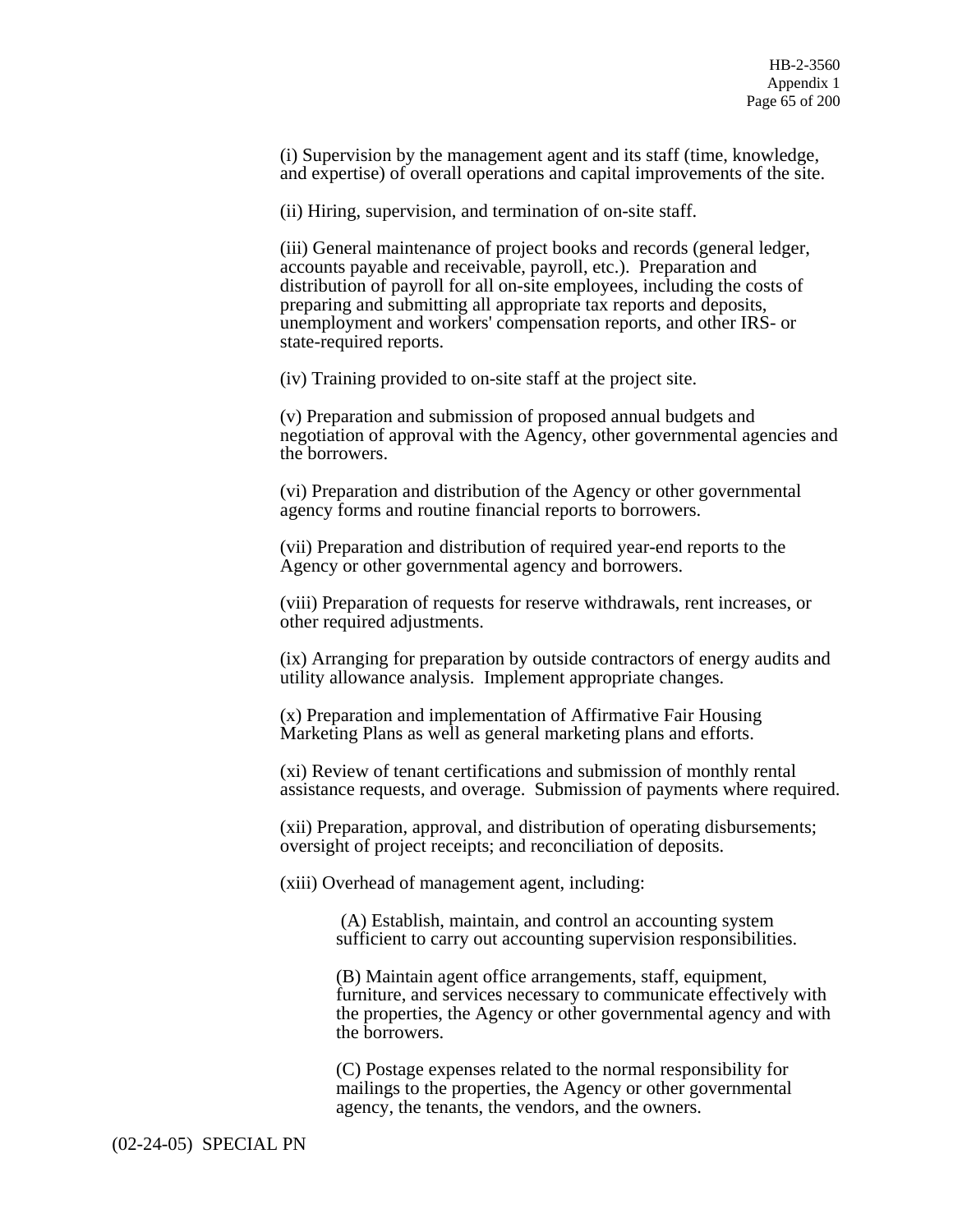(i) Supervision by the management agent and its staff (time, knowledge, and expertise) of overall operations and capital improvements of the site.

(ii) Hiring, supervision, and termination of on-site staff.

(iii) General maintenance of project books and records (general ledger, accounts payable and receivable, payroll, etc.). Preparation and distribution of payroll for all on-site employees, including the costs of preparing and submitting all appropriate tax reports and deposits, unemployment and workers' compensation reports, and other IRS- or state-required reports.

(iv) Training provided to on-site staff at the project site.

(v) Preparation and submission of proposed annual budgets and negotiation of approval with the Agency, other governmental agencies and the borrowers.

(vi) Preparation and distribution of the Agency or other governmental agency forms and routine financial reports to borrowers.

(vii) Preparation and distribution of required year-end reports to the Agency or other governmental agency and borrowers.

(viii) Preparation of requests for reserve withdrawals, rent increases, or other required adjustments.

(ix) Arranging for preparation by outside contractors of energy audits and utility allowance analysis. Implement appropriate changes.

(x) Preparation and implementation of Affirmative Fair Housing Marketing Plans as well as general marketing plans and efforts.

(xi) Review of tenant certifications and submission of monthly rental assistance requests, and overage. Submission of payments where required.

(xii) Preparation, approval, and distribution of operating disbursements; oversight of project receipts; and reconciliation of deposits.

(xiii) Overhead of management agent, including:

 (A) Establish, maintain, and control an accounting system sufficient to carry out accounting supervision responsibilities.

(B) Maintain agent office arrangements, staff, equipment, furniture, and services necessary to communicate effectively with the properties, the Agency or other governmental agency and with the borrowers.

(C) Postage expenses related to the normal responsibility for mailings to the properties, the Agency or other governmental agency, the tenants, the vendors, and the owners.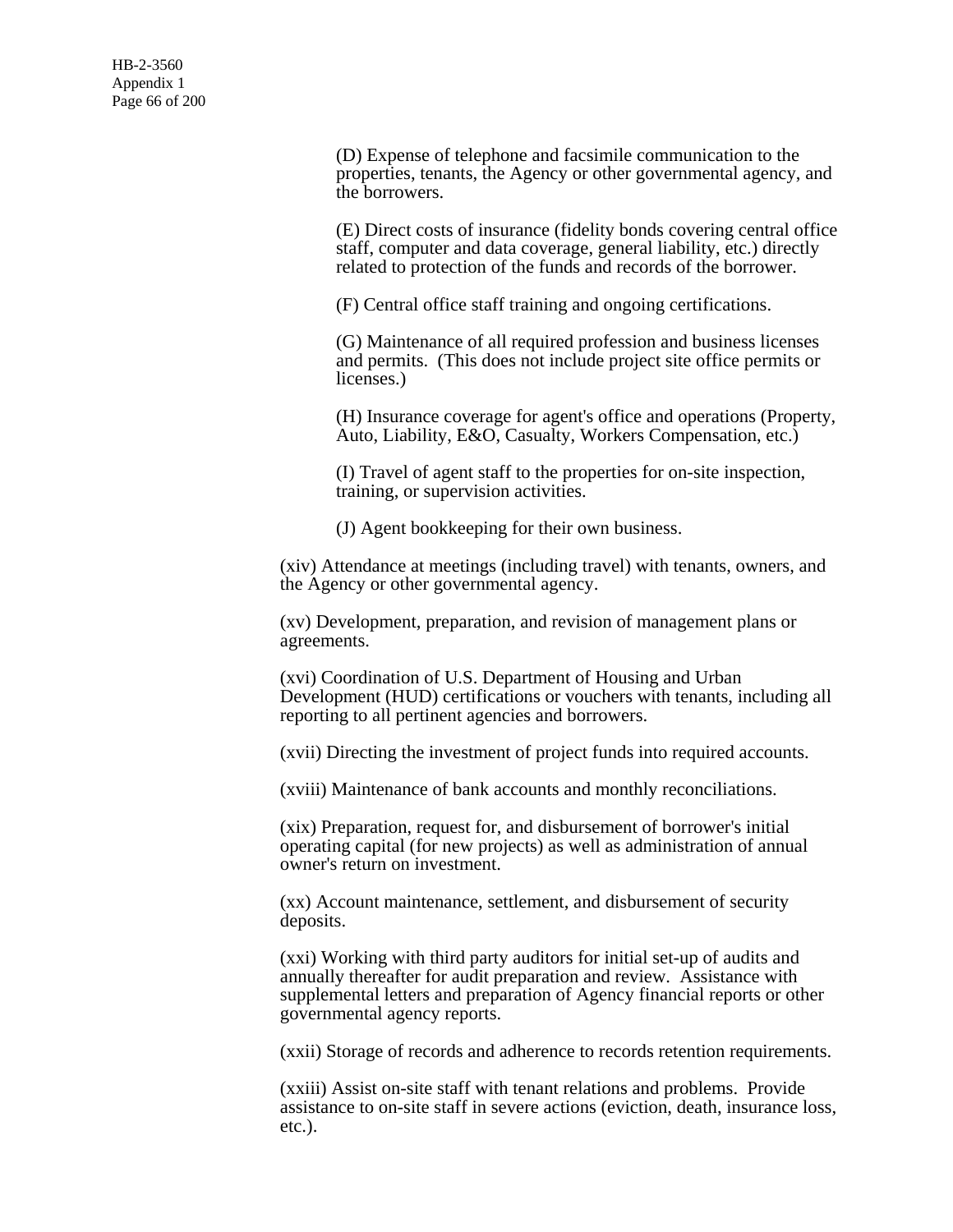(D) Expense of telephone and facsimile communication to the properties, tenants, the Agency or other governmental agency, and the borrowers.

(E) Direct costs of insurance (fidelity bonds covering central office staff, computer and data coverage, general liability, etc.) directly related to protection of the funds and records of the borrower.

(F) Central office staff training and ongoing certifications.

(G) Maintenance of all required profession and business licenses and permits. (This does not include project site office permits or licenses.)

(H) Insurance coverage for agent's office and operations (Property, Auto, Liability, E&O, Casualty, Workers Compensation, etc.)

(I) Travel of agent staff to the properties for on-site inspection, training, or supervision activities.

(J) Agent bookkeeping for their own business.

(xiv) Attendance at meetings (including travel) with tenants, owners, and the Agency or other governmental agency.

(xv) Development, preparation, and revision of management plans or agreements.

(xvi) Coordination of U.S. Department of Housing and Urban Development (HUD) certifications or vouchers with tenants, including all reporting to all pertinent agencies and borrowers.

(xvii) Directing the investment of project funds into required accounts.

(xviii) Maintenance of bank accounts and monthly reconciliations.

(xix) Preparation, request for, and disbursement of borrower's initial operating capital (for new projects) as well as administration of annual owner's return on investment.

(xx) Account maintenance, settlement, and disbursement of security deposits.

(xxi) Working with third party auditors for initial set-up of audits and annually thereafter for audit preparation and review. Assistance with supplemental letters and preparation of Agency financial reports or other governmental agency reports.

(xxii) Storage of records and adherence to records retention requirements.

(xxiii) Assist on-site staff with tenant relations and problems. Provide assistance to on-site staff in severe actions (eviction, death, insurance loss, etc.).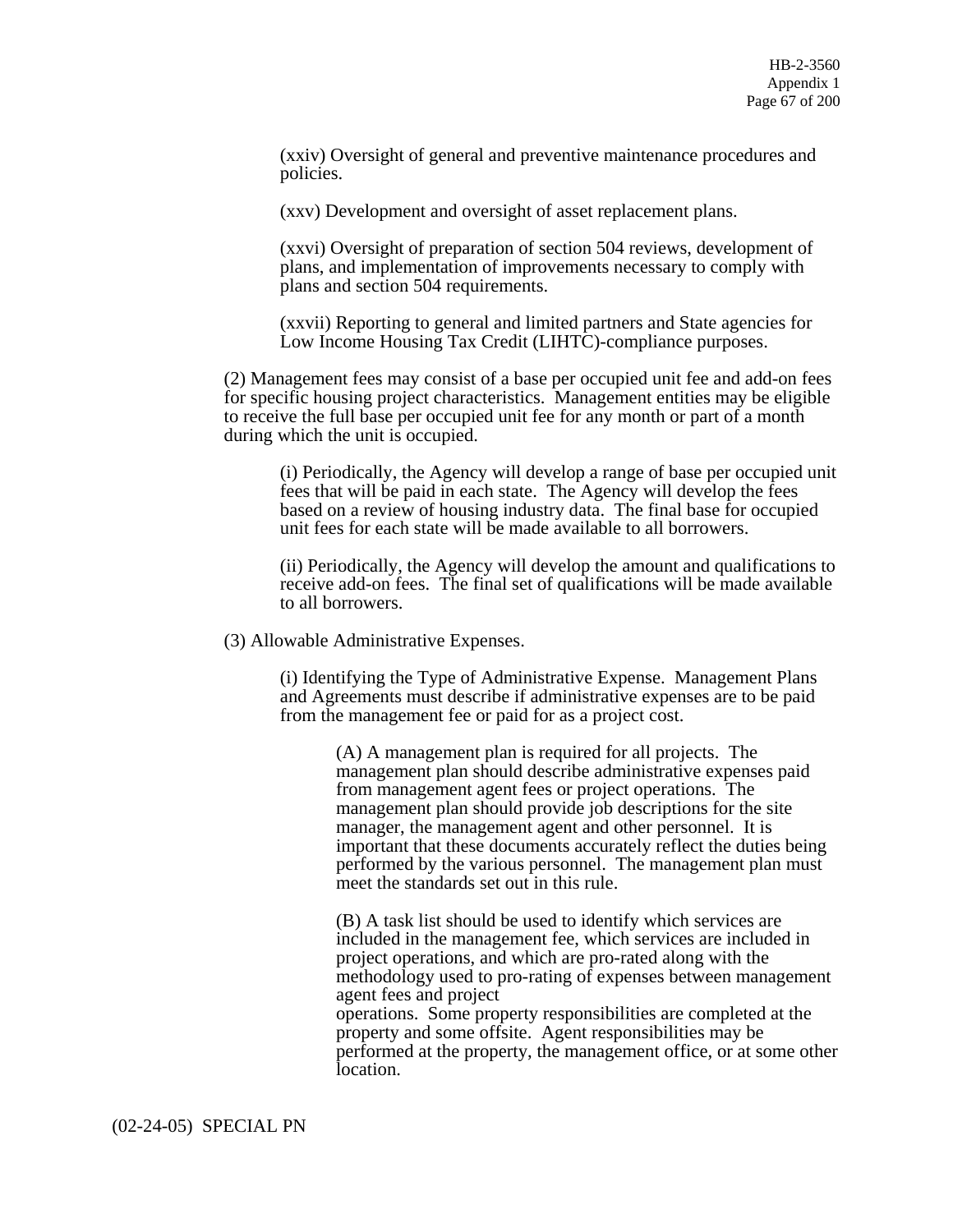(xxiv) Oversight of general and preventive maintenance procedures and policies.

(xxv) Development and oversight of asset replacement plans.

(xxvi) Oversight of preparation of section 504 reviews, development of plans, and implementation of improvements necessary to comply with plans and section 504 requirements.

(xxvii) Reporting to general and limited partners and State agencies for Low Income Housing Tax Credit (LIHTC)-compliance purposes.

(2) Management fees may consist of a base per occupied unit fee and add-on fees for specific housing project characteristics. Management entities may be eligible to receive the full base per occupied unit fee for any month or part of a month during which the unit is occupied.

(i) Periodically, the Agency will develop a range of base per occupied unit fees that will be paid in each state. The Agency will develop the fees based on a review of housing industry data. The final base for occupied unit fees for each state will be made available to all borrowers.

(ii) Periodically, the Agency will develop the amount and qualifications to receive add-on fees. The final set of qualifications will be made available to all borrowers.

(3) Allowable Administrative Expenses.

(i) Identifying the Type of Administrative Expense. Management Plans and Agreements must describe if administrative expenses are to be paid from the management fee or paid for as a project cost.

> (A) A management plan is required for all projects. The management plan should describe administrative expenses paid from management agent fees or project operations. The management plan should provide job descriptions for the site manager, the management agent and other personnel. It is important that these documents accurately reflect the duties being performed by the various personnel. The management plan must meet the standards set out in this rule.

(B) A task list should be used to identify which services are included in the management fee, which services are included in project operations, and which are pro-rated along with the methodology used to pro-rating of expenses between management agent fees and project operations. Some property responsibilities are completed at the property and some offsite. Agent responsibilities may be performed at the property, the management office, or at some other location.

(02-24-05) SPECIAL PN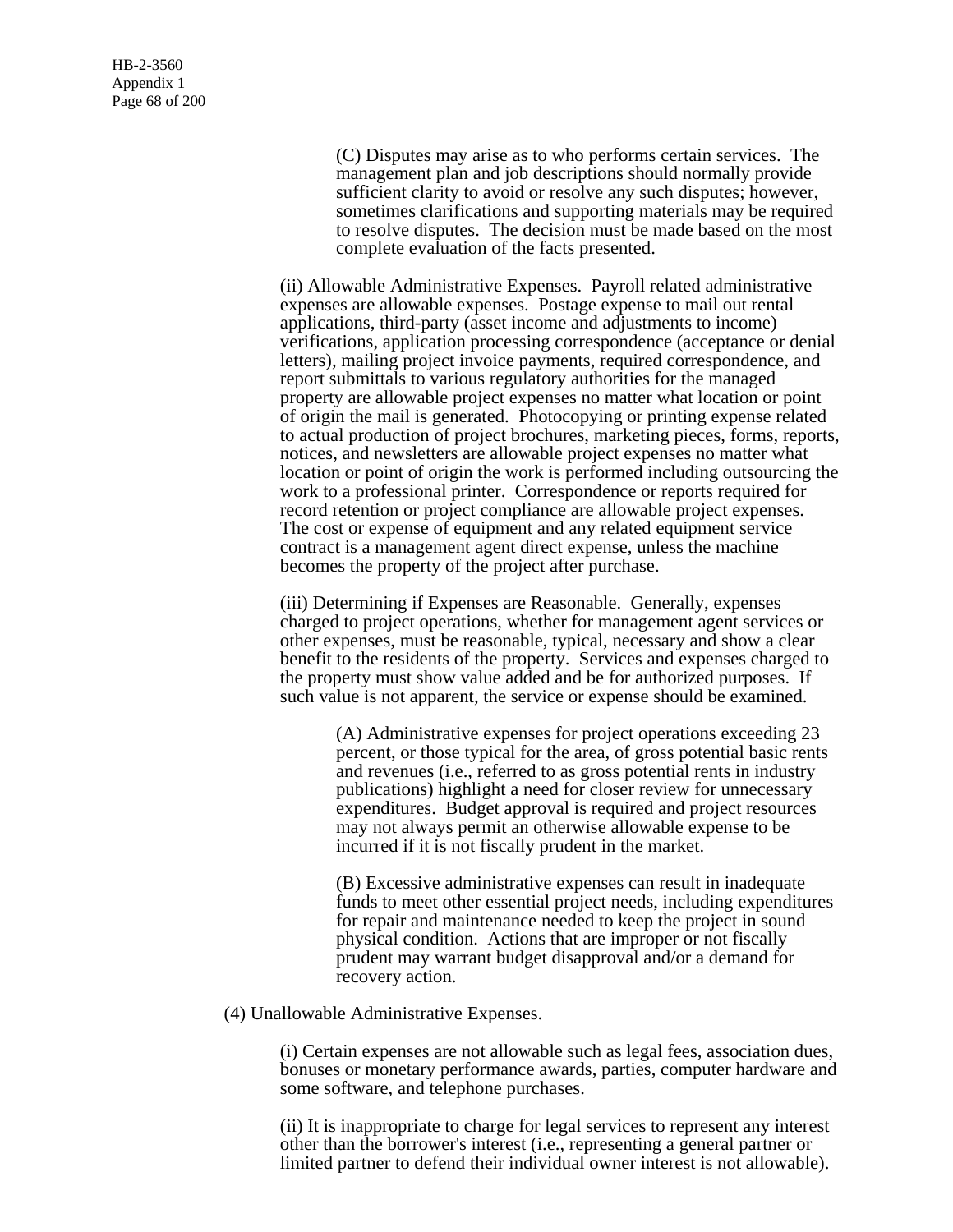(C) Disputes may arise as to who performs certain services. The management plan and job descriptions should normally provide sufficient clarity to avoid or resolve any such disputes; however, sometimes clarifications and supporting materials may be required to resolve disputes. The decision must be made based on the most complete evaluation of the facts presented.

(ii) Allowable Administrative Expenses. Payroll related administrative expenses are allowable expenses. Postage expense to mail out rental applications, third-party (asset income and adjustments to income) verifications, application processing correspondence (acceptance or denial letters), mailing project invoice payments, required correspondence, and report submittals to various regulatory authorities for the managed property are allowable project expenses no matter what location or point of origin the mail is generated. Photocopying or printing expense related to actual production of project brochures, marketing pieces, forms, reports, notices, and newsletters are allowable project expenses no matter what location or point of origin the work is performed including outsourcing the work to a professional printer. Correspondence or reports required for record retention or project compliance are allowable project expenses. The cost or expense of equipment and any related equipment service contract is a management agent direct expense, unless the machine becomes the property of the project after purchase.

(iii) Determining if Expenses are Reasonable. Generally, expenses charged to project operations, whether for management agent services or other expenses, must be reasonable, typical, necessary and show a clear benefit to the residents of the property. Services and expenses charged to the property must show value added and be for authorized purposes. If such value is not apparent, the service or expense should be examined.

> (A) Administrative expenses for project operations exceeding 23 percent, or those typical for the area, of gross potential basic rents and revenues (i.e., referred to as gross potential rents in industry publications) highlight a need for closer review for unnecessary expenditures. Budget approval is required and project resources may not always permit an otherwise allowable expense to be incurred if it is not fiscally prudent in the market.

(B) Excessive administrative expenses can result in inadequate funds to meet other essential project needs, including expenditures for repair and maintenance needed to keep the project in sound physical condition. Actions that are improper or not fiscally prudent may warrant budget disapproval and/or a demand for recovery action.

(4) Unallowable Administrative Expenses.

(i) Certain expenses are not allowable such as legal fees, association dues, bonuses or monetary performance awards, parties, computer hardware and some software, and telephone purchases.

(ii) It is inappropriate to charge for legal services to represent any interest other than the borrower's interest (i.e., representing a general partner or limited partner to defend their individual owner interest is not allowable).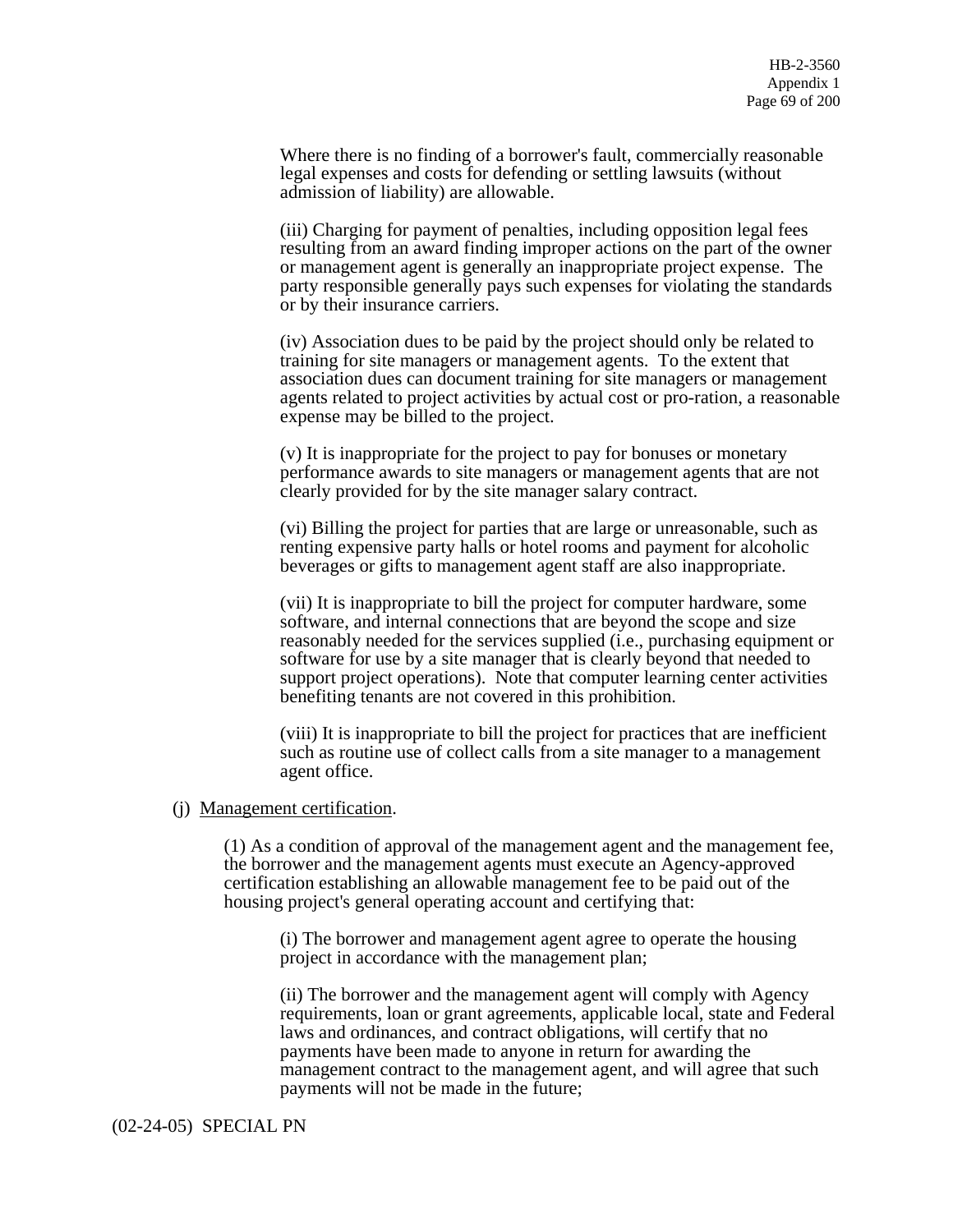Where there is no finding of a borrower's fault, commercially reasonable legal expenses and costs for defending or settling lawsuits (without admission of liability) are allowable.

(iii) Charging for payment of penalties, including opposition legal fees resulting from an award finding improper actions on the part of the owner or management agent is generally an inappropriate project expense. The party responsible generally pays such expenses for violating the standards or by their insurance carriers.

(iv) Association dues to be paid by the project should only be related to training for site managers or management agents. To the extent that association dues can document training for site managers or management agents related to project activities by actual cost or pro-ration, a reasonable expense may be billed to the project.

(v) It is inappropriate for the project to pay for bonuses or monetary performance awards to site managers or management agents that are not clearly provided for by the site manager salary contract.

(vi) Billing the project for parties that are large or unreasonable, such as renting expensive party halls or hotel rooms and payment for alcoholic beverages or gifts to management agent staff are also inappropriate.

(vii) It is inappropriate to bill the project for computer hardware, some software, and internal connections that are beyond the scope and size reasonably needed for the services supplied (i.e., purchasing equipment or software for use by a site manager that is clearly beyond that needed to support project operations). Note that computer learning center activities benefiting tenants are not covered in this prohibition.

(viii) It is inappropriate to bill the project for practices that are inefficient such as routine use of collect calls from a site manager to a management agent office.

### (j) Management certification.

(1) As a condition of approval of the management agent and the management fee, the borrower and the management agents must execute an Agency-approved certification establishing an allowable management fee to be paid out of the housing project's general operating account and certifying that:

(i) The borrower and management agent agree to operate the housing project in accordance with the management plan;

(ii) The borrower and the management agent will comply with Agency requirements, loan or grant agreements, applicable local, state and Federal laws and ordinances, and contract obligations, will certify that no payments have been made to anyone in return for awarding the management contract to the management agent, and will agree that such payments will not be made in the future;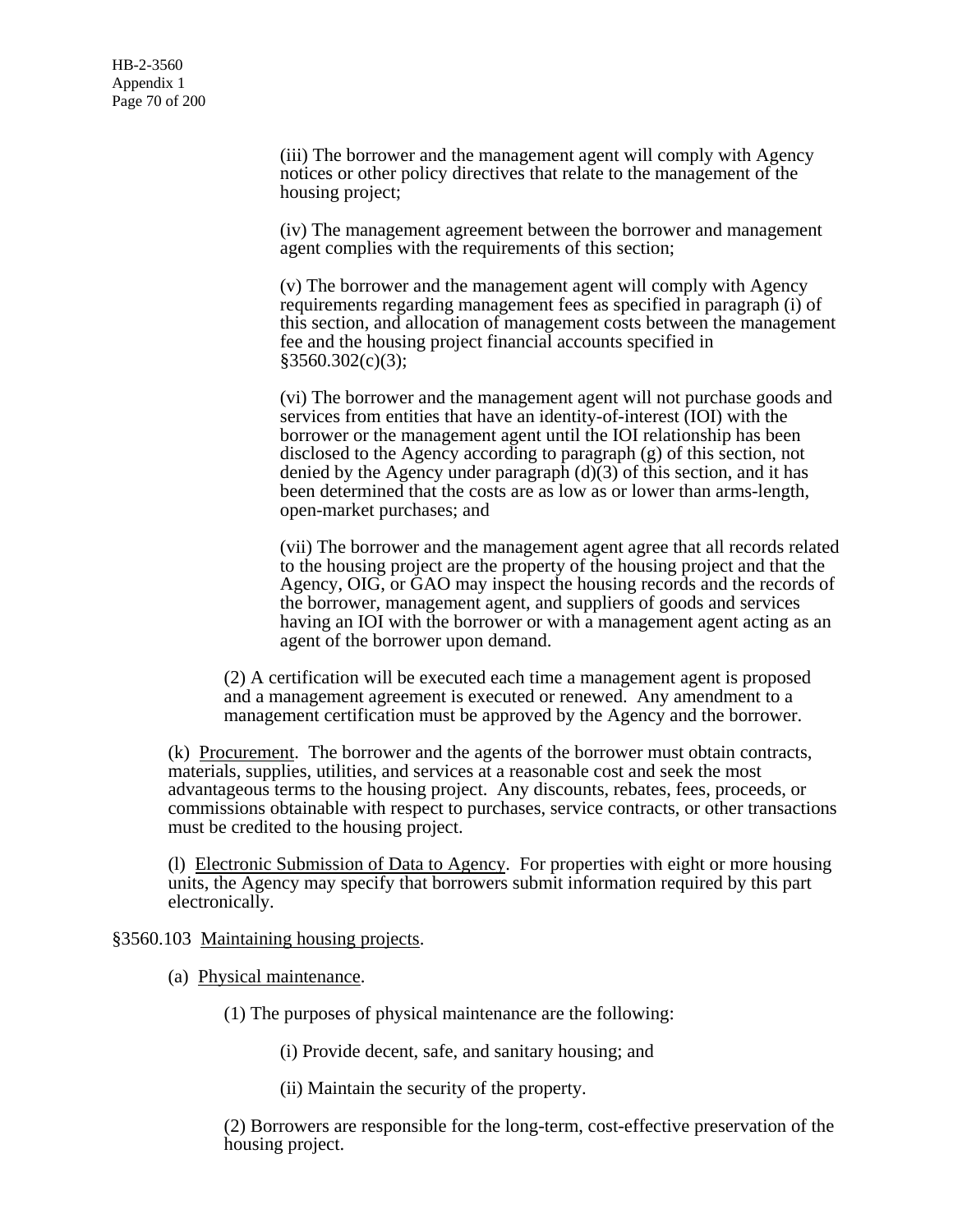(iii) The borrower and the management agent will comply with Agency notices or other policy directives that relate to the management of the housing project;

(iv) The management agreement between the borrower and management agent complies with the requirements of this section;

(v) The borrower and the management agent will comply with Agency requirements regarding management fees as specified in paragraph (i) of this section, and allocation of management costs between the management fee and the housing project financial accounts specified in  $§3560.302(c)(3);$ 

(vi) The borrower and the management agent will not purchase goods and services from entities that have an identity-of-interest (IOI) with the borrower or the management agent until the IOI relationship has been disclosed to the Agency according to paragraph (g) of this section, not denied by the Agency under paragraph  $(d)(3)$  of this section, and it has been determined that the costs are as low as or lower than arms-length, open-market purchases; and

(vii) The borrower and the management agent agree that all records related to the housing project are the property of the housing project and that the Agency, OIG, or GAO may inspect the housing records and the records of the borrower, management agent, and suppliers of goods and services having an IOI with the borrower or with a management agent acting as an agent of the borrower upon demand.

(2) A certification will be executed each time a management agent is proposed and a management agreement is executed or renewed. Any amendment to a management certification must be approved by the Agency and the borrower.

(k) Procurement. The borrower and the agents of the borrower must obtain contracts, materials, supplies, utilities, and services at a reasonable cost and seek the most advantageous terms to the housing project. Any discounts, rebates, fees, proceeds, or commissions obtainable with respect to purchases, service contracts, or other transactions must be credited to the housing project.

(l) Electronic Submission of Data to Agency. For properties with eight or more housing units, the Agency may specify that borrowers submit information required by this part electronically.

§3560.103 Maintaining housing projects.

(a) Physical maintenance.

(1) The purposes of physical maintenance are the following:

(i) Provide decent, safe, and sanitary housing; and

(ii) Maintain the security of the property.

(2) Borrowers are responsible for the long-term, cost-effective preservation of the housing project.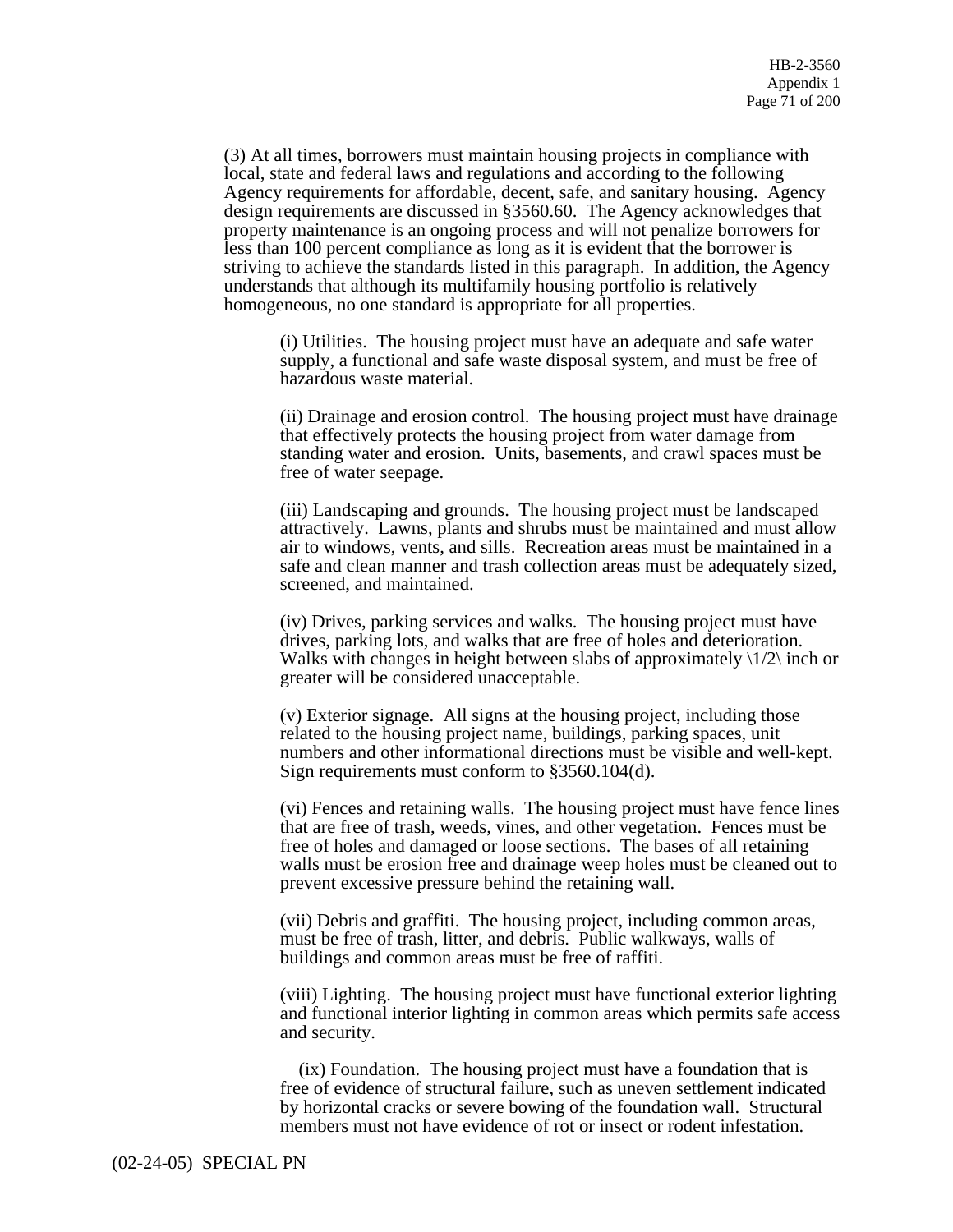(3) At all times, borrowers must maintain housing projects in compliance with local, state and federal laws and regulations and according to the following Agency requirements for affordable, decent, safe, and sanitary housing. Agency design requirements are discussed in §3560.60. The Agency acknowledges that property maintenance is an ongoing process and will not penalize borrowers for less than 100 percent compliance as long as it is evident that the borrower is striving to achieve the standards listed in this paragraph. In addition, the Agency understands that although its multifamily housing portfolio is relatively homogeneous, no one standard is appropriate for all properties.

(i) Utilities. The housing project must have an adequate and safe water supply, a functional and safe waste disposal system, and must be free of hazardous waste material.

(ii) Drainage and erosion control. The housing project must have drainage that effectively protects the housing project from water damage from standing water and erosion. Units, basements, and crawl spaces must be free of water seepage.

(iii) Landscaping and grounds. The housing project must be landscaped attractively. Lawns, plants and shrubs must be maintained and must allow air to windows, vents, and sills. Recreation areas must be maintained in a safe and clean manner and trash collection areas must be adequately sized, screened, and maintained.

(iv) Drives, parking services and walks. The housing project must have drives, parking lots, and walks that are free of holes and deterioration. Walks with changes in height between slabs of approximately  $\frac{1}{2}$  inch or greater will be considered unacceptable.

(v) Exterior signage. All signs at the housing project, including those related to the housing project name, buildings, parking spaces, unit numbers and other informational directions must be visible and well-kept. Sign requirements must conform to §3560.104(d).

(vi) Fences and retaining walls. The housing project must have fence lines that are free of trash, weeds, vines, and other vegetation. Fences must be free of holes and damaged or loose sections. The bases of all retaining walls must be erosion free and drainage weep holes must be cleaned out to prevent excessive pressure behind the retaining wall.

(vii) Debris and graffiti. The housing project, including common areas, must be free of trash, litter, and debris. Public walkways, walls of buildings and common areas must be free of raffiti.

(viii) Lighting. The housing project must have functional exterior lighting and functional interior lighting in common areas which permits safe access and security.

 (ix) Foundation. The housing project must have a foundation that is free of evidence of structural failure, such as uneven settlement indicated by horizontal cracks or severe bowing of the foundation wall. Structural members must not have evidence of rot or insect or rodent infestation.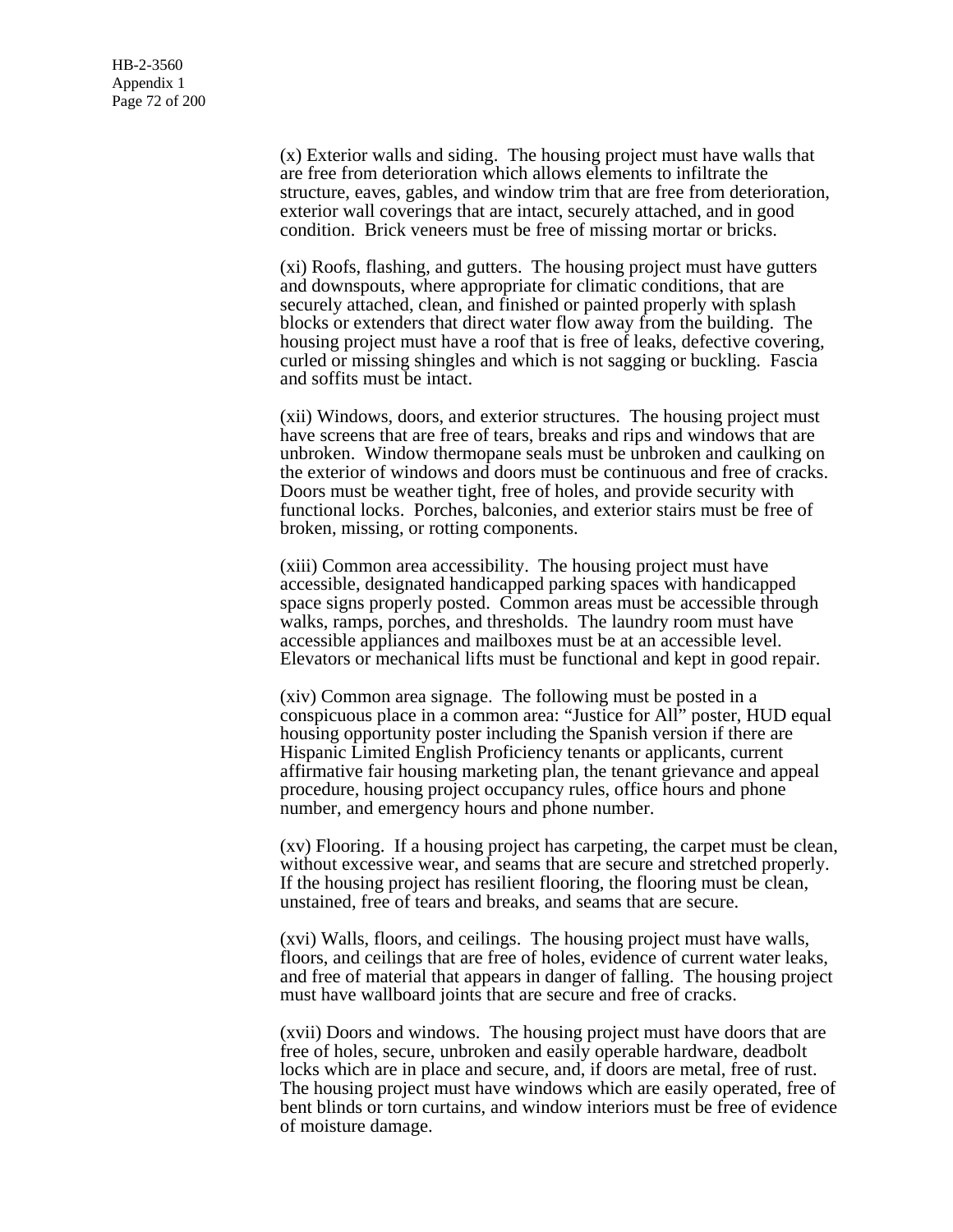(x) Exterior walls and siding. The housing project must have walls that are free from deterioration which allows elements to infiltrate the structure, eaves, gables, and window trim that are free from deterioration, exterior wall coverings that are intact, securely attached, and in good condition. Brick veneers must be free of missing mortar or bricks.

(xi) Roofs, flashing, and gutters. The housing project must have gutters and downspouts, where appropriate for climatic conditions, that are securely attached, clean, and finished or painted properly with splash blocks or extenders that direct water flow away from the building. The housing project must have a roof that is free of leaks, defective covering, curled or missing shingles and which is not sagging or buckling. Fascia and soffits must be intact.

(xii) Windows, doors, and exterior structures. The housing project must have screens that are free of tears, breaks and rips and windows that are unbroken. Window thermopane seals must be unbroken and caulking on the exterior of windows and doors must be continuous and free of cracks. Doors must be weather tight, free of holes, and provide security with functional locks. Porches, balconies, and exterior stairs must be free of broken, missing, or rotting components.

(xiii) Common area accessibility. The housing project must have accessible, designated handicapped parking spaces with handicapped space signs properly posted. Common areas must be accessible through walks, ramps, porches, and thresholds. The laundry room must have accessible appliances and mailboxes must be at an accessible level. Elevators or mechanical lifts must be functional and kept in good repair.

(xiv) Common area signage. The following must be posted in a conspicuous place in a common area: "Justice for All" poster, HUD equal housing opportunity poster including the Spanish version if there are Hispanic Limited English Proficiency tenants or applicants, current affirmative fair housing marketing plan, the tenant grievance and appeal procedure, housing project occupancy rules, office hours and phone number, and emergency hours and phone number.

(xv) Flooring. If a housing project has carpeting, the carpet must be clean, without excessive wear, and seams that are secure and stretched properly. If the housing project has resilient flooring, the flooring must be clean, unstained, free of tears and breaks, and seams that are secure.

(xvi) Walls, floors, and ceilings. The housing project must have walls, floors, and ceilings that are free of holes, evidence of current water leaks, and free of material that appears in danger of falling. The housing project must have wallboard joints that are secure and free of cracks.

(xvii) Doors and windows. The housing project must have doors that are free of holes, secure, unbroken and easily operable hardware, deadbolt locks which are in place and secure, and, if doors are metal, free of rust. The housing project must have windows which are easily operated, free of bent blinds or torn curtains, and window interiors must be free of evidence of moisture damage.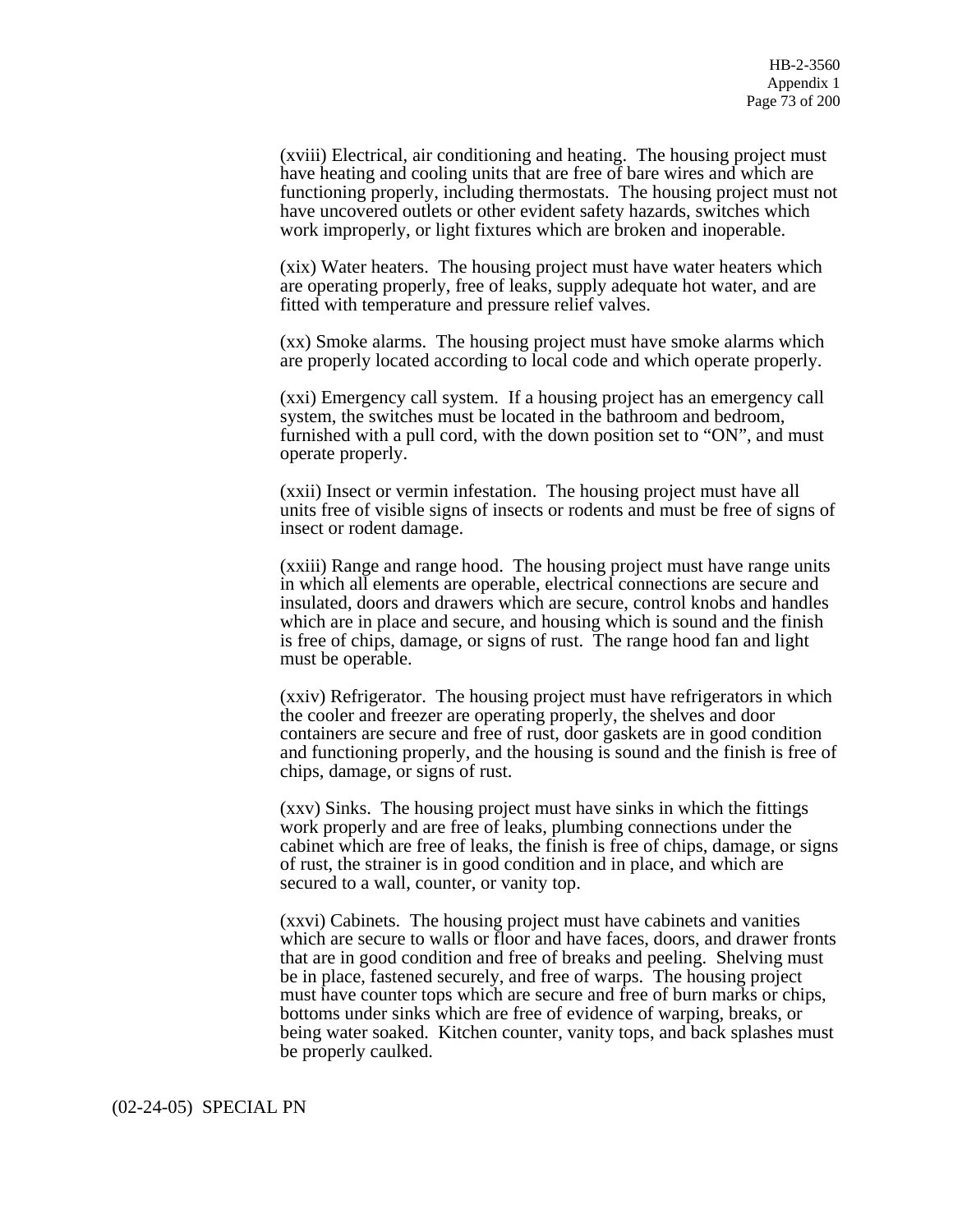(xviii) Electrical, air conditioning and heating. The housing project must have heating and cooling units that are free of bare wires and which are functioning properly, including thermostats. The housing project must not have uncovered outlets or other evident safety hazards, switches which work improperly, or light fixtures which are broken and inoperable.

(xix) Water heaters. The housing project must have water heaters which are operating properly, free of leaks, supply adequate hot water, and are fitted with temperature and pressure relief valves.

(xx) Smoke alarms. The housing project must have smoke alarms which are properly located according to local code and which operate properly.

(xxi) Emergency call system. If a housing project has an emergency call system, the switches must be located in the bathroom and bedroom, furnished with a pull cord, with the down position set to "ON", and must operate properly.

(xxii) Insect or vermin infestation. The housing project must have all units free of visible signs of insects or rodents and must be free of signs of insect or rodent damage.

(xxiii) Range and range hood. The housing project must have range units in which all elements are operable, electrical connections are secure and insulated, doors and drawers which are secure, control knobs and handles which are in place and secure, and housing which is sound and the finish is free of chips, damage, or signs of rust. The range hood fan and light must be operable.

(xxiv) Refrigerator. The housing project must have refrigerators in which the cooler and freezer are operating properly, the shelves and door containers are secure and free of rust, door gaskets are in good condition and functioning properly, and the housing is sound and the finish is free of chips, damage, or signs of rust.

(xxv) Sinks. The housing project must have sinks in which the fittings work properly and are free of leaks, plumbing connections under the cabinet which are free of leaks, the finish is free of chips, damage, or signs of rust, the strainer is in good condition and in place, and which are secured to a wall, counter, or vanity top.

(xxvi) Cabinets. The housing project must have cabinets and vanities which are secure to walls or floor and have faces, doors, and drawer fronts that are in good condition and free of breaks and peeling. Shelving must be in place, fastened securely, and free of warps. The housing project must have counter tops which are secure and free of burn marks or chips, bottoms under sinks which are free of evidence of warping, breaks, or being water soaked. Kitchen counter, vanity tops, and back splashes must be properly caulked.

#### (02-24-05) SPECIAL PN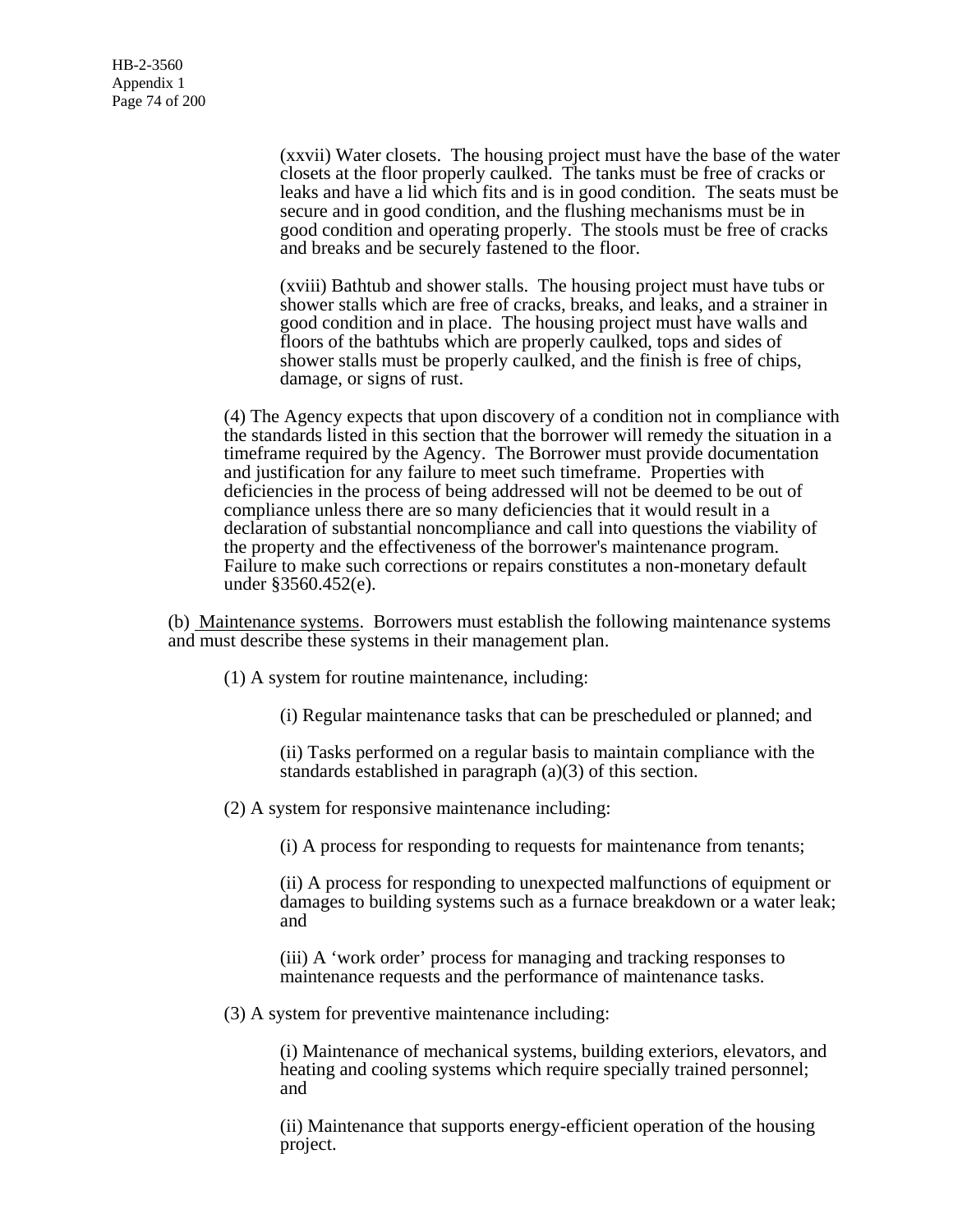(xxvii) Water closets. The housing project must have the base of the water closets at the floor properly caulked. The tanks must be free of cracks or leaks and have a lid which fits and is in good condition. The seats must be secure and in good condition, and the flushing mechanisms must be in good condition and operating properly. The stools must be free of cracks and breaks and be securely fastened to the floor.

(xviii) Bathtub and shower stalls. The housing project must have tubs or shower stalls which are free of cracks, breaks, and leaks, and a strainer in good condition and in place. The housing project must have walls and floors of the bathtubs which are properly caulked, tops and sides of shower stalls must be properly caulked, and the finish is free of chips, damage, or signs of rust.

(4) The Agency expects that upon discovery of a condition not in compliance with the standards listed in this section that the borrower will remedy the situation in a timeframe required by the Agency. The Borrower must provide documentation and justification for any failure to meet such timeframe. Properties with deficiencies in the process of being addressed will not be deemed to be out of compliance unless there are so many deficiencies that it would result in a declaration of substantial noncompliance and call into questions the viability of the property and the effectiveness of the borrower's maintenance program. Failure to make such corrections or repairs constitutes a non-monetary default under §3560.452(e).

(b) Maintenance systems. Borrowers must establish the following maintenance systems and must describe these systems in their management plan.

(1) A system for routine maintenance, including:

(i) Regular maintenance tasks that can be prescheduled or planned; and

(ii) Tasks performed on a regular basis to maintain compliance with the standards established in paragraph (a)(3) of this section.

(2) A system for responsive maintenance including:

(i) A process for responding to requests for maintenance from tenants;

(ii) A process for responding to unexpected malfunctions of equipment or damages to building systems such as a furnace breakdown or a water leak; and

(iii) A 'work order' process for managing and tracking responses to maintenance requests and the performance of maintenance tasks.

(3) A system for preventive maintenance including:

(i) Maintenance of mechanical systems, building exteriors, elevators, and heating and cooling systems which require specially trained personnel; and

(ii) Maintenance that supports energy-efficient operation of the housing project.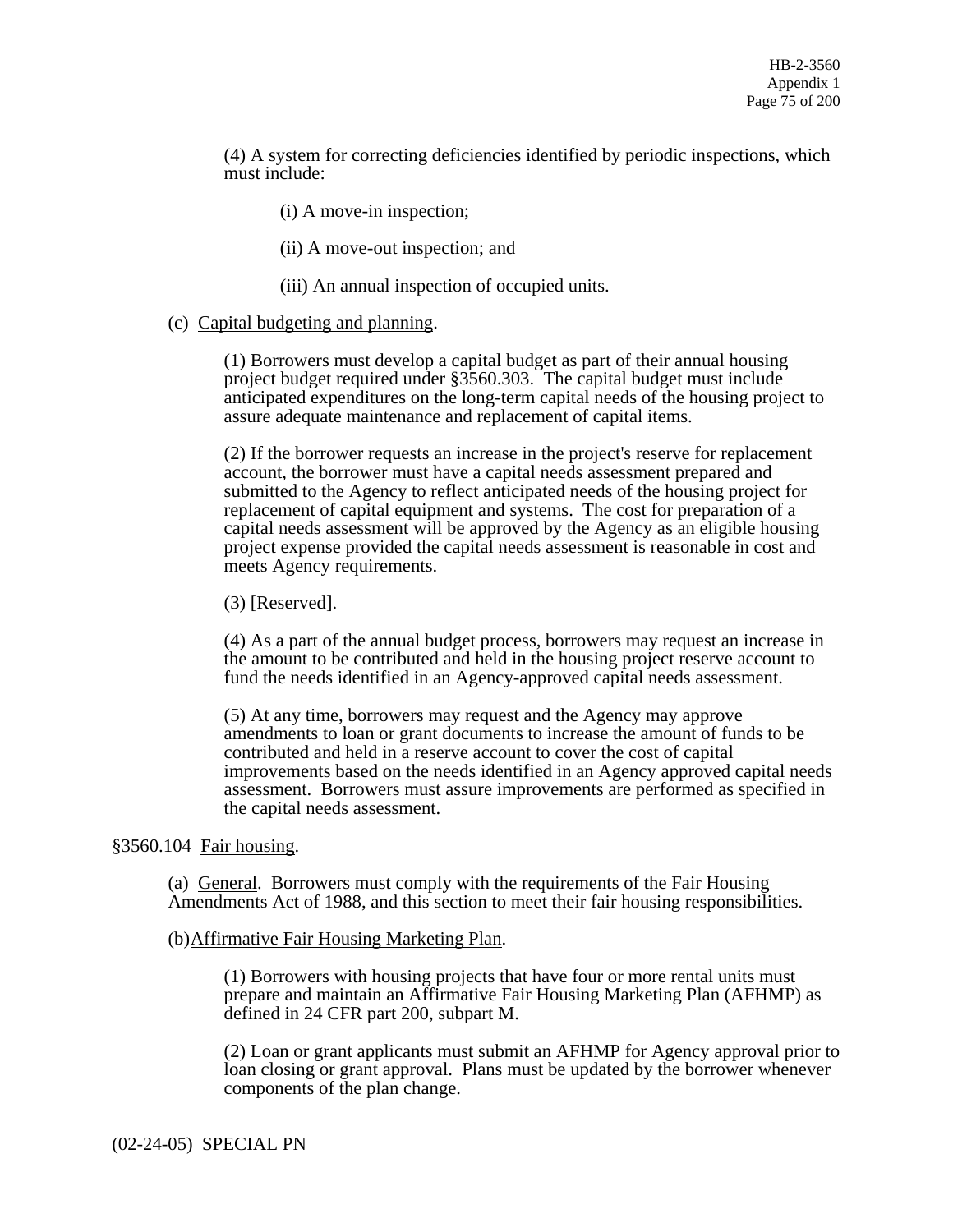(4) A system for correcting deficiencies identified by periodic inspections, which must include:

(i) A move-in inspection;

(ii) A move-out inspection; and

(iii) An annual inspection of occupied units.

#### (c) Capital budgeting and planning.

(1) Borrowers must develop a capital budget as part of their annual housing project budget required under §3560.303. The capital budget must include anticipated expenditures on the long-term capital needs of the housing project to assure adequate maintenance and replacement of capital items.

(2) If the borrower requests an increase in the project's reserve for replacement account, the borrower must have a capital needs assessment prepared and submitted to the Agency to reflect anticipated needs of the housing project for replacement of capital equipment and systems. The cost for preparation of a capital needs assessment will be approved by the Agency as an eligible housing project expense provided the capital needs assessment is reasonable in cost and meets Agency requirements.

(3) [Reserved].

(4) As a part of the annual budget process, borrowers may request an increase in the amount to be contributed and held in the housing project reserve account to fund the needs identified in an Agency-approved capital needs assessment.

(5) At any time, borrowers may request and the Agency may approve amendments to loan or grant documents to increase the amount of funds to be contributed and held in a reserve account to cover the cost of capital improvements based on the needs identified in an Agency approved capital needs assessment. Borrowers must assure improvements are performed as specified in the capital needs assessment.

### §3560.104 Fair housing.

(a) General. Borrowers must comply with the requirements of the Fair Housing Amendments Act of 1988, and this section to meet their fair housing responsibilities.

#### (b)Affirmative Fair Housing Marketing Plan.

(1) Borrowers with housing projects that have four or more rental units must prepare and maintain an Affirmative Fair Housing Marketing Plan (AFHMP) as defined in 24 CFR part 200, subpart M.

(2) Loan or grant applicants must submit an AFHMP for Agency approval prior to loan closing or grant approval. Plans must be updated by the borrower whenever components of the plan change.

(02-24-05) SPECIAL PN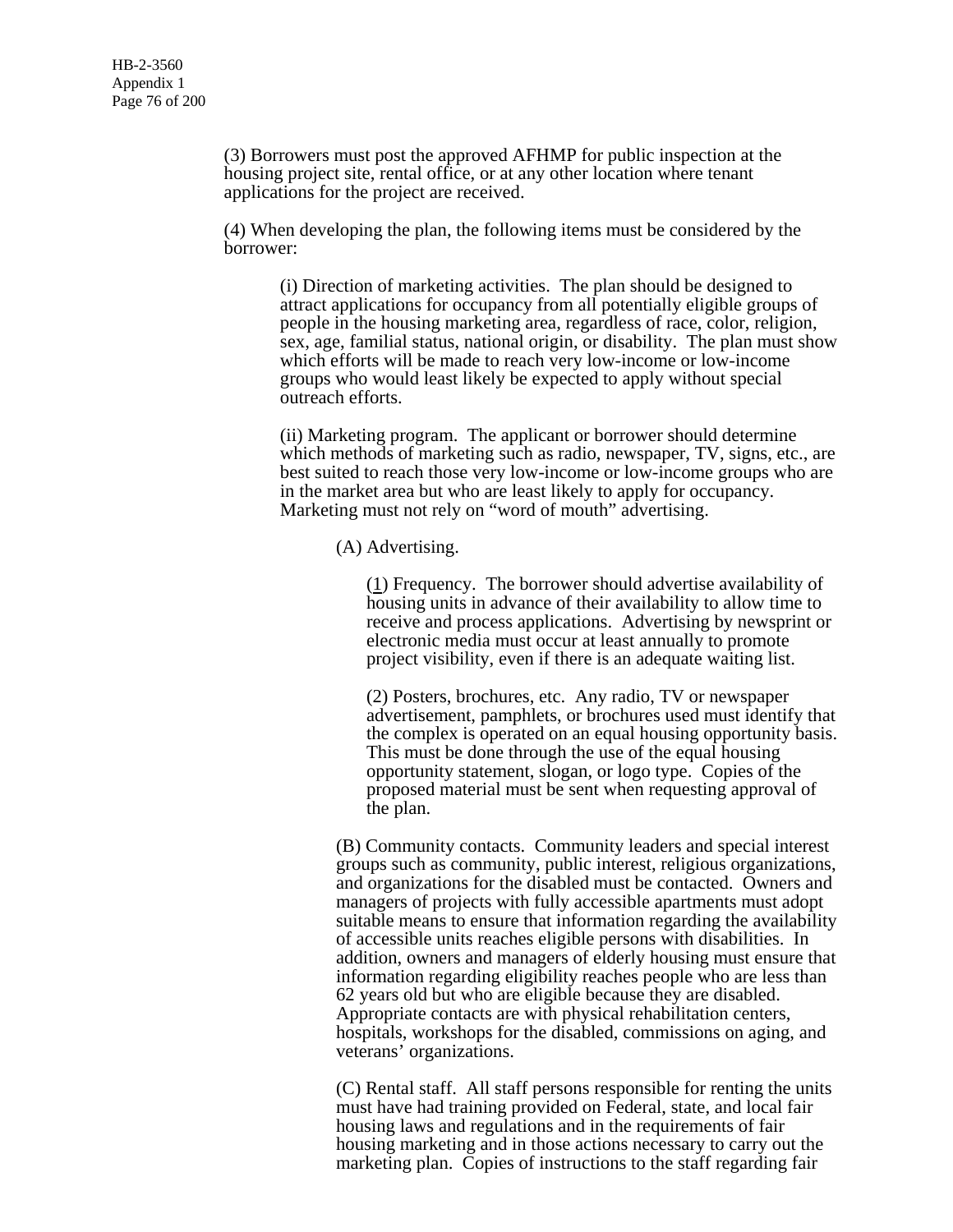(3) Borrowers must post the approved AFHMP for public inspection at the housing project site, rental office, or at any other location where tenant applications for the project are received.

(4) When developing the plan, the following items must be considered by the borrower:

(i) Direction of marketing activities. The plan should be designed to attract applications for occupancy from all potentially eligible groups of people in the housing marketing area, regardless of race, color, religion, sex, age, familial status, national origin, or disability. The plan must show which efforts will be made to reach very low-income or low-income groups who would least likely be expected to apply without special outreach efforts.

(ii) Marketing program. The applicant or borrower should determine which methods of marketing such as radio, newspaper, TV, signs, etc., are best suited to reach those very low-income or low-income groups who are in the market area but who are least likely to apply for occupancy. Marketing must not rely on "word of mouth" advertising.

(A) Advertising.

(1) Frequency. The borrower should advertise availability of housing units in advance of their availability to allow time to receive and process applications. Advertising by newsprint or electronic media must occur at least annually to promote project visibility, even if there is an adequate waiting list.

(2) Posters, brochures, etc. Any radio, TV or newspaper advertisement, pamphlets, or brochures used must identify that the complex is operated on an equal housing opportunity basis. This must be done through the use of the equal housing opportunity statement, slogan, or logo type. Copies of the proposed material must be sent when requesting approval of the plan.

(B) Community contacts. Community leaders and special interest groups such as community, public interest, religious organizations, and organizations for the disabled must be contacted. Owners and managers of projects with fully accessible apartments must adopt suitable means to ensure that information regarding the availability of accessible units reaches eligible persons with disabilities. In addition, owners and managers of elderly housing must ensure that information regarding eligibility reaches people who are less than 62 years old but who are eligible because they are disabled. Appropriate contacts are with physical rehabilitation centers, hospitals, workshops for the disabled, commissions on aging, and veterans' organizations.

(C) Rental staff. All staff persons responsible for renting the units must have had training provided on Federal, state, and local fair housing laws and regulations and in the requirements of fair housing marketing and in those actions necessary to carry out the marketing plan. Copies of instructions to the staff regarding fair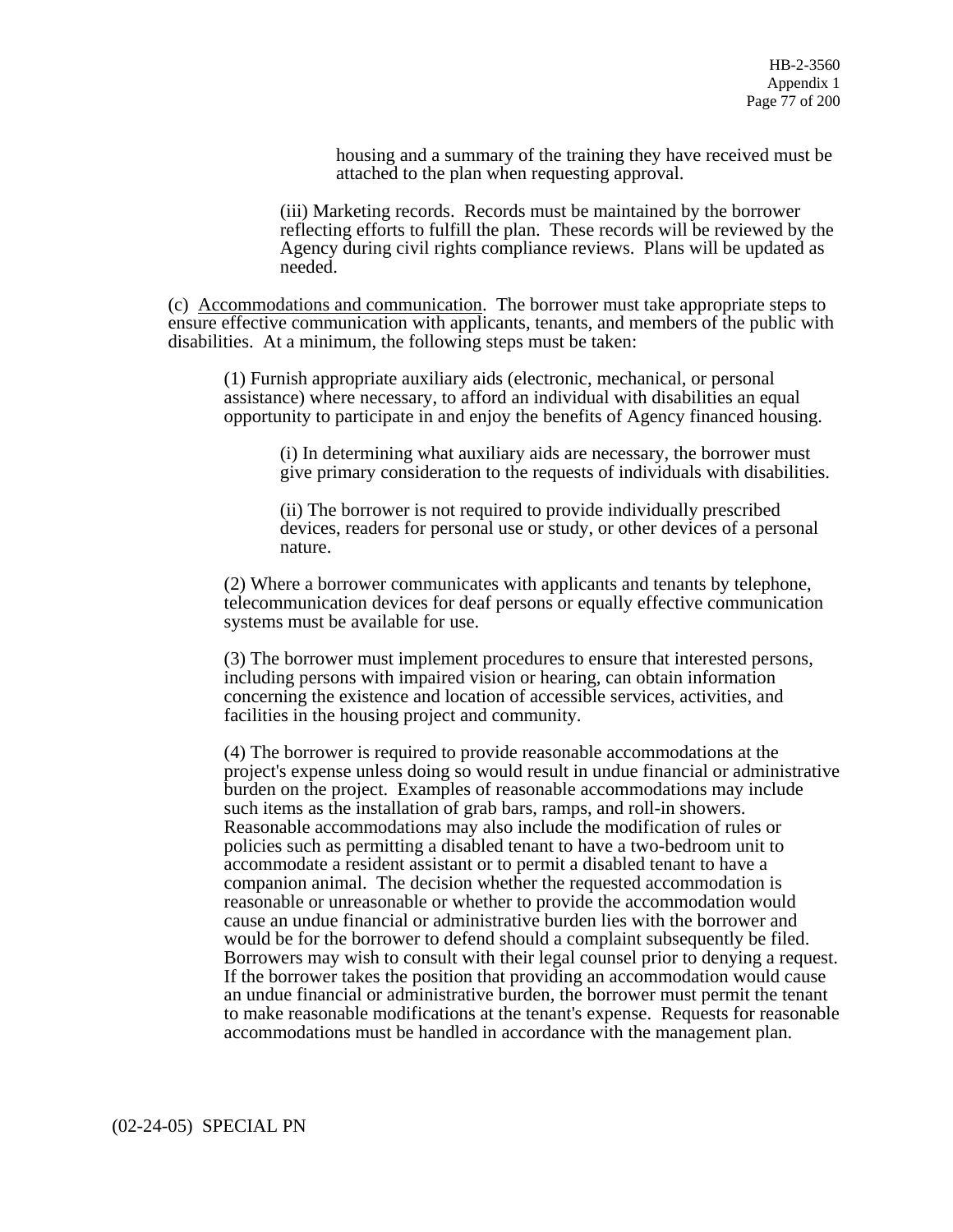housing and a summary of the training they have received must be attached to the plan when requesting approval.

(iii) Marketing records. Records must be maintained by the borrower reflecting efforts to fulfill the plan. These records will be reviewed by the Agency during civil rights compliance reviews. Plans will be updated as needed.

(c) Accommodations and communication. The borrower must take appropriate steps to ensure effective communication with applicants, tenants, and members of the public with disabilities. At a minimum, the following steps must be taken:

(1) Furnish appropriate auxiliary aids (electronic, mechanical, or personal assistance) where necessary, to afford an individual with disabilities an equal opportunity to participate in and enjoy the benefits of Agency financed housing.

(i) In determining what auxiliary aids are necessary, the borrower must give primary consideration to the requests of individuals with disabilities.

(ii) The borrower is not required to provide individually prescribed devices, readers for personal use or study, or other devices of a personal nature.

(2) Where a borrower communicates with applicants and tenants by telephone, telecommunication devices for deaf persons or equally effective communication systems must be available for use.

(3) The borrower must implement procedures to ensure that interested persons, including persons with impaired vision or hearing, can obtain information concerning the existence and location of accessible services, activities, and facilities in the housing project and community.

(4) The borrower is required to provide reasonable accommodations at the project's expense unless doing so would result in undue financial or administrative burden on the project. Examples of reasonable accommodations may include such items as the installation of grab bars, ramps, and roll-in showers. Reasonable accommodations may also include the modification of rules or policies such as permitting a disabled tenant to have a two-bedroom unit to accommodate a resident assistant or to permit a disabled tenant to have a companion animal. The decision whether the requested accommodation is reasonable or unreasonable or whether to provide the accommodation would cause an undue financial or administrative burden lies with the borrower and would be for the borrower to defend should a complaint subsequently be filed. Borrowers may wish to consult with their legal counsel prior to denying a request. If the borrower takes the position that providing an accommodation would cause an undue financial or administrative burden, the borrower must permit the tenant to make reasonable modifications at the tenant's expense. Requests for reasonable accommodations must be handled in accordance with the management plan.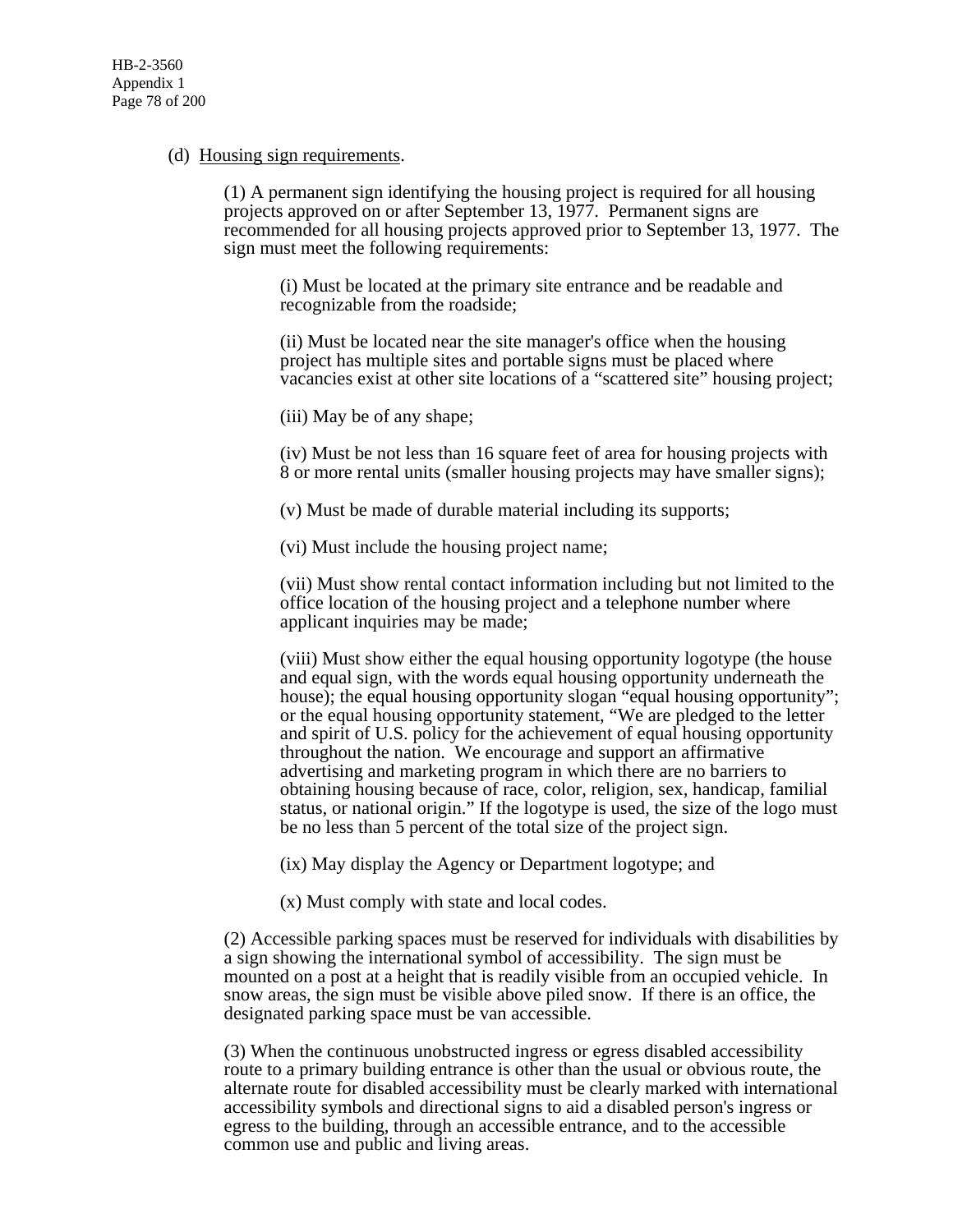# (d) Housing sign requirements.

(1) A permanent sign identifying the housing project is required for all housing projects approved on or after September 13, 1977. Permanent signs are recommended for all housing projects approved prior to September 13, 1977. The sign must meet the following requirements:

(i) Must be located at the primary site entrance and be readable and recognizable from the roadside;

(ii) Must be located near the site manager's office when the housing project has multiple sites and portable signs must be placed where vacancies exist at other site locations of a "scattered site" housing project;

(iii) May be of any shape;

(iv) Must be not less than 16 square feet of area for housing projects with 8 or more rental units (smaller housing projects may have smaller signs);

(v) Must be made of durable material including its supports;

(vi) Must include the housing project name;

(vii) Must show rental contact information including but not limited to the office location of the housing project and a telephone number where applicant inquiries may be made;

(viii) Must show either the equal housing opportunity logotype (the house and equal sign, with the words equal housing opportunity underneath the house); the equal housing opportunity slogan "equal housing opportunity"; or the equal housing opportunity statement, "We are pledged to the letter and spirit of U.S. policy for the achievement of equal housing opportunity throughout the nation. We encourage and support an affirmative advertising and marketing program in which there are no barriers to obtaining housing because of race, color, religion, sex, handicap, familial status, or national origin." If the logotype is used, the size of the logo must be no less than 5 percent of the total size of the project sign.

(ix) May display the Agency or Department logotype; and

(x) Must comply with state and local codes.

(2) Accessible parking spaces must be reserved for individuals with disabilities by a sign showing the international symbol of accessibility. The sign must be mounted on a post at a height that is readily visible from an occupied vehicle. In snow areas, the sign must be visible above piled snow. If there is an office, the designated parking space must be van accessible.

(3) When the continuous unobstructed ingress or egress disabled accessibility route to a primary building entrance is other than the usual or obvious route, the alternate route for disabled accessibility must be clearly marked with international accessibility symbols and directional signs to aid a disabled person's ingress or egress to the building, through an accessible entrance, and to the accessible common use and public and living areas.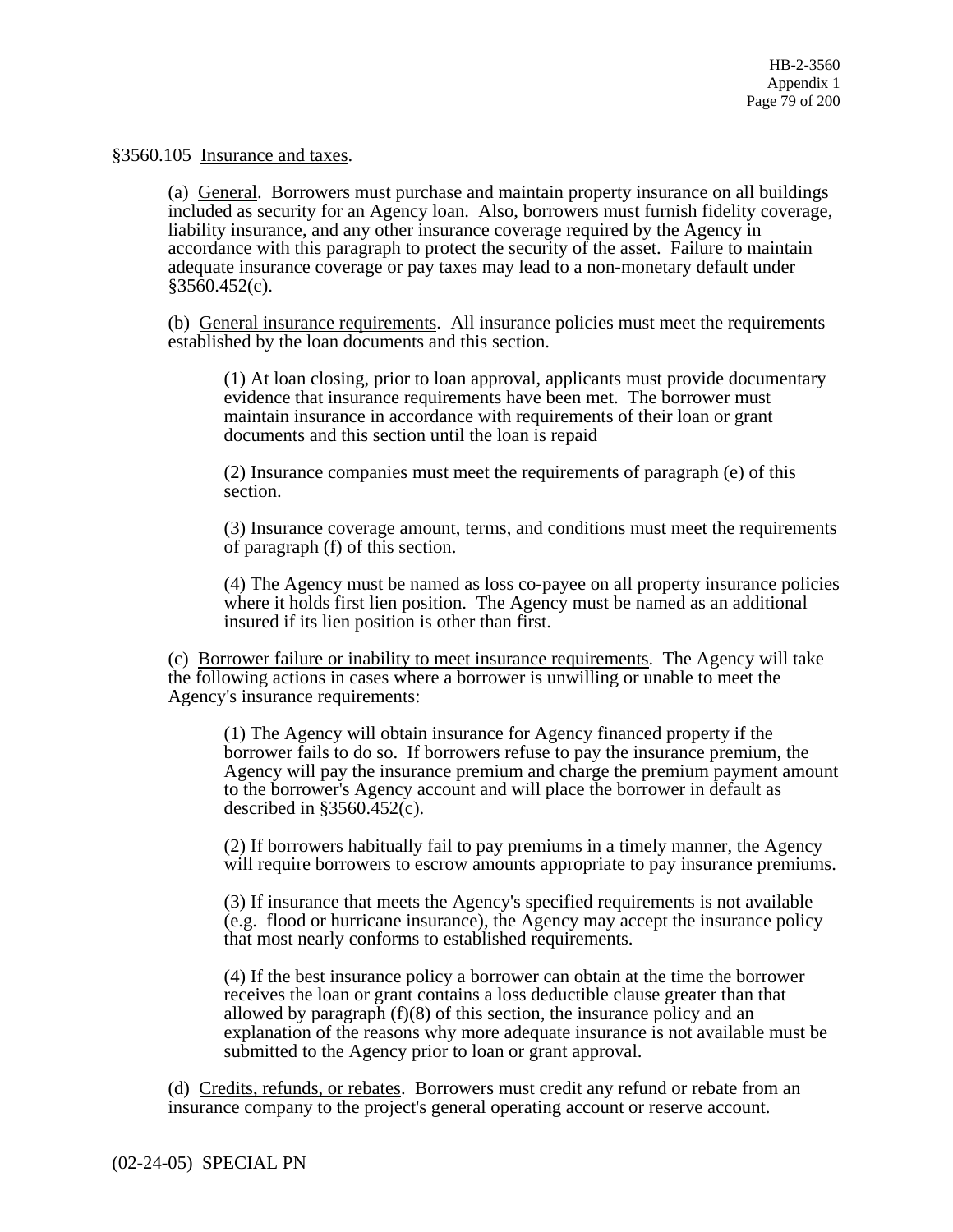§3560.105 Insurance and taxes.

(a) General. Borrowers must purchase and maintain property insurance on all buildings included as security for an Agency loan. Also, borrowers must furnish fidelity coverage, liability insurance, and any other insurance coverage required by the Agency in accordance with this paragraph to protect the security of the asset. Failure to maintain adequate insurance coverage or pay taxes may lead to a non-monetary default under  $§3560.452(c)$ .

(b) General insurance requirements. All insurance policies must meet the requirements established by the loan documents and this section.

(1) At loan closing, prior to loan approval, applicants must provide documentary evidence that insurance requirements have been met. The borrower must maintain insurance in accordance with requirements of their loan or grant documents and this section until the loan is repaid

(2) Insurance companies must meet the requirements of paragraph (e) of this section.

(3) Insurance coverage amount, terms, and conditions must meet the requirements of paragraph (f) of this section.

(4) The Agency must be named as loss co-payee on all property insurance policies where it holds first lien position. The Agency must be named as an additional insured if its lien position is other than first.

(c) Borrower failure or inability to meet insurance requirements. The Agency will take the following actions in cases where a borrower is unwilling or unable to meet the Agency's insurance requirements:

(1) The Agency will obtain insurance for Agency financed property if the borrower fails to do so. If borrowers refuse to pay the insurance premium, the Agency will pay the insurance premium and charge the premium payment amount to the borrower's Agency account and will place the borrower in default as described in §3560.452(c).

(2) If borrowers habitually fail to pay premiums in a timely manner, the Agency will require borrowers to escrow amounts appropriate to pay insurance premiums.

(3) If insurance that meets the Agency's specified requirements is not available (e.g. flood or hurricane insurance), the Agency may accept the insurance policy that most nearly conforms to established requirements.

(4) If the best insurance policy a borrower can obtain at the time the borrower receives the loan or grant contains a loss deductible clause greater than that allowed by paragraph (f)(8) of this section, the insurance policy and an explanation of the reasons why more adequate insurance is not available must be submitted to the Agency prior to loan or grant approval.

(d) Credits, refunds, or rebates. Borrowers must credit any refund or rebate from an insurance company to the project's general operating account or reserve account.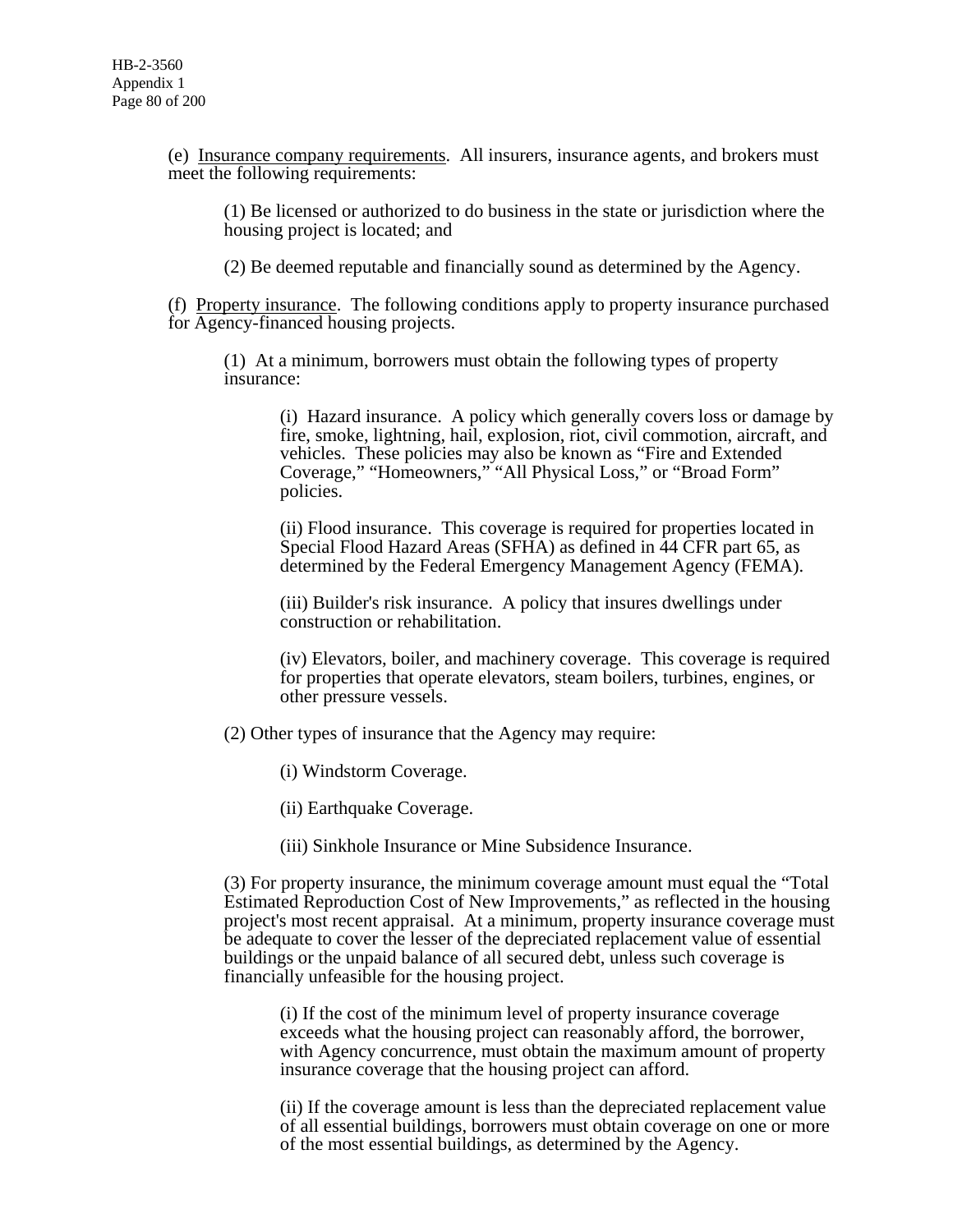(e) Insurance company requirements. All insurers, insurance agents, and brokers must meet the following requirements:

(1) Be licensed or authorized to do business in the state or jurisdiction where the housing project is located; and

(2) Be deemed reputable and financially sound as determined by the Agency.

(f) Property insurance. The following conditions apply to property insurance purchased for Agency-financed housing projects.

(1) At a minimum, borrowers must obtain the following types of property insurance:

(i) Hazard insurance. A policy which generally covers loss or damage by fire, smoke, lightning, hail, explosion, riot, civil commotion, aircraft, and vehicles. These policies may also be known as "Fire and Extended Coverage," "Homeowners," "All Physical Loss," or "Broad Form" policies.

(ii) Flood insurance. This coverage is required for properties located in Special Flood Hazard Areas (SFHA) as defined in 44 CFR part 65, as determined by the Federal Emergency Management Agency (FEMA).

(iii) Builder's risk insurance. A policy that insures dwellings under construction or rehabilitation.

(iv) Elevators, boiler, and machinery coverage. This coverage is required for properties that operate elevators, steam boilers, turbines, engines, or other pressure vessels.

(2) Other types of insurance that the Agency may require:

(i) Windstorm Coverage.

(ii) Earthquake Coverage.

(iii) Sinkhole Insurance or Mine Subsidence Insurance.

(3) For property insurance, the minimum coverage amount must equal the "Total Estimated Reproduction Cost of New Improvements," as reflected in the housing project's most recent appraisal. At a minimum, property insurance coverage must be adequate to cover the lesser of the depreciated replacement value of essential buildings or the unpaid balance of all secured debt, unless such coverage is financially unfeasible for the housing project.

(i) If the cost of the minimum level of property insurance coverage exceeds what the housing project can reasonably afford, the borrower, with Agency concurrence, must obtain the maximum amount of property insurance coverage that the housing project can afford.

(ii) If the coverage amount is less than the depreciated replacement value of all essential buildings, borrowers must obtain coverage on one or more of the most essential buildings, as determined by the Agency.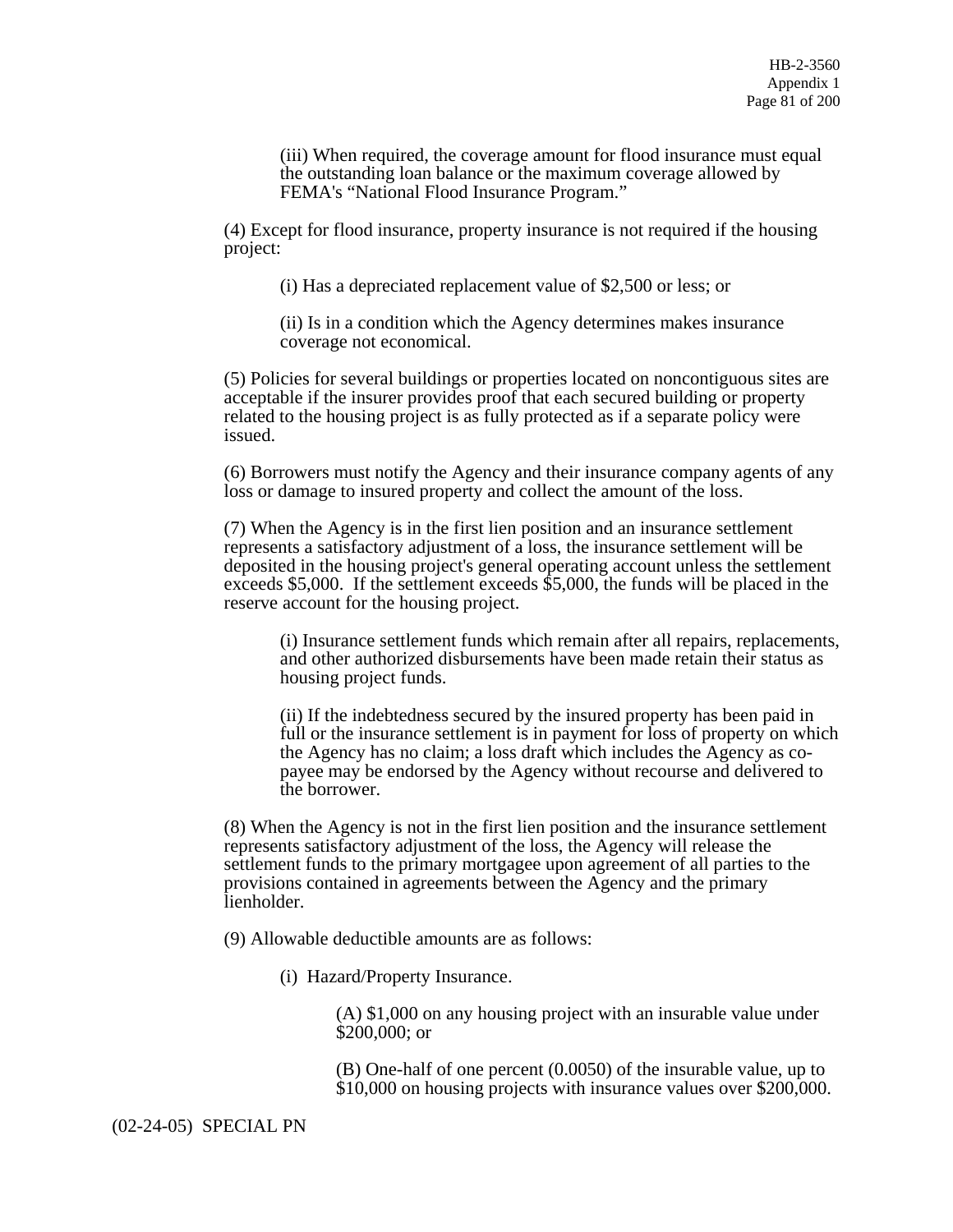(iii) When required, the coverage amount for flood insurance must equal the outstanding loan balance or the maximum coverage allowed by FEMA's "National Flood Insurance Program."

(4) Except for flood insurance, property insurance is not required if the housing project:

(i) Has a depreciated replacement value of \$2,500 or less; or

(ii) Is in a condition which the Agency determines makes insurance coverage not economical.

(5) Policies for several buildings or properties located on noncontiguous sites are acceptable if the insurer provides proof that each secured building or property related to the housing project is as fully protected as if a separate policy were issued.

(6) Borrowers must notify the Agency and their insurance company agents of any loss or damage to insured property and collect the amount of the loss.

(7) When the Agency is in the first lien position and an insurance settlement represents a satisfactory adjustment of a loss, the insurance settlement will be deposited in the housing project's general operating account unless the settlement exceeds \$5,000. If the settlement exceeds \$5,000, the funds will be placed in the reserve account for the housing project.

(i) Insurance settlement funds which remain after all repairs, replacements, and other authorized disbursements have been made retain their status as housing project funds.

(ii) If the indebtedness secured by the insured property has been paid in full or the insurance settlement is in payment for loss of property on which the Agency has no claim; a loss draft which includes the Agency as copayee may be endorsed by the Agency without recourse and delivered to the borrower.

(8) When the Agency is not in the first lien position and the insurance settlement represents satisfactory adjustment of the loss, the Agency will release the settlement funds to the primary mortgagee upon agreement of all parties to the provisions contained in agreements between the Agency and the primary lienholder.

(9) Allowable deductible amounts are as follows:

(i) Hazard/Property Insurance.

(A) \$1,000 on any housing project with an insurable value under \$200,000; or

(B) One-half of one percent (0.0050) of the insurable value, up to \$10,000 on housing projects with insurance values over \$200,000.

(02-24-05) SPECIAL PN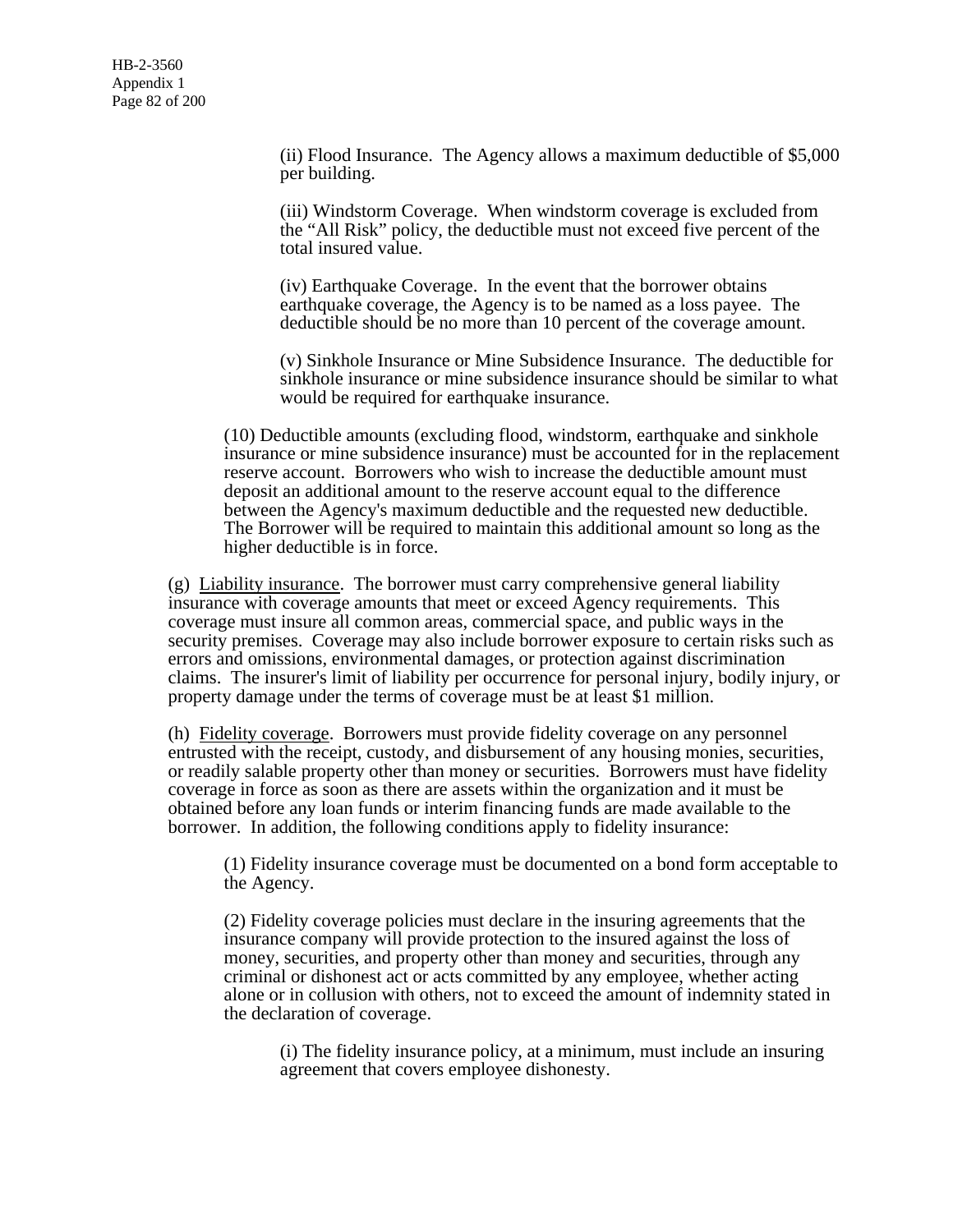(ii) Flood Insurance. The Agency allows a maximum deductible of \$5,000 per building.

(iii) Windstorm Coverage. When windstorm coverage is excluded from the "All Risk" policy, the deductible must not exceed five percent of the total insured value.

(iv) Earthquake Coverage. In the event that the borrower obtains earthquake coverage, the Agency is to be named as a loss payee. The deductible should be no more than 10 percent of the coverage amount.

(v) Sinkhole Insurance or Mine Subsidence Insurance. The deductible for sinkhole insurance or mine subsidence insurance should be similar to what would be required for earthquake insurance.

(10) Deductible amounts (excluding flood, windstorm, earthquake and sinkhole insurance or mine subsidence insurance) must be accounted for in the replacement reserve account. Borrowers who wish to increase the deductible amount must deposit an additional amount to the reserve account equal to the difference between the Agency's maximum deductible and the requested new deductible. The Borrower will be required to maintain this additional amount so long as the higher deductible is in force.

(g) Liability insurance. The borrower must carry comprehensive general liability insurance with coverage amounts that meet or exceed Agency requirements. This coverage must insure all common areas, commercial space, and public ways in the security premises. Coverage may also include borrower exposure to certain risks such as errors and omissions, environmental damages, or protection against discrimination claims. The insurer's limit of liability per occurrence for personal injury, bodily injury, or property damage under the terms of coverage must be at least \$1 million.

(h) Fidelity coverage. Borrowers must provide fidelity coverage on any personnel entrusted with the receipt, custody, and disbursement of any housing monies, securities, or readily salable property other than money or securities. Borrowers must have fidelity coverage in force as soon as there are assets within the organization and it must be obtained before any loan funds or interim financing funds are made available to the borrower. In addition, the following conditions apply to fidelity insurance:

(1) Fidelity insurance coverage must be documented on a bond form acceptable to the Agency.

(2) Fidelity coverage policies must declare in the insuring agreements that the insurance company will provide protection to the insured against the loss of money, securities, and property other than money and securities, through any criminal or dishonest act or acts committed by any employee, whether acting alone or in collusion with others, not to exceed the amount of indemnity stated in the declaration of coverage.

(i) The fidelity insurance policy, at a minimum, must include an insuring agreement that covers employee dishonesty.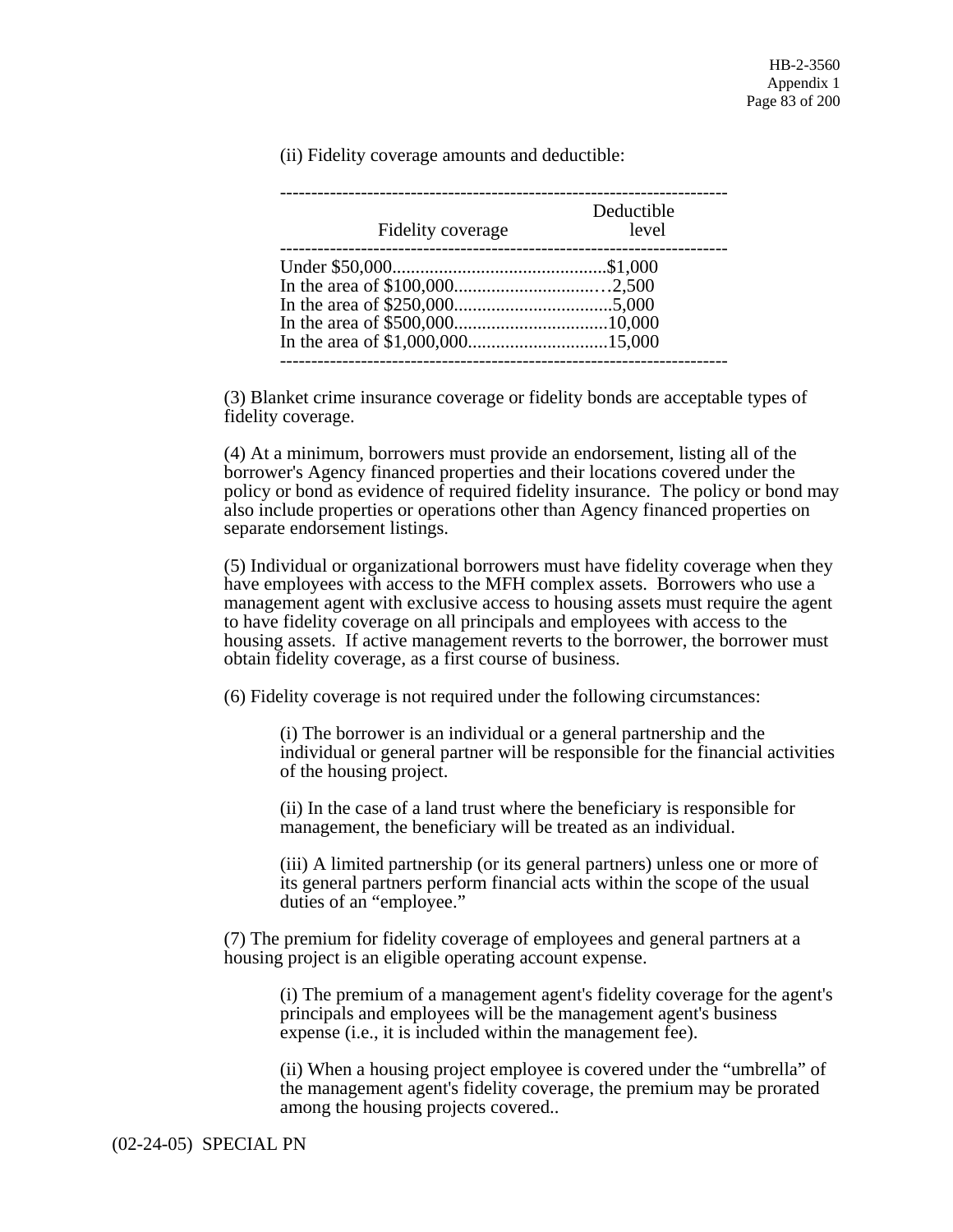(ii) Fidelity coverage amounts and deductible:

| Fidelity coverage | Deductible<br>level |
|-------------------|---------------------|
|                   |                     |
|                   |                     |
|                   |                     |
|                   |                     |
|                   |                     |

(3) Blanket crime insurance coverage or fidelity bonds are acceptable types of fidelity coverage.

(4) At a minimum, borrowers must provide an endorsement, listing all of the borrower's Agency financed properties and their locations covered under the policy or bond as evidence of required fidelity insurance. The policy or bond may also include properties or operations other than Agency financed properties on separate endorsement listings.

(5) Individual or organizational borrowers must have fidelity coverage when they have employees with access to the MFH complex assets. Borrowers who use a management agent with exclusive access to housing assets must require the agent to have fidelity coverage on all principals and employees with access to the housing assets. If active management reverts to the borrower, the borrower must obtain fidelity coverage, as a first course of business.

(6) Fidelity coverage is not required under the following circumstances:

(i) The borrower is an individual or a general partnership and the individual or general partner will be responsible for the financial activities of the housing project.

(ii) In the case of a land trust where the beneficiary is responsible for management, the beneficiary will be treated as an individual.

(iii) A limited partnership (or its general partners) unless one or more of its general partners perform financial acts within the scope of the usual duties of an "employee."

(7) The premium for fidelity coverage of employees and general partners at a housing project is an eligible operating account expense.

(i) The premium of a management agent's fidelity coverage for the agent's principals and employees will be the management agent's business expense (i.e., it is included within the management fee).

(ii) When a housing project employee is covered under the "umbrella" of the management agent's fidelity coverage, the premium may be prorated among the housing projects covered..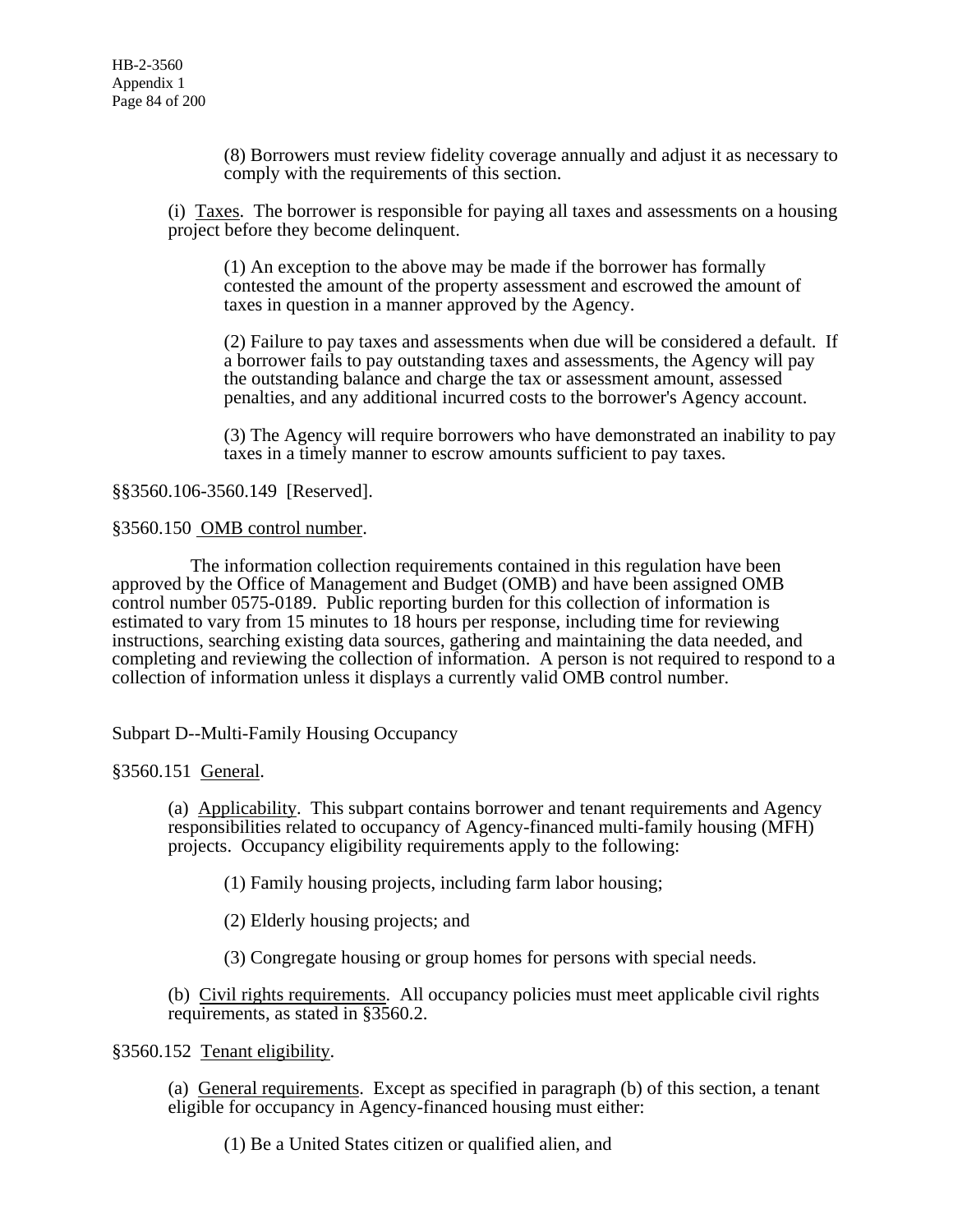(8) Borrowers must review fidelity coverage annually and adjust it as necessary to comply with the requirements of this section.

(i) Taxes. The borrower is responsible for paying all taxes and assessments on a housing project before they become delinquent.

(1) An exception to the above may be made if the borrower has formally contested the amount of the property assessment and escrowed the amount of taxes in question in a manner approved by the Agency.

(2) Failure to pay taxes and assessments when due will be considered a default. If a borrower fails to pay outstanding taxes and assessments, the Agency will pay the outstanding balance and charge the tax or assessment amount, assessed penalties, and any additional incurred costs to the borrower's Agency account.

(3) The Agency will require borrowers who have demonstrated an inability to pay taxes in a timely manner to escrow amounts sufficient to pay taxes.

§§3560.106-3560.149 [Reserved].

#### §3560.150 OMB control number.

 The information collection requirements contained in this regulation have been approved by the Office of Management and Budget (OMB) and have been assigned OMB control number 0575-0189. Public reporting burden for this collection of information is estimated to vary from 15 minutes to 18 hours per response, including time for reviewing instructions, searching existing data sources, gathering and maintaining the data needed, and completing and reviewing the collection of information. A person is not required to respond to a collection of information unless it displays a currently valid OMB control number.

Subpart D--Multi-Family Housing Occupancy

§3560.151 General.

(a) Applicability. This subpart contains borrower and tenant requirements and Agency responsibilities related to occupancy of Agency-financed multi-family housing (MFH) projects. Occupancy eligibility requirements apply to the following:

(1) Family housing projects, including farm labor housing;

(2) Elderly housing projects; and

(3) Congregate housing or group homes for persons with special needs.

(b) Civil rights requirements. All occupancy policies must meet applicable civil rights requirements, as stated in §3560.2.

# §3560.152 Tenant eligibility.

(a) General requirements. Except as specified in paragraph (b) of this section, a tenant eligible for occupancy in Agency-financed housing must either:

(1) Be a United States citizen or qualified alien, and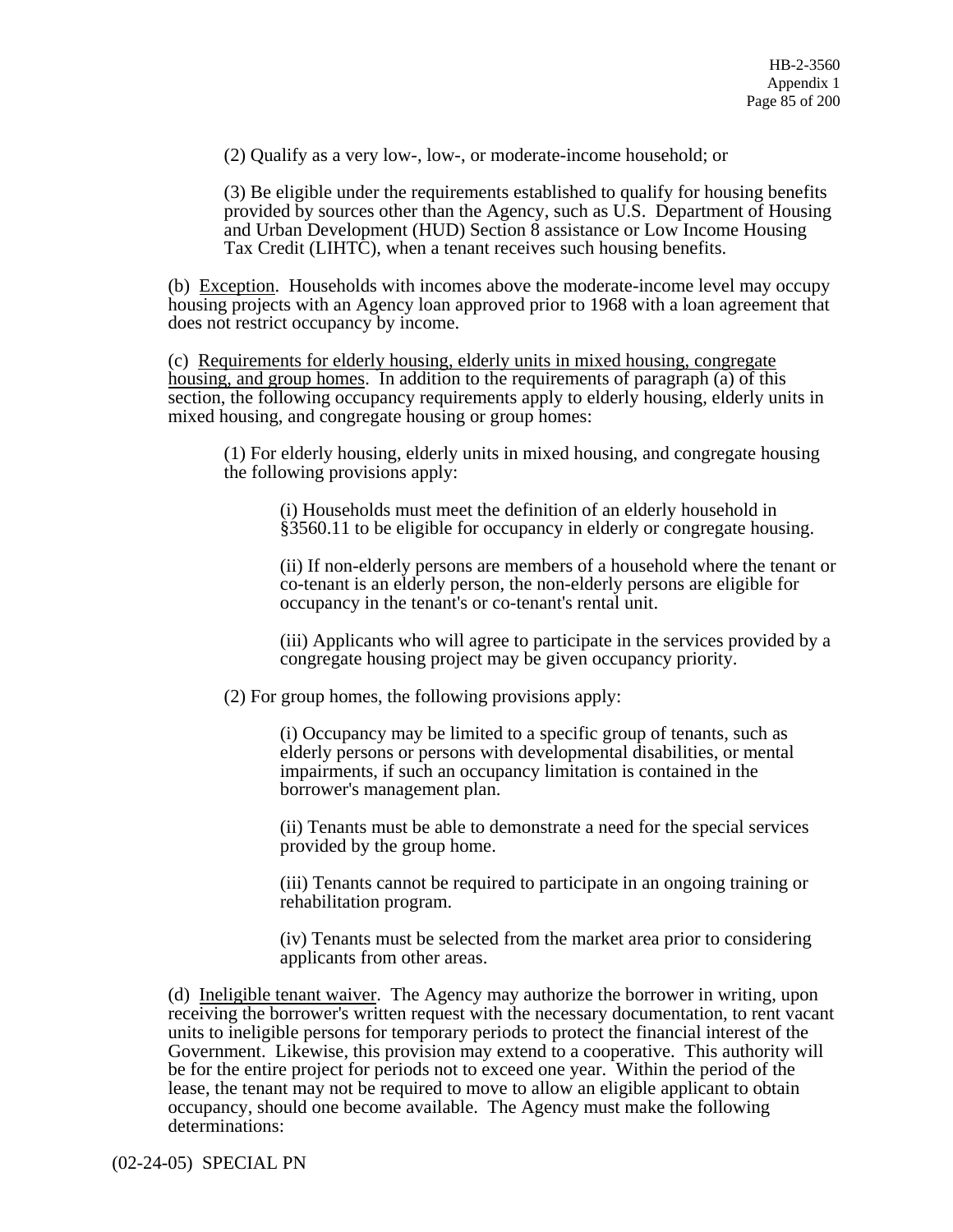(2) Qualify as a very low-, low-, or moderate-income household; or

(3) Be eligible under the requirements established to qualify for housing benefits provided by sources other than the Agency, such as U.S. Department of Housing and Urban Development (HUD) Section 8 assistance or Low Income Housing Tax Credit (LIHTC), when a tenant receives such housing benefits.

(b) Exception. Households with incomes above the moderate-income level may occupy housing projects with an Agency loan approved prior to 1968 with a loan agreement that does not restrict occupancy by income.

(c) Requirements for elderly housing, elderly units in mixed housing, congregate housing, and group homes. In addition to the requirements of paragraph (a) of this section, the following occupancy requirements apply to elderly housing, elderly units in mixed housing, and congregate housing or group homes:

(1) For elderly housing, elderly units in mixed housing, and congregate housing the following provisions apply:

(i) Households must meet the definition of an elderly household in §3560.11 to be eligible for occupancy in elderly or congregate housing.

(ii) If non-elderly persons are members of a household where the tenant or co-tenant is an elderly person, the non-elderly persons are eligible for occupancy in the tenant's or co-tenant's rental unit.

(iii) Applicants who will agree to participate in the services provided by a congregate housing project may be given occupancy priority.

(2) For group homes, the following provisions apply:

(i) Occupancy may be limited to a specific group of tenants, such as elderly persons or persons with developmental disabilities, or mental impairments, if such an occupancy limitation is contained in the borrower's management plan.

(ii) Tenants must be able to demonstrate a need for the special services provided by the group home.

(iii) Tenants cannot be required to participate in an ongoing training or rehabilitation program.

(iv) Tenants must be selected from the market area prior to considering applicants from other areas.

(d) Ineligible tenant waiver. The Agency may authorize the borrower in writing, upon receiving the borrower's written request with the necessary documentation, to rent vacant units to ineligible persons for temporary periods to protect the financial interest of the Government. Likewise, this provision may extend to a cooperative. This authority will be for the entire project for periods not to exceed one year. Within the period of the lease, the tenant may not be required to move to allow an eligible applicant to obtain occupancy, should one become available. The Agency must make the following determinations: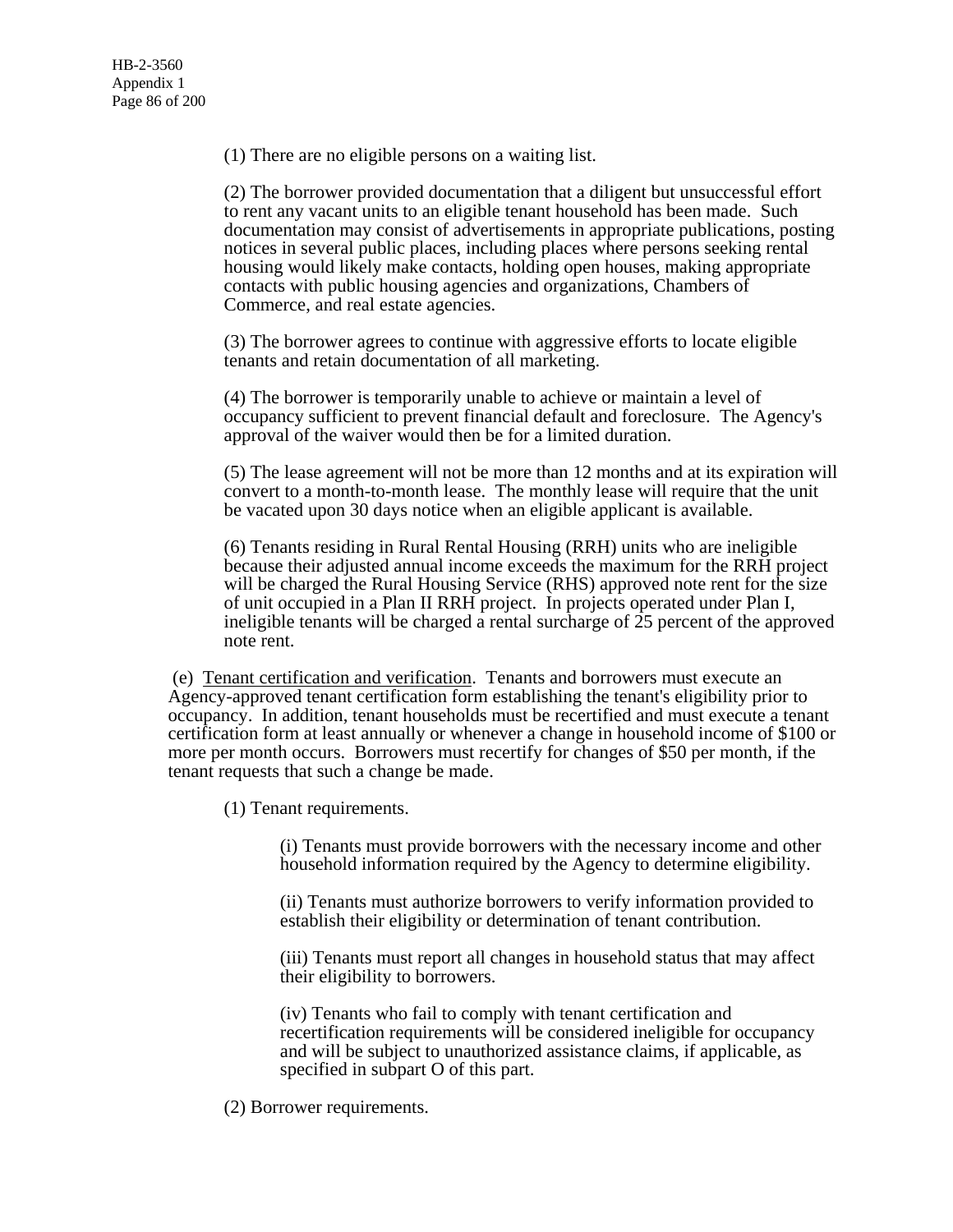(1) There are no eligible persons on a waiting list.

(2) The borrower provided documentation that a diligent but unsuccessful effort to rent any vacant units to an eligible tenant household has been made. Such documentation may consist of advertisements in appropriate publications, posting notices in several public places, including places where persons seeking rental housing would likely make contacts, holding open houses, making appropriate contacts with public housing agencies and organizations, Chambers of Commerce, and real estate agencies.

(3) The borrower agrees to continue with aggressive efforts to locate eligible tenants and retain documentation of all marketing.

(4) The borrower is temporarily unable to achieve or maintain a level of occupancy sufficient to prevent financial default and foreclosure. The Agency's approval of the waiver would then be for a limited duration.

(5) The lease agreement will not be more than 12 months and at its expiration will convert to a month-to-month lease. The monthly lease will require that the unit be vacated upon 30 days notice when an eligible applicant is available.

(6) Tenants residing in Rural Rental Housing (RRH) units who are ineligible because their adjusted annual income exceeds the maximum for the RRH project will be charged the Rural Housing Service (RHS) approved note rent for the size of unit occupied in a Plan II RRH project. In projects operated under Plan I, ineligible tenants will be charged a rental surcharge of 25 percent of the approved note rent.

 (e) Tenant certification and verification. Tenants and borrowers must execute an Agency-approved tenant certification form establishing the tenant's eligibility prior to occupancy. In addition, tenant households must be recertified and must execute a tenant certification form at least annually or whenever a change in household income of \$100 or more per month occurs. Borrowers must recertify for changes of \$50 per month, if the tenant requests that such a change be made.

(1) Tenant requirements.

(i) Tenants must provide borrowers with the necessary income and other household information required by the Agency to determine eligibility.

(ii) Tenants must authorize borrowers to verify information provided to establish their eligibility or determination of tenant contribution.

(iii) Tenants must report all changes in household status that may affect their eligibility to borrowers.

(iv) Tenants who fail to comply with tenant certification and recertification requirements will be considered ineligible for occupancy and will be subject to unauthorized assistance claims, if applicable, as specified in subpart O of this part.

(2) Borrower requirements.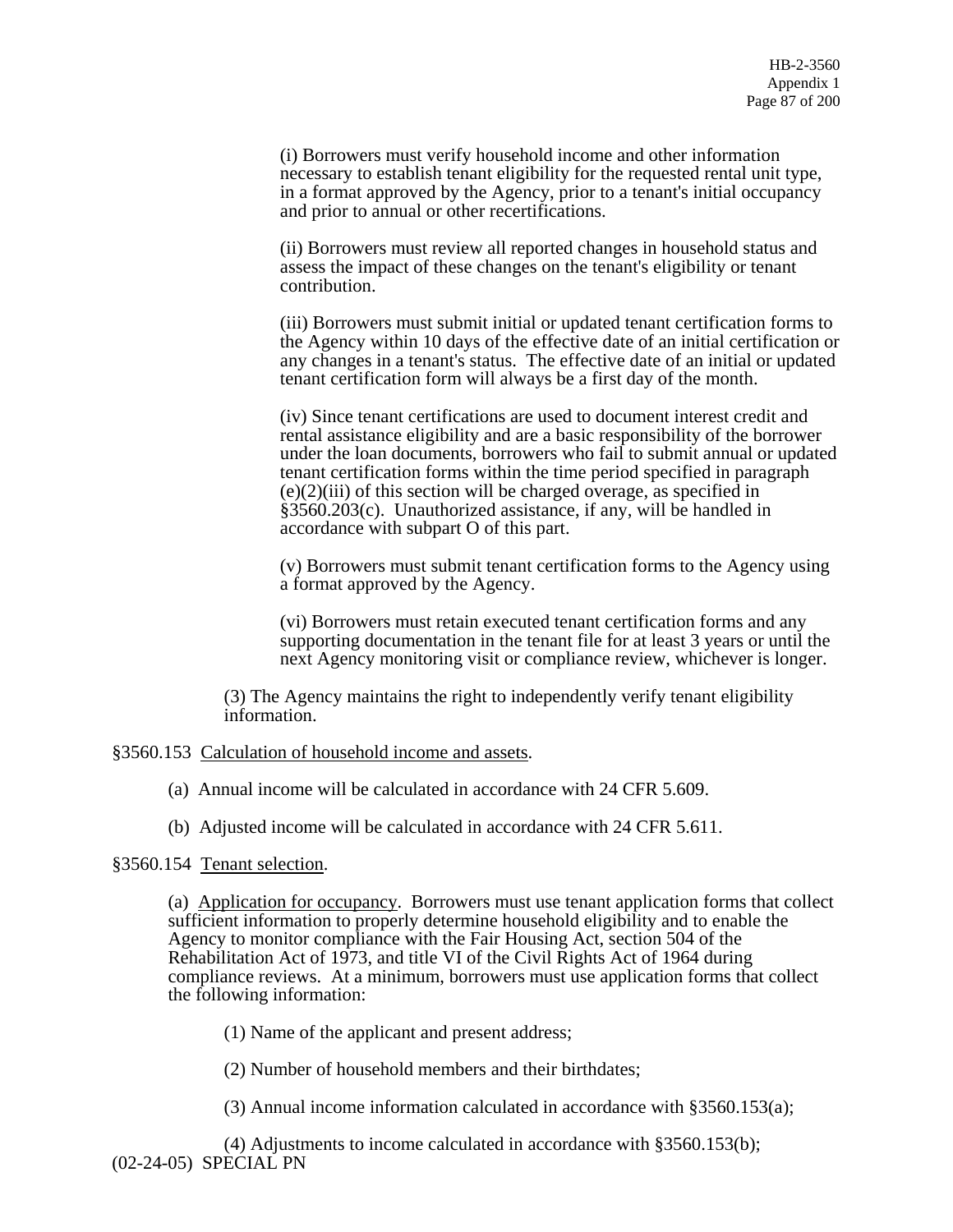(i) Borrowers must verify household income and other information necessary to establish tenant eligibility for the requested rental unit type, in a format approved by the Agency, prior to a tenant's initial occupancy and prior to annual or other recertifications.

(ii) Borrowers must review all reported changes in household status and assess the impact of these changes on the tenant's eligibility or tenant contribution.

(iii) Borrowers must submit initial or updated tenant certification forms to the Agency within 10 days of the effective date of an initial certification or any changes in a tenant's status. The effective date of an initial or updated tenant certification form will always be a first day of the month.

(iv) Since tenant certifications are used to document interest credit and rental assistance eligibility and are a basic responsibility of the borrower under the loan documents, borrowers who fail to submit annual or updated tenant certification forms within the time period specified in paragraph (e)(2)(iii) of this section will be charged overage, as specified in §3560.203(c). Unauthorized assistance, if any, will be handled in accordance with subpart O of this part.

(v) Borrowers must submit tenant certification forms to the Agency using a format approved by the Agency.

(vi) Borrowers must retain executed tenant certification forms and any supporting documentation in the tenant file for at least 3 years or until the next Agency monitoring visit or compliance review, whichever is longer.

(3) The Agency maintains the right to independently verify tenant eligibility information.

§3560.153 Calculation of household income and assets.

(a) Annual income will be calculated in accordance with 24 CFR 5.609.

(b) Adjusted income will be calculated in accordance with 24 CFR 5.611.

# §3560.154 Tenant selection.

(a) Application for occupancy. Borrowers must use tenant application forms that collect sufficient information to properly determine household eligibility and to enable the Agency to monitor compliance with the Fair Housing Act, section 504 of the Rehabilitation Act of 1973, and title VI of the Civil Rights Act of 1964 during compliance reviews. At a minimum, borrowers must use application forms that collect the following information:

(1) Name of the applicant and present address;

(2) Number of household members and their birthdates;

(3) Annual income information calculated in accordance with §3560.153(a);

(4) Adjustments to income calculated in accordance with §3560.153(b); (02-24-05) SPECIAL PN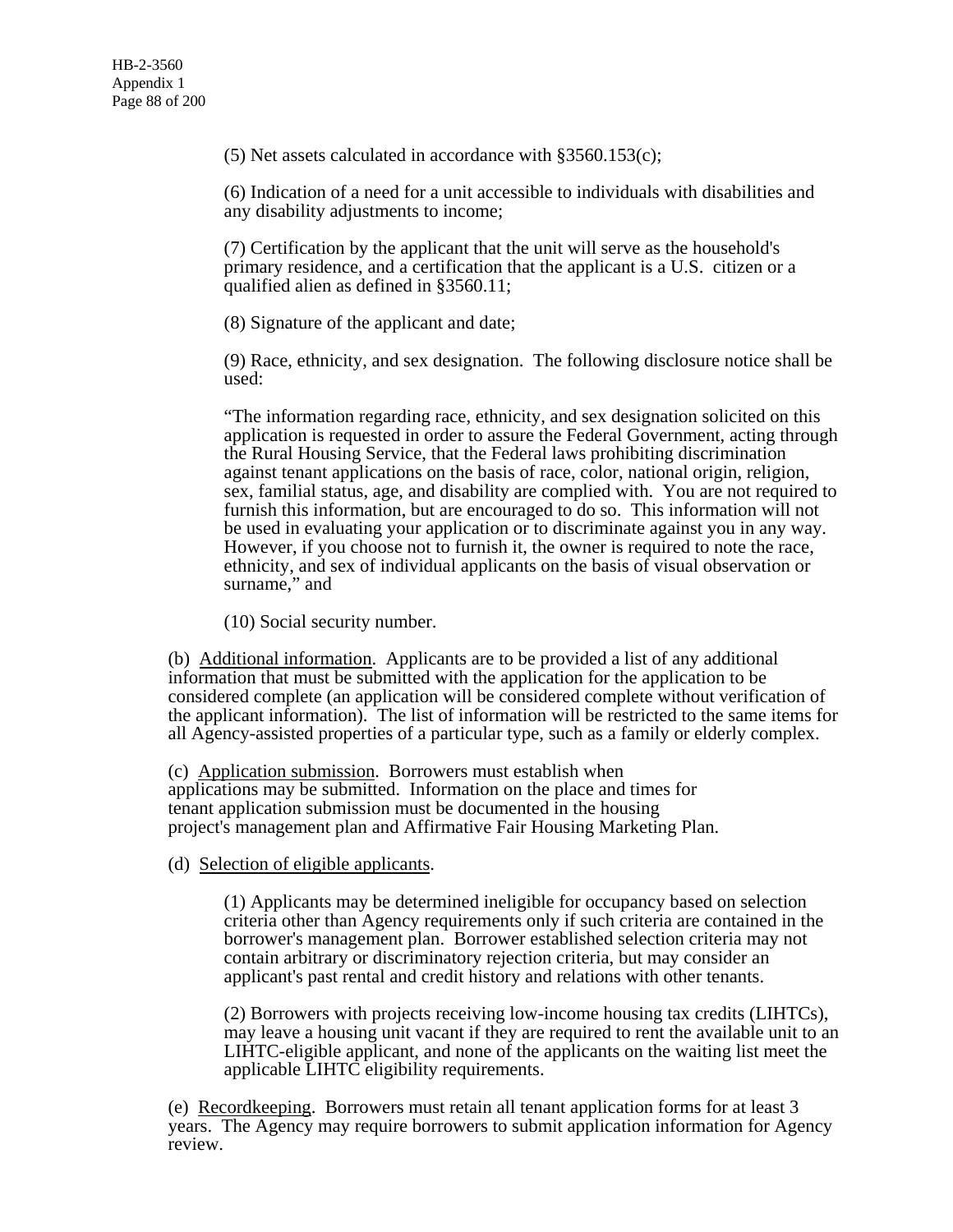(5) Net assets calculated in accordance with §3560.153(c);

(6) Indication of a need for a unit accessible to individuals with disabilities and any disability adjustments to income;

(7) Certification by the applicant that the unit will serve as the household's primary residence, and a certification that the applicant is a U.S. citizen or a qualified alien as defined in §3560.11;

(8) Signature of the applicant and date;

(9) Race, ethnicity, and sex designation. The following disclosure notice shall be used:

"The information regarding race, ethnicity, and sex designation solicited on this application is requested in order to assure the Federal Government, acting through the Rural Housing Service, that the Federal laws prohibiting discrimination against tenant applications on the basis of race, color, national origin, religion, sex, familial status, age, and disability are complied with. You are not required to furnish this information, but are encouraged to do so. This information will not be used in evaluating your application or to discriminate against you in any way. However, if you choose not to furnish it, the owner is required to note the race, ethnicity, and sex of individual applicants on the basis of visual observation or surname," and

(10) Social security number.

(b) Additional information. Applicants are to be provided a list of any additional information that must be submitted with the application for the application to be considered complete (an application will be considered complete without verification of the applicant information). The list of information will be restricted to the same items for all Agency-assisted properties of a particular type, such as a family or elderly complex.

(c) Application submission. Borrowers must establish when applications may be submitted. Information on the place and times for tenant application submission must be documented in the housing project's management plan and Affirmative Fair Housing Marketing Plan.

(d) Selection of eligible applicants.

(1) Applicants may be determined ineligible for occupancy based on selection criteria other than Agency requirements only if such criteria are contained in the borrower's management plan. Borrower established selection criteria may not contain arbitrary or discriminatory rejection criteria, but may consider an applicant's past rental and credit history and relations with other tenants.

(2) Borrowers with projects receiving low-income housing tax credits (LIHTCs), may leave a housing unit vacant if they are required to rent the available unit to an LIHTC-eligible applicant, and none of the applicants on the waiting list meet the applicable LIHTC eligibility requirements.

(e) Recordkeeping. Borrowers must retain all tenant application forms for at least 3 years. The Agency may require borrowers to submit application information for Agency review.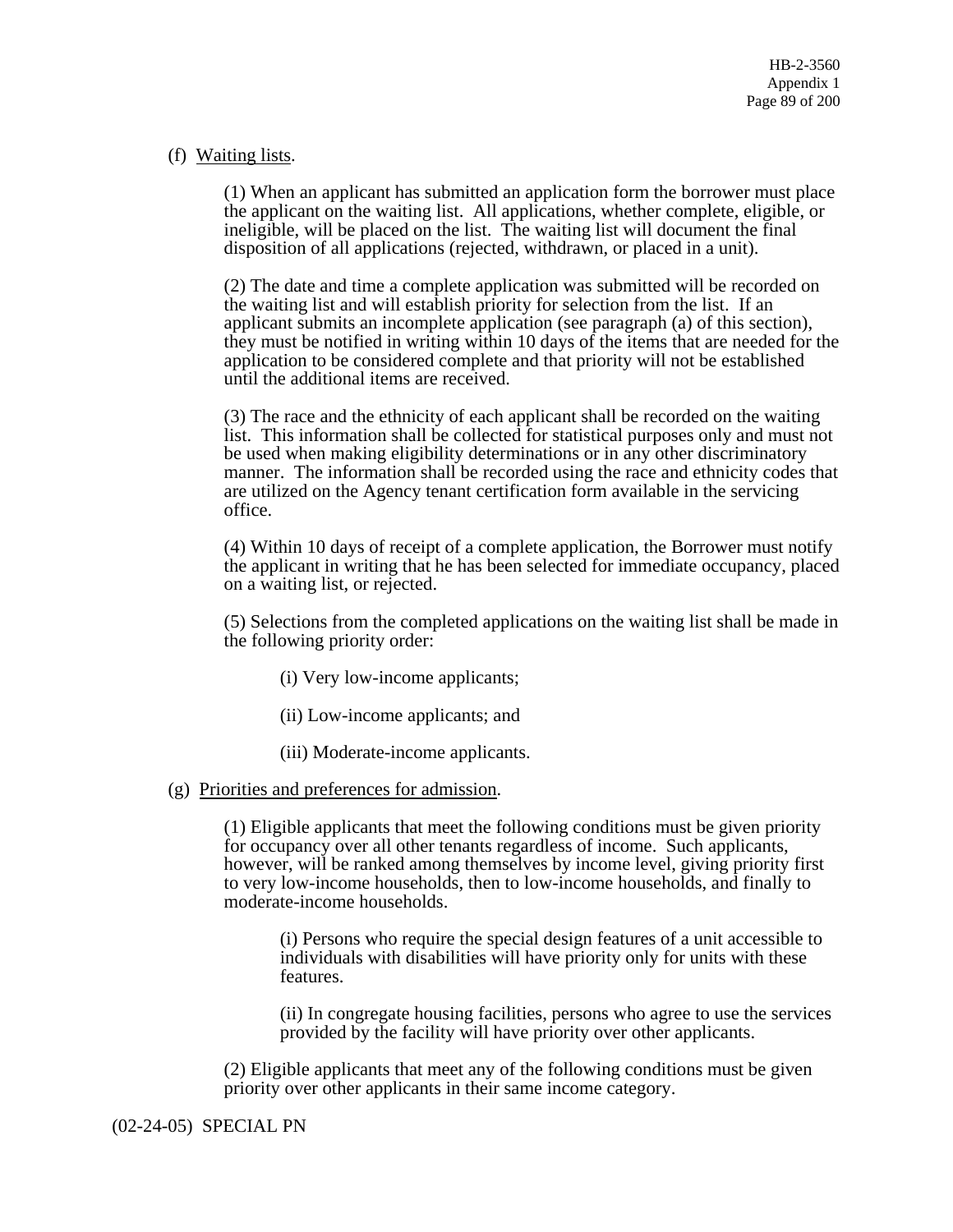# (f) Waiting lists.

(1) When an applicant has submitted an application form the borrower must place the applicant on the waiting list. All applications, whether complete, eligible, or ineligible, will be placed on the list. The waiting list will document the final disposition of all applications (rejected, withdrawn, or placed in a unit).

(2) The date and time a complete application was submitted will be recorded on the waiting list and will establish priority for selection from the list. If an applicant submits an incomplete application (see paragraph (a) of this section), they must be notified in writing within 10 days of the items that are needed for the application to be considered complete and that priority will not be established until the additional items are received.

(3) The race and the ethnicity of each applicant shall be recorded on the waiting list. This information shall be collected for statistical purposes only and must not be used when making eligibility determinations or in any other discriminatory manner. The information shall be recorded using the race and ethnicity codes that are utilized on the Agency tenant certification form available in the servicing office.

(4) Within 10 days of receipt of a complete application, the Borrower must notify the applicant in writing that he has been selected for immediate occupancy, placed on a waiting list, or rejected.

(5) Selections from the completed applications on the waiting list shall be made in the following priority order:

- (i) Very low-income applicants;
- (ii) Low-income applicants; and
- (iii) Moderate-income applicants.

#### (g) Priorities and preferences for admission.

(1) Eligible applicants that meet the following conditions must be given priority for occupancy over all other tenants regardless of income. Such applicants, however, will be ranked among themselves by income level, giving priority first to very low-income households, then to low-income households, and finally to moderate-income households.

(i) Persons who require the special design features of a unit accessible to individuals with disabilities will have priority only for units with these features.

(ii) In congregate housing facilities, persons who agree to use the services provided by the facility will have priority over other applicants.

(2) Eligible applicants that meet any of the following conditions must be given priority over other applicants in their same income category.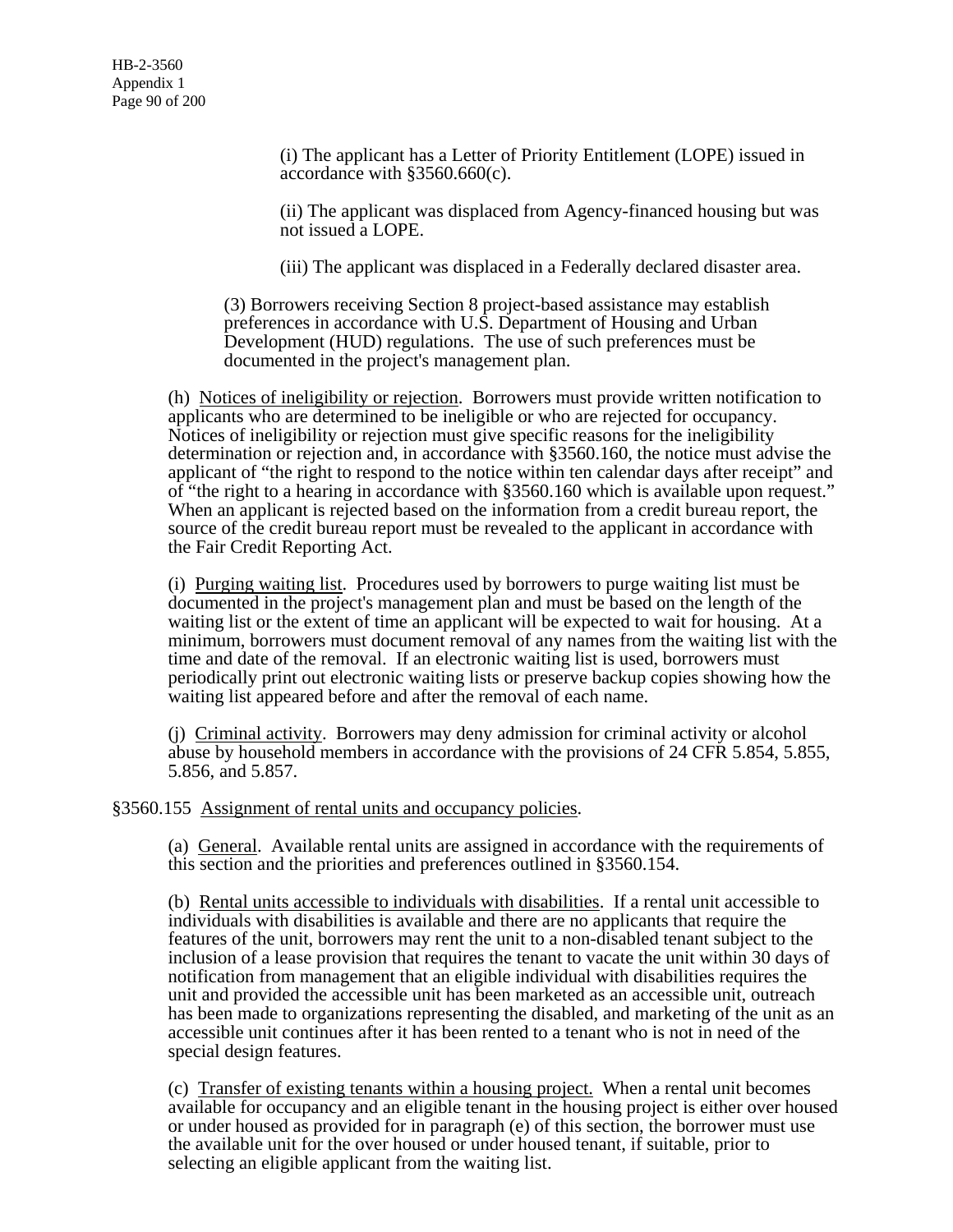HB-2-3560 Appendix 1 Page 90 of 200

> (i) The applicant has a Letter of Priority Entitlement (LOPE) issued in accordance with §3560.660(c).

(ii) The applicant was displaced from Agency-financed housing but was not issued a LOPE.

(iii) The applicant was displaced in a Federally declared disaster area.

(3) Borrowers receiving Section 8 project-based assistance may establish preferences in accordance with U.S. Department of Housing and Urban Development (HUD) regulations. The use of such preferences must be documented in the project's management plan.

(h) Notices of ineligibility or rejection. Borrowers must provide written notification to applicants who are determined to be ineligible or who are rejected for occupancy. Notices of ineligibility or rejection must give specific reasons for the ineligibility determination or rejection and, in accordance with §3560.160, the notice must advise the applicant of "the right to respond to the notice within ten calendar days after receipt" and of "the right to a hearing in accordance with §3560.160 which is available upon request." When an applicant is rejected based on the information from a credit bureau report, the source of the credit bureau report must be revealed to the applicant in accordance with the Fair Credit Reporting Act.

(i) Purging waiting list. Procedures used by borrowers to purge waiting list must be documented in the project's management plan and must be based on the length of the waiting list or the extent of time an applicant will be expected to wait for housing. At a minimum, borrowers must document removal of any names from the waiting list with the time and date of the removal. If an electronic waiting list is used, borrowers must periodically print out electronic waiting lists or preserve backup copies showing how the waiting list appeared before and after the removal of each name.

(j) Criminal activity. Borrowers may deny admission for criminal activity or alcohol abuse by household members in accordance with the provisions of 24 CFR 5.854, 5.855, 5.856, and 5.857.

§3560.155 Assignment of rental units and occupancy policies.

(a) General. Available rental units are assigned in accordance with the requirements of this section and the priorities and preferences outlined in §3560.154.

(b) Rental units accessible to individuals with disabilities. If a rental unit accessible to individuals with disabilities is available and there are no applicants that require the features of the unit, borrowers may rent the unit to a non-disabled tenant subject to the inclusion of a lease provision that requires the tenant to vacate the unit within 30 days of notification from management that an eligible individual with disabilities requires the unit and provided the accessible unit has been marketed as an accessible unit, outreach has been made to organizations representing the disabled, and marketing of the unit as an accessible unit continues after it has been rented to a tenant who is not in need of the special design features.

(c) Transfer of existing tenants within a housing project. When a rental unit becomes available for occupancy and an eligible tenant in the housing project is either over housed or under housed as provided for in paragraph (e) of this section, the borrower must use the available unit for the over housed or under housed tenant, if suitable, prior to selecting an eligible applicant from the waiting list.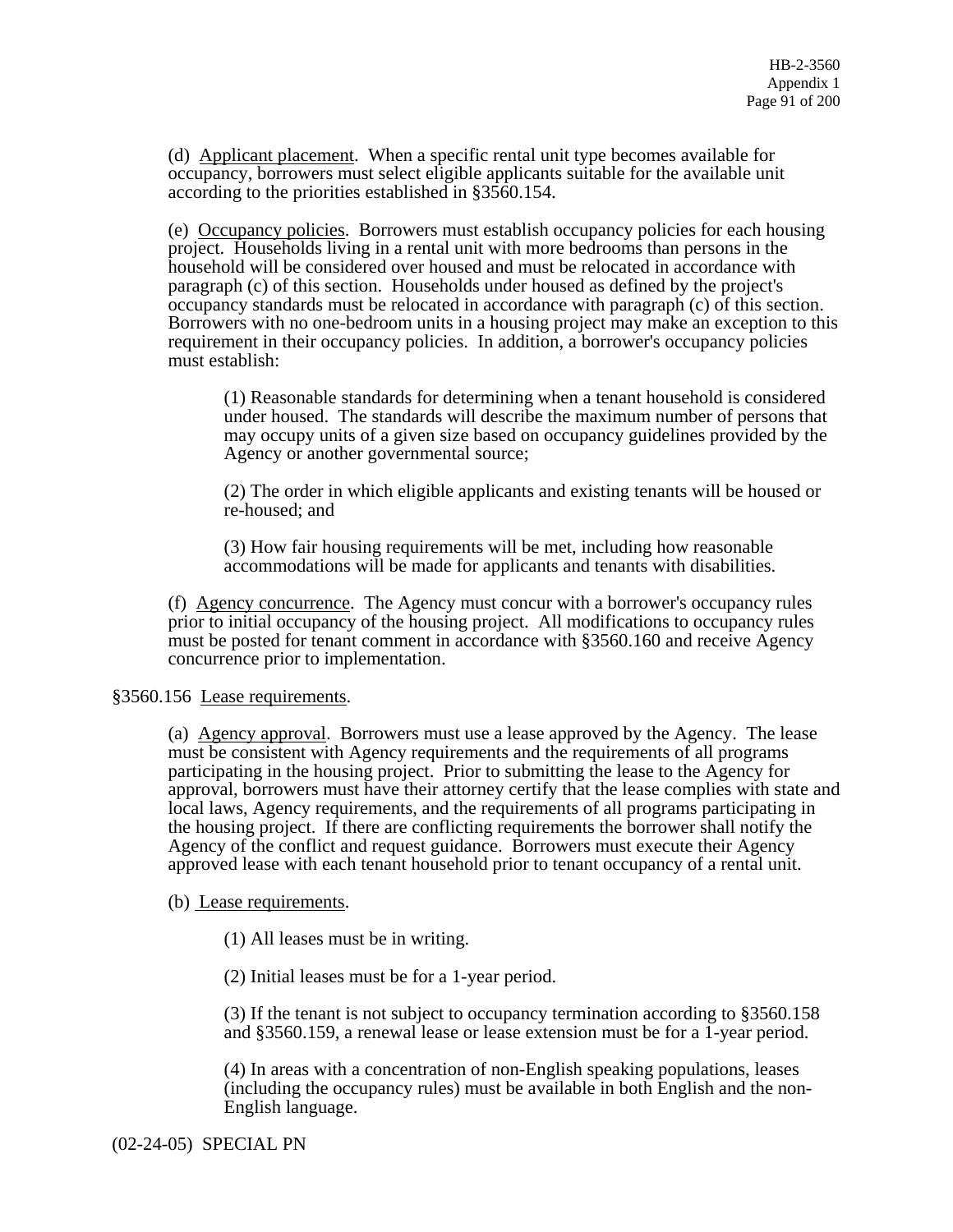(d) Applicant placement. When a specific rental unit type becomes available for occupancy, borrowers must select eligible applicants suitable for the available unit according to the priorities established in §3560.154.

(e) Occupancy policies. Borrowers must establish occupancy policies for each housing project. Households living in a rental unit with more bedrooms than persons in the household will be considered over housed and must be relocated in accordance with paragraph (c) of this section. Households under housed as defined by the project's occupancy standards must be relocated in accordance with paragraph (c) of this section. Borrowers with no one-bedroom units in a housing project may make an exception to this requirement in their occupancy policies. In addition, a borrower's occupancy policies must establish:

(1) Reasonable standards for determining when a tenant household is considered under housed. The standards will describe the maximum number of persons that may occupy units of a given size based on occupancy guidelines provided by the Agency or another governmental source;

(2) The order in which eligible applicants and existing tenants will be housed or re-housed; and

(3) How fair housing requirements will be met, including how reasonable accommodations will be made for applicants and tenants with disabilities.

(f) Agency concurrence. The Agency must concur with a borrower's occupancy rules prior to initial occupancy of the housing project. All modifications to occupancy rules must be posted for tenant comment in accordance with §3560.160 and receive Agency concurrence prior to implementation.

§3560.156 Lease requirements.

(a) Agency approval. Borrowers must use a lease approved by the Agency. The lease must be consistent with Agency requirements and the requirements of all programs participating in the housing project. Prior to submitting the lease to the Agency for approval, borrowers must have their attorney certify that the lease complies with state and local laws, Agency requirements, and the requirements of all programs participating in the housing project. If there are conflicting requirements the borrower shall notify the Agency of the conflict and request guidance. Borrowers must execute their Agency approved lease with each tenant household prior to tenant occupancy of a rental unit.

# (b) Lease requirements.

(1) All leases must be in writing.

(2) Initial leases must be for a 1-year period.

(3) If the tenant is not subject to occupancy termination according to §3560.158 and §3560.159, a renewal lease or lease extension must be for a 1-year period.

(4) In areas with a concentration of non-English speaking populations, leases (including the occupancy rules) must be available in both English and the non-English language.

(02-24-05) SPECIAL PN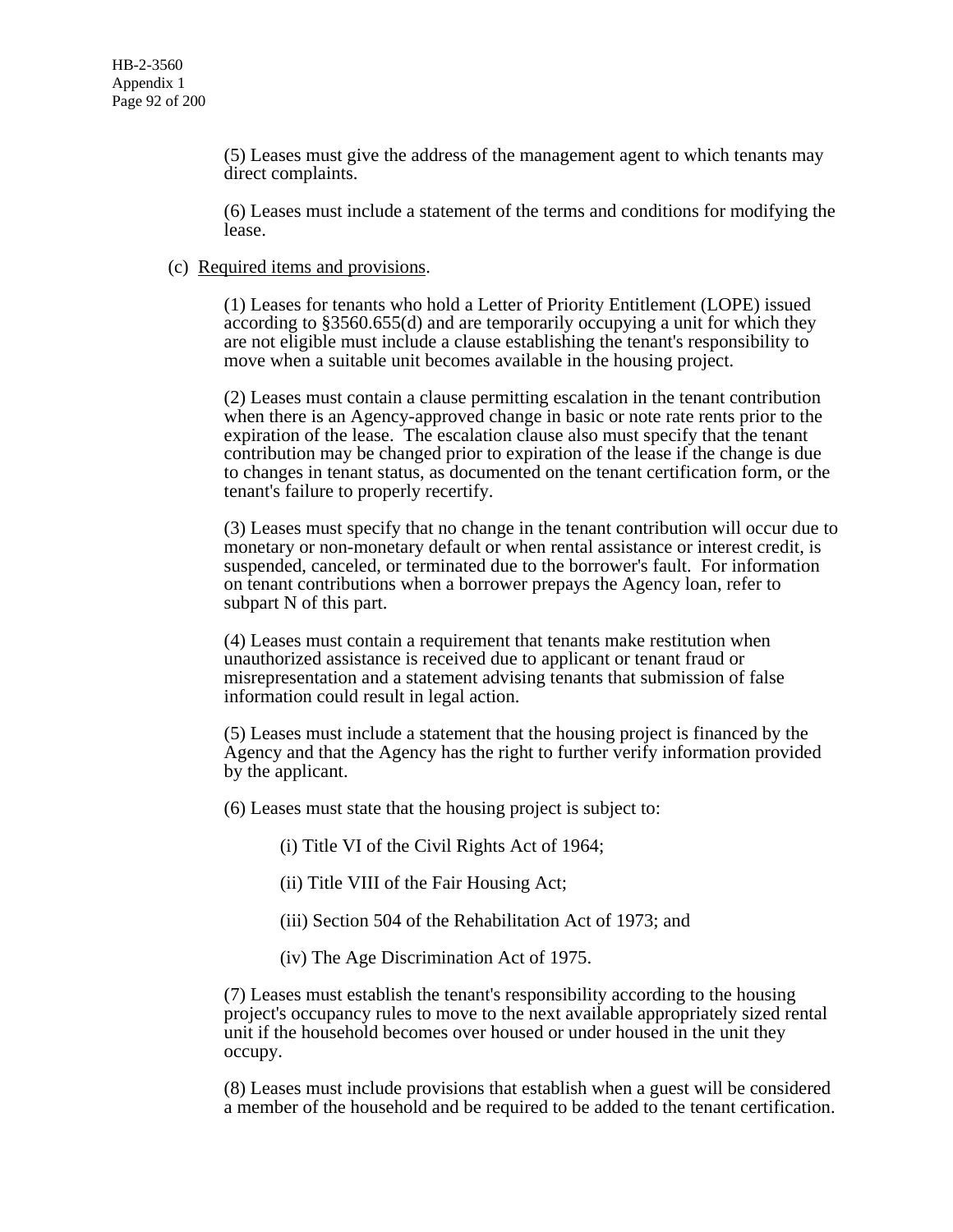(5) Leases must give the address of the management agent to which tenants may direct complaints.

(6) Leases must include a statement of the terms and conditions for modifying the lease.

#### (c) Required items and provisions.

(1) Leases for tenants who hold a Letter of Priority Entitlement (LOPE) issued according to §3560.655(d) and are temporarily occupying a unit for which they are not eligible must include a clause establishing the tenant's responsibility to move when a suitable unit becomes available in the housing project.

(2) Leases must contain a clause permitting escalation in the tenant contribution when there is an Agency-approved change in basic or note rate rents prior to the expiration of the lease. The escalation clause also must specify that the tenant contribution may be changed prior to expiration of the lease if the change is due to changes in tenant status, as documented on the tenant certification form, or the tenant's failure to properly recertify.

(3) Leases must specify that no change in the tenant contribution will occur due to monetary or non-monetary default or when rental assistance or interest credit, is suspended, canceled, or terminated due to the borrower's fault. For information on tenant contributions when a borrower prepays the Agency loan, refer to subpart N of this part.

(4) Leases must contain a requirement that tenants make restitution when unauthorized assistance is received due to applicant or tenant fraud or misrepresentation and a statement advising tenants that submission of false information could result in legal action.

(5) Leases must include a statement that the housing project is financed by the Agency and that the Agency has the right to further verify information provided by the applicant.

(6) Leases must state that the housing project is subject to:

(i) Title VI of the Civil Rights Act of 1964;

- (ii) Title VIII of the Fair Housing Act;
- (iii) Section 504 of the Rehabilitation Act of 1973; and
- (iv) The Age Discrimination Act of 1975.

(7) Leases must establish the tenant's responsibility according to the housing project's occupancy rules to move to the next available appropriately sized rental unit if the household becomes over housed or under housed in the unit they occupy.

(8) Leases must include provisions that establish when a guest will be considered a member of the household and be required to be added to the tenant certification.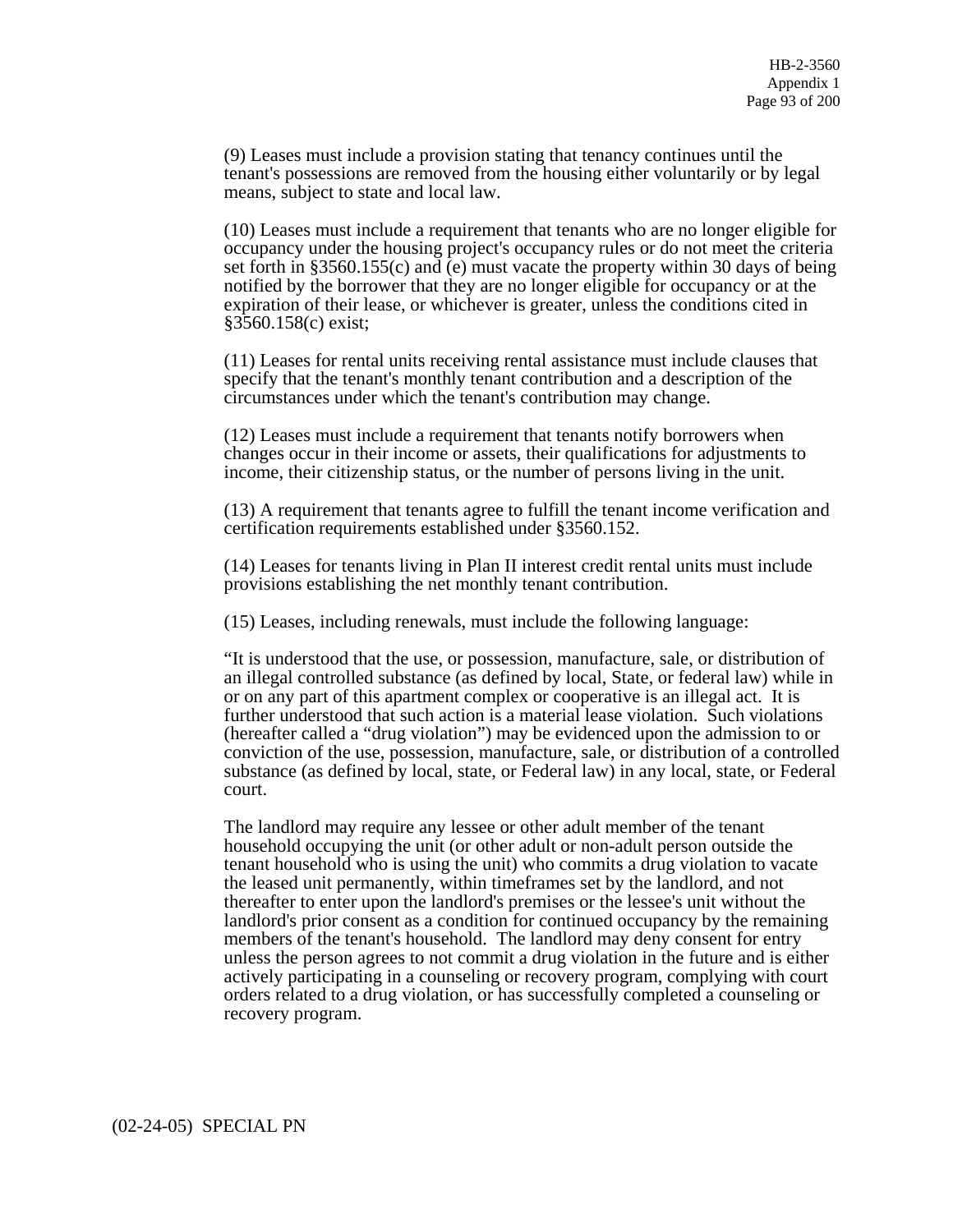(9) Leases must include a provision stating that tenancy continues until the tenant's possessions are removed from the housing either voluntarily or by legal means, subject to state and local law.

(10) Leases must include a requirement that tenants who are no longer eligible for occupancy under the housing project's occupancy rules or do not meet the criteria set forth in §3560.155(c) and (e) must vacate the property within 30 days of being notified by the borrower that they are no longer eligible for occupancy or at the expiration of their lease, or whichever is greater, unless the conditions cited in §3560.158(c) exist;

(11) Leases for rental units receiving rental assistance must include clauses that specify that the tenant's monthly tenant contribution and a description of the circumstances under which the tenant's contribution may change.

(12) Leases must include a requirement that tenants notify borrowers when changes occur in their income or assets, their qualifications for adjustments to income, their citizenship status, or the number of persons living in the unit.

(13) A requirement that tenants agree to fulfill the tenant income verification and certification requirements established under §3560.152.

(14) Leases for tenants living in Plan II interest credit rental units must include provisions establishing the net monthly tenant contribution.

(15) Leases, including renewals, must include the following language:

"It is understood that the use, or possession, manufacture, sale, or distribution of an illegal controlled substance (as defined by local, State, or federal law) while in or on any part of this apartment complex or cooperative is an illegal act. It is further understood that such action is a material lease violation. Such violations (hereafter called a "drug violation") may be evidenced upon the admission to or conviction of the use, possession, manufacture, sale, or distribution of a controlled substance (as defined by local, state, or Federal law) in any local, state, or Federal court.

The landlord may require any lessee or other adult member of the tenant household occupying the unit (or other adult or non-adult person outside the tenant household who is using the unit) who commits a drug violation to vacate the leased unit permanently, within timeframes set by the landlord, and not thereafter to enter upon the landlord's premises or the lessee's unit without the landlord's prior consent as a condition for continued occupancy by the remaining members of the tenant's household. The landlord may deny consent for entry unless the person agrees to not commit a drug violation in the future and is either actively participating in a counseling or recovery program, complying with court orders related to a drug violation, or has successfully completed a counseling or recovery program.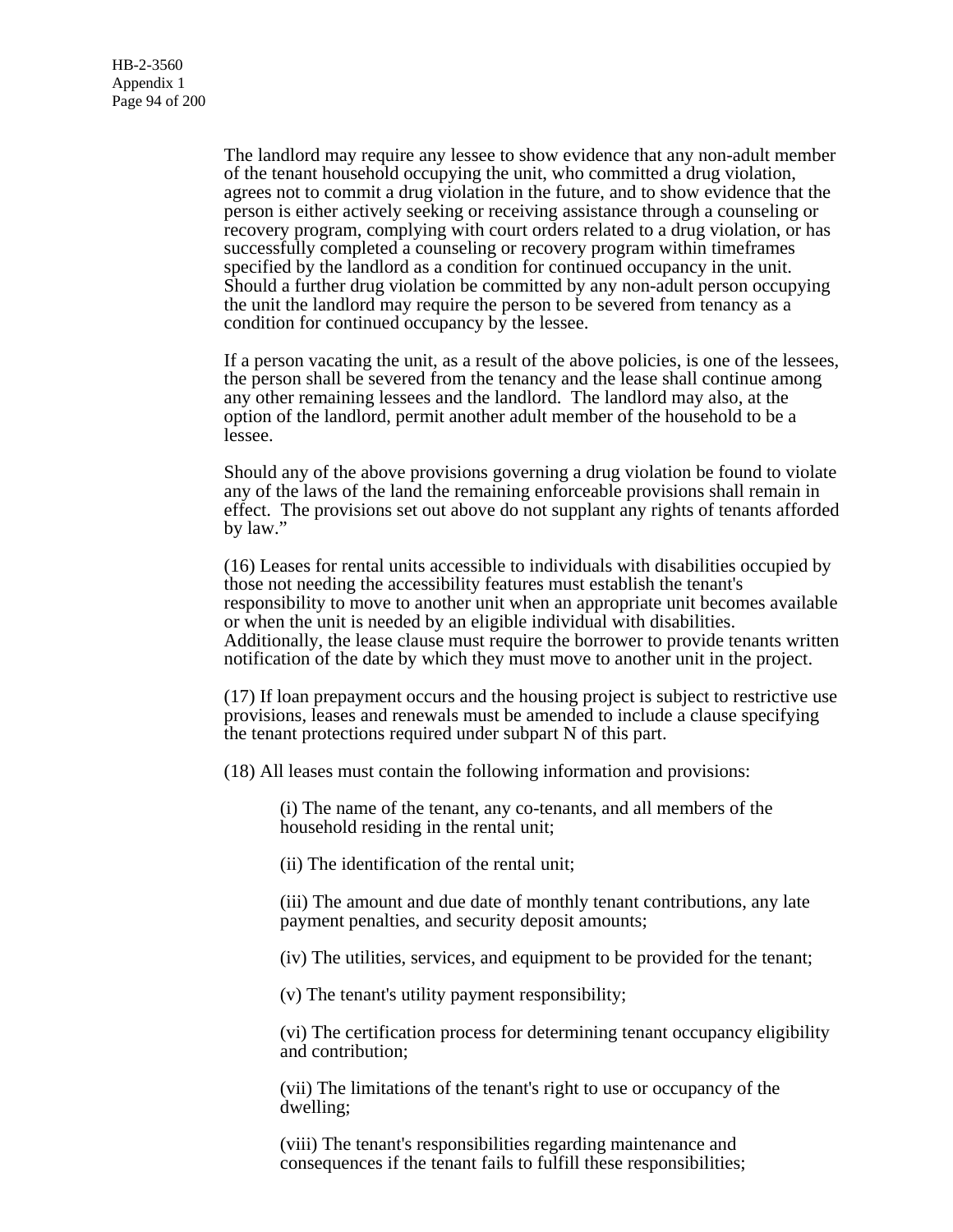The landlord may require any lessee to show evidence that any non-adult member of the tenant household occupying the unit, who committed a drug violation, agrees not to commit a drug violation in the future, and to show evidence that the person is either actively seeking or receiving assistance through a counseling or recovery program, complying with court orders related to a drug violation, or has successfully completed a counseling or recovery program within timeframes specified by the landlord as a condition for continued occupancy in the unit. Should a further drug violation be committed by any non-adult person occupying the unit the landlord may require the person to be severed from tenancy as a condition for continued occupancy by the lessee.

If a person vacating the unit, as a result of the above policies, is one of the lessees, the person shall be severed from the tenancy and the lease shall continue among any other remaining lessees and the landlord. The landlord may also, at the option of the landlord, permit another adult member of the household to be a lessee.

Should any of the above provisions governing a drug violation be found to violate any of the laws of the land the remaining enforceable provisions shall remain in effect. The provisions set out above do not supplant any rights of tenants afforded by law."

(16) Leases for rental units accessible to individuals with disabilities occupied by those not needing the accessibility features must establish the tenant's responsibility to move to another unit when an appropriate unit becomes available or when the unit is needed by an eligible individual with disabilities. Additionally, the lease clause must require the borrower to provide tenants written notification of the date by which they must move to another unit in the project.

(17) If loan prepayment occurs and the housing project is subject to restrictive use provisions, leases and renewals must be amended to include a clause specifying the tenant protections required under subpart N of this part.

(18) All leases must contain the following information and provisions:

(i) The name of the tenant, any co-tenants, and all members of the household residing in the rental unit;

(ii) The identification of the rental unit;

(iii) The amount and due date of monthly tenant contributions, any late payment penalties, and security deposit amounts;

(iv) The utilities, services, and equipment to be provided for the tenant;

(v) The tenant's utility payment responsibility;

(vi) The certification process for determining tenant occupancy eligibility and contribution;

(vii) The limitations of the tenant's right to use or occupancy of the dwelling;

(viii) The tenant's responsibilities regarding maintenance and consequences if the tenant fails to fulfill these responsibilities;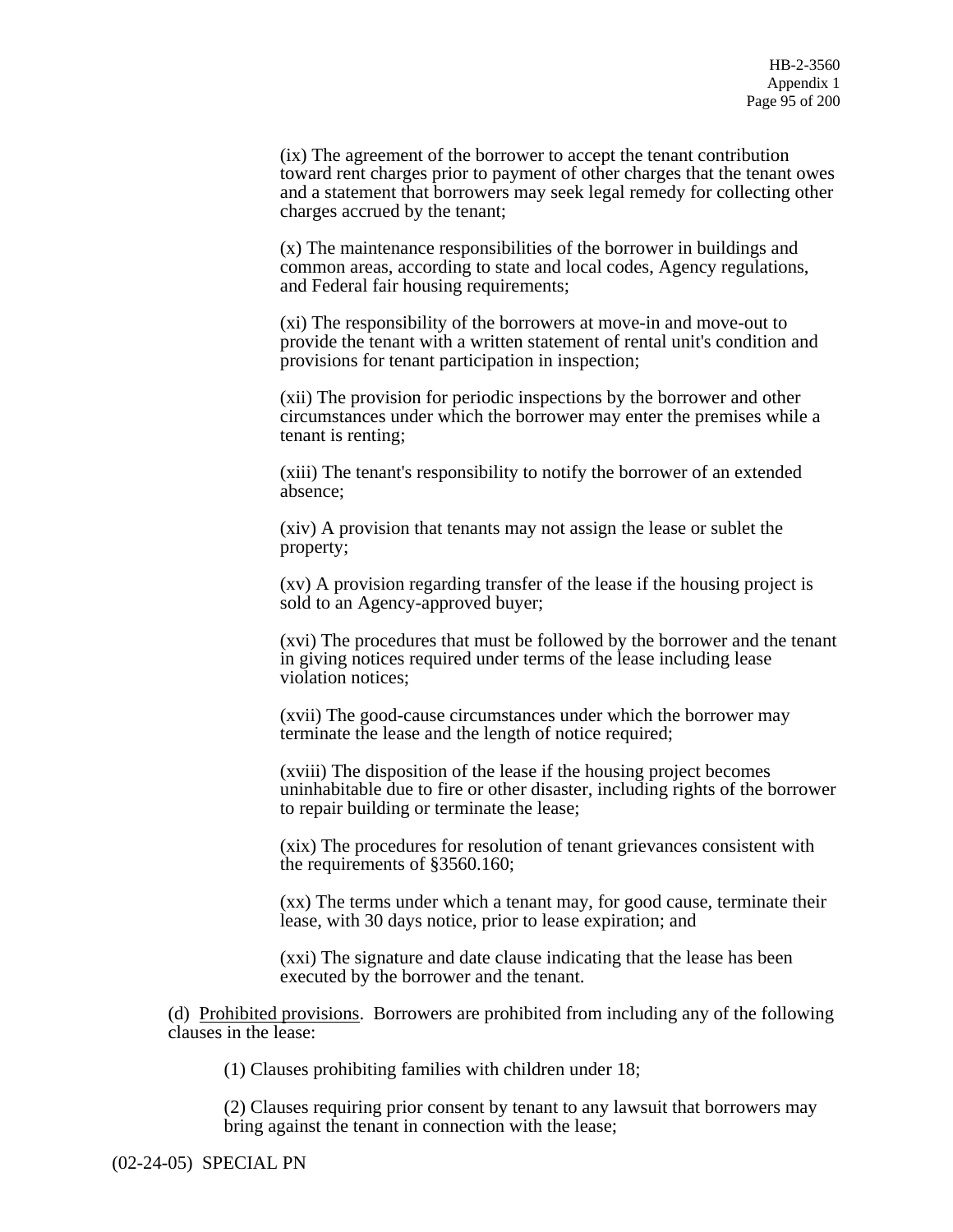(ix) The agreement of the borrower to accept the tenant contribution toward rent charges prior to payment of other charges that the tenant owes and a statement that borrowers may seek legal remedy for collecting other charges accrued by the tenant;

(x) The maintenance responsibilities of the borrower in buildings and common areas, according to state and local codes, Agency regulations, and Federal fair housing requirements;

(xi) The responsibility of the borrowers at move-in and move-out to provide the tenant with a written statement of rental unit's condition and provisions for tenant participation in inspection;

(xii) The provision for periodic inspections by the borrower and other circumstances under which the borrower may enter the premises while a tenant is renting;

(xiii) The tenant's responsibility to notify the borrower of an extended absence;

(xiv) A provision that tenants may not assign the lease or sublet the property;

(xv) A provision regarding transfer of the lease if the housing project is sold to an Agency-approved buyer;

(xvi) The procedures that must be followed by the borrower and the tenant in giving notices required under terms of the lease including lease violation notices;

(xvii) The good-cause circumstances under which the borrower may terminate the lease and the length of notice required;

(xviii) The disposition of the lease if the housing project becomes uninhabitable due to fire or other disaster, including rights of the borrower to repair building or terminate the lease;

(xix) The procedures for resolution of tenant grievances consistent with the requirements of §3560.160;

(xx) The terms under which a tenant may, for good cause, terminate their lease, with 30 days notice, prior to lease expiration; and

(xxi) The signature and date clause indicating that the lease has been executed by the borrower and the tenant.

(d) Prohibited provisions. Borrowers are prohibited from including any of the following clauses in the lease:

(1) Clauses prohibiting families with children under 18;

(2) Clauses requiring prior consent by tenant to any lawsuit that borrowers may bring against the tenant in connection with the lease;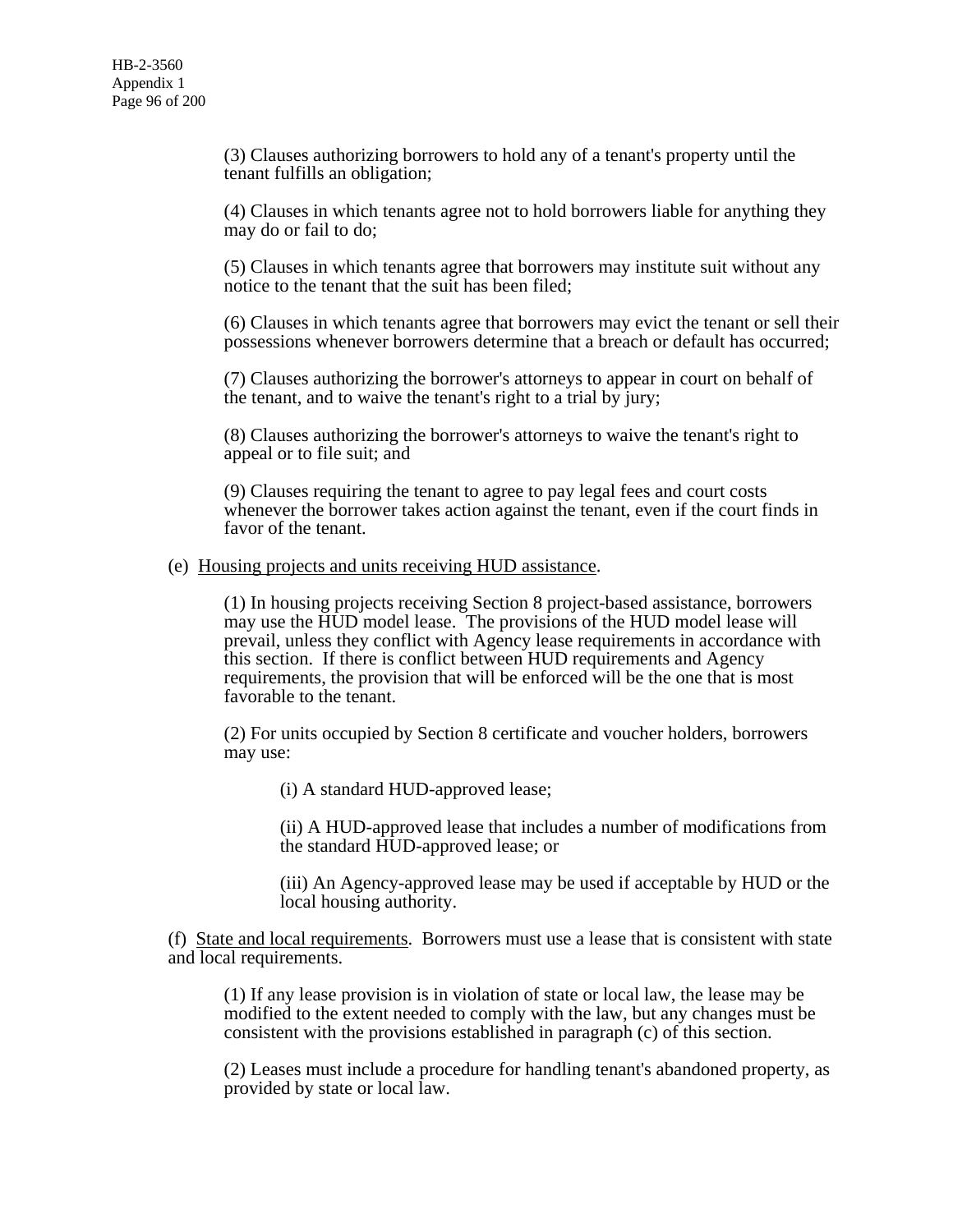(3) Clauses authorizing borrowers to hold any of a tenant's property until the tenant fulfills an obligation;

(4) Clauses in which tenants agree not to hold borrowers liable for anything they may do or fail to do;

(5) Clauses in which tenants agree that borrowers may institute suit without any notice to the tenant that the suit has been filed;

(6) Clauses in which tenants agree that borrowers may evict the tenant or sell their possessions whenever borrowers determine that a breach or default has occurred;

(7) Clauses authorizing the borrower's attorneys to appear in court on behalf of the tenant, and to waive the tenant's right to a trial by jury;

(8) Clauses authorizing the borrower's attorneys to waive the tenant's right to appeal or to file suit; and

(9) Clauses requiring the tenant to agree to pay legal fees and court costs whenever the borrower takes action against the tenant, even if the court finds in favor of the tenant.

#### (e) Housing projects and units receiving HUD assistance.

(1) In housing projects receiving Section 8 project-based assistance, borrowers may use the HUD model lease. The provisions of the HUD model lease will prevail, unless they conflict with Agency lease requirements in accordance with this section. If there is conflict between HUD requirements and Agency requirements, the provision that will be enforced will be the one that is most favorable to the tenant.

(2) For units occupied by Section 8 certificate and voucher holders, borrowers may use:

(i) A standard HUD-approved lease;

(ii) A HUD-approved lease that includes a number of modifications from the standard HUD-approved lease; or

(iii) An Agency-approved lease may be used if acceptable by HUD or the local housing authority.

(f) State and local requirements. Borrowers must use a lease that is consistent with state and local requirements.

(1) If any lease provision is in violation of state or local law, the lease may be modified to the extent needed to comply with the law, but any changes must be consistent with the provisions established in paragraph (c) of this section.

(2) Leases must include a procedure for handling tenant's abandoned property, as provided by state or local law.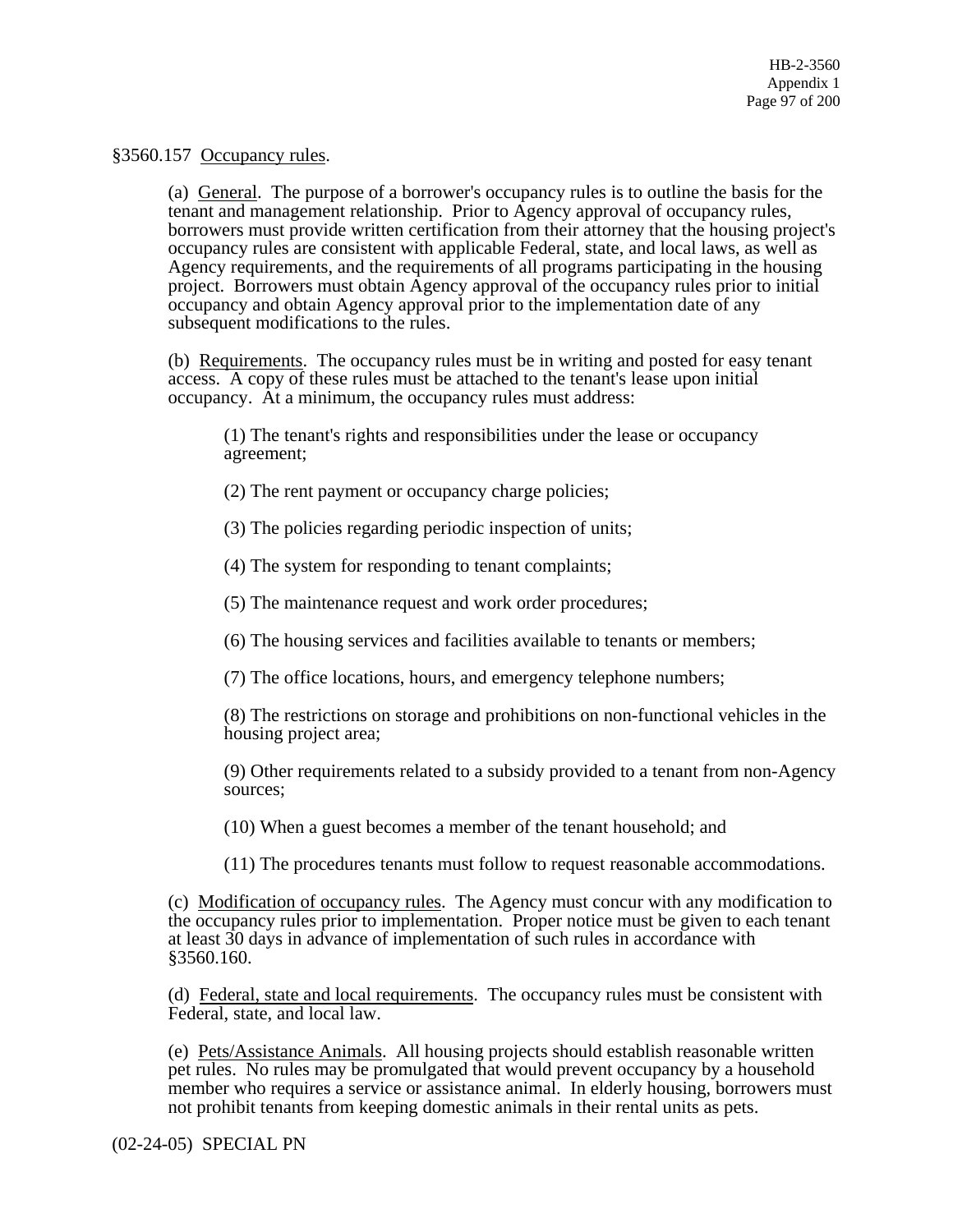# §3560.157 Occupancy rules.

(a) General. The purpose of a borrower's occupancy rules is to outline the basis for the tenant and management relationship. Prior to Agency approval of occupancy rules, borrowers must provide written certification from their attorney that the housing project's occupancy rules are consistent with applicable Federal, state, and local laws, as well as Agency requirements, and the requirements of all programs participating in the housing project. Borrowers must obtain Agency approval of the occupancy rules prior to initial occupancy and obtain Agency approval prior to the implementation date of any subsequent modifications to the rules.

(b) Requirements. The occupancy rules must be in writing and posted for easy tenant access. A copy of these rules must be attached to the tenant's lease upon initial occupancy. At a minimum, the occupancy rules must address:

(1) The tenant's rights and responsibilities under the lease or occupancy agreement;

(2) The rent payment or occupancy charge policies;

(3) The policies regarding periodic inspection of units;

(4) The system for responding to tenant complaints;

(5) The maintenance request and work order procedures;

(6) The housing services and facilities available to tenants or members;

(7) The office locations, hours, and emergency telephone numbers;

(8) The restrictions on storage and prohibitions on non-functional vehicles in the housing project area;

(9) Other requirements related to a subsidy provided to a tenant from non-Agency sources;

(10) When a guest becomes a member of the tenant household; and

(11) The procedures tenants must follow to request reasonable accommodations.

(c) Modification of occupancy rules. The Agency must concur with any modification to the occupancy rules prior to implementation. Proper notice must be given to each tenant at least 30 days in advance of implementation of such rules in accordance with §3560.160.

(d) Federal, state and local requirements. The occupancy rules must be consistent with Federal, state, and local law.

(e) Pets/Assistance Animals. All housing projects should establish reasonable written pet rules. No rules may be promulgated that would prevent occupancy by a household member who requires a service or assistance animal. In elderly housing, borrowers must not prohibit tenants from keeping domestic animals in their rental units as pets.

(02-24-05) SPECIAL PN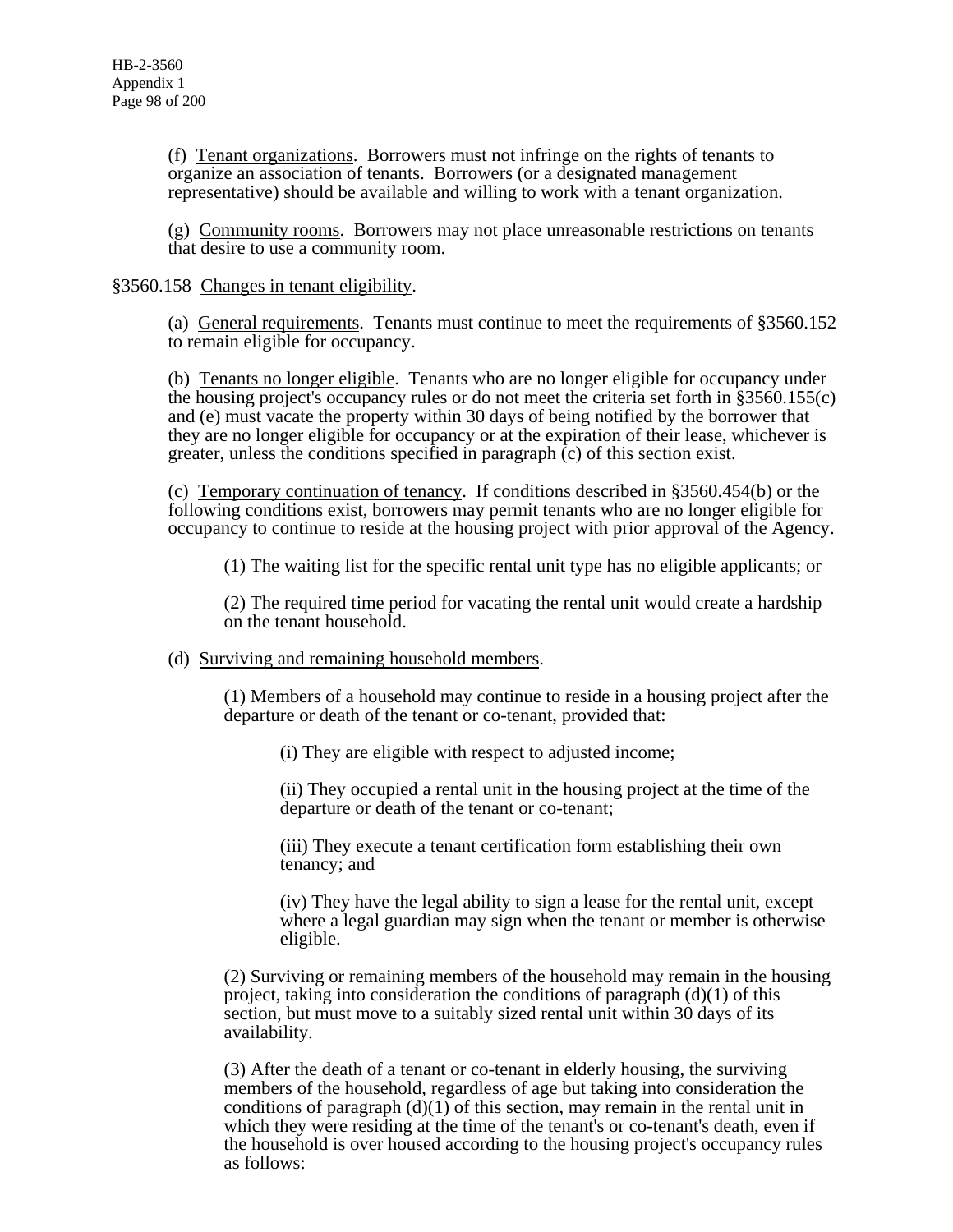(f) Tenant organizations. Borrowers must not infringe on the rights of tenants to organize an association of tenants. Borrowers (or a designated management representative) should be available and willing to work with a tenant organization.

(g) Community rooms. Borrowers may not place unreasonable restrictions on tenants that desire to use a community room.

# §3560.158 Changes in tenant eligibility.

(a) General requirements. Tenants must continue to meet the requirements of §3560.152 to remain eligible for occupancy.

(b) Tenants no longer eligible. Tenants who are no longer eligible for occupancy under the housing project's occupancy rules or do not meet the criteria set forth in §3560.155(c) and (e) must vacate the property within 30 days of being notified by the borrower that they are no longer eligible for occupancy or at the expiration of their lease, whichever is greater, unless the conditions specified in paragraph (c) of this section exist.

(c) Temporary continuation of tenancy. If conditions described in §3560.454(b) or the following conditions exist, borrowers may permit tenants who are no longer eligible for occupancy to continue to reside at the housing project with prior approval of the Agency.

(1) The waiting list for the specific rental unit type has no eligible applicants; or

(2) The required time period for vacating the rental unit would create a hardship on the tenant household.

# (d) Surviving and remaining household members.

(1) Members of a household may continue to reside in a housing project after the departure or death of the tenant or co-tenant, provided that:

(i) They are eligible with respect to adjusted income;

(ii) They occupied a rental unit in the housing project at the time of the departure or death of the tenant or co-tenant;

(iii) They execute a tenant certification form establishing their own tenancy; and

(iv) They have the legal ability to sign a lease for the rental unit, except where a legal guardian may sign when the tenant or member is otherwise eligible.

(2) Surviving or remaining members of the household may remain in the housing project, taking into consideration the conditions of paragraph  $(d)(1)$  of this section, but must move to a suitably sized rental unit within 30 days of its availability.

(3) After the death of a tenant or co-tenant in elderly housing, the surviving members of the household, regardless of age but taking into consideration the conditions of paragraph  $(d)(1)$  of this section, may remain in the rental unit in which they were residing at the time of the tenant's or co-tenant's death, even if the household is over housed according to the housing project's occupancy rules as follows: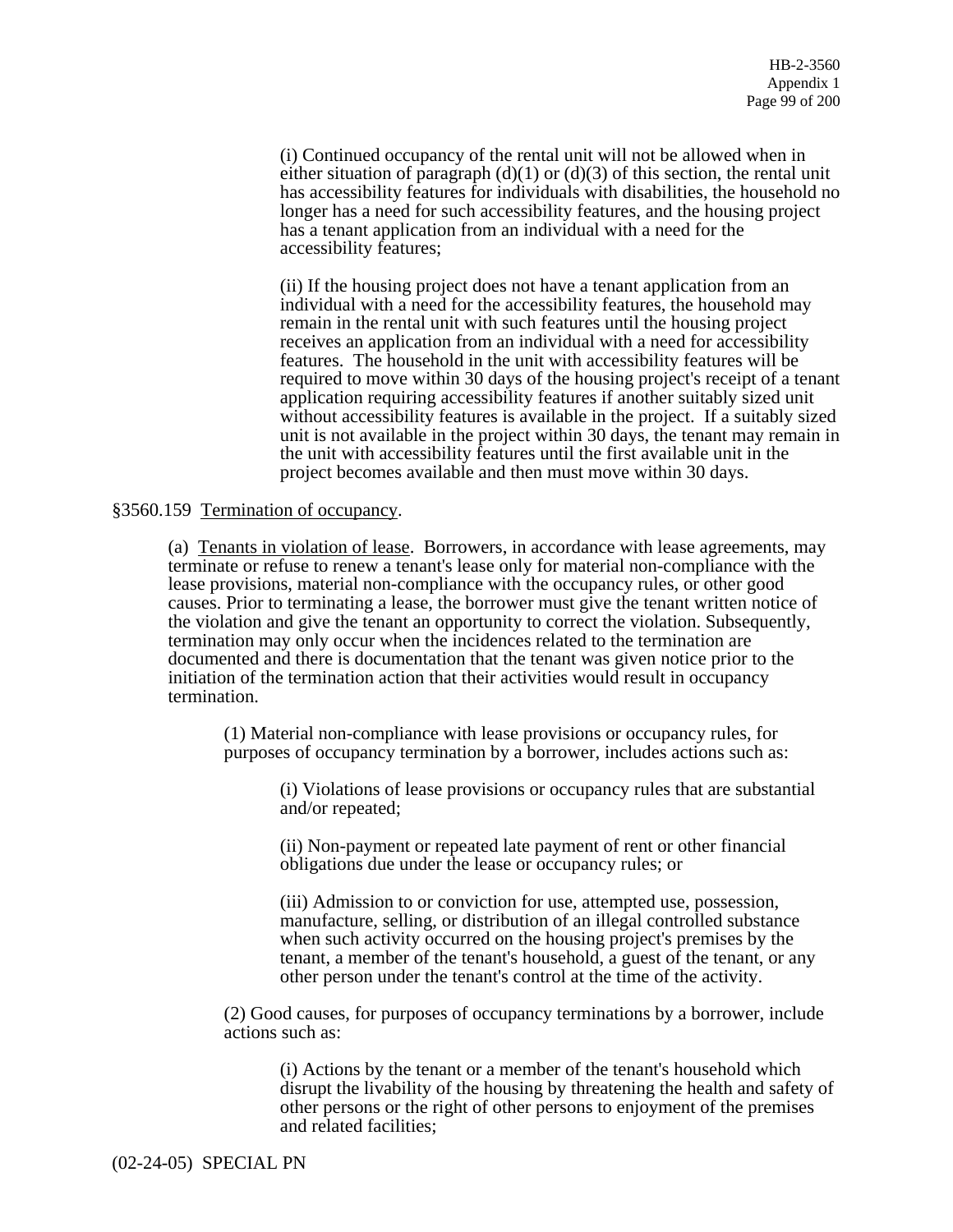(i) Continued occupancy of the rental unit will not be allowed when in either situation of paragraph  $(d)(1)$  or  $(d)(3)$  of this section, the rental unit has accessibility features for individuals with disabilities, the household no longer has a need for such accessibility features, and the housing project has a tenant application from an individual with a need for the accessibility features;

(ii) If the housing project does not have a tenant application from an individual with a need for the accessibility features, the household may remain in the rental unit with such features until the housing project receives an application from an individual with a need for accessibility features. The household in the unit with accessibility features will be required to move within 30 days of the housing project's receipt of a tenant application requiring accessibility features if another suitably sized unit without accessibility features is available in the project. If a suitably sized unit is not available in the project within 30 days, the tenant may remain in the unit with accessibility features until the first available unit in the project becomes available and then must move within 30 days.

# §3560.159 Termination of occupancy.

(a) Tenants in violation of lease. Borrowers, in accordance with lease agreements, may terminate or refuse to renew a tenant's lease only for material non-compliance with the lease provisions, material non-compliance with the occupancy rules, or other good causes. Prior to terminating a lease, the borrower must give the tenant written notice of the violation and give the tenant an opportunity to correct the violation. Subsequently, termination may only occur when the incidences related to the termination are documented and there is documentation that the tenant was given notice prior to the initiation of the termination action that their activities would result in occupancy termination.

(1) Material non-compliance with lease provisions or occupancy rules, for purposes of occupancy termination by a borrower, includes actions such as:

(i) Violations of lease provisions or occupancy rules that are substantial and/or repeated;

(ii) Non-payment or repeated late payment of rent or other financial obligations due under the lease or occupancy rules; or

(iii) Admission to or conviction for use, attempted use, possession, manufacture, selling, or distribution of an illegal controlled substance when such activity occurred on the housing project's premises by the tenant, a member of the tenant's household, a guest of the tenant, or any other person under the tenant's control at the time of the activity.

(2) Good causes, for purposes of occupancy terminations by a borrower, include actions such as:

(i) Actions by the tenant or a member of the tenant's household which disrupt the livability of the housing by threatening the health and safety of other persons or the right of other persons to enjoyment of the premises and related facilities;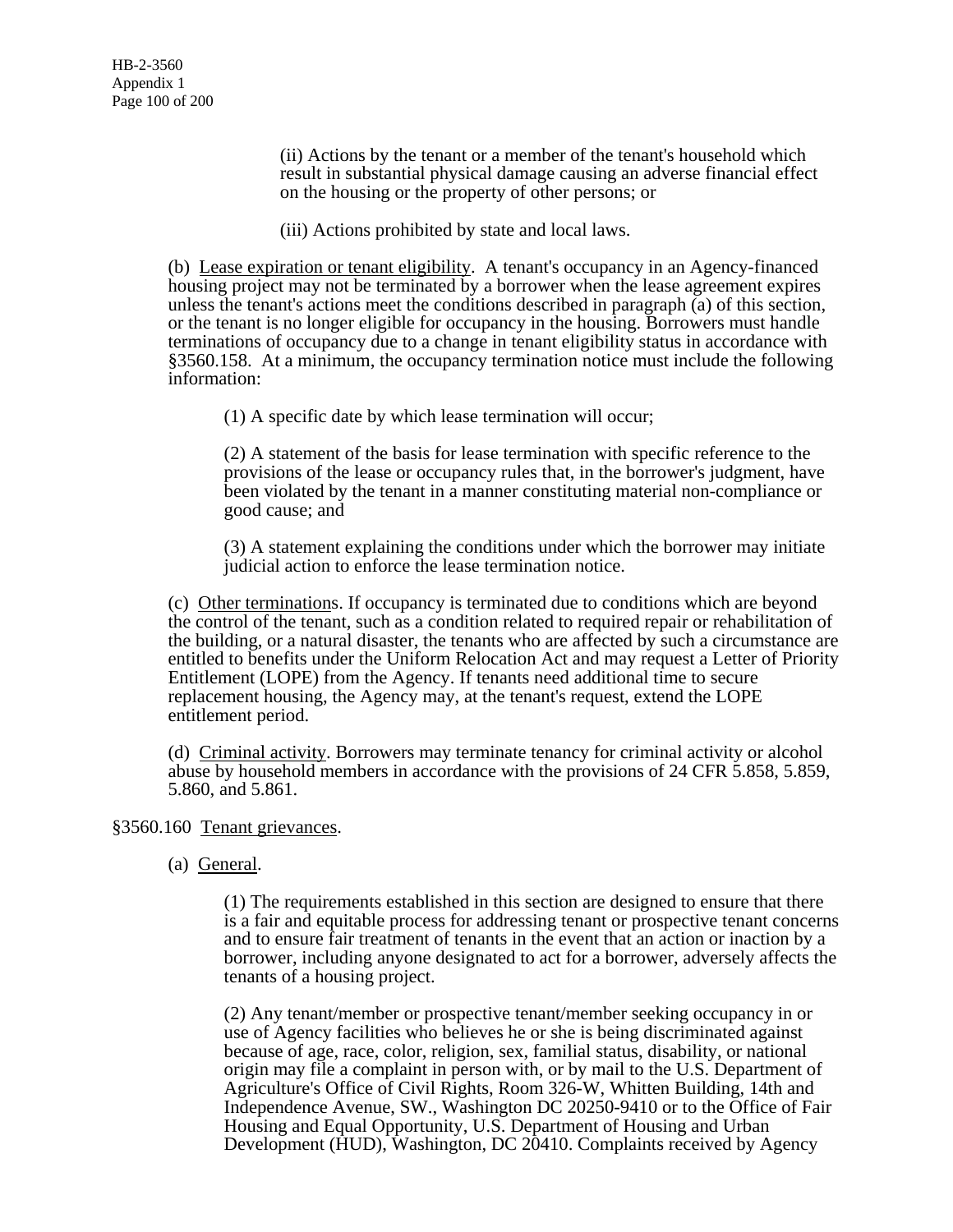(ii) Actions by the tenant or a member of the tenant's household which result in substantial physical damage causing an adverse financial effect on the housing or the property of other persons; or

(iii) Actions prohibited by state and local laws.

(b) Lease expiration or tenant eligibility. A tenant's occupancy in an Agency-financed housing project may not be terminated by a borrower when the lease agreement expires unless the tenant's actions meet the conditions described in paragraph (a) of this section, or the tenant is no longer eligible for occupancy in the housing. Borrowers must handle terminations of occupancy due to a change in tenant eligibility status in accordance with §3560.158. At a minimum, the occupancy termination notice must include the following information:

(1) A specific date by which lease termination will occur;

(2) A statement of the basis for lease termination with specific reference to the provisions of the lease or occupancy rules that, in the borrower's judgment, have been violated by the tenant in a manner constituting material non-compliance or good cause; and

(3) A statement explaining the conditions under which the borrower may initiate judicial action to enforce the lease termination notice.

(c) Other terminations. If occupancy is terminated due to conditions which are beyond the control of the tenant, such as a condition related to required repair or rehabilitation of the building, or a natural disaster, the tenants who are affected by such a circumstance are entitled to benefits under the Uniform Relocation Act and may request a Letter of Priority Entitlement (LOPE) from the Agency. If tenants need additional time to secure replacement housing, the Agency may, at the tenant's request, extend the LOPE entitlement period.

(d) Criminal activity. Borrowers may terminate tenancy for criminal activity or alcohol abuse by household members in accordance with the provisions of 24 CFR 5.858, 5.859, 5.860, and 5.861.

# §3560.160 Tenant grievances.

(a) General.

(1) The requirements established in this section are designed to ensure that there is a fair and equitable process for addressing tenant or prospective tenant concerns and to ensure fair treatment of tenants in the event that an action or inaction by a borrower, including anyone designated to act for a borrower, adversely affects the tenants of a housing project.

(2) Any tenant/member or prospective tenant/member seeking occupancy in or use of Agency facilities who believes he or she is being discriminated against because of age, race, color, religion, sex, familial status, disability, or national origin may file a complaint in person with, or by mail to the U.S. Department of Agriculture's Office of Civil Rights, Room 326-W, Whitten Building, 14th and Independence Avenue, SW., Washington DC 20250-9410 or to the Office of Fair Housing and Equal Opportunity, U.S. Department of Housing and Urban Development (HUD), Washington, DC 20410. Complaints received by Agency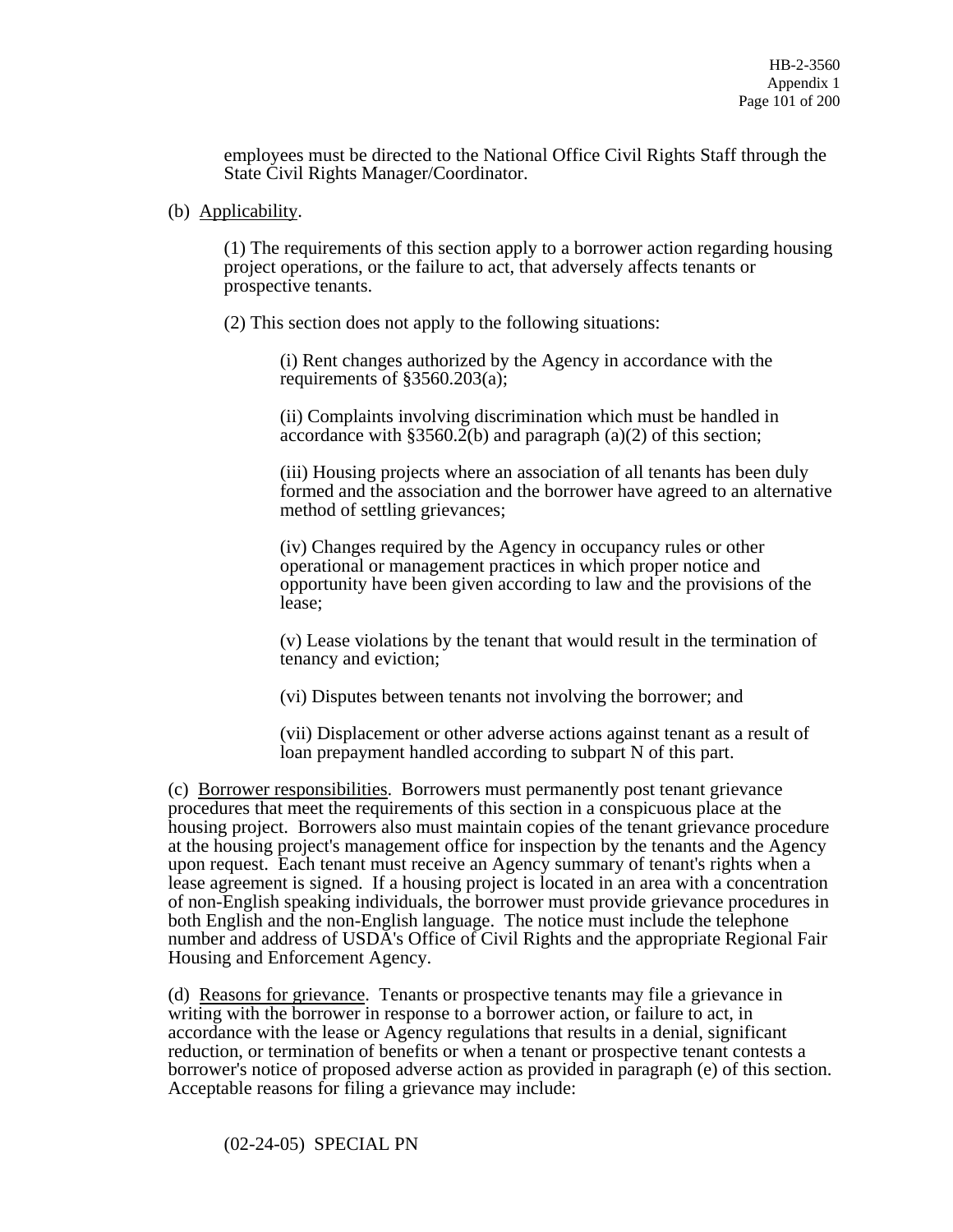employees must be directed to the National Office Civil Rights Staff through the State Civil Rights Manager/Coordinator.

(b) Applicability.

(1) The requirements of this section apply to a borrower action regarding housing project operations, or the failure to act, that adversely affects tenants or prospective tenants.

(2) This section does not apply to the following situations:

(i) Rent changes authorized by the Agency in accordance with the requirements of §3560.203(a);

(ii) Complaints involving discrimination which must be handled in accordance with  $\S 3560.2(b)$  and paragraph (a)(2) of this section;

(iii) Housing projects where an association of all tenants has been duly formed and the association and the borrower have agreed to an alternative method of settling grievances;

(iv) Changes required by the Agency in occupancy rules or other operational or management practices in which proper notice and opportunity have been given according to law and the provisions of the lease;

(v) Lease violations by the tenant that would result in the termination of tenancy and eviction;

(vi) Disputes between tenants not involving the borrower; and

(vii) Displacement or other adverse actions against tenant as a result of loan prepayment handled according to subpart N of this part.

(c) Borrower responsibilities. Borrowers must permanently post tenant grievance procedures that meet the requirements of this section in a conspicuous place at the housing project. Borrowers also must maintain copies of the tenant grievance procedure at the housing project's management office for inspection by the tenants and the Agency upon request. Each tenant must receive an Agency summary of tenant's rights when a lease agreement is signed. If a housing project is located in an area with a concentration of non-English speaking individuals, the borrower must provide grievance procedures in both English and the non-English language. The notice must include the telephone number and address of USDA's Office of Civil Rights and the appropriate Regional Fair Housing and Enforcement Agency.

(d) Reasons for grievance. Tenants or prospective tenants may file a grievance in writing with the borrower in response to a borrower action, or failure to act, in accordance with the lease or Agency regulations that results in a denial, significant reduction, or termination of benefits or when a tenant or prospective tenant contests a borrower's notice of proposed adverse action as provided in paragraph (e) of this section. Acceptable reasons for filing a grievance may include:

(02-24-05) SPECIAL PN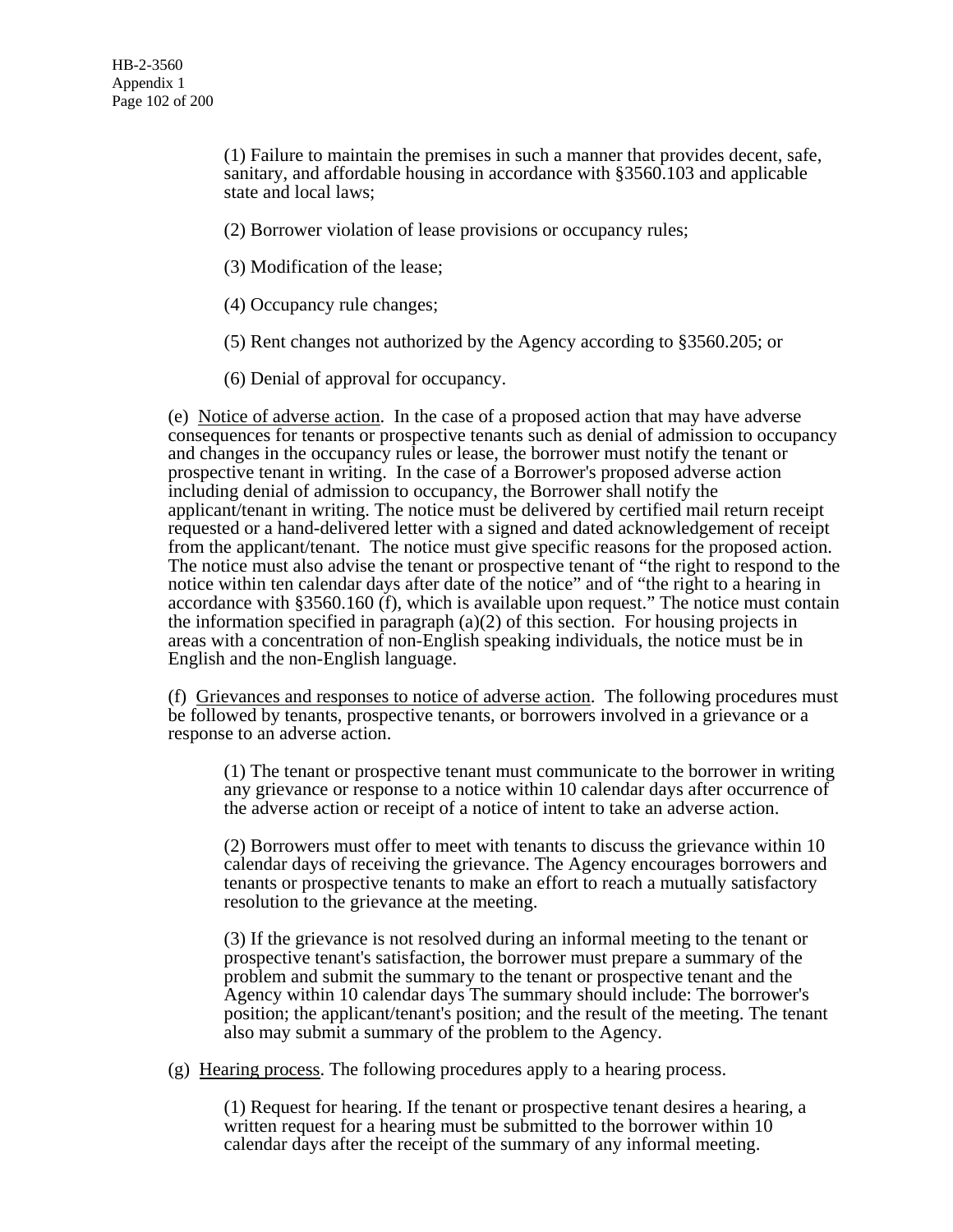(1) Failure to maintain the premises in such a manner that provides decent, safe, sanitary, and affordable housing in accordance with §3560.103 and applicable state and local laws;

(2) Borrower violation of lease provisions or occupancy rules;

(3) Modification of the lease;

(4) Occupancy rule changes;

(5) Rent changes not authorized by the Agency according to §3560.205; or

(6) Denial of approval for occupancy.

(e) Notice of adverse action. In the case of a proposed action that may have adverse consequences for tenants or prospective tenants such as denial of admission to occupancy and changes in the occupancy rules or lease, the borrower must notify the tenant or prospective tenant in writing. In the case of a Borrower's proposed adverse action including denial of admission to occupancy, the Borrower shall notify the applicant/tenant in writing. The notice must be delivered by certified mail return receipt requested or a hand-delivered letter with a signed and dated acknowledgement of receipt from the applicant/tenant. The notice must give specific reasons for the proposed action. The notice must also advise the tenant or prospective tenant of "the right to respond to the notice within ten calendar days after date of the notice" and of "the right to a hearing in accordance with §3560.160 (f), which is available upon request." The notice must contain the information specified in paragraph  $(a)(2)$  of this section. For housing projects in areas with a concentration of non-English speaking individuals, the notice must be in English and the non-English language.

(f) Grievances and responses to notice of adverse action. The following procedures must be followed by tenants, prospective tenants, or borrowers involved in a grievance or a response to an adverse action.

(1) The tenant or prospective tenant must communicate to the borrower in writing any grievance or response to a notice within 10 calendar days after occurrence of the adverse action or receipt of a notice of intent to take an adverse action.

(2) Borrowers must offer to meet with tenants to discuss the grievance within 10 calendar days of receiving the grievance. The Agency encourages borrowers and tenants or prospective tenants to make an effort to reach a mutually satisfactory resolution to the grievance at the meeting.

(3) If the grievance is not resolved during an informal meeting to the tenant or prospective tenant's satisfaction, the borrower must prepare a summary of the problem and submit the summary to the tenant or prospective tenant and the Agency within 10 calendar days The summary should include: The borrower's position; the applicant/tenant's position; and the result of the meeting. The tenant also may submit a summary of the problem to the Agency.

(g) Hearing process. The following procedures apply to a hearing process.

(1) Request for hearing. If the tenant or prospective tenant desires a hearing, a written request for a hearing must be submitted to the borrower within 10 calendar days after the receipt of the summary of any informal meeting.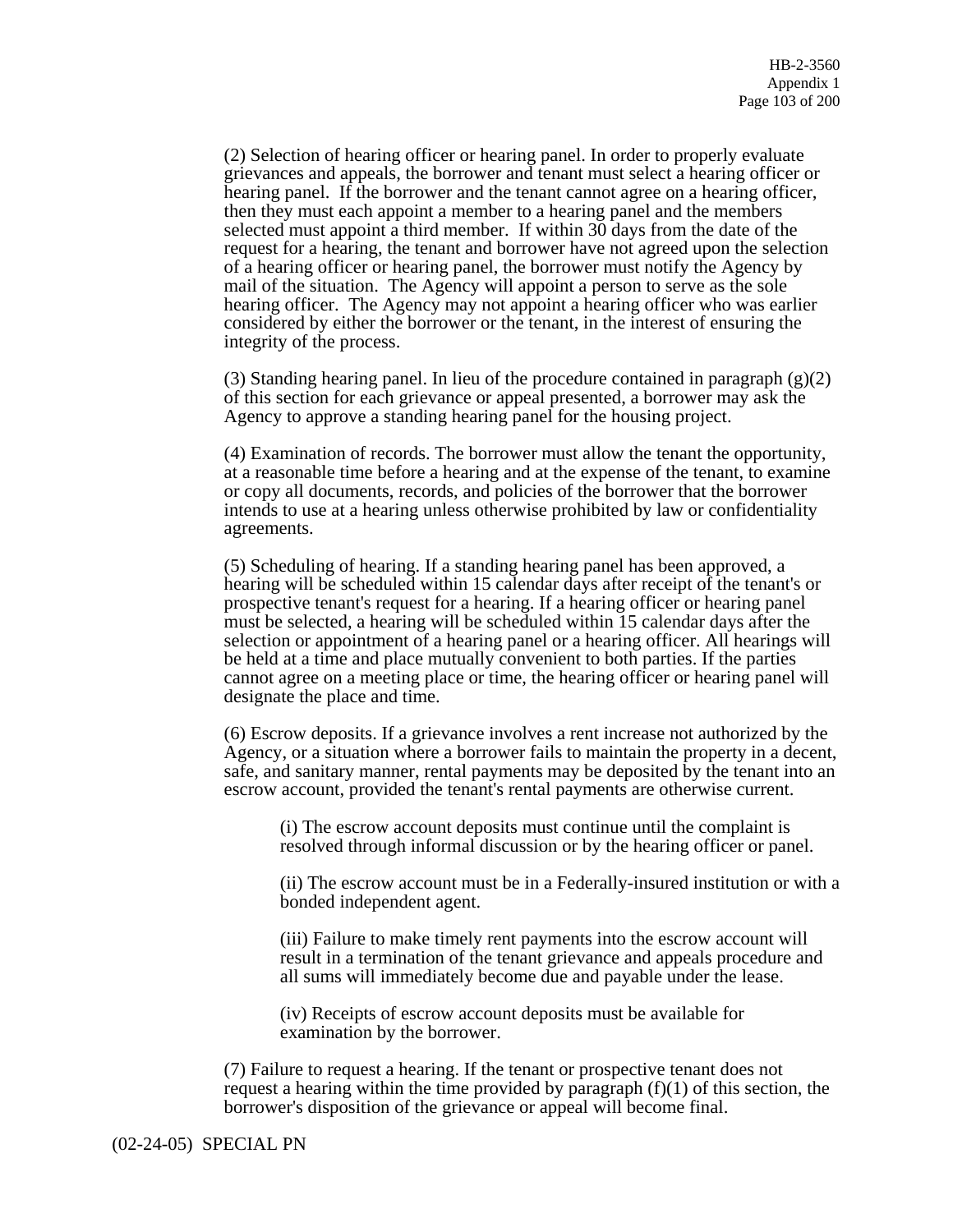(2) Selection of hearing officer or hearing panel. In order to properly evaluate grievances and appeals, the borrower and tenant must select a hearing officer or hearing panel. If the borrower and the tenant cannot agree on a hearing officer, then they must each appoint a member to a hearing panel and the members selected must appoint a third member. If within 30 days from the date of the request for a hearing, the tenant and borrower have not agreed upon the selection of a hearing officer or hearing panel, the borrower must notify the Agency by mail of the situation. The Agency will appoint a person to serve as the sole hearing officer. The Agency may not appoint a hearing officer who was earlier considered by either the borrower or the tenant, in the interest of ensuring the integrity of the process.

(3) Standing hearing panel. In lieu of the procedure contained in paragraph  $(g)(2)$ of this section for each grievance or appeal presented, a borrower may ask the Agency to approve a standing hearing panel for the housing project.

(4) Examination of records. The borrower must allow the tenant the opportunity, at a reasonable time before a hearing and at the expense of the tenant, to examine or copy all documents, records, and policies of the borrower that the borrower intends to use at a hearing unless otherwise prohibited by law or confidentiality agreements.

(5) Scheduling of hearing. If a standing hearing panel has been approved, a hearing will be scheduled within 15 calendar days after receipt of the tenant's or prospective tenant's request for a hearing. If a hearing officer or hearing panel must be selected, a hearing will be scheduled within 15 calendar days after the selection or appointment of a hearing panel or a hearing officer. All hearings will be held at a time and place mutually convenient to both parties. If the parties cannot agree on a meeting place or time, the hearing officer or hearing panel will designate the place and time.

(6) Escrow deposits. If a grievance involves a rent increase not authorized by the Agency, or a situation where a borrower fails to maintain the property in a decent, safe, and sanitary manner, rental payments may be deposited by the tenant into an escrow account, provided the tenant's rental payments are otherwise current.

(i) The escrow account deposits must continue until the complaint is resolved through informal discussion or by the hearing officer or panel.

(ii) The escrow account must be in a Federally-insured institution or with a bonded independent agent.

(iii) Failure to make timely rent payments into the escrow account will result in a termination of the tenant grievance and appeals procedure and all sums will immediately become due and payable under the lease.

(iv) Receipts of escrow account deposits must be available for examination by the borrower.

(7) Failure to request a hearing. If the tenant or prospective tenant does not request a hearing within the time provided by paragraph  $(f)(1)$  of this section, the borrower's disposition of the grievance or appeal will become final.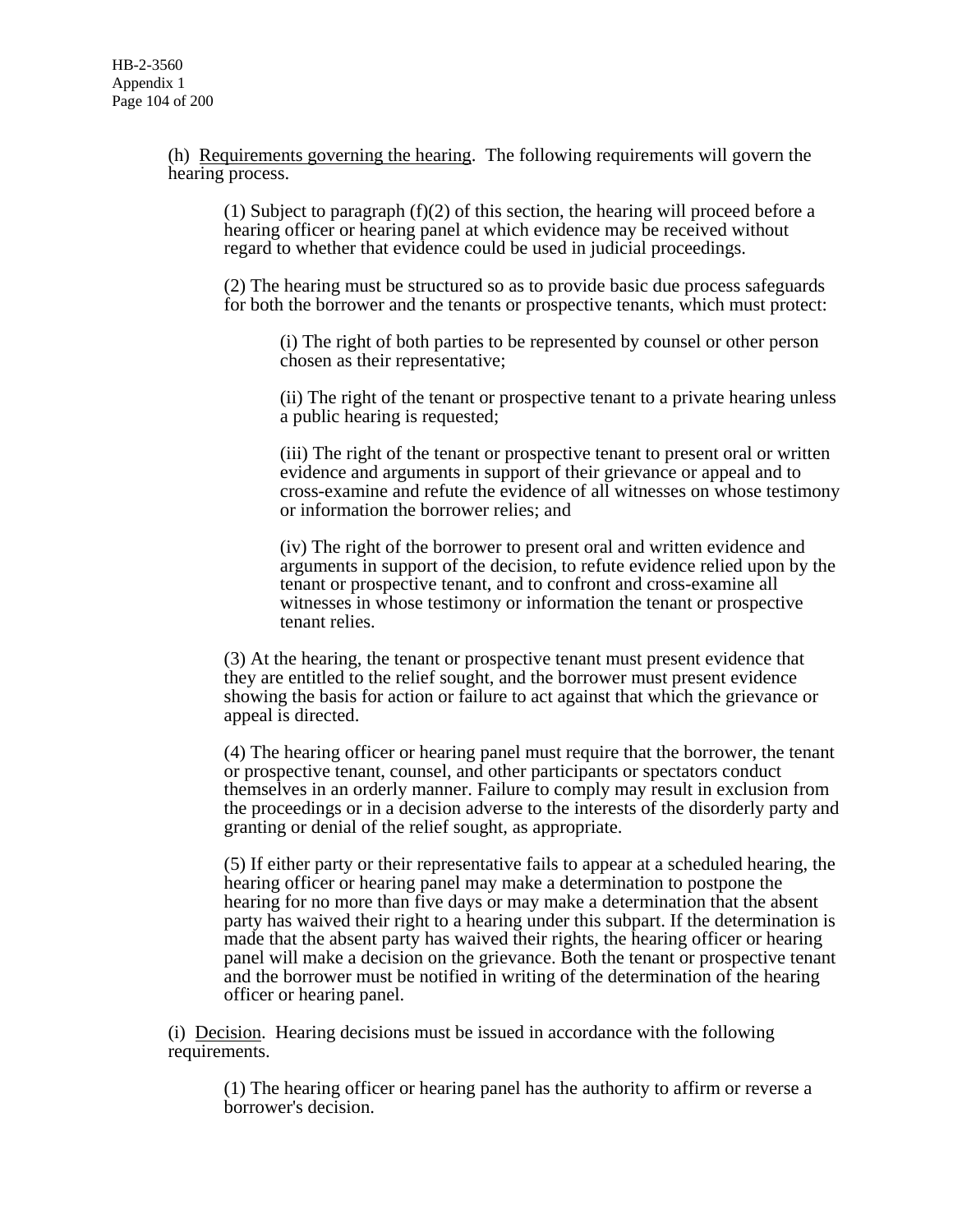(h) Requirements governing the hearing. The following requirements will govern the hearing process.

(1) Subject to paragraph  $(f)(2)$  of this section, the hearing will proceed before a hearing officer or hearing panel at which evidence may be received without regard to whether that evidence could be used in judicial proceedings.

(2) The hearing must be structured so as to provide basic due process safeguards for both the borrower and the tenants or prospective tenants, which must protect:

(i) The right of both parties to be represented by counsel or other person chosen as their representative;

(ii) The right of the tenant or prospective tenant to a private hearing unless a public hearing is requested;

(iii) The right of the tenant or prospective tenant to present oral or written evidence and arguments in support of their grievance or appeal and to cross-examine and refute the evidence of all witnesses on whose testimony or information the borrower relies; and

(iv) The right of the borrower to present oral and written evidence and arguments in support of the decision, to refute evidence relied upon by the tenant or prospective tenant, and to confront and cross-examine all witnesses in whose testimony or information the tenant or prospective tenant relies.

(3) At the hearing, the tenant or prospective tenant must present evidence that they are entitled to the relief sought, and the borrower must present evidence showing the basis for action or failure to act against that which the grievance or appeal is directed.

(4) The hearing officer or hearing panel must require that the borrower, the tenant or prospective tenant, counsel, and other participants or spectators conduct themselves in an orderly manner. Failure to comply may result in exclusion from the proceedings or in a decision adverse to the interests of the disorderly party and granting or denial of the relief sought, as appropriate.

(5) If either party or their representative fails to appear at a scheduled hearing, the hearing officer or hearing panel may make a determination to postpone the hearing for no more than five days or may make a determination that the absent party has waived their right to a hearing under this subpart. If the determination is made that the absent party has waived their rights, the hearing officer or hearing panel will make a decision on the grievance. Both the tenant or prospective tenant and the borrower must be notified in writing of the determination of the hearing officer or hearing panel.

(i) Decision. Hearing decisions must be issued in accordance with the following requirements.

(1) The hearing officer or hearing panel has the authority to affirm or reverse a borrower's decision.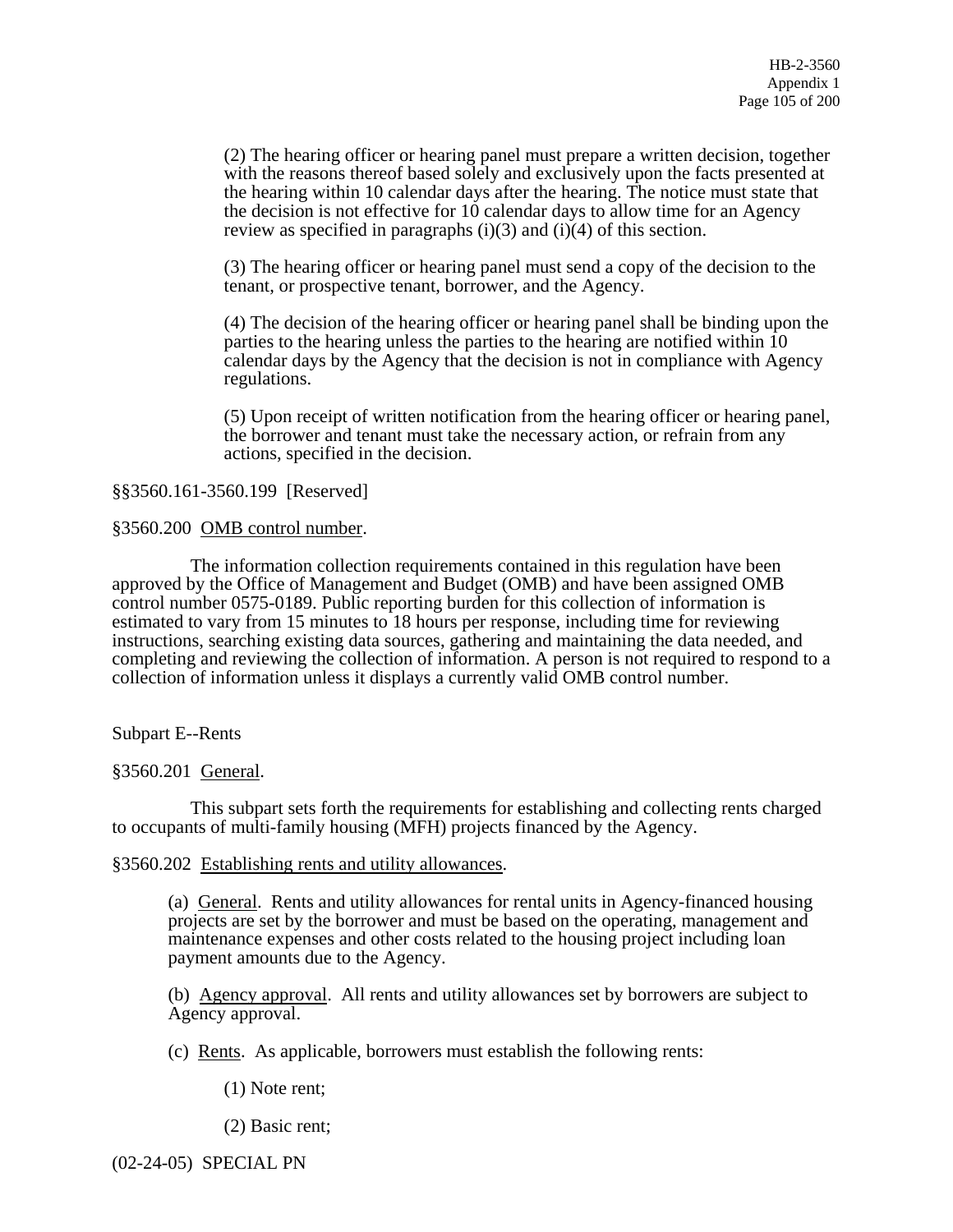(2) The hearing officer or hearing panel must prepare a written decision, together with the reasons thereof based solely and exclusively upon the facts presented at the hearing within 10 calendar days after the hearing. The notice must state that the decision is not effective for 10 calendar days to allow time for an Agency review as specified in paragraphs  $(i)(3)$  and  $(i)(4)$  of this section.

(3) The hearing officer or hearing panel must send a copy of the decision to the tenant, or prospective tenant, borrower, and the Agency.

(4) The decision of the hearing officer or hearing panel shall be binding upon the parties to the hearing unless the parties to the hearing are notified within 10 calendar days by the Agency that the decision is not in compliance with Agency regulations.

(5) Upon receipt of written notification from the hearing officer or hearing panel, the borrower and tenant must take the necessary action, or refrain from any actions, specified in the decision.

# §§3560.161-3560.199 [Reserved]

#### §3560.200 OMB control number.

 The information collection requirements contained in this regulation have been approved by the Office of Management and Budget (OMB) and have been assigned OMB control number 0575-0189. Public reporting burden for this collection of information is estimated to vary from 15 minutes to 18 hours per response, including time for reviewing instructions, searching existing data sources, gathering and maintaining the data needed, and completing and reviewing the collection of information. A person is not required to respond to a collection of information unless it displays a currently valid OMB control number.

Subpart E--Rents

§3560.201 General.

 This subpart sets forth the requirements for establishing and collecting rents charged to occupants of multi-family housing (MFH) projects financed by the Agency.

#### §3560.202 Establishing rents and utility allowances.

(a) General. Rents and utility allowances for rental units in Agency-financed housing projects are set by the borrower and must be based on the operating, management and maintenance expenses and other costs related to the housing project including loan payment amounts due to the Agency.

(b) Agency approval. All rents and utility allowances set by borrowers are subject to Agency approval.

(c) Rents. As applicable, borrowers must establish the following rents:

(1) Note rent;

(2) Basic rent;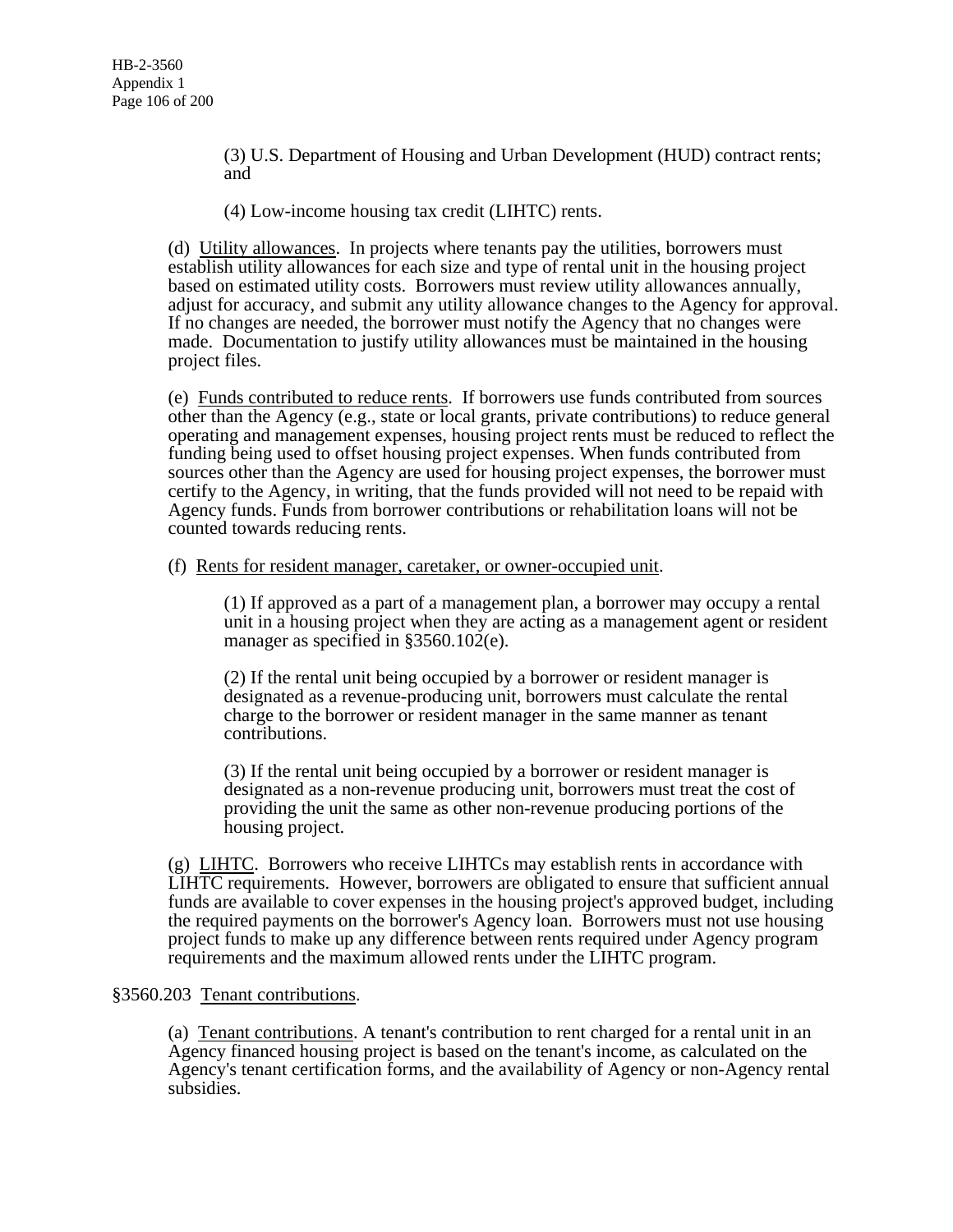(3) U.S. Department of Housing and Urban Development (HUD) contract rents; and

(4) Low-income housing tax credit (LIHTC) rents.

(d) Utility allowances. In projects where tenants pay the utilities, borrowers must establish utility allowances for each size and type of rental unit in the housing project based on estimated utility costs. Borrowers must review utility allowances annually, adjust for accuracy, and submit any utility allowance changes to the Agency for approval. If no changes are needed, the borrower must notify the Agency that no changes were made. Documentation to justify utility allowances must be maintained in the housing project files.

(e) Funds contributed to reduce rents. If borrowers use funds contributed from sources other than the Agency (e.g., state or local grants, private contributions) to reduce general operating and management expenses, housing project rents must be reduced to reflect the funding being used to offset housing project expenses. When funds contributed from sources other than the Agency are used for housing project expenses, the borrower must certify to the Agency, in writing, that the funds provided will not need to be repaid with Agency funds. Funds from borrower contributions or rehabilitation loans will not be counted towards reducing rents.

(f) Rents for resident manager, caretaker, or owner-occupied unit.

(1) If approved as a part of a management plan, a borrower may occupy a rental unit in a housing project when they are acting as a management agent or resident manager as specified in §3560.102(e).

(2) If the rental unit being occupied by a borrower or resident manager is designated as a revenue-producing unit, borrowers must calculate the rental charge to the borrower or resident manager in the same manner as tenant contributions.

(3) If the rental unit being occupied by a borrower or resident manager is designated as a non-revenue producing unit, borrowers must treat the cost of providing the unit the same as other non-revenue producing portions of the housing project.

(g) LIHTC. Borrowers who receive LIHTCs may establish rents in accordance with LIHTC requirements. However, borrowers are obligated to ensure that sufficient annual funds are available to cover expenses in the housing project's approved budget, including the required payments on the borrower's Agency loan. Borrowers must not use housing project funds to make up any difference between rents required under Agency program requirements and the maximum allowed rents under the LIHTC program.

# §3560.203 Tenant contributions.

(a) Tenant contributions. A tenant's contribution to rent charged for a rental unit in an Agency financed housing project is based on the tenant's income, as calculated on the Agency's tenant certification forms, and the availability of Agency or non-Agency rental subsidies.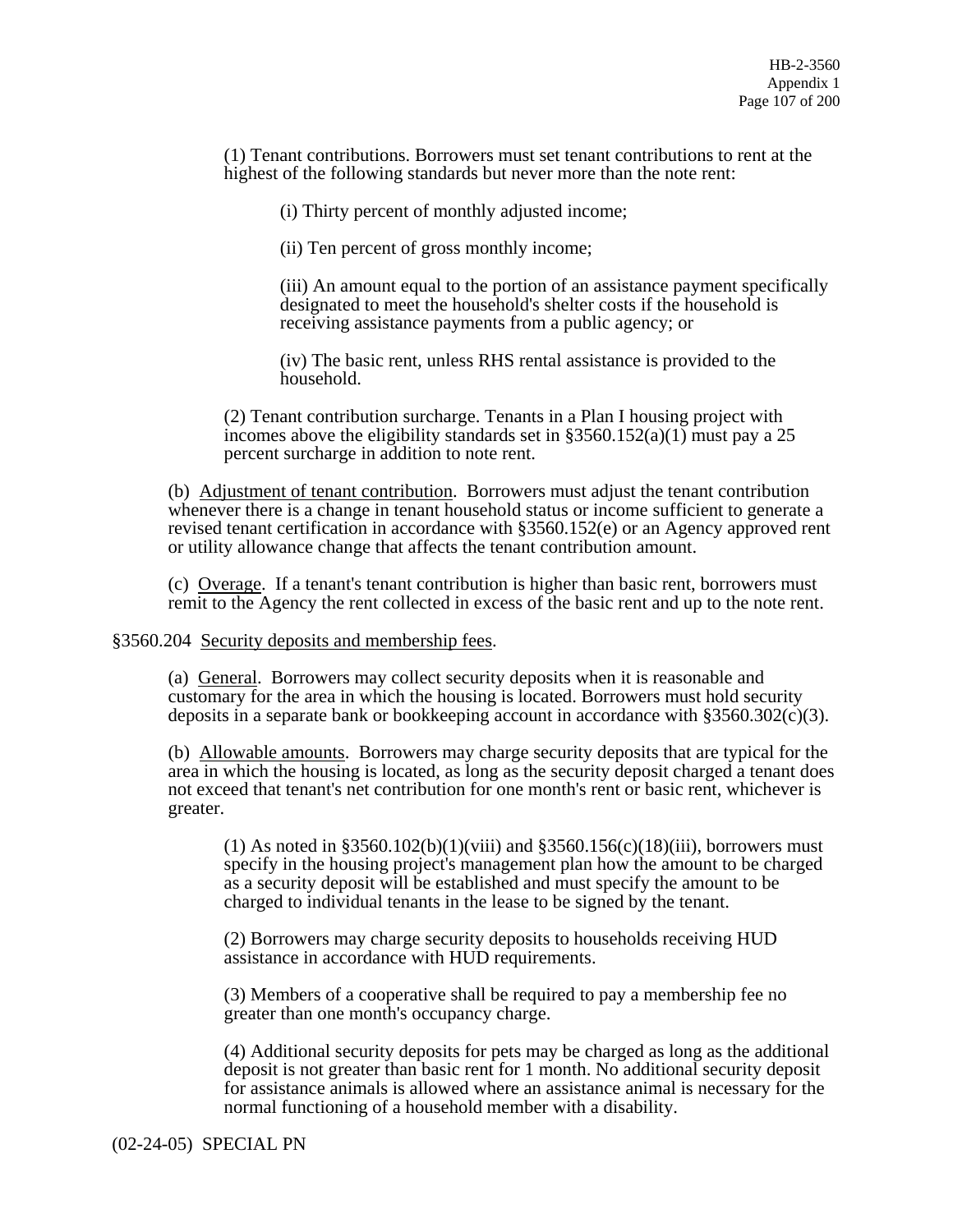(1) Tenant contributions. Borrowers must set tenant contributions to rent at the highest of the following standards but never more than the note rent:

(i) Thirty percent of monthly adjusted income;

(ii) Ten percent of gross monthly income;

(iii) An amount equal to the portion of an assistance payment specifically designated to meet the household's shelter costs if the household is receiving assistance payments from a public agency; or

(iv) The basic rent, unless RHS rental assistance is provided to the household.

(2) Tenant contribution surcharge. Tenants in a Plan I housing project with incomes above the eligibility standards set in  $\S 3560.152(a)(1)$  must pay a 25 percent surcharge in addition to note rent.

(b) Adjustment of tenant contribution. Borrowers must adjust the tenant contribution whenever there is a change in tenant household status or income sufficient to generate a revised tenant certification in accordance with §3560.152(e) or an Agency approved rent or utility allowance change that affects the tenant contribution amount.

(c) Overage. If a tenant's tenant contribution is higher than basic rent, borrowers must remit to the Agency the rent collected in excess of the basic rent and up to the note rent.

§3560.204 Security deposits and membership fees.

(a) General. Borrowers may collect security deposits when it is reasonable and customary for the area in which the housing is located. Borrowers must hold security deposits in a separate bank or bookkeeping account in accordance with  $\S 3560.302(c)(3)$ .

(b) Allowable amounts. Borrowers may charge security deposits that are typical for the area in which the housing is located, as long as the security deposit charged a tenant does not exceed that tenant's net contribution for one month's rent or basic rent, whichever is greater.

(1) As noted in  $$3560.102(b)(1)(viii)$  and  $$3560.156(c)(18)(iii)$ , borrowers must specify in the housing project's management plan how the amount to be charged as a security deposit will be established and must specify the amount to be charged to individual tenants in the lease to be signed by the tenant.

(2) Borrowers may charge security deposits to households receiving HUD assistance in accordance with HUD requirements.

(3) Members of a cooperative shall be required to pay a membership fee no greater than one month's occupancy charge.

(4) Additional security deposits for pets may be charged as long as the additional deposit is not greater than basic rent for 1 month. No additional security deposit for assistance animals is allowed where an assistance animal is necessary for the normal functioning of a household member with a disability.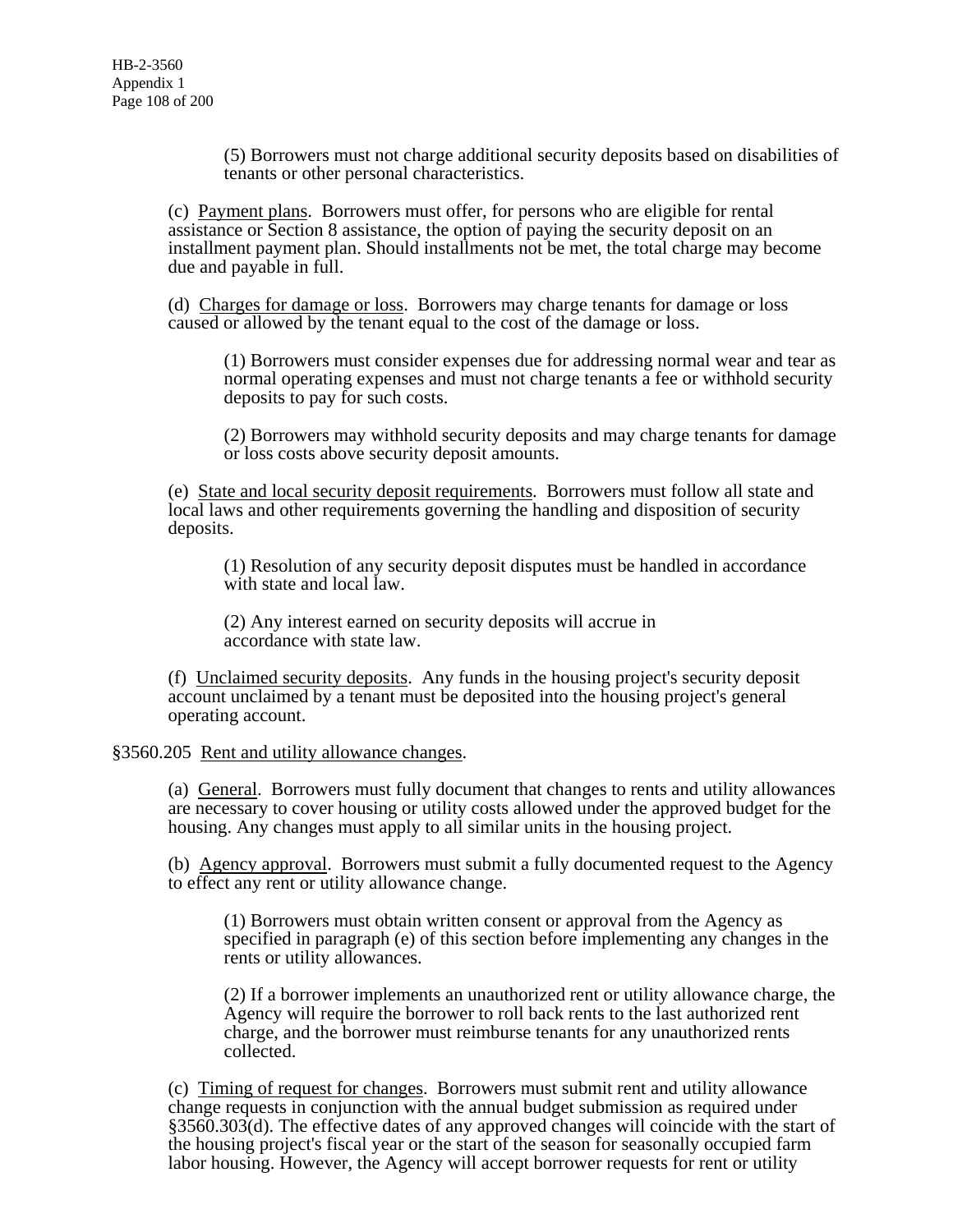(5) Borrowers must not charge additional security deposits based on disabilities of tenants or other personal characteristics.

(c) Payment plans. Borrowers must offer, for persons who are eligible for rental assistance or Section 8 assistance, the option of paying the security deposit on an installment payment plan. Should installments not be met, the total charge may become due and payable in full.

(d) Charges for damage or loss. Borrowers may charge tenants for damage or loss caused or allowed by the tenant equal to the cost of the damage or loss.

(1) Borrowers must consider expenses due for addressing normal wear and tear as normal operating expenses and must not charge tenants a fee or withhold security deposits to pay for such costs.

(2) Borrowers may withhold security deposits and may charge tenants for damage or loss costs above security deposit amounts.

(e) State and local security deposit requirements. Borrowers must follow all state and local laws and other requirements governing the handling and disposition of security deposits.

(1) Resolution of any security deposit disputes must be handled in accordance with state and local law.

(2) Any interest earned on security deposits will accrue in accordance with state law.

(f) Unclaimed security deposits. Any funds in the housing project's security deposit account unclaimed by a tenant must be deposited into the housing project's general operating account.

# §3560.205 Rent and utility allowance changes.

(a) General. Borrowers must fully document that changes to rents and utility allowances are necessary to cover housing or utility costs allowed under the approved budget for the housing. Any changes must apply to all similar units in the housing project.

(b) Agency approval. Borrowers must submit a fully documented request to the Agency to effect any rent or utility allowance change.

(1) Borrowers must obtain written consent or approval from the Agency as specified in paragraph (e) of this section before implementing any changes in the rents or utility allowances.

(2) If a borrower implements an unauthorized rent or utility allowance charge, the Agency will require the borrower to roll back rents to the last authorized rent charge, and the borrower must reimburse tenants for any unauthorized rents collected.

(c) Timing of request for changes. Borrowers must submit rent and utility allowance change requests in conjunction with the annual budget submission as required under §3560.303(d). The effective dates of any approved changes will coincide with the start of the housing project's fiscal year or the start of the season for seasonally occupied farm labor housing. However, the Agency will accept borrower requests for rent or utility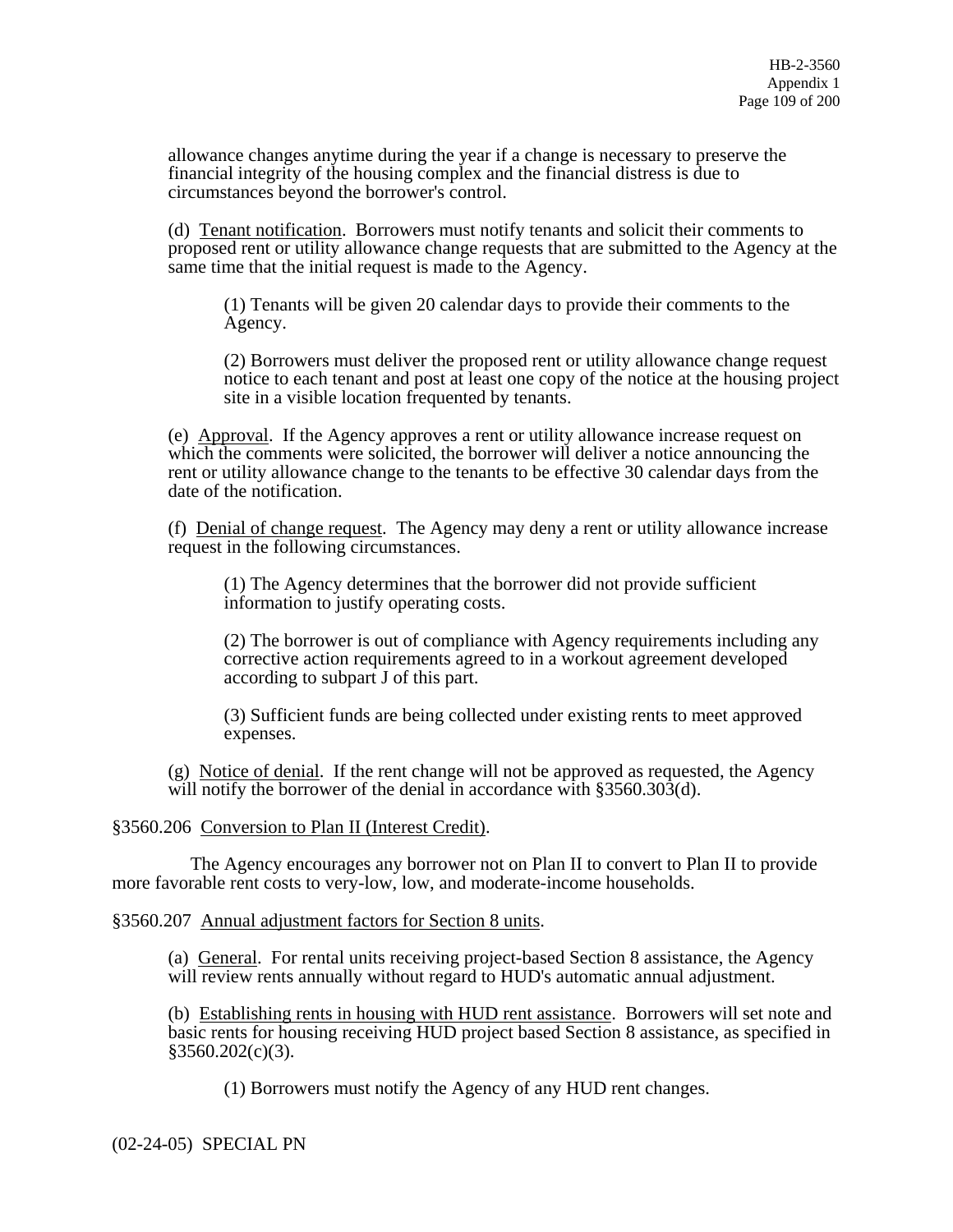allowance changes anytime during the year if a change is necessary to preserve the financial integrity of the housing complex and the financial distress is due to circumstances beyond the borrower's control.

(d) Tenant notification. Borrowers must notify tenants and solicit their comments to proposed rent or utility allowance change requests that are submitted to the Agency at the same time that the initial request is made to the Agency.

(1) Tenants will be given 20 calendar days to provide their comments to the Agency.

(2) Borrowers must deliver the proposed rent or utility allowance change request notice to each tenant and post at least one copy of the notice at the housing project site in a visible location frequented by tenants.

(e) Approval. If the Agency approves a rent or utility allowance increase request on which the comments were solicited, the borrower will deliver a notice announcing the rent or utility allowance change to the tenants to be effective 30 calendar days from the date of the notification.

(f) Denial of change request. The Agency may deny a rent or utility allowance increase request in the following circumstances.

(1) The Agency determines that the borrower did not provide sufficient information to justify operating costs.

(2) The borrower is out of compliance with Agency requirements including any corrective action requirements agreed to in a workout agreement developed according to subpart J of this part.

(3) Sufficient funds are being collected under existing rents to meet approved expenses.

(g) Notice of denial. If the rent change will not be approved as requested, the Agency will notify the borrower of the denial in accordance with §3560.303(d).

### §3560.206 Conversion to Plan II (Interest Credit).

 The Agency encourages any borrower not on Plan II to convert to Plan II to provide more favorable rent costs to very-low, low, and moderate-income households.

§3560.207 Annual adjustment factors for Section 8 units.

(a) General. For rental units receiving project-based Section 8 assistance, the Agency will review rents annually without regard to HUD's automatic annual adjustment.

(b) Establishing rents in housing with HUD rent assistance. Borrowers will set note and basic rents for housing receiving HUD project based Section 8 assistance, as specified in §3560.202(c)(3).

(1) Borrowers must notify the Agency of any HUD rent changes.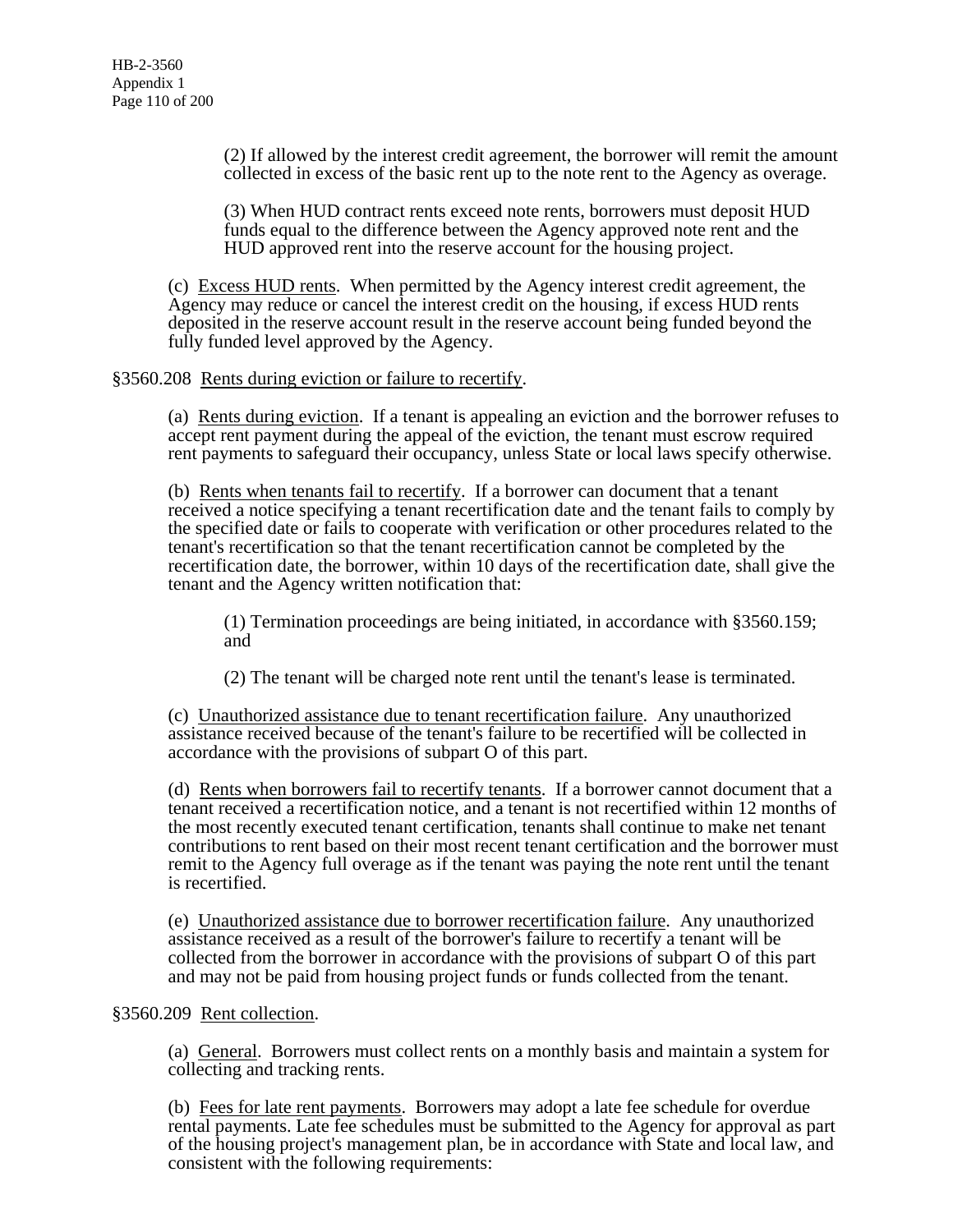(2) If allowed by the interest credit agreement, the borrower will remit the amount collected in excess of the basic rent up to the note rent to the Agency as overage.

(3) When HUD contract rents exceed note rents, borrowers must deposit HUD funds equal to the difference between the Agency approved note rent and the HUD approved rent into the reserve account for the housing project.

(c) Excess HUD rents. When permitted by the Agency interest credit agreement, the Agency may reduce or cancel the interest credit on the housing, if excess HUD rents deposited in the reserve account result in the reserve account being funded beyond the fully funded level approved by the Agency.

§3560.208 Rents during eviction or failure to recertify.

(a) Rents during eviction. If a tenant is appealing an eviction and the borrower refuses to accept rent payment during the appeal of the eviction, the tenant must escrow required rent payments to safeguard their occupancy, unless State or local laws specify otherwise.

(b) Rents when tenants fail to recertify. If a borrower can document that a tenant received a notice specifying a tenant recertification date and the tenant fails to comply by the specified date or fails to cooperate with verification or other procedures related to the tenant's recertification so that the tenant recertification cannot be completed by the recertification date, the borrower, within 10 days of the recertification date, shall give the tenant and the Agency written notification that:

(1) Termination proceedings are being initiated, in accordance with §3560.159; and

(2) The tenant will be charged note rent until the tenant's lease is terminated.

(c) Unauthorized assistance due to tenant recertification failure. Any unauthorized assistance received because of the tenant's failure to be recertified will be collected in accordance with the provisions of subpart O of this part.

(d) Rents when borrowers fail to recertify tenants. If a borrower cannot document that a tenant received a recertification notice, and a tenant is not recertified within 12 months of the most recently executed tenant certification, tenants shall continue to make net tenant contributions to rent based on their most recent tenant certification and the borrower must remit to the Agency full overage as if the tenant was paying the note rent until the tenant is recertified.

(e) Unauthorized assistance due to borrower recertification failure. Any unauthorized assistance received as a result of the borrower's failure to recertify a tenant will be collected from the borrower in accordance with the provisions of subpart O of this part and may not be paid from housing project funds or funds collected from the tenant.

### §3560.209 Rent collection.

(a) General. Borrowers must collect rents on a monthly basis and maintain a system for collecting and tracking rents.

(b) Fees for late rent payments. Borrowers may adopt a late fee schedule for overdue rental payments. Late fee schedules must be submitted to the Agency for approval as part of the housing project's management plan, be in accordance with State and local law, and consistent with the following requirements: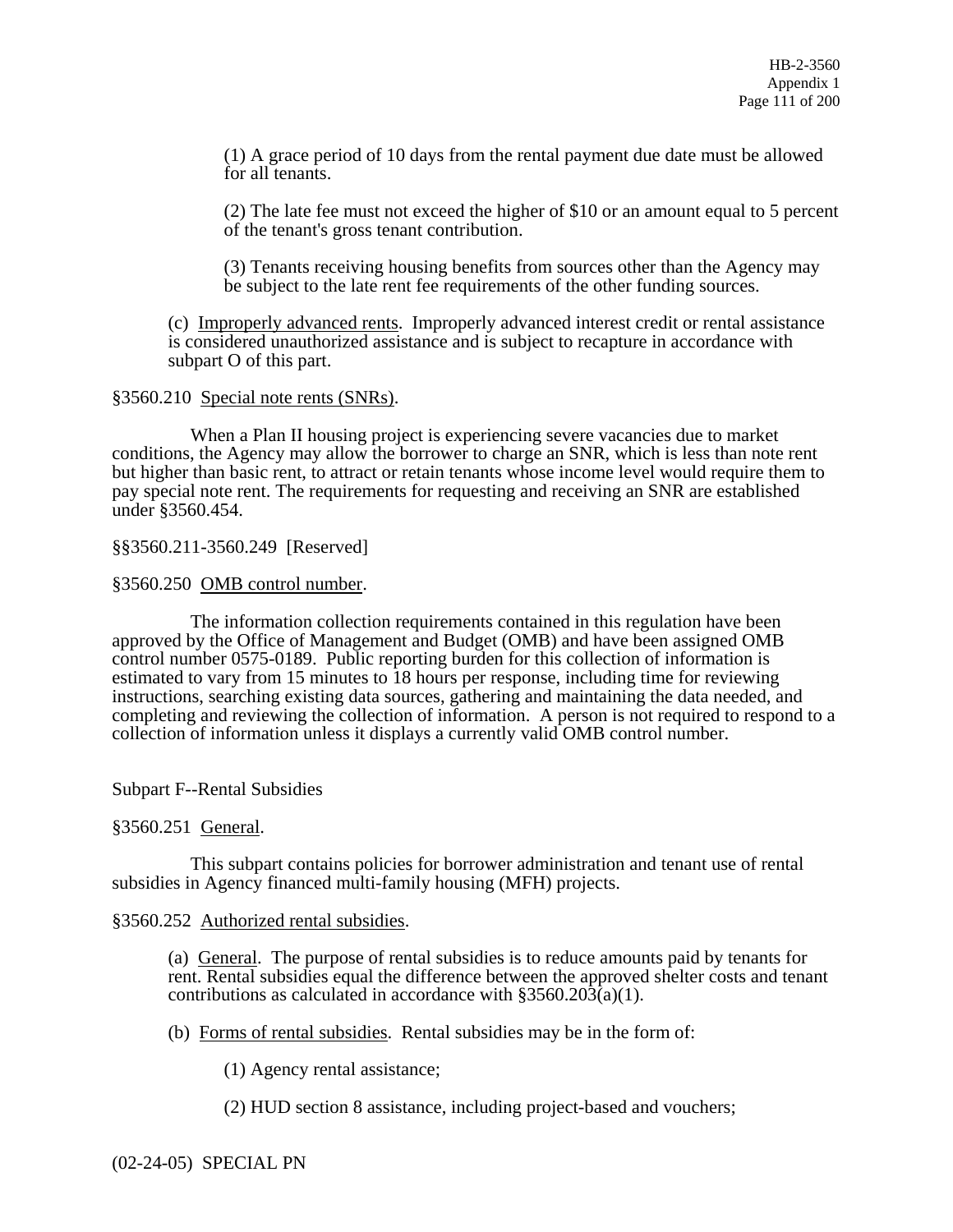(1) A grace period of 10 days from the rental payment due date must be allowed for all tenants.

(2) The late fee must not exceed the higher of \$10 or an amount equal to 5 percent of the tenant's gross tenant contribution.

(3) Tenants receiving housing benefits from sources other than the Agency may be subject to the late rent fee requirements of the other funding sources.

(c) Improperly advanced rents. Improperly advanced interest credit or rental assistance is considered unauthorized assistance and is subject to recapture in accordance with subpart O of this part.

#### §3560.210 Special note rents (SNRs).

 When a Plan II housing project is experiencing severe vacancies due to market conditions, the Agency may allow the borrower to charge an SNR, which is less than note rent but higher than basic rent, to attract or retain tenants whose income level would require them to pay special note rent. The requirements for requesting and receiving an SNR are established under §3560.454.

§§3560.211-3560.249 [Reserved]

§3560.250 OMB control number.

 The information collection requirements contained in this regulation have been approved by the Office of Management and Budget (OMB) and have been assigned OMB control number 0575-0189. Public reporting burden for this collection of information is estimated to vary from 15 minutes to 18 hours per response, including time for reviewing instructions, searching existing data sources, gathering and maintaining the data needed, and completing and reviewing the collection of information. A person is not required to respond to a collection of information unless it displays a currently valid OMB control number.

Subpart F--Rental Subsidies

§3560.251 General.

 This subpart contains policies for borrower administration and tenant use of rental subsidies in Agency financed multi-family housing (MFH) projects.

### §3560.252 Authorized rental subsidies.

(a) General. The purpose of rental subsidies is to reduce amounts paid by tenants for rent. Rental subsidies equal the difference between the approved shelter costs and tenant contributions as calculated in accordance with  $\S 3560.20\overline{3}$ (a)(1).

(b) Forms of rental subsidies. Rental subsidies may be in the form of:

(1) Agency rental assistance;

(2) HUD section 8 assistance, including project-based and vouchers;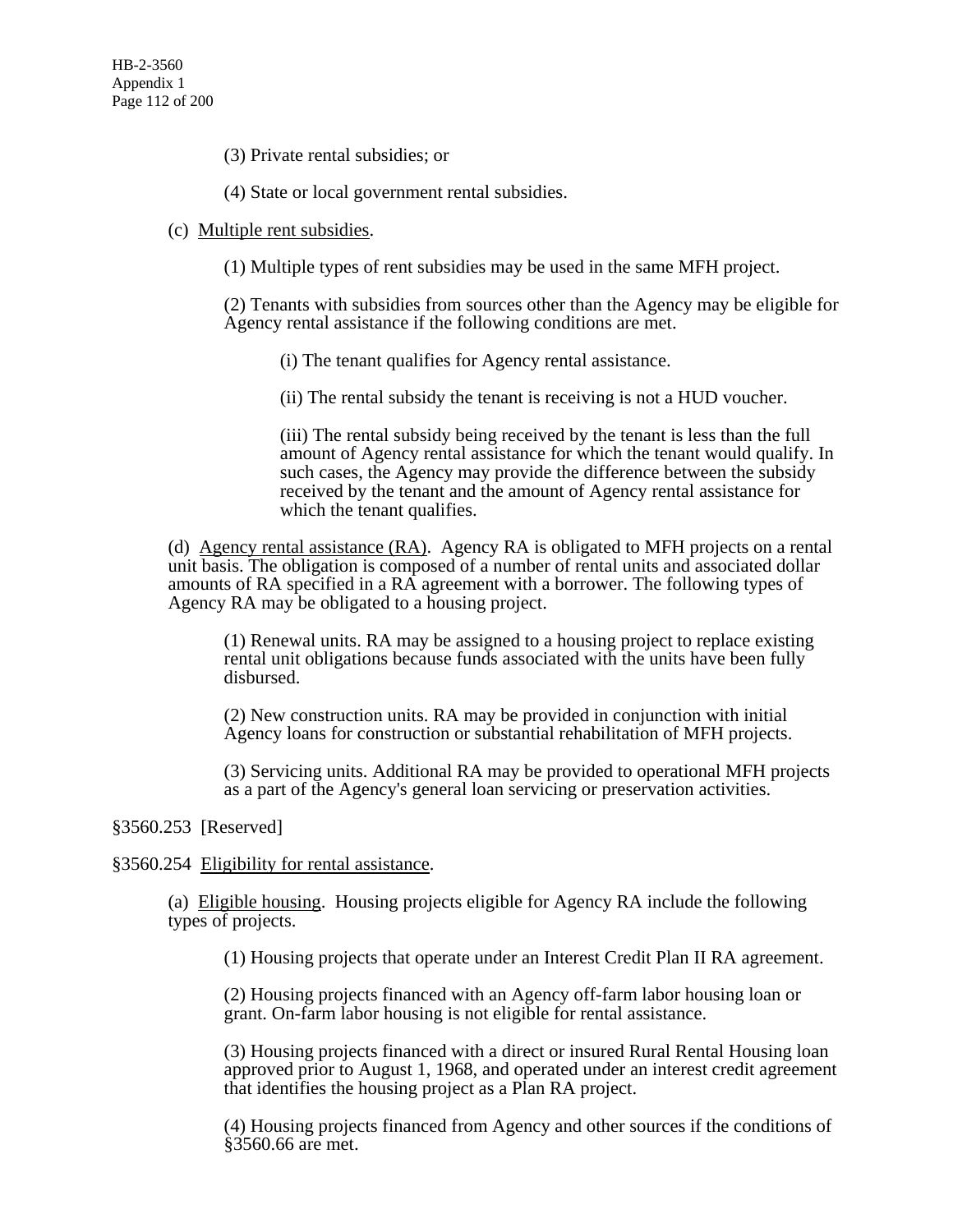(3) Private rental subsidies; or

(4) State or local government rental subsidies.

### (c) Multiple rent subsidies.

(1) Multiple types of rent subsidies may be used in the same MFH project.

(2) Tenants with subsidies from sources other than the Agency may be eligible for Agency rental assistance if the following conditions are met.

(i) The tenant qualifies for Agency rental assistance.

(ii) The rental subsidy the tenant is receiving is not a HUD voucher.

(iii) The rental subsidy being received by the tenant is less than the full amount of Agency rental assistance for which the tenant would qualify. In such cases, the Agency may provide the difference between the subsidy received by the tenant and the amount of Agency rental assistance for which the tenant qualifies.

(d) Agency rental assistance (RA). Agency RA is obligated to MFH projects on a rental unit basis. The obligation is composed of a number of rental units and associated dollar amounts of RA specified in a RA agreement with a borrower. The following types of Agency RA may be obligated to a housing project.

(1) Renewal units. RA may be assigned to a housing project to replace existing rental unit obligations because funds associated with the units have been fully disbursed.

(2) New construction units. RA may be provided in conjunction with initial Agency loans for construction or substantial rehabilitation of MFH projects.

(3) Servicing units. Additional RA may be provided to operational MFH projects as a part of the Agency's general loan servicing or preservation activities.

# §3560.253 [Reserved]

§3560.254 Eligibility for rental assistance.

(a) Eligible housing. Housing projects eligible for Agency RA include the following types of projects.

(1) Housing projects that operate under an Interest Credit Plan II RA agreement.

(2) Housing projects financed with an Agency off-farm labor housing loan or grant. On-farm labor housing is not eligible for rental assistance.

(3) Housing projects financed with a direct or insured Rural Rental Housing loan approved prior to August 1, 1968, and operated under an interest credit agreement that identifies the housing project as a Plan RA project.

(4) Housing projects financed from Agency and other sources if the conditions of §3560.66 are met.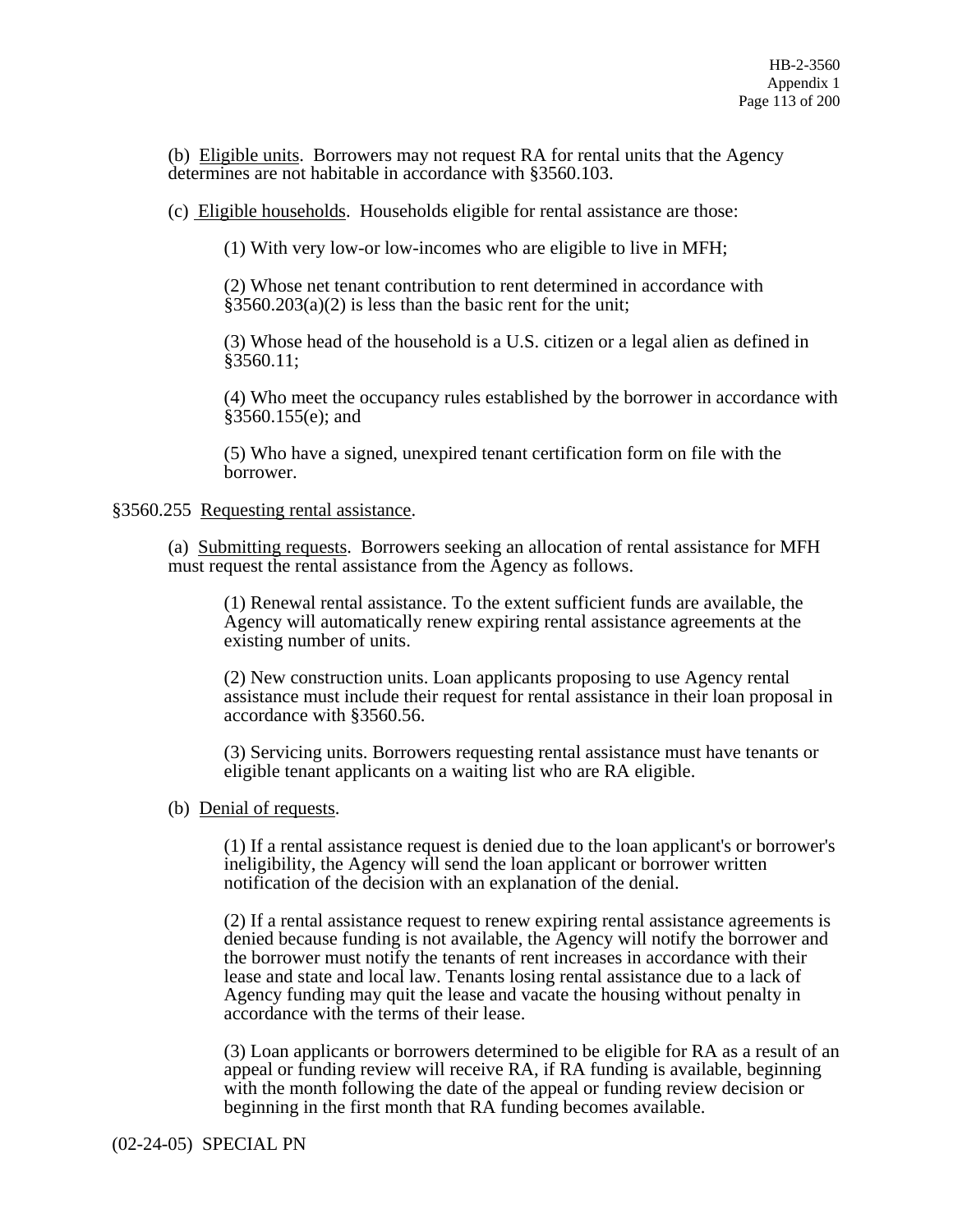(b) Eligible units. Borrowers may not request RA for rental units that the Agency determines are not habitable in accordance with §3560.103.

(c) Eligible households. Households eligible for rental assistance are those:

(1) With very low-or low-incomes who are eligible to live in MFH;

(2) Whose net tenant contribution to rent determined in accordance with  $§3560.203(a)(2)$  is less than the basic rent for the unit;

(3) Whose head of the household is a U.S. citizen or a legal alien as defined in §3560.11;

(4) Who meet the occupancy rules established by the borrower in accordance with §3560.155(e); and

(5) Who have a signed, unexpired tenant certification form on file with the borrower.

#### §3560.255 Requesting rental assistance.

(a) Submitting requests. Borrowers seeking an allocation of rental assistance for MFH must request the rental assistance from the Agency as follows.

(1) Renewal rental assistance. To the extent sufficient funds are available, the Agency will automatically renew expiring rental assistance agreements at the existing number of units.

(2) New construction units. Loan applicants proposing to use Agency rental assistance must include their request for rental assistance in their loan proposal in accordance with §3560.56.

(3) Servicing units. Borrowers requesting rental assistance must have tenants or eligible tenant applicants on a waiting list who are RA eligible.

(b) Denial of requests.

(1) If a rental assistance request is denied due to the loan applicant's or borrower's ineligibility, the Agency will send the loan applicant or borrower written notification of the decision with an explanation of the denial.

(2) If a rental assistance request to renew expiring rental assistance agreements is denied because funding is not available, the Agency will notify the borrower and the borrower must notify the tenants of rent increases in accordance with their lease and state and local law. Tenants losing rental assistance due to a lack of Agency funding may quit the lease and vacate the housing without penalty in accordance with the terms of their lease.

(3) Loan applicants or borrowers determined to be eligible for RA as a result of an appeal or funding review will receive RA, if RA funding is available, beginning with the month following the date of the appeal or funding review decision or beginning in the first month that RA funding becomes available.

(02-24-05) SPECIAL PN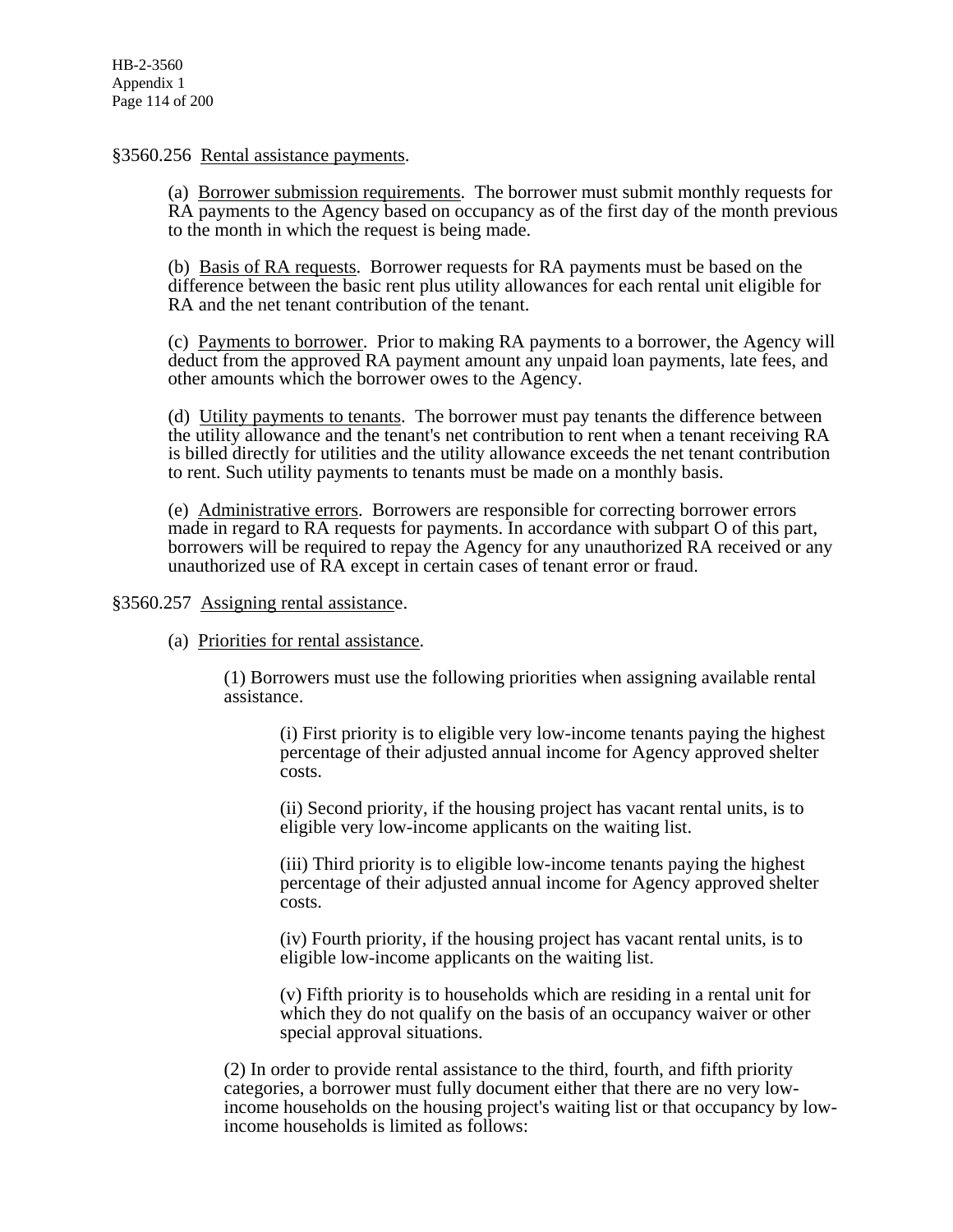#### §3560.256 Rental assistance payments.

(a) Borrower submission requirements. The borrower must submit monthly requests for RA payments to the Agency based on occupancy as of the first day of the month previous to the month in which the request is being made.

(b) Basis of RA requests. Borrower requests for RA payments must be based on the difference between the basic rent plus utility allowances for each rental unit eligible for RA and the net tenant contribution of the tenant.

(c) Payments to borrower. Prior to making RA payments to a borrower, the Agency will deduct from the approved RA payment amount any unpaid loan payments, late fees, and other amounts which the borrower owes to the Agency.

(d) Utility payments to tenants. The borrower must pay tenants the difference between the utility allowance and the tenant's net contribution to rent when a tenant receiving RA is billed directly for utilities and the utility allowance exceeds the net tenant contribution to rent. Such utility payments to tenants must be made on a monthly basis.

(e) Administrative errors. Borrowers are responsible for correcting borrower errors made in regard to RA requests for payments. In accordance with subpart O of this part, borrowers will be required to repay the Agency for any unauthorized RA received or any unauthorized use of RA except in certain cases of tenant error or fraud.

§3560.257 Assigning rental assistance.

(a) Priorities for rental assistance.

(1) Borrowers must use the following priorities when assigning available rental assistance.

(i) First priority is to eligible very low-income tenants paying the highest percentage of their adjusted annual income for Agency approved shelter costs.

(ii) Second priority, if the housing project has vacant rental units, is to eligible very low-income applicants on the waiting list.

(iii) Third priority is to eligible low-income tenants paying the highest percentage of their adjusted annual income for Agency approved shelter costs.

(iv) Fourth priority, if the housing project has vacant rental units, is to eligible low-income applicants on the waiting list.

(v) Fifth priority is to households which are residing in a rental unit for which they do not qualify on the basis of an occupancy waiver or other special approval situations.

(2) In order to provide rental assistance to the third, fourth, and fifth priority categories, a borrower must fully document either that there are no very lowincome households on the housing project's waiting list or that occupancy by lowincome households is limited as follows: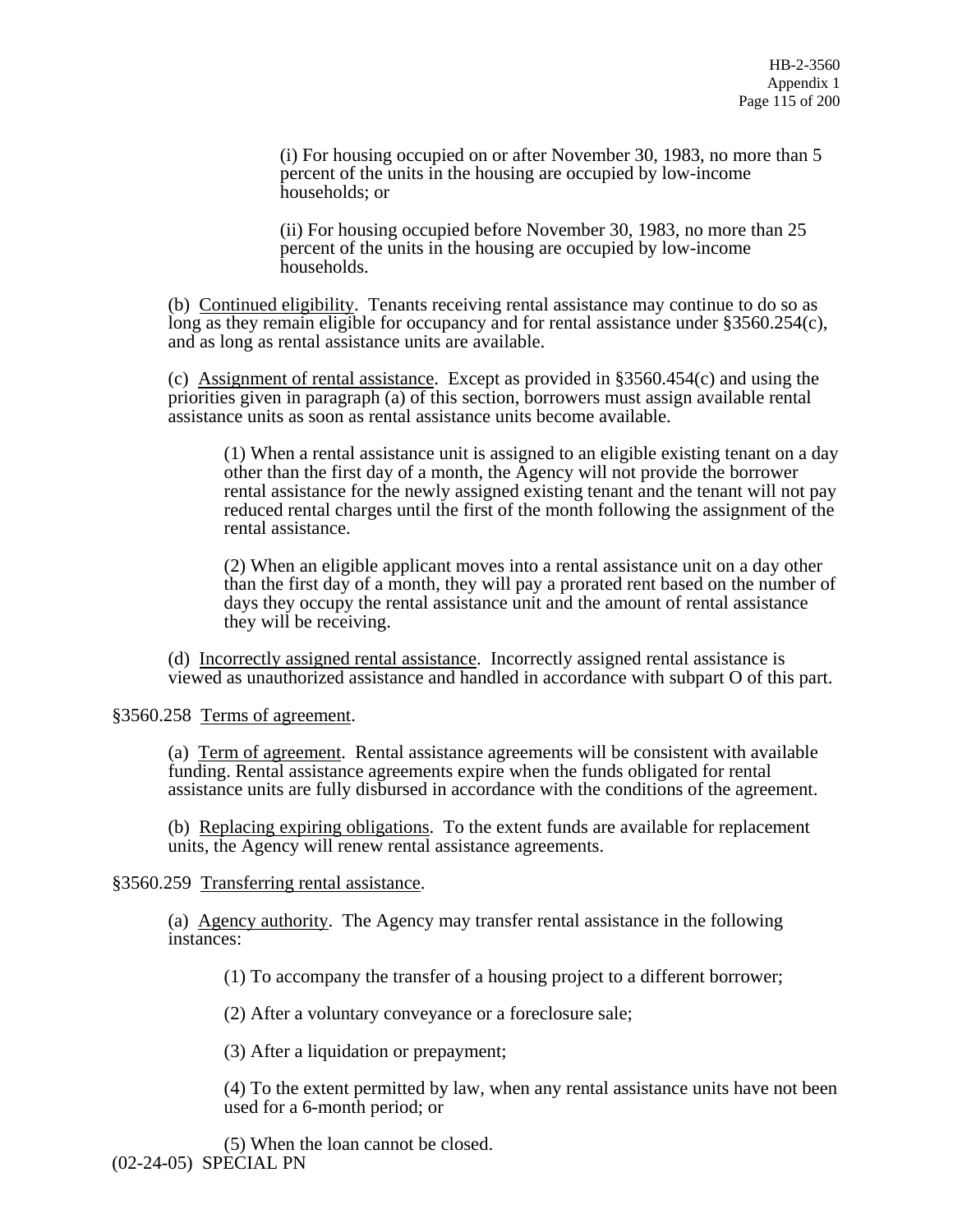(i) For housing occupied on or after November 30, 1983, no more than 5 percent of the units in the housing are occupied by low-income households; or

(ii) For housing occupied before November 30, 1983, no more than 25 percent of the units in the housing are occupied by low-income households.

(b) Continued eligibility. Tenants receiving rental assistance may continue to do so as long as they remain eligible for occupancy and for rental assistance under §3560.254(c), and as long as rental assistance units are available.

(c) Assignment of rental assistance. Except as provided in §3560.454(c) and using the priorities given in paragraph (a) of this section, borrowers must assign available rental assistance units as soon as rental assistance units become available.

(1) When a rental assistance unit is assigned to an eligible existing tenant on a day other than the first day of a month, the Agency will not provide the borrower rental assistance for the newly assigned existing tenant and the tenant will not pay reduced rental charges until the first of the month following the assignment of the rental assistance.

(2) When an eligible applicant moves into a rental assistance unit on a day other than the first day of a month, they will pay a prorated rent based on the number of days they occupy the rental assistance unit and the amount of rental assistance they will be receiving.

(d) Incorrectly assigned rental assistance. Incorrectly assigned rental assistance is viewed as unauthorized assistance and handled in accordance with subpart O of this part.

§3560.258 Terms of agreement.

(a) Term of agreement. Rental assistance agreements will be consistent with available funding. Rental assistance agreements expire when the funds obligated for rental assistance units are fully disbursed in accordance with the conditions of the agreement.

(b) Replacing expiring obligations. To the extent funds are available for replacement units, the Agency will renew rental assistance agreements.

§3560.259 Transferring rental assistance.

(a) Agency authority. The Agency may transfer rental assistance in the following instances:

(1) To accompany the transfer of a housing project to a different borrower;

(2) After a voluntary conveyance or a foreclosure sale;

(3) After a liquidation or prepayment;

(4) To the extent permitted by law, when any rental assistance units have not been used for a 6-month period; or

(5) When the loan cannot be closed. (02-24-05) SPECIAL PN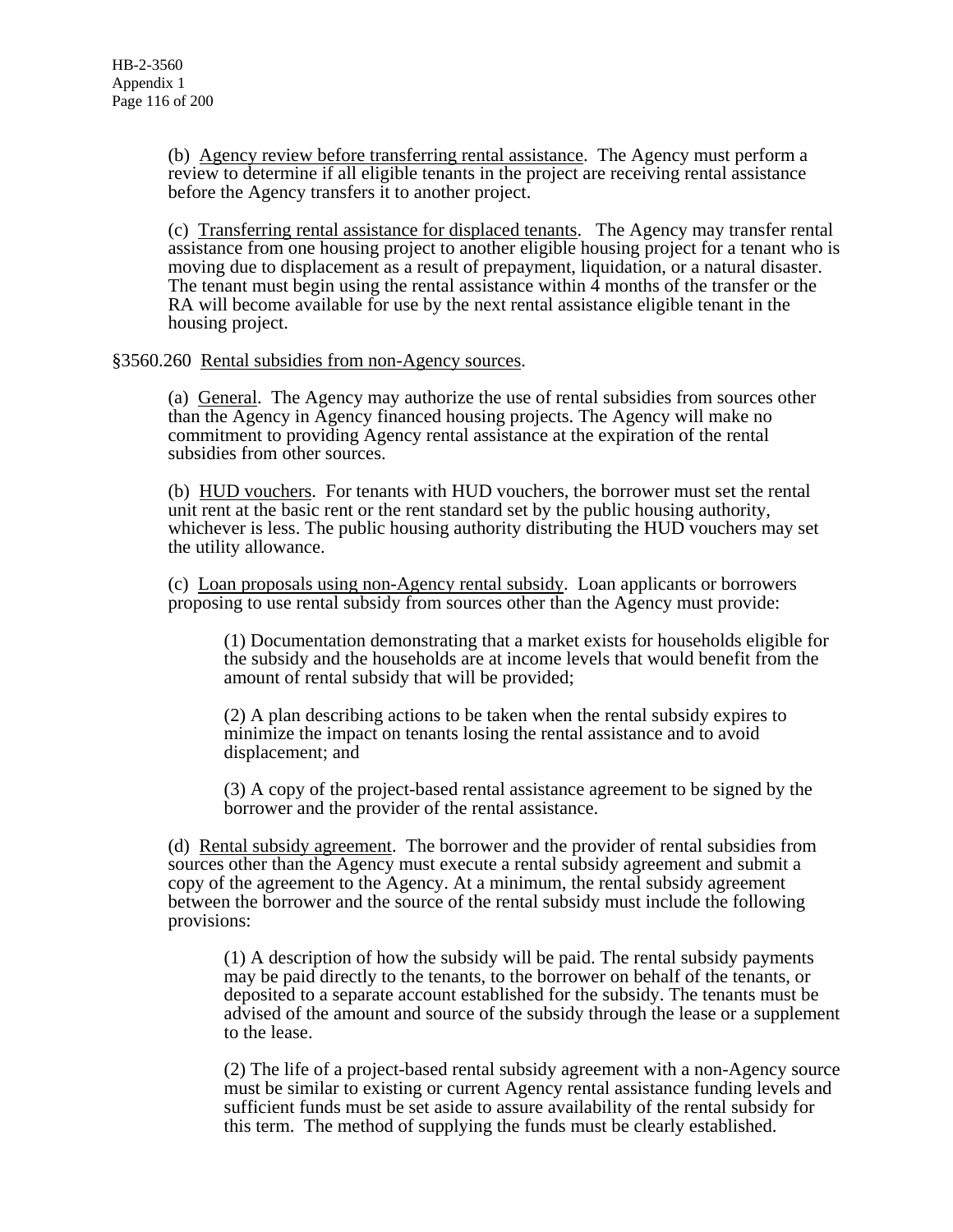(b) Agency review before transferring rental assistance. The Agency must perform a review to determine if all eligible tenants in the project are receiving rental assistance before the Agency transfers it to another project.

(c) Transferring rental assistance for displaced tenants. The Agency may transfer rental assistance from one housing project to another eligible housing project for a tenant who is moving due to displacement as a result of prepayment, liquidation, or a natural disaster. The tenant must begin using the rental assistance within  $\overline{4}$  months of the transfer or the RA will become available for use by the next rental assistance eligible tenant in the housing project.

§3560.260 Rental subsidies from non-Agency sources.

(a) General. The Agency may authorize the use of rental subsidies from sources other than the Agency in Agency financed housing projects. The Agency will make no commitment to providing Agency rental assistance at the expiration of the rental subsidies from other sources.

(b) HUD vouchers. For tenants with HUD vouchers, the borrower must set the rental unit rent at the basic rent or the rent standard set by the public housing authority, whichever is less. The public housing authority distributing the HUD vouchers may set the utility allowance.

(c) Loan proposals using non-Agency rental subsidy. Loan applicants or borrowers proposing to use rental subsidy from sources other than the Agency must provide:

(1) Documentation demonstrating that a market exists for households eligible for the subsidy and the households are at income levels that would benefit from the amount of rental subsidy that will be provided;

(2) A plan describing actions to be taken when the rental subsidy expires to minimize the impact on tenants losing the rental assistance and to avoid displacement; and

(3) A copy of the project-based rental assistance agreement to be signed by the borrower and the provider of the rental assistance.

(d) Rental subsidy agreement. The borrower and the provider of rental subsidies from sources other than the Agency must execute a rental subsidy agreement and submit a copy of the agreement to the Agency. At a minimum, the rental subsidy agreement between the borrower and the source of the rental subsidy must include the following provisions:

(1) A description of how the subsidy will be paid. The rental subsidy payments may be paid directly to the tenants, to the borrower on behalf of the tenants, or deposited to a separate account established for the subsidy. The tenants must be advised of the amount and source of the subsidy through the lease or a supplement to the lease.

(2) The life of a project-based rental subsidy agreement with a non-Agency source must be similar to existing or current Agency rental assistance funding levels and sufficient funds must be set aside to assure availability of the rental subsidy for this term. The method of supplying the funds must be clearly established.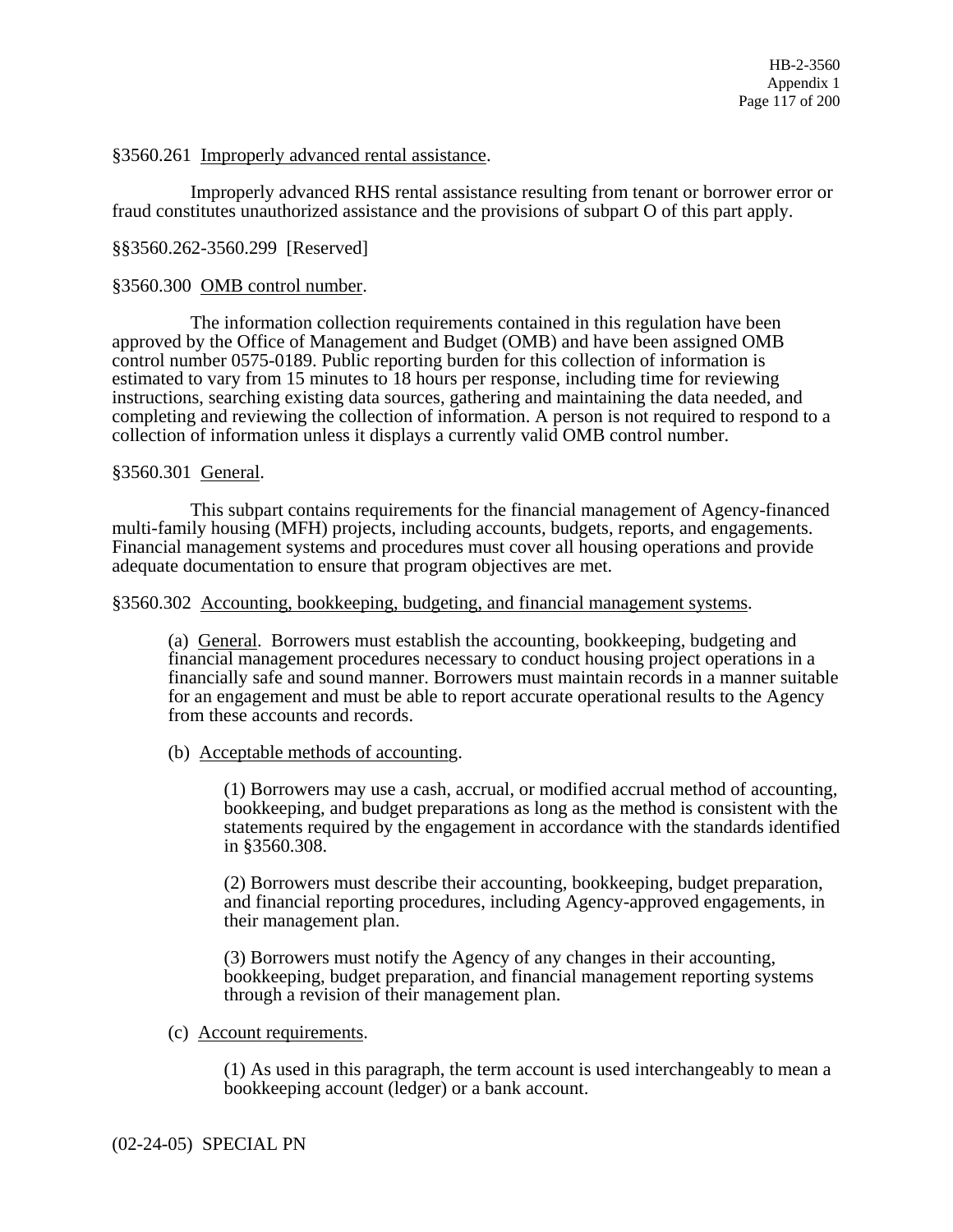### §3560.261 Improperly advanced rental assistance.

 Improperly advanced RHS rental assistance resulting from tenant or borrower error or fraud constitutes unauthorized assistance and the provisions of subpart O of this part apply.

#### §§3560.262-3560.299 [Reserved]

#### §3560.300 OMB control number.

 The information collection requirements contained in this regulation have been approved by the Office of Management and Budget (OMB) and have been assigned OMB control number 0575-0189. Public reporting burden for this collection of information is estimated to vary from 15 minutes to 18 hours per response, including time for reviewing instructions, searching existing data sources, gathering and maintaining the data needed, and completing and reviewing the collection of information. A person is not required to respond to a collection of information unless it displays a currently valid OMB control number.

#### §3560.301 General.

 This subpart contains requirements for the financial management of Agency-financed multi-family housing (MFH) projects, including accounts, budgets, reports, and engagements. Financial management systems and procedures must cover all housing operations and provide adequate documentation to ensure that program objectives are met.

#### §3560.302 Accounting, bookkeeping, budgeting, and financial management systems.

(a) General. Borrowers must establish the accounting, bookkeeping, budgeting and financial management procedures necessary to conduct housing project operations in a financially safe and sound manner. Borrowers must maintain records in a manner suitable for an engagement and must be able to report accurate operational results to the Agency from these accounts and records.

(b) Acceptable methods of accounting.

(1) Borrowers may use a cash, accrual, or modified accrual method of accounting, bookkeeping, and budget preparations as long as the method is consistent with the statements required by the engagement in accordance with the standards identified in §3560.308.

(2) Borrowers must describe their accounting, bookkeeping, budget preparation, and financial reporting procedures, including Agency-approved engagements, in their management plan.

(3) Borrowers must notify the Agency of any changes in their accounting, bookkeeping, budget preparation, and financial management reporting systems through a revision of their management plan.

### (c) Account requirements.

(1) As used in this paragraph, the term account is used interchangeably to mean a bookkeeping account (ledger) or a bank account.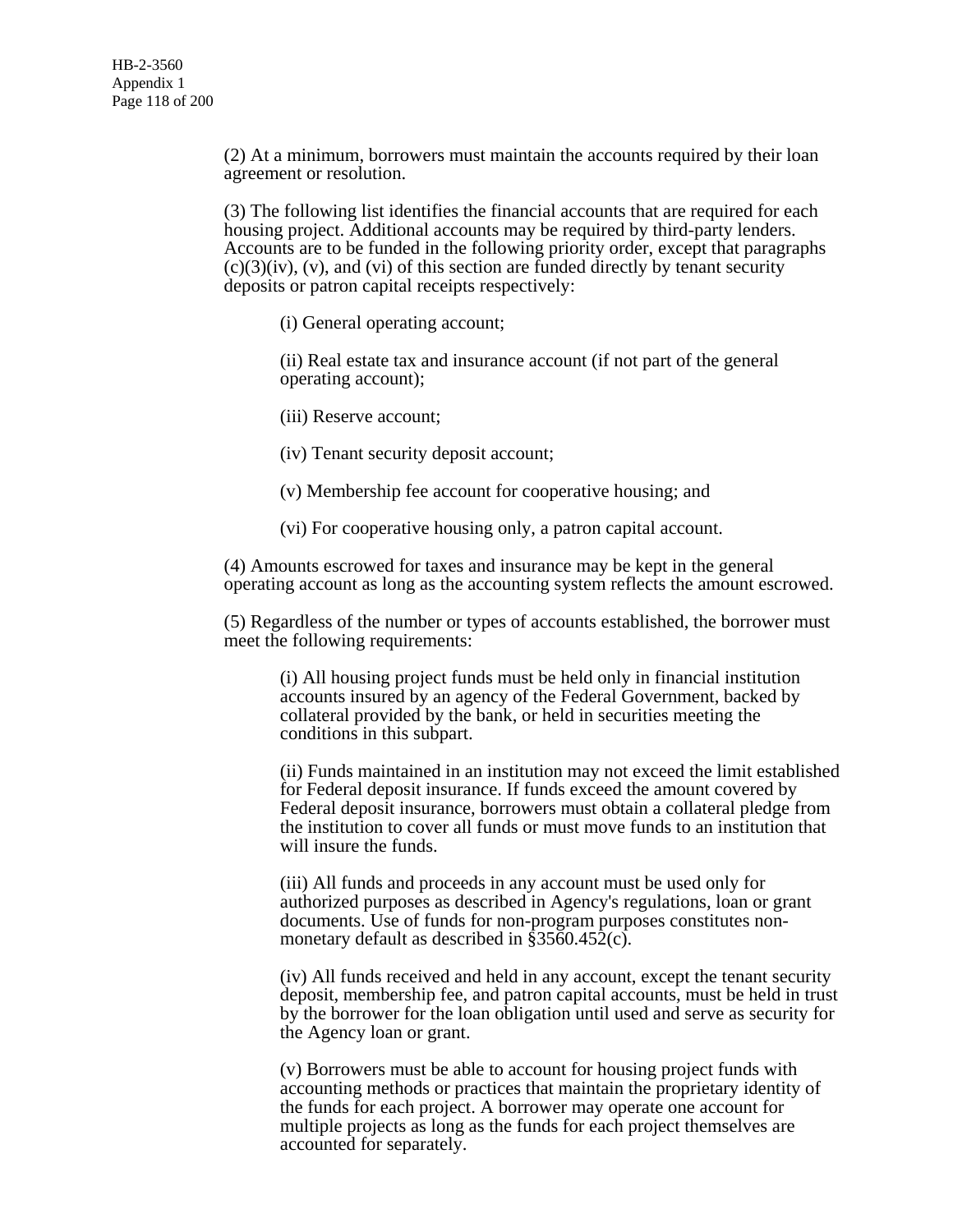(2) At a minimum, borrowers must maintain the accounts required by their loan agreement or resolution.

(3) The following list identifies the financial accounts that are required for each housing project. Additional accounts may be required by third-party lenders. Accounts are to be funded in the following priority order, except that paragraphs  $(c)(3)(iv)$ ,  $(v)$ , and  $(vi)$  of this section are funded directly by tenant security deposits or patron capital receipts respectively:

(i) General operating account;

(ii) Real estate tax and insurance account (if not part of the general operating account);

(iii) Reserve account;

(iv) Tenant security deposit account;

(v) Membership fee account for cooperative housing; and

(vi) For cooperative housing only, a patron capital account.

(4) Amounts escrowed for taxes and insurance may be kept in the general operating account as long as the accounting system reflects the amount escrowed.

(5) Regardless of the number or types of accounts established, the borrower must meet the following requirements:

(i) All housing project funds must be held only in financial institution accounts insured by an agency of the Federal Government, backed by collateral provided by the bank, or held in securities meeting the conditions in this subpart.

(ii) Funds maintained in an institution may not exceed the limit established for Federal deposit insurance. If funds exceed the amount covered by Federal deposit insurance, borrowers must obtain a collateral pledge from the institution to cover all funds or must move funds to an institution that will insure the funds.

(iii) All funds and proceeds in any account must be used only for authorized purposes as described in Agency's regulations, loan or grant documents. Use of funds for non-program purposes constitutes nonmonetary default as described in §3560.452(c).

(iv) All funds received and held in any account, except the tenant security deposit, membership fee, and patron capital accounts, must be held in trust by the borrower for the loan obligation until used and serve as security for the Agency loan or grant.

(v) Borrowers must be able to account for housing project funds with accounting methods or practices that maintain the proprietary identity of the funds for each project. A borrower may operate one account for multiple projects as long as the funds for each project themselves are accounted for separately.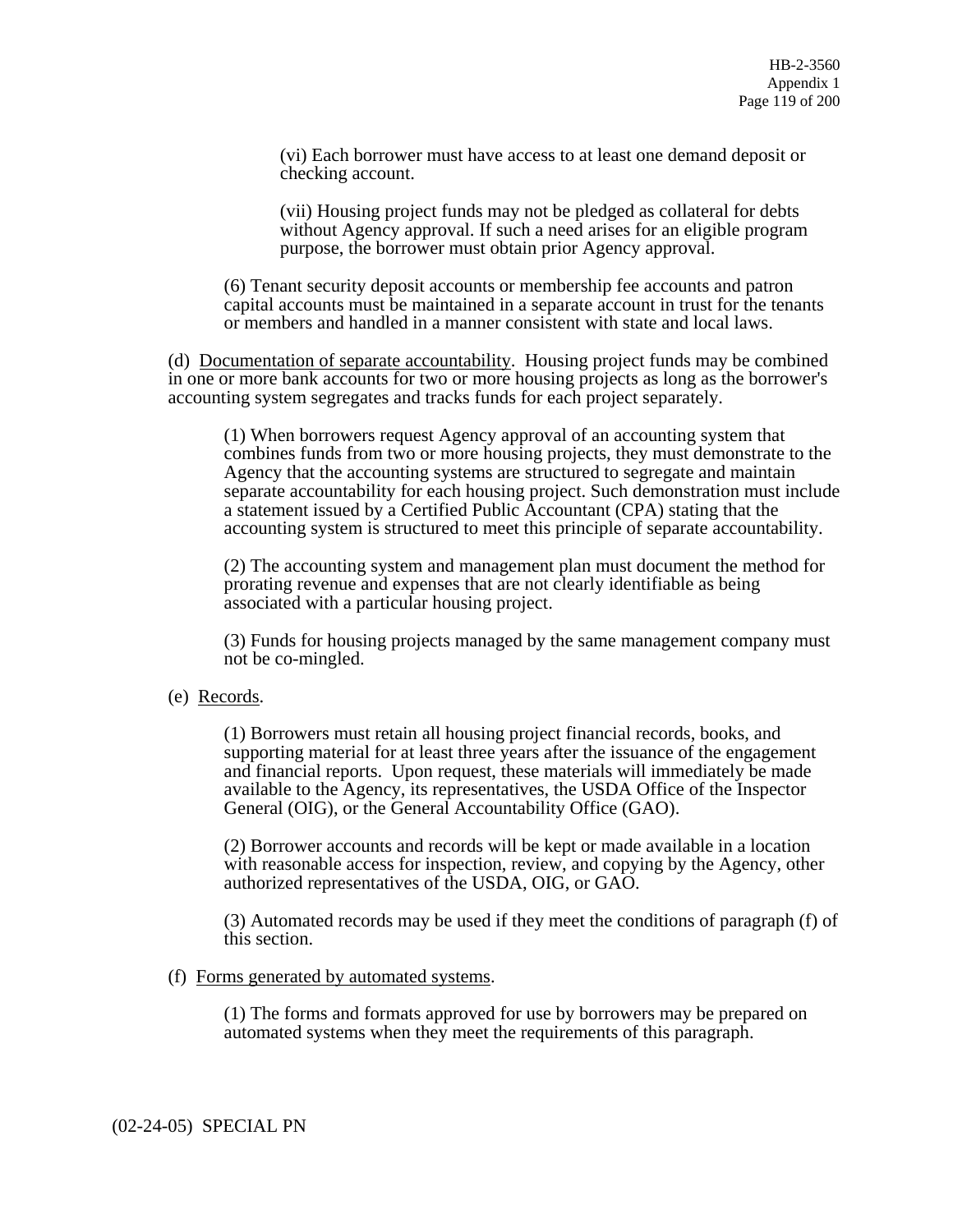(vi) Each borrower must have access to at least one demand deposit or checking account.

(vii) Housing project funds may not be pledged as collateral for debts without Agency approval. If such a need arises for an eligible program purpose, the borrower must obtain prior Agency approval.

(6) Tenant security deposit accounts or membership fee accounts and patron capital accounts must be maintained in a separate account in trust for the tenants or members and handled in a manner consistent with state and local laws.

(d) Documentation of separate accountability. Housing project funds may be combined in one or more bank accounts for two or more housing projects as long as the borrower's accounting system segregates and tracks funds for each project separately.

(1) When borrowers request Agency approval of an accounting system that combines funds from two or more housing projects, they must demonstrate to the Agency that the accounting systems are structured to segregate and maintain separate accountability for each housing project. Such demonstration must include a statement issued by a Certified Public Accountant (CPA) stating that the accounting system is structured to meet this principle of separate accountability.

(2) The accounting system and management plan must document the method for prorating revenue and expenses that are not clearly identifiable as being associated with a particular housing project.

(3) Funds for housing projects managed by the same management company must not be co-mingled.

### (e) Records.

(1) Borrowers must retain all housing project financial records, books, and supporting material for at least three years after the issuance of the engagement and financial reports. Upon request, these materials will immediately be made available to the Agency, its representatives, the USDA Office of the Inspector General (OIG), or the General Accountability Office (GAO).

(2) Borrower accounts and records will be kept or made available in a location with reasonable access for inspection, review, and copying by the Agency, other authorized representatives of the USDA, OIG, or GAO.

(3) Automated records may be used if they meet the conditions of paragraph (f) of this section.

#### (f) Forms generated by automated systems.

(1) The forms and formats approved for use by borrowers may be prepared on automated systems when they meet the requirements of this paragraph.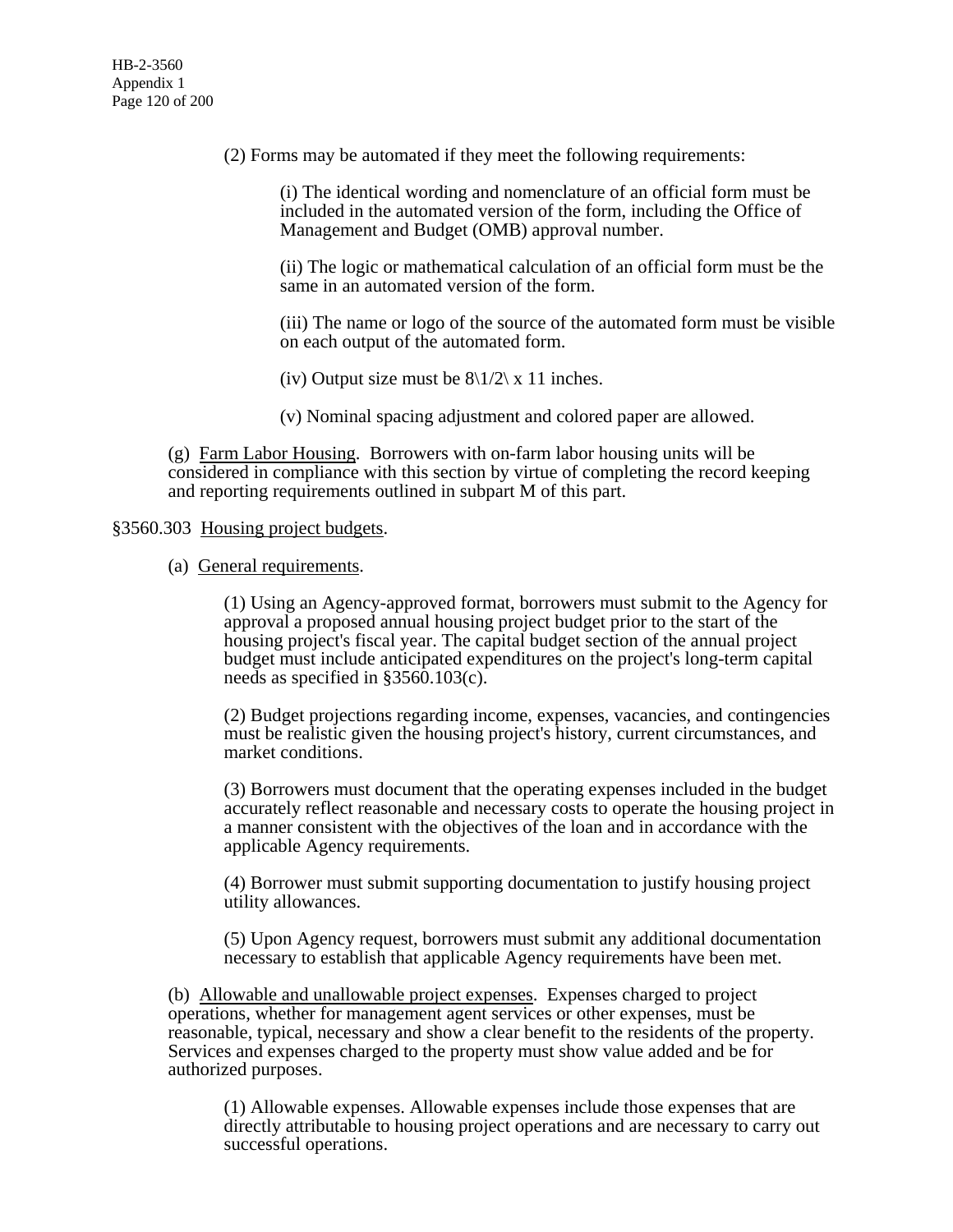(2) Forms may be automated if they meet the following requirements:

(i) The identical wording and nomenclature of an official form must be included in the automated version of the form, including the Office of Management and Budget (OMB) approval number.

(ii) The logic or mathematical calculation of an official form must be the same in an automated version of the form.

(iii) The name or logo of the source of the automated form must be visible on each output of the automated form.

(iv) Output size must be  $8\frac{1}{2} \times 11$  inches.

(v) Nominal spacing adjustment and colored paper are allowed.

(g) Farm Labor Housing. Borrowers with on-farm labor housing units will be considered in compliance with this section by virtue of completing the record keeping and reporting requirements outlined in subpart M of this part.

### §3560.303 Housing project budgets.

(a) General requirements.

(1) Using an Agency-approved format, borrowers must submit to the Agency for approval a proposed annual housing project budget prior to the start of the housing project's fiscal year. The capital budget section of the annual project budget must include anticipated expenditures on the project's long-term capital needs as specified in §3560.103(c).

(2) Budget projections regarding income, expenses, vacancies, and contingencies must be realistic given the housing project's history, current circumstances, and market conditions.

(3) Borrowers must document that the operating expenses included in the budget accurately reflect reasonable and necessary costs to operate the housing project in a manner consistent with the objectives of the loan and in accordance with the applicable Agency requirements.

(4) Borrower must submit supporting documentation to justify housing project utility allowances.

(5) Upon Agency request, borrowers must submit any additional documentation necessary to establish that applicable Agency requirements have been met.

(b) Allowable and unallowable project expenses. Expenses charged to project operations, whether for management agent services or other expenses, must be reasonable, typical, necessary and show a clear benefit to the residents of the property. Services and expenses charged to the property must show value added and be for authorized purposes.

(1) Allowable expenses. Allowable expenses include those expenses that are directly attributable to housing project operations and are necessary to carry out successful operations.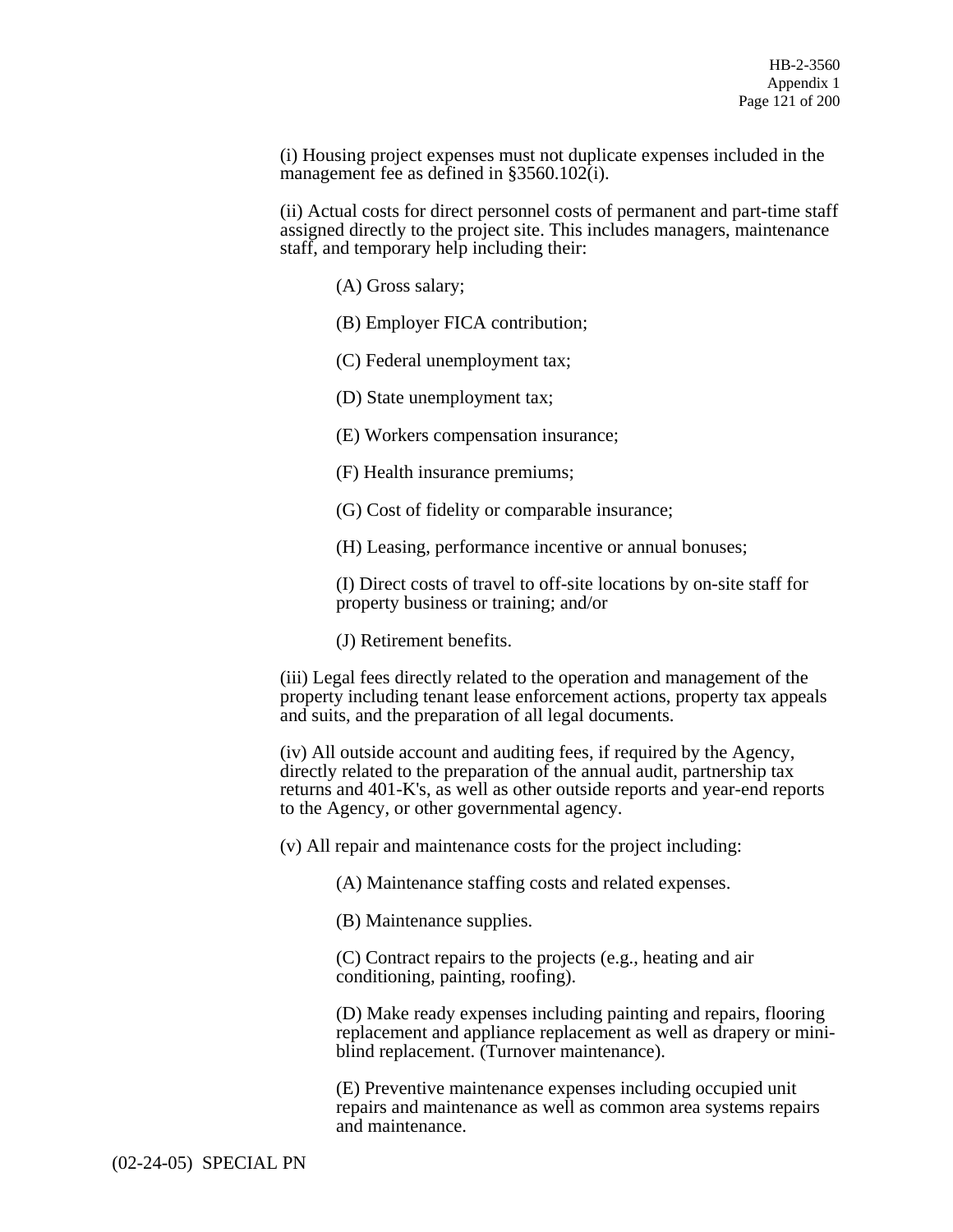(i) Housing project expenses must not duplicate expenses included in the management fee as defined in §3560.102(i).

(ii) Actual costs for direct personnel costs of permanent and part-time staff assigned directly to the project site. This includes managers, maintenance staff, and temporary help including their:

(A) Gross salary;

(B) Employer FICA contribution;

(C) Federal unemployment tax;

(D) State unemployment tax;

(E) Workers compensation insurance;

(F) Health insurance premiums;

(G) Cost of fidelity or comparable insurance;

(H) Leasing, performance incentive or annual bonuses;

(I) Direct costs of travel to off-site locations by on-site staff for property business or training; and/or

(J) Retirement benefits.

(iii) Legal fees directly related to the operation and management of the property including tenant lease enforcement actions, property tax appeals and suits, and the preparation of all legal documents.

(iv) All outside account and auditing fees, if required by the Agency, directly related to the preparation of the annual audit, partnership tax returns and 401-K's, as well as other outside reports and year-end reports to the Agency, or other governmental agency.

(v) All repair and maintenance costs for the project including:

(A) Maintenance staffing costs and related expenses.

(B) Maintenance supplies.

(C) Contract repairs to the projects (e.g., heating and air conditioning, painting, roofing).

(D) Make ready expenses including painting and repairs, flooring replacement and appliance replacement as well as drapery or miniblind replacement. (Turnover maintenance).

(E) Preventive maintenance expenses including occupied unit repairs and maintenance as well as common area systems repairs and maintenance.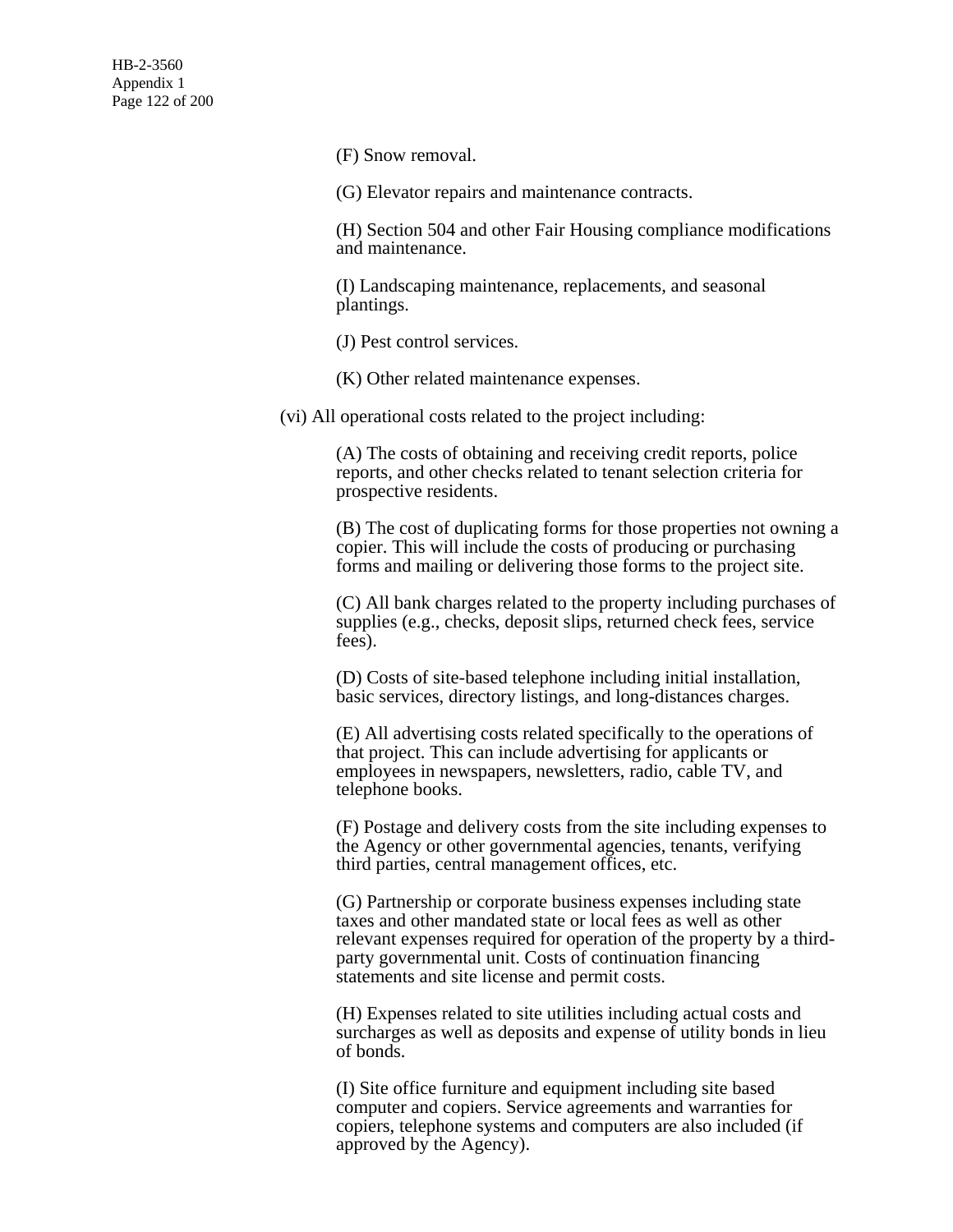(F) Snow removal.

(G) Elevator repairs and maintenance contracts.

(H) Section 504 and other Fair Housing compliance modifications and maintenance.

(I) Landscaping maintenance, replacements, and seasonal plantings.

(J) Pest control services.

(K) Other related maintenance expenses.

(vi) All operational costs related to the project including:

(A) The costs of obtaining and receiving credit reports, police reports, and other checks related to tenant selection criteria for prospective residents.

(B) The cost of duplicating forms for those properties not owning a copier. This will include the costs of producing or purchasing forms and mailing or delivering those forms to the project site.

(C) All bank charges related to the property including purchases of supplies (e.g., checks, deposit slips, returned check fees, service fees).

(D) Costs of site-based telephone including initial installation, basic services, directory listings, and long-distances charges.

(E) All advertising costs related specifically to the operations of that project. This can include advertising for applicants or employees in newspapers, newsletters, radio, cable TV, and telephone books.

(F) Postage and delivery costs from the site including expenses to the Agency or other governmental agencies, tenants, verifying third parties, central management offices, etc.

(G) Partnership or corporate business expenses including state taxes and other mandated state or local fees as well as other relevant expenses required for operation of the property by a thirdparty governmental unit. Costs of continuation financing statements and site license and permit costs.

(H) Expenses related to site utilities including actual costs and surcharges as well as deposits and expense of utility bonds in lieu of bonds.

(I) Site office furniture and equipment including site based computer and copiers. Service agreements and warranties for copiers, telephone systems and computers are also included (if approved by the Agency).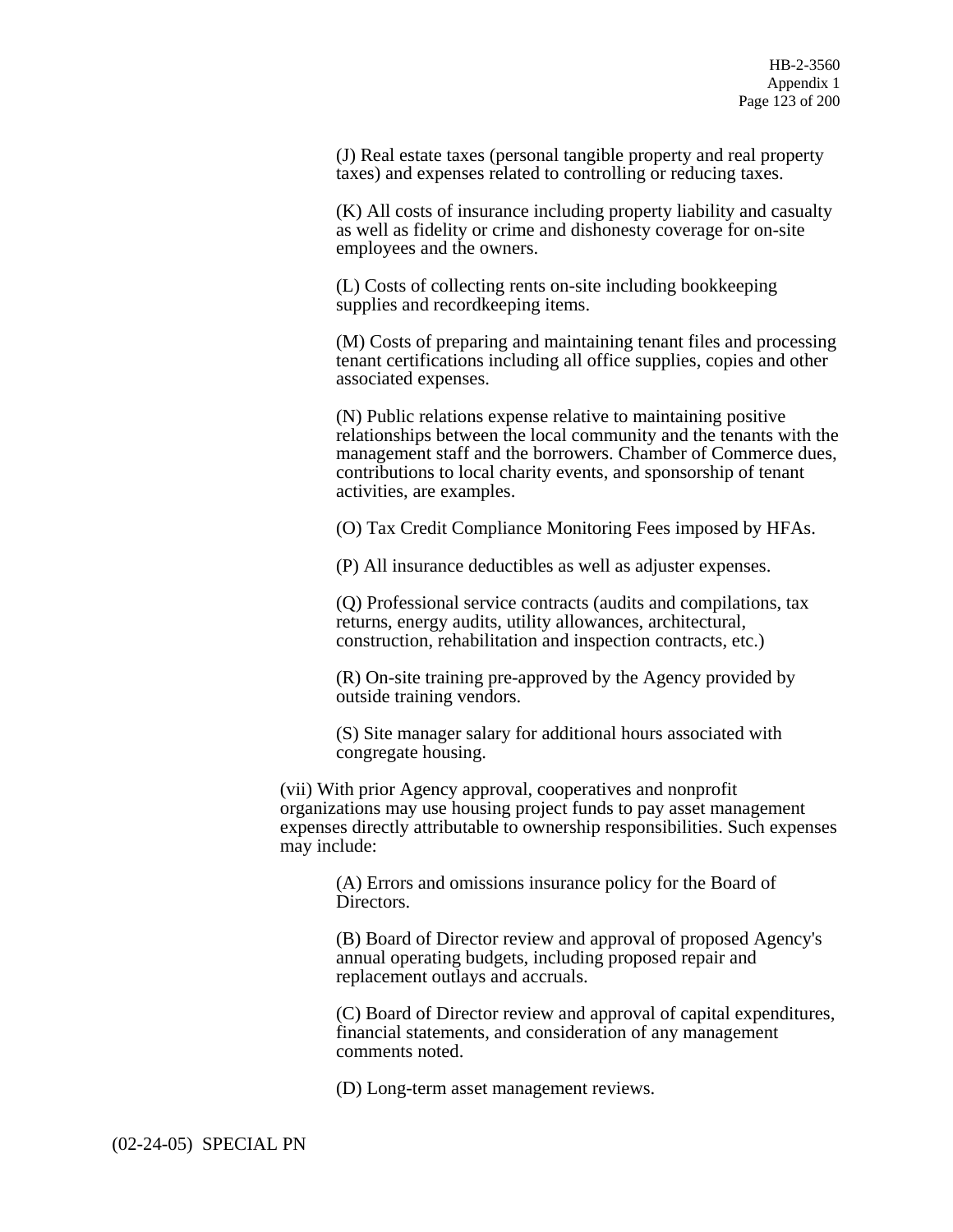(J) Real estate taxes (personal tangible property and real property taxes) and expenses related to controlling or reducing taxes.

(K) All costs of insurance including property liability and casualty as well as fidelity or crime and dishonesty coverage for on-site employees and the owners.

(L) Costs of collecting rents on-site including bookkeeping supplies and recordkeeping items.

(M) Costs of preparing and maintaining tenant files and processing tenant certifications including all office supplies, copies and other associated expenses.

(N) Public relations expense relative to maintaining positive relationships between the local community and the tenants with the management staff and the borrowers. Chamber of Commerce dues, contributions to local charity events, and sponsorship of tenant activities, are examples.

(O) Tax Credit Compliance Monitoring Fees imposed by HFAs.

(P) All insurance deductibles as well as adjuster expenses.

(Q) Professional service contracts (audits and compilations, tax returns, energy audits, utility allowances, architectural, construction, rehabilitation and inspection contracts, etc.)

(R) On-site training pre-approved by the Agency provided by outside training vendors.

(S) Site manager salary for additional hours associated with congregate housing.

(vii) With prior Agency approval, cooperatives and nonprofit organizations may use housing project funds to pay asset management expenses directly attributable to ownership responsibilities. Such expenses may include:

(A) Errors and omissions insurance policy for the Board of Directors.

(B) Board of Director review and approval of proposed Agency's annual operating budgets, including proposed repair and replacement outlays and accruals.

(C) Board of Director review and approval of capital expenditures, financial statements, and consideration of any management comments noted.

(D) Long-term asset management reviews.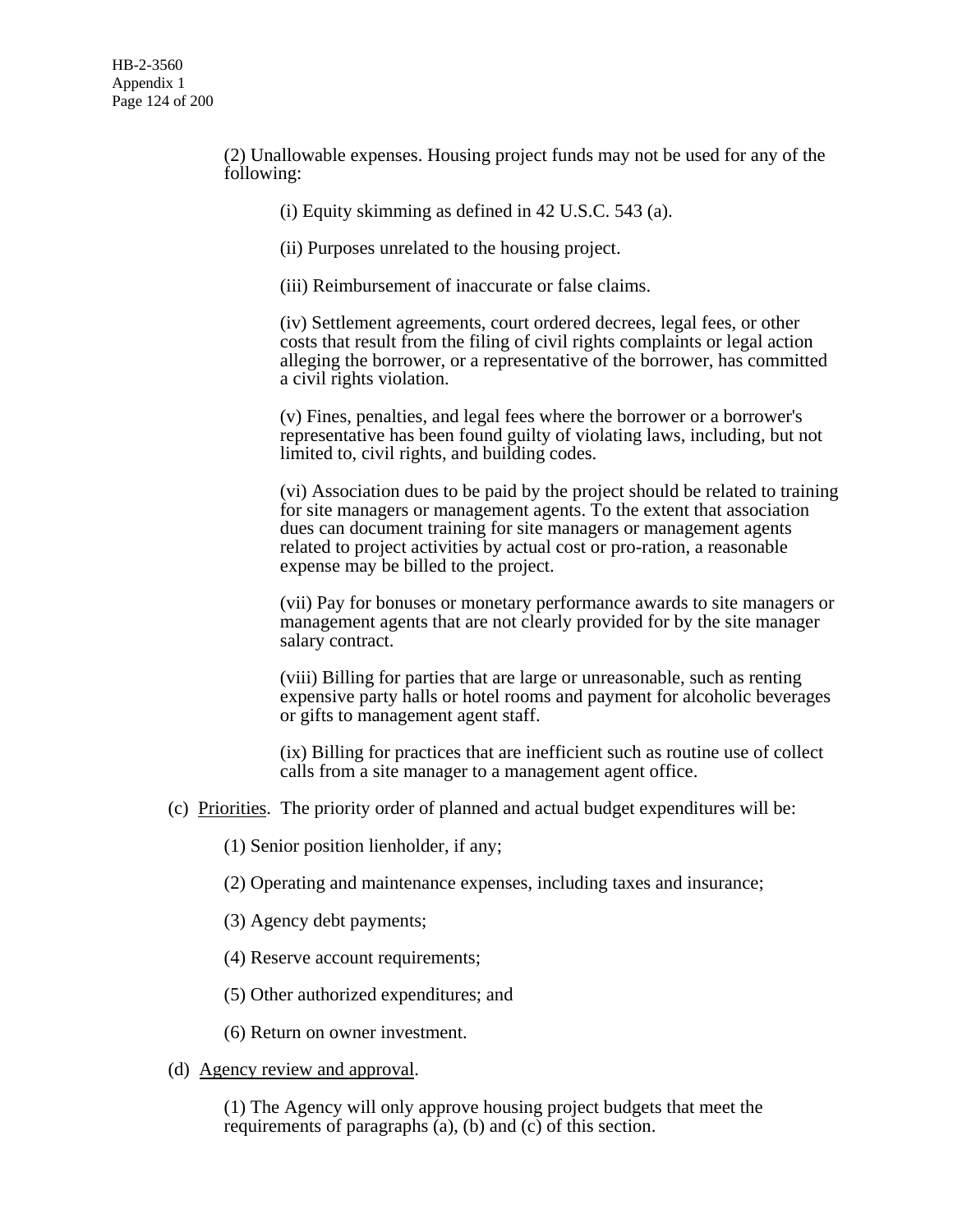(2) Unallowable expenses. Housing project funds may not be used for any of the following:

(i) Equity skimming as defined in 42 U.S.C. 543 (a).

(ii) Purposes unrelated to the housing project.

(iii) Reimbursement of inaccurate or false claims.

(iv) Settlement agreements, court ordered decrees, legal fees, or other costs that result from the filing of civil rights complaints or legal action alleging the borrower, or a representative of the borrower, has committed a civil rights violation.

(v) Fines, penalties, and legal fees where the borrower or a borrower's representative has been found guilty of violating laws, including, but not limited to, civil rights, and building codes.

(vi) Association dues to be paid by the project should be related to training for site managers or management agents. To the extent that association dues can document training for site managers or management agents related to project activities by actual cost or pro-ration, a reasonable expense may be billed to the project.

(vii) Pay for bonuses or monetary performance awards to site managers or management agents that are not clearly provided for by the site manager salary contract.

(viii) Billing for parties that are large or unreasonable, such as renting expensive party halls or hotel rooms and payment for alcoholic beverages or gifts to management agent staff.

(ix) Billing for practices that are inefficient such as routine use of collect calls from a site manager to a management agent office.

- (c) Priorities. The priority order of planned and actual budget expenditures will be:
	- (1) Senior position lienholder, if any;
	- (2) Operating and maintenance expenses, including taxes and insurance;
	- (3) Agency debt payments;
	- (4) Reserve account requirements;
	- (5) Other authorized expenditures; and
	- (6) Return on owner investment.
- (d) Agency review and approval.

(1) The Agency will only approve housing project budgets that meet the requirements of paragraphs (a), (b) and (c) of this section.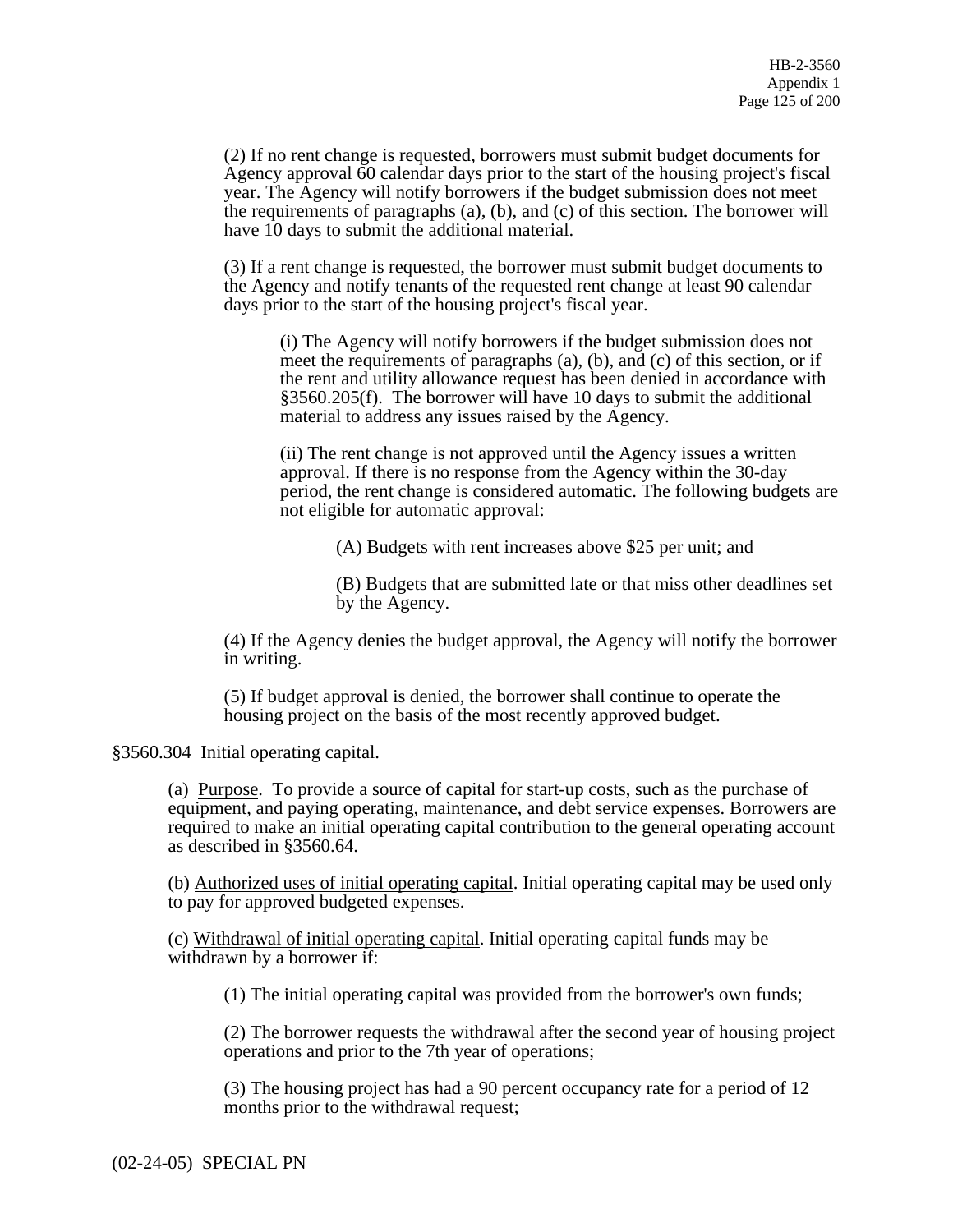(2) If no rent change is requested, borrowers must submit budget documents for Agency approval 60 calendar days prior to the start of the housing project's fiscal year. The Agency will notify borrowers if the budget submission does not meet the requirements of paragraphs (a), (b), and (c) of this section. The borrower will have 10 days to submit the additional material.

(3) If a rent change is requested, the borrower must submit budget documents to the Agency and notify tenants of the requested rent change at least 90 calendar days prior to the start of the housing project's fiscal year.

(i) The Agency will notify borrowers if the budget submission does not meet the requirements of paragraphs (a), (b), and (c) of this section, or if the rent and utility allowance request has been denied in accordance with §3560.205(f). The borrower will have 10 days to submit the additional material to address any issues raised by the Agency.

(ii) The rent change is not approved until the Agency issues a written approval. If there is no response from the Agency within the 30-day period, the rent change is considered automatic. The following budgets are not eligible for automatic approval:

(A) Budgets with rent increases above \$25 per unit; and

(B) Budgets that are submitted late or that miss other deadlines set by the Agency.

(4) If the Agency denies the budget approval, the Agency will notify the borrower in writing.

(5) If budget approval is denied, the borrower shall continue to operate the housing project on the basis of the most recently approved budget.

### §3560.304 Initial operating capital.

(a) Purpose. To provide a source of capital for start-up costs, such as the purchase of equipment, and paying operating, maintenance, and debt service expenses. Borrowers are required to make an initial operating capital contribution to the general operating account as described in §3560.64.

(b) Authorized uses of initial operating capital. Initial operating capital may be used only to pay for approved budgeted expenses.

(c) Withdrawal of initial operating capital. Initial operating capital funds may be withdrawn by a borrower if:

(1) The initial operating capital was provided from the borrower's own funds;

(2) The borrower requests the withdrawal after the second year of housing project operations and prior to the 7th year of operations;

(3) The housing project has had a 90 percent occupancy rate for a period of 12 months prior to the withdrawal request;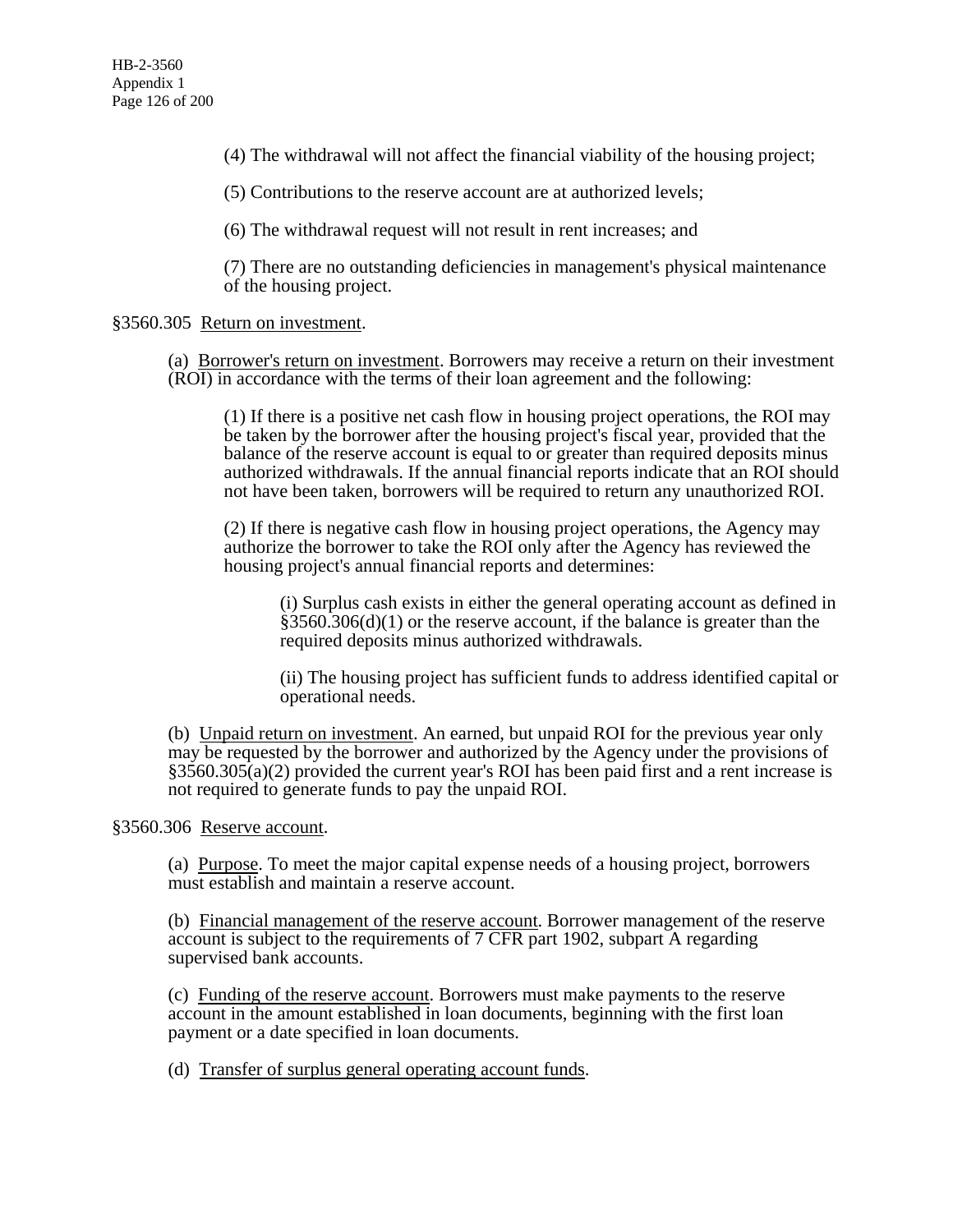(4) The withdrawal will not affect the financial viability of the housing project;

(5) Contributions to the reserve account are at authorized levels;

(6) The withdrawal request will not result in rent increases; and

(7) There are no outstanding deficiencies in management's physical maintenance of the housing project.

## §3560.305 Return on investment.

(a) Borrower's return on investment. Borrowers may receive a return on their investment (ROI) in accordance with the terms of their loan agreement and the following:

(1) If there is a positive net cash flow in housing project operations, the ROI may be taken by the borrower after the housing project's fiscal year, provided that the balance of the reserve account is equal to or greater than required deposits minus authorized withdrawals. If the annual financial reports indicate that an ROI should not have been taken, borrowers will be required to return any unauthorized ROI.

(2) If there is negative cash flow in housing project operations, the Agency may authorize the borrower to take the ROI only after the Agency has reviewed the housing project's annual financial reports and determines:

(i) Surplus cash exists in either the general operating account as defined in  $§3560.306(d)(1)$  or the reserve account, if the balance is greater than the required deposits minus authorized withdrawals.

(ii) The housing project has sufficient funds to address identified capital or operational needs.

(b) Unpaid return on investment. An earned, but unpaid ROI for the previous year only may be requested by the borrower and authorized by the Agency under the provisions of  $\frac{$3560.305(a)(2)}{2}$  provided the current year's ROI has been paid first and a rent increase is not required to generate funds to pay the unpaid ROI.

§3560.306 Reserve account.

(a) Purpose. To meet the major capital expense needs of a housing project, borrowers must establish and maintain a reserve account.

(b) Financial management of the reserve account. Borrower management of the reserve account is subject to the requirements of 7 CFR part 1902, subpart A regarding supervised bank accounts.

(c) Funding of the reserve account. Borrowers must make payments to the reserve account in the amount established in loan documents, beginning with the first loan payment or a date specified in loan documents.

(d) Transfer of surplus general operating account funds.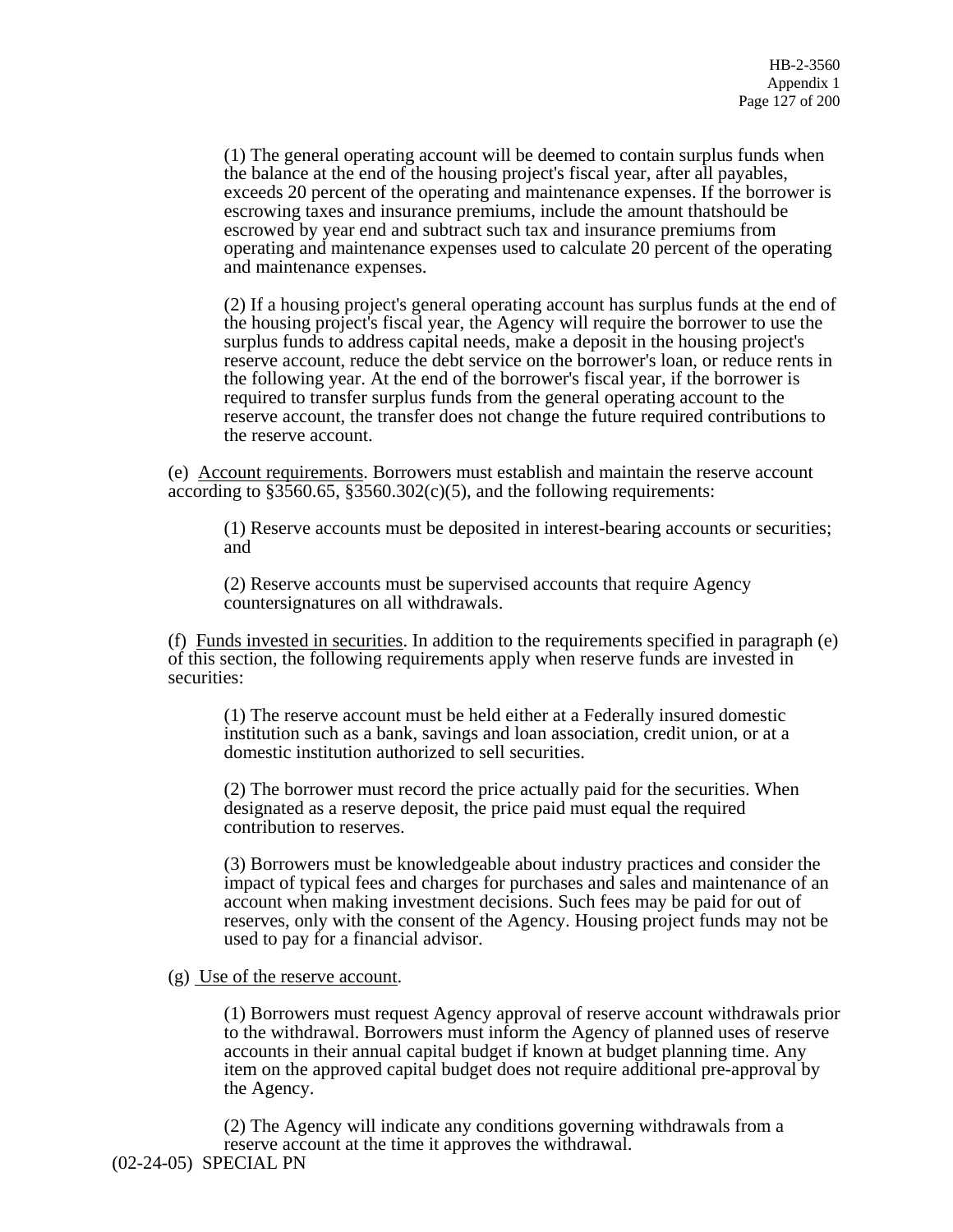(1) The general operating account will be deemed to contain surplus funds when the balance at the end of the housing project's fiscal year, after all payables, exceeds 20 percent of the operating and maintenance expenses. If the borrower is escrowing taxes and insurance premiums, include the amount thatshould be escrowed by year end and subtract such tax and insurance premiums from operating and maintenance expenses used to calculate 20 percent of the operating and maintenance expenses.

(2) If a housing project's general operating account has surplus funds at the end of the housing project's fiscal year, the Agency will require the borrower to use the surplus funds to address capital needs, make a deposit in the housing project's reserve account, reduce the debt service on the borrower's loan, or reduce rents in the following year. At the end of the borrower's fiscal year, if the borrower is required to transfer surplus funds from the general operating account to the reserve account, the transfer does not change the future required contributions to the reserve account.

(e) Account requirements. Borrowers must establish and maintain the reserve account according to  $$3560.65, $3560.302(c)(5)$ , and the following requirements:

(1) Reserve accounts must be deposited in interest-bearing accounts or securities; and

(2) Reserve accounts must be supervised accounts that require Agency countersignatures on all withdrawals.

(f) Funds invested in securities. In addition to the requirements specified in paragraph (e) of this section, the following requirements apply when reserve funds are invested in securities:

(1) The reserve account must be held either at a Federally insured domestic institution such as a bank, savings and loan association, credit union, or at a domestic institution authorized to sell securities.

(2) The borrower must record the price actually paid for the securities. When designated as a reserve deposit, the price paid must equal the required contribution to reserves.

(3) Borrowers must be knowledgeable about industry practices and consider the impact of typical fees and charges for purchases and sales and maintenance of an account when making investment decisions. Such fees may be paid for out of reserves, only with the consent of the Agency. Housing project funds may not be used to pay for a financial advisor.

### (g) Use of the reserve account.

(1) Borrowers must request Agency approval of reserve account withdrawals prior to the withdrawal. Borrowers must inform the Agency of planned uses of reserve accounts in their annual capital budget if known at budget planning time. Any item on the approved capital budget does not require additional pre-approval by the Agency.

(2) The Agency will indicate any conditions governing withdrawals from a reserve account at the time it approves the withdrawal.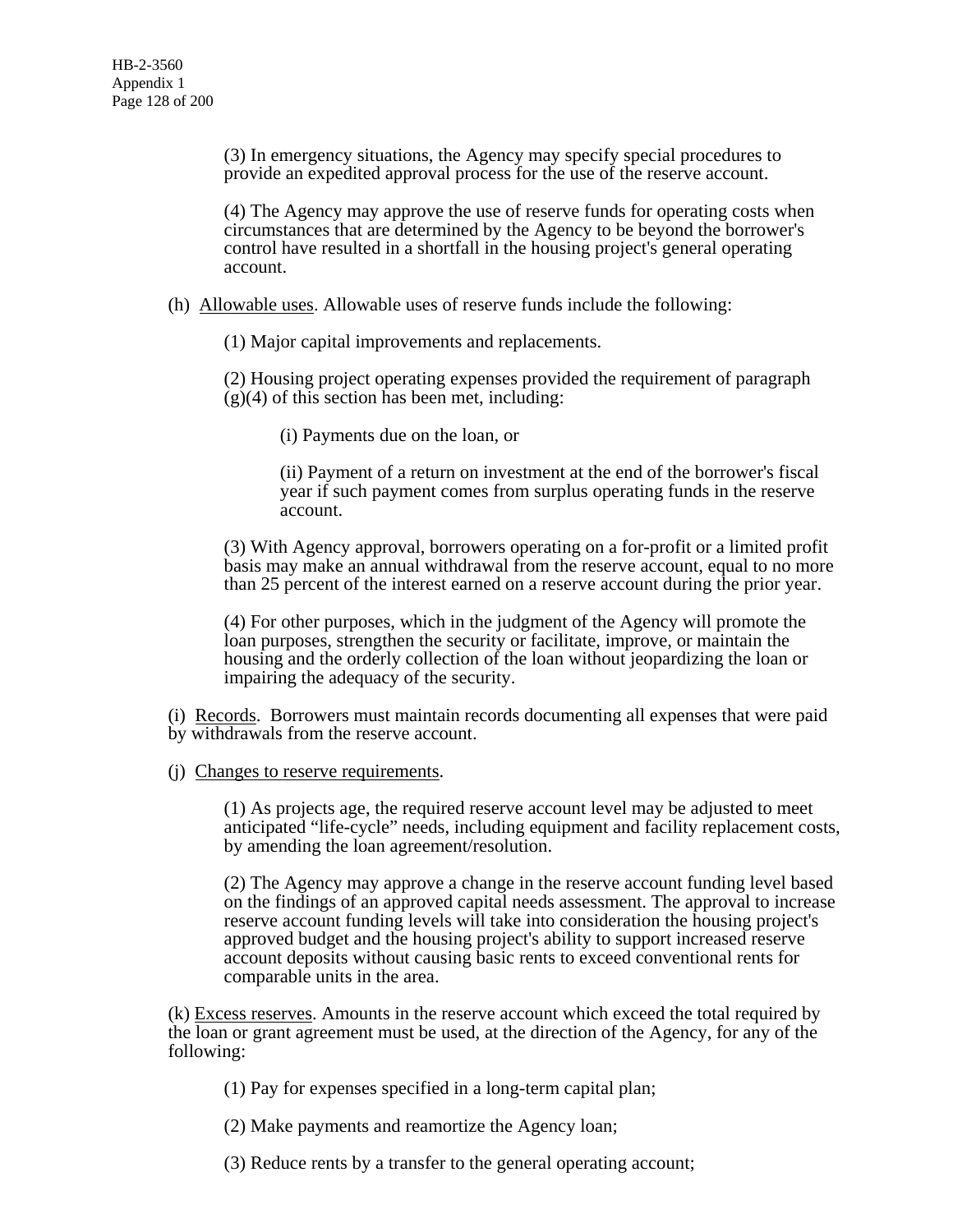(3) In emergency situations, the Agency may specify special procedures to provide an expedited approval process for the use of the reserve account.

(4) The Agency may approve the use of reserve funds for operating costs when circumstances that are determined by the Agency to be beyond the borrower's control have resulted in a shortfall in the housing project's general operating account.

(h) Allowable uses. Allowable uses of reserve funds include the following:

(1) Major capital improvements and replacements.

(2) Housing project operating expenses provided the requirement of paragraph  $(g)(4)$  of this section has been met, including:

(i) Payments due on the loan, or

(ii) Payment of a return on investment at the end of the borrower's fiscal year if such payment comes from surplus operating funds in the reserve account.

(3) With Agency approval, borrowers operating on a for-profit or a limited profit basis may make an annual withdrawal from the reserve account, equal to no more than 25 percent of the interest earned on a reserve account during the prior year.

(4) For other purposes, which in the judgment of the Agency will promote the loan purposes, strengthen the security or facilitate, improve, or maintain the housing and the orderly collection of the loan without jeopardizing the loan or impairing the adequacy of the security.

(i) Records. Borrowers must maintain records documenting all expenses that were paid by withdrawals from the reserve account.

(j) Changes to reserve requirements.

(1) As projects age, the required reserve account level may be adjusted to meet anticipated "life-cycle" needs, including equipment and facility replacement costs, by amending the loan agreement/resolution.

(2) The Agency may approve a change in the reserve account funding level based on the findings of an approved capital needs assessment. The approval to increase reserve account funding levels will take into consideration the housing project's approved budget and the housing project's ability to support increased reserve account deposits without causing basic rents to exceed conventional rents for comparable units in the area.

(k) Excess reserves. Amounts in the reserve account which exceed the total required by the loan or grant agreement must be used, at the direction of the Agency, for any of the following:

(1) Pay for expenses specified in a long-term capital plan;

(2) Make payments and reamortize the Agency loan;

(3) Reduce rents by a transfer to the general operating account;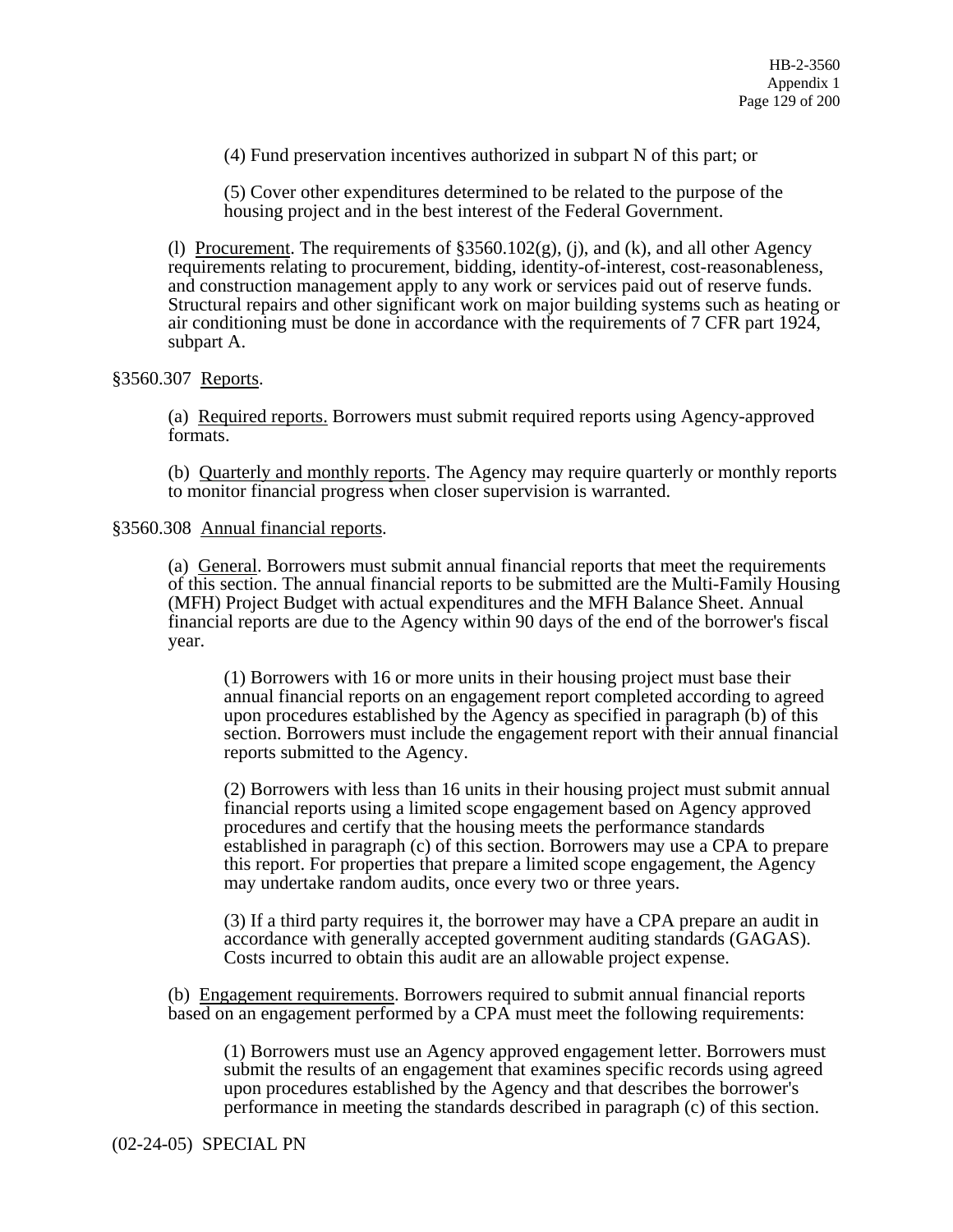(4) Fund preservation incentives authorized in subpart N of this part; or

(5) Cover other expenditures determined to be related to the purpose of the housing project and in the best interest of the Federal Government.

(l) Procurement. The requirements of  $\S 3560.102(g)$ , (j), and (k), and all other Agency requirements relating to procurement, bidding, identity-of-interest, cost-reasonableness, and construction management apply to any work or services paid out of reserve funds. Structural repairs and other significant work on major building systems such as heating or air conditioning must be done in accordance with the requirements of 7 CFR part 1924, subpart A.

### §3560.307 Reports.

(a) Required reports. Borrowers must submit required reports using Agency-approved formats.

(b) Quarterly and monthly reports. The Agency may require quarterly or monthly reports to monitor financial progress when closer supervision is warranted.

#### §3560.308 Annual financial reports.

(a) General. Borrowers must submit annual financial reports that meet the requirements of this section. The annual financial reports to be submitted are the Multi-Family Housing (MFH) Project Budget with actual expenditures and the MFH Balance Sheet. Annual financial reports are due to the Agency within 90 days of the end of the borrower's fiscal year.

(1) Borrowers with 16 or more units in their housing project must base their annual financial reports on an engagement report completed according to agreed upon procedures established by the Agency as specified in paragraph (b) of this section. Borrowers must include the engagement report with their annual financial reports submitted to the Agency.

(2) Borrowers with less than 16 units in their housing project must submit annual financial reports using a limited scope engagement based on Agency approved procedures and certify that the housing meets the performance standards established in paragraph (c) of this section. Borrowers may use a CPA to prepare this report. For properties that prepare a limited scope engagement, the Agency may undertake random audits, once every two or three years.

(3) If a third party requires it, the borrower may have a CPA prepare an audit in accordance with generally accepted government auditing standards (GAGAS). Costs incurred to obtain this audit are an allowable project expense.

(b) Engagement requirements. Borrowers required to submit annual financial reports based on an engagement performed by a CPA must meet the following requirements:

(1) Borrowers must use an Agency approved engagement letter. Borrowers must submit the results of an engagement that examines specific records using agreed upon procedures established by the Agency and that describes the borrower's performance in meeting the standards described in paragraph (c) of this section.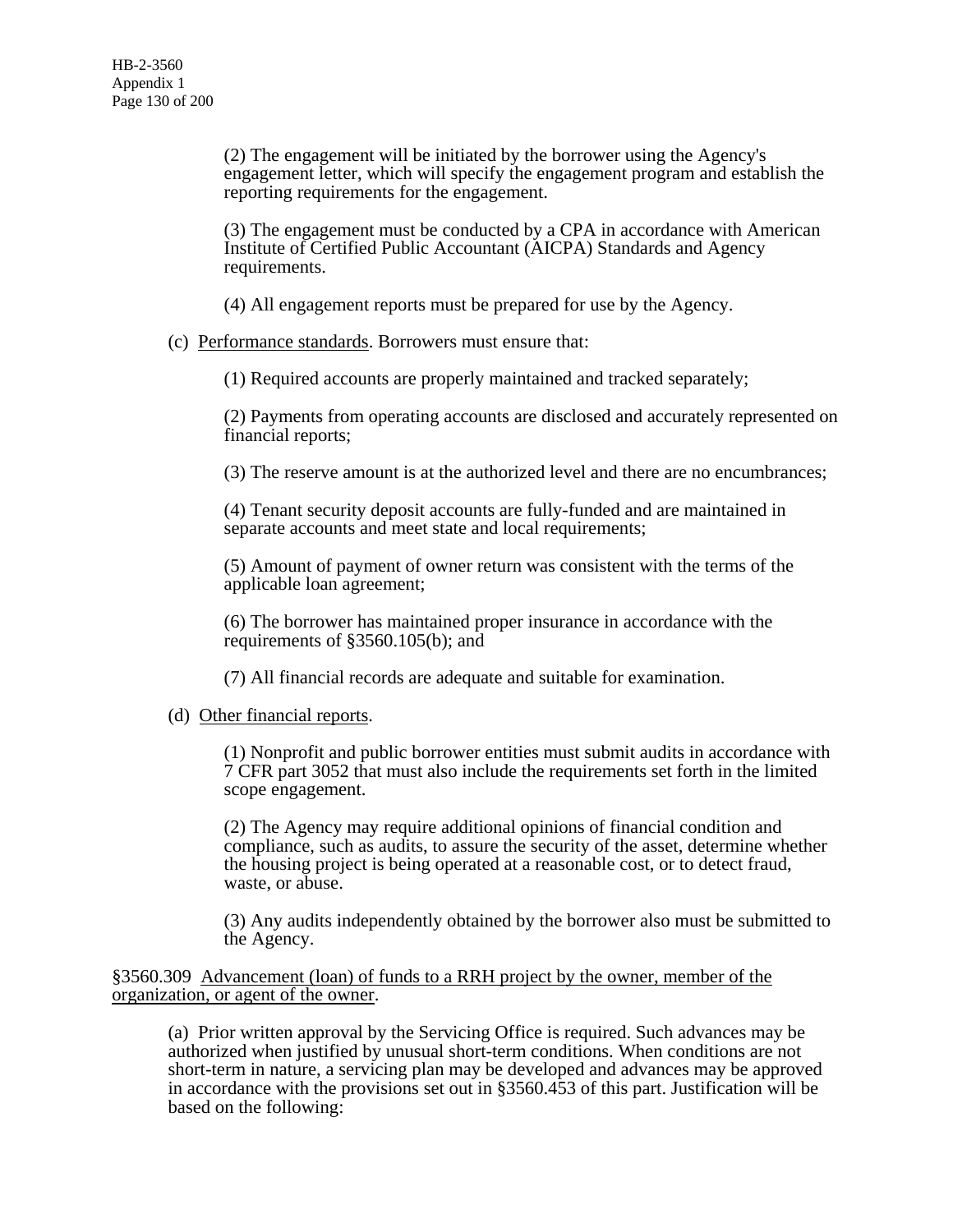(2) The engagement will be initiated by the borrower using the Agency's engagement letter, which will specify the engagement program and establish the reporting requirements for the engagement.

(3) The engagement must be conducted by a CPA in accordance with American Institute of Certified Public Accountant (AICPA) Standards and Agency requirements.

(4) All engagement reports must be prepared for use by the Agency.

(c) Performance standards. Borrowers must ensure that:

(1) Required accounts are properly maintained and tracked separately;

(2) Payments from operating accounts are disclosed and accurately represented on financial reports;

(3) The reserve amount is at the authorized level and there are no encumbrances;

(4) Tenant security deposit accounts are fully-funded and are maintained in separate accounts and meet state and local requirements;

(5) Amount of payment of owner return was consistent with the terms of the applicable loan agreement;

(6) The borrower has maintained proper insurance in accordance with the requirements of §3560.105(b); and

(7) All financial records are adequate and suitable for examination.

### (d) Other financial reports.

(1) Nonprofit and public borrower entities must submit audits in accordance with 7 CFR part 3052 that must also include the requirements set forth in the limited scope engagement.

(2) The Agency may require additional opinions of financial condition and compliance, such as audits, to assure the security of the asset, determine whether the housing project is being operated at a reasonable cost, or to detect fraud, waste, or abuse.

(3) Any audits independently obtained by the borrower also must be submitted to the Agency.

§3560.309 Advancement (loan) of funds to a RRH project by the owner, member of the organization, or agent of the owner.

(a) Prior written approval by the Servicing Office is required. Such advances may be authorized when justified by unusual short-term conditions. When conditions are not short-term in nature, a servicing plan may be developed and advances may be approved in accordance with the provisions set out in §3560.453 of this part. Justification will be based on the following: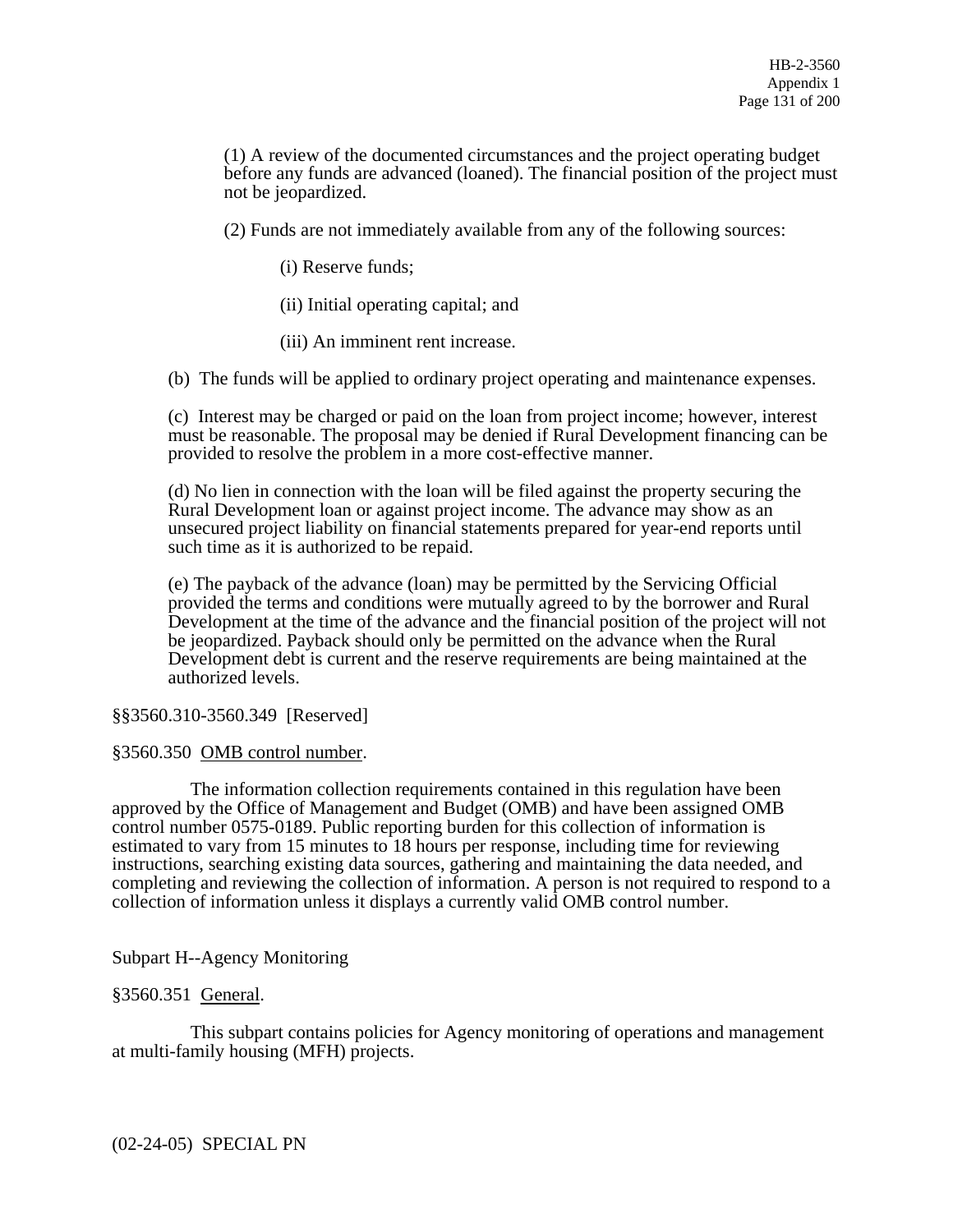(1) A review of the documented circumstances and the project operating budget before any funds are advanced (loaned). The financial position of the project must not be jeopardized.

(2) Funds are not immediately available from any of the following sources:

(i) Reserve funds;

(ii) Initial operating capital; and

(iii) An imminent rent increase.

(b) The funds will be applied to ordinary project operating and maintenance expenses.

(c) Interest may be charged or paid on the loan from project income; however, interest must be reasonable. The proposal may be denied if Rural Development financing can be provided to resolve the problem in a more cost-effective manner.

(d) No lien in connection with the loan will be filed against the property securing the Rural Development loan or against project income. The advance may show as an unsecured project liability on financial statements prepared for year-end reports until such time as it is authorized to be repaid.

(e) The payback of the advance (loan) may be permitted by the Servicing Official provided the terms and conditions were mutually agreed to by the borrower and Rural Development at the time of the advance and the financial position of the project will not be jeopardized. Payback should only be permitted on the advance when the Rural Development debt is current and the reserve requirements are being maintained at the authorized levels.

§§3560.310-3560.349 [Reserved]

### §3560.350 OMB control number.

 The information collection requirements contained in this regulation have been approved by the Office of Management and Budget (OMB) and have been assigned OMB control number 0575-0189. Public reporting burden for this collection of information is estimated to vary from 15 minutes to 18 hours per response, including time for reviewing instructions, searching existing data sources, gathering and maintaining the data needed, and completing and reviewing the collection of information. A person is not required to respond to a collection of information unless it displays a currently valid OMB control number.

Subpart H--Agency Monitoring

### §3560.351 General.

 This subpart contains policies for Agency monitoring of operations and management at multi-family housing (MFH) projects.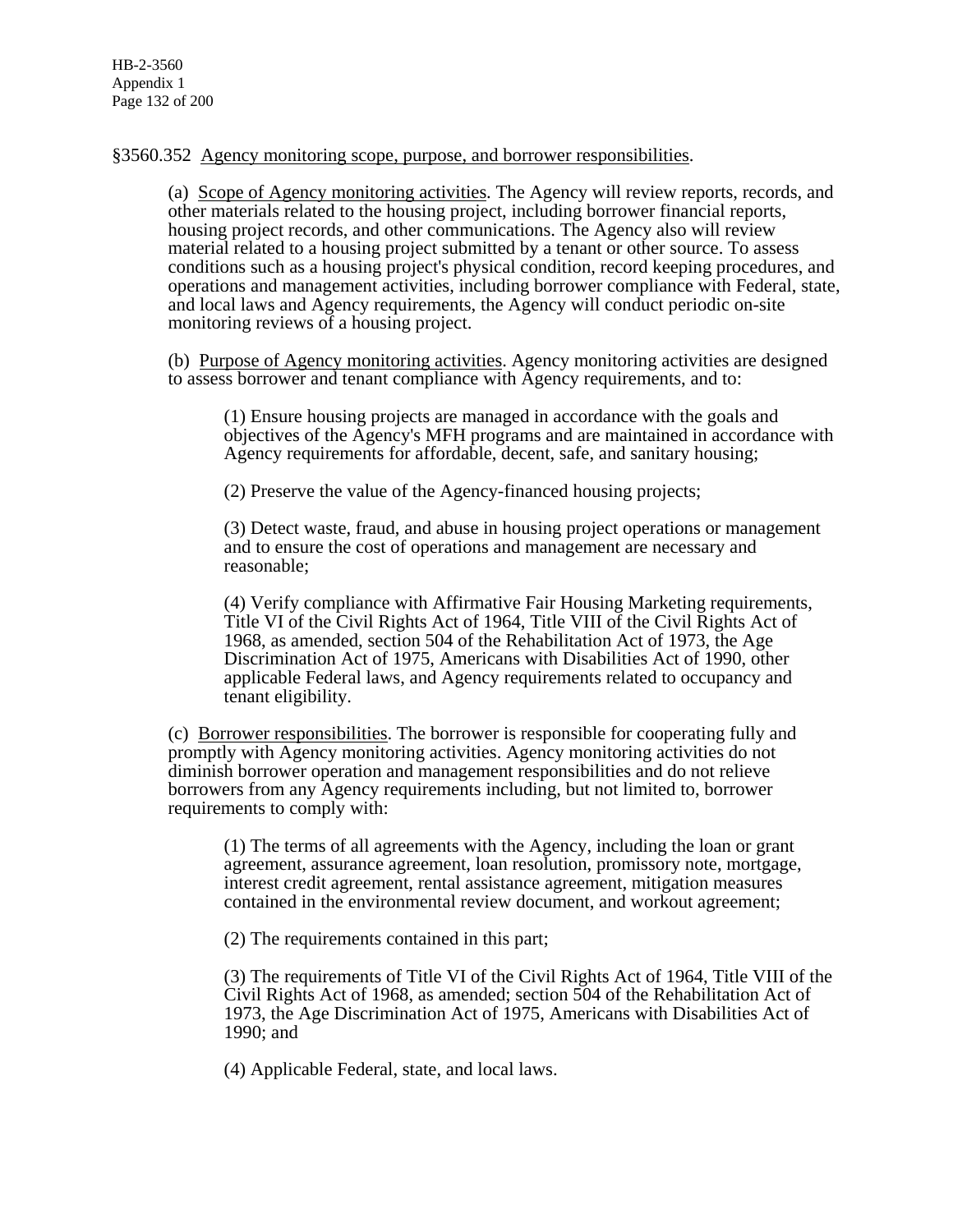## §3560.352 Agency monitoring scope, purpose, and borrower responsibilities.

(a) Scope of Agency monitoring activities. The Agency will review reports, records, and other materials related to the housing project, including borrower financial reports, housing project records, and other communications. The Agency also will review material related to a housing project submitted by a tenant or other source. To assess conditions such as a housing project's physical condition, record keeping procedures, and operations and management activities, including borrower compliance with Federal, state, and local laws and Agency requirements, the Agency will conduct periodic on-site monitoring reviews of a housing project.

(b) Purpose of Agency monitoring activities. Agency monitoring activities are designed to assess borrower and tenant compliance with Agency requirements, and to:

(1) Ensure housing projects are managed in accordance with the goals and objectives of the Agency's MFH programs and are maintained in accordance with Agency requirements for affordable, decent, safe, and sanitary housing;

(2) Preserve the value of the Agency-financed housing projects;

(3) Detect waste, fraud, and abuse in housing project operations or management and to ensure the cost of operations and management are necessary and reasonable;

(4) Verify compliance with Affirmative Fair Housing Marketing requirements, Title VI of the Civil Rights Act of 1964, Title VIII of the Civil Rights Act of 1968, as amended, section 504 of the Rehabilitation Act of 1973, the Age Discrimination Act of 1975, Americans with Disabilities Act of 1990, other applicable Federal laws, and Agency requirements related to occupancy and tenant eligibility.

(c) Borrower responsibilities. The borrower is responsible for cooperating fully and promptly with Agency monitoring activities. Agency monitoring activities do not diminish borrower operation and management responsibilities and do not relieve borrowers from any Agency requirements including, but not limited to, borrower requirements to comply with:

(1) The terms of all agreements with the Agency, including the loan or grant agreement, assurance agreement, loan resolution, promissory note, mortgage, interest credit agreement, rental assistance agreement, mitigation measures contained in the environmental review document, and workout agreement;

(2) The requirements contained in this part;

(3) The requirements of Title VI of the Civil Rights Act of 1964, Title VIII of the Civil Rights Act of 1968, as amended; section 504 of the Rehabilitation Act of 1973, the Age Discrimination Act of 1975, Americans with Disabilities Act of 1990; and

(4) Applicable Federal, state, and local laws.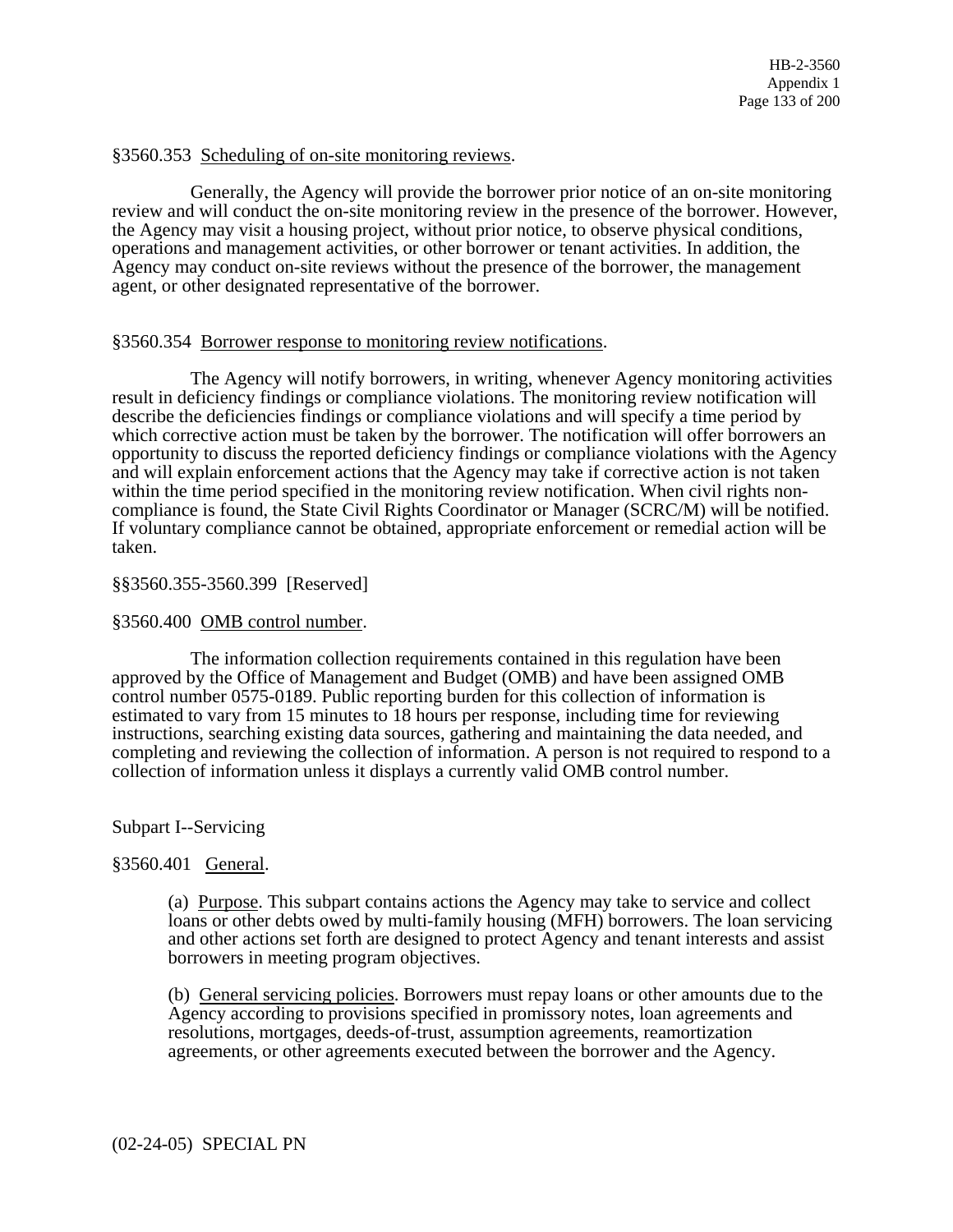### §3560.353 Scheduling of on-site monitoring reviews.

 Generally, the Agency will provide the borrower prior notice of an on-site monitoring review and will conduct the on-site monitoring review in the presence of the borrower. However, the Agency may visit a housing project, without prior notice, to observe physical conditions, operations and management activities, or other borrower or tenant activities. In addition, the Agency may conduct on-site reviews without the presence of the borrower, the management agent, or other designated representative of the borrower.

## §3560.354 Borrower response to monitoring review notifications.

 The Agency will notify borrowers, in writing, whenever Agency monitoring activities result in deficiency findings or compliance violations. The monitoring review notification will describe the deficiencies findings or compliance violations and will specify a time period by which corrective action must be taken by the borrower. The notification will offer borrowers an opportunity to discuss the reported deficiency findings or compliance violations with the Agency and will explain enforcement actions that the Agency may take if corrective action is not taken within the time period specified in the monitoring review notification. When civil rights noncompliance is found, the State Civil Rights Coordinator or Manager (SCRC/M) will be notified. If voluntary compliance cannot be obtained, appropriate enforcement or remedial action will be taken.

## §§3560.355-3560.399 [Reserved]

## §3560.400 OMB control number.

 The information collection requirements contained in this regulation have been approved by the Office of Management and Budget (OMB) and have been assigned OMB control number 0575-0189. Public reporting burden for this collection of information is estimated to vary from 15 minutes to 18 hours per response, including time for reviewing instructions, searching existing data sources, gathering and maintaining the data needed, and completing and reviewing the collection of information. A person is not required to respond to a collection of information unless it displays a currently valid OMB control number.

# Subpart I--Servicing

# §3560.401 General.

(a) Purpose. This subpart contains actions the Agency may take to service and collect loans or other debts owed by multi-family housing (MFH) borrowers. The loan servicing and other actions set forth are designed to protect Agency and tenant interests and assist borrowers in meeting program objectives.

(b) General servicing policies. Borrowers must repay loans or other amounts due to the Agency according to provisions specified in promissory notes, loan agreements and resolutions, mortgages, deeds-of-trust, assumption agreements, reamortization agreements, or other agreements executed between the borrower and the Agency.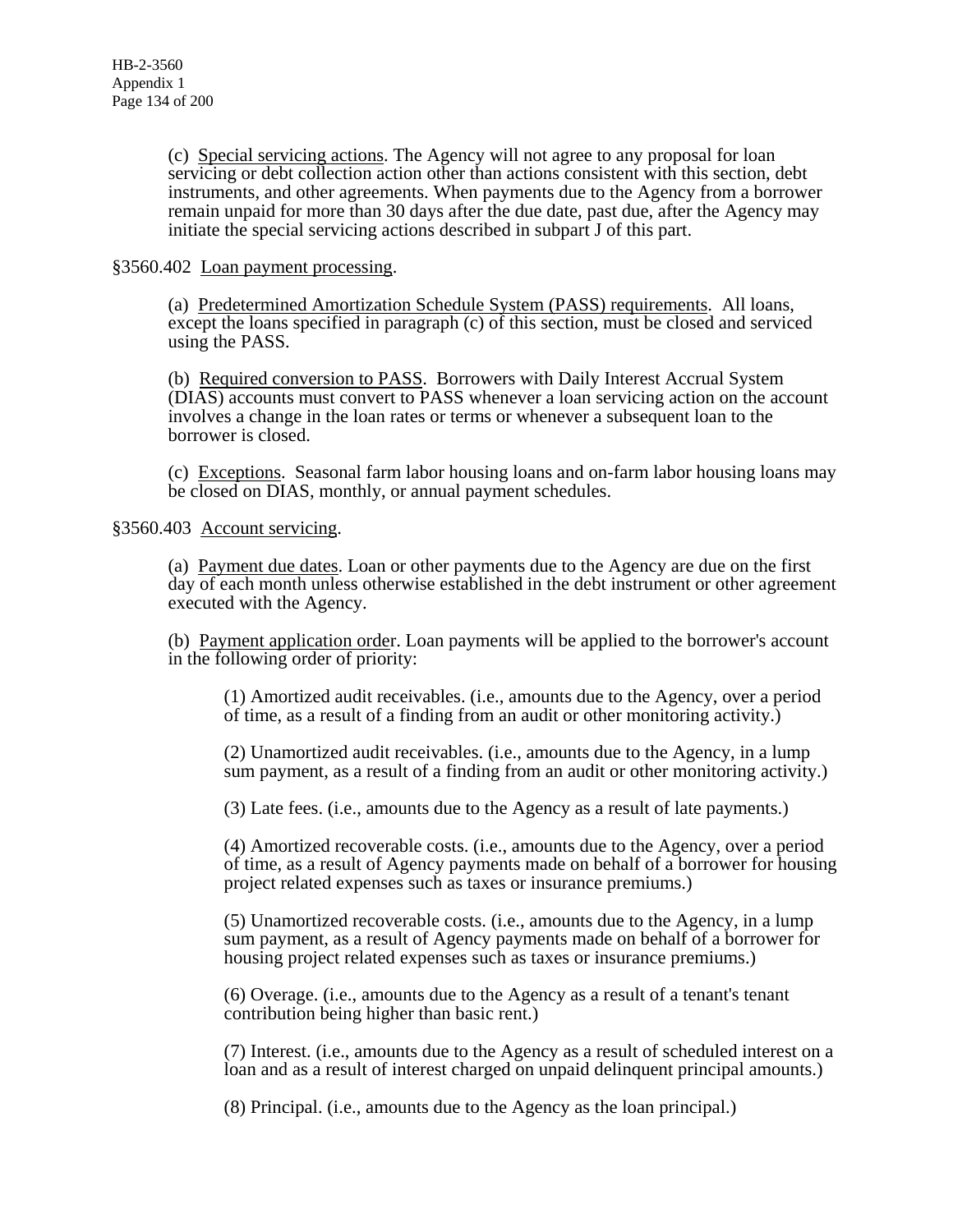(c) Special servicing actions. The Agency will not agree to any proposal for loan servicing or debt collection action other than actions consistent with this section, debt instruments, and other agreements. When payments due to the Agency from a borrower remain unpaid for more than 30 days after the due date, past due, after the Agency may initiate the special servicing actions described in subpart J of this part.

## §3560.402 Loan payment processing.

(a) Predetermined Amortization Schedule System (PASS) requirements. All loans, except the loans specified in paragraph (c) of this section, must be closed and serviced using the PASS.

(b) Required conversion to PASS. Borrowers with Daily Interest Accrual System (DIAS) accounts must convert to PASS whenever a loan servicing action on the account involves a change in the loan rates or terms or whenever a subsequent loan to the borrower is closed.

(c) Exceptions. Seasonal farm labor housing loans and on-farm labor housing loans may be closed on DIAS, monthly, or annual payment schedules.

§3560.403 Account servicing.

(a) Payment due dates. Loan or other payments due to the Agency are due on the first day of each month unless otherwise established in the debt instrument or other agreement executed with the Agency.

(b) Payment application order. Loan payments will be applied to the borrower's account in the following order of priority:

(1) Amortized audit receivables. (i.e., amounts due to the Agency, over a period of time, as a result of a finding from an audit or other monitoring activity.)

(2) Unamortized audit receivables. (i.e., amounts due to the Agency, in a lump sum payment, as a result of a finding from an audit or other monitoring activity.)

(3) Late fees. (i.e., amounts due to the Agency as a result of late payments.)

(4) Amortized recoverable costs. (i.e., amounts due to the Agency, over a period of time, as a result of Agency payments made on behalf of a borrower for housing project related expenses such as taxes or insurance premiums.)

(5) Unamortized recoverable costs. (i.e., amounts due to the Agency, in a lump sum payment, as a result of Agency payments made on behalf of a borrower for housing project related expenses such as taxes or insurance premiums.)

(6) Overage. (i.e., amounts due to the Agency as a result of a tenant's tenant contribution being higher than basic rent.)

(7) Interest. (i.e., amounts due to the Agency as a result of scheduled interest on a loan and as a result of interest charged on unpaid delinquent principal amounts.)

(8) Principal. (i.e., amounts due to the Agency as the loan principal.)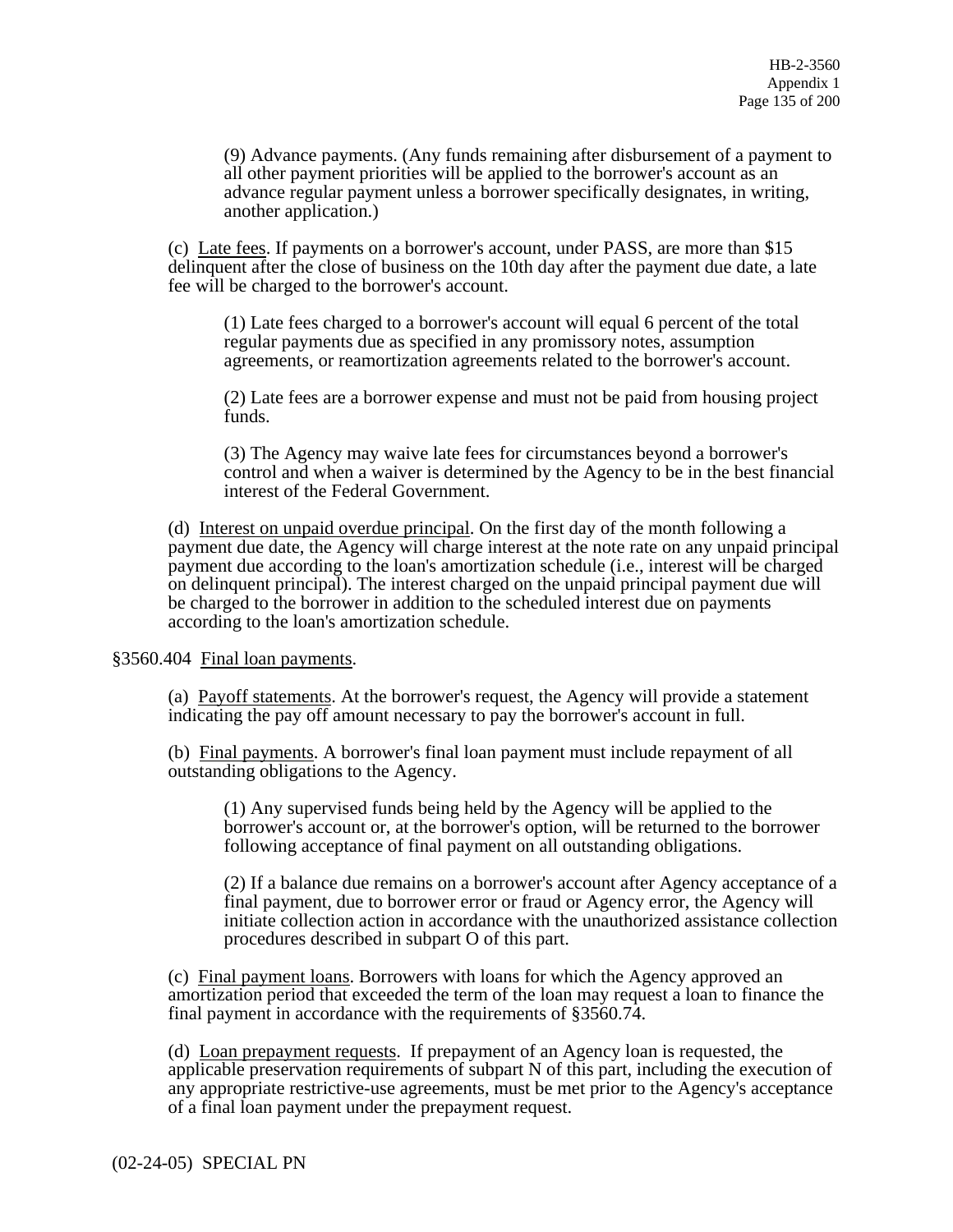(9) Advance payments. (Any funds remaining after disbursement of a payment to all other payment priorities will be applied to the borrower's account as an advance regular payment unless a borrower specifically designates, in writing, another application.)

(c) Late fees. If payments on a borrower's account, under PASS, are more than \$15 delinquent after the close of business on the 10th day after the payment due date, a late fee will be charged to the borrower's account.

(1) Late fees charged to a borrower's account will equal 6 percent of the total regular payments due as specified in any promissory notes, assumption agreements, or reamortization agreements related to the borrower's account.

(2) Late fees are a borrower expense and must not be paid from housing project funds.

(3) The Agency may waive late fees for circumstances beyond a borrower's control and when a waiver is determined by the Agency to be in the best financial interest of the Federal Government.

(d) Interest on unpaid overdue principal. On the first day of the month following a payment due date, the Agency will charge interest at the note rate on any unpaid principal payment due according to the loan's amortization schedule (i.e., interest will be charged on delinquent principal). The interest charged on the unpaid principal payment due will be charged to the borrower in addition to the scheduled interest due on payments according to the loan's amortization schedule.

§3560.404 Final loan payments.

(a) Payoff statements. At the borrower's request, the Agency will provide a statement indicating the pay off amount necessary to pay the borrower's account in full.

(b) Final payments. A borrower's final loan payment must include repayment of all outstanding obligations to the Agency.

(1) Any supervised funds being held by the Agency will be applied to the borrower's account or, at the borrower's option, will be returned to the borrower following acceptance of final payment on all outstanding obligations.

(2) If a balance due remains on a borrower's account after Agency acceptance of a final payment, due to borrower error or fraud or Agency error, the Agency will initiate collection action in accordance with the unauthorized assistance collection procedures described in subpart O of this part.

(c) Final payment loans. Borrowers with loans for which the Agency approved an amortization period that exceeded the term of the loan may request a loan to finance the final payment in accordance with the requirements of §3560.74.

(d) Loan prepayment requests. If prepayment of an Agency loan is requested, the applicable preservation requirements of subpart N of this part, including the execution of any appropriate restrictive-use agreements, must be met prior to the Agency's acceptance of a final loan payment under the prepayment request.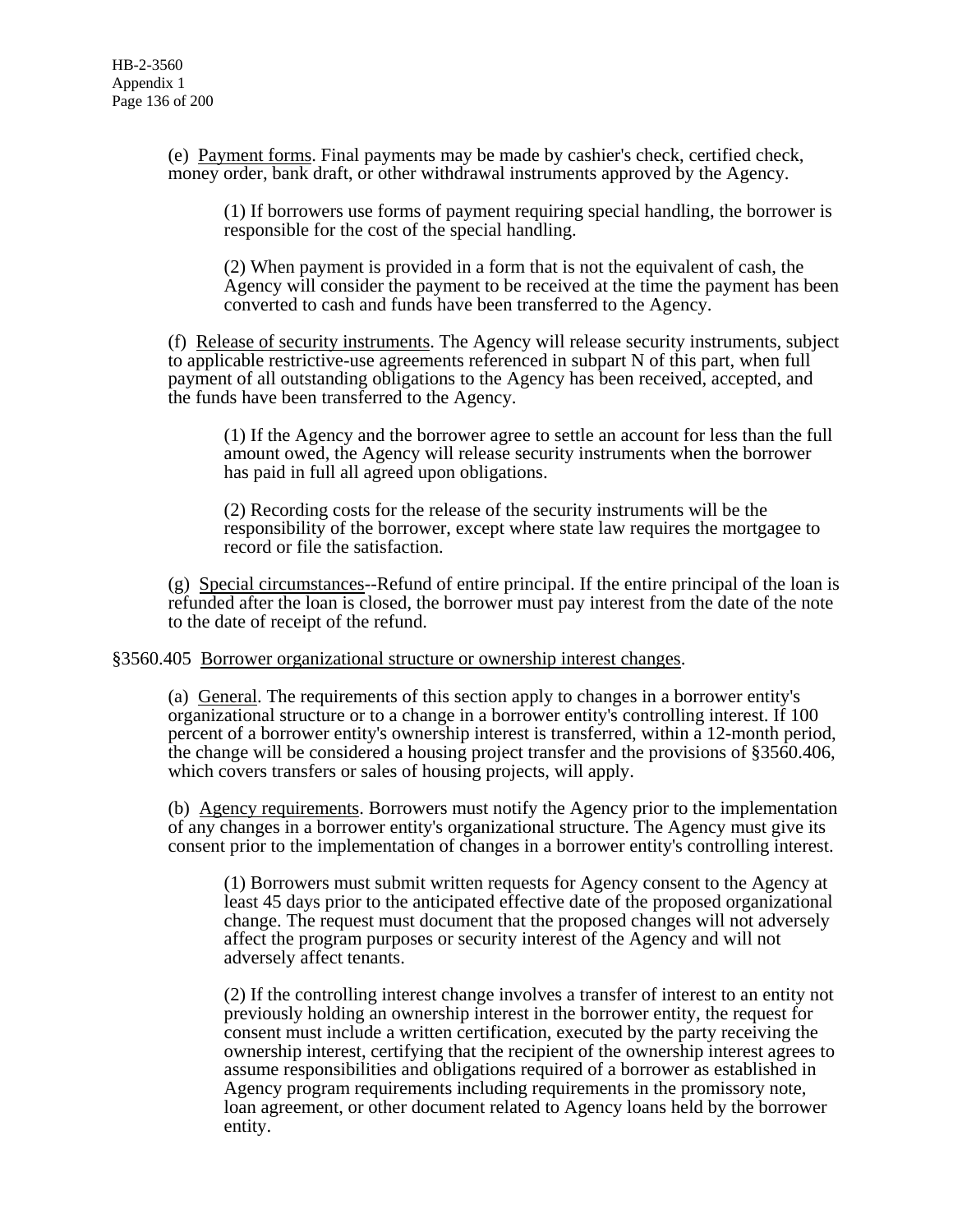(e) Payment forms. Final payments may be made by cashier's check, certified check, money order, bank draft, or other withdrawal instruments approved by the Agency.

(1) If borrowers use forms of payment requiring special handling, the borrower is responsible for the cost of the special handling.

(2) When payment is provided in a form that is not the equivalent of cash, the Agency will consider the payment to be received at the time the payment has been converted to cash and funds have been transferred to the Agency.

(f) Release of security instruments. The Agency will release security instruments, subject to applicable restrictive-use agreements referenced in subpart N of this part, when full payment of all outstanding obligations to the Agency has been received, accepted, and the funds have been transferred to the Agency.

(1) If the Agency and the borrower agree to settle an account for less than the full amount owed, the Agency will release security instruments when the borrower has paid in full all agreed upon obligations.

(2) Recording costs for the release of the security instruments will be the responsibility of the borrower, except where state law requires the mortgagee to record or file the satisfaction.

(g) Special circumstances--Refund of entire principal. If the entire principal of the loan is refunded after the loan is closed, the borrower must pay interest from the date of the note to the date of receipt of the refund.

§3560.405 Borrower organizational structure or ownership interest changes.

(a) General. The requirements of this section apply to changes in a borrower entity's organizational structure or to a change in a borrower entity's controlling interest. If 100 percent of a borrower entity's ownership interest is transferred, within a 12-month period, the change will be considered a housing project transfer and the provisions of §3560.406, which covers transfers or sales of housing projects, will apply.

(b) Agency requirements. Borrowers must notify the Agency prior to the implementation of any changes in a borrower entity's organizational structure. The Agency must give its consent prior to the implementation of changes in a borrower entity's controlling interest.

(1) Borrowers must submit written requests for Agency consent to the Agency at least 45 days prior to the anticipated effective date of the proposed organizational change. The request must document that the proposed changes will not adversely affect the program purposes or security interest of the Agency and will not adversely affect tenants.

(2) If the controlling interest change involves a transfer of interest to an entity not previously holding an ownership interest in the borrower entity, the request for consent must include a written certification, executed by the party receiving the ownership interest, certifying that the recipient of the ownership interest agrees to assume responsibilities and obligations required of a borrower as established in Agency program requirements including requirements in the promissory note, loan agreement, or other document related to Agency loans held by the borrower entity.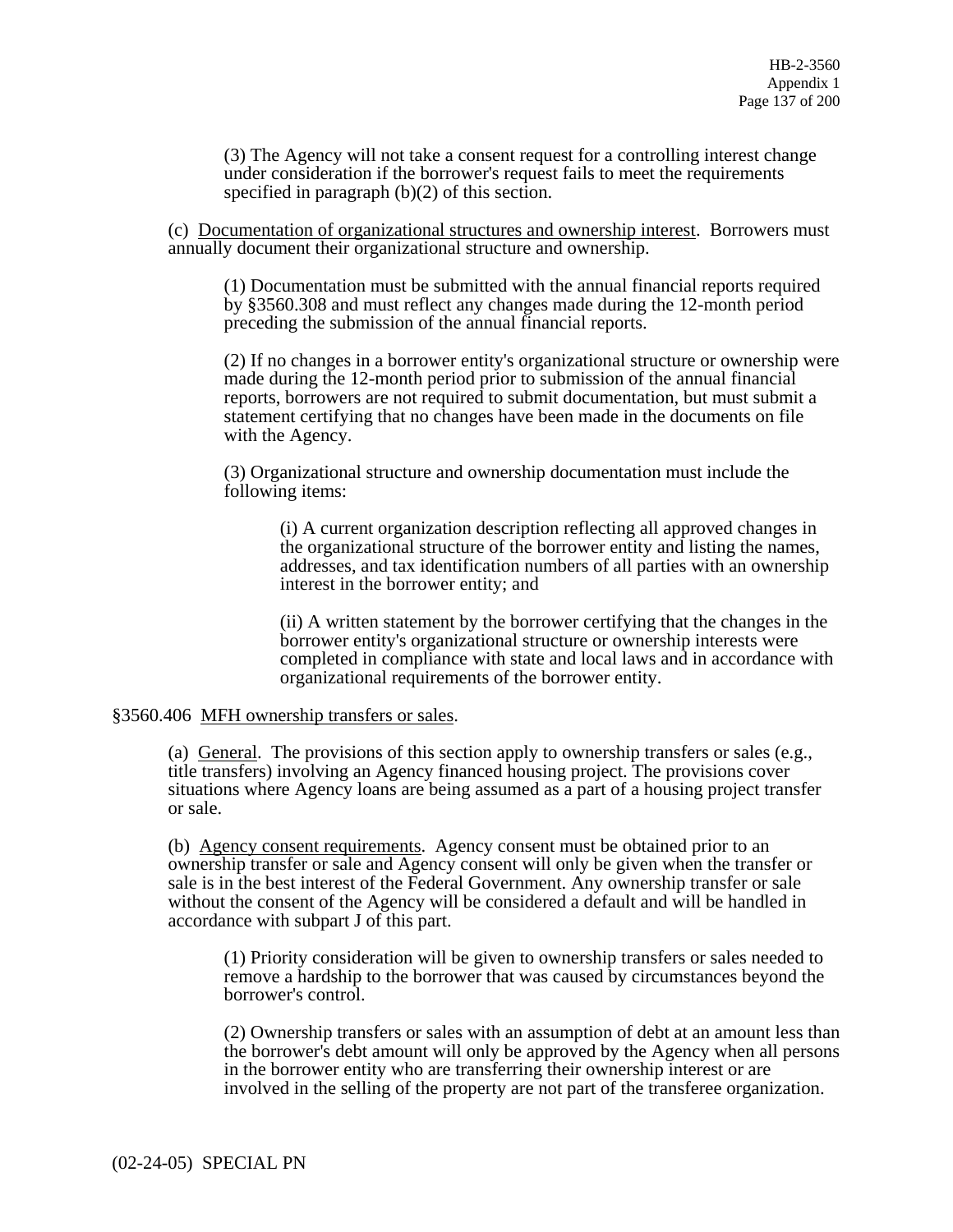(3) The Agency will not take a consent request for a controlling interest change under consideration if the borrower's request fails to meet the requirements specified in paragraph (b)(2) of this section.

(c) Documentation of organizational structures and ownership interest. Borrowers must annually document their organizational structure and ownership.

(1) Documentation must be submitted with the annual financial reports required by §3560.308 and must reflect any changes made during the 12-month period preceding the submission of the annual financial reports.

(2) If no changes in a borrower entity's organizational structure or ownership were made during the 12-month period prior to submission of the annual financial reports, borrowers are not required to submit documentation, but must submit a statement certifying that no changes have been made in the documents on file with the Agency.

(3) Organizational structure and ownership documentation must include the following items:

(i) A current organization description reflecting all approved changes in the organizational structure of the borrower entity and listing the names, addresses, and tax identification numbers of all parties with an ownership interest in the borrower entity; and

(ii) A written statement by the borrower certifying that the changes in the borrower entity's organizational structure or ownership interests were completed in compliance with state and local laws and in accordance with organizational requirements of the borrower entity.

### §3560.406 MFH ownership transfers or sales.

(a) General. The provisions of this section apply to ownership transfers or sales (e.g., title transfers) involving an Agency financed housing project. The provisions cover situations where Agency loans are being assumed as a part of a housing project transfer or sale.

(b) Agency consent requirements. Agency consent must be obtained prior to an ownership transfer or sale and Agency consent will only be given when the transfer or sale is in the best interest of the Federal Government. Any ownership transfer or sale without the consent of the Agency will be considered a default and will be handled in accordance with subpart J of this part.

(1) Priority consideration will be given to ownership transfers or sales needed to remove a hardship to the borrower that was caused by circumstances beyond the borrower's control.

(2) Ownership transfers or sales with an assumption of debt at an amount less than the borrower's debt amount will only be approved by the Agency when all persons in the borrower entity who are transferring their ownership interest or are involved in the selling of the property are not part of the transferee organization.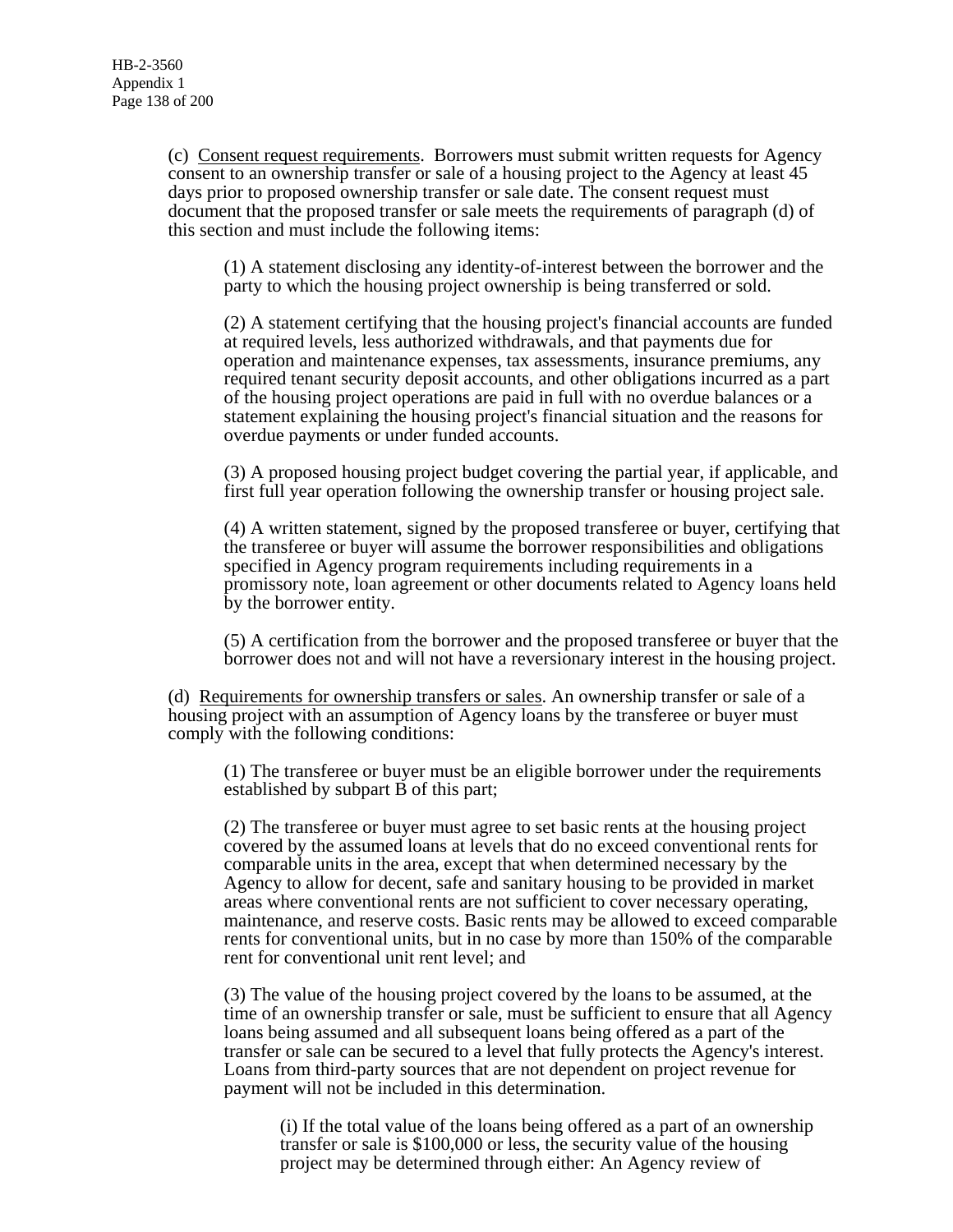(c) Consent request requirements. Borrowers must submit written requests for Agency consent to an ownership transfer or sale of a housing project to the Agency at least 45 days prior to proposed ownership transfer or sale date. The consent request must document that the proposed transfer or sale meets the requirements of paragraph (d) of this section and must include the following items:

(1) A statement disclosing any identity-of-interest between the borrower and the party to which the housing project ownership is being transferred or sold.

(2) A statement certifying that the housing project's financial accounts are funded at required levels, less authorized withdrawals, and that payments due for operation and maintenance expenses, tax assessments, insurance premiums, any required tenant security deposit accounts, and other obligations incurred as a part of the housing project operations are paid in full with no overdue balances or a statement explaining the housing project's financial situation and the reasons for overdue payments or under funded accounts.

(3) A proposed housing project budget covering the partial year, if applicable, and first full year operation following the ownership transfer or housing project sale.

(4) A written statement, signed by the proposed transferee or buyer, certifying that the transferee or buyer will assume the borrower responsibilities and obligations specified in Agency program requirements including requirements in a promissory note, loan agreement or other documents related to Agency loans held by the borrower entity.

(5) A certification from the borrower and the proposed transferee or buyer that the borrower does not and will not have a reversionary interest in the housing project.

(d) Requirements for ownership transfers or sales. An ownership transfer or sale of a housing project with an assumption of Agency loans by the transferee or buyer must comply with the following conditions:

(1) The transferee or buyer must be an eligible borrower under the requirements established by subpart B of this part;

(2) The transferee or buyer must agree to set basic rents at the housing project covered by the assumed loans at levels that do no exceed conventional rents for comparable units in the area, except that when determined necessary by the Agency to allow for decent, safe and sanitary housing to be provided in market areas where conventional rents are not sufficient to cover necessary operating, maintenance, and reserve costs. Basic rents may be allowed to exceed comparable rents for conventional units, but in no case by more than 150% of the comparable rent for conventional unit rent level; and

(3) The value of the housing project covered by the loans to be assumed, at the time of an ownership transfer or sale, must be sufficient to ensure that all Agency loans being assumed and all subsequent loans being offered as a part of the transfer or sale can be secured to a level that fully protects the Agency's interest. Loans from third-party sources that are not dependent on project revenue for payment will not be included in this determination.

(i) If the total value of the loans being offered as a part of an ownership transfer or sale is \$100,000 or less, the security value of the housing project may be determined through either: An Agency review of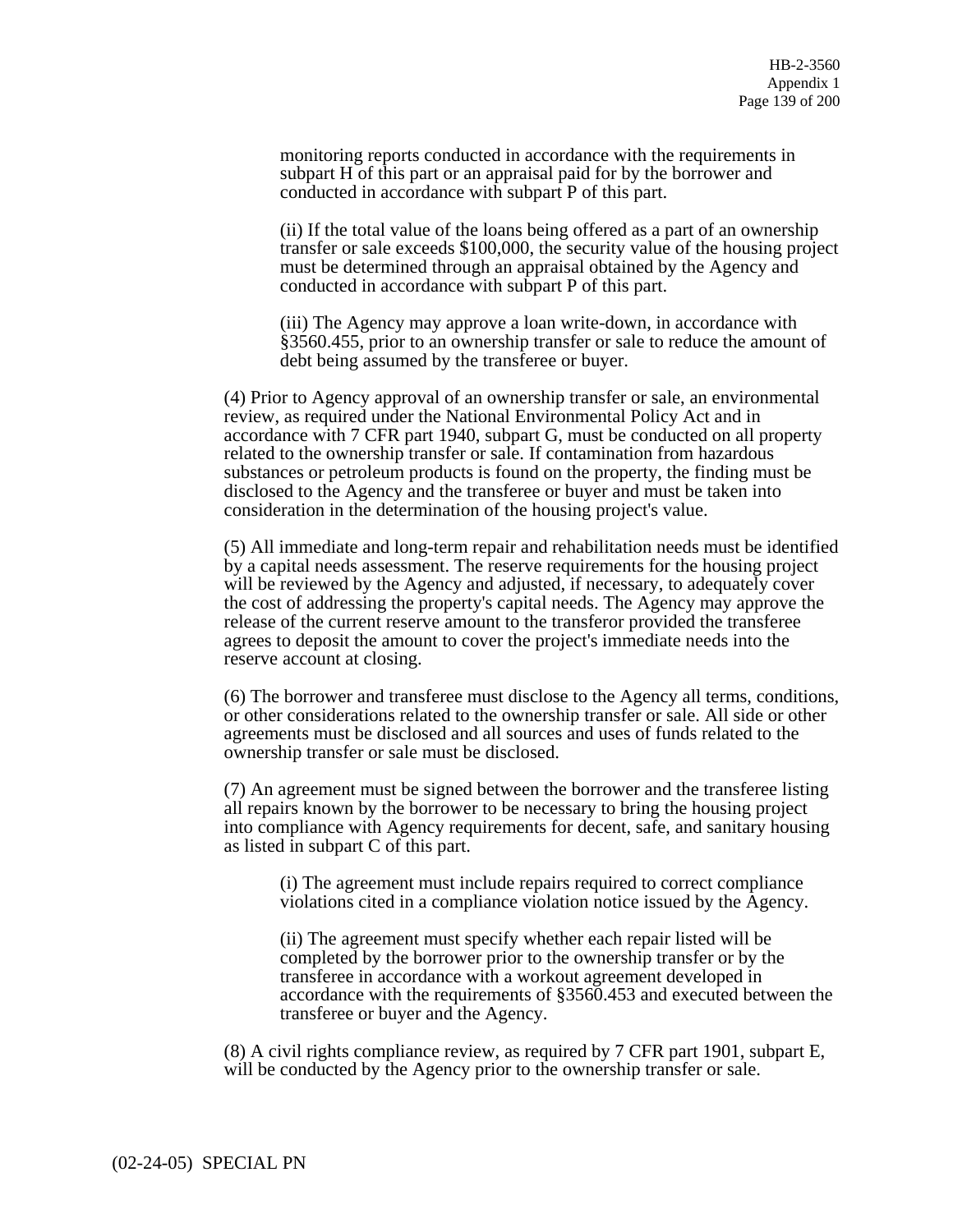monitoring reports conducted in accordance with the requirements in subpart H of this part or an appraisal paid for by the borrower and conducted in accordance with subpart P of this part.

(ii) If the total value of the loans being offered as a part of an ownership transfer or sale exceeds \$100,000, the security value of the housing project must be determined through an appraisal obtained by the Agency and conducted in accordance with subpart P of this part.

(iii) The Agency may approve a loan write-down, in accordance with §3560.455, prior to an ownership transfer or sale to reduce the amount of debt being assumed by the transferee or buyer.

(4) Prior to Agency approval of an ownership transfer or sale, an environmental review, as required under the National Environmental Policy Act and in accordance with 7 CFR part 1940, subpart G, must be conducted on all property related to the ownership transfer or sale. If contamination from hazardous substances or petroleum products is found on the property, the finding must be disclosed to the Agency and the transferee or buyer and must be taken into consideration in the determination of the housing project's value.

(5) All immediate and long-term repair and rehabilitation needs must be identified by a capital needs assessment. The reserve requirements for the housing project will be reviewed by the Agency and adjusted, if necessary, to adequately cover the cost of addressing the property's capital needs. The Agency may approve the release of the current reserve amount to the transferor provided the transferee agrees to deposit the amount to cover the project's immediate needs into the reserve account at closing.

(6) The borrower and transferee must disclose to the Agency all terms, conditions, or other considerations related to the ownership transfer or sale. All side or other agreements must be disclosed and all sources and uses of funds related to the ownership transfer or sale must be disclosed.

(7) An agreement must be signed between the borrower and the transferee listing all repairs known by the borrower to be necessary to bring the housing project into compliance with Agency requirements for decent, safe, and sanitary housing as listed in subpart C of this part.

(i) The agreement must include repairs required to correct compliance violations cited in a compliance violation notice issued by the Agency.

(ii) The agreement must specify whether each repair listed will be completed by the borrower prior to the ownership transfer or by the transferee in accordance with a workout agreement developed in accordance with the requirements of §3560.453 and executed between the transferee or buyer and the Agency.

(8) A civil rights compliance review, as required by 7 CFR part 1901, subpart E, will be conducted by the Agency prior to the ownership transfer or sale.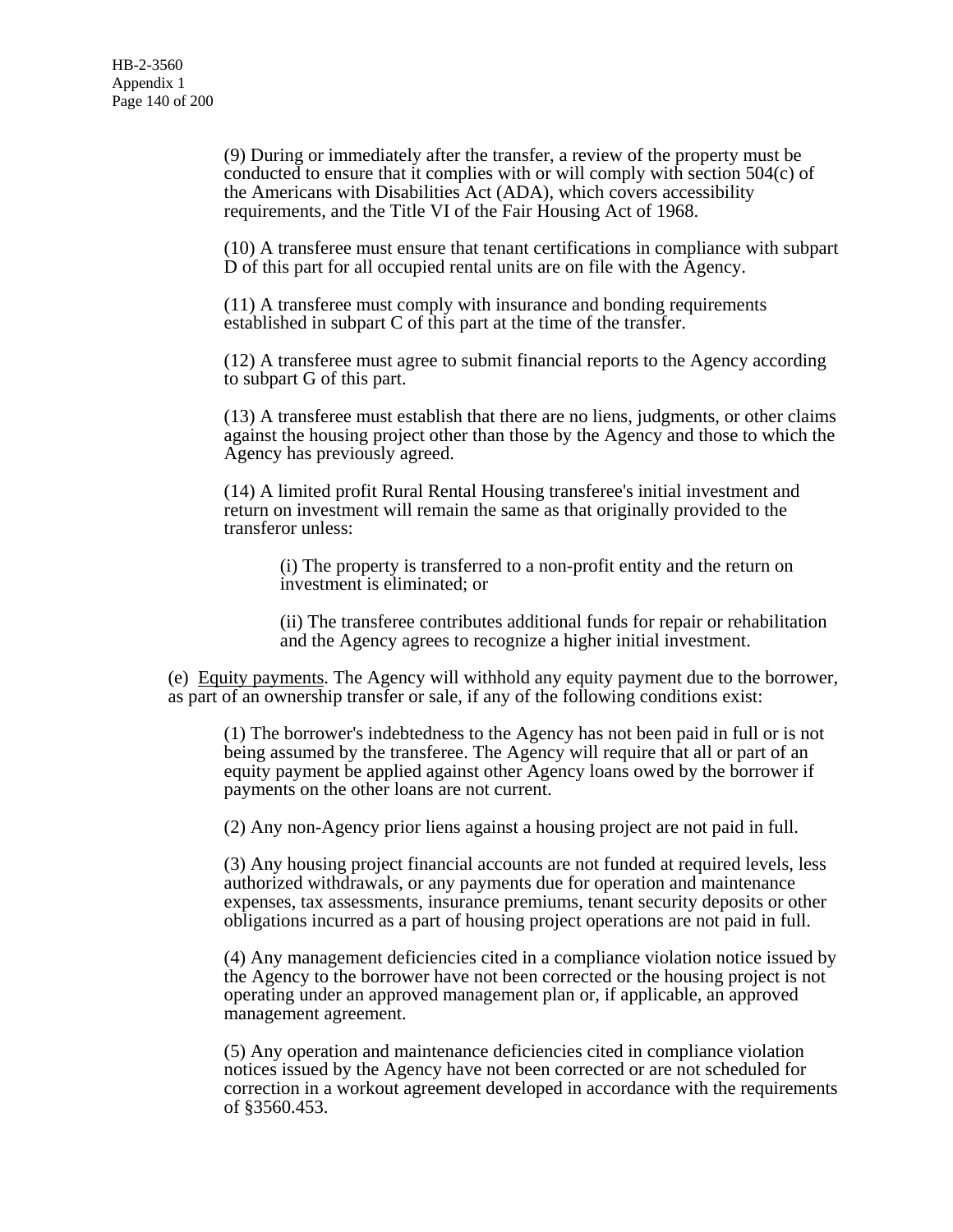(9) During or immediately after the transfer, a review of the property must be conducted to ensure that it complies with or will comply with section 504(c) of the Americans with Disabilities Act (ADA), which covers accessibility requirements, and the Title VI of the Fair Housing Act of 1968.

(10) A transferee must ensure that tenant certifications in compliance with subpart D of this part for all occupied rental units are on file with the Agency.

(11) A transferee must comply with insurance and bonding requirements established in subpart C of this part at the time of the transfer.

(12) A transferee must agree to submit financial reports to the Agency according to subpart G of this part.

(13) A transferee must establish that there are no liens, judgments, or other claims against the housing project other than those by the Agency and those to which the Agency has previously agreed.

(14) A limited profit Rural Rental Housing transferee's initial investment and return on investment will remain the same as that originally provided to the transferor unless:

(i) The property is transferred to a non-profit entity and the return on investment is eliminated; or

(ii) The transferee contributes additional funds for repair or rehabilitation and the Agency agrees to recognize a higher initial investment.

(e) Equity payments. The Agency will withhold any equity payment due to the borrower, as part of an ownership transfer or sale, if any of the following conditions exist:

(1) The borrower's indebtedness to the Agency has not been paid in full or is not being assumed by the transferee. The Agency will require that all or part of an equity payment be applied against other Agency loans owed by the borrower if payments on the other loans are not current.

(2) Any non-Agency prior liens against a housing project are not paid in full.

(3) Any housing project financial accounts are not funded at required levels, less authorized withdrawals, or any payments due for operation and maintenance expenses, tax assessments, insurance premiums, tenant security deposits or other obligations incurred as a part of housing project operations are not paid in full.

(4) Any management deficiencies cited in a compliance violation notice issued by the Agency to the borrower have not been corrected or the housing project is not operating under an approved management plan or, if applicable, an approved management agreement.

(5) Any operation and maintenance deficiencies cited in compliance violation notices issued by the Agency have not been corrected or are not scheduled for correction in a workout agreement developed in accordance with the requirements of §3560.453.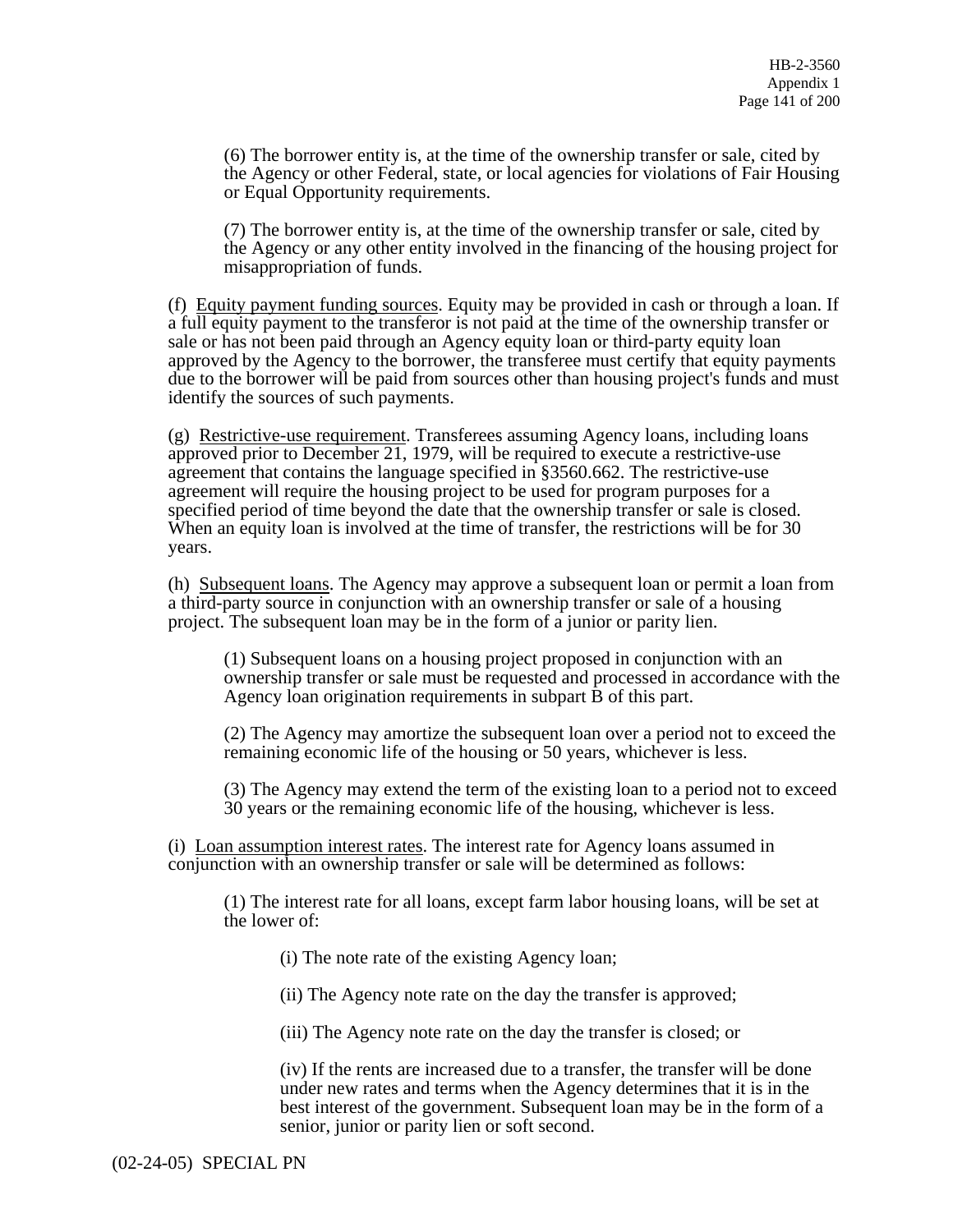(6) The borrower entity is, at the time of the ownership transfer or sale, cited by the Agency or other Federal, state, or local agencies for violations of Fair Housing or Equal Opportunity requirements.

(7) The borrower entity is, at the time of the ownership transfer or sale, cited by the Agency or any other entity involved in the financing of the housing project for misappropriation of funds.

(f) Equity payment funding sources. Equity may be provided in cash or through a loan. If a full equity payment to the transferor is not paid at the time of the ownership transfer or sale or has not been paid through an Agency equity loan or third-party equity loan approved by the Agency to the borrower, the transferee must certify that equity payments due to the borrower will be paid from sources other than housing project's funds and must identify the sources of such payments.

(g) Restrictive-use requirement. Transferees assuming Agency loans, including loans approved prior to December 21, 1979, will be required to execute a restrictive-use agreement that contains the language specified in §3560.662. The restrictive-use agreement will require the housing project to be used for program purposes for a specified period of time beyond the date that the ownership transfer or sale is closed. When an equity loan is involved at the time of transfer, the restrictions will be for 30 years.

(h) Subsequent loans. The Agency may approve a subsequent loan or permit a loan from a third-party source in conjunction with an ownership transfer or sale of a housing project. The subsequent loan may be in the form of a junior or parity lien.

(1) Subsequent loans on a housing project proposed in conjunction with an ownership transfer or sale must be requested and processed in accordance with the Agency loan origination requirements in subpart B of this part.

(2) The Agency may amortize the subsequent loan over a period not to exceed the remaining economic life of the housing or 50 years, whichever is less.

(3) The Agency may extend the term of the existing loan to a period not to exceed 30 years or the remaining economic life of the housing, whichever is less.

(i) Loan assumption interest rates. The interest rate for Agency loans assumed in conjunction with an ownership transfer or sale will be determined as follows:

(1) The interest rate for all loans, except farm labor housing loans, will be set at the lower of:

(i) The note rate of the existing Agency loan;

(ii) The Agency note rate on the day the transfer is approved;

(iii) The Agency note rate on the day the transfer is closed; or

(iv) If the rents are increased due to a transfer, the transfer will be done under new rates and terms when the Agency determines that it is in the best interest of the government. Subsequent loan may be in the form of a senior, junior or parity lien or soft second.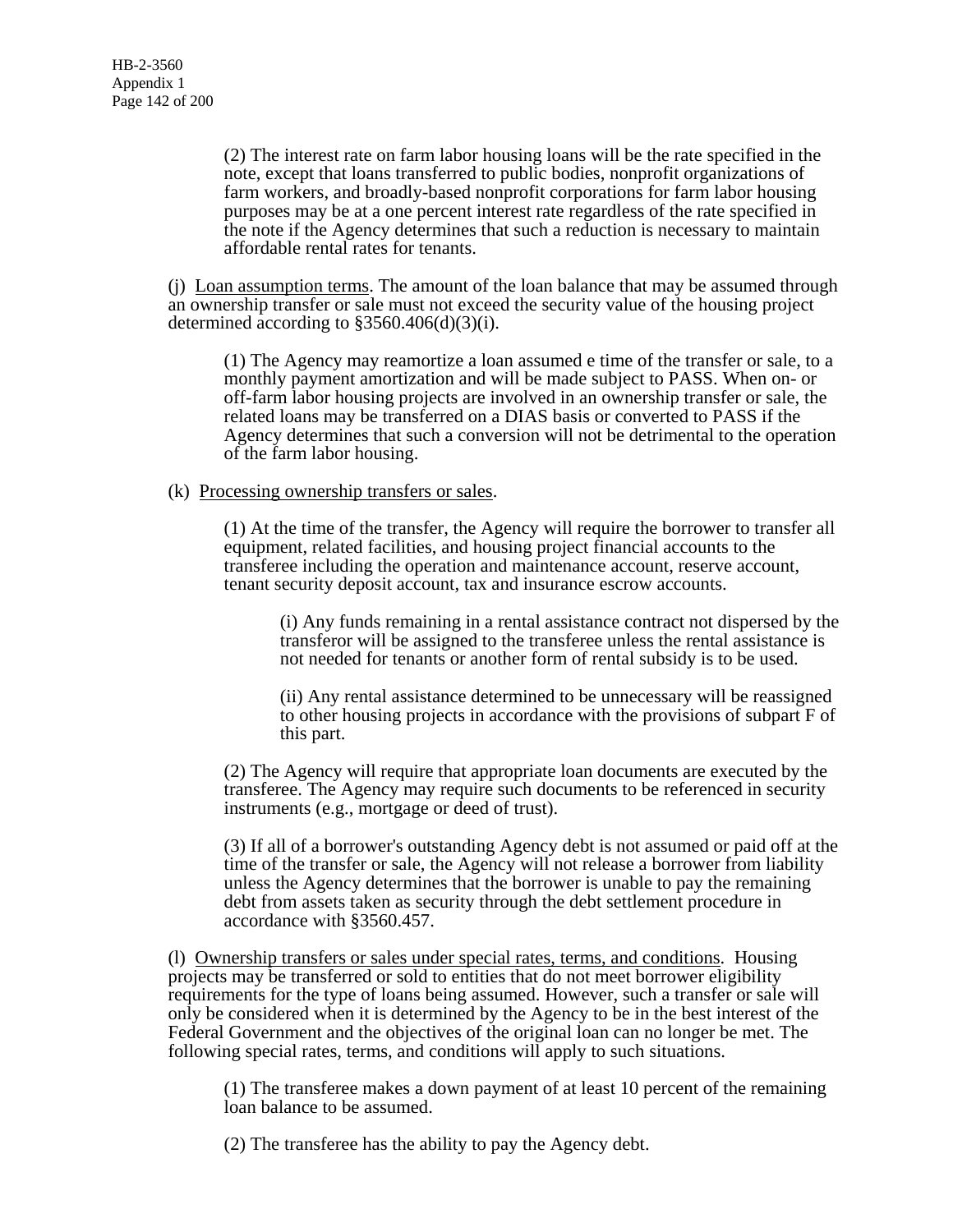(2) The interest rate on farm labor housing loans will be the rate specified in the note, except that loans transferred to public bodies, nonprofit organizations of farm workers, and broadly-based nonprofit corporations for farm labor housing purposes may be at a one percent interest rate regardless of the rate specified in the note if the Agency determines that such a reduction is necessary to maintain affordable rental rates for tenants.

(j) Loan assumption terms. The amount of the loan balance that may be assumed through an ownership transfer or sale must not exceed the security value of the housing project determined according to §3560.406(d)(3)(i).

(1) The Agency may reamortize a loan assumed e time of the transfer or sale, to a monthly payment amortization and will be made subject to PASS. When on- or off-farm labor housing projects are involved in an ownership transfer or sale, the related loans may be transferred on a DIAS basis or converted to PASS if the Agency determines that such a conversion will not be detrimental to the operation of the farm labor housing.

(k) Processing ownership transfers or sales.

(1) At the time of the transfer, the Agency will require the borrower to transfer all equipment, related facilities, and housing project financial accounts to the transferee including the operation and maintenance account, reserve account, tenant security deposit account, tax and insurance escrow accounts.

(i) Any funds remaining in a rental assistance contract not dispersed by the transferor will be assigned to the transferee unless the rental assistance is not needed for tenants or another form of rental subsidy is to be used.

(ii) Any rental assistance determined to be unnecessary will be reassigned to other housing projects in accordance with the provisions of subpart F of this part.

(2) The Agency will require that appropriate loan documents are executed by the transferee. The Agency may require such documents to be referenced in security instruments (e.g., mortgage or deed of trust).

(3) If all of a borrower's outstanding Agency debt is not assumed or paid off at the time of the transfer or sale, the Agency will not release a borrower from liability unless the Agency determines that the borrower is unable to pay the remaining debt from assets taken as security through the debt settlement procedure in accordance with §3560.457.

(l) Ownership transfers or sales under special rates, terms, and conditions. Housing projects may be transferred or sold to entities that do not meet borrower eligibility requirements for the type of loans being assumed. However, such a transfer or sale will only be considered when it is determined by the Agency to be in the best interest of the Federal Government and the objectives of the original loan can no longer be met. The following special rates, terms, and conditions will apply to such situations.

(1) The transferee makes a down payment of at least 10 percent of the remaining loan balance to be assumed.

(2) The transferee has the ability to pay the Agency debt.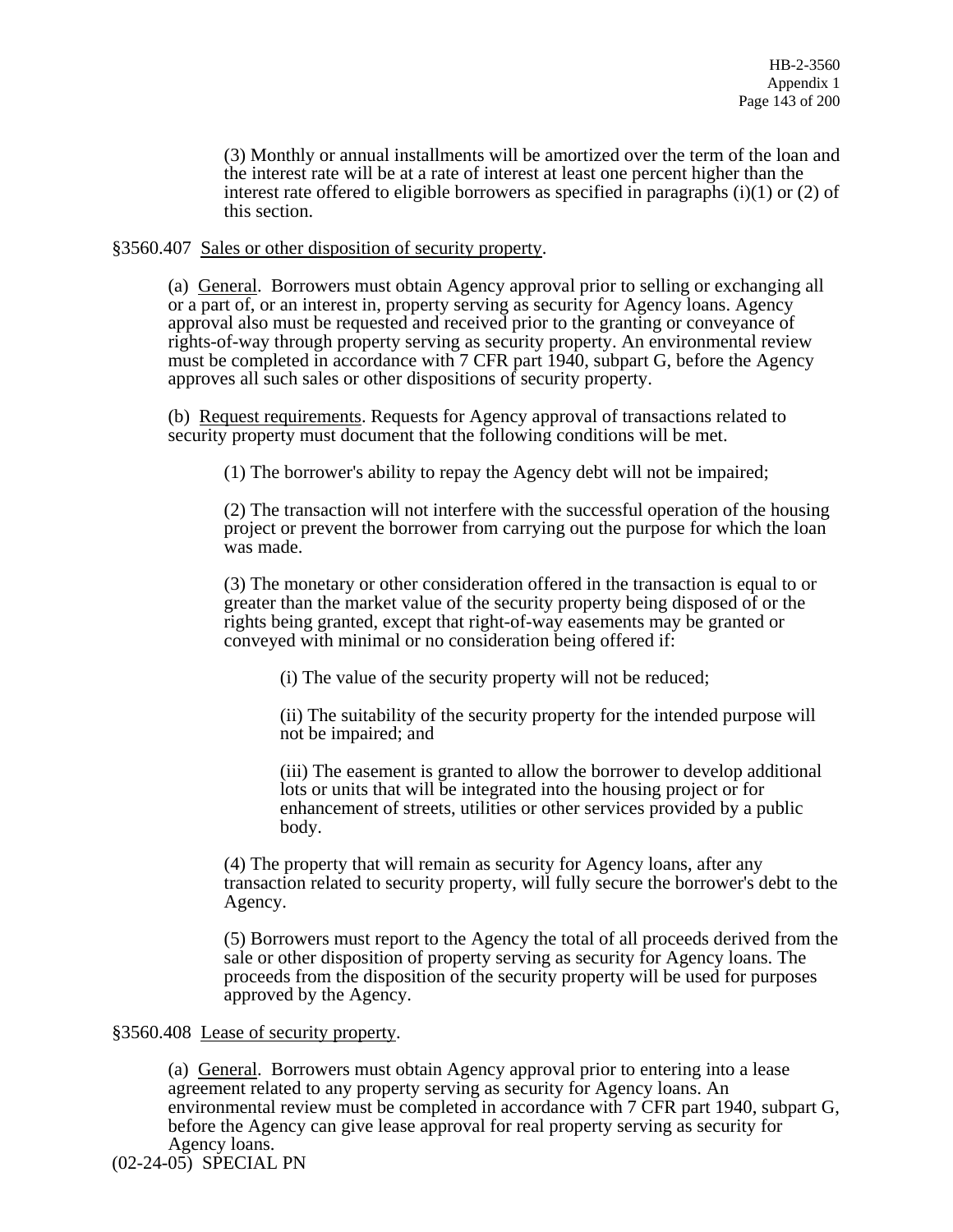(3) Monthly or annual installments will be amortized over the term of the loan and the interest rate will be at a rate of interest at least one percent higher than the interest rate offered to eligible borrowers as specified in paragraphs (i)(1) or (2) of this section.

§3560.407 Sales or other disposition of security property.

(a) General. Borrowers must obtain Agency approval prior to selling or exchanging all or a part of, or an interest in, property serving as security for Agency loans. Agency approval also must be requested and received prior to the granting or conveyance of rights-of-way through property serving as security property. An environmental review must be completed in accordance with 7 CFR part 1940, subpart G, before the Agency approves all such sales or other dispositions of security property.

(b) Request requirements. Requests for Agency approval of transactions related to security property must document that the following conditions will be met.

(1) The borrower's ability to repay the Agency debt will not be impaired;

(2) The transaction will not interfere with the successful operation of the housing project or prevent the borrower from carrying out the purpose for which the loan was made.

(3) The monetary or other consideration offered in the transaction is equal to or greater than the market value of the security property being disposed of or the rights being granted, except that right-of-way easements may be granted or conveyed with minimal or no consideration being offered if:

(i) The value of the security property will not be reduced;

(ii) The suitability of the security property for the intended purpose will not be impaired; and

(iii) The easement is granted to allow the borrower to develop additional lots or units that will be integrated into the housing project or for enhancement of streets, utilities or other services provided by a public body.

(4) The property that will remain as security for Agency loans, after any transaction related to security property, will fully secure the borrower's debt to the Agency.

(5) Borrowers must report to the Agency the total of all proceeds derived from the sale or other disposition of property serving as security for Agency loans. The proceeds from the disposition of the security property will be used for purposes approved by the Agency.

# §3560.408 Lease of security property.

(a) General. Borrowers must obtain Agency approval prior to entering into a lease agreement related to any property serving as security for Agency loans. An environmental review must be completed in accordance with 7 CFR part 1940, subpart G, before the Agency can give lease approval for real property serving as security for Agency loans.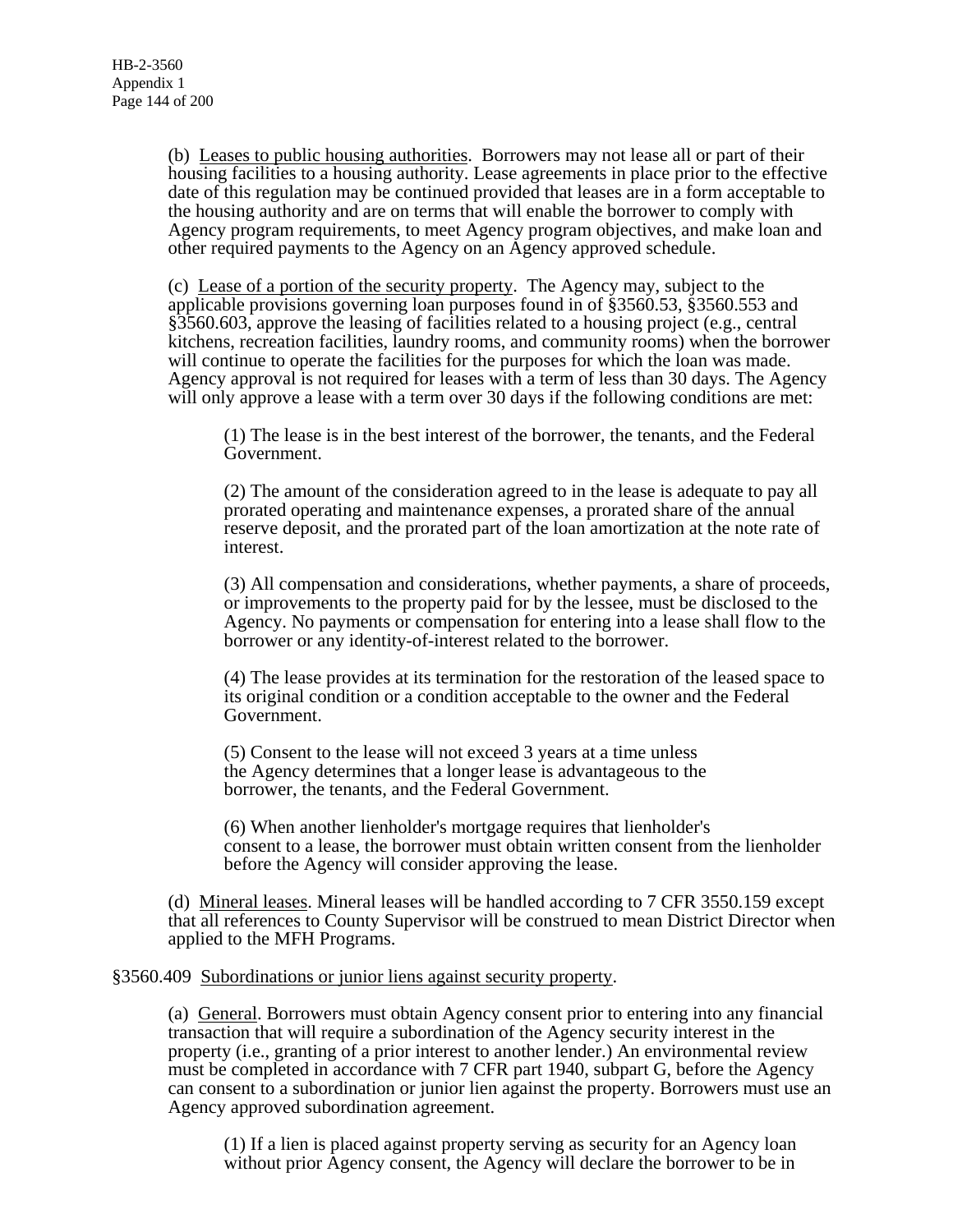(b) Leases to public housing authorities. Borrowers may not lease all or part of their housing facilities to a housing authority. Lease agreements in place prior to the effective date of this regulation may be continued provided that leases are in a form acceptable to the housing authority and are on terms that will enable the borrower to comply with Agency program requirements, to meet Agency program objectives, and make loan and other required payments to the Agency on an Agency approved schedule.

(c) Lease of a portion of the security property. The Agency may, subject to the applicable provisions governing loan purposes found in of §3560.53, §3560.553 and §3560.603, approve the leasing of facilities related to a housing project (e.g., central kitchens, recreation facilities, laundry rooms, and community rooms) when the borrower will continue to operate the facilities for the purposes for which the loan was made. Agency approval is not required for leases with a term of less than 30 days. The Agency will only approve a lease with a term over 30 days if the following conditions are met:

(1) The lease is in the best interest of the borrower, the tenants, and the Federal Government.

(2) The amount of the consideration agreed to in the lease is adequate to pay all prorated operating and maintenance expenses, a prorated share of the annual reserve deposit, and the prorated part of the loan amortization at the note rate of interest.

(3) All compensation and considerations, whether payments, a share of proceeds, or improvements to the property paid for by the lessee, must be disclosed to the Agency. No payments or compensation for entering into a lease shall flow to the borrower or any identity-of-interest related to the borrower.

(4) The lease provides at its termination for the restoration of the leased space to its original condition or a condition acceptable to the owner and the Federal Government.

(5) Consent to the lease will not exceed 3 years at a time unless the Agency determines that a longer lease is advantageous to the borrower, the tenants, and the Federal Government.

(6) When another lienholder's mortgage requires that lienholder's consent to a lease, the borrower must obtain written consent from the lienholder before the Agency will consider approving the lease.

(d) Mineral leases. Mineral leases will be handled according to 7 CFR 3550.159 except that all references to County Supervisor will be construed to mean District Director when applied to the MFH Programs.

### §3560.409 Subordinations or junior liens against security property.

(a) General. Borrowers must obtain Agency consent prior to entering into any financial transaction that will require a subordination of the Agency security interest in the property (i.e., granting of a prior interest to another lender.) An environmental review must be completed in accordance with 7 CFR part 1940, subpart G, before the Agency can consent to a subordination or junior lien against the property. Borrowers must use an Agency approved subordination agreement.

(1) If a lien is placed against property serving as security for an Agency loan without prior Agency consent, the Agency will declare the borrower to be in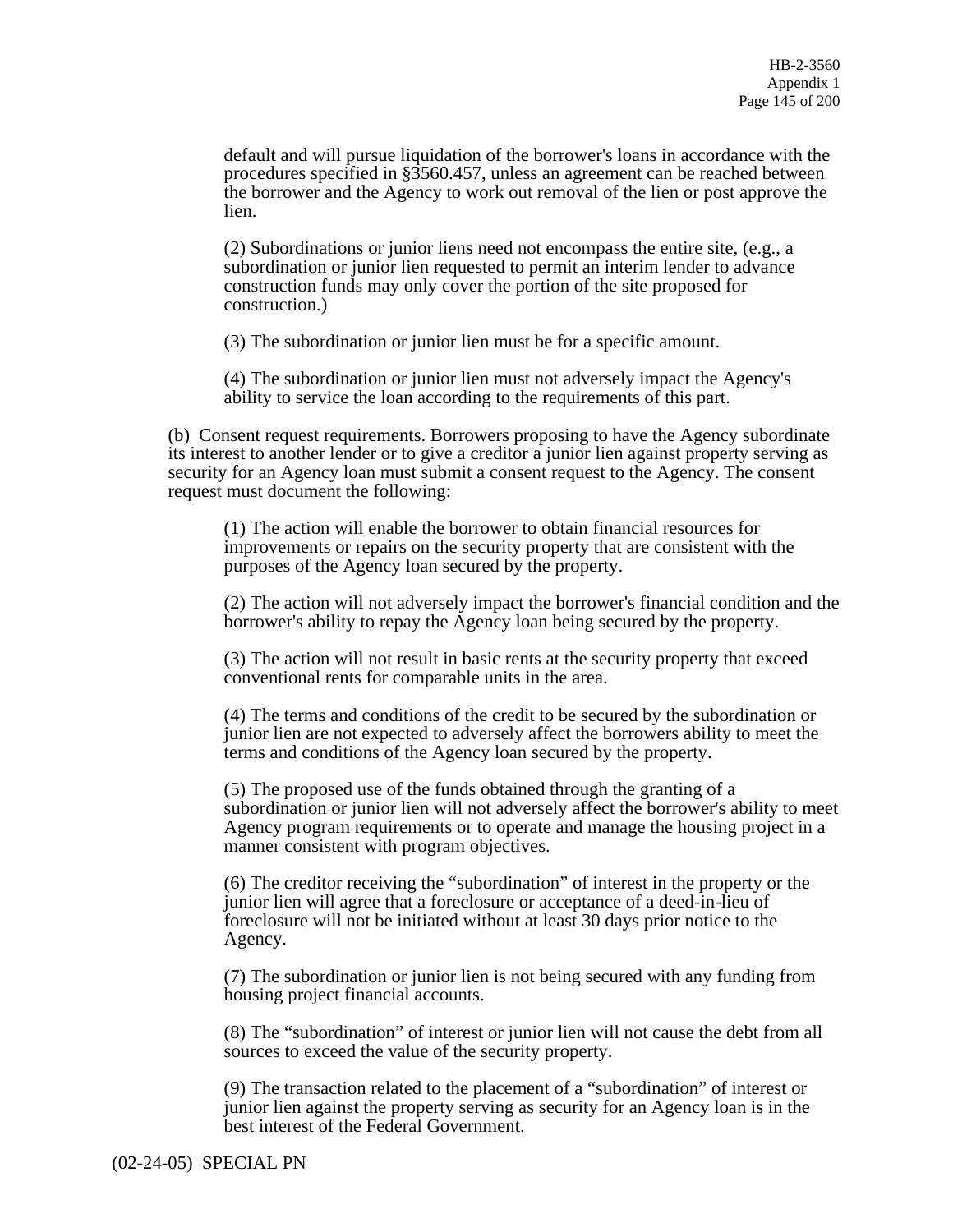default and will pursue liquidation of the borrower's loans in accordance with the procedures specified in §3560.457, unless an agreement can be reached between the borrower and the Agency to work out removal of the lien or post approve the lien.

(2) Subordinations or junior liens need not encompass the entire site, (e.g., a subordination or junior lien requested to permit an interim lender to advance construction funds may only cover the portion of the site proposed for construction.)

(3) The subordination or junior lien must be for a specific amount.

(4) The subordination or junior lien must not adversely impact the Agency's ability to service the loan according to the requirements of this part.

(b) Consent request requirements. Borrowers proposing to have the Agency subordinate its interest to another lender or to give a creditor a junior lien against property serving as security for an Agency loan must submit a consent request to the Agency. The consent request must document the following:

(1) The action will enable the borrower to obtain financial resources for improvements or repairs on the security property that are consistent with the purposes of the Agency loan secured by the property.

(2) The action will not adversely impact the borrower's financial condition and the borrower's ability to repay the Agency loan being secured by the property.

(3) The action will not result in basic rents at the security property that exceed conventional rents for comparable units in the area.

(4) The terms and conditions of the credit to be secured by the subordination or junior lien are not expected to adversely affect the borrowers ability to meet the terms and conditions of the Agency loan secured by the property.

(5) The proposed use of the funds obtained through the granting of a subordination or junior lien will not adversely affect the borrower's ability to meet Agency program requirements or to operate and manage the housing project in a manner consistent with program objectives.

(6) The creditor receiving the "subordination" of interest in the property or the junior lien will agree that a foreclosure or acceptance of a deed-in-lieu of foreclosure will not be initiated without at least 30 days prior notice to the Agency.

(7) The subordination or junior lien is not being secured with any funding from housing project financial accounts.

(8) The "subordination" of interest or junior lien will not cause the debt from all sources to exceed the value of the security property.

(9) The transaction related to the placement of a "subordination" of interest or junior lien against the property serving as security for an Agency loan is in the best interest of the Federal Government.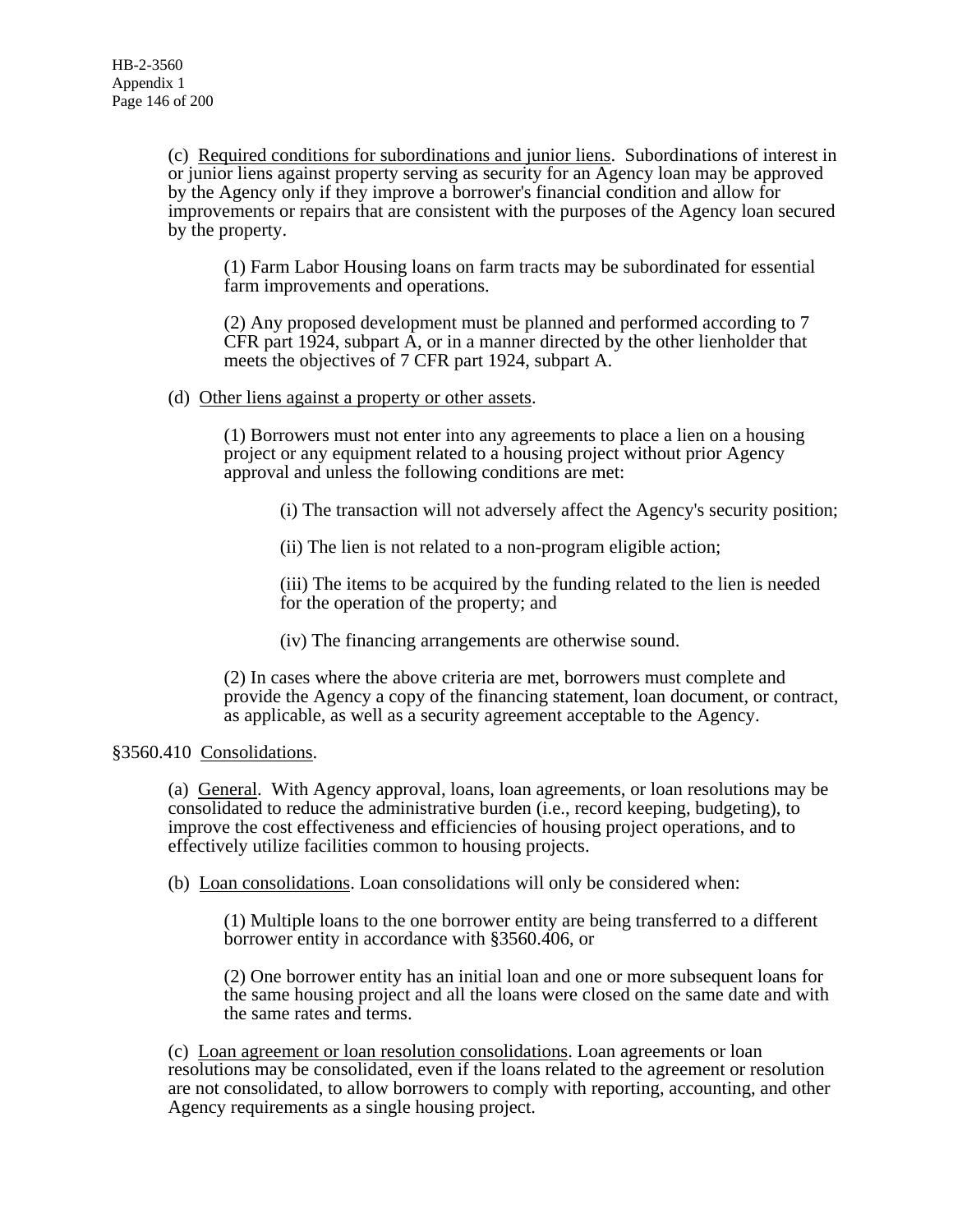(c) Required conditions for subordinations and junior liens. Subordinations of interest in or junior liens against property serving as security for an Agency loan may be approved by the Agency only if they improve a borrower's financial condition and allow for improvements or repairs that are consistent with the purposes of the Agency loan secured by the property.

(1) Farm Labor Housing loans on farm tracts may be subordinated for essential farm improvements and operations.

(2) Any proposed development must be planned and performed according to 7 CFR part 1924, subpart  $\overline{A}$ , or in a manner directed by the other lienholder that meets the objectives of 7 CFR part 1924, subpart A.

# (d) Other liens against a property or other assets.

(1) Borrowers must not enter into any agreements to place a lien on a housing project or any equipment related to a housing project without prior Agency approval and unless the following conditions are met:

(i) The transaction will not adversely affect the Agency's security position;

(ii) The lien is not related to a non-program eligible action;

(iii) The items to be acquired by the funding related to the lien is needed for the operation of the property; and

(iv) The financing arrangements are otherwise sound. (2) In cases where the above criteria are met, borrowers must complete and provide the Agency a copy of the financing statement, loan document, or contract, as applicable, as well as a security agreement acceptable to the Agency.

# §3560.410 Consolidations.

(a) General. With Agency approval, loans, loan agreements, or loan resolutions may be consolidated to reduce the administrative burden (i.e., record keeping, budgeting), to improve the cost effectiveness and efficiencies of housing project operations, and to effectively utilize facilities common to housing projects.

(b) Loan consolidations. Loan consolidations will only be considered when:

(1) Multiple loans to the one borrower entity are being transferred to a different borrower entity in accordance with §3560.406, or

(2) One borrower entity has an initial loan and one or more subsequent loans for the same housing project and all the loans were closed on the same date and with the same rates and terms.

(c) Loan agreement or loan resolution consolidations. Loan agreements or loan resolutions may be consolidated, even if the loans related to the agreement or resolution are not consolidated, to allow borrowers to comply with reporting, accounting, and other Agency requirements as a single housing project.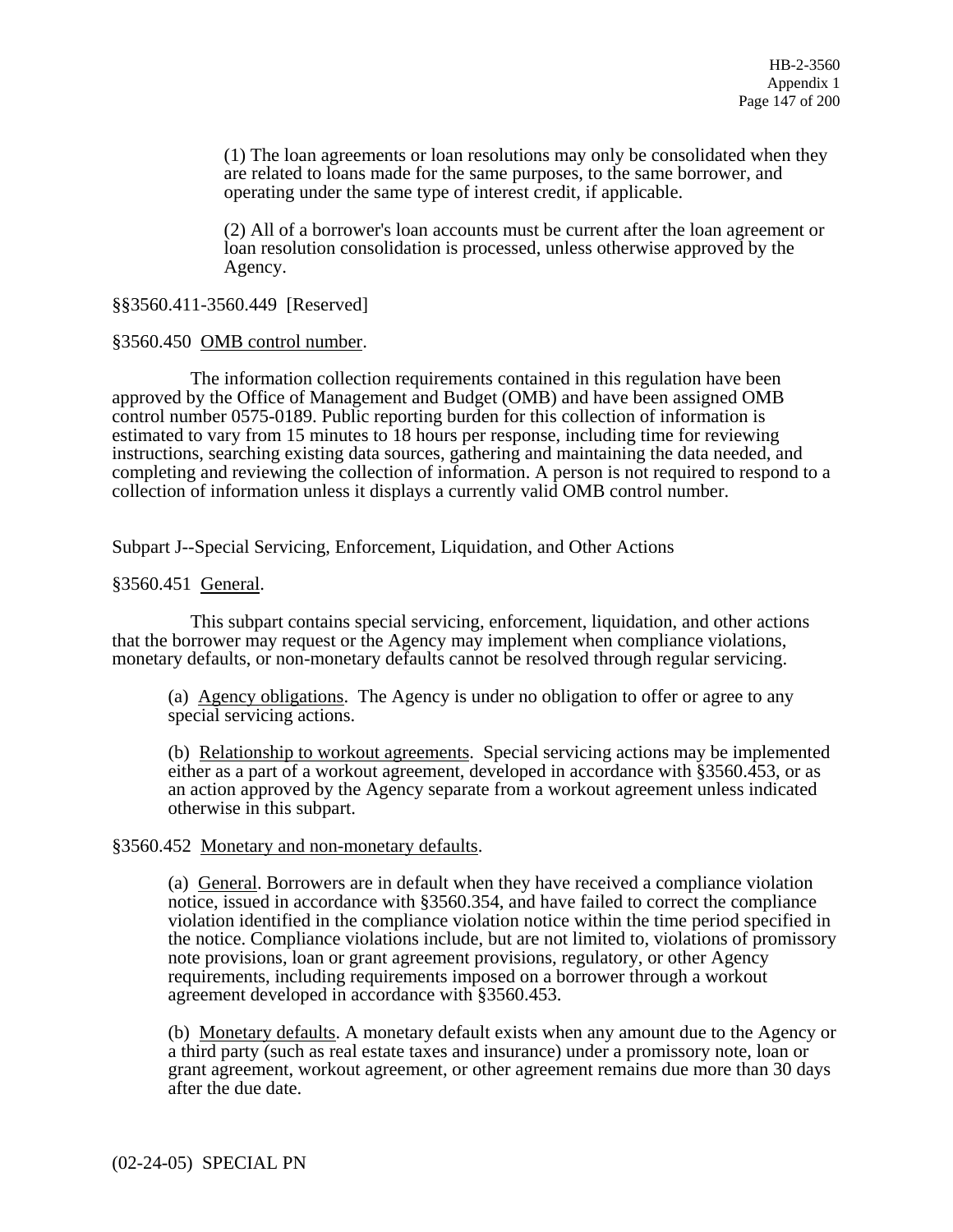(1) The loan agreements or loan resolutions may only be consolidated when they are related to loans made for the same purposes, to the same borrower, and operating under the same type of interest credit, if applicable.

(2) All of a borrower's loan accounts must be current after the loan agreement or loan resolution consolidation is processed, unless otherwise approved by the Agency.

# §§3560.411-3560.449 [Reserved]

# §3560.450 OMB control number.

 The information collection requirements contained in this regulation have been approved by the Office of Management and Budget (OMB) and have been assigned OMB control number 0575-0189. Public reporting burden for this collection of information is estimated to vary from 15 minutes to 18 hours per response, including time for reviewing instructions, searching existing data sources, gathering and maintaining the data needed, and completing and reviewing the collection of information. A person is not required to respond to a collection of information unless it displays a currently valid OMB control number.

Subpart J--Special Servicing, Enforcement, Liquidation, and Other Actions

# §3560.451 General.

 This subpart contains special servicing, enforcement, liquidation, and other actions that the borrower may request or the Agency may implement when compliance violations, monetary defaults, or non-monetary defaults cannot be resolved through regular servicing.

(a) Agency obligations. The Agency is under no obligation to offer or agree to any special servicing actions.

(b) Relationship to workout agreements. Special servicing actions may be implemented either as a part of a workout agreement, developed in accordance with §3560.453, or as an action approved by the Agency separate from a workout agreement unless indicated otherwise in this subpart.

# §3560.452 Monetary and non-monetary defaults.

(a) General. Borrowers are in default when they have received a compliance violation notice, issued in accordance with §3560.354, and have failed to correct the compliance violation identified in the compliance violation notice within the time period specified in the notice. Compliance violations include, but are not limited to, violations of promissory note provisions, loan or grant agreement provisions, regulatory, or other Agency requirements, including requirements imposed on a borrower through a workout agreement developed in accordance with §3560.453.

(b) Monetary defaults. A monetary default exists when any amount due to the Agency or a third party (such as real estate taxes and insurance) under a promissory note, loan or grant agreement, workout agreement, or other agreement remains due more than 30 days after the due date.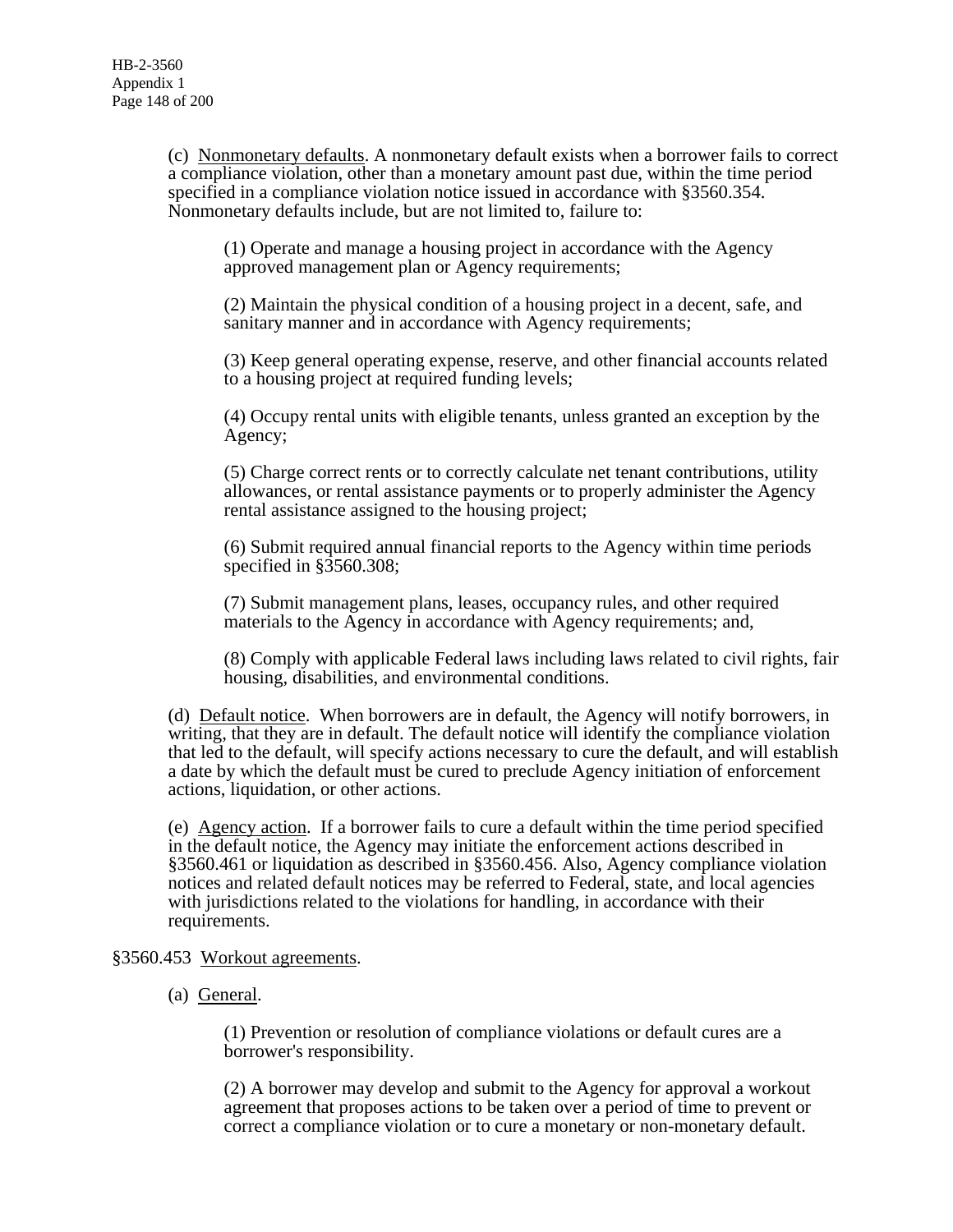(c) Nonmonetary defaults. A nonmonetary default exists when a borrower fails to correct a compliance violation, other than a monetary amount past due, within the time period specified in a compliance violation notice issued in accordance with §3560.354. Nonmonetary defaults include, but are not limited to, failure to:

(1) Operate and manage a housing project in accordance with the Agency approved management plan or Agency requirements;

(2) Maintain the physical condition of a housing project in a decent, safe, and sanitary manner and in accordance with Agency requirements;

(3) Keep general operating expense, reserve, and other financial accounts related to a housing project at required funding levels;

(4) Occupy rental units with eligible tenants, unless granted an exception by the Agency;

(5) Charge correct rents or to correctly calculate net tenant contributions, utility allowances, or rental assistance payments or to properly administer the Agency rental assistance assigned to the housing project;

(6) Submit required annual financial reports to the Agency within time periods specified in §3560.308;

(7) Submit management plans, leases, occupancy rules, and other required materials to the Agency in accordance with Agency requirements; and,

(8) Comply with applicable Federal laws including laws related to civil rights, fair housing, disabilities, and environmental conditions.

(d) Default notice. When borrowers are in default, the Agency will notify borrowers, in writing, that they are in default. The default notice will identify the compliance violation that led to the default, will specify actions necessary to cure the default, and will establish a date by which the default must be cured to preclude Agency initiation of enforcement actions, liquidation, or other actions.

(e) Agency action. If a borrower fails to cure a default within the time period specified in the default notice, the Agency may initiate the enforcement actions described in §3560.461 or liquidation as described in §3560.456. Also, Agency compliance violation notices and related default notices may be referred to Federal, state, and local agencies with jurisdictions related to the violations for handling, in accordance with their requirements.

# §3560.453 Workout agreements.

(a) General.

(1) Prevention or resolution of compliance violations or default cures are a borrower's responsibility.

(2) A borrower may develop and submit to the Agency for approval a workout agreement that proposes actions to be taken over a period of time to prevent or correct a compliance violation or to cure a monetary or non-monetary default.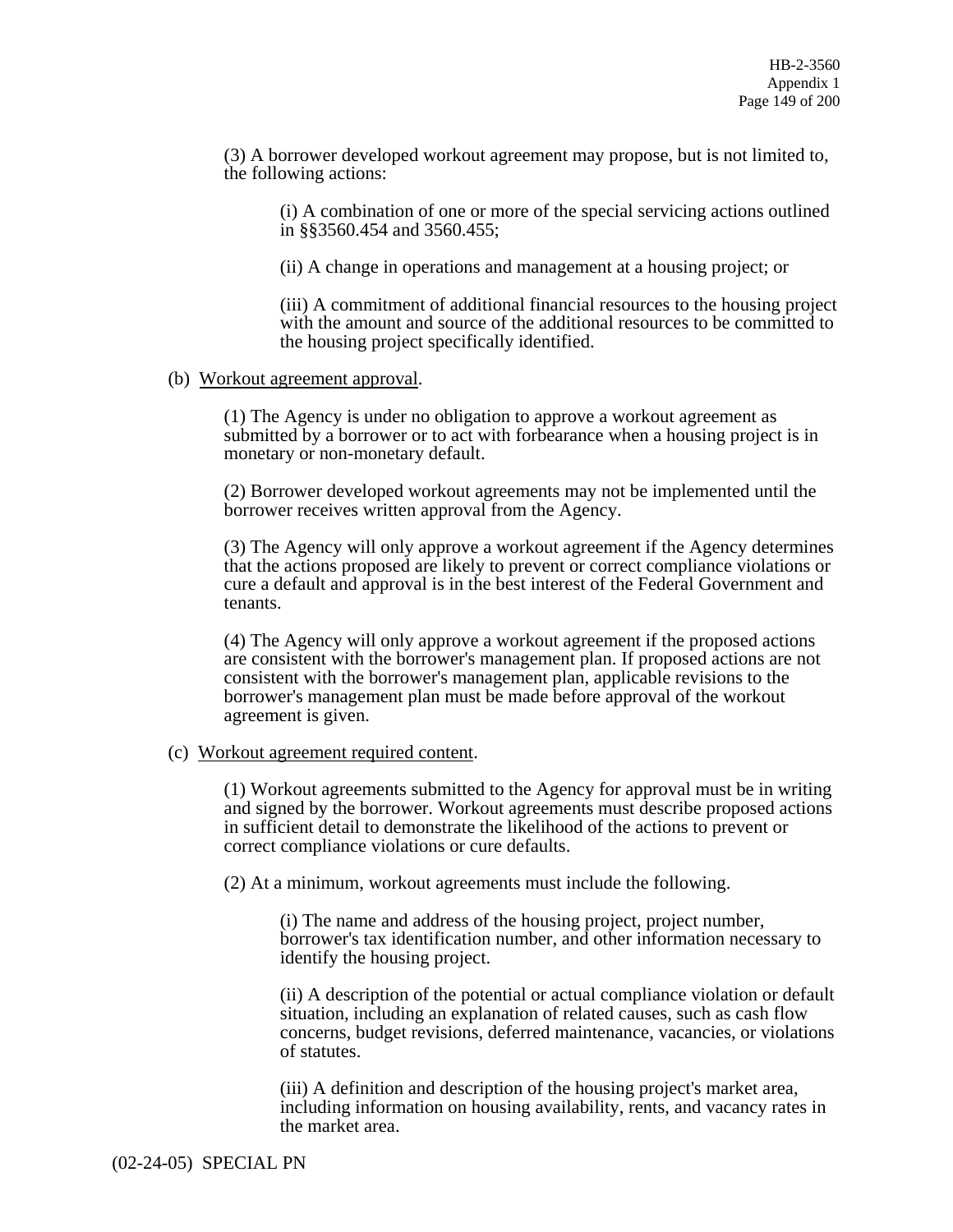(3) A borrower developed workout agreement may propose, but is not limited to, the following actions:

(i) A combination of one or more of the special servicing actions outlined in §§3560.454 and 3560.455;

(ii) A change in operations and management at a housing project; or

(iii) A commitment of additional financial resources to the housing project with the amount and source of the additional resources to be committed to the housing project specifically identified.

#### (b) Workout agreement approval.

(1) The Agency is under no obligation to approve a workout agreement as submitted by a borrower or to act with forbearance when a housing project is in monetary or non-monetary default.

(2) Borrower developed workout agreements may not be implemented until the borrower receives written approval from the Agency.

(3) The Agency will only approve a workout agreement if the Agency determines that the actions proposed are likely to prevent or correct compliance violations or cure a default and approval is in the best interest of the Federal Government and tenants.

(4) The Agency will only approve a workout agreement if the proposed actions are consistent with the borrower's management plan. If proposed actions are not consistent with the borrower's management plan, applicable revisions to the borrower's management plan must be made before approval of the workout agreement is given.

# (c) Workout agreement required content.

(1) Workout agreements submitted to the Agency for approval must be in writing and signed by the borrower. Workout agreements must describe proposed actions in sufficient detail to demonstrate the likelihood of the actions to prevent or correct compliance violations or cure defaults.

(2) At a minimum, workout agreements must include the following.

(i) The name and address of the housing project, project number, borrower's tax identification number, and other information necessary to identify the housing project.

(ii) A description of the potential or actual compliance violation or default situation, including an explanation of related causes, such as cash flow concerns, budget revisions, deferred maintenance, vacancies, or violations of statutes.

(iii) A definition and description of the housing project's market area, including information on housing availability, rents, and vacancy rates in the market area.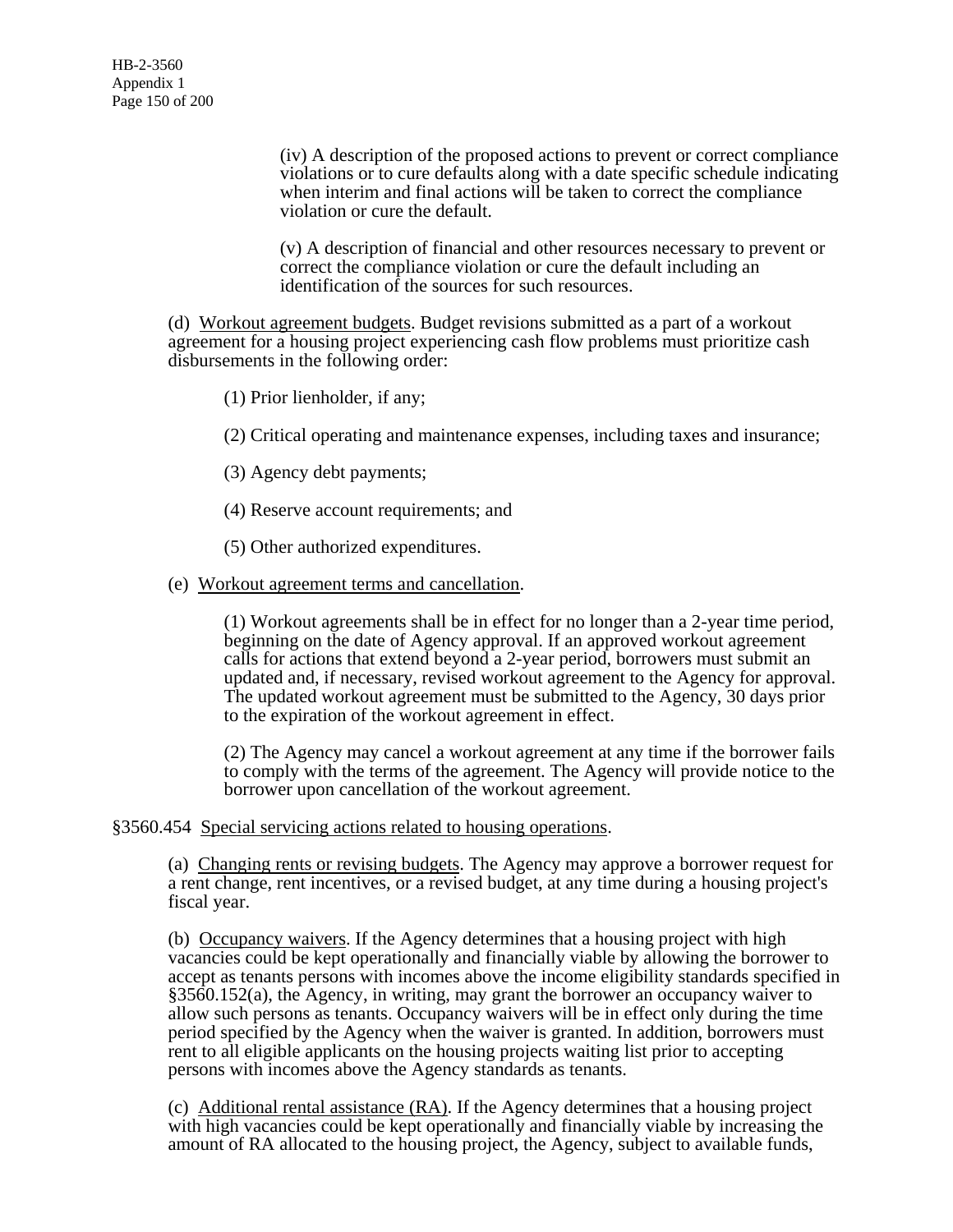(iv) A description of the proposed actions to prevent or correct compliance violations or to cure defaults along with a date specific schedule indicating when interim and final actions will be taken to correct the compliance violation or cure the default.

(v) A description of financial and other resources necessary to prevent or correct the compliance violation or cure the default including an identification of the sources for such resources.

(d) Workout agreement budgets. Budget revisions submitted as a part of a workout agreement for a housing project experiencing cash flow problems must prioritize cash disbursements in the following order:

(1) Prior lienholder, if any;

(2) Critical operating and maintenance expenses, including taxes and insurance;

- (3) Agency debt payments;
- (4) Reserve account requirements; and
- (5) Other authorized expenditures.
- (e) Workout agreement terms and cancellation.

(1) Workout agreements shall be in effect for no longer than a 2-year time period, beginning on the date of Agency approval. If an approved workout agreement calls for actions that extend beyond a 2-year period, borrowers must submit an updated and, if necessary, revised workout agreement to the Agency for approval. The updated workout agreement must be submitted to the Agency, 30 days prior to the expiration of the workout agreement in effect.

(2) The Agency may cancel a workout agreement at any time if the borrower fails to comply with the terms of the agreement. The Agency will provide notice to the borrower upon cancellation of the workout agreement.

§3560.454 Special servicing actions related to housing operations.

(a) Changing rents or revising budgets. The Agency may approve a borrower request for a rent change, rent incentives, or a revised budget, at any time during a housing project's fiscal year.

(b) Occupancy waivers. If the Agency determines that a housing project with high vacancies could be kept operationally and financially viable by allowing the borrower to accept as tenants persons with incomes above the income eligibility standards specified in §3560.152(a), the Agency, in writing, may grant the borrower an occupancy waiver to allow such persons as tenants. Occupancy waivers will be in effect only during the time period specified by the Agency when the waiver is granted. In addition, borrowers must rent to all eligible applicants on the housing projects waiting list prior to accepting persons with incomes above the Agency standards as tenants.

(c) Additional rental assistance (RA). If the Agency determines that a housing project with high vacancies could be kept operationally and financially viable by increasing the amount of RA allocated to the housing project, the Agency, subject to available funds,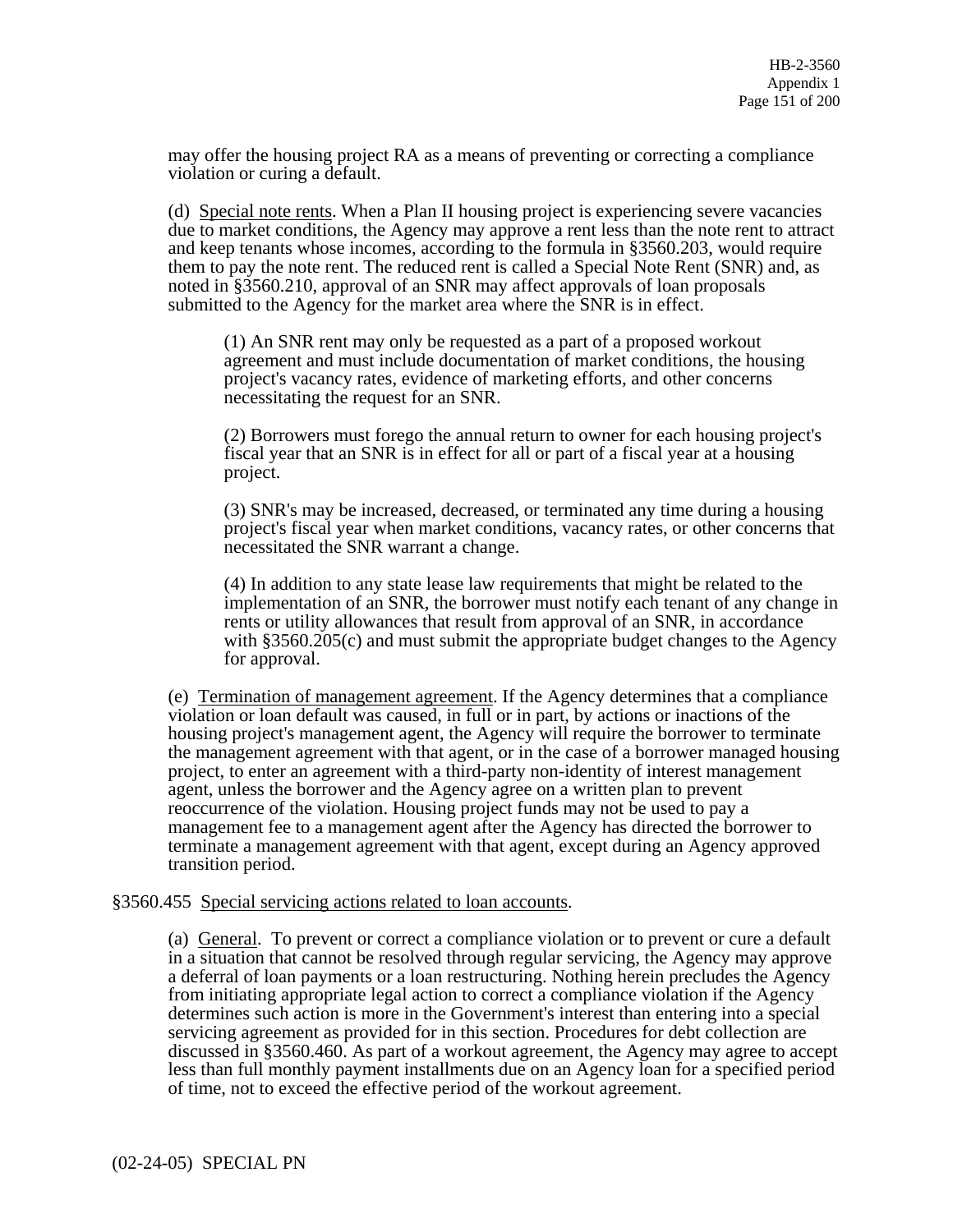may offer the housing project RA as a means of preventing or correcting a compliance violation or curing a default.

(d) Special note rents. When a Plan II housing project is experiencing severe vacancies due to market conditions, the Agency may approve a rent less than the note rent to attract and keep tenants whose incomes, according to the formula in §3560.203, would require them to pay the note rent. The reduced rent is called a Special Note Rent (SNR) and, as noted in §3560.210, approval of an SNR may affect approvals of loan proposals submitted to the Agency for the market area where the SNR is in effect.

(1) An SNR rent may only be requested as a part of a proposed workout agreement and must include documentation of market conditions, the housing project's vacancy rates, evidence of marketing efforts, and other concerns necessitating the request for an SNR.

(2) Borrowers must forego the annual return to owner for each housing project's fiscal year that an SNR is in effect for all or part of a fiscal year at a housing project.

(3) SNR's may be increased, decreased, or terminated any time during a housing project's fiscal year when market conditions, vacancy rates, or other concerns that necessitated the SNR warrant a change.

(4) In addition to any state lease law requirements that might be related to the implementation of an SNR, the borrower must notify each tenant of any change in rents or utility allowances that result from approval of an SNR, in accordance with §3560.205(c) and must submit the appropriate budget changes to the Agency for approval.

(e) Termination of management agreement. If the Agency determines that a compliance violation or loan default was caused, in full or in part, by actions or inactions of the housing project's management agent, the Agency will require the borrower to terminate the management agreement with that agent, or in the case of a borrower managed housing project, to enter an agreement with a third-party non-identity of interest management agent, unless the borrower and the Agency agree on a written plan to prevent reoccurrence of the violation. Housing project funds may not be used to pay a management fee to a management agent after the Agency has directed the borrower to terminate a management agreement with that agent, except during an Agency approved transition period.

#### §3560.455 Special servicing actions related to loan accounts.

(a) General. To prevent or correct a compliance violation or to prevent or cure a default in a situation that cannot be resolved through regular servicing, the Agency may approve a deferral of loan payments or a loan restructuring. Nothing herein precludes the Agency from initiating appropriate legal action to correct a compliance violation if the Agency determines such action is more in the Government's interest than entering into a special servicing agreement as provided for in this section. Procedures for debt collection are discussed in §3560.460. As part of a workout agreement, the Agency may agree to accept less than full monthly payment installments due on an Agency loan for a specified period of time, not to exceed the effective period of the workout agreement.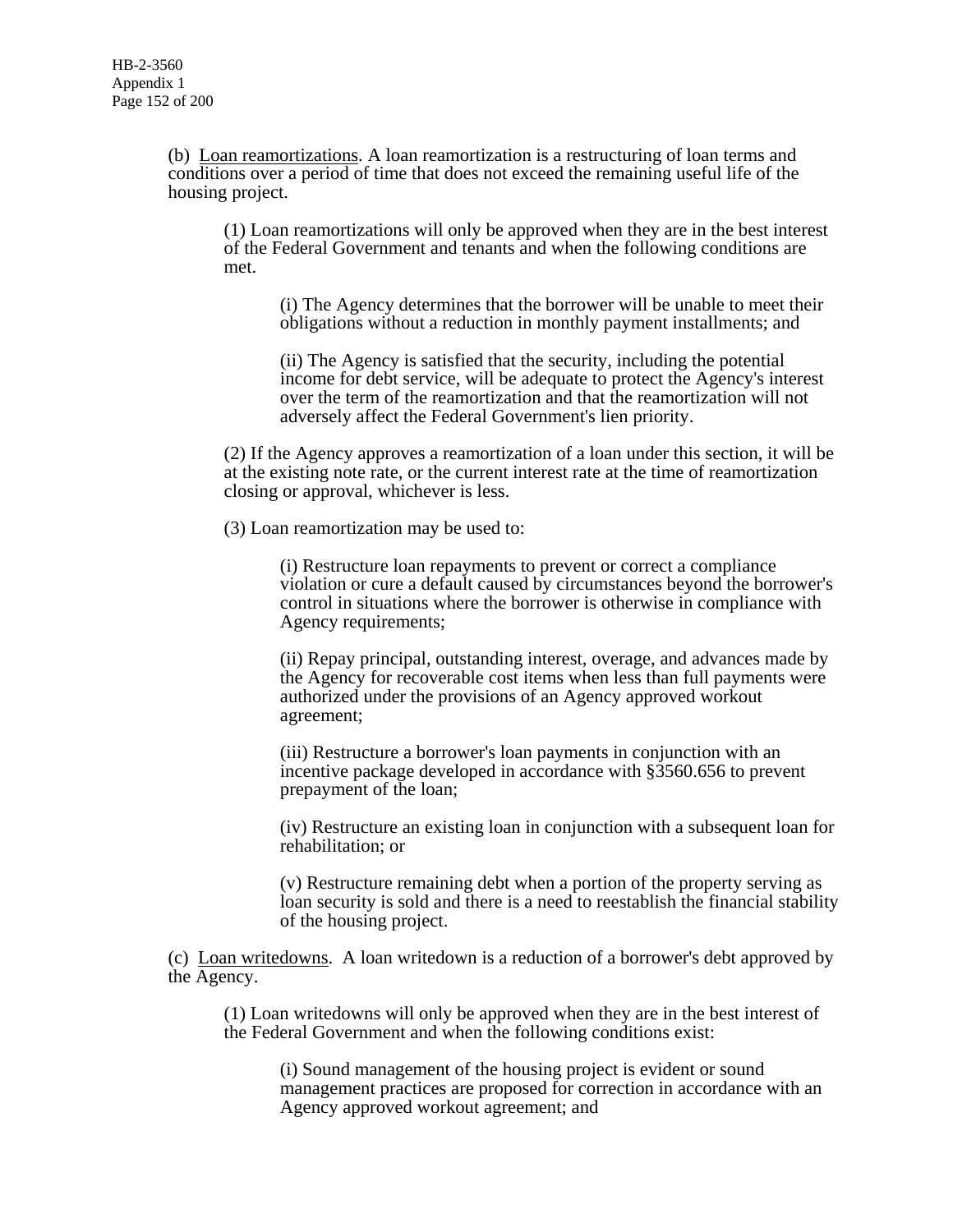(b) Loan reamortizations. A loan reamortization is a restructuring of loan terms and conditions over a period of time that does not exceed the remaining useful life of the housing project.

(1) Loan reamortizations will only be approved when they are in the best interest of the Federal Government and tenants and when the following conditions are met.

(i) The Agency determines that the borrower will be unable to meet their obligations without a reduction in monthly payment installments; and

(ii) The Agency is satisfied that the security, including the potential income for debt service, will be adequate to protect the Agency's interest over the term of the reamortization and that the reamortization will not adversely affect the Federal Government's lien priority.

(2) If the Agency approves a reamortization of a loan under this section, it will be at the existing note rate, or the current interest rate at the time of reamortization closing or approval, whichever is less.

(3) Loan reamortization may be used to:

(i) Restructure loan repayments to prevent or correct a compliance violation or cure a default caused by circumstances beyond the borrower's control in situations where the borrower is otherwise in compliance with Agency requirements;

(ii) Repay principal, outstanding interest, overage, and advances made by the Agency for recoverable cost items when less than full payments were authorized under the provisions of an Agency approved workout agreement;

(iii) Restructure a borrower's loan payments in conjunction with an incentive package developed in accordance with §3560.656 to prevent prepayment of the loan;

(iv) Restructure an existing loan in conjunction with a subsequent loan for rehabilitation; or

(v) Restructure remaining debt when a portion of the property serving as loan security is sold and there is a need to reestablish the financial stability of the housing project.

(c) Loan writedowns. A loan writedown is a reduction of a borrower's debt approved by the Agency.

(1) Loan writedowns will only be approved when they are in the best interest of the Federal Government and when the following conditions exist:

(i) Sound management of the housing project is evident or sound management practices are proposed for correction in accordance with an Agency approved workout agreement; and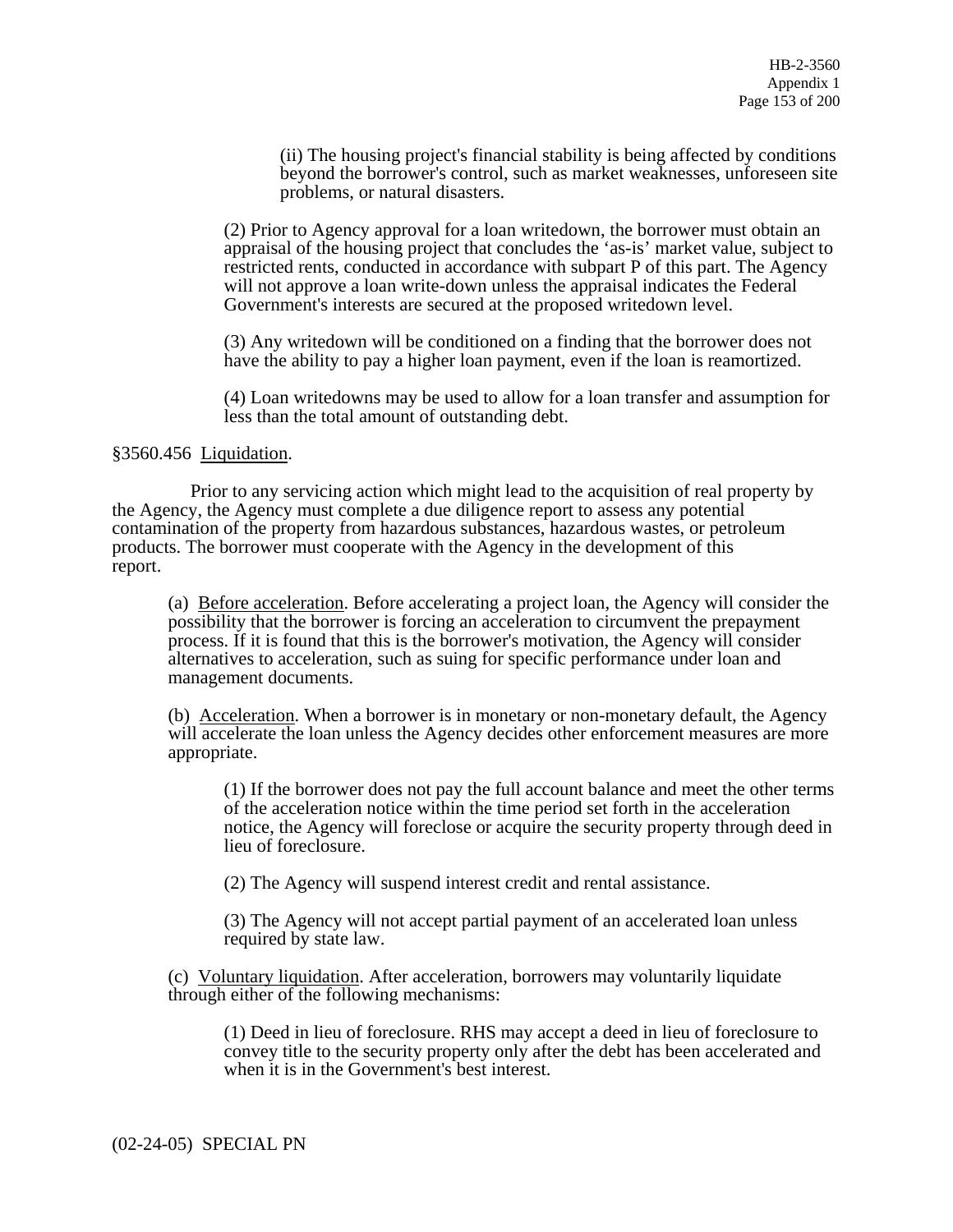(ii) The housing project's financial stability is being affected by conditions beyond the borrower's control, such as market weaknesses, unforeseen site problems, or natural disasters.

(2) Prior to Agency approval for a loan writedown, the borrower must obtain an appraisal of the housing project that concludes the 'as-is' market value, subject to restricted rents, conducted in accordance with subpart P of this part. The Agency will not approve a loan write-down unless the appraisal indicates the Federal Government's interests are secured at the proposed writedown level.

(3) Any writedown will be conditioned on a finding that the borrower does not have the ability to pay a higher loan payment, even if the loan is reamortized.

(4) Loan writedowns may be used to allow for a loan transfer and assumption for less than the total amount of outstanding debt.

# §3560.456 Liquidation.

 Prior to any servicing action which might lead to the acquisition of real property by the Agency, the Agency must complete a due diligence report to assess any potential contamination of the property from hazardous substances, hazardous wastes, or petroleum products. The borrower must cooperate with the Agency in the development of this report.

(a) Before acceleration. Before accelerating a project loan, the Agency will consider the possibility that the borrower is forcing an acceleration to circumvent the prepayment process. If it is found that this is the borrower's motivation, the Agency will consider alternatives to acceleration, such as suing for specific performance under loan and management documents.

(b) Acceleration. When a borrower is in monetary or non-monetary default, the Agency will accelerate the loan unless the Agency decides other enforcement measures are more appropriate.

(1) If the borrower does not pay the full account balance and meet the other terms of the acceleration notice within the time period set forth in the acceleration notice, the Agency will foreclose or acquire the security property through deed in lieu of foreclosure.

(2) The Agency will suspend interest credit and rental assistance.

(3) The Agency will not accept partial payment of an accelerated loan unless required by state law.

(c) Voluntary liquidation. After acceleration, borrowers may voluntarily liquidate through either of the following mechanisms:

(1) Deed in lieu of foreclosure. RHS may accept a deed in lieu of foreclosure to convey title to the security property only after the debt has been accelerated and when it is in the Government's best interest.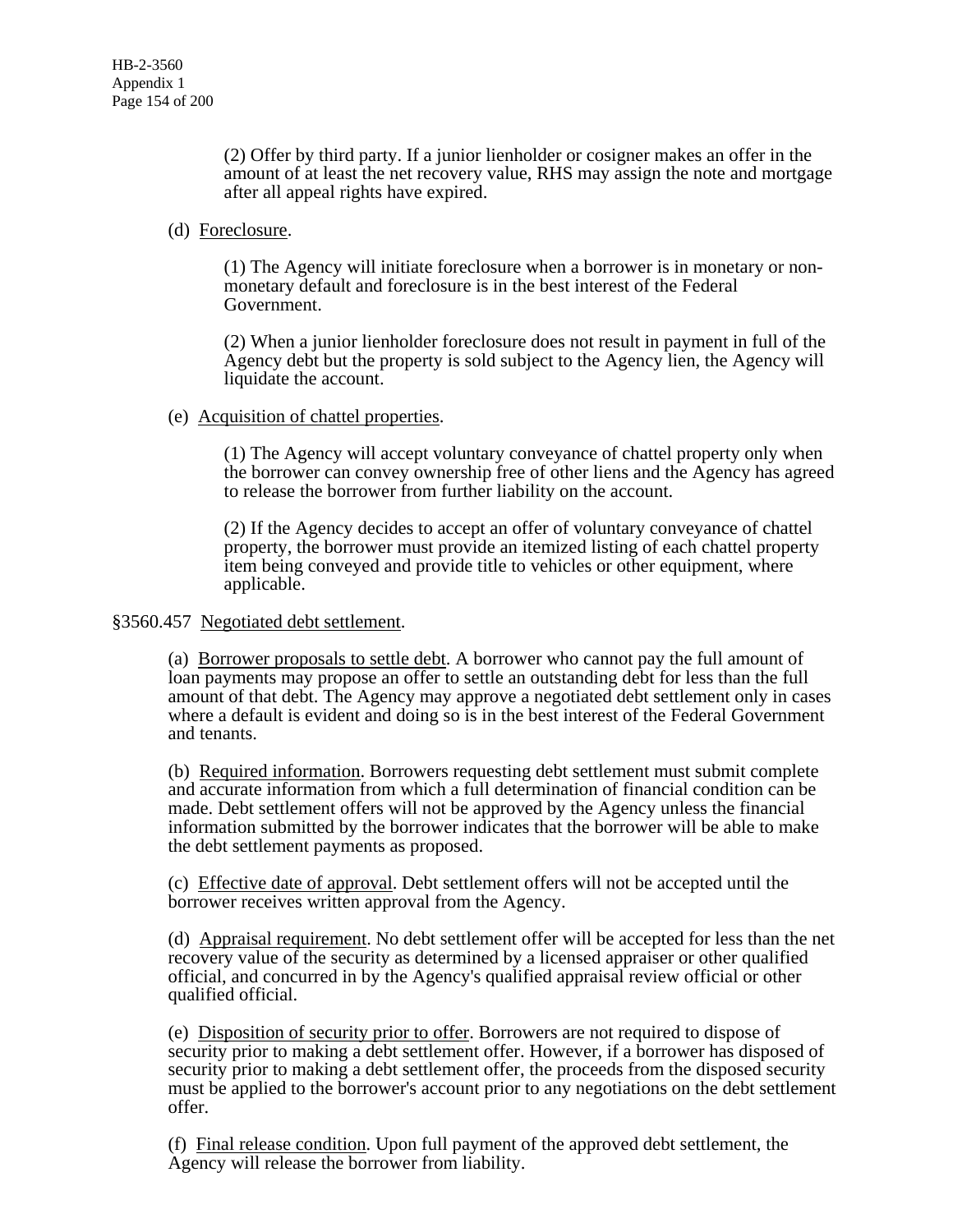(2) Offer by third party. If a junior lienholder or cosigner makes an offer in the amount of at least the net recovery value, RHS may assign the note and mortgage after all appeal rights have expired.

# (d) Foreclosure.

(1) The Agency will initiate foreclosure when a borrower is in monetary or nonmonetary default and foreclosure is in the best interest of the Federal Government.

(2) When a junior lienholder foreclosure does not result in payment in full of the Agency debt but the property is sold subject to the Agency lien, the Agency will liquidate the account.

# (e) Acquisition of chattel properties.

(1) The Agency will accept voluntary conveyance of chattel property only when the borrower can convey ownership free of other liens and the Agency has agreed to release the borrower from further liability on the account.

(2) If the Agency decides to accept an offer of voluntary conveyance of chattel property, the borrower must provide an itemized listing of each chattel property item being conveyed and provide title to vehicles or other equipment, where applicable.

§3560.457 Negotiated debt settlement.

(a) Borrower proposals to settle debt. A borrower who cannot pay the full amount of loan payments may propose an offer to settle an outstanding debt for less than the full amount of that debt. The Agency may approve a negotiated debt settlement only in cases where a default is evident and doing so is in the best interest of the Federal Government and tenants.

(b) Required information. Borrowers requesting debt settlement must submit complete and accurate information from which a full determination of financial condition can be made. Debt settlement offers will not be approved by the Agency unless the financial information submitted by the borrower indicates that the borrower will be able to make the debt settlement payments as proposed.

(c) Effective date of approval. Debt settlement offers will not be accepted until the borrower receives written approval from the Agency.

(d) Appraisal requirement. No debt settlement offer will be accepted for less than the net recovery value of the security as determined by a licensed appraiser or other qualified official, and concurred in by the Agency's qualified appraisal review official or other qualified official.

(e) Disposition of security prior to offer. Borrowers are not required to dispose of security prior to making a debt settlement offer. However, if a borrower has disposed of security prior to making a debt settlement offer, the proceeds from the disposed security must be applied to the borrower's account prior to any negotiations on the debt settlement offer.

(f) Final release condition. Upon full payment of the approved debt settlement, the Agency will release the borrower from liability.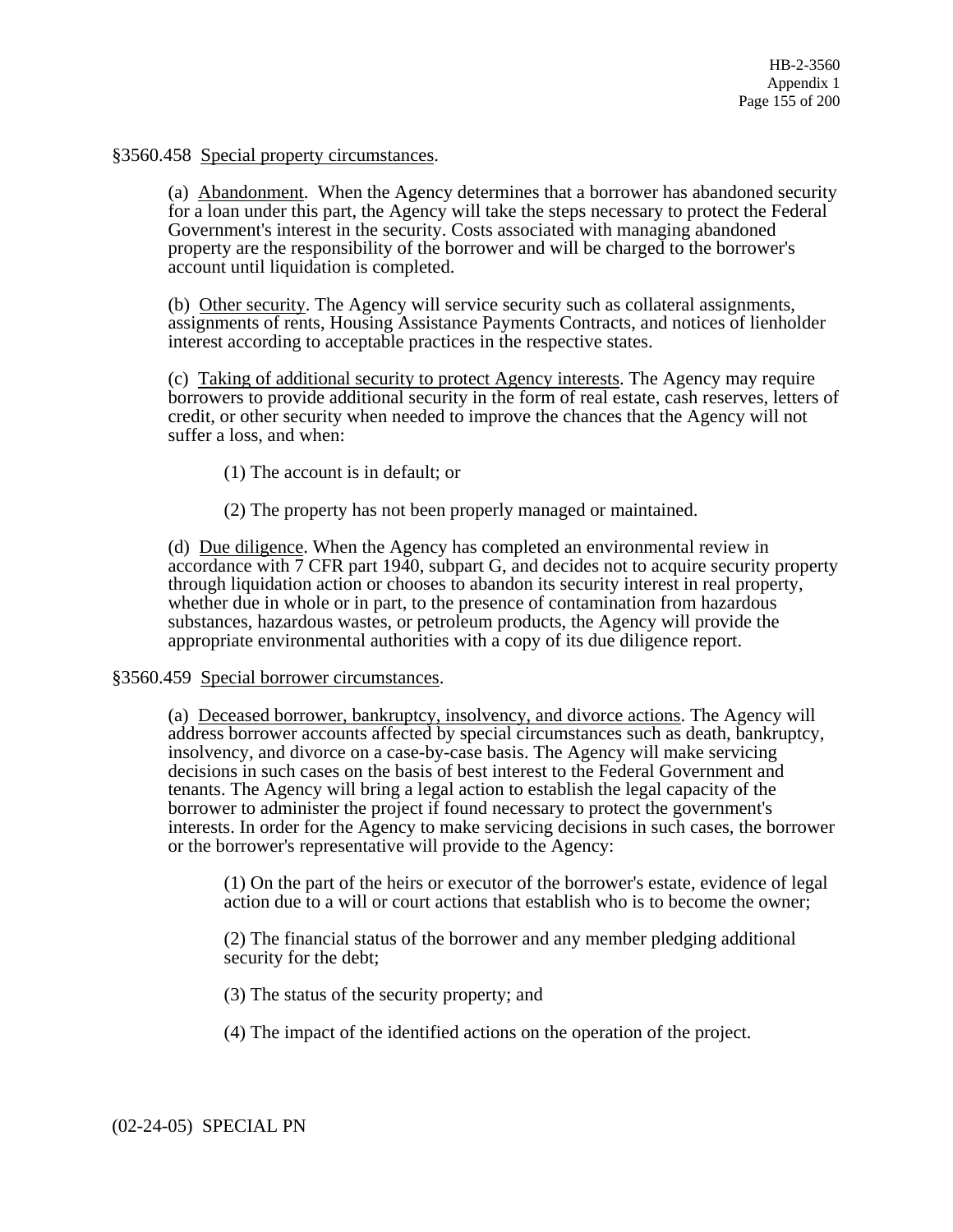§3560.458 Special property circumstances.

(a) Abandonment. When the Agency determines that a borrower has abandoned security for a loan under this part, the Agency will take the steps necessary to protect the Federal Government's interest in the security. Costs associated with managing abandoned property are the responsibility of the borrower and will be charged to the borrower's account until liquidation is completed.

(b) Other security. The Agency will service security such as collateral assignments, assignments of rents, Housing Assistance Payments Contracts, and notices of lienholder interest according to acceptable practices in the respective states.

(c) Taking of additional security to protect Agency interests. The Agency may require borrowers to provide additional security in the form of real estate, cash reserves, letters of credit, or other security when needed to improve the chances that the Agency will not suffer a loss, and when:

(1) The account is in default; or

(2) The property has not been properly managed or maintained.

(d) Due diligence. When the Agency has completed an environmental review in accordance with 7 CFR part 1940, subpart G, and decides not to acquire security property through liquidation action or chooses to abandon its security interest in real property, whether due in whole or in part, to the presence of contamination from hazardous substances, hazardous wastes, or petroleum products, the Agency will provide the appropriate environmental authorities with a copy of its due diligence report.

# §3560.459 Special borrower circumstances.

(a) Deceased borrower, bankruptcy, insolvency, and divorce actions. The Agency will address borrower accounts affected by special circumstances such as death, bankruptcy, insolvency, and divorce on a case-by-case basis. The Agency will make servicing decisions in such cases on the basis of best interest to the Federal Government and tenants. The Agency will bring a legal action to establish the legal capacity of the borrower to administer the project if found necessary to protect the government's interests. In order for the Agency to make servicing decisions in such cases, the borrower or the borrower's representative will provide to the Agency:

(1) On the part of the heirs or executor of the borrower's estate, evidence of legal action due to a will or court actions that establish who is to become the owner;

(2) The financial status of the borrower and any member pledging additional security for the debt;

(3) The status of the security property; and

(4) The impact of the identified actions on the operation of the project.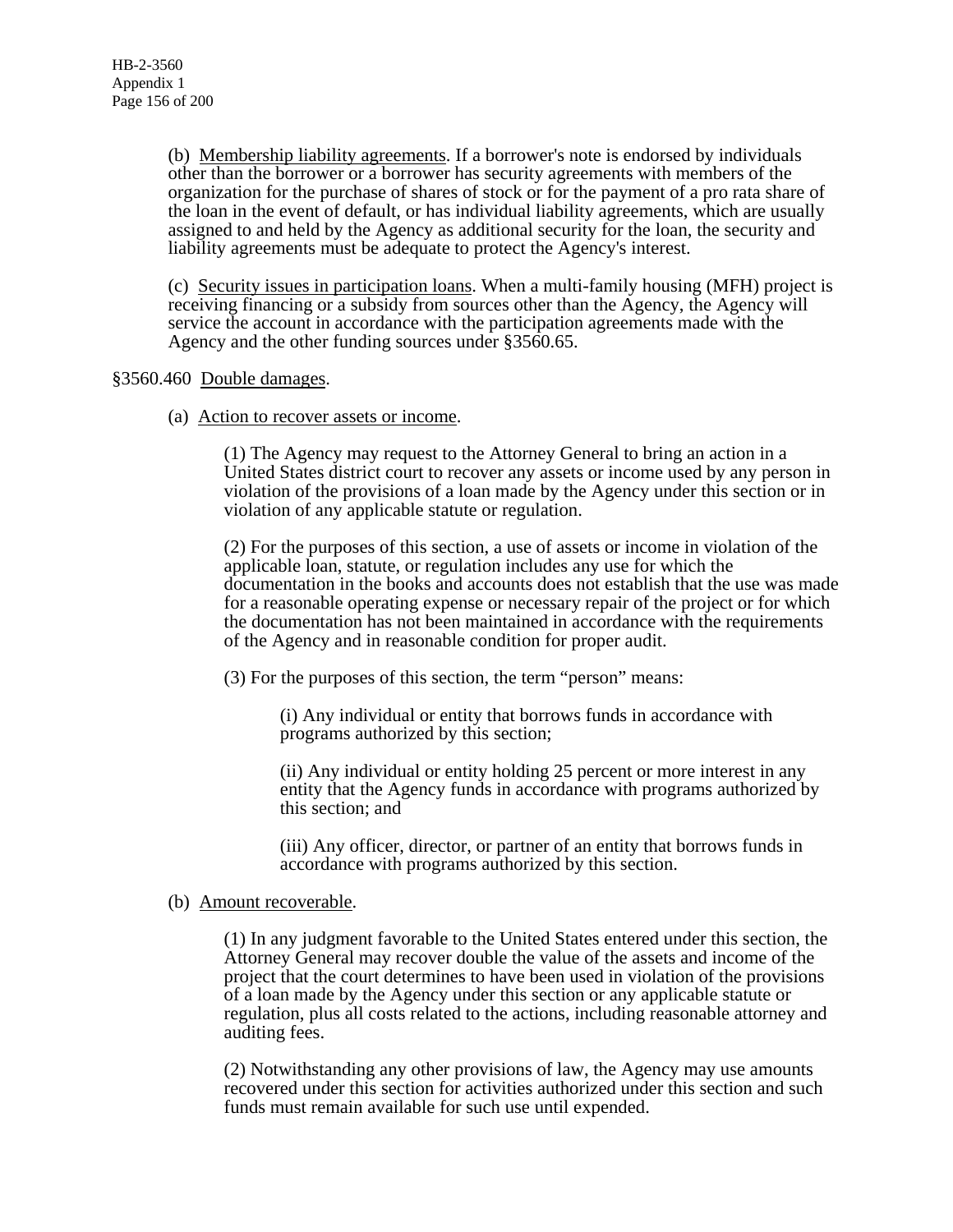(b) Membership liability agreements. If a borrower's note is endorsed by individuals other than the borrower or a borrower has security agreements with members of the organization for the purchase of shares of stock or for the payment of a pro rata share of the loan in the event of default, or has individual liability agreements, which are usually assigned to and held by the Agency as additional security for the loan, the security and liability agreements must be adequate to protect the Agency's interest.

(c) Security issues in participation loans. When a multi-family housing (MFH) project is receiving financing or a subsidy from sources other than the Agency, the Agency will service the account in accordance with the participation agreements made with the Agency and the other funding sources under §3560.65.

# §3560.460 Double damages.

(a) Action to recover assets or income.

(1) The Agency may request to the Attorney General to bring an action in a United States district court to recover any assets or income used by any person in violation of the provisions of a loan made by the Agency under this section or in violation of any applicable statute or regulation.

(2) For the purposes of this section, a use of assets or income in violation of the applicable loan, statute, or regulation includes any use for which the documentation in the books and accounts does not establish that the use was made for a reasonable operating expense or necessary repair of the project or for which the documentation has not been maintained in accordance with the requirements of the Agency and in reasonable condition for proper audit.

(3) For the purposes of this section, the term "person" means:

(i) Any individual or entity that borrows funds in accordance with programs authorized by this section;

(ii) Any individual or entity holding 25 percent or more interest in any entity that the Agency funds in accordance with programs authorized by this section; and

(iii) Any officer, director, or partner of an entity that borrows funds in accordance with programs authorized by this section.

# (b) Amount recoverable.

(1) In any judgment favorable to the United States entered under this section, the Attorney General may recover double the value of the assets and income of the project that the court determines to have been used in violation of the provisions of a loan made by the Agency under this section or any applicable statute or regulation, plus all costs related to the actions, including reasonable attorney and auditing fees.

(2) Notwithstanding any other provisions of law, the Agency may use amounts recovered under this section for activities authorized under this section and such funds must remain available for such use until expended.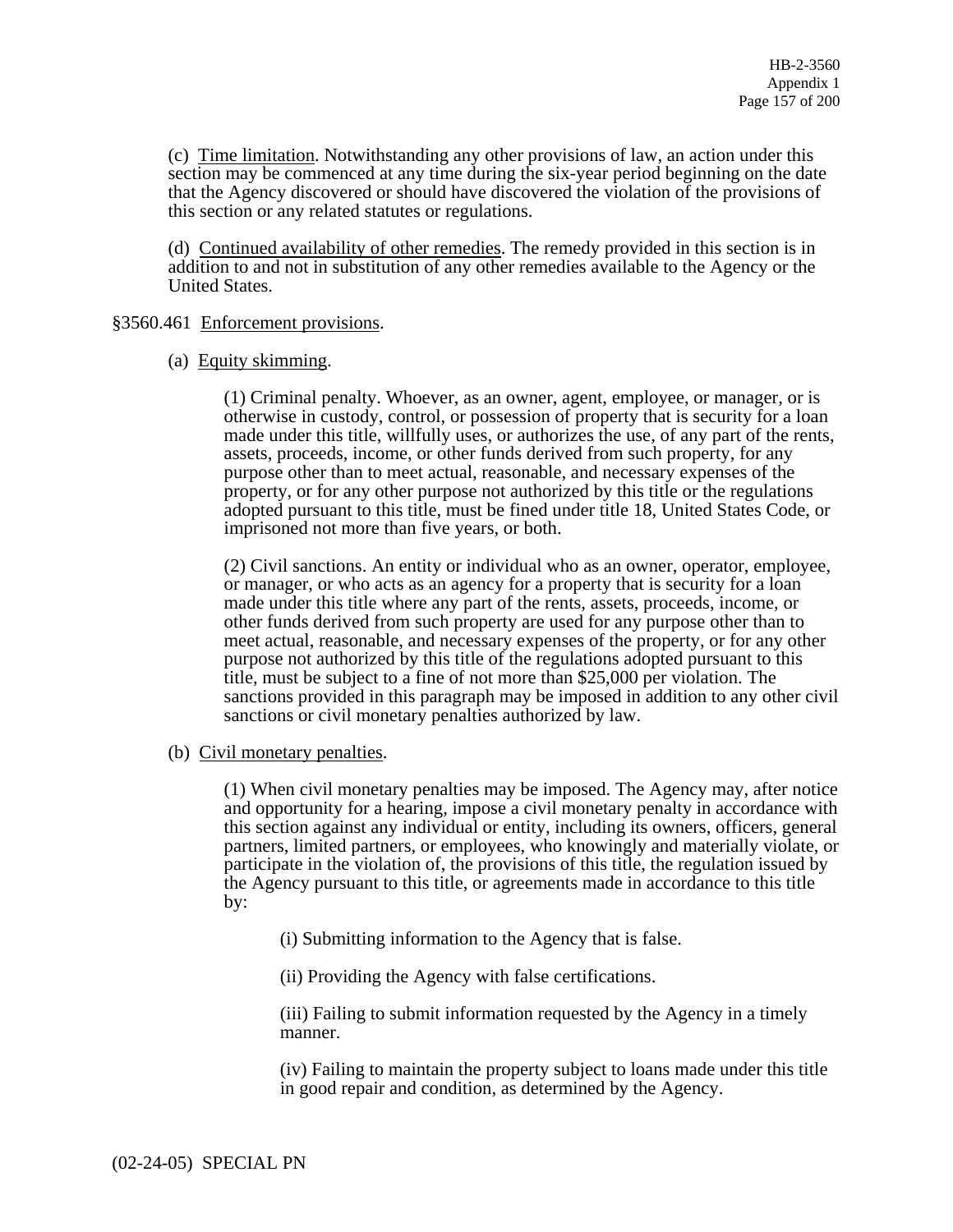(c) Time limitation. Notwithstanding any other provisions of law, an action under this section may be commenced at any time during the six-year period beginning on the date that the Agency discovered or should have discovered the violation of the provisions of this section or any related statutes or regulations.

(d) Continued availability of other remedies. The remedy provided in this section is in addition to and not in substitution of any other remedies available to the Agency or the United States.

# §3560.461 Enforcement provisions.

# (a) Equity skimming.

(1) Criminal penalty. Whoever, as an owner, agent, employee, or manager, or is otherwise in custody, control, or possession of property that is security for a loan made under this title, willfully uses, or authorizes the use, of any part of the rents, assets, proceeds, income, or other funds derived from such property, for any purpose other than to meet actual, reasonable, and necessary expenses of the property, or for any other purpose not authorized by this title or the regulations adopted pursuant to this title, must be fined under title 18, United States Code, or imprisoned not more than five years, or both.

(2) Civil sanctions. An entity or individual who as an owner, operator, employee, or manager, or who acts as an agency for a property that is security for a loan made under this title where any part of the rents, assets, proceeds, income, or other funds derived from such property are used for any purpose other than to meet actual, reasonable, and necessary expenses of the property, or for any other purpose not authorized by this title of the regulations adopted pursuant to this title, must be subject to a fine of not more than \$25,000 per violation. The sanctions provided in this paragraph may be imposed in addition to any other civil sanctions or civil monetary penalties authorized by law.

# (b) Civil monetary penalties.

(1) When civil monetary penalties may be imposed. The Agency may, after notice and opportunity for a hearing, impose a civil monetary penalty in accordance with this section against any individual or entity, including its owners, officers, general partners, limited partners, or employees, who knowingly and materially violate, or participate in the violation of, the provisions of this title, the regulation issued by the Agency pursuant to this title, or agreements made in accordance to this title by:

(i) Submitting information to the Agency that is false.

(ii) Providing the Agency with false certifications.

(iii) Failing to submit information requested by the Agency in a timely manner.

(iv) Failing to maintain the property subject to loans made under this title in good repair and condition, as determined by the Agency.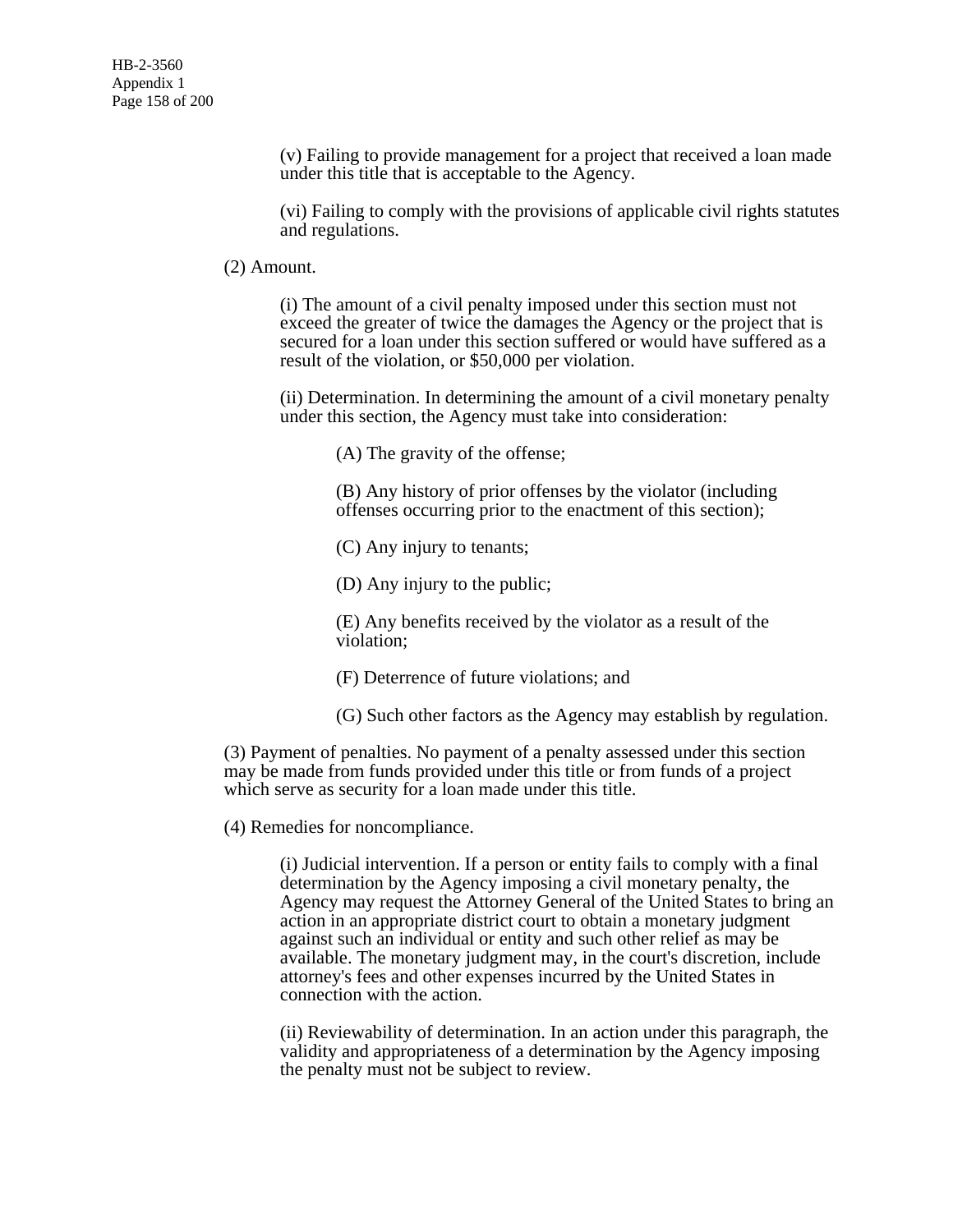(v) Failing to provide management for a project that received a loan made under this title that is acceptable to the Agency.

(vi) Failing to comply with the provisions of applicable civil rights statutes and regulations.

#### (2) Amount.

(i) The amount of a civil penalty imposed under this section must not exceed the greater of twice the damages the Agency or the project that is secured for a loan under this section suffered or would have suffered as a result of the violation, or \$50,000 per violation.

(ii) Determination. In determining the amount of a civil monetary penalty under this section, the Agency must take into consideration:

(A) The gravity of the offense;

(B) Any history of prior offenses by the violator (including offenses occurring prior to the enactment of this section);

(C) Any injury to tenants;

(D) Any injury to the public;

(E) Any benefits received by the violator as a result of the violation;

(F) Deterrence of future violations; and

(G) Such other factors as the Agency may establish by regulation.

(3) Payment of penalties. No payment of a penalty assessed under this section may be made from funds provided under this title or from funds of a project which serve as security for a loan made under this title.

(4) Remedies for noncompliance.

(i) Judicial intervention. If a person or entity fails to comply with a final determination by the Agency imposing a civil monetary penalty, the Agency may request the Attorney General of the United States to bring an action in an appropriate district court to obtain a monetary judgment against such an individual or entity and such other relief as may be available. The monetary judgment may, in the court's discretion, include attorney's fees and other expenses incurred by the United States in connection with the action.

(ii) Reviewability of determination. In an action under this paragraph, the validity and appropriateness of a determination by the Agency imposing the penalty must not be subject to review.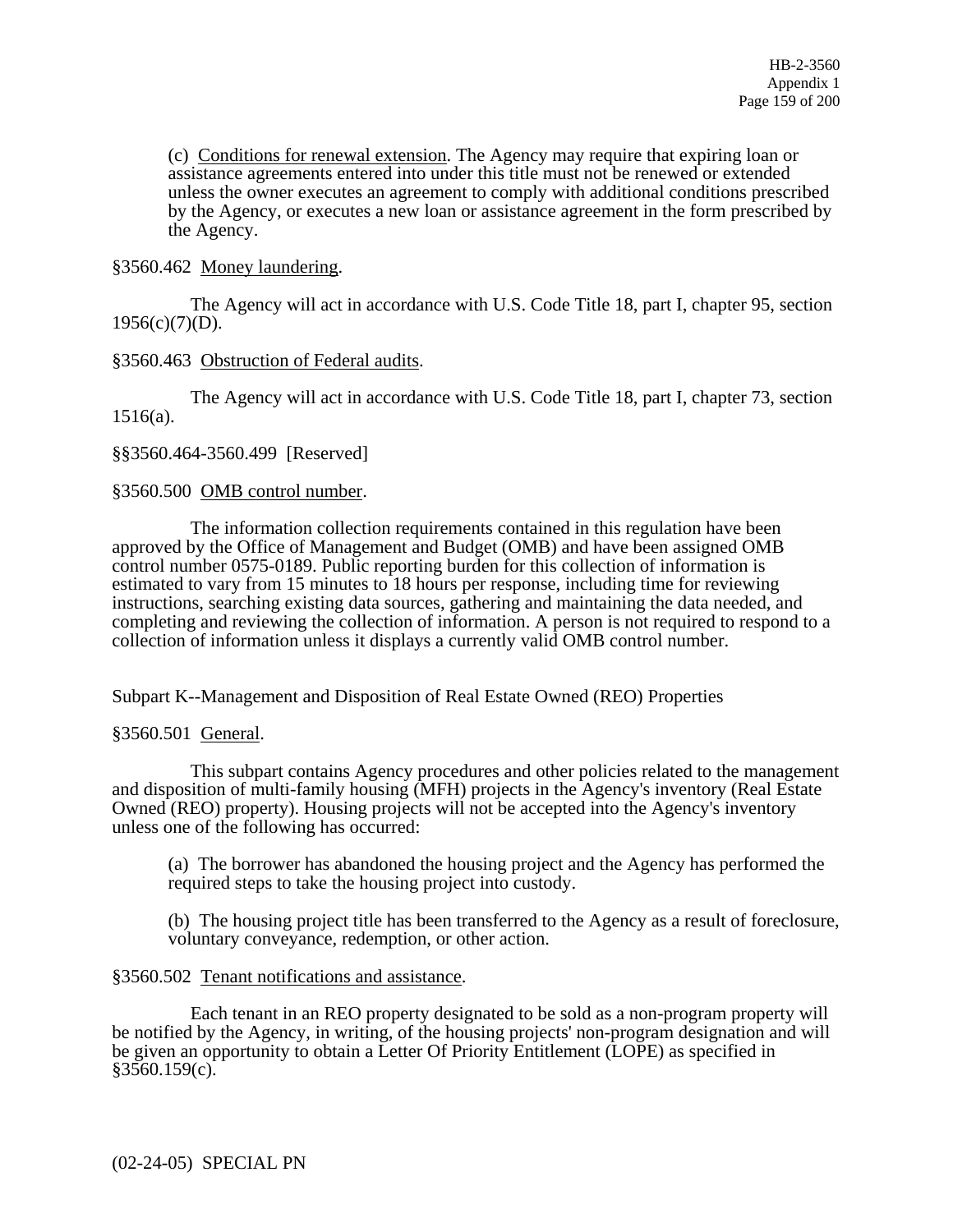(c) Conditions for renewal extension. The Agency may require that expiring loan or assistance agreements entered into under this title must not be renewed or extended unless the owner executes an agreement to comply with additional conditions prescribed by the Agency, or executes a new loan or assistance agreement in the form prescribed by the Agency.

# §3560.462 Money laundering.

 The Agency will act in accordance with U.S. Code Title 18, part I, chapter 95, section  $1956(c)(7)(D)$ .

# §3560.463 Obstruction of Federal audits.

 The Agency will act in accordance with U.S. Code Title 18, part I, chapter 73, section  $1516(a)$ .

§§3560.464-3560.499 [Reserved]

§3560.500 OMB control number.

 The information collection requirements contained in this regulation have been approved by the Office of Management and Budget (OMB) and have been assigned OMB control number 0575-0189. Public reporting burden for this collection of information is estimated to vary from 15 minutes to 18 hours per response, including time for reviewing instructions, searching existing data sources, gathering and maintaining the data needed, and completing and reviewing the collection of information. A person is not required to respond to a collection of information unless it displays a currently valid OMB control number.

Subpart K--Management and Disposition of Real Estate Owned (REO) Properties

§3560.501 General.

 This subpart contains Agency procedures and other policies related to the management and disposition of multi-family housing (MFH) projects in the Agency's inventory (Real Estate Owned (REO) property). Housing projects will not be accepted into the Agency's inventory unless one of the following has occurred:

(a) The borrower has abandoned the housing project and the Agency has performed the required steps to take the housing project into custody.

(b) The housing project title has been transferred to the Agency as a result of foreclosure, voluntary conveyance, redemption, or other action.

# §3560.502 Tenant notifications and assistance.

 Each tenant in an REO property designated to be sold as a non-program property will be notified by the Agency, in writing, of the housing projects' non-program designation and will be given an opportunity to obtain a Letter Of Priority Entitlement (LOPE) as specified in  $§3560.159(c).$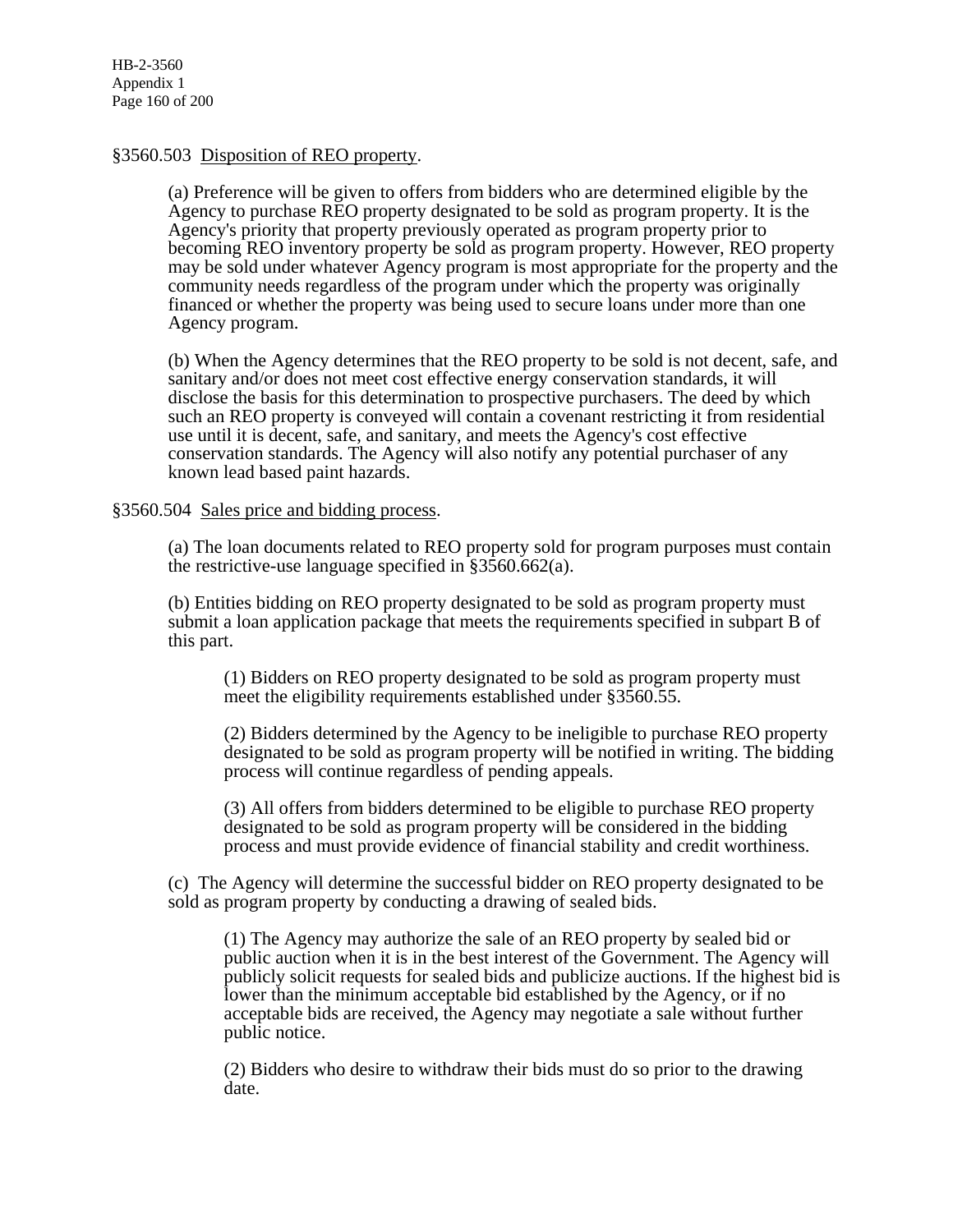# §3560.503 Disposition of REO property.

(a) Preference will be given to offers from bidders who are determined eligible by the Agency to purchase REO property designated to be sold as program property. It is the Agency's priority that property previously operated as program property prior to becoming REO inventory property be sold as program property. However, REO property may be sold under whatever Agency program is most appropriate for the property and the community needs regardless of the program under which the property was originally financed or whether the property was being used to secure loans under more than one Agency program.

(b) When the Agency determines that the REO property to be sold is not decent, safe, and sanitary and/or does not meet cost effective energy conservation standards, it will disclose the basis for this determination to prospective purchasers. The deed by which such an REO property is conveyed will contain a covenant restricting it from residential use until it is decent, safe, and sanitary, and meets the Agency's cost effective conservation standards. The Agency will also notify any potential purchaser of any known lead based paint hazards.

# §3560.504 Sales price and bidding process.

(a) The loan documents related to REO property sold for program purposes must contain the restrictive-use language specified in §3560.662(a).

(b) Entities bidding on REO property designated to be sold as program property must submit a loan application package that meets the requirements specified in subpart B of this part.

(1) Bidders on REO property designated to be sold as program property must meet the eligibility requirements established under §3560.55.

(2) Bidders determined by the Agency to be ineligible to purchase REO property designated to be sold as program property will be notified in writing. The bidding process will continue regardless of pending appeals.

(3) All offers from bidders determined to be eligible to purchase REO property designated to be sold as program property will be considered in the bidding process and must provide evidence of financial stability and credit worthiness.

(c) The Agency will determine the successful bidder on REO property designated to be sold as program property by conducting a drawing of sealed bids.

(1) The Agency may authorize the sale of an REO property by sealed bid or public auction when it is in the best interest of the Government. The Agency will publicly solicit requests for sealed bids and publicize auctions. If the highest bid is lower than the minimum acceptable bid established by the Agency, or if no acceptable bids are received, the Agency may negotiate a sale without further public notice.

(2) Bidders who desire to withdraw their bids must do so prior to the drawing date.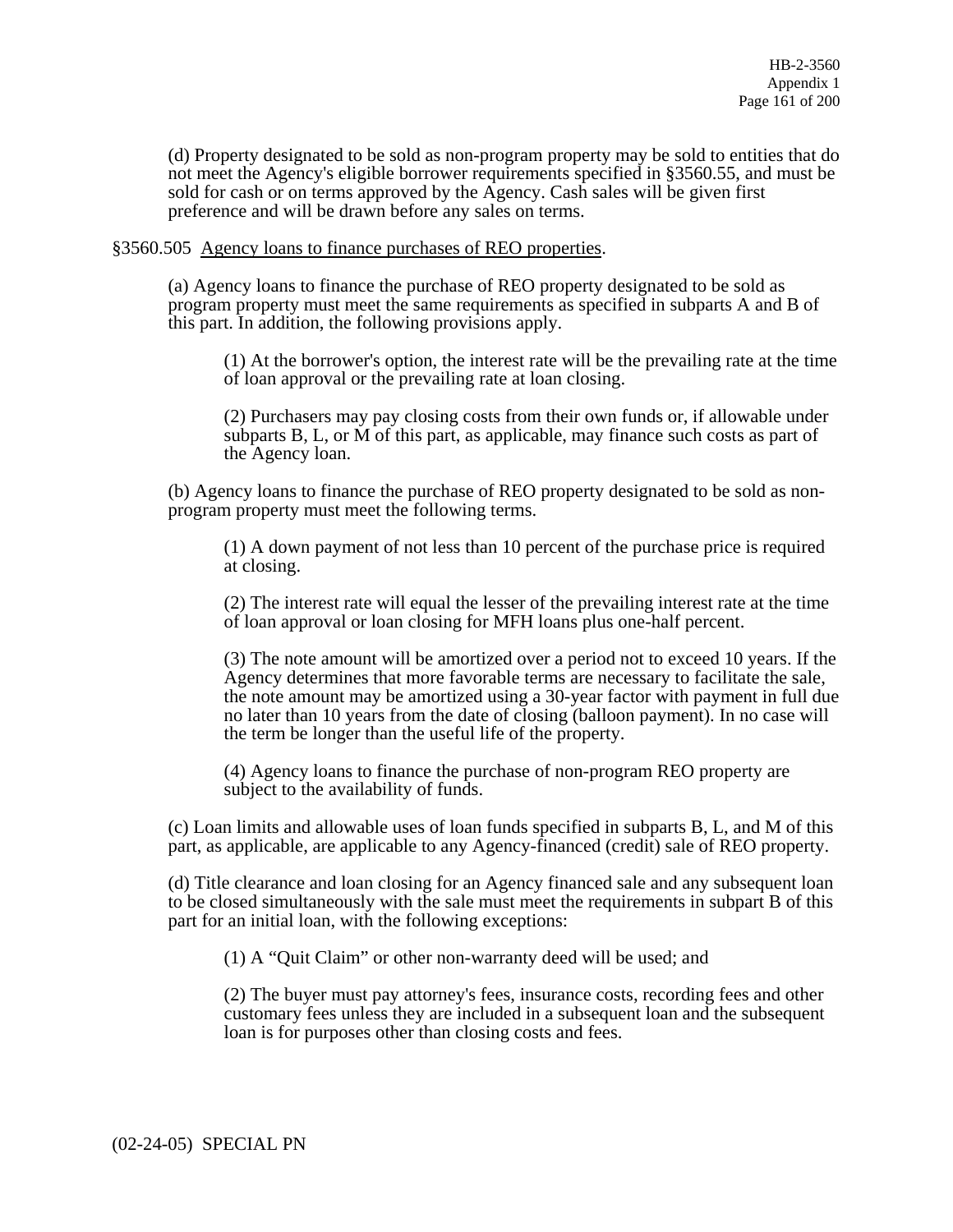(d) Property designated to be sold as non-program property may be sold to entities that do not meet the Agency's eligible borrower requirements specified in §3560.55, and must be sold for cash or on terms approved by the Agency. Cash sales will be given first preference and will be drawn before any sales on terms.

# §3560.505 Agency loans to finance purchases of REO properties.

(a) Agency loans to finance the purchase of REO property designated to be sold as program property must meet the same requirements as specified in subparts A and B of this part. In addition, the following provisions apply.

(1) At the borrower's option, the interest rate will be the prevailing rate at the time of loan approval or the prevailing rate at loan closing.

(2) Purchasers may pay closing costs from their own funds or, if allowable under subparts B, L, or M of this part, as applicable, may finance such costs as part of the Agency loan.

(b) Agency loans to finance the purchase of REO property designated to be sold as nonprogram property must meet the following terms.

(1) A down payment of not less than 10 percent of the purchase price is required at closing.

(2) The interest rate will equal the lesser of the prevailing interest rate at the time of loan approval or loan closing for MFH loans plus one-half percent.

(3) The note amount will be amortized over a period not to exceed 10 years. If the Agency determines that more favorable terms are necessary to facilitate the sale, the note amount may be amortized using a 30-year factor with payment in full due no later than 10 years from the date of closing (balloon payment). In no case will the term be longer than the useful life of the property.

(4) Agency loans to finance the purchase of non-program REO property are subject to the availability of funds.

(c) Loan limits and allowable uses of loan funds specified in subparts B, L, and M of this part, as applicable, are applicable to any Agency-financed (credit) sale of REO property.

(d) Title clearance and loan closing for an Agency financed sale and any subsequent loan to be closed simultaneously with the sale must meet the requirements in subpart B of this part for an initial loan, with the following exceptions:

(1) A "Quit Claim" or other non-warranty deed will be used; and

(2) The buyer must pay attorney's fees, insurance costs, recording fees and other customary fees unless they are included in a subsequent loan and the subsequent loan is for purposes other than closing costs and fees.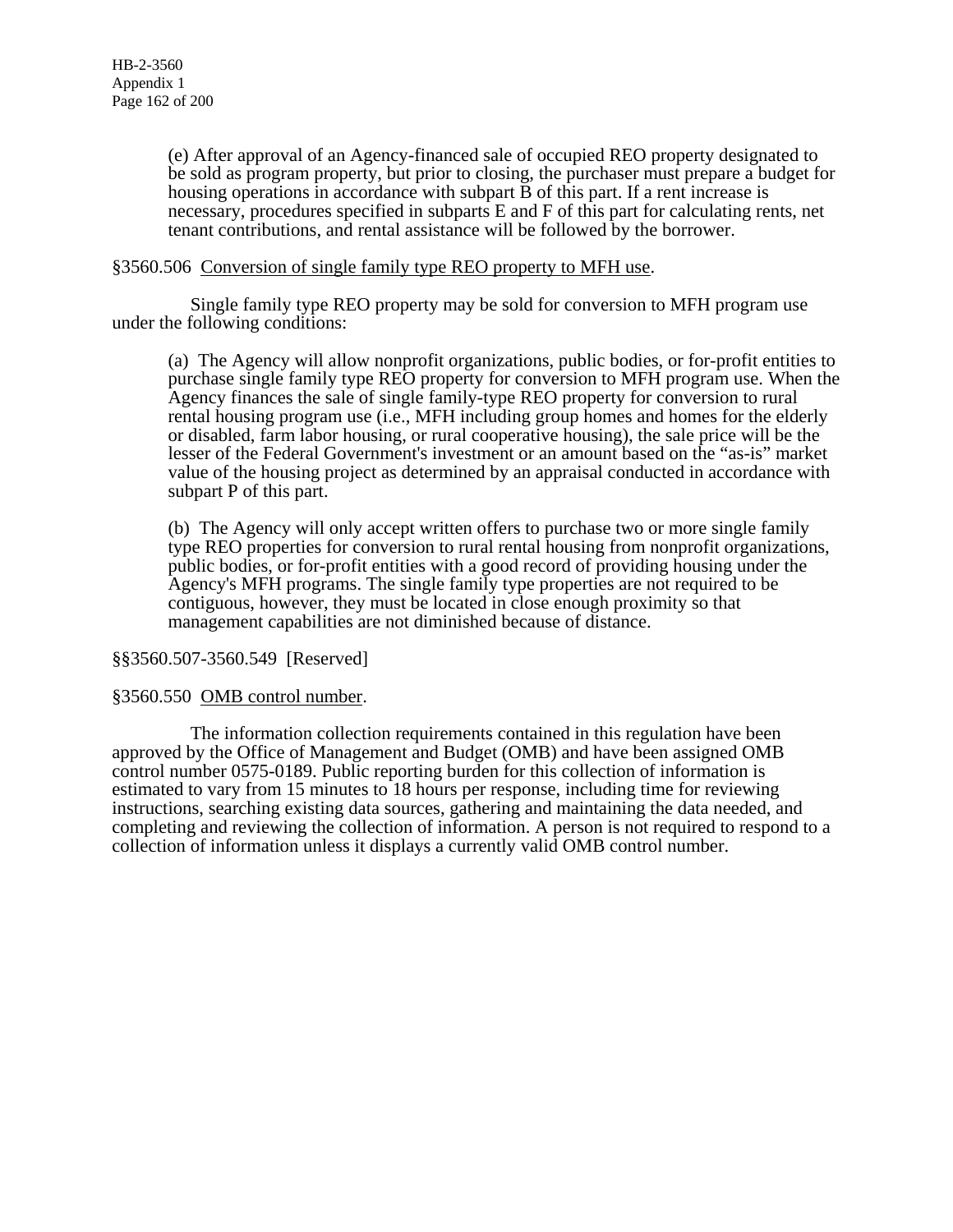(e) After approval of an Agency-financed sale of occupied REO property designated to be sold as program property, but prior to closing, the purchaser must prepare a budget for housing operations in accordance with subpart B of this part. If a rent increase is necessary, procedures specified in subparts E and F of this part for calculating rents, net tenant contributions, and rental assistance will be followed by the borrower.

# §3560.506 Conversion of single family type REO property to MFH use.

 Single family type REO property may be sold for conversion to MFH program use under the following conditions:

(a) The Agency will allow nonprofit organizations, public bodies, or for-profit entities to purchase single family type REO property for conversion to MFH program use. When the Agency finances the sale of single family-type REO property for conversion to rural rental housing program use (i.e., MFH including group homes and homes for the elderly or disabled, farm labor housing, or rural cooperative housing), the sale price will be the lesser of the Federal Government's investment or an amount based on the "as-is" market value of the housing project as determined by an appraisal conducted in accordance with subpart P of this part.

(b) The Agency will only accept written offers to purchase two or more single family type REO properties for conversion to rural rental housing from nonprofit organizations, public bodies, or for-profit entities with a good record of providing housing under the Agency's MFH programs. The single family type properties are not required to be contiguous, however, they must be located in close enough proximity so that management capabilities are not diminished because of distance.

# §§3560.507-3560.549 [Reserved]

# §3560.550 OMB control number.

The information collection requirements contained in this regulation have been approved by the Office of Management and Budget (OMB) and have been assigned OMB control number 0575-0189. Public reporting burden for this collection of information is estimated to vary from 15 minutes to 18 hours per response, including time for reviewing instructions, searching existing data sources, gathering and maintaining the data needed, and completing and reviewing the collection of information. A person is not required to respond to a collection of information unless it displays a currently valid OMB control number.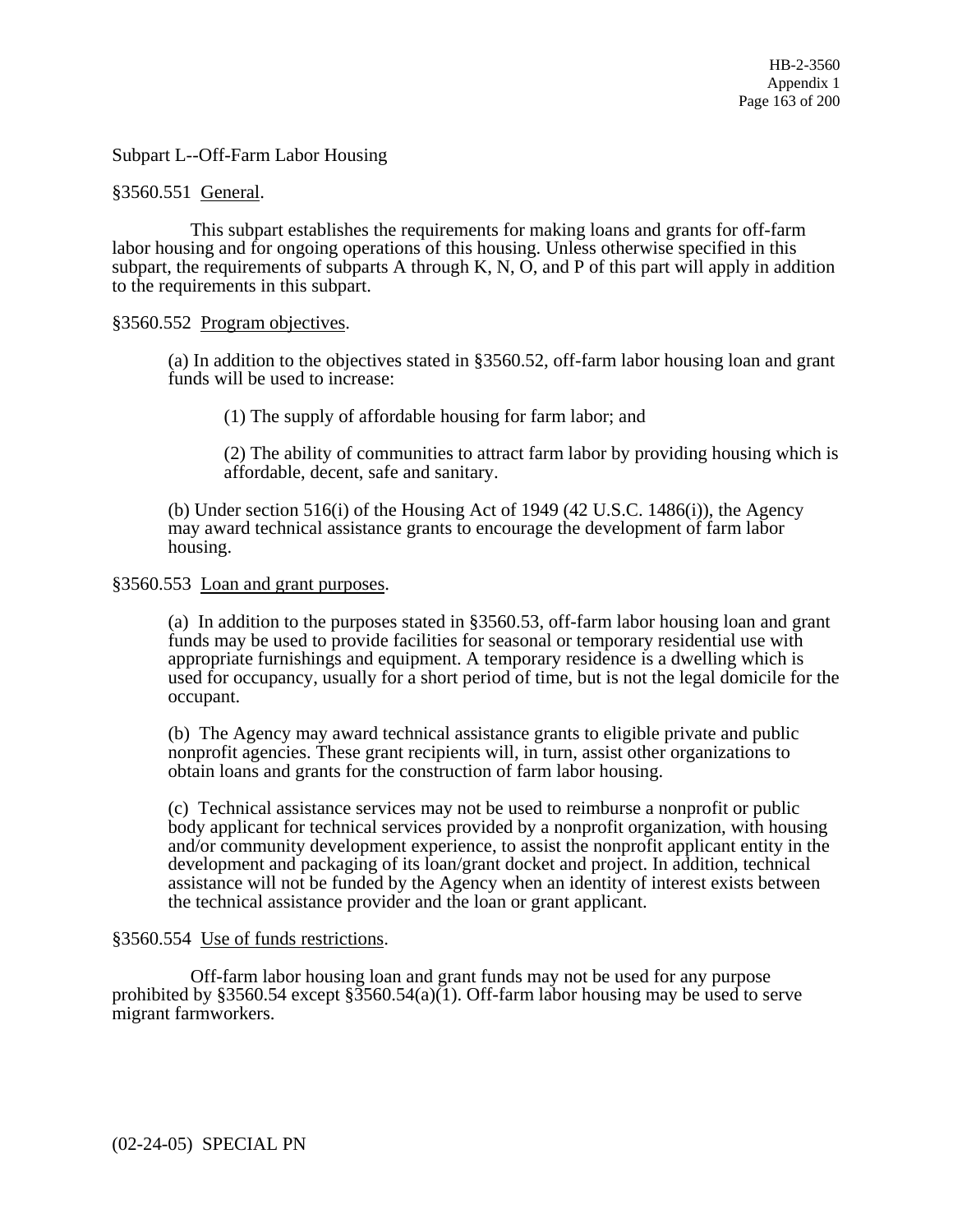Subpart L--Off-Farm Labor Housing

# §3560.551 General.

 This subpart establishes the requirements for making loans and grants for off-farm labor housing and for ongoing operations of this housing. Unless otherwise specified in this subpart, the requirements of subparts A through K, N, O, and P of this part will apply in addition to the requirements in this subpart.

# §3560.552 Program objectives.

(a) In addition to the objectives stated in §3560.52, off-farm labor housing loan and grant funds will be used to increase:

(1) The supply of affordable housing for farm labor; and

(2) The ability of communities to attract farm labor by providing housing which is affordable, decent, safe and sanitary.

(b) Under section 516(i) of the Housing Act of 1949 (42 U.S.C. 1486(i)), the Agency may award technical assistance grants to encourage the development of farm labor housing.

# §3560.553 Loan and grant purposes.

(a) In addition to the purposes stated in §3560.53, off-farm labor housing loan and grant funds may be used to provide facilities for seasonal or temporary residential use with appropriate furnishings and equipment. A temporary residence is a dwelling which is used for occupancy, usually for a short period of time, but is not the legal domicile for the occupant.

(b) The Agency may award technical assistance grants to eligible private and public nonprofit agencies. These grant recipients will, in turn, assist other organizations to obtain loans and grants for the construction of farm labor housing.

(c) Technical assistance services may not be used to reimburse a nonprofit or public body applicant for technical services provided by a nonprofit organization, with housing and/or community development experience, to assist the nonprofit applicant entity in the development and packaging of its loan/grant docket and project. In addition, technical assistance will not be funded by the Agency when an identity of interest exists between the technical assistance provider and the loan or grant applicant.

# §3560.554 Use of funds restrictions.

 Off-farm labor housing loan and grant funds may not be used for any purpose prohibited by §3560.54 except §3560.54(a)(1). Off-farm labor housing may be used to serve migrant farmworkers.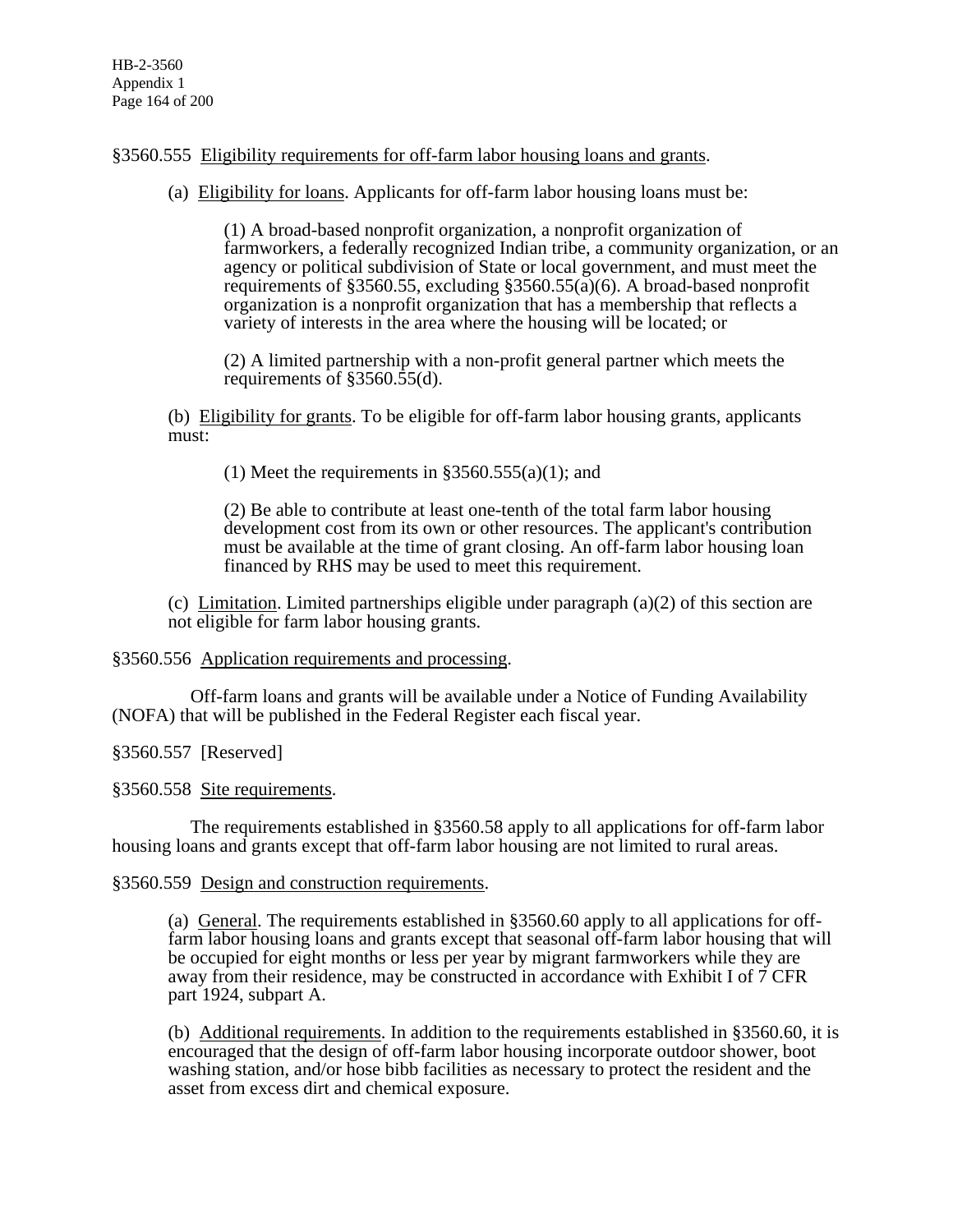# §3560.555 Eligibility requirements for off-farm labor housing loans and grants.

(a) Eligibility for loans. Applicants for off-farm labor housing loans must be:

(1) A broad-based nonprofit organization, a nonprofit organization of farmworkers, a federally recognized Indian tribe, a community organization, or an agency or political subdivision of State or local government, and must meet the requirements of §3560.55, excluding §3560.55(a)(6). A broad-based nonprofit organization is a nonprofit organization that has a membership that reflects a variety of interests in the area where the housing will be located; or

(2) A limited partnership with a non-profit general partner which meets the requirements of §3560.55(d).

(b) Eligibility for grants. To be eligible for off-farm labor housing grants, applicants must:

(1) Meet the requirements in  $\S 3560.555(a)(1)$ ; and

(2) Be able to contribute at least one-tenth of the total farm labor housing development cost from its own or other resources. The applicant's contribution must be available at the time of grant closing. An off-farm labor housing loan financed by RHS may be used to meet this requirement.

(c) Limitation. Limited partnerships eligible under paragraph  $(a)(2)$  of this section are not eligible for farm labor housing grants.

# §3560.556 Application requirements and processing.

 Off-farm loans and grants will be available under a Notice of Funding Availability (NOFA) that will be published in the Federal Register each fiscal year.

# §3560.557 [Reserved]

§3560.558 Site requirements.

 The requirements established in §3560.58 apply to all applications for off-farm labor housing loans and grants except that off-farm labor housing are not limited to rural areas.

# §3560.559 Design and construction requirements.

(a) General. The requirements established in §3560.60 apply to all applications for offfarm labor housing loans and grants except that seasonal off-farm labor housing that will be occupied for eight months or less per year by migrant farmworkers while they are away from their residence, may be constructed in accordance with Exhibit I of 7 CFR part 1924, subpart A.

(b) Additional requirements. In addition to the requirements established in §3560.60, it is encouraged that the design of off-farm labor housing incorporate outdoor shower, boot washing station, and/or hose bibb facilities as necessary to protect the resident and the asset from excess dirt and chemical exposure.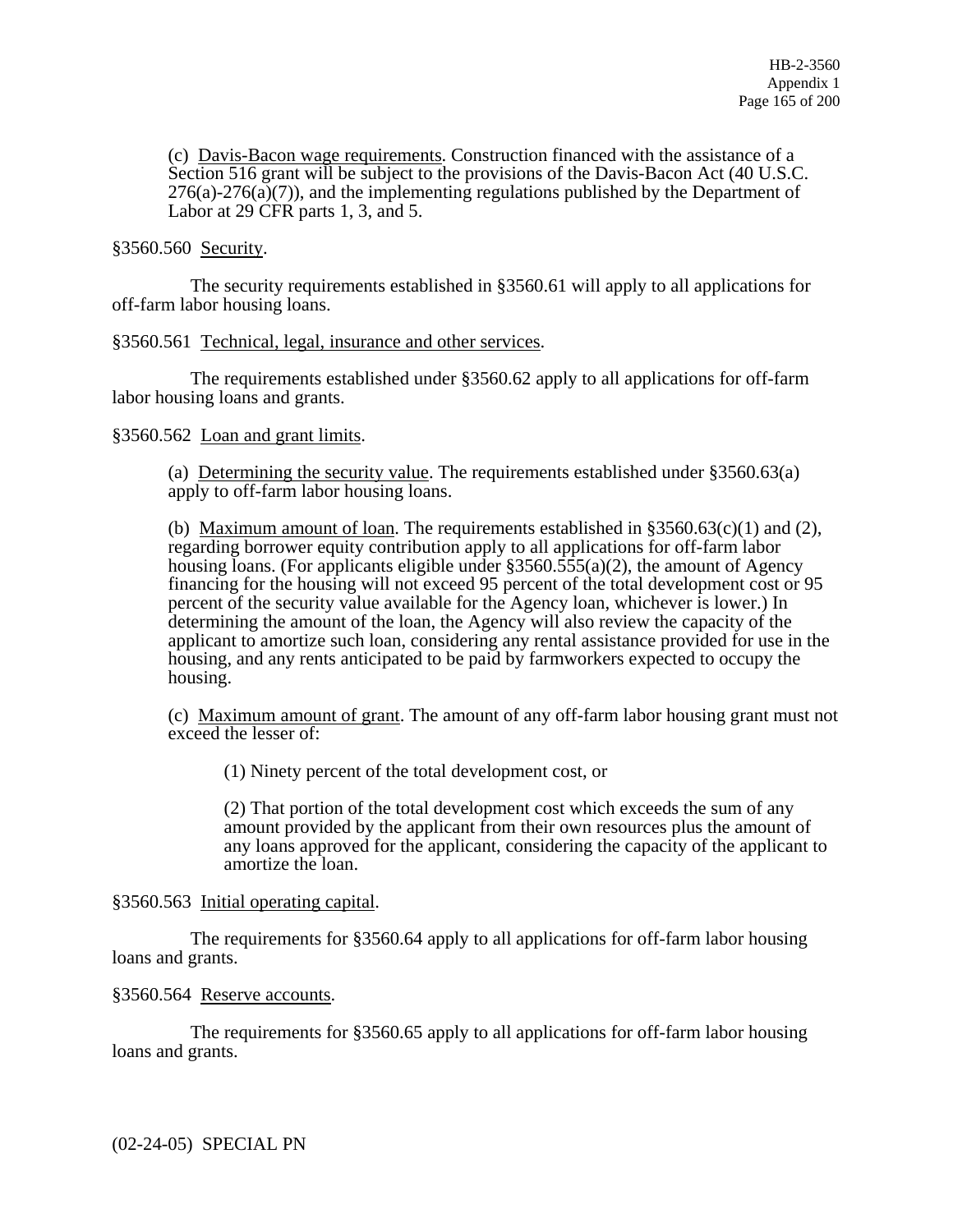(c) Davis-Bacon wage requirements. Construction financed with the assistance of a Section 516 grant will be subject to the provisions of the Davis-Bacon Act (40 U.S.C.  $276(a)-276(a)(7)$ , and the implementing regulations published by the Department of Labor at 29 CFR parts 1, 3, and 5.

# §3560.560 Security.

 The security requirements established in §3560.61 will apply to all applications for off-farm labor housing loans.

# §3560.561 Technical, legal, insurance and other services.

 The requirements established under §3560.62 apply to all applications for off-farm labor housing loans and grants.

# §3560.562 Loan and grant limits.

(a) Determining the security value. The requirements established under §3560.63(a) apply to off-farm labor housing loans.

(b) Maximum amount of loan. The requirements established in  $\S 3560.63(c)(1)$  and (2), regarding borrower equity contribution apply to all applications for off-farm labor housing loans. (For applicants eligible under  $\S 3560.555(a)(2)$ , the amount of Agency financing for the housing will not exceed 95 percent of the total development cost or 95 percent of the security value available for the Agency loan, whichever is lower.) In determining the amount of the loan, the Agency will also review the capacity of the applicant to amortize such loan, considering any rental assistance provided for use in the housing, and any rents anticipated to be paid by farmworkers expected to occupy the housing.

(c) Maximum amount of grant. The amount of any off-farm labor housing grant must not exceed the lesser of:

(1) Ninety percent of the total development cost, or

(2) That portion of the total development cost which exceeds the sum of any amount provided by the applicant from their own resources plus the amount of any loans approved for the applicant, considering the capacity of the applicant to amortize the loan.

# §3560.563 Initial operating capital.

 The requirements for §3560.64 apply to all applications for off-farm labor housing loans and grants.

# §3560.564 Reserve accounts.

 The requirements for §3560.65 apply to all applications for off-farm labor housing loans and grants.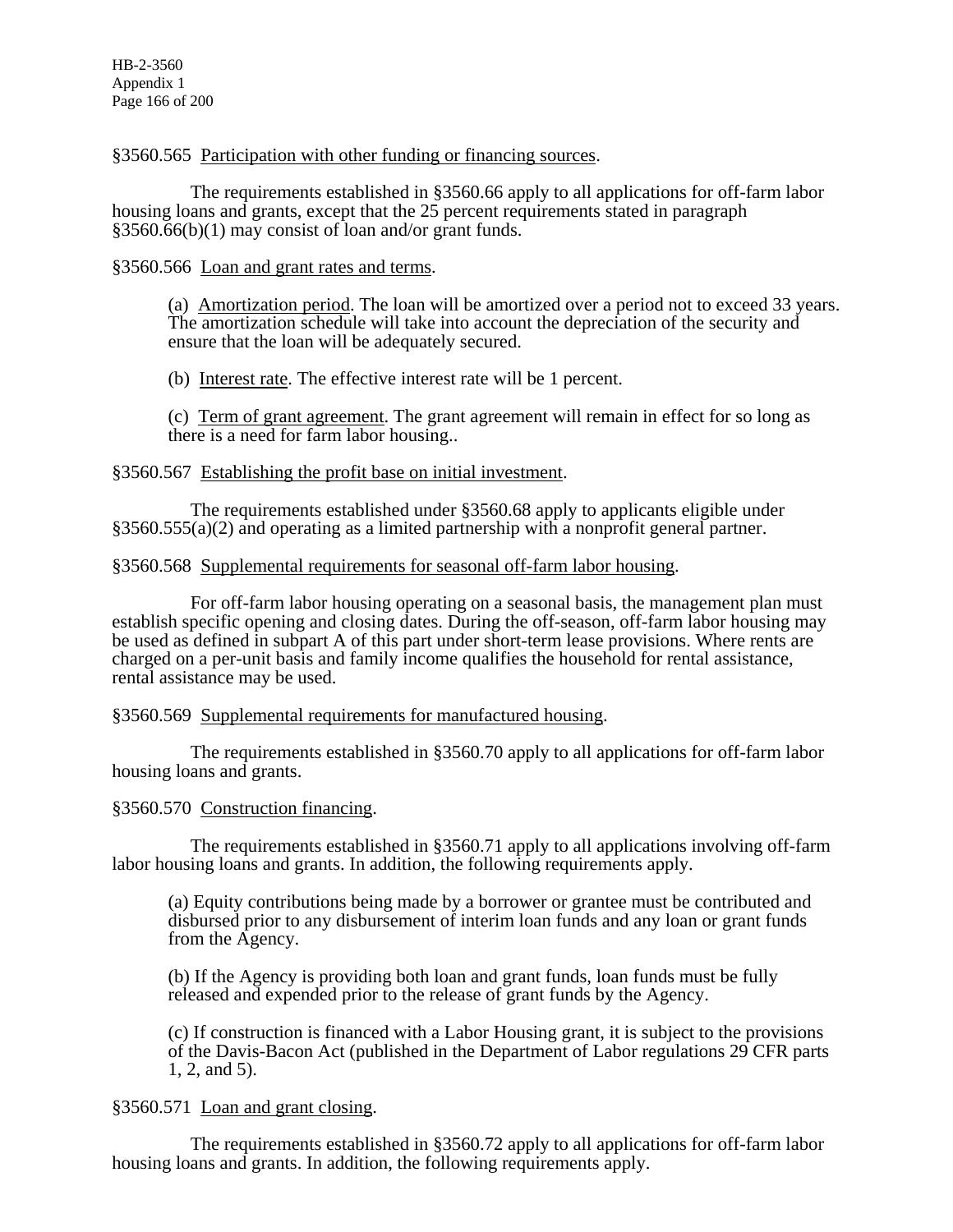# §3560.565 Participation with other funding or financing sources.

 The requirements established in §3560.66 apply to all applications for off-farm labor housing loans and grants, except that the 25 percent requirements stated in paragraph §3560.66(b)(1) may consist of loan and/or grant funds.

# §3560.566 Loan and grant rates and terms.

(a) Amortization period. The loan will be amortized over a period not to exceed 33 years. The amortization schedule will take into account the depreciation of the security and ensure that the loan will be adequately secured.

(b) Interest rate. The effective interest rate will be 1 percent.

(c) Term of grant agreement. The grant agreement will remain in effect for so long as there is a need for farm labor housing..

# §3560.567 Establishing the profit base on initial investment.

 The requirements established under §3560.68 apply to applicants eligible under §3560.555(a)(2) and operating as a limited partnership with a nonprofit general partner.

# §3560.568 Supplemental requirements for seasonal off-farm labor housing.

 For off-farm labor housing operating on a seasonal basis, the management plan must establish specific opening and closing dates. During the off-season, off-farm labor housing may be used as defined in subpart A of this part under short-term lease provisions. Where rents are charged on a per-unit basis and family income qualifies the household for rental assistance, rental assistance may be used.

# §3560.569 Supplemental requirements for manufactured housing.

 The requirements established in §3560.70 apply to all applications for off-farm labor housing loans and grants.

# §3560.570 Construction financing.

 The requirements established in §3560.71 apply to all applications involving off-farm labor housing loans and grants. In addition, the following requirements apply.

(a) Equity contributions being made by a borrower or grantee must be contributed and disbursed prior to any disbursement of interim loan funds and any loan or grant funds from the Agency.

(b) If the Agency is providing both loan and grant funds, loan funds must be fully released and expended prior to the release of grant funds by the Agency.

(c) If construction is financed with a Labor Housing grant, it is subject to the provisions of the Davis-Bacon Act (published in the Department of Labor regulations 29 CFR parts 1, 2, and 5).

# §3560.571 Loan and grant closing.

 The requirements established in §3560.72 apply to all applications for off-farm labor housing loans and grants. In addition, the following requirements apply.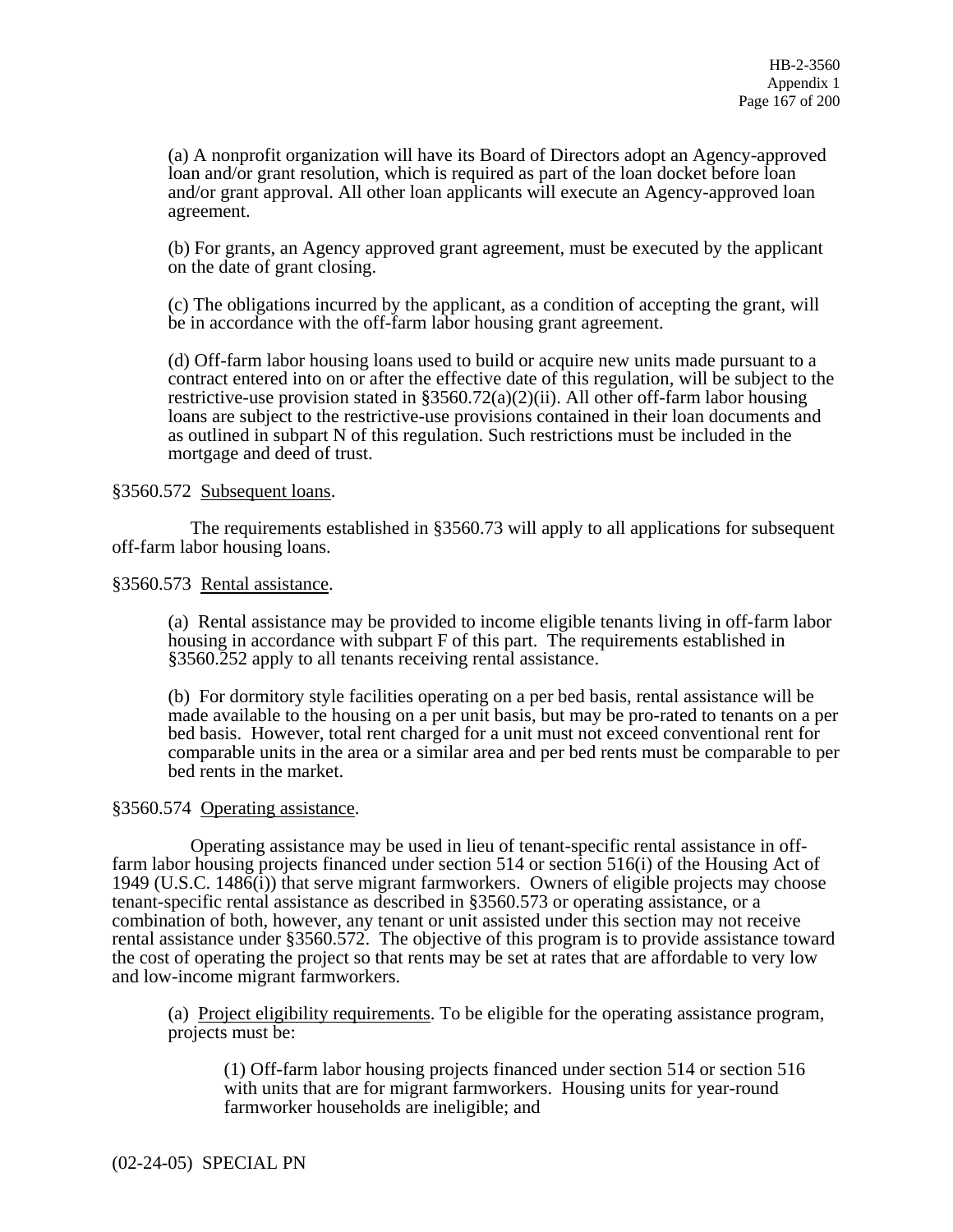(a) A nonprofit organization will have its Board of Directors adopt an Agency-approved loan and/or grant resolution, which is required as part of the loan docket before loan and/or grant approval. All other loan applicants will execute an Agency-approved loan agreement.

(b) For grants, an Agency approved grant agreement, must be executed by the applicant on the date of grant closing.

(c) The obligations incurred by the applicant, as a condition of accepting the grant, will be in accordance with the off-farm labor housing grant agreement.

(d) Off-farm labor housing loans used to build or acquire new units made pursuant to a contract entered into on or after the effective date of this regulation, will be subject to the restrictive-use provision stated in  $\S 3560.72(a)(2)(ii)$ . All other off-farm labor housing loans are subject to the restrictive-use provisions contained in their loan documents and as outlined in subpart N of this regulation. Such restrictions must be included in the mortgage and deed of trust.

# §3560.572 Subsequent loans.

 The requirements established in §3560.73 will apply to all applications for subsequent off-farm labor housing loans.

#### §3560.573 Rental assistance.

(a) Rental assistance may be provided to income eligible tenants living in off-farm labor housing in accordance with subpart F of this part. The requirements established in §3560.252 apply to all tenants receiving rental assistance.

(b) For dormitory style facilities operating on a per bed basis, rental assistance will be made available to the housing on a per unit basis, but may be pro-rated to tenants on a per bed basis. However, total rent charged for a unit must not exceed conventional rent for comparable units in the area or a similar area and per bed rents must be comparable to per bed rents in the market.

# §3560.574 Operating assistance.

 Operating assistance may be used in lieu of tenant-specific rental assistance in offfarm labor housing projects financed under section 514 or section 516(i) of the Housing Act of 1949 (U.S.C. 1486(i)) that serve migrant farmworkers. Owners of eligible projects may choose tenant-specific rental assistance as described in §3560.573 or operating assistance, or a combination of both, however, any tenant or unit assisted under this section may not receive rental assistance under §3560.572. The objective of this program is to provide assistance toward the cost of operating the project so that rents may be set at rates that are affordable to very low and low-income migrant farmworkers.

(a) Project eligibility requirements. To be eligible for the operating assistance program, projects must be:

(1) Off-farm labor housing projects financed under section 514 or section 516 with units that are for migrant farmworkers. Housing units for year-round farmworker households are ineligible; and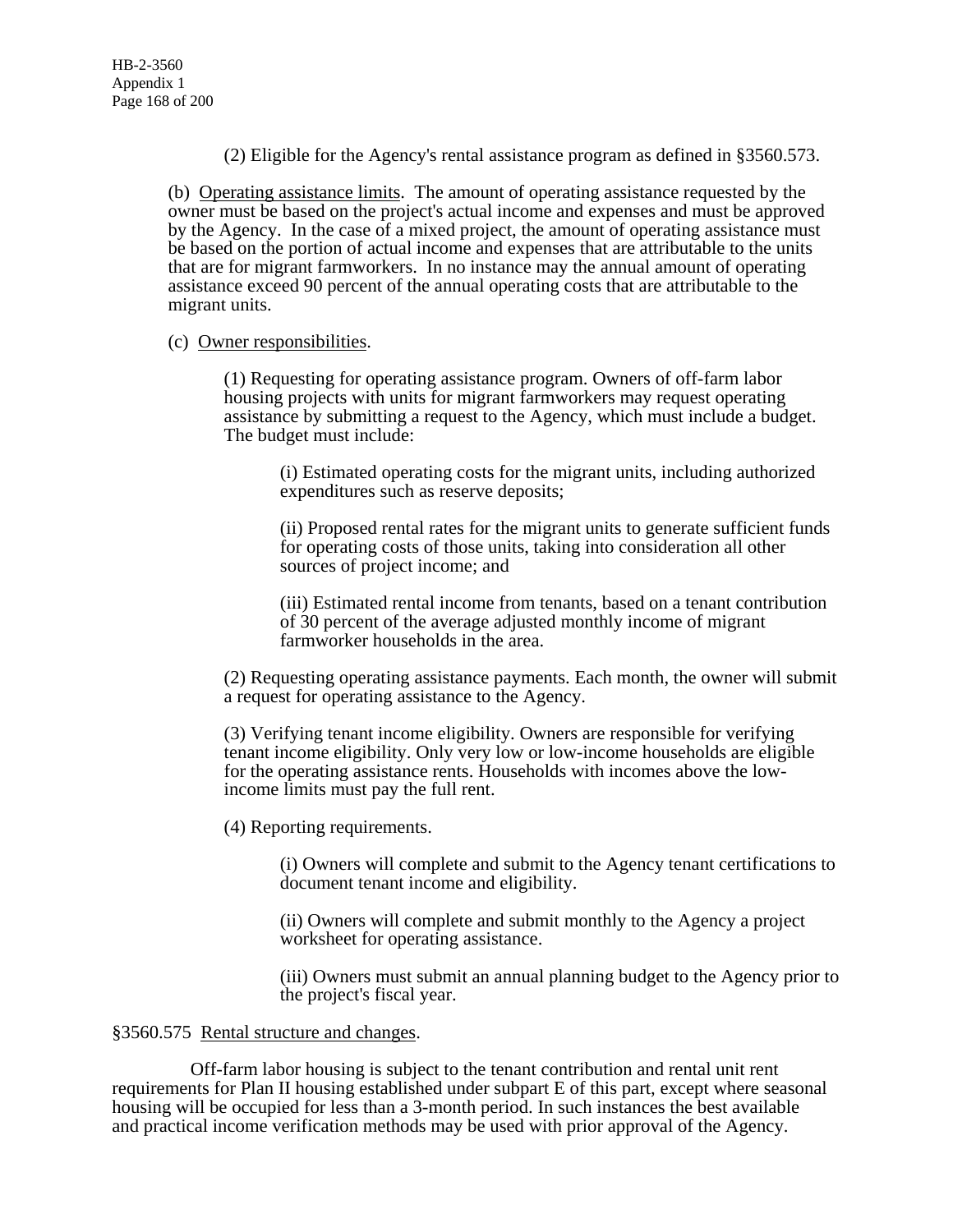(2) Eligible for the Agency's rental assistance program as defined in §3560.573.

(b) Operating assistance limits. The amount of operating assistance requested by the owner must be based on the project's actual income and expenses and must be approved by the Agency. In the case of a mixed project, the amount of operating assistance must be based on the portion of actual income and expenses that are attributable to the units that are for migrant farmworkers. In no instance may the annual amount of operating assistance exceed 90 percent of the annual operating costs that are attributable to the migrant units.

# (c) Owner responsibilities.

(1) Requesting for operating assistance program. Owners of off-farm labor housing projects with units for migrant farmworkers may request operating assistance by submitting a request to the Agency, which must include a budget. The budget must include:

(i) Estimated operating costs for the migrant units, including authorized expenditures such as reserve deposits;

(ii) Proposed rental rates for the migrant units to generate sufficient funds for operating costs of those units, taking into consideration all other sources of project income; and

(iii) Estimated rental income from tenants, based on a tenant contribution of 30 percent of the average adjusted monthly income of migrant farmworker households in the area.

(2) Requesting operating assistance payments. Each month, the owner will submit a request for operating assistance to the Agency.

(3) Verifying tenant income eligibility. Owners are responsible for verifying tenant income eligibility. Only very low or low-income households are eligible for the operating assistance rents. Households with incomes above the lowincome limits must pay the full rent.

(4) Reporting requirements.

(i) Owners will complete and submit to the Agency tenant certifications to document tenant income and eligibility.

(ii) Owners will complete and submit monthly to the Agency a project worksheet for operating assistance.

(iii) Owners must submit an annual planning budget to the Agency prior to the project's fiscal year.

# §3560.575 Rental structure and changes.

 Off-farm labor housing is subject to the tenant contribution and rental unit rent requirements for Plan II housing established under subpart E of this part, except where seasonal housing will be occupied for less than a 3-month period. In such instances the best available and practical income verification methods may be used with prior approval of the Agency.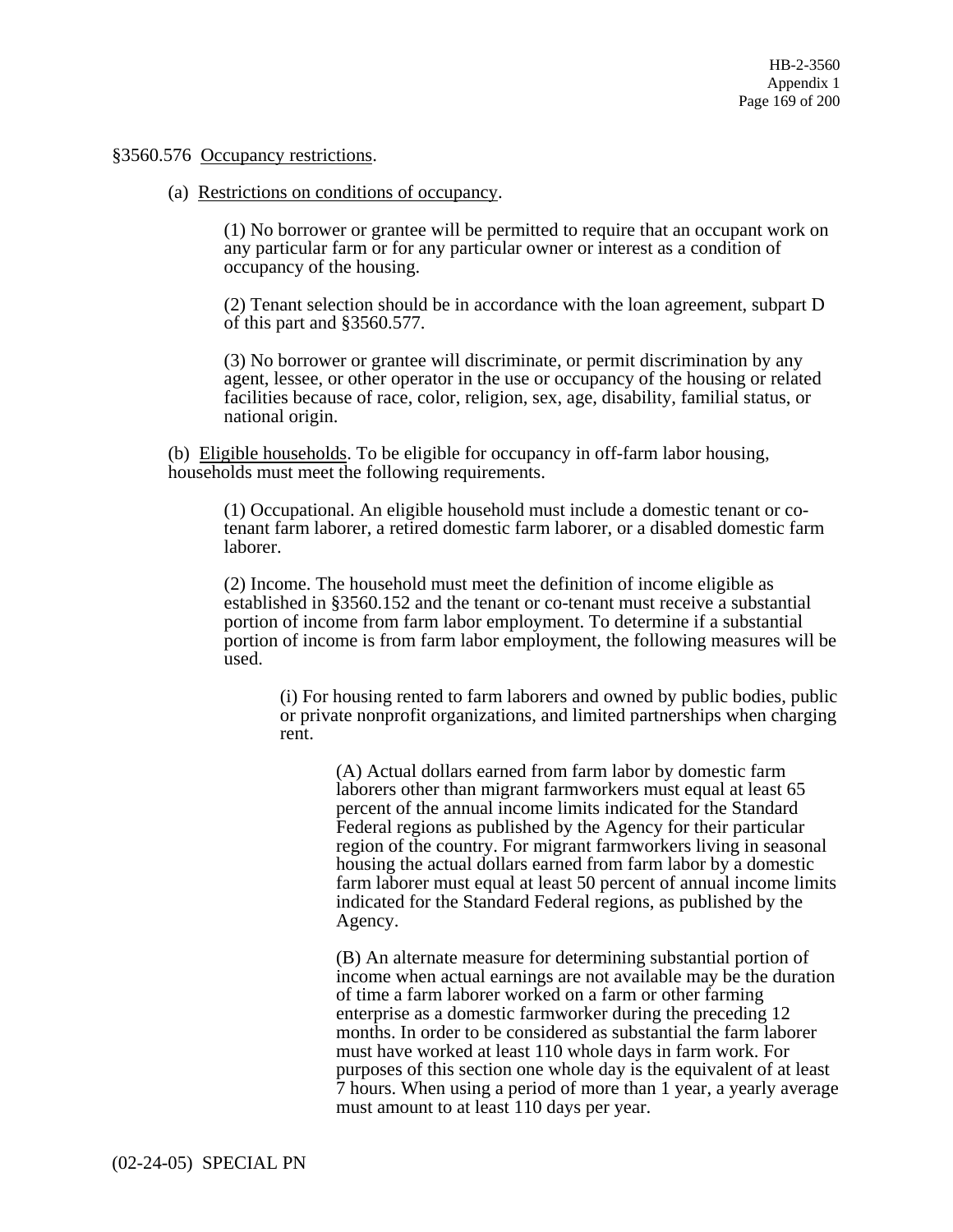#### §3560.576 Occupancy restrictions.

(a) Restrictions on conditions of occupancy.

(1) No borrower or grantee will be permitted to require that an occupant work on any particular farm or for any particular owner or interest as a condition of occupancy of the housing.

(2) Tenant selection should be in accordance with the loan agreement, subpart D of this part and §3560.577.

(3) No borrower or grantee will discriminate, or permit discrimination by any agent, lessee, or other operator in the use or occupancy of the housing or related facilities because of race, color, religion, sex, age, disability, familial status, or national origin.

(b) Eligible households. To be eligible for occupancy in off-farm labor housing, households must meet the following requirements.

(1) Occupational. An eligible household must include a domestic tenant or cotenant farm laborer, a retired domestic farm laborer, or a disabled domestic farm laborer.

(2) Income. The household must meet the definition of income eligible as established in §3560.152 and the tenant or co-tenant must receive a substantial portion of income from farm labor employment. To determine if a substantial portion of income is from farm labor employment, the following measures will be used.

(i) For housing rented to farm laborers and owned by public bodies, public or private nonprofit organizations, and limited partnerships when charging rent.

(A) Actual dollars earned from farm labor by domestic farm laborers other than migrant farmworkers must equal at least 65 percent of the annual income limits indicated for the Standard Federal regions as published by the Agency for their particular region of the country. For migrant farmworkers living in seasonal housing the actual dollars earned from farm labor by a domestic farm laborer must equal at least 50 percent of annual income limits indicated for the Standard Federal regions, as published by the Agency.

(B) An alternate measure for determining substantial portion of income when actual earnings are not available may be the duration of time a farm laborer worked on a farm or other farming enterprise as a domestic farmworker during the preceding 12 months. In order to be considered as substantial the farm laborer must have worked at least 110 whole days in farm work. For purposes of this section one whole day is the equivalent of at least 7 hours. When using a period of more than 1 year, a yearly average must amount to at least 110 days per year.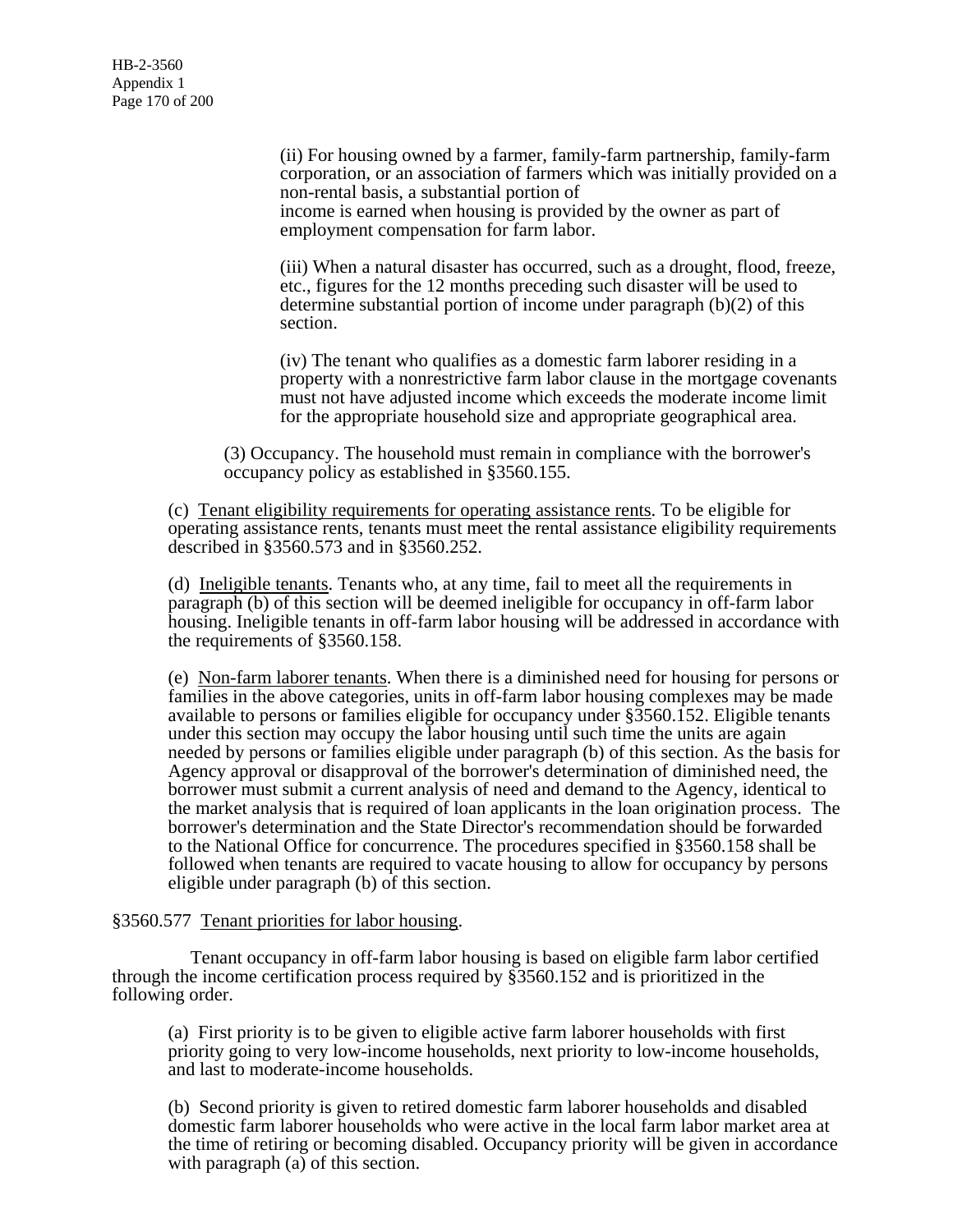(ii) For housing owned by a farmer, family-farm partnership, family-farm corporation, or an association of farmers which was initially provided on a non-rental basis, a substantial portion of income is earned when housing is provided by the owner as part of employment compensation for farm labor.

(iii) When a natural disaster has occurred, such as a drought, flood, freeze, etc., figures for the 12 months preceding such disaster will be used to determine substantial portion of income under paragraph (b)(2) of this section.

(iv) The tenant who qualifies as a domestic farm laborer residing in a property with a nonrestrictive farm labor clause in the mortgage covenants must not have adjusted income which exceeds the moderate income limit for the appropriate household size and appropriate geographical area.

(3) Occupancy. The household must remain in compliance with the borrower's occupancy policy as established in §3560.155.

(c) Tenant eligibility requirements for operating assistance rents. To be eligible for operating assistance rents, tenants must meet the rental assistance eligibility requirements described in §3560.573 and in §3560.252.

(d) Ineligible tenants. Tenants who, at any time, fail to meet all the requirements in paragraph (b) of this section will be deemed ineligible for occupancy in off-farm labor housing. Ineligible tenants in off-farm labor housing will be addressed in accordance with the requirements of §3560.158.

(e) Non-farm laborer tenants. When there is a diminished need for housing for persons or families in the above categories, units in off-farm labor housing complexes may be made available to persons or families eligible for occupancy under §3560.152. Eligible tenants under this section may occupy the labor housing until such time the units are again needed by persons or families eligible under paragraph (b) of this section. As the basis for Agency approval or disapproval of the borrower's determination of diminished need, the borrower must submit a current analysis of need and demand to the Agency, identical to the market analysis that is required of loan applicants in the loan origination process. The borrower's determination and the State Director's recommendation should be forwarded to the National Office for concurrence. The procedures specified in §3560.158 shall be followed when tenants are required to vacate housing to allow for occupancy by persons eligible under paragraph (b) of this section.

# §3560.577 Tenant priorities for labor housing.

 Tenant occupancy in off-farm labor housing is based on eligible farm labor certified through the income certification process required by §3560.152 and is prioritized in the following order.

(a) First priority is to be given to eligible active farm laborer households with first priority going to very low-income households, next priority to low-income households, and last to moderate-income households.

(b) Second priority is given to retired domestic farm laborer households and disabled domestic farm laborer households who were active in the local farm labor market area at the time of retiring or becoming disabled. Occupancy priority will be given in accordance with paragraph  $(a)$  of this section.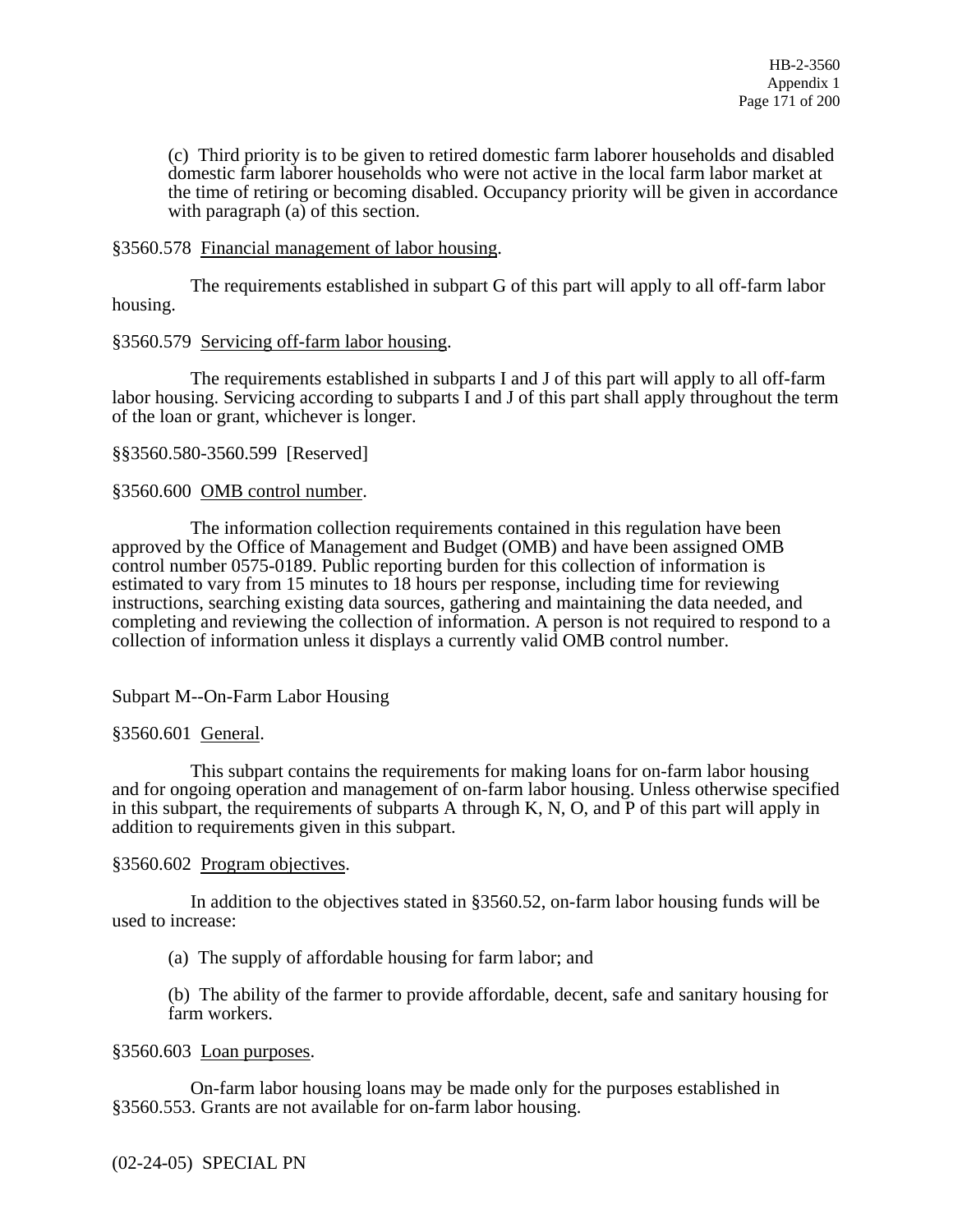(c) Third priority is to be given to retired domestic farm laborer households and disabled domestic farm laborer households who were not active in the local farm labor market at the time of retiring or becoming disabled. Occupancy priority will be given in accordance with paragraph  $(a)$  of this section.

# §3560.578 Financial management of labor housing.

 The requirements established in subpart G of this part will apply to all off-farm labor housing.

# §3560.579 Servicing off-farm labor housing.

 The requirements established in subparts I and J of this part will apply to all off-farm labor housing. Servicing according to subparts I and J of this part shall apply throughout the term of the loan or grant, whichever is longer.

§§3560.580-3560.599 [Reserved]

# §3560.600 OMB control number.

 The information collection requirements contained in this regulation have been approved by the Office of Management and Budget (OMB) and have been assigned OMB control number 0575-0189. Public reporting burden for this collection of information is estimated to vary from 15 minutes to 18 hours per response, including time for reviewing instructions, searching existing data sources, gathering and maintaining the data needed, and completing and reviewing the collection of information. A person is not required to respond to a collection of information unless it displays a currently valid OMB control number.

# Subpart M--On-Farm Labor Housing

# §3560.601 General.

 This subpart contains the requirements for making loans for on-farm labor housing and for ongoing operation and management of on-farm labor housing. Unless otherwise specified in this subpart, the requirements of subparts A through K, N, O, and P of this part will apply in addition to requirements given in this subpart.

# §3560.602 Program objectives.

 In addition to the objectives stated in §3560.52, on-farm labor housing funds will be used to increase:

(a) The supply of affordable housing for farm labor; and

(b) The ability of the farmer to provide affordable, decent, safe and sanitary housing for farm workers.

# §3560.603 Loan purposes.

 On-farm labor housing loans may be made only for the purposes established in §3560.553. Grants are not available for on-farm labor housing.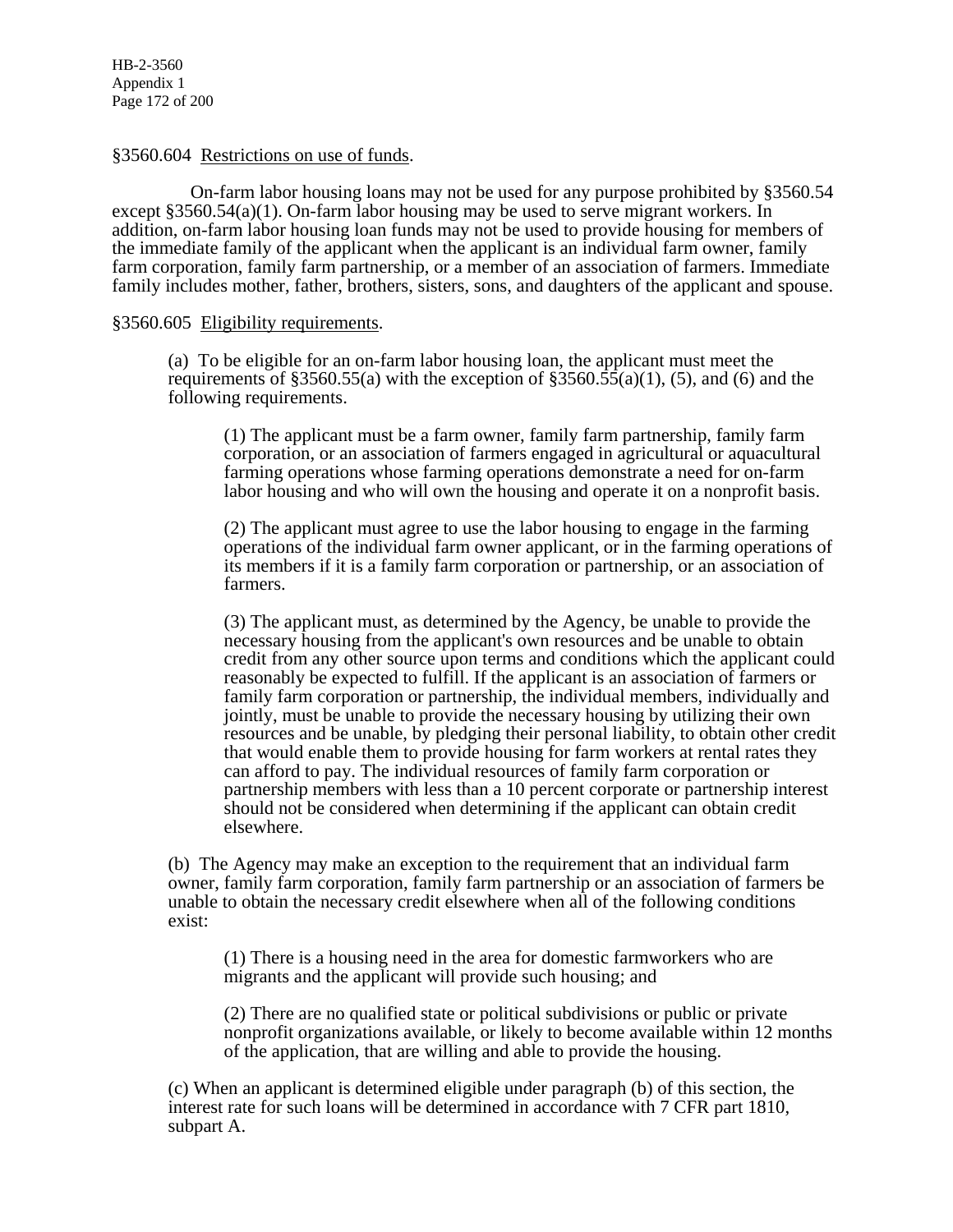HB-2-3560 Appendix 1 Page 172 of 200

#### §3560.604 Restrictions on use of funds.

 On-farm labor housing loans may not be used for any purpose prohibited by §3560.54 except §3560.54(a)(1). On-farm labor housing may be used to serve migrant workers. In addition, on-farm labor housing loan funds may not be used to provide housing for members of the immediate family of the applicant when the applicant is an individual farm owner, family farm corporation, family farm partnership, or a member of an association of farmers. Immediate family includes mother, father, brothers, sisters, sons, and daughters of the applicant and spouse.

#### §3560.605 Eligibility requirements.

(a) To be eligible for an on-farm labor housing loan, the applicant must meet the requirements of §3560.55(a) with the exception of §3560.55(a)(1), (5), and (6) and the following requirements.

(1) The applicant must be a farm owner, family farm partnership, family farm corporation, or an association of farmers engaged in agricultural or aquacultural farming operations whose farming operations demonstrate a need for on-farm labor housing and who will own the housing and operate it on a nonprofit basis.

(2) The applicant must agree to use the labor housing to engage in the farming operations of the individual farm owner applicant, or in the farming operations of its members if it is a family farm corporation or partnership, or an association of farmers.

(3) The applicant must, as determined by the Agency, be unable to provide the necessary housing from the applicant's own resources and be unable to obtain credit from any other source upon terms and conditions which the applicant could reasonably be expected to fulfill. If the applicant is an association of farmers or family farm corporation or partnership, the individual members, individually and jointly, must be unable to provide the necessary housing by utilizing their own resources and be unable, by pledging their personal liability, to obtain other credit that would enable them to provide housing for farm workers at rental rates they can afford to pay. The individual resources of family farm corporation or partnership members with less than a 10 percent corporate or partnership interest should not be considered when determining if the applicant can obtain credit elsewhere.

(b) The Agency may make an exception to the requirement that an individual farm owner, family farm corporation, family farm partnership or an association of farmers be unable to obtain the necessary credit elsewhere when all of the following conditions exist:

(1) There is a housing need in the area for domestic farmworkers who are migrants and the applicant will provide such housing; and

(2) There are no qualified state or political subdivisions or public or private nonprofit organizations available, or likely to become available within 12 months of the application, that are willing and able to provide the housing.

(c) When an applicant is determined eligible under paragraph (b) of this section, the interest rate for such loans will be determined in accordance with 7 CFR part 1810, subpart A.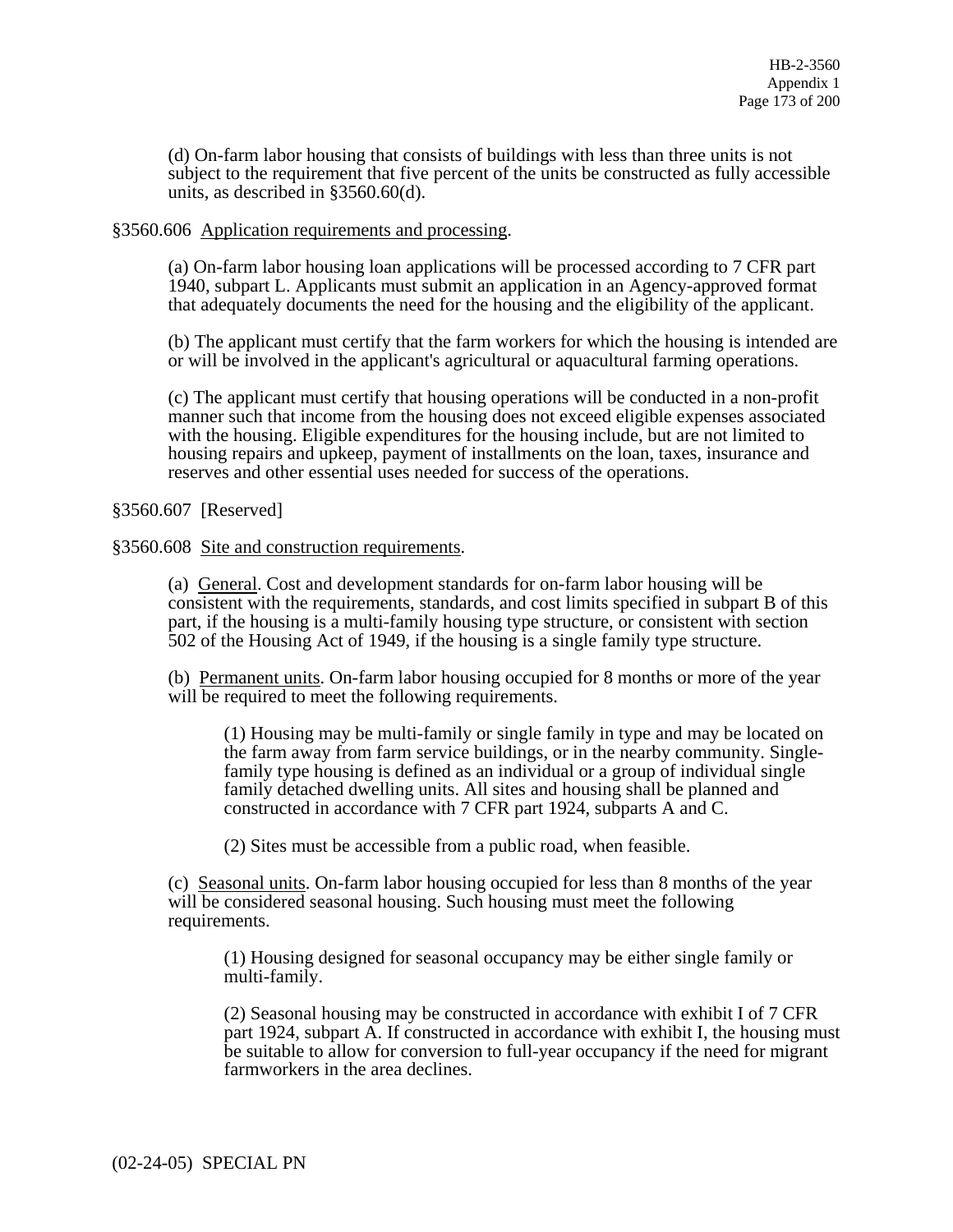(d) On-farm labor housing that consists of buildings with less than three units is not subject to the requirement that five percent of the units be constructed as fully accessible units, as described in §3560.60(d).

#### §3560.606 Application requirements and processing.

(a) On-farm labor housing loan applications will be processed according to 7 CFR part 1940, subpart L. Applicants must submit an application in an Agency-approved format that adequately documents the need for the housing and the eligibility of the applicant.

(b) The applicant must certify that the farm workers for which the housing is intended are or will be involved in the applicant's agricultural or aquacultural farming operations.

(c) The applicant must certify that housing operations will be conducted in a non-profit manner such that income from the housing does not exceed eligible expenses associated with the housing. Eligible expenditures for the housing include, but are not limited to housing repairs and upkeep, payment of installments on the loan, taxes, insurance and reserves and other essential uses needed for success of the operations.

#### §3560.607 [Reserved]

#### §3560.608 Site and construction requirements.

(a) General. Cost and development standards for on-farm labor housing will be consistent with the requirements, standards, and cost limits specified in subpart B of this part, if the housing is a multi-family housing type structure, or consistent with section 502 of the Housing Act of 1949, if the housing is a single family type structure.

(b) Permanent units. On-farm labor housing occupied for 8 months or more of the year will be required to meet the following requirements.

(1) Housing may be multi-family or single family in type and may be located on the farm away from farm service buildings, or in the nearby community. Singlefamily type housing is defined as an individual or a group of individual single family detached dwelling units. All sites and housing shall be planned and constructed in accordance with 7 CFR part 1924, subparts A and C.

(2) Sites must be accessible from a public road, when feasible.

(c) Seasonal units. On-farm labor housing occupied for less than 8 months of the year will be considered seasonal housing. Such housing must meet the following requirements.

(1) Housing designed for seasonal occupancy may be either single family or multi-family.

(2) Seasonal housing may be constructed in accordance with exhibit I of 7 CFR part 1924, subpart A. If constructed in accordance with exhibit I, the housing must be suitable to allow for conversion to full-year occupancy if the need for migrant farmworkers in the area declines.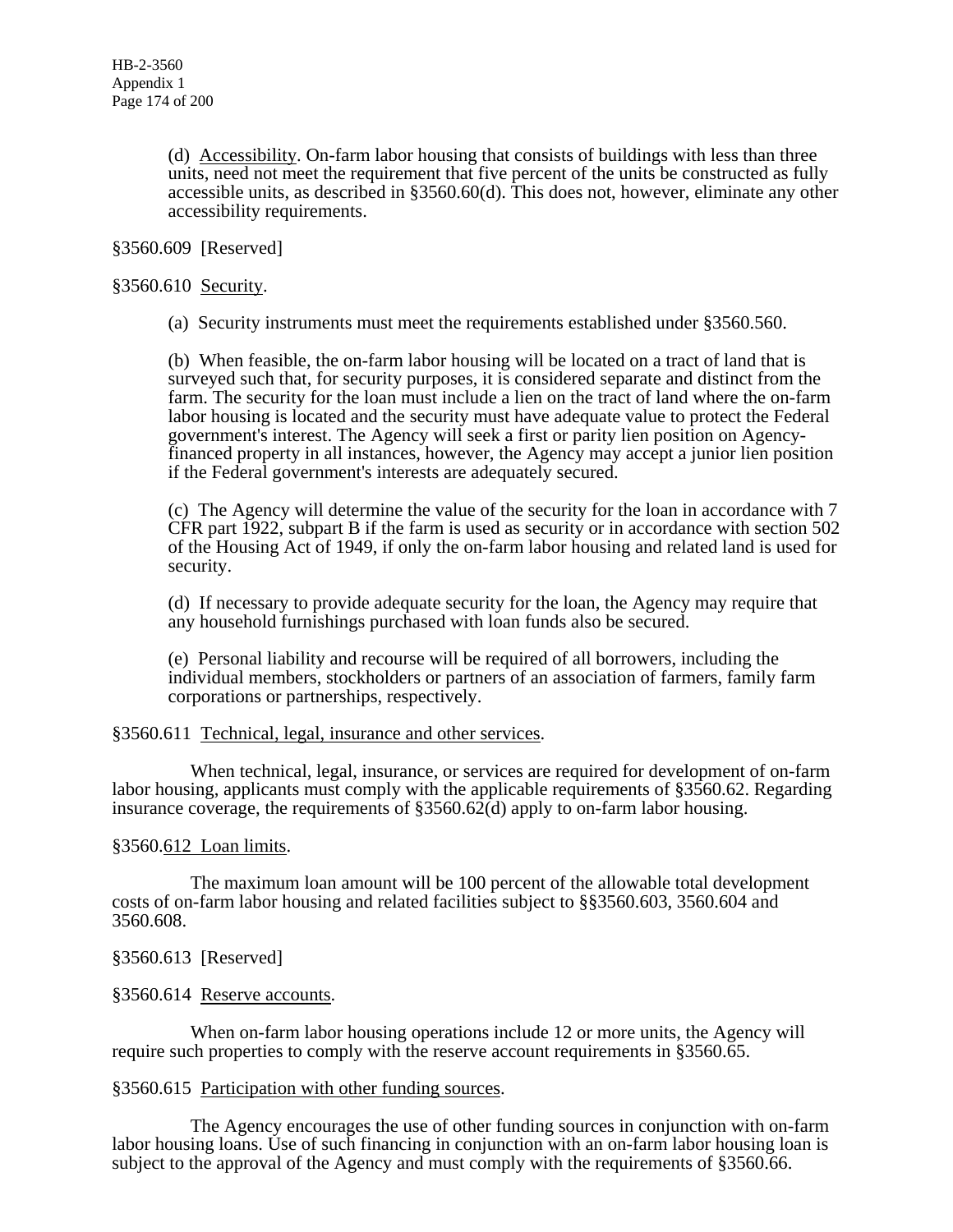(d) Accessibility. On-farm labor housing that consists of buildings with less than three units, need not meet the requirement that five percent of the units be constructed as fully accessible units, as described in §3560.60(d). This does not, however, eliminate any other accessibility requirements.

#### §3560.609 [Reserved]

#### §3560.610 Security.

(a) Security instruments must meet the requirements established under §3560.560.

(b) When feasible, the on-farm labor housing will be located on a tract of land that is surveyed such that, for security purposes, it is considered separate and distinct from the farm. The security for the loan must include a lien on the tract of land where the on-farm labor housing is located and the security must have adequate value to protect the Federal government's interest. The Agency will seek a first or parity lien position on Agencyfinanced property in all instances, however, the Agency may accept a junior lien position if the Federal government's interests are adequately secured.

(c) The Agency will determine the value of the security for the loan in accordance with 7 CFR part 1922, subpart B if the farm is used as security or in accordance with section 502 of the Housing Act of 1949, if only the on-farm labor housing and related land is used for security.

(d) If necessary to provide adequate security for the loan, the Agency may require that any household furnishings purchased with loan funds also be secured.

(e) Personal liability and recourse will be required of all borrowers, including the individual members, stockholders or partners of an association of farmers, family farm corporations or partnerships, respectively.

#### §3560.611 Technical, legal, insurance and other services.

 When technical, legal, insurance, or services are required for development of on-farm labor housing, applicants must comply with the applicable requirements of §3560.62. Regarding insurance coverage, the requirements of  $\S 3560.62(d)$  apply to on-farm labor housing.

# §3560.612 Loan limits.

 The maximum loan amount will be 100 percent of the allowable total development costs of on-farm labor housing and related facilities subject to §§3560.603, 3560.604 and 3560.608.

# §3560.613 [Reserved]

#### §3560.614 Reserve accounts.

 When on-farm labor housing operations include 12 or more units, the Agency will require such properties to comply with the reserve account requirements in §3560.65.

#### §3560.615 Participation with other funding sources.

 The Agency encourages the use of other funding sources in conjunction with on-farm labor housing loans. Use of such financing in conjunction with an on-farm labor housing loan is subject to the approval of the Agency and must comply with the requirements of §3560.66.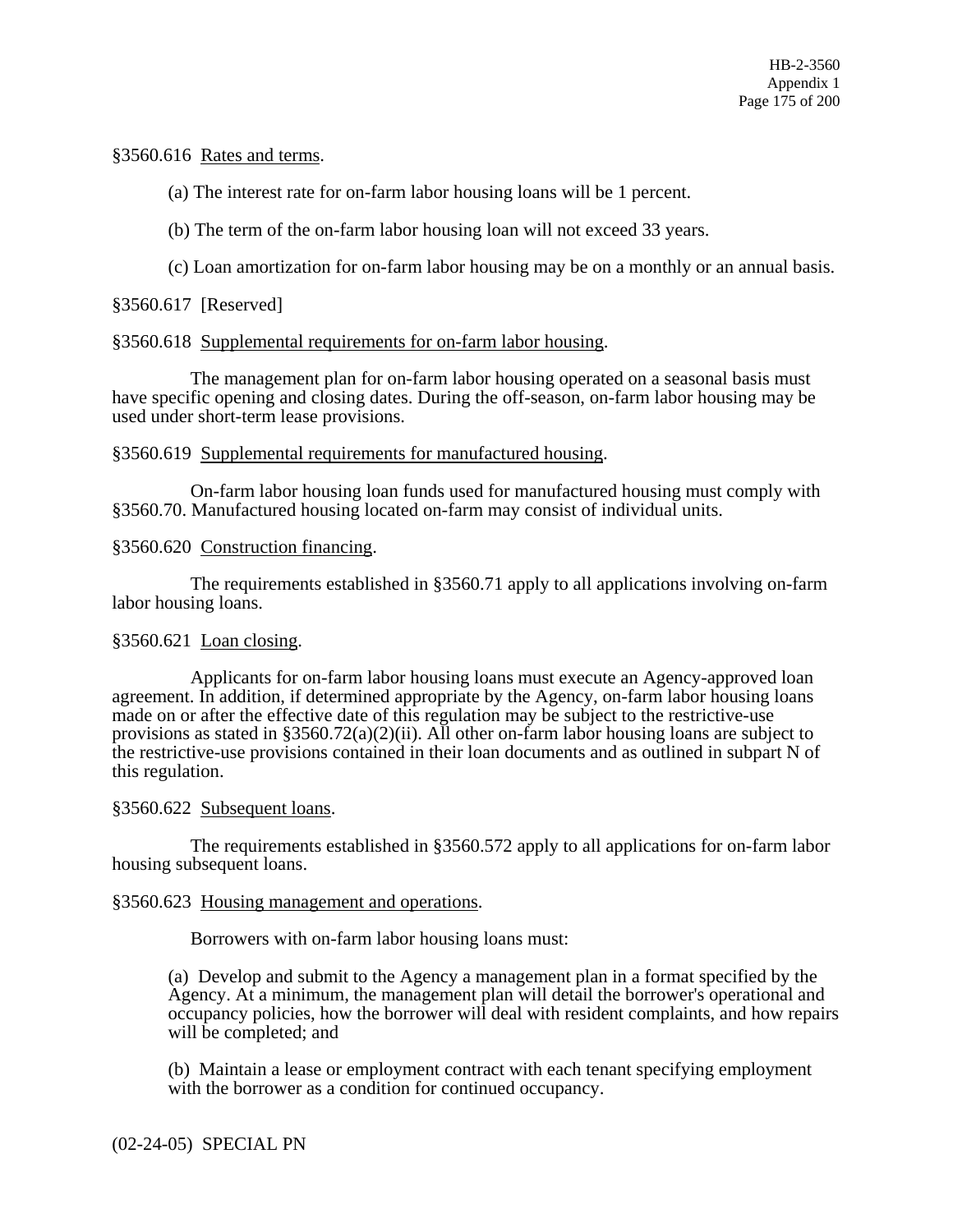# §3560.616 Rates and terms.

(a) The interest rate for on-farm labor housing loans will be 1 percent.

(b) The term of the on-farm labor housing loan will not exceed 33 years.

(c) Loan amortization for on-farm labor housing may be on a monthly or an annual basis.

# §3560.617 [Reserved]

# §3560.618 Supplemental requirements for on-farm labor housing.

 The management plan for on-farm labor housing operated on a seasonal basis must have specific opening and closing dates. During the off-season, on-farm labor housing may be used under short-term lease provisions.

# §3560.619 Supplemental requirements for manufactured housing.

 On-farm labor housing loan funds used for manufactured housing must comply with §3560.70. Manufactured housing located on-farm may consist of individual units.

# §3560.620 Construction financing.

 The requirements established in §3560.71 apply to all applications involving on-farm labor housing loans.

# §3560.621 Loan closing.

 Applicants for on-farm labor housing loans must execute an Agency-approved loan agreement. In addition, if determined appropriate by the Agency, on-farm labor housing loans made on or after the effective date of this regulation may be subject to the restrictive-use provisions as stated in  $\S 3560.72(a)(2)(ii)$ . All other on-farm labor housing loans are subject to the restrictive-use provisions contained in their loan documents and as outlined in subpart N of this regulation.

# §3560.622 Subsequent loans.

 The requirements established in §3560.572 apply to all applications for on-farm labor housing subsequent loans.

# §3560.623 Housing management and operations.

Borrowers with on-farm labor housing loans must:

(a) Develop and submit to the Agency a management plan in a format specified by the Agency. At a minimum, the management plan will detail the borrower's operational and occupancy policies, how the borrower will deal with resident complaints, and how repairs will be completed; and

(b) Maintain a lease or employment contract with each tenant specifying employment with the borrower as a condition for continued occupancy.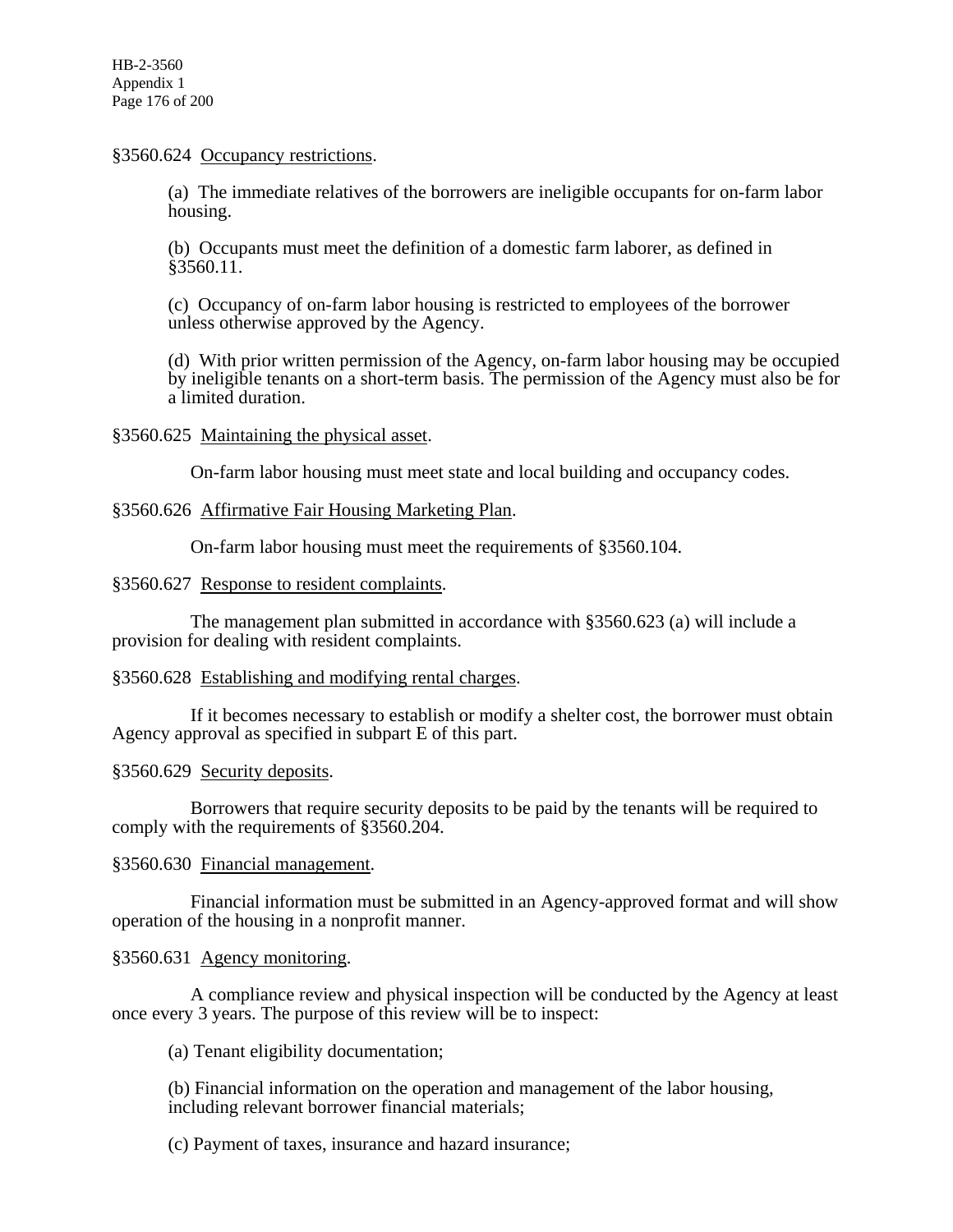# §3560.624 Occupancy restrictions.

(a) The immediate relatives of the borrowers are ineligible occupants for on-farm labor housing.

(b) Occupants must meet the definition of a domestic farm laborer, as defined in §3560.11.

(c) Occupancy of on-farm labor housing is restricted to employees of the borrower unless otherwise approved by the Agency.

(d) With prior written permission of the Agency, on-farm labor housing may be occupied by ineligible tenants on a short-term basis. The permission of the Agency must also be for a limited duration.

# §3560.625 Maintaining the physical asset.

On-farm labor housing must meet state and local building and occupancy codes.

# §3560.626 Affirmative Fair Housing Marketing Plan.

On-farm labor housing must meet the requirements of §3560.104.

# §3560.627 Response to resident complaints.

 The management plan submitted in accordance with §3560.623 (a) will include a provision for dealing with resident complaints.

# §3560.628 Establishing and modifying rental charges.

 If it becomes necessary to establish or modify a shelter cost, the borrower must obtain Agency approval as specified in subpart E of this part.

# §3560.629 Security deposits.

 Borrowers that require security deposits to be paid by the tenants will be required to comply with the requirements of §3560.204.

# §3560.630 Financial management.

 Financial information must be submitted in an Agency-approved format and will show operation of the housing in a nonprofit manner.

# §3560.631 Agency monitoring.

 A compliance review and physical inspection will be conducted by the Agency at least once every 3 years. The purpose of this review will be to inspect:

(a) Tenant eligibility documentation;

(b) Financial information on the operation and management of the labor housing, including relevant borrower financial materials;

(c) Payment of taxes, insurance and hazard insurance;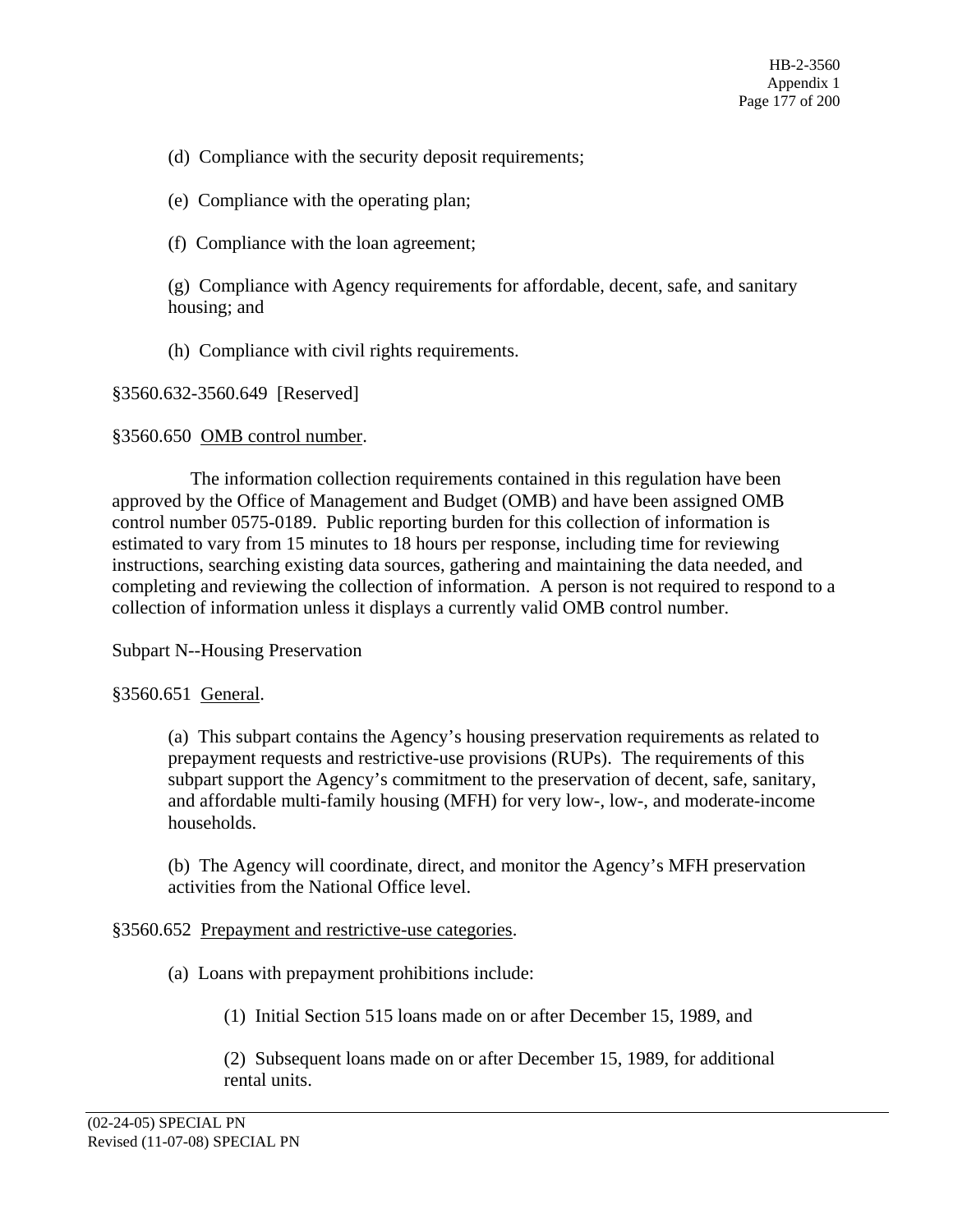- (d) Compliance with the security deposit requirements;
- (e) Compliance with the operating plan;
- (f) Compliance with the loan agreement;

(g) Compliance with Agency requirements for affordable, decent, safe, and sanitary housing; and

(h) Compliance with civil rights requirements.

# §3560.632-3560.649 [Reserved]

# §3560.650 OMB control number.

The information collection requirements contained in this regulation have been approved by the Office of Management and Budget (OMB) and have been assigned OMB control number 0575-0189. Public reporting burden for this collection of information is estimated to vary from 15 minutes to 18 hours per response, including time for reviewing instructions, searching existing data sources, gathering and maintaining the data needed, and completing and reviewing the collection of information. A person is not required to respond to a collection of information unless it displays a currently valid OMB control number.

Subpart N--Housing Preservation

# §3560.651 General.

(a) This subpart contains the Agency's housing preservation requirements as related to prepayment requests and restrictive-use provisions (RUPs). The requirements of this subpart support the Agency's commitment to the preservation of decent, safe, sanitary, and affordable multi-family housing (MFH) for very low-, low-, and moderate-income households.

(b) The Agency will coordinate, direct, and monitor the Agency's MFH preservation activities from the National Office level.

# §3560.652 Prepayment and restrictive-use categories.

(a) Loans with prepayment prohibitions include:

(1) Initial Section 515 loans made on or after December 15, 1989, and

(2) Subsequent loans made on or after December 15, 1989, for additional rental units.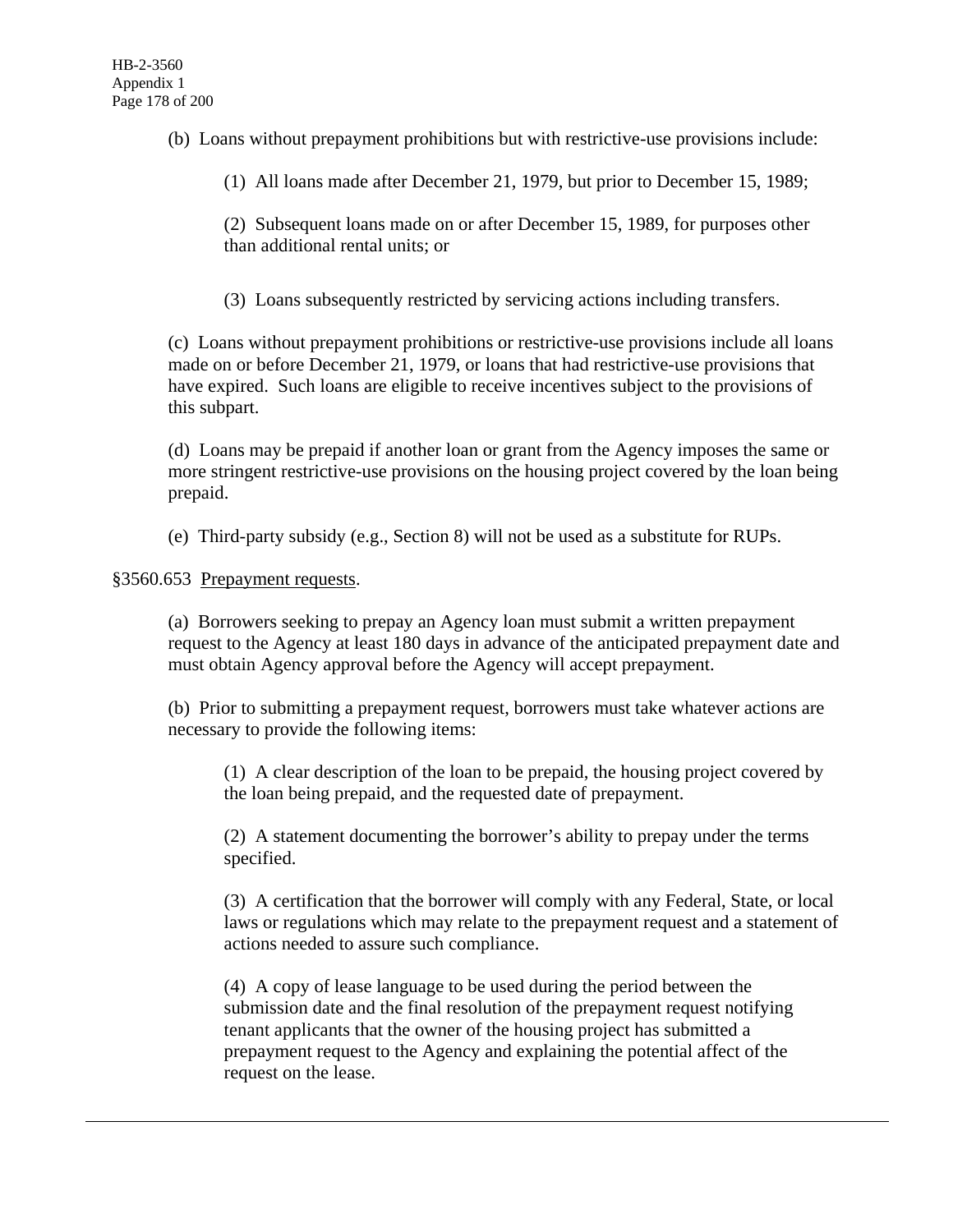(b) Loans without prepayment prohibitions but with restrictive-use provisions include:

(1) All loans made after December 21, 1979, but prior to December 15, 1989;

(2) Subsequent loans made on or after December 15, 1989, for purposes other than additional rental units; or

(3) Loans subsequently restricted by servicing actions including transfers.

(c) Loans without prepayment prohibitions or restrictive-use provisions include all loans made on or before December 21, 1979, or loans that had restrictive-use provisions that have expired. Such loans are eligible to receive incentives subject to the provisions of this subpart.

(d) Loans may be prepaid if another loan or grant from the Agency imposes the same or more stringent restrictive-use provisions on the housing project covered by the loan being prepaid.

(e) Third-party subsidy (e.g., Section 8) will not be used as a substitute for RUPs.

§3560.653 Prepayment requests.

(a) Borrowers seeking to prepay an Agency loan must submit a written prepayment request to the Agency at least 180 days in advance of the anticipated prepayment date and must obtain Agency approval before the Agency will accept prepayment.

(b) Prior to submitting a prepayment request, borrowers must take whatever actions are necessary to provide the following items:

(1) A clear description of the loan to be prepaid, the housing project covered by the loan being prepaid, and the requested date of prepayment.

(2) A statement documenting the borrower's ability to prepay under the terms specified.

(3) A certification that the borrower will comply with any Federal, State, or local laws or regulations which may relate to the prepayment request and a statement of actions needed to assure such compliance.

(4) A copy of lease language to be used during the period between the submission date and the final resolution of the prepayment request notifying tenant applicants that the owner of the housing project has submitted a prepayment request to the Agency and explaining the potential affect of the request on the lease.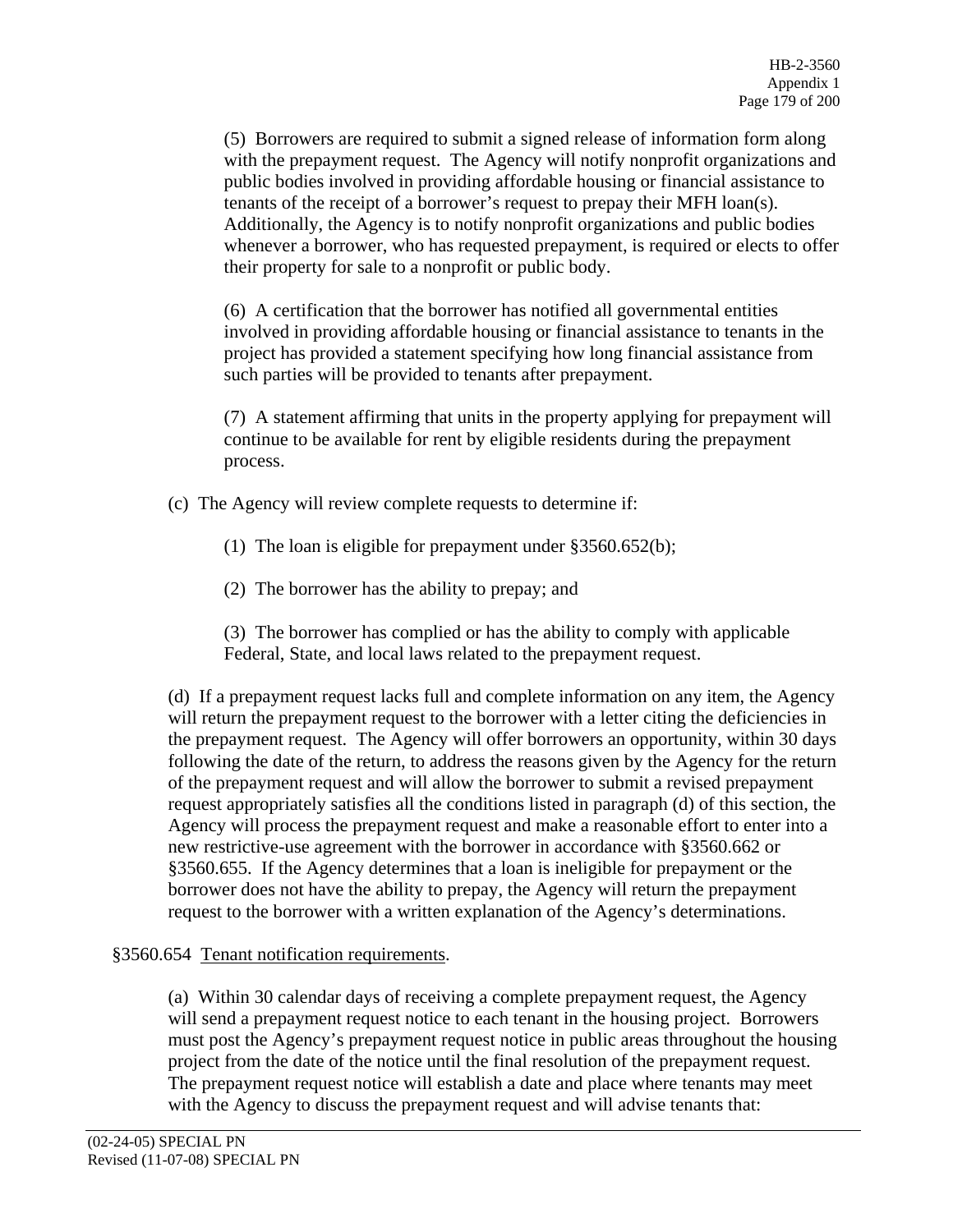(5) Borrowers are required to submit a signed release of information form along with the prepayment request. The Agency will notify nonprofit organizations and public bodies involved in providing affordable housing or financial assistance to tenants of the receipt of a borrower's request to prepay their MFH loan(s). Additionally, the Agency is to notify nonprofit organizations and public bodies whenever a borrower, who has requested prepayment, is required or elects to offer their property for sale to a nonprofit or public body.

(6) A certification that the borrower has notified all governmental entities involved in providing affordable housing or financial assistance to tenants in the project has provided a statement specifying how long financial assistance from such parties will be provided to tenants after prepayment.

(7) A statement affirming that units in the property applying for prepayment will continue to be available for rent by eligible residents during the prepayment process.

(c) The Agency will review complete requests to determine if:

(1) The loan is eligible for prepayment under §3560.652(b);

(2) The borrower has the ability to prepay; and

(3) The borrower has complied or has the ability to comply with applicable Federal, State, and local laws related to the prepayment request.

(d) If a prepayment request lacks full and complete information on any item, the Agency will return the prepayment request to the borrower with a letter citing the deficiencies in the prepayment request. The Agency will offer borrowers an opportunity, within 30 days following the date of the return, to address the reasons given by the Agency for the return of the prepayment request and will allow the borrower to submit a revised prepayment request appropriately satisfies all the conditions listed in paragraph (d) of this section, the Agency will process the prepayment request and make a reasonable effort to enter into a new restrictive-use agreement with the borrower in accordance with §3560.662 or §3560.655. If the Agency determines that a loan is ineligible for prepayment or the borrower does not have the ability to prepay, the Agency will return the prepayment request to the borrower with a written explanation of the Agency's determinations.

# §3560.654 Tenant notification requirements.

(a) Within 30 calendar days of receiving a complete prepayment request, the Agency will send a prepayment request notice to each tenant in the housing project. Borrowers must post the Agency's prepayment request notice in public areas throughout the housing project from the date of the notice until the final resolution of the prepayment request. The prepayment request notice will establish a date and place where tenants may meet with the Agency to discuss the prepayment request and will advise tenants that: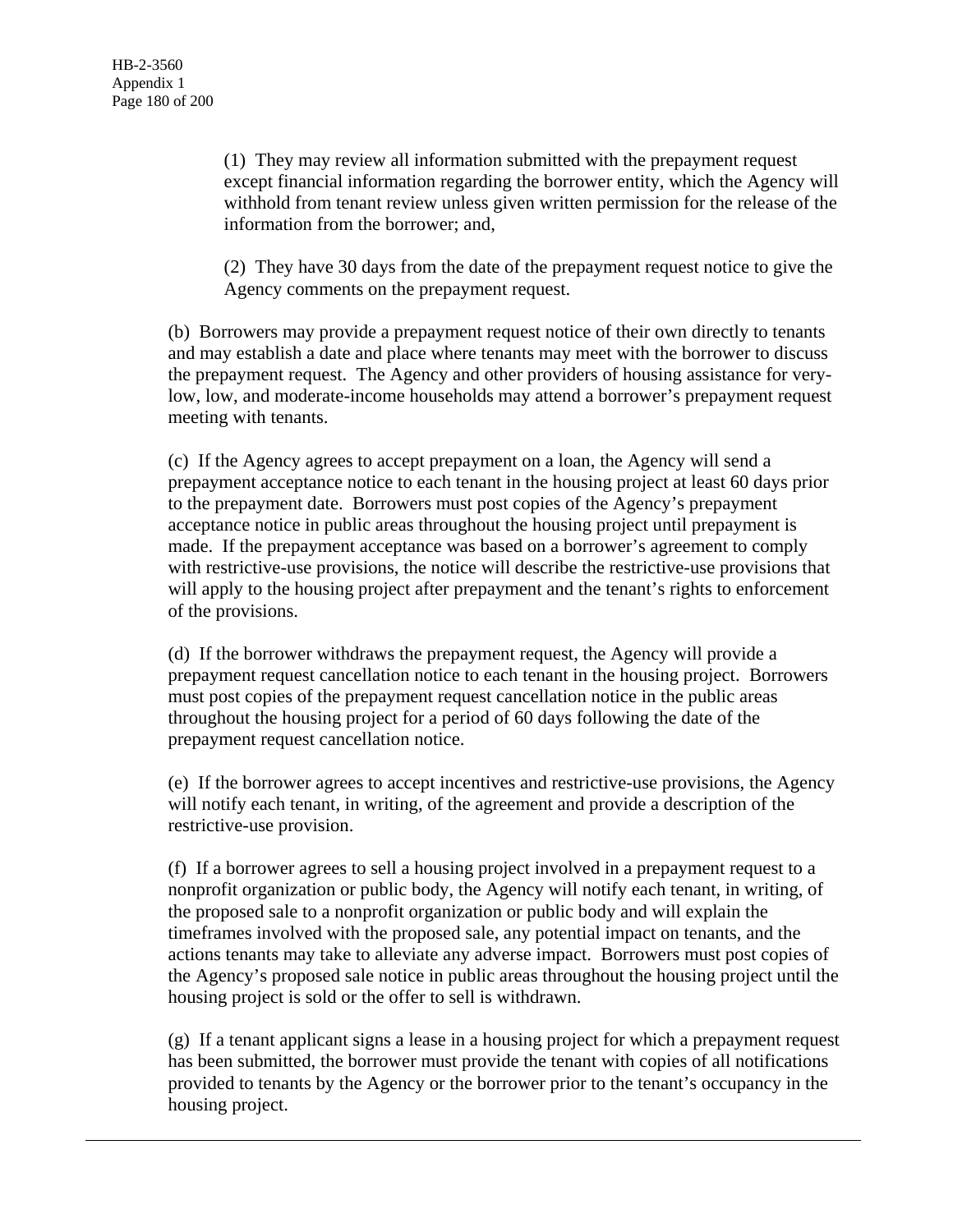(1) They may review all information submitted with the prepayment request except financial information regarding the borrower entity, which the Agency will withhold from tenant review unless given written permission for the release of the information from the borrower; and,

(2) They have 30 days from the date of the prepayment request notice to give the Agency comments on the prepayment request.

(b) Borrowers may provide a prepayment request notice of their own directly to tenants and may establish a date and place where tenants may meet with the borrower to discuss the prepayment request. The Agency and other providers of housing assistance for verylow, low, and moderate-income households may attend a borrower's prepayment request meeting with tenants.

(c) If the Agency agrees to accept prepayment on a loan, the Agency will send a prepayment acceptance notice to each tenant in the housing project at least 60 days prior to the prepayment date. Borrowers must post copies of the Agency's prepayment acceptance notice in public areas throughout the housing project until prepayment is made. If the prepayment acceptance was based on a borrower's agreement to comply with restrictive-use provisions, the notice will describe the restrictive-use provisions that will apply to the housing project after prepayment and the tenant's rights to enforcement of the provisions.

(d) If the borrower withdraws the prepayment request, the Agency will provide a prepayment request cancellation notice to each tenant in the housing project. Borrowers must post copies of the prepayment request cancellation notice in the public areas throughout the housing project for a period of 60 days following the date of the prepayment request cancellation notice.

(e) If the borrower agrees to accept incentives and restrictive-use provisions, the Agency will notify each tenant, in writing, of the agreement and provide a description of the restrictive-use provision.

(f) If a borrower agrees to sell a housing project involved in a prepayment request to a nonprofit organization or public body, the Agency will notify each tenant, in writing, of the proposed sale to a nonprofit organization or public body and will explain the timeframes involved with the proposed sale, any potential impact on tenants, and the actions tenants may take to alleviate any adverse impact. Borrowers must post copies of the Agency's proposed sale notice in public areas throughout the housing project until the housing project is sold or the offer to sell is withdrawn.

(g) If a tenant applicant signs a lease in a housing project for which a prepayment request has been submitted, the borrower must provide the tenant with copies of all notifications provided to tenants by the Agency or the borrower prior to the tenant's occupancy in the housing project.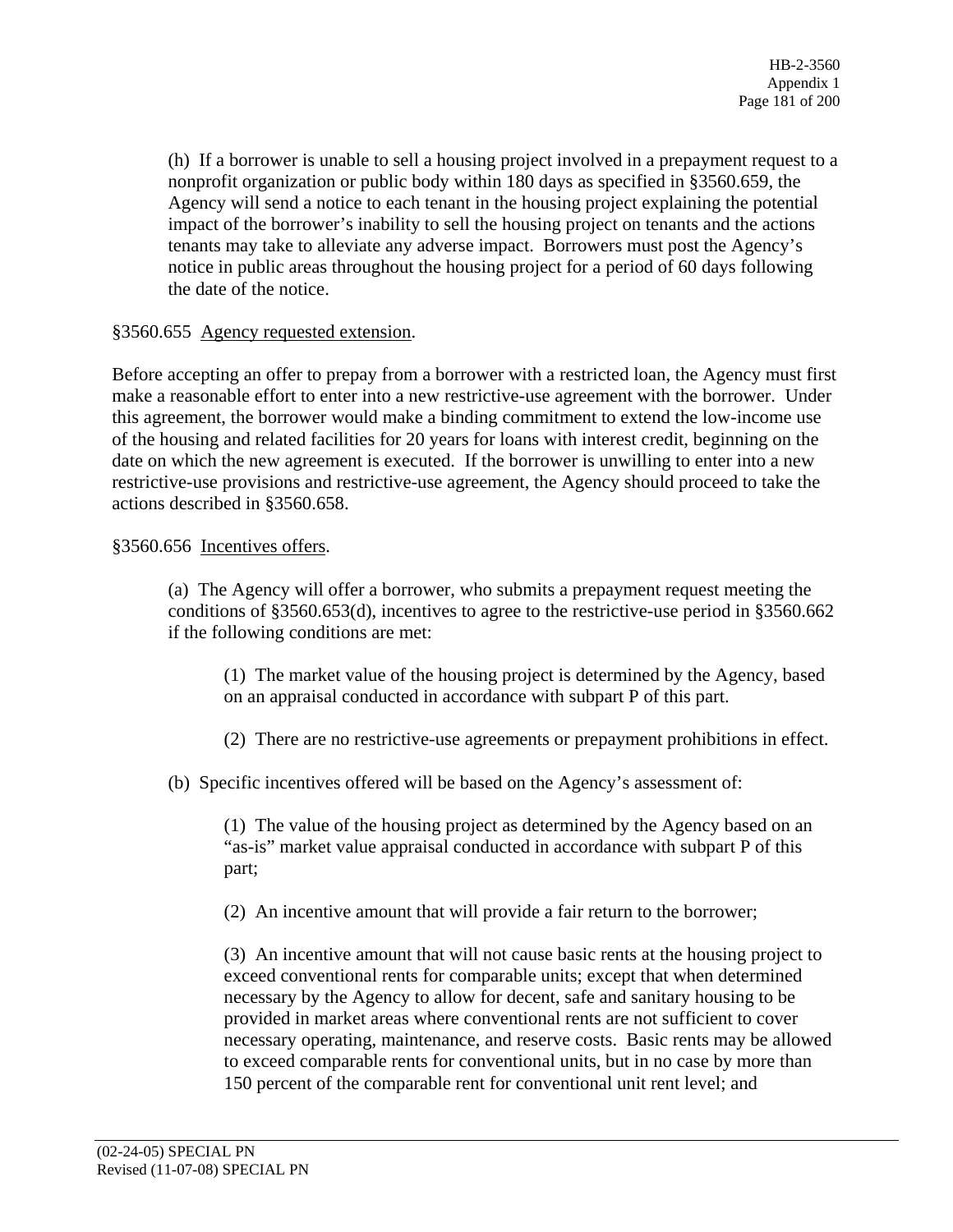(h) If a borrower is unable to sell a housing project involved in a prepayment request to a nonprofit organization or public body within 180 days as specified in §3560.659, the Agency will send a notice to each tenant in the housing project explaining the potential impact of the borrower's inability to sell the housing project on tenants and the actions tenants may take to alleviate any adverse impact. Borrowers must post the Agency's notice in public areas throughout the housing project for a period of 60 days following the date of the notice.

## §3560.655 Agency requested extension.

Before accepting an offer to prepay from a borrower with a restricted loan, the Agency must first make a reasonable effort to enter into a new restrictive-use agreement with the borrower. Under this agreement, the borrower would make a binding commitment to extend the low-income use of the housing and related facilities for 20 years for loans with interest credit, beginning on the date on which the new agreement is executed. If the borrower is unwilling to enter into a new restrictive-use provisions and restrictive-use agreement, the Agency should proceed to take the actions described in §3560.658.

# §3560.656 Incentives offers.

(a) The Agency will offer a borrower, who submits a prepayment request meeting the conditions of §3560.653(d), incentives to agree to the restrictive-use period in §3560.662 if the following conditions are met:

(1) The market value of the housing project is determined by the Agency, based on an appraisal conducted in accordance with subpart P of this part.

(2) There are no restrictive-use agreements or prepayment prohibitions in effect.

(b) Specific incentives offered will be based on the Agency's assessment of:

(1) The value of the housing project as determined by the Agency based on an "as-is" market value appraisal conducted in accordance with subpart P of this part;

(2) An incentive amount that will provide a fair return to the borrower;

(3) An incentive amount that will not cause basic rents at the housing project to exceed conventional rents for comparable units; except that when determined necessary by the Agency to allow for decent, safe and sanitary housing to be provided in market areas where conventional rents are not sufficient to cover necessary operating, maintenance, and reserve costs. Basic rents may be allowed to exceed comparable rents for conventional units, but in no case by more than 150 percent of the comparable rent for conventional unit rent level; and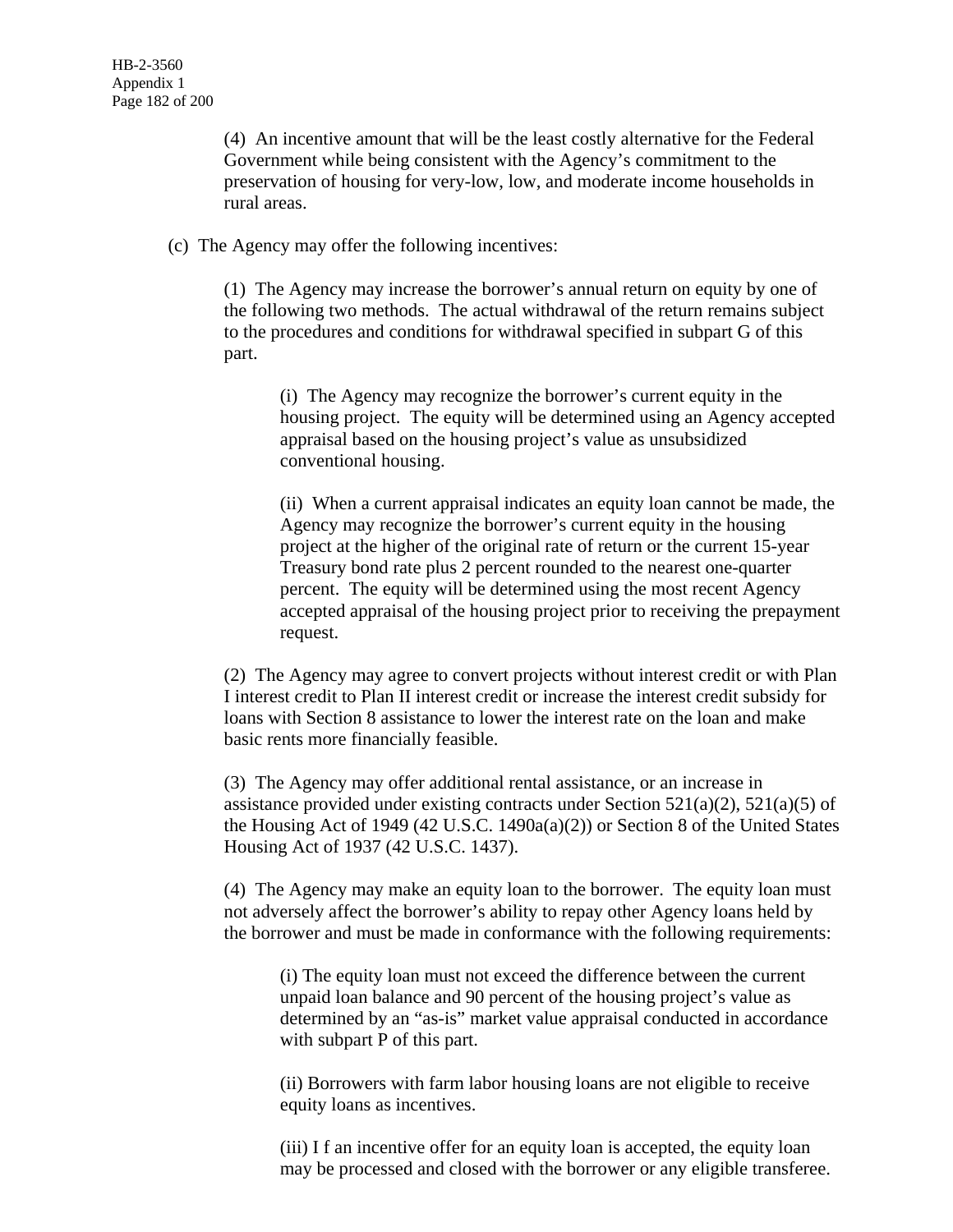(4) An incentive amount that will be the least costly alternative for the Federal Government while being consistent with the Agency's commitment to the preservation of housing for very-low, low, and moderate income households in rural areas.

(c) The Agency may offer the following incentives:

(1) The Agency may increase the borrower's annual return on equity by one of the following two methods. The actual withdrawal of the return remains subject to the procedures and conditions for withdrawal specified in subpart G of this part.

(i) The Agency may recognize the borrower's current equity in the housing project. The equity will be determined using an Agency accepted appraisal based on the housing project's value as unsubsidized conventional housing.

(ii) When a current appraisal indicates an equity loan cannot be made, the Agency may recognize the borrower's current equity in the housing project at the higher of the original rate of return or the current 15-year Treasury bond rate plus 2 percent rounded to the nearest one-quarter percent. The equity will be determined using the most recent Agency accepted appraisal of the housing project prior to receiving the prepayment request.

(2) The Agency may agree to convert projects without interest credit or with Plan I interest credit to Plan II interest credit or increase the interest credit subsidy for loans with Section 8 assistance to lower the interest rate on the loan and make basic rents more financially feasible.

(3) The Agency may offer additional rental assistance, or an increase in assistance provided under existing contracts under Section  $521(a)(2)$ ,  $521(a)(5)$  of the Housing Act of 1949 (42 U.S.C. 1490a(a)(2)) or Section 8 of the United States Housing Act of 1937 (42 U.S.C. 1437).

(4) The Agency may make an equity loan to the borrower. The equity loan must not adversely affect the borrower's ability to repay other Agency loans held by the borrower and must be made in conformance with the following requirements:

(i) The equity loan must not exceed the difference between the current unpaid loan balance and 90 percent of the housing project's value as determined by an "as-is" market value appraisal conducted in accordance with subpart P of this part.

(ii) Borrowers with farm labor housing loans are not eligible to receive equity loans as incentives.

(iii) I f an incentive offer for an equity loan is accepted, the equity loan may be processed and closed with the borrower or any eligible transferee.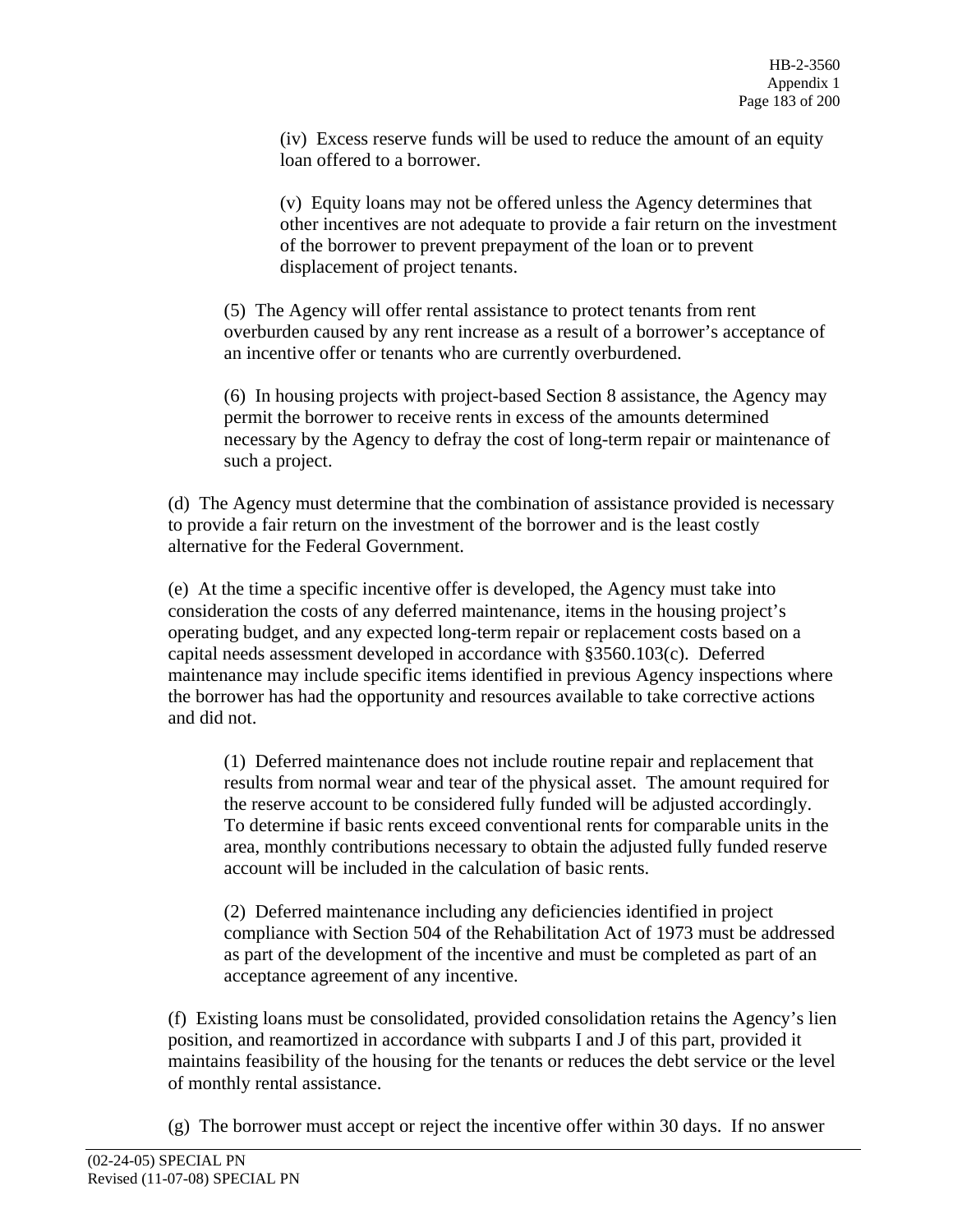(iv) Excess reserve funds will be used to reduce the amount of an equity loan offered to a borrower.

(v) Equity loans may not be offered unless the Agency determines that other incentives are not adequate to provide a fair return on the investment of the borrower to prevent prepayment of the loan or to prevent displacement of project tenants.

(5) The Agency will offer rental assistance to protect tenants from rent overburden caused by any rent increase as a result of a borrower's acceptance of an incentive offer or tenants who are currently overburdened.

(6) In housing projects with project-based Section 8 assistance, the Agency may permit the borrower to receive rents in excess of the amounts determined necessary by the Agency to defray the cost of long-term repair or maintenance of such a project.

(d) The Agency must determine that the combination of assistance provided is necessary to provide a fair return on the investment of the borrower and is the least costly alternative for the Federal Government.

(e) At the time a specific incentive offer is developed, the Agency must take into consideration the costs of any deferred maintenance, items in the housing project's operating budget, and any expected long-term repair or replacement costs based on a capital needs assessment developed in accordance with §3560.103(c). Deferred maintenance may include specific items identified in previous Agency inspections where the borrower has had the opportunity and resources available to take corrective actions and did not.

(1) Deferred maintenance does not include routine repair and replacement that results from normal wear and tear of the physical asset. The amount required for the reserve account to be considered fully funded will be adjusted accordingly. To determine if basic rents exceed conventional rents for comparable units in the area, monthly contributions necessary to obtain the adjusted fully funded reserve account will be included in the calculation of basic rents.

(2) Deferred maintenance including any deficiencies identified in project compliance with Section 504 of the Rehabilitation Act of 1973 must be addressed as part of the development of the incentive and must be completed as part of an acceptance agreement of any incentive.

(f) Existing loans must be consolidated, provided consolidation retains the Agency's lien position, and reamortized in accordance with subparts I and J of this part, provided it maintains feasibility of the housing for the tenants or reduces the debt service or the level of monthly rental assistance.

(g) The borrower must accept or reject the incentive offer within 30 days. If no answer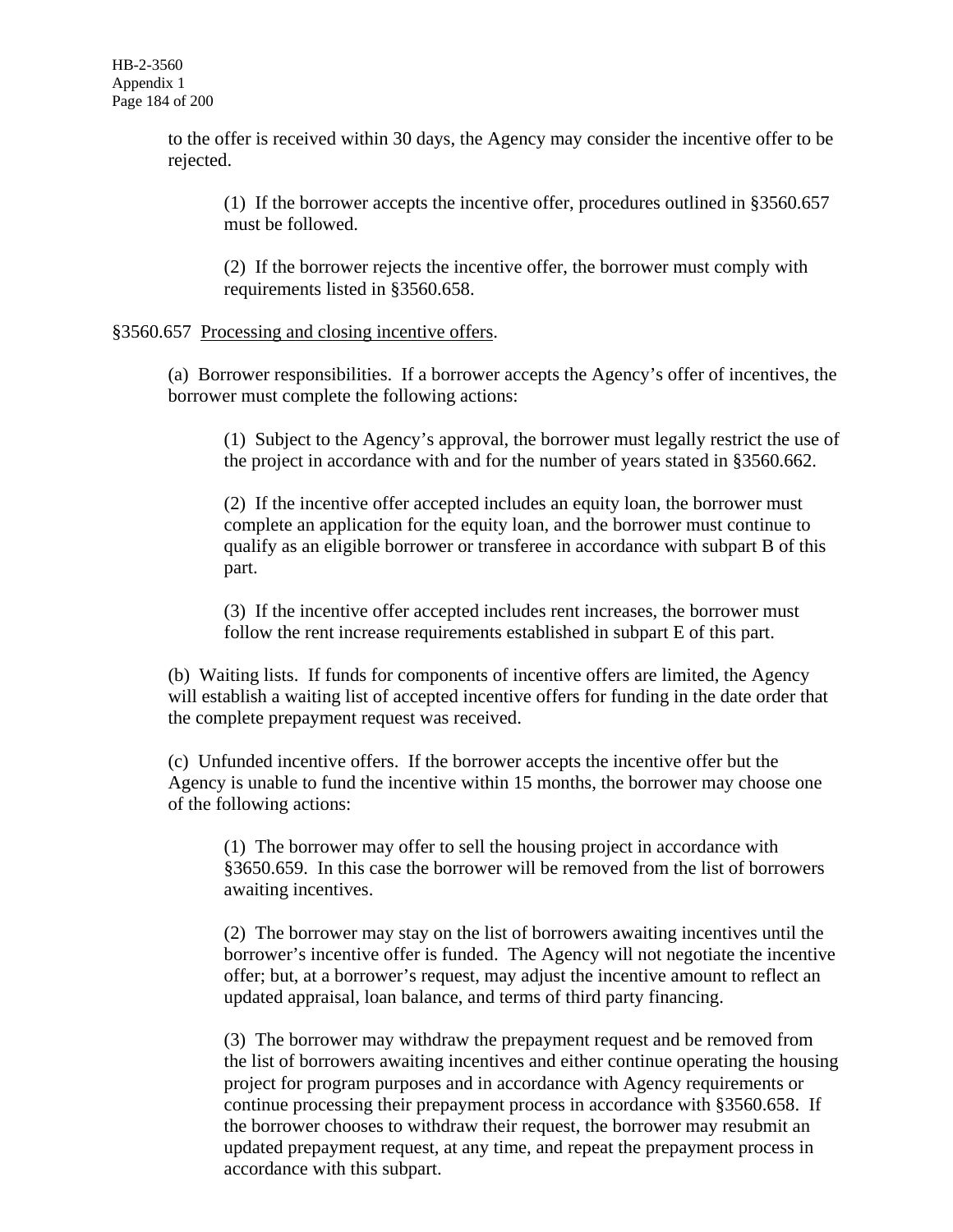to the offer is received within 30 days, the Agency may consider the incentive offer to be rejected.

(1) If the borrower accepts the incentive offer, procedures outlined in §3560.657 must be followed.

(2) If the borrower rejects the incentive offer, the borrower must comply with requirements listed in §3560.658.

## §3560.657 Processing and closing incentive offers.

(a) Borrower responsibilities. If a borrower accepts the Agency's offer of incentives, the borrower must complete the following actions:

(1) Subject to the Agency's approval, the borrower must legally restrict the use of the project in accordance with and for the number of years stated in §3560.662.

(2) If the incentive offer accepted includes an equity loan, the borrower must complete an application for the equity loan, and the borrower must continue to qualify as an eligible borrower or transferee in accordance with subpart B of this part.

(3) If the incentive offer accepted includes rent increases, the borrower must follow the rent increase requirements established in subpart E of this part.

(b) Waiting lists. If funds for components of incentive offers are limited, the Agency will establish a waiting list of accepted incentive offers for funding in the date order that the complete prepayment request was received.

(c) Unfunded incentive offers. If the borrower accepts the incentive offer but the Agency is unable to fund the incentive within 15 months, the borrower may choose one of the following actions:

(1) The borrower may offer to sell the housing project in accordance with §3650.659. In this case the borrower will be removed from the list of borrowers awaiting incentives.

(2) The borrower may stay on the list of borrowers awaiting incentives until the borrower's incentive offer is funded. The Agency will not negotiate the incentive offer; but, at a borrower's request, may adjust the incentive amount to reflect an updated appraisal, loan balance, and terms of third party financing.

(3) The borrower may withdraw the prepayment request and be removed from the list of borrowers awaiting incentives and either continue operating the housing project for program purposes and in accordance with Agency requirements or continue processing their prepayment process in accordance with §3560.658. If the borrower chooses to withdraw their request, the borrower may resubmit an updated prepayment request, at any time, and repeat the prepayment process in accordance with this subpart.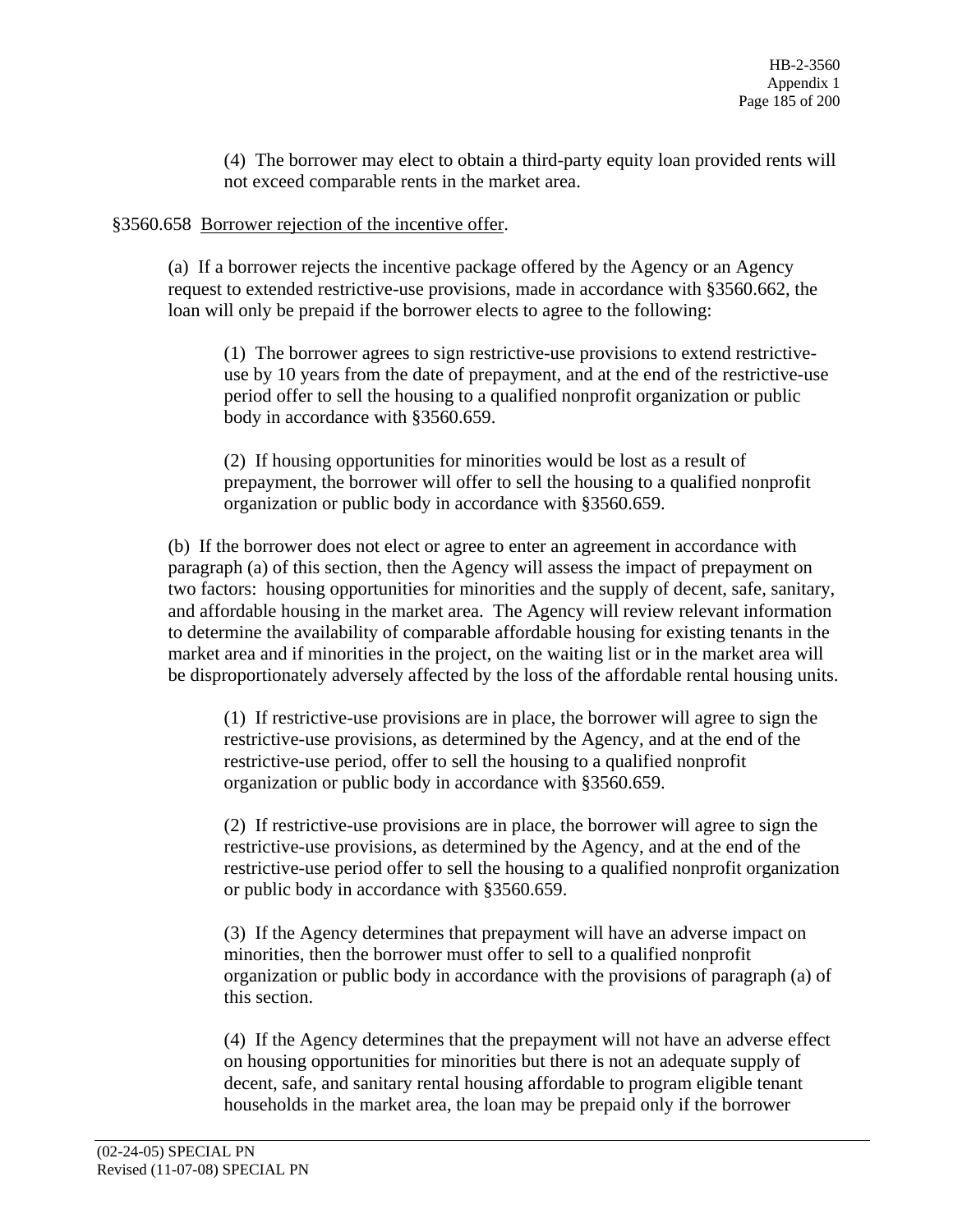(4) The borrower may elect to obtain a third-party equity loan provided rents will not exceed comparable rents in the market area.

## §3560.658 Borrower rejection of the incentive offer.

(a) If a borrower rejects the incentive package offered by the Agency or an Agency request to extended restrictive-use provisions, made in accordance with §3560.662, the loan will only be prepaid if the borrower elects to agree to the following:

(1) The borrower agrees to sign restrictive-use provisions to extend restrictiveuse by 10 years from the date of prepayment, and at the end of the restrictive-use period offer to sell the housing to a qualified nonprofit organization or public body in accordance with §3560.659.

(2) If housing opportunities for minorities would be lost as a result of prepayment, the borrower will offer to sell the housing to a qualified nonprofit organization or public body in accordance with §3560.659.

(b) If the borrower does not elect or agree to enter an agreement in accordance with paragraph (a) of this section, then the Agency will assess the impact of prepayment on two factors: housing opportunities for minorities and the supply of decent, safe, sanitary, and affordable housing in the market area. The Agency will review relevant information to determine the availability of comparable affordable housing for existing tenants in the market area and if minorities in the project, on the waiting list or in the market area will be disproportionately adversely affected by the loss of the affordable rental housing units.

(1) If restrictive-use provisions are in place, the borrower will agree to sign the restrictive-use provisions, as determined by the Agency, and at the end of the restrictive-use period, offer to sell the housing to a qualified nonprofit organization or public body in accordance with §3560.659.

(2) If restrictive-use provisions are in place, the borrower will agree to sign the restrictive-use provisions, as determined by the Agency, and at the end of the restrictive-use period offer to sell the housing to a qualified nonprofit organization or public body in accordance with §3560.659.

(3) If the Agency determines that prepayment will have an adverse impact on minorities, then the borrower must offer to sell to a qualified nonprofit organization or public body in accordance with the provisions of paragraph (a) of this section.

(4) If the Agency determines that the prepayment will not have an adverse effect on housing opportunities for minorities but there is not an adequate supply of decent, safe, and sanitary rental housing affordable to program eligible tenant households in the market area, the loan may be prepaid only if the borrower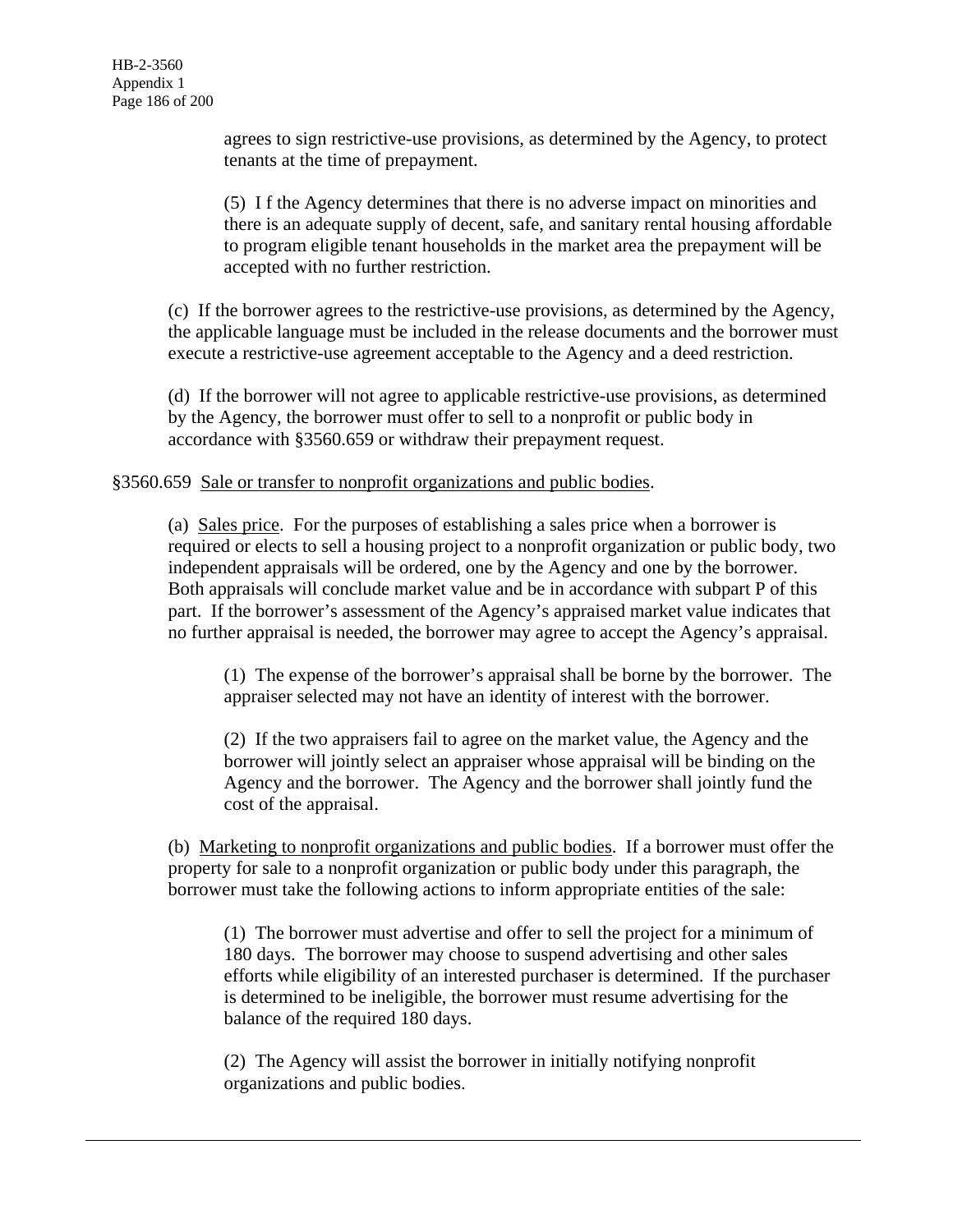agrees to sign restrictive-use provisions, as determined by the Agency, to protect tenants at the time of prepayment.

(5) I f the Agency determines that there is no adverse impact on minorities and there is an adequate supply of decent, safe, and sanitary rental housing affordable to program eligible tenant households in the market area the prepayment will be accepted with no further restriction.

(c) If the borrower agrees to the restrictive-use provisions, as determined by the Agency, the applicable language must be included in the release documents and the borrower must execute a restrictive-use agreement acceptable to the Agency and a deed restriction.

(d) If the borrower will not agree to applicable restrictive-use provisions, as determined by the Agency, the borrower must offer to sell to a nonprofit or public body in accordance with §3560.659 or withdraw their prepayment request.

## §3560.659 Sale or transfer to nonprofit organizations and public bodies.

(a) Sales price. For the purposes of establishing a sales price when a borrower is required or elects to sell a housing project to a nonprofit organization or public body, two independent appraisals will be ordered, one by the Agency and one by the borrower. Both appraisals will conclude market value and be in accordance with subpart P of this part. If the borrower's assessment of the Agency's appraised market value indicates that no further appraisal is needed, the borrower may agree to accept the Agency's appraisal.

(1) The expense of the borrower's appraisal shall be borne by the borrower. The appraiser selected may not have an identity of interest with the borrower.

(2) If the two appraisers fail to agree on the market value, the Agency and the borrower will jointly select an appraiser whose appraisal will be binding on the Agency and the borrower. The Agency and the borrower shall jointly fund the cost of the appraisal.

(b) Marketing to nonprofit organizations and public bodies. If a borrower must offer the property for sale to a nonprofit organization or public body under this paragraph, the borrower must take the following actions to inform appropriate entities of the sale:

(1) The borrower must advertise and offer to sell the project for a minimum of 180 days. The borrower may choose to suspend advertising and other sales efforts while eligibility of an interested purchaser is determined. If the purchaser is determined to be ineligible, the borrower must resume advertising for the balance of the required 180 days.

(2) The Agency will assist the borrower in initially notifying nonprofit organizations and public bodies.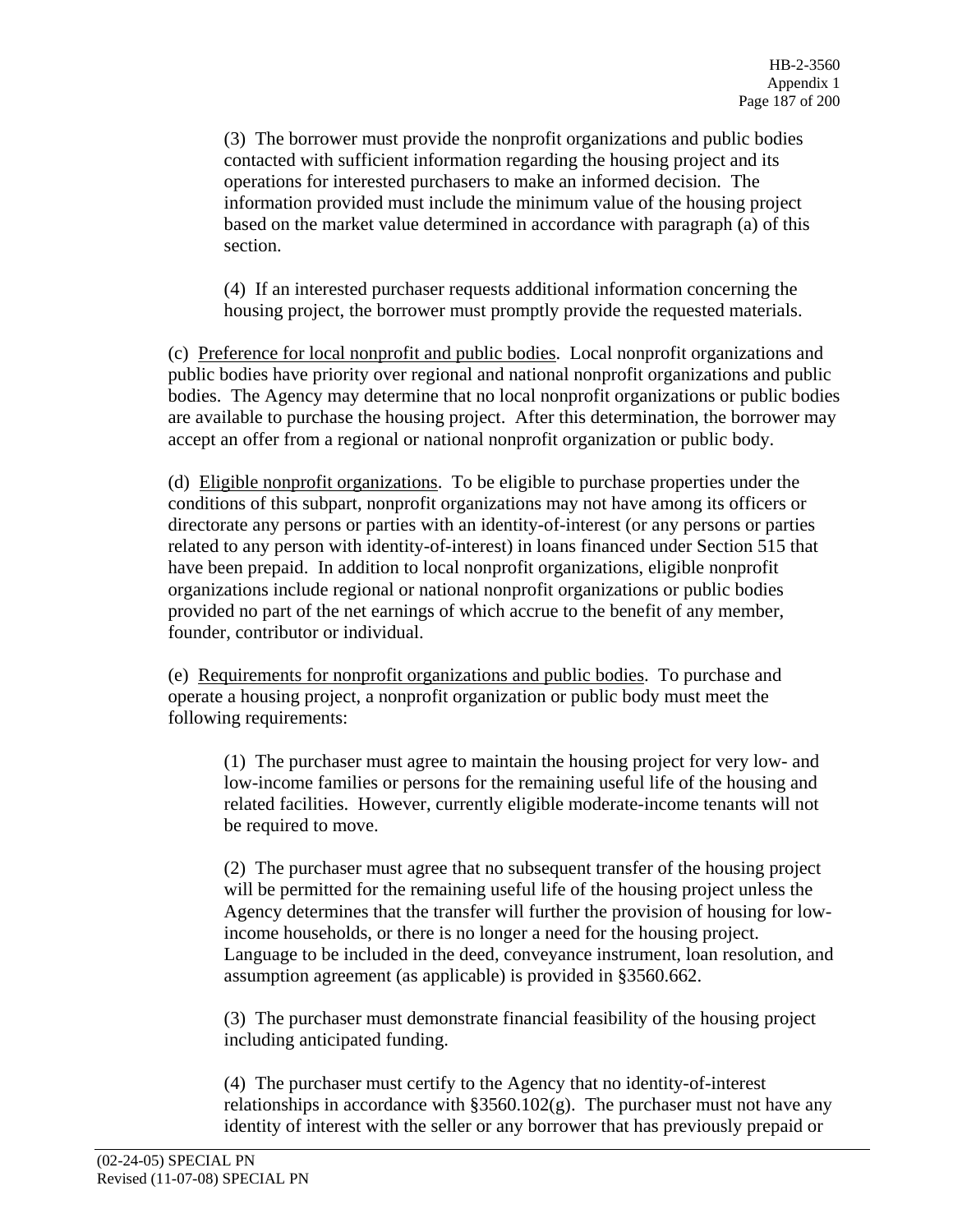(3) The borrower must provide the nonprofit organizations and public bodies contacted with sufficient information regarding the housing project and its operations for interested purchasers to make an informed decision. The information provided must include the minimum value of the housing project based on the market value determined in accordance with paragraph (a) of this section.

(4) If an interested purchaser requests additional information concerning the housing project, the borrower must promptly provide the requested materials.

(c) Preference for local nonprofit and public bodies. Local nonprofit organizations and public bodies have priority over regional and national nonprofit organizations and public bodies. The Agency may determine that no local nonprofit organizations or public bodies are available to purchase the housing project. After this determination, the borrower may accept an offer from a regional or national nonprofit organization or public body.

(d) Eligible nonprofit organizations. To be eligible to purchase properties under the conditions of this subpart, nonprofit organizations may not have among its officers or directorate any persons or parties with an identity-of-interest (or any persons or parties related to any person with identity-of-interest) in loans financed under Section 515 that have been prepaid. In addition to local nonprofit organizations, eligible nonprofit organizations include regional or national nonprofit organizations or public bodies provided no part of the net earnings of which accrue to the benefit of any member, founder, contributor or individual.

(e) Requirements for nonprofit organizations and public bodies. To purchase and operate a housing project, a nonprofit organization or public body must meet the following requirements:

(1) The purchaser must agree to maintain the housing project for very low- and low-income families or persons for the remaining useful life of the housing and related facilities. However, currently eligible moderate-income tenants will not be required to move.

(2) The purchaser must agree that no subsequent transfer of the housing project will be permitted for the remaining useful life of the housing project unless the Agency determines that the transfer will further the provision of housing for lowincome households, or there is no longer a need for the housing project. Language to be included in the deed, conveyance instrument, loan resolution, and assumption agreement (as applicable) is provided in §3560.662.

(3) The purchaser must demonstrate financial feasibility of the housing project including anticipated funding.

(4) The purchaser must certify to the Agency that no identity-of-interest relationships in accordance with  $\S 3560.102(g)$ . The purchaser must not have any identity of interest with the seller or any borrower that has previously prepaid or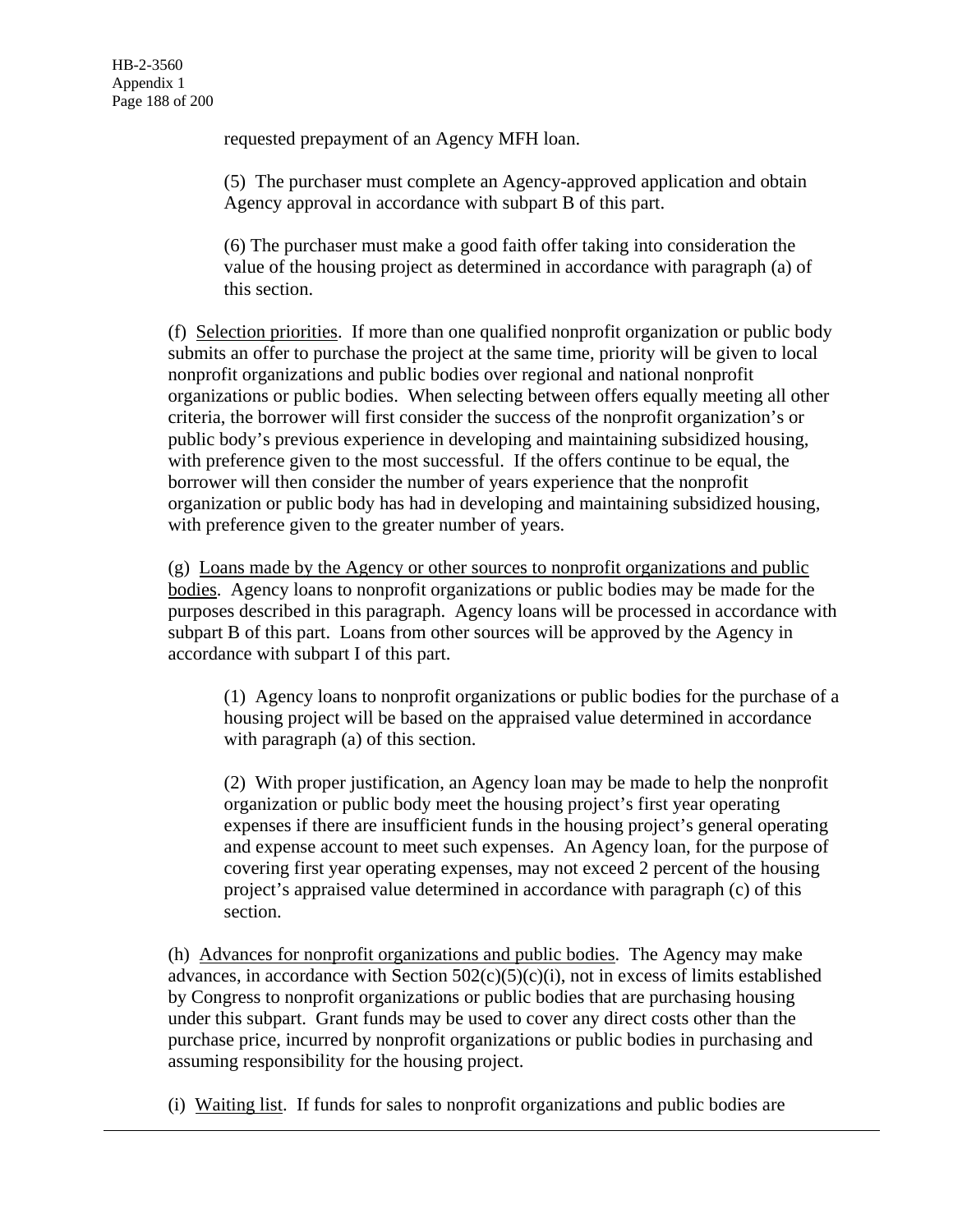requested prepayment of an Agency MFH loan.

(5) The purchaser must complete an Agency-approved application and obtain Agency approval in accordance with subpart B of this part.

(6) The purchaser must make a good faith offer taking into consideration the value of the housing project as determined in accordance with paragraph (a) of this section.

(f) Selection priorities. If more than one qualified nonprofit organization or public body submits an offer to purchase the project at the same time, priority will be given to local nonprofit organizations and public bodies over regional and national nonprofit organizations or public bodies. When selecting between offers equally meeting all other criteria, the borrower will first consider the success of the nonprofit organization's or public body's previous experience in developing and maintaining subsidized housing, with preference given to the most successful. If the offers continue to be equal, the borrower will then consider the number of years experience that the nonprofit organization or public body has had in developing and maintaining subsidized housing, with preference given to the greater number of years.

(g) Loans made by the Agency or other sources to nonprofit organizations and public bodies. Agency loans to nonprofit organizations or public bodies may be made for the purposes described in this paragraph. Agency loans will be processed in accordance with subpart B of this part. Loans from other sources will be approved by the Agency in accordance with subpart I of this part.

(1) Agency loans to nonprofit organizations or public bodies for the purchase of a housing project will be based on the appraised value determined in accordance with paragraph (a) of this section.

(2) With proper justification, an Agency loan may be made to help the nonprofit organization or public body meet the housing project's first year operating expenses if there are insufficient funds in the housing project's general operating and expense account to meet such expenses. An Agency loan, for the purpose of covering first year operating expenses, may not exceed 2 percent of the housing project's appraised value determined in accordance with paragraph (c) of this section.

(h) Advances for nonprofit organizations and public bodies. The Agency may make advances, in accordance with Section  $502(c)(5)(c)(i)$ , not in excess of limits established by Congress to nonprofit organizations or public bodies that are purchasing housing under this subpart. Grant funds may be used to cover any direct costs other than the purchase price, incurred by nonprofit organizations or public bodies in purchasing and assuming responsibility for the housing project.

(i) Waiting list. If funds for sales to nonprofit organizations and public bodies are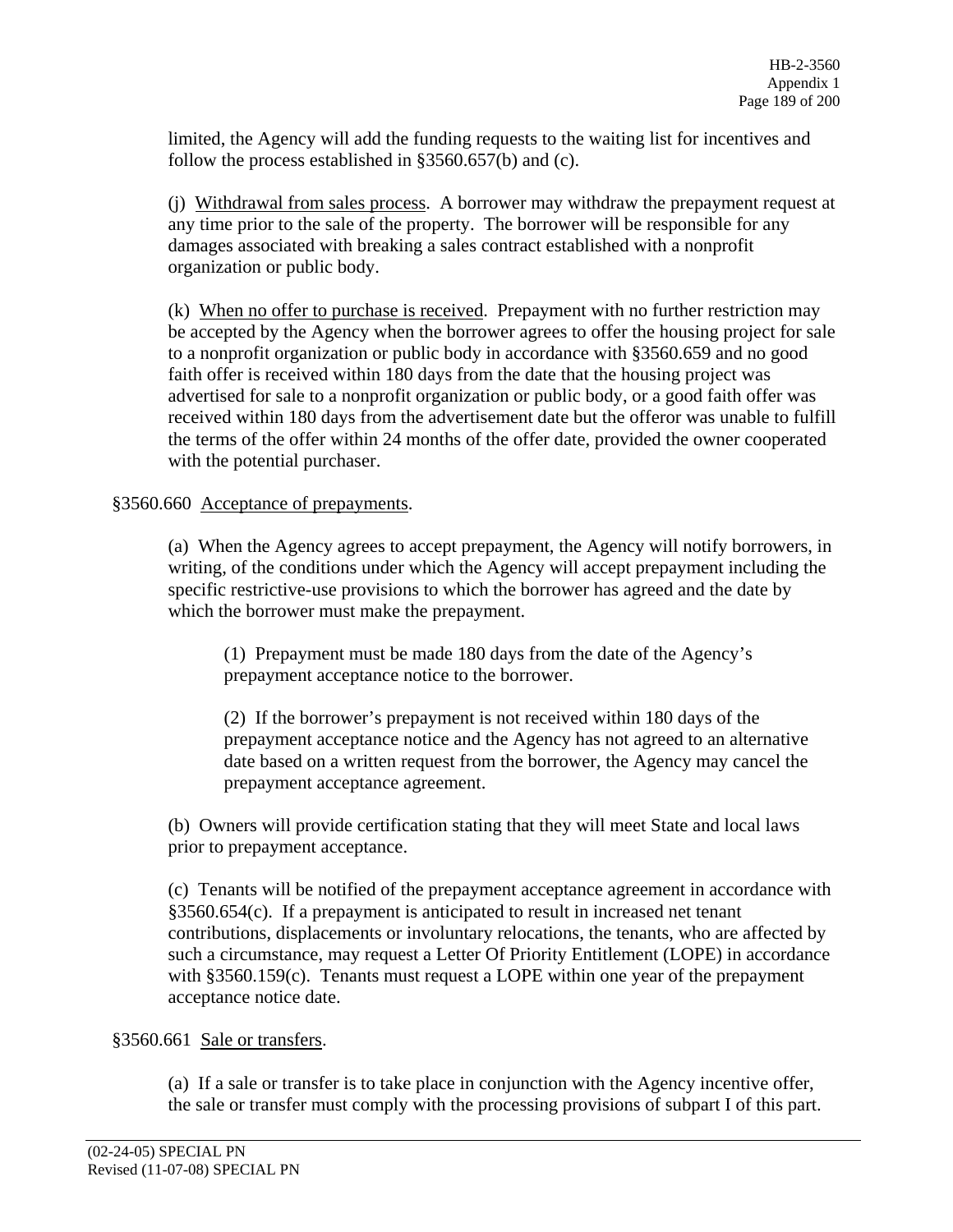limited, the Agency will add the funding requests to the waiting list for incentives and follow the process established in §3560.657(b) and (c).

(j) Withdrawal from sales process. A borrower may withdraw the prepayment request at any time prior to the sale of the property. The borrower will be responsible for any damages associated with breaking a sales contract established with a nonprofit organization or public body.

(k) When no offer to purchase is received. Prepayment with no further restriction may be accepted by the Agency when the borrower agrees to offer the housing project for sale to a nonprofit organization or public body in accordance with §3560.659 and no good faith offer is received within 180 days from the date that the housing project was advertised for sale to a nonprofit organization or public body, or a good faith offer was received within 180 days from the advertisement date but the offeror was unable to fulfill the terms of the offer within 24 months of the offer date, provided the owner cooperated with the potential purchaser.

§3560.660 Acceptance of prepayments.

(a) When the Agency agrees to accept prepayment, the Agency will notify borrowers, in writing, of the conditions under which the Agency will accept prepayment including the specific restrictive-use provisions to which the borrower has agreed and the date by which the borrower must make the prepayment.

(1) Prepayment must be made 180 days from the date of the Agency's prepayment acceptance notice to the borrower.

(2) If the borrower's prepayment is not received within 180 days of the prepayment acceptance notice and the Agency has not agreed to an alternative date based on a written request from the borrower, the Agency may cancel the prepayment acceptance agreement.

(b) Owners will provide certification stating that they will meet State and local laws prior to prepayment acceptance.

(c) Tenants will be notified of the prepayment acceptance agreement in accordance with §3560.654(c). If a prepayment is anticipated to result in increased net tenant contributions, displacements or involuntary relocations, the tenants, who are affected by such a circumstance, may request a Letter Of Priority Entitlement (LOPE) in accordance with §3560.159(c). Tenants must request a LOPE within one year of the prepayment acceptance notice date.

§3560.661 Sale or transfers.

(a) If a sale or transfer is to take place in conjunction with the Agency incentive offer, the sale or transfer must comply with the processing provisions of subpart I of this part.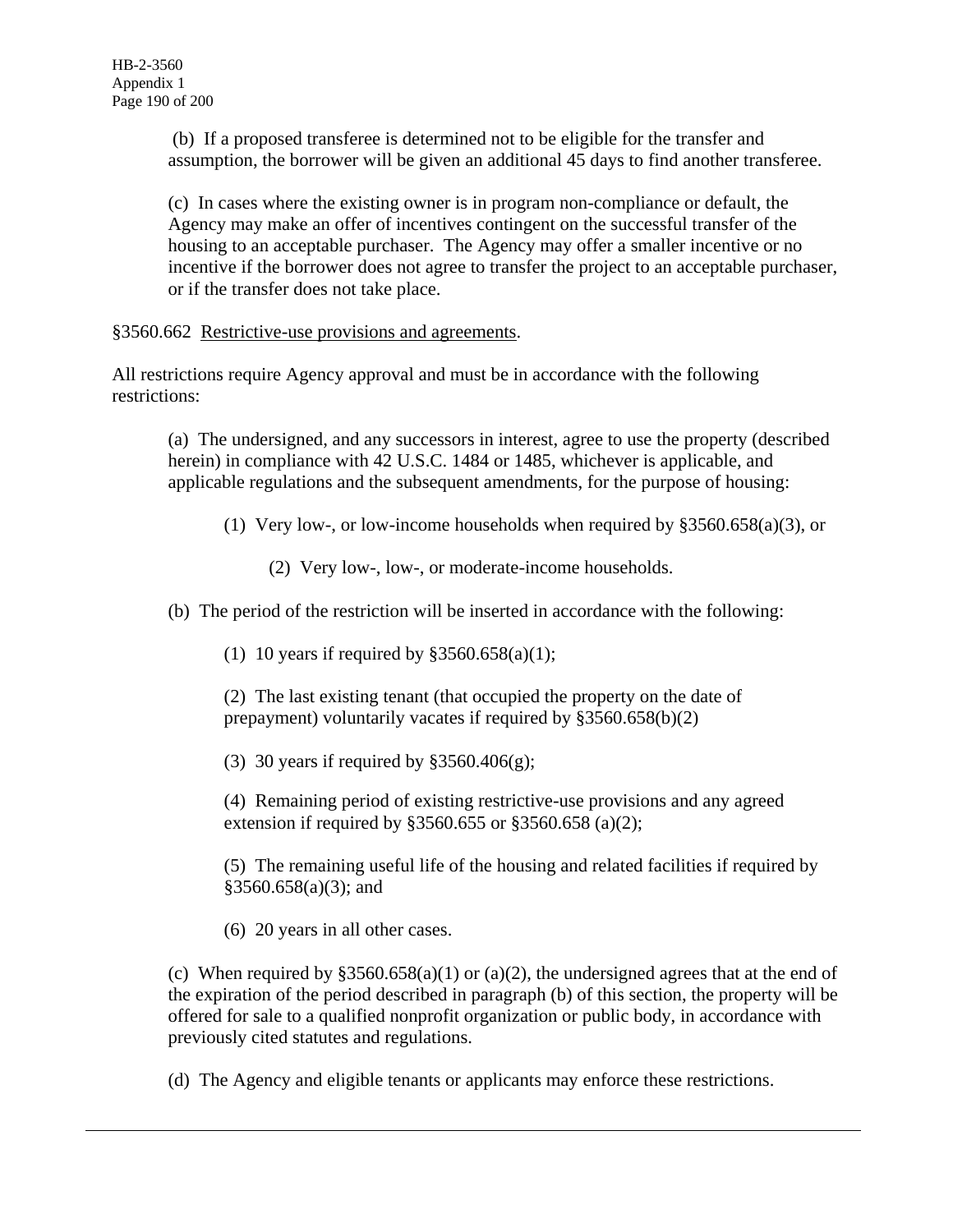(b) If a proposed transferee is determined not to be eligible for the transfer and assumption, the borrower will be given an additional 45 days to find another transferee.

(c) In cases where the existing owner is in program non-compliance or default, the Agency may make an offer of incentives contingent on the successful transfer of the housing to an acceptable purchaser. The Agency may offer a smaller incentive or no incentive if the borrower does not agree to transfer the project to an acceptable purchaser, or if the transfer does not take place.

§3560.662 Restrictive-use provisions and agreements.

All restrictions require Agency approval and must be in accordance with the following restrictions:

(a) The undersigned, and any successors in interest, agree to use the property (described herein) in compliance with 42 U.S.C. 1484 or 1485, whichever is applicable, and applicable regulations and the subsequent amendments, for the purpose of housing:

(1) Very low-, or low-income households when required by §3560.658(a)(3), or

(2) Very low-, low-, or moderate-income households.

(b) The period of the restriction will be inserted in accordance with the following:

(1) 10 years if required by  $$3560.658(a)(1);$ 

(2) The last existing tenant (that occupied the property on the date of prepayment) voluntarily vacates if required by §3560.658(b)(2)

(3) 30 years if required by §3560.406(g);

(4) Remaining period of existing restrictive-use provisions and any agreed extension if required by §3560.655 or §3560.658 (a)(2);

(5) The remaining useful life of the housing and related facilities if required by  $§3560.658(a)(3);$  and

(6) 20 years in all other cases.

(c) When required by  $\S 3560.658(a)(1)$  or (a)(2), the undersigned agrees that at the end of the expiration of the period described in paragraph (b) of this section, the property will be offered for sale to a qualified nonprofit organization or public body, in accordance with previously cited statutes and regulations.

(d) The Agency and eligible tenants or applicants may enforce these restrictions.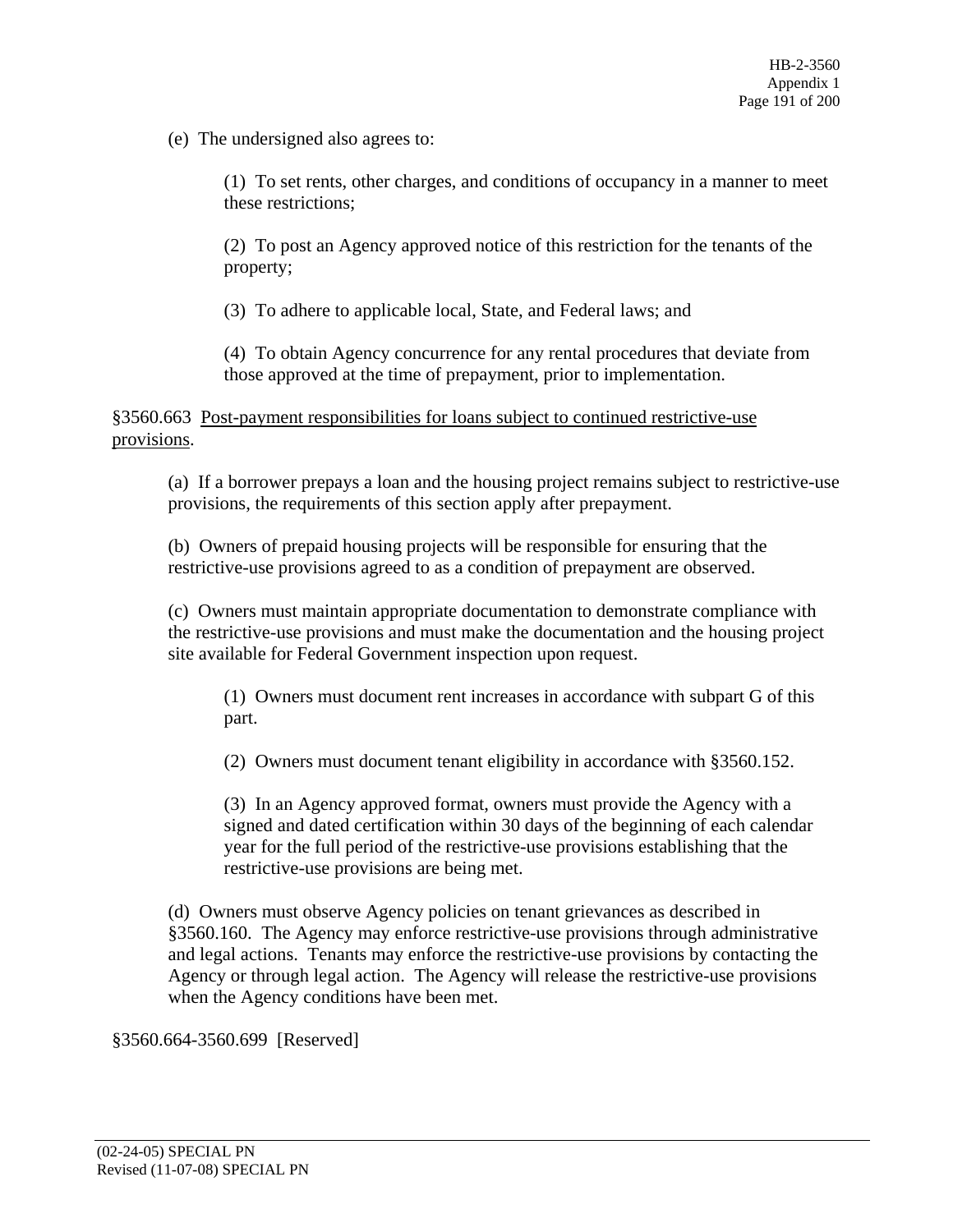(e) The undersigned also agrees to:

(1) To set rents, other charges, and conditions of occupancy in a manner to meet these restrictions;

(2) To post an Agency approved notice of this restriction for the tenants of the property;

(3) To adhere to applicable local, State, and Federal laws; and

(4) To obtain Agency concurrence for any rental procedures that deviate from those approved at the time of prepayment, prior to implementation.

§3560.663 Post-payment responsibilities for loans subject to continued restrictive-use provisions.

(a) If a borrower prepays a loan and the housing project remains subject to restrictive-use provisions, the requirements of this section apply after prepayment.

(b) Owners of prepaid housing projects will be responsible for ensuring that the restrictive-use provisions agreed to as a condition of prepayment are observed.

(c) Owners must maintain appropriate documentation to demonstrate compliance with the restrictive-use provisions and must make the documentation and the housing project site available for Federal Government inspection upon request.

(1) Owners must document rent increases in accordance with subpart G of this part.

(2) Owners must document tenant eligibility in accordance with §3560.152.

(3) In an Agency approved format, owners must provide the Agency with a signed and dated certification within 30 days of the beginning of each calendar year for the full period of the restrictive-use provisions establishing that the restrictive-use provisions are being met.

(d) Owners must observe Agency policies on tenant grievances as described in §3560.160. The Agency may enforce restrictive-use provisions through administrative and legal actions. Tenants may enforce the restrictive-use provisions by contacting the Agency or through legal action. The Agency will release the restrictive-use provisions when the Agency conditions have been met.

§3560.664-3560.699 [Reserved]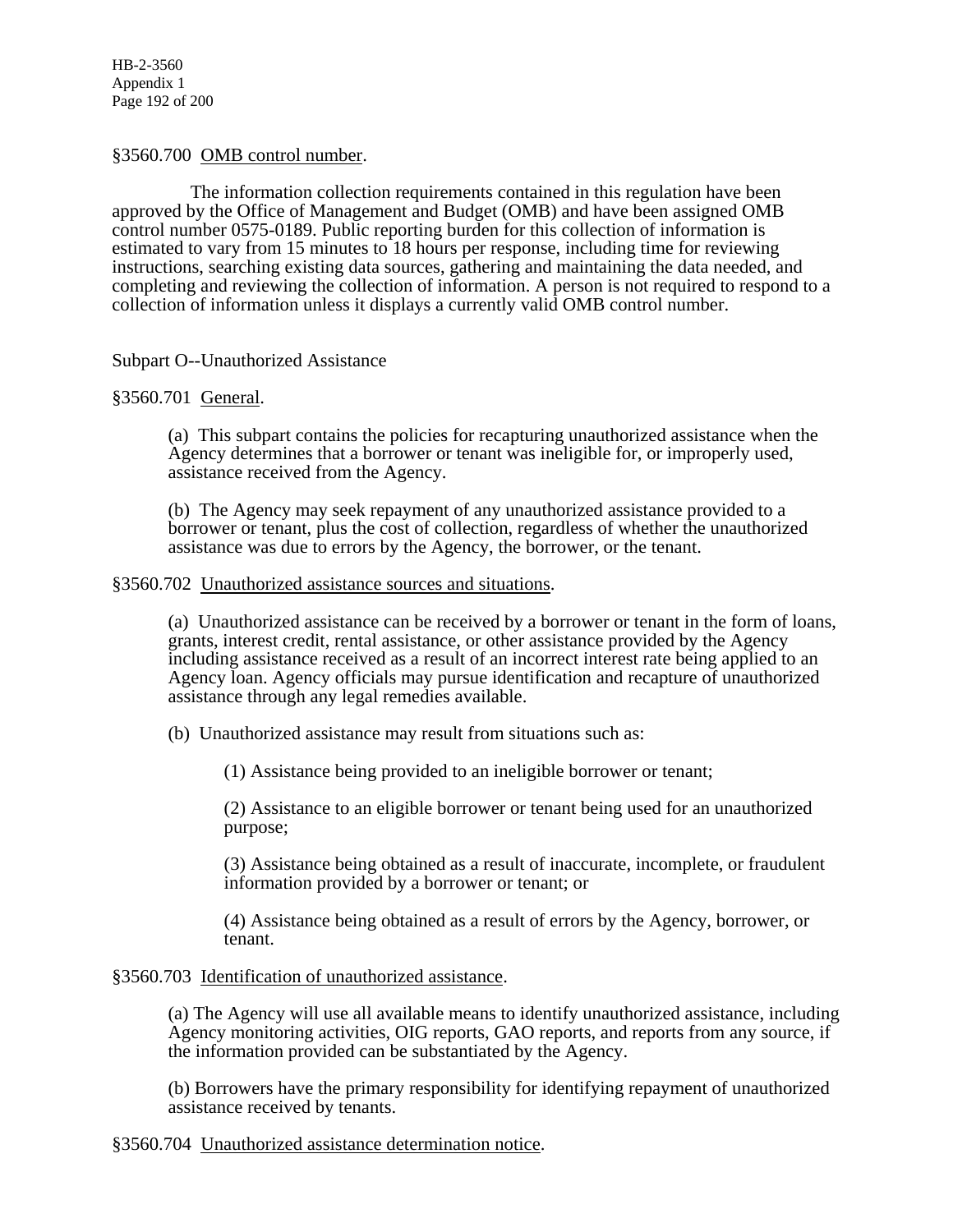HB-2-3560 Appendix 1 Page 192 of 200

#### §3560.700 OMB control number.

 The information collection requirements contained in this regulation have been approved by the Office of Management and Budget (OMB) and have been assigned OMB control number 0575-0189. Public reporting burden for this collection of information is estimated to vary from 15 minutes to 18 hours per response, including time for reviewing instructions, searching existing data sources, gathering and maintaining the data needed, and completing and reviewing the collection of information. A person is not required to respond to a collection of information unless it displays a currently valid OMB control number.

## Subpart O--Unauthorized Assistance

## §3560.701 General.

(a) This subpart contains the policies for recapturing unauthorized assistance when the Agency determines that a borrower or tenant was ineligible for, or improperly used, assistance received from the Agency.

(b) The Agency may seek repayment of any unauthorized assistance provided to a borrower or tenant, plus the cost of collection, regardless of whether the unauthorized assistance was due to errors by the Agency, the borrower, or the tenant.

#### §3560.702 Unauthorized assistance sources and situations.

(a) Unauthorized assistance can be received by a borrower or tenant in the form of loans, grants, interest credit, rental assistance, or other assistance provided by the Agency including assistance received as a result of an incorrect interest rate being applied to an Agency loan. Agency officials may pursue identification and recapture of unauthorized assistance through any legal remedies available.

(b) Unauthorized assistance may result from situations such as:

(1) Assistance being provided to an ineligible borrower or tenant;

(2) Assistance to an eligible borrower or tenant being used for an unauthorized purpose;

(3) Assistance being obtained as a result of inaccurate, incomplete, or fraudulent information provided by a borrower or tenant; or

(4) Assistance being obtained as a result of errors by the Agency, borrower, or tenant.

#### §3560.703 Identification of unauthorized assistance.

(a) The Agency will use all available means to identify unauthorized assistance, including Agency monitoring activities, OIG reports, GAO reports, and reports from any source, if the information provided can be substantiated by the Agency.

(b) Borrowers have the primary responsibility for identifying repayment of unauthorized assistance received by tenants.

§3560.704 Unauthorized assistance determination notice.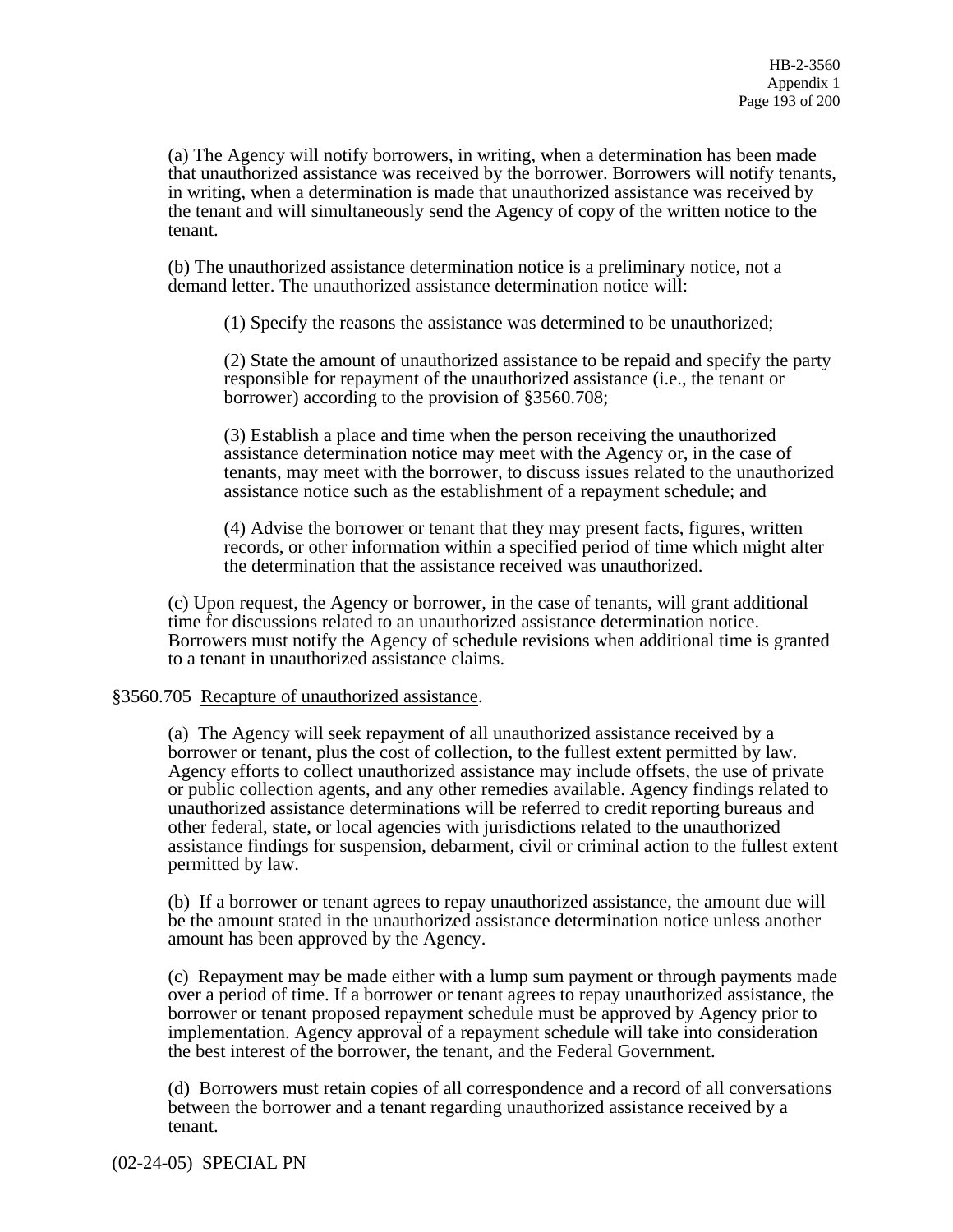(a) The Agency will notify borrowers, in writing, when a determination has been made that unauthorized assistance was received by the borrower. Borrowers will notify tenants, in writing, when a determination is made that unauthorized assistance was received by the tenant and will simultaneously send the Agency of copy of the written notice to the tenant.

(b) The unauthorized assistance determination notice is a preliminary notice, not a demand letter. The unauthorized assistance determination notice will:

(1) Specify the reasons the assistance was determined to be unauthorized;

(2) State the amount of unauthorized assistance to be repaid and specify the party responsible for repayment of the unauthorized assistance (i.e., the tenant or borrower) according to the provision of §3560.708;

(3) Establish a place and time when the person receiving the unauthorized assistance determination notice may meet with the Agency or, in the case of tenants, may meet with the borrower, to discuss issues related to the unauthorized assistance notice such as the establishment of a repayment schedule; and

(4) Advise the borrower or tenant that they may present facts, figures, written records, or other information within a specified period of time which might alter the determination that the assistance received was unauthorized.

(c) Upon request, the Agency or borrower, in the case of tenants, will grant additional time for discussions related to an unauthorized assistance determination notice. Borrowers must notify the Agency of schedule revisions when additional time is granted to a tenant in unauthorized assistance claims.

#### §3560.705 Recapture of unauthorized assistance.

(a) The Agency will seek repayment of all unauthorized assistance received by a borrower or tenant, plus the cost of collection, to the fullest extent permitted by law. Agency efforts to collect unauthorized assistance may include offsets, the use of private or public collection agents, and any other remedies available. Agency findings related to unauthorized assistance determinations will be referred to credit reporting bureaus and other federal, state, or local agencies with jurisdictions related to the unauthorized assistance findings for suspension, debarment, civil or criminal action to the fullest extent permitted by law.

(b) If a borrower or tenant agrees to repay unauthorized assistance, the amount due will be the amount stated in the unauthorized assistance determination notice unless another amount has been approved by the Agency.

(c) Repayment may be made either with a lump sum payment or through payments made over a period of time. If a borrower or tenant agrees to repay unauthorized assistance, the borrower or tenant proposed repayment schedule must be approved by Agency prior to implementation. Agency approval of a repayment schedule will take into consideration the best interest of the borrower, the tenant, and the Federal Government.

(d) Borrowers must retain copies of all correspondence and a record of all conversations between the borrower and a tenant regarding unauthorized assistance received by a tenant.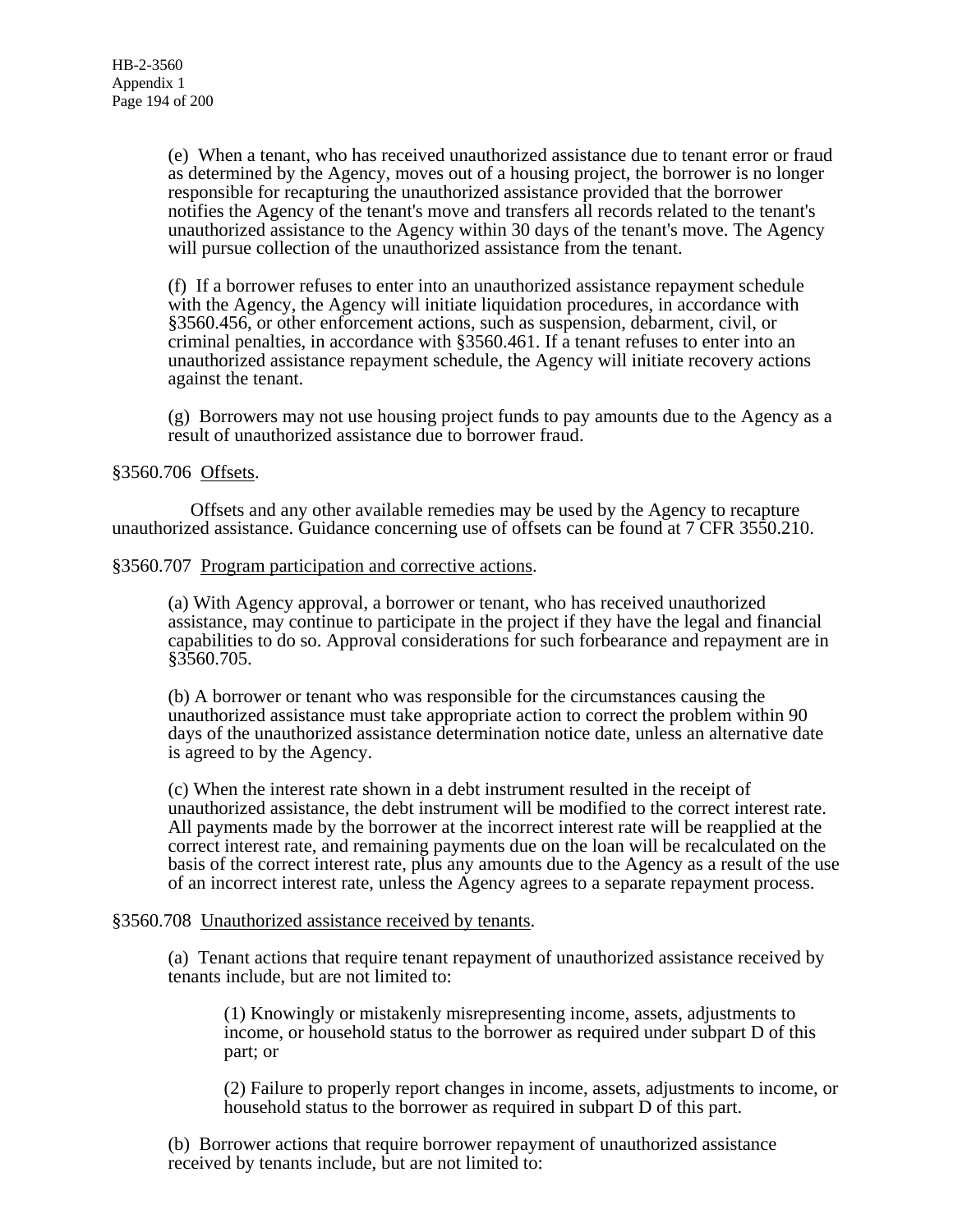(e) When a tenant, who has received unauthorized assistance due to tenant error or fraud as determined by the Agency, moves out of a housing project, the borrower is no longer responsible for recapturing the unauthorized assistance provided that the borrower notifies the Agency of the tenant's move and transfers all records related to the tenant's unauthorized assistance to the Agency within 30 days of the tenant's move. The Agency will pursue collection of the unauthorized assistance from the tenant.

(f) If a borrower refuses to enter into an unauthorized assistance repayment schedule with the Agency, the Agency will initiate liquidation procedures, in accordance with §3560.456, or other enforcement actions, such as suspension, debarment, civil, or criminal penalties, in accordance with §3560.461. If a tenant refuses to enter into an unauthorized assistance repayment schedule, the Agency will initiate recovery actions against the tenant.

(g) Borrowers may not use housing project funds to pay amounts due to the Agency as a result of unauthorized assistance due to borrower fraud.

#### §3560.706 Offsets.

 Offsets and any other available remedies may be used by the Agency to recapture unauthorized assistance. Guidance concerning use of offsets can be found at 7 CFR 3550.210.

#### §3560.707 Program participation and corrective actions.

(a) With Agency approval, a borrower or tenant, who has received unauthorized assistance, may continue to participate in the project if they have the legal and financial capabilities to do so. Approval considerations for such forbearance and repayment are in §3560.705.

(b) A borrower or tenant who was responsible for the circumstances causing the unauthorized assistance must take appropriate action to correct the problem within 90 days of the unauthorized assistance determination notice date, unless an alternative date is agreed to by the Agency.

(c) When the interest rate shown in a debt instrument resulted in the receipt of unauthorized assistance, the debt instrument will be modified to the correct interest rate. All payments made by the borrower at the incorrect interest rate will be reapplied at the correct interest rate, and remaining payments due on the loan will be recalculated on the basis of the correct interest rate, plus any amounts due to the Agency as a result of the use of an incorrect interest rate, unless the Agency agrees to a separate repayment process.

## §3560.708 Unauthorized assistance received by tenants.

(a) Tenant actions that require tenant repayment of unauthorized assistance received by tenants include, but are not limited to:

(1) Knowingly or mistakenly misrepresenting income, assets, adjustments to income, or household status to the borrower as required under subpart D of this part; or

(2) Failure to properly report changes in income, assets, adjustments to income, or household status to the borrower as required in subpart D of this part.

(b) Borrower actions that require borrower repayment of unauthorized assistance received by tenants include, but are not limited to: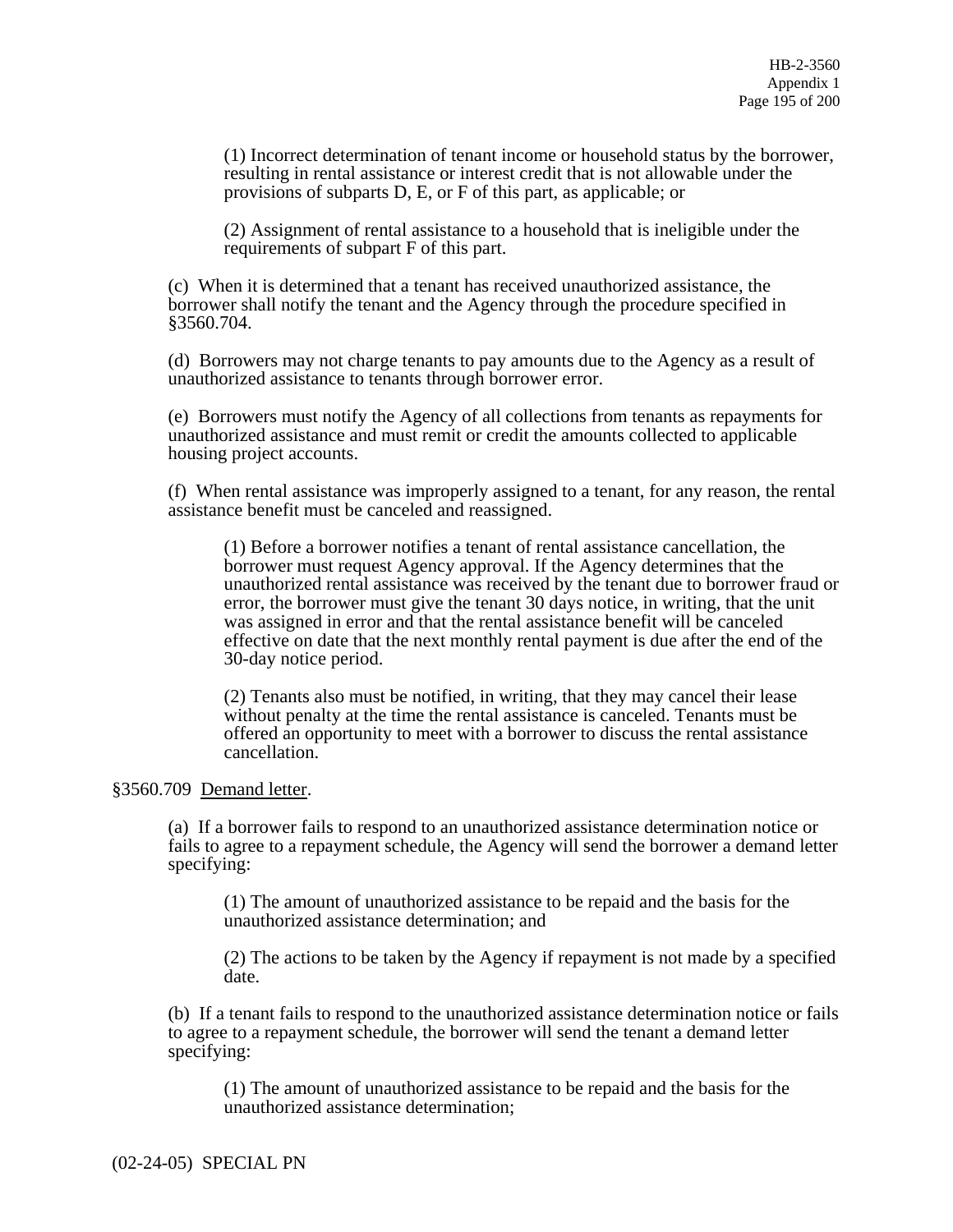(1) Incorrect determination of tenant income or household status by the borrower, resulting in rental assistance or interest credit that is not allowable under the provisions of subparts D, E, or F of this part, as applicable; or

Ī (2) Assignment of rental assistance to a household that is ineligible under the requirements of subpart F of this part.

(c) When it is determined that a tenant has received unauthorized assistance, the borrower shall notify the tenant and the Agency through the procedure specified in §3560.704.

(d) Borrowers may not charge tenants to pay amounts due to the Agency as a result of unauthorized assistance to tenants through borrower error.

(e) Borrowers must notify the Agency of all collections from tenants as repayments for unauthorized assistance and must remit or credit the amounts collected to applicable housing project accounts.

(f) When rental assistance was improperly assigned to a tenant, for any reason, the rental assistance benefit must be canceled and reassigned.

(1) Before a borrower notifies a tenant of rental assistance cancellation, the borrower must request Agency approval. If the Agency determines that the unauthorized rental assistance was received by the tenant due to borrower fraud or error, the borrower must give the tenant 30 days notice, in writing, that the unit was assigned in error and that the rental assistance benefit will be canceled effective on date that the next monthly rental payment is due after the end of the 30-day notice period.

(2) Tenants also must be notified, in writing, that they may cancel their lease without penalty at the time the rental assistance is canceled. Tenants must be offered an opportunity to meet with a borrower to discuss the rental assistance cancellation.

#### §3560.709 Demand letter.

(a) If a borrower fails to respond to an unauthorized assistance determination notice or fails to agree to a repayment schedule, the Agency will send the borrower a demand letter specifying:

(1) The amount of unauthorized assistance to be repaid and the basis for the unauthorized assistance determination; and

(2) The actions to be taken by the Agency if repayment is not made by a specified date.

(b) If a tenant fails to respond to the unauthorized assistance determination notice or fails to agree to a repayment schedule, the borrower will send the tenant a demand letter specifying:

(1) The amount of unauthorized assistance to be repaid and the basis for the unauthorized assistance determination;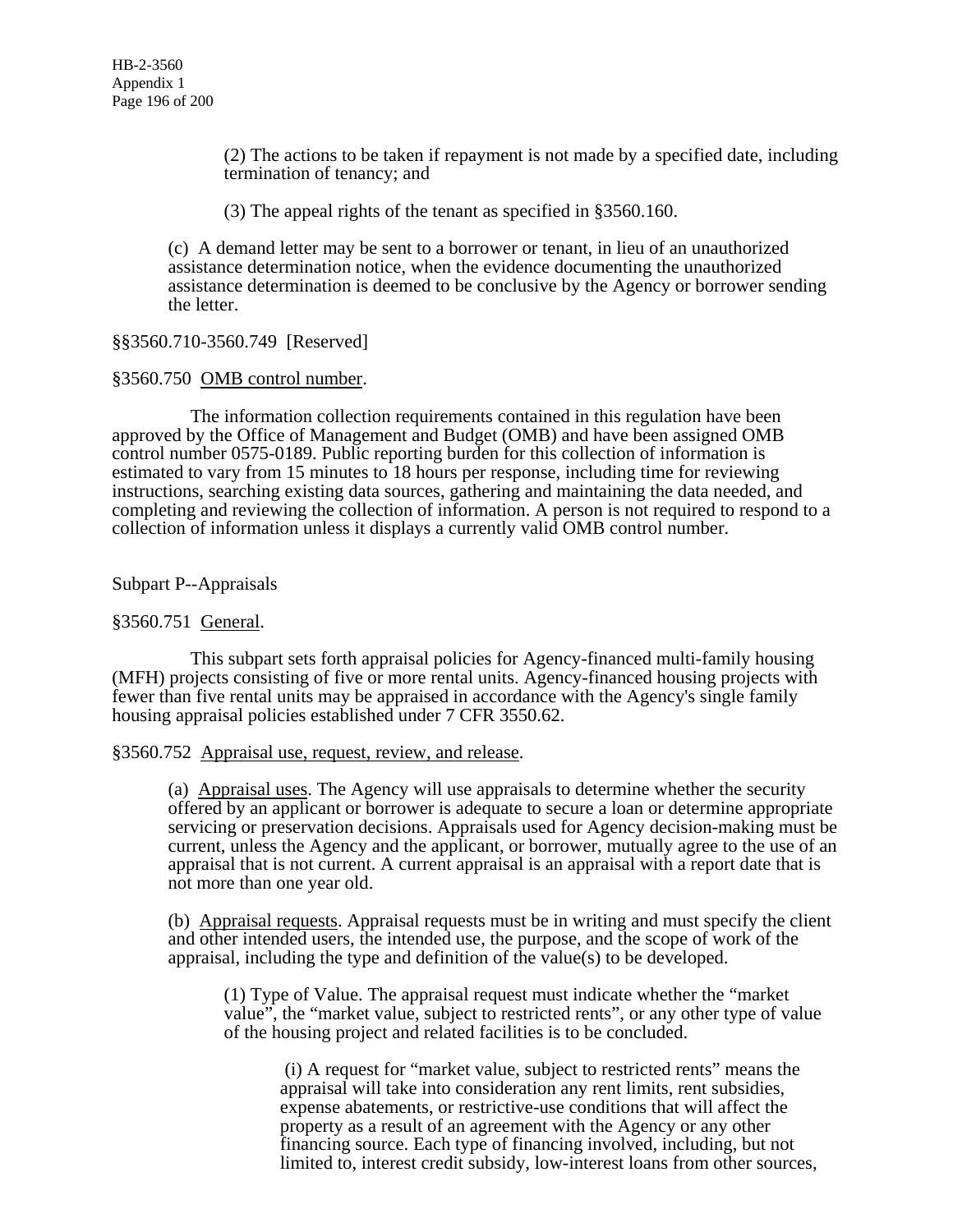(2) The actions to be taken if repayment is not made by a specified date, including termination of tenancy; and

(3) The appeal rights of the tenant as specified in §3560.160.

(c) A demand letter may be sent to a borrower or tenant, in lieu of an unauthorized assistance determination notice, when the evidence documenting the unauthorized assistance determination is deemed to be conclusive by the Agency or borrower sending the letter.

§§3560.710-3560.749 [Reserved]

§3560.750 OMB control number.

 The information collection requirements contained in this regulation have been approved by the Office of Management and Budget (OMB) and have been assigned OMB control number 0575-0189. Public reporting burden for this collection of information is estimated to vary from 15 minutes to 18 hours per response, including time for reviewing instructions, searching existing data sources, gathering and maintaining the data needed, and completing and reviewing the collection of information. A person is not required to respond to a collection of information unless it displays a currently valid OMB control number.

Subpart P--Appraisals

#### §3560.751 General.

 This subpart sets forth appraisal policies for Agency-financed multi-family housing (MFH) projects consisting of five or more rental units. Agency-financed housing projects with fewer than five rental units may be appraised in accordance with the Agency's single family housing appraisal policies established under 7 CFR 3550.62.

#### §3560.752 Appraisal use, request, review, and release.

(a) Appraisal uses. The Agency will use appraisals to determine whether the security offered by an applicant or borrower is adequate to secure a loan or determine appropriate servicing or preservation decisions. Appraisals used for Agency decision-making must be current, unless the Agency and the applicant, or borrower, mutually agree to the use of an appraisal that is not current. A current appraisal is an appraisal with a report date that is not more than one year old.

(b) Appraisal requests. Appraisal requests must be in writing and must specify the client and other intended users, the intended use, the purpose, and the scope of work of the appraisal, including the type and definition of the value(s) to be developed.

(1) Type of Value. The appraisal request must indicate whether the "market value", the "market value, subject to restricted rents", or any other type of value of the housing project and related facilities is to be concluded.

 (i) A request for "market value, subject to restricted rents" means the appraisal will take into consideration any rent limits, rent subsidies, expense abatements, or restrictive-use conditions that will affect the property as a result of an agreement with the Agency or any other financing source. Each type of financing involved, including, but not limited to, interest credit subsidy, low-interest loans from other sources,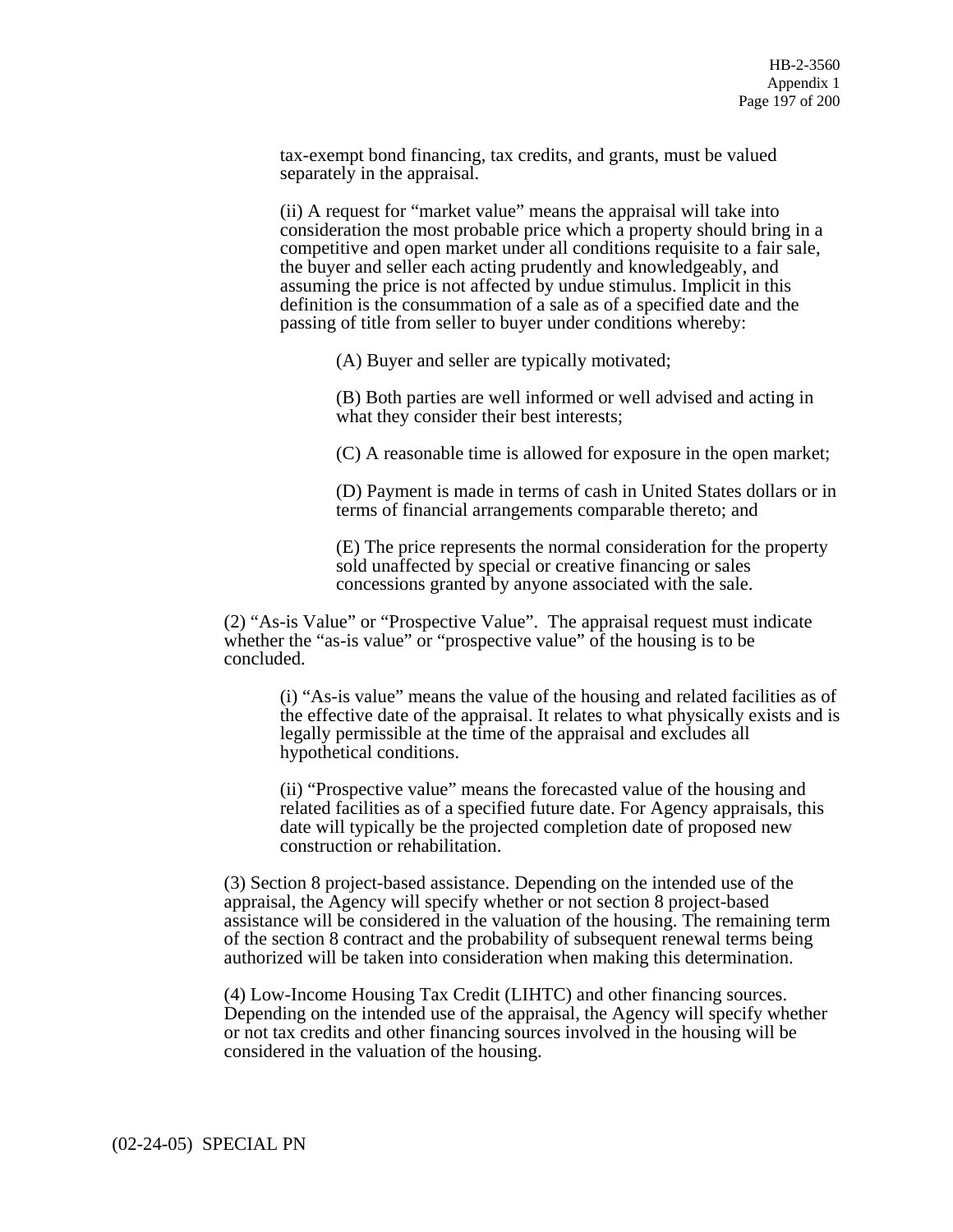tax-exempt bond financing, tax credits, and grants, must be valued separately in the appraisal.

(ii) A request for "market value" means the appraisal will take into consideration the most probable price which a property should bring in a competitive and open market under all conditions requisite to a fair sale, the buyer and seller each acting prudently and knowledgeably, and assuming the price is not affected by undue stimulus. Implicit in this definition is the consummation of a sale as of a specified date and the passing of title from seller to buyer under conditions whereby:

(A) Buyer and seller are typically motivated;

(B) Both parties are well informed or well advised and acting in what they consider their best interests;

(C) A reasonable time is allowed for exposure in the open market;

(D) Payment is made in terms of cash in United States dollars or in terms of financial arrangements comparable thereto; and

(E) The price represents the normal consideration for the property sold unaffected by special or creative financing or sales concessions granted by anyone associated with the sale.

(2) "As-is Value" or "Prospective Value". The appraisal request must indicate whether the "as-is value" or "prospective value" of the housing is to be concluded.

(i) "As-is value" means the value of the housing and related facilities as of the effective date of the appraisal. It relates to what physically exists and is legally permissible at the time of the appraisal and excludes all hypothetical conditions.

(ii) "Prospective value" means the forecasted value of the housing and related facilities as of a specified future date. For Agency appraisals, this date will typically be the projected completion date of proposed new construction or rehabilitation.

(3) Section 8 project-based assistance. Depending on the intended use of the appraisal, the Agency will specify whether or not section 8 project-based assistance will be considered in the valuation of the housing. The remaining term of the section 8 contract and the probability of subsequent renewal terms being authorized will be taken into consideration when making this determination.

(4) Low-Income Housing Tax Credit (LIHTC) and other financing sources. Depending on the intended use of the appraisal, the Agency will specify whether or not tax credits and other financing sources involved in the housing will be considered in the valuation of the housing.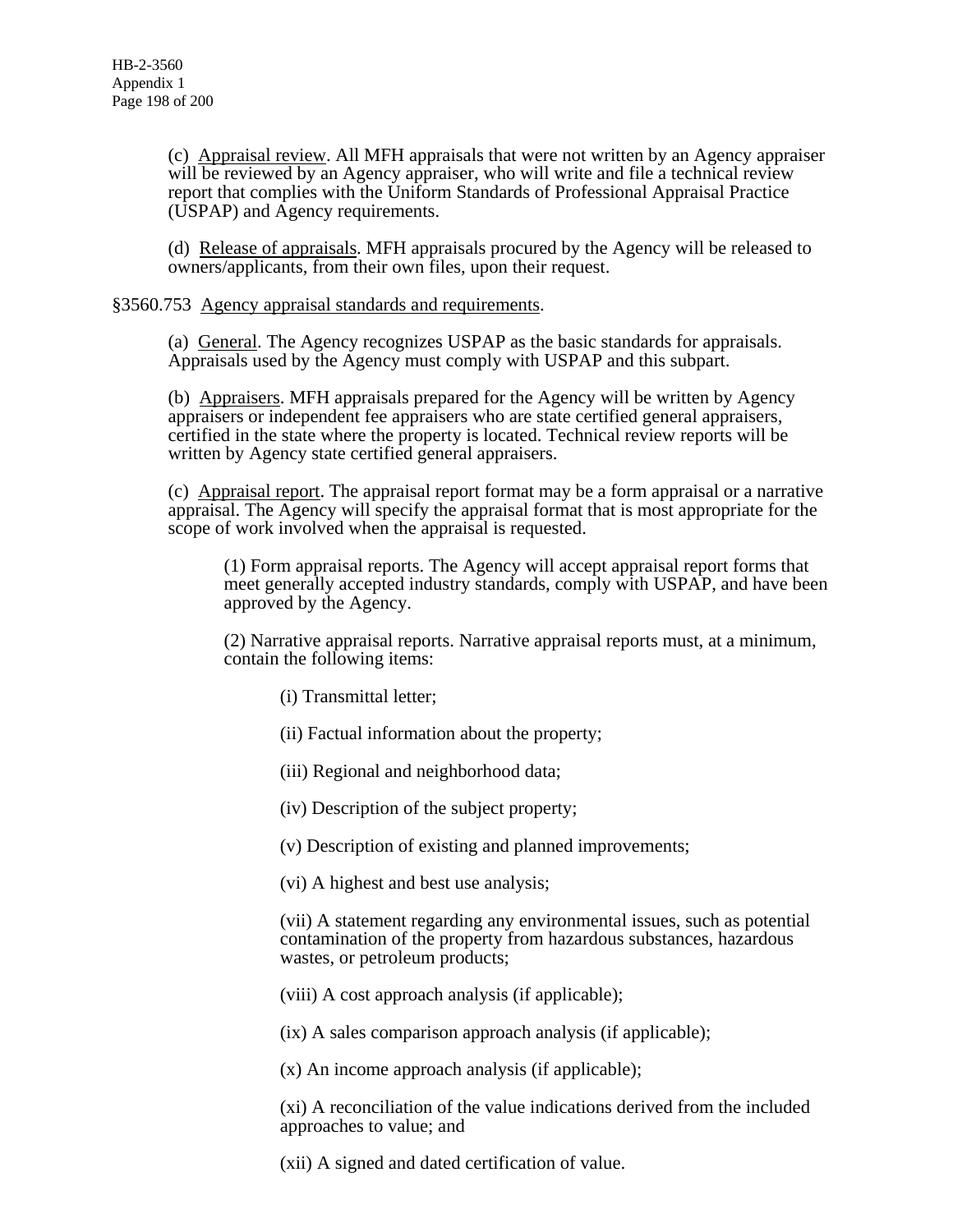(c) Appraisal review. All MFH appraisals that were not written by an Agency appraiser will be reviewed by an Agency appraiser, who will write and file a technical review report that complies with the Uniform Standards of Professional Appraisal Practice (USPAP) and Agency requirements.

(d) Release of appraisals. MFH appraisals procured by the Agency will be released to owners/applicants, from their own files, upon their request.

#### §3560.753 Agency appraisal standards and requirements.

(a) General. The Agency recognizes USPAP as the basic standards for appraisals. Appraisals used by the Agency must comply with USPAP and this subpart.

(b) Appraisers. MFH appraisals prepared for the Agency will be written by Agency appraisers or independent fee appraisers who are state certified general appraisers, certified in the state where the property is located. Technical review reports will be written by Agency state certified general appraisers.

(c) Appraisal report. The appraisal report format may be a form appraisal or a narrative appraisal. The Agency will specify the appraisal format that is most appropriate for the scope of work involved when the appraisal is requested.

(1) Form appraisal reports. The Agency will accept appraisal report forms that meet generally accepted industry standards, comply with USPAP, and have been approved by the Agency.

(2) Narrative appraisal reports. Narrative appraisal reports must, at a minimum, contain the following items:

- (i) Transmittal letter;
- (ii) Factual information about the property;
- (iii) Regional and neighborhood data;
- (iv) Description of the subject property;
- (v) Description of existing and planned improvements;
- (vi) A highest and best use analysis;

(vii) A statement regarding any environmental issues, such as potential contamination of the property from hazardous substances, hazardous wastes, or petroleum products;

(viii) A cost approach analysis (if applicable);

(ix) A sales comparison approach analysis (if applicable);

(x) An income approach analysis (if applicable);

(xi) A reconciliation of the value indications derived from the included approaches to value; and

(xii) A signed and dated certification of value.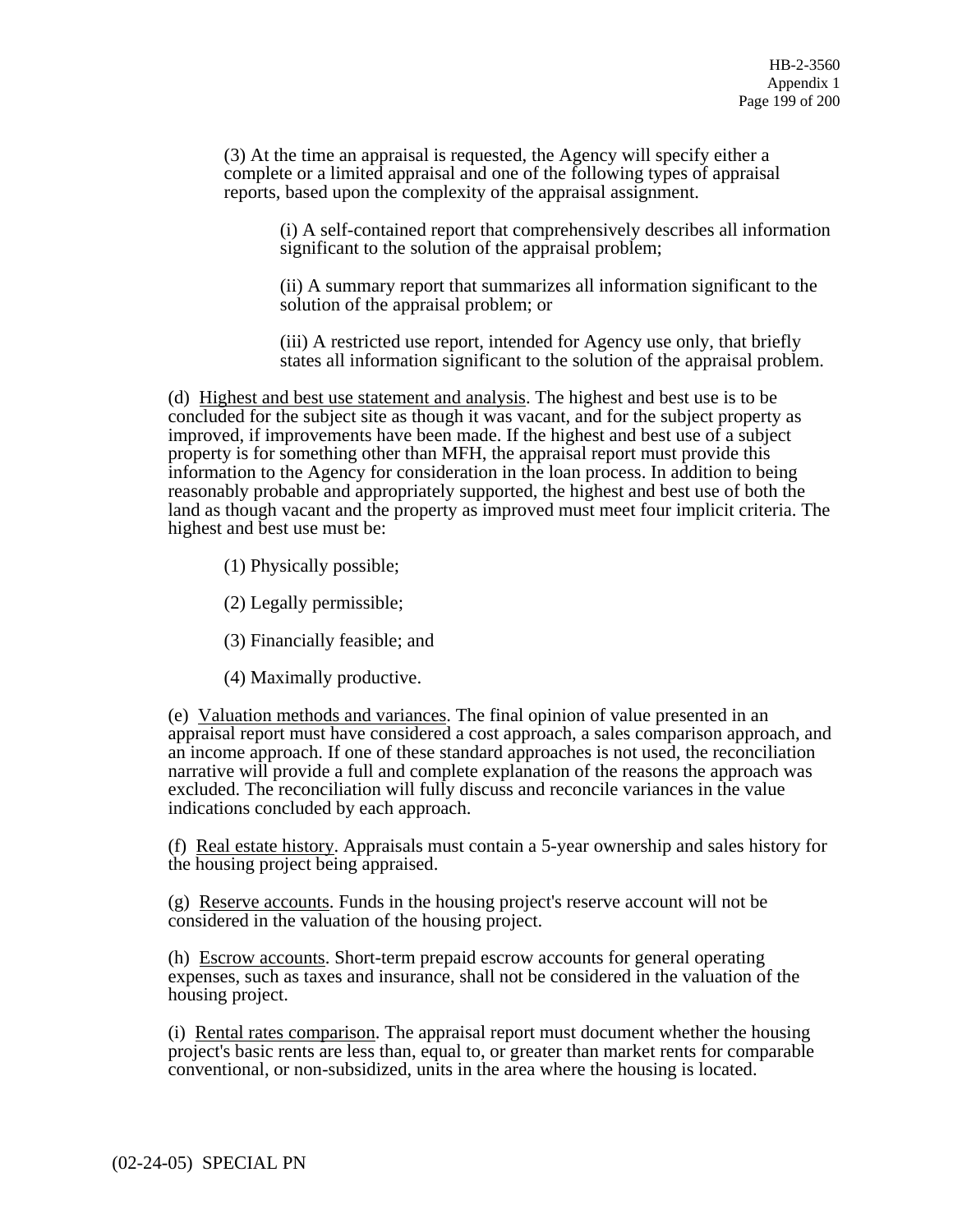(3) At the time an appraisal is requested, the Agency will specify either a complete or a limited appraisal and one of the following types of appraisal reports, based upon the complexity of the appraisal assignment.

(i) A self-contained report that comprehensively describes all information significant to the solution of the appraisal problem;

(ii) A summary report that summarizes all information significant to the solution of the appraisal problem; or

(iii) A restricted use report, intended for Agency use only, that briefly states all information significant to the solution of the appraisal problem.

(d) Highest and best use statement and analysis. The highest and best use is to be concluded for the subject site as though it was vacant, and for the subject property as improved, if improvements have been made. If the highest and best use of a subject property is for something other than MFH, the appraisal report must provide this information to the Agency for consideration in the loan process. In addition to being reasonably probable and appropriately supported, the highest and best use of both the land as though vacant and the property as improved must meet four implicit criteria. The highest and best use must be:

(1) Physically possible;

(2) Legally permissible;

(3) Financially feasible; and

(4) Maximally productive.

(e) Valuation methods and variances. The final opinion of value presented in an appraisal report must have considered a cost approach, a sales comparison approach, and an income approach. If one of these standard approaches is not used, the reconciliation narrative will provide a full and complete explanation of the reasons the approach was excluded. The reconciliation will fully discuss and reconcile variances in the value indications concluded by each approach.

(f) Real estate history. Appraisals must contain a 5-year ownership and sales history for the housing project being appraised.

(g) Reserve accounts. Funds in the housing project's reserve account will not be considered in the valuation of the housing project.

(h) Escrow accounts. Short-term prepaid escrow accounts for general operating expenses, such as taxes and insurance, shall not be considered in the valuation of the housing project.

(i) Rental rates comparison. The appraisal report must document whether the housing project's basic rents are less than, equal to, or greater than market rents for comparable conventional, or non-subsidized, units in the area where the housing is located.